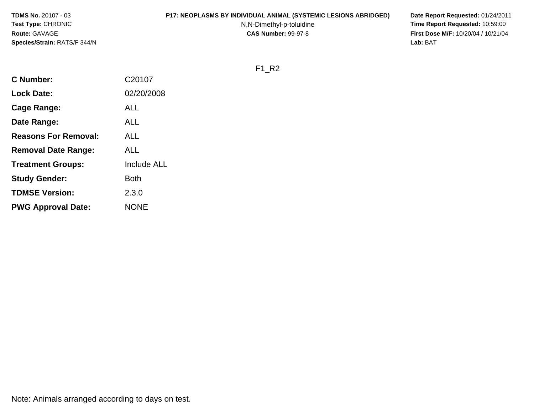#### **P17: NEOPLASMS BY INDIVIDUAL ANIMAL (SYSTEMIC LESIONS ABRIDGED) Date Report Requested:** 01/24/2011

N,N-Dimethyl-p-toluidine

 **Time Report Requested:** 10:59:00 **First Dose M/F:** 10/20/04 / 10/21/04<br>**Lab:** BAT **Lab:** BAT

F1\_R2

| <b>C</b> Number:            | C20107             |
|-----------------------------|--------------------|
| <b>Lock Date:</b>           | 02/20/2008         |
| Cage Range:                 | ALL                |
| Date Range:                 | ALL                |
| <b>Reasons For Removal:</b> | ALL                |
| <b>Removal Date Range:</b>  | ALL                |
| <b>Treatment Groups:</b>    | <b>Include ALL</b> |
| <b>Study Gender:</b>        | Both               |
| <b>TDMSE Version:</b>       | 2.3.0              |
| <b>PWG Approval Date:</b>   | <b>NONE</b>        |
|                             |                    |

Note: Animals arranged according to days on test.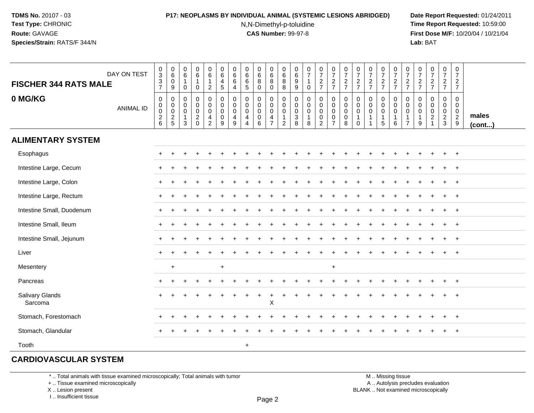# **P17: NEOPLASMS BY INDIVIDUAL ANIMAL (SYSTEMIC LESIONS ABRIDGED) Date Report Requested:** 01/24/2011

N,N-Dimethyl-p-toluidine

 **Time Report Requested:** 10:59:00 **First Dose M/F:** 10/20/04 / 10/21/04<br>**Lab:** BAT **Lab:** BAT

| <b>FISCHER 344 RATS MALE</b> | DAY ON TEST      | $\frac{0}{3}$<br>$\frac{3}{7}$ | $_{6}^{\rm 0}$<br>$\boldsymbol{0}$<br>9  | 0<br>6<br>$\mathbf 1$<br>0                            | $\begin{array}{c} 0 \\ 6 \end{array}$<br>$\mathbf{1}$<br>$\mathbf 0$ | $_{6}^{\rm 0}$<br>$\mathbf{1}$<br>$\overline{c}$                  | $\boldsymbol{0}$<br>$\,6\,$<br>$\overline{4}$<br>$5\phantom{1}$  | 0<br>$\,6\,$<br>6<br>4                            | 0<br>6<br>$\,6$<br>$\overline{5}$                                   | $_{6}^{\rm 0}$<br>$\bf 8$<br>$\mathbf 0$ | $\begin{array}{c} 0 \\ 6 \end{array}$<br>8<br>$\mathbf 0$                   | 0<br>$\,6$<br>8<br>8                                                          | $\pmb{0}$<br>$\,6$<br>9<br>9                                 | $\frac{0}{7}$<br>$\mathbf{1}$<br>$\mathbf 0$                 | $\frac{0}{7}$<br>$\frac{2}{7}$                    | $\frac{0}{7}$<br>$rac{2}{7}$                                                   | $\begin{smallmatrix}0\\7\end{smallmatrix}$<br>$\frac{2}{7}$ | $\frac{0}{7}$<br>$\frac{2}{7}$                                          | $\frac{0}{7}$<br>$\frac{2}{7}$                                              | $\frac{0}{7}$<br>$\frac{2}{7}$             | $\frac{0}{7}$<br>$\frac{2}{7}$                             | $\frac{0}{7}$<br>$\frac{2}{7}$                                | 0<br>$\overline{7}$<br>$\frac{2}{7}$                           | $\frac{0}{7}$<br>$\frac{2}{7}$                                           | $\begin{smallmatrix}0\\7\end{smallmatrix}$<br>$\frac{2}{7}$       | $\frac{0}{7}$<br>$\overline{2}$<br>$\overline{7}$                |                       |
|------------------------------|------------------|--------------------------------|------------------------------------------|-------------------------------------------------------|----------------------------------------------------------------------|-------------------------------------------------------------------|------------------------------------------------------------------|---------------------------------------------------|---------------------------------------------------------------------|------------------------------------------|-----------------------------------------------------------------------------|-------------------------------------------------------------------------------|--------------------------------------------------------------|--------------------------------------------------------------|---------------------------------------------------|--------------------------------------------------------------------------------|-------------------------------------------------------------|-------------------------------------------------------------------------|-----------------------------------------------------------------------------|--------------------------------------------|------------------------------------------------------------|---------------------------------------------------------------|----------------------------------------------------------------|--------------------------------------------------------------------------|-------------------------------------------------------------------|------------------------------------------------------------------|-----------------------|
| 0 MG/KG                      | <b>ANIMAL ID</b> | $\pmb{0}$<br>00026             | 0<br>$_{\rm 0}^{\rm 0}$<br>$\frac{2}{5}$ | $\mathbf 0$<br>0<br>0<br>$\mathbf{1}$<br>$\mathbf{3}$ | $\mathbf 0$<br>$\mathsf 0$<br>$\frac{0}{2}$                          | 0<br>$\pmb{0}$<br>$\mathbf 0$<br>$\overline{4}$<br>$\overline{2}$ | $\mathbf 0$<br>$\mathbf 0$<br>$\mathbf 0$<br>$\overline{0}$<br>9 | $\mathbf 0$<br>$\pmb{0}$<br>$\mathbf 0$<br>4<br>9 | $\mathbf 0$<br>0<br>$\mathbf 0$<br>$\overline{4}$<br>$\overline{4}$ | 0<br>$\pmb{0}$<br>0<br>$\pmb{0}$<br>6    | 0<br>$\mathsf{O}\xspace$<br>$\mathbf 0$<br>$\overline{4}$<br>$\overline{7}$ | $\mathbf 0$<br>$\mathbf 0$<br>$\mathbf 0$<br>$\overline{1}$<br>$\overline{2}$ | $\mathbf 0$<br>$\mathbf 0$<br>$\mathbf 0$<br>$\sqrt{3}$<br>8 | $\mathbf 0$<br>$\mathbf 0$<br>$\pmb{0}$<br>$\mathbf{1}$<br>8 | 0<br>0<br>$\boldsymbol{0}$<br>0<br>$\overline{a}$ | $\mathbf 0$<br>$\mathsf{O}\xspace$<br>$\pmb{0}$<br>$\pmb{0}$<br>$\overline{7}$ | $\mathbf 0$<br>$\pmb{0}$<br>$\mathbf 0$<br>$\pmb{0}$<br>8   | $\mathbf 0$<br>$\mathbf 0$<br>$\mathbf 0$<br>$\overline{1}$<br>$\Omega$ | $\mathbf 0$<br>$\mathbf 0$<br>$\mathbf 0$<br>$\mathbf{1}$<br>$\overline{1}$ | 0<br>$\mathbf 0$<br>0<br>$\mathbf{1}$<br>5 | 0<br>$\mathbf 0$<br>$\mathbf 0$<br>$\mathbf{1}$<br>$\,6\,$ | 0<br>$\pmb{0}$<br>$\,0\,$<br>$\overline{1}$<br>$\overline{7}$ | $\mathbf 0$<br>$\mathbf 0$<br>$\mathbf 0$<br>$\mathbf{1}$<br>9 | $\mathbf 0$<br>$\mathbf 0$<br>0<br>$\sqrt{2}$<br>$\overline{\mathbf{1}}$ | 0<br>$\mathbf 0$<br>$\mathbf 0$<br>$\overline{2}$<br>$\mathbf{3}$ | $\mathbf 0$<br>$\mathbf 0$<br>$\mathbf 0$<br>$\overline{2}$<br>9 | males<br>$($ cont $)$ |
| <b>ALIMENTARY SYSTEM</b>     |                  |                                |                                          |                                                       |                                                                      |                                                                   |                                                                  |                                                   |                                                                     |                                          |                                                                             |                                                                               |                                                              |                                                              |                                                   |                                                                                |                                                             |                                                                         |                                                                             |                                            |                                                            |                                                               |                                                                |                                                                          |                                                                   |                                                                  |                       |
| Esophagus                    |                  | $+$                            | $\ddot{}$                                |                                                       |                                                                      |                                                                   |                                                                  |                                                   |                                                                     |                                          |                                                                             |                                                                               |                                                              |                                                              |                                                   |                                                                                |                                                             |                                                                         |                                                                             |                                            |                                                            |                                                               |                                                                |                                                                          | $\ddot{}$                                                         | $+$                                                              |                       |
| Intestine Large, Cecum       |                  |                                |                                          |                                                       |                                                                      |                                                                   |                                                                  |                                                   |                                                                     |                                          |                                                                             |                                                                               |                                                              |                                                              |                                                   |                                                                                |                                                             |                                                                         |                                                                             |                                            |                                                            |                                                               |                                                                |                                                                          |                                                                   |                                                                  |                       |
| Intestine Large, Colon       |                  |                                |                                          |                                                       |                                                                      |                                                                   |                                                                  |                                                   |                                                                     |                                          |                                                                             |                                                                               |                                                              |                                                              |                                                   |                                                                                |                                                             |                                                                         |                                                                             |                                            |                                                            |                                                               |                                                                |                                                                          |                                                                   | $\overline{1}$                                                   |                       |
| Intestine Large, Rectum      |                  |                                |                                          |                                                       |                                                                      |                                                                   |                                                                  |                                                   |                                                                     |                                          |                                                                             |                                                                               |                                                              |                                                              |                                                   |                                                                                |                                                             |                                                                         |                                                                             |                                            |                                                            |                                                               |                                                                |                                                                          |                                                                   | $^{+}$                                                           |                       |
| Intestine Small, Duodenum    |                  |                                |                                          |                                                       |                                                                      |                                                                   |                                                                  |                                                   |                                                                     |                                          |                                                                             |                                                                               |                                                              |                                                              |                                                   |                                                                                |                                                             |                                                                         |                                                                             |                                            |                                                            |                                                               |                                                                |                                                                          |                                                                   | $\overline{1}$                                                   |                       |
| Intestine Small, Ileum       |                  | $+$                            | $\ddot{}$                                |                                                       |                                                                      |                                                                   |                                                                  |                                                   |                                                                     |                                          |                                                                             |                                                                               |                                                              |                                                              |                                                   |                                                                                |                                                             |                                                                         |                                                                             |                                            |                                                            |                                                               |                                                                |                                                                          |                                                                   | $^{+}$                                                           |                       |
| Intestine Small, Jejunum     |                  | $+$                            |                                          |                                                       |                                                                      |                                                                   |                                                                  |                                                   |                                                                     |                                          |                                                                             |                                                                               |                                                              |                                                              |                                                   |                                                                                |                                                             |                                                                         |                                                                             |                                            |                                                            |                                                               |                                                                |                                                                          |                                                                   |                                                                  |                       |
| Liver                        |                  |                                |                                          |                                                       |                                                                      |                                                                   |                                                                  |                                                   |                                                                     |                                          |                                                                             |                                                                               |                                                              |                                                              |                                                   |                                                                                |                                                             |                                                                         |                                                                             |                                            |                                                            |                                                               |                                                                |                                                                          |                                                                   | $\overline{1}$                                                   |                       |
| Mesentery                    |                  |                                | $\ddot{}$                                |                                                       |                                                                      |                                                                   | $+$                                                              |                                                   |                                                                     |                                          |                                                                             |                                                                               |                                                              |                                                              |                                                   | $\ddot{}$                                                                      |                                                             |                                                                         |                                                                             |                                            |                                                            |                                                               |                                                                |                                                                          |                                                                   |                                                                  |                       |
| Pancreas                     |                  |                                |                                          |                                                       |                                                                      |                                                                   |                                                                  |                                                   |                                                                     |                                          |                                                                             |                                                                               |                                                              |                                                              |                                                   |                                                                                |                                                             |                                                                         |                                                                             |                                            |                                                            |                                                               |                                                                |                                                                          |                                                                   | $\overline{ }$                                                   |                       |
| Salivary Glands<br>Sarcoma   |                  |                                |                                          |                                                       |                                                                      |                                                                   |                                                                  |                                                   |                                                                     |                                          | $\mathsf X$                                                                 |                                                                               |                                                              |                                                              |                                                   |                                                                                |                                                             |                                                                         |                                                                             |                                            |                                                            |                                                               |                                                                |                                                                          |                                                                   |                                                                  |                       |
| Stomach, Forestomach         |                  | $+$                            |                                          |                                                       |                                                                      |                                                                   |                                                                  |                                                   |                                                                     |                                          |                                                                             |                                                                               |                                                              |                                                              |                                                   |                                                                                |                                                             |                                                                         |                                                                             |                                            |                                                            |                                                               |                                                                |                                                                          |                                                                   | $+$                                                              |                       |
| Stomach, Glandular           |                  |                                |                                          |                                                       |                                                                      |                                                                   |                                                                  |                                                   |                                                                     |                                          |                                                                             |                                                                               |                                                              |                                                              |                                                   |                                                                                |                                                             |                                                                         |                                                                             |                                            |                                                            |                                                               |                                                                |                                                                          |                                                                   | $^{+}$                                                           |                       |
| Tooth                        |                  |                                |                                          |                                                       |                                                                      |                                                                   |                                                                  |                                                   | $+$                                                                 |                                          |                                                                             |                                                                               |                                                              |                                                              |                                                   |                                                                                |                                                             |                                                                         |                                                                             |                                            |                                                            |                                                               |                                                                |                                                                          |                                                                   |                                                                  |                       |

# **CARDIOVASCULAR SYSTEM**

\* .. Total animals with tissue examined microscopically; Total animals with tumor

+ .. Tissue examined microscopically

X .. Lesion present

I .. Insufficient tissue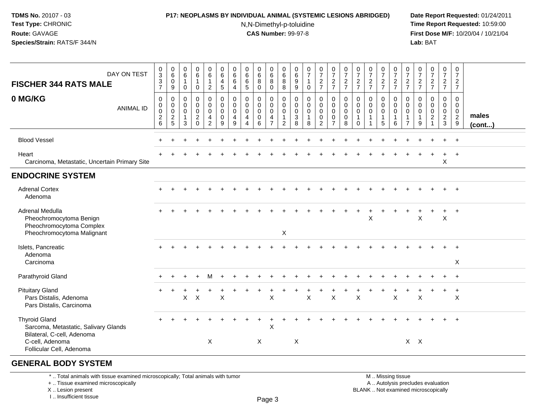### **P17: NEOPLASMS BY INDIVIDUAL ANIMAL (SYSTEMIC LESIONS ABRIDGED) Date Report Requested:** 01/24/2011

N,N-Dimethyl-p-toluidine

 **Time Report Requested:** 10:59:00 **First Dose M/F:** 10/20/04 / 10/21/04<br>**Lab:** BAT **Lab:** BAT

| DAY ON TEST<br><b>FISCHER 344 RATS MALE</b>                                                                   | $_{3}^{\rm 0}$<br>$\mathbf{3}$<br>$\overline{7}$               | $\begin{array}{c} 0 \\ 6 \end{array}$<br>$\mathbf 0$<br>9        | $\begin{array}{c} 0 \\ 6 \end{array}$<br>$\overline{1}$<br>$\mathbf 0$ | $\begin{array}{c} 0 \\ 6 \end{array}$<br>$\mathbf{1}$<br>$\mathbf 0$          | $\begin{array}{c} 0 \\ 6 \end{array}$<br>$\mathbf{1}$<br>$\overline{2}$     | $\begin{array}{c} 0 \\ 6 \end{array}$<br>4<br>5   | 0<br>6<br>6<br>$\overline{4}$             | $\begin{array}{c} 0 \\ 6 \end{array}$<br>$\,6\,$<br>5                   | $\begin{matrix} 0 \\ 6 \\ 8 \end{matrix}$<br>$\mathbf 0$      | 0<br>$\,6$<br>8<br>$\mathbf 0$                                                | $\begin{array}{c} 0 \\ 6 \end{array}$<br>8<br>8               | $\begin{matrix} 0 \\ 6 \\ 9 \end{matrix}$<br>9              | $\begin{smallmatrix}0\\7\end{smallmatrix}$<br>$\mathbf{1}$<br>0 | $\begin{smallmatrix}0\\7\end{smallmatrix}$<br>$rac{2}{7}$                  | $\frac{0}{7}$<br>$rac{2}{7}$                                            | $\frac{0}{7}$<br>$\frac{2}{7}$                                        | $\frac{0}{7}$<br>$rac{2}{7}$                                       | $\frac{0}{7}$<br>$\frac{2}{7}$            | $\frac{0}{7}$<br>$\frac{2}{7}$                                   | $\frac{0}{7}$<br>$\frac{2}{7}$                                 | $\frac{0}{7}$<br>$\overline{c}$<br>$\overline{7}$                | $\frac{0}{7}$<br>$\frac{2}{7}$                       | $\frac{0}{7}$<br>$\frac{2}{7}$                                                       | $\begin{smallmatrix}0\\7\end{smallmatrix}$<br>$\frac{2}{7}$ | $\mathbf 0$<br>$\overline{7}$<br>$\overline{c}$<br>$\overline{7}$ |                       |
|---------------------------------------------------------------------------------------------------------------|----------------------------------------------------------------|------------------------------------------------------------------|------------------------------------------------------------------------|-------------------------------------------------------------------------------|-----------------------------------------------------------------------------|---------------------------------------------------|-------------------------------------------|-------------------------------------------------------------------------|---------------------------------------------------------------|-------------------------------------------------------------------------------|---------------------------------------------------------------|-------------------------------------------------------------|-----------------------------------------------------------------|----------------------------------------------------------------------------|-------------------------------------------------------------------------|-----------------------------------------------------------------------|--------------------------------------------------------------------|-------------------------------------------|------------------------------------------------------------------|----------------------------------------------------------------|------------------------------------------------------------------|------------------------------------------------------|--------------------------------------------------------------------------------------|-------------------------------------------------------------|-------------------------------------------------------------------|-----------------------|
| 0 MG/KG<br><b>ANIMAL ID</b>                                                                                   | $\mathbf 0$<br>$\pmb{0}$<br>$\pmb{0}$<br>$\boldsymbol{2}$<br>6 | $\mathbf 0$<br>$\mathbf 0$<br>$\mathsf{O}\xspace$<br>$rac{2}{5}$ | $\mathbf 0$<br>$\mathbf 0$<br>$\mathbf 0$<br>$\overline{1}$<br>3       | $\pmb{0}$<br>$\mathbf 0$<br>$\mathsf{O}\xspace$<br>$\overline{c}$<br>$\Omega$ | $\mathsf 0$<br>$\mathbf 0$<br>$\pmb{0}$<br>$\overline{4}$<br>$\overline{2}$ | $\mathbf 0$<br>$\pmb{0}$<br>$\mathbf 0$<br>0<br>9 | $\mathbf 0$<br>0<br>$\mathbf 0$<br>4<br>9 | $\mathbf 0$<br>$\mathbf 0$<br>$\mathbf 0$<br>$\overline{4}$<br>$\Delta$ | $\mathbf 0$<br>$\mathbf 0$<br>$\mathbf 0$<br>$\mathbf 0$<br>6 | $\mathbf 0$<br>$\mathbf 0$<br>$\mathbf 0$<br>$\overline{4}$<br>$\overline{7}$ | $\mathbf 0$<br>$\mathbf 0$<br>$\mathbf 0$<br>$\mathbf 1$<br>2 | 0<br>$\mathbf 0$<br>$\mathsf{O}\xspace$<br>$\mathsf 3$<br>8 | $\mathbf 0$<br>$\mathbf 0$<br>$\mathsf 0$<br>$\mathbf{1}$<br>8  | $\mathbf 0$<br>$\mathbf 0$<br>$\mathbf 0$<br>$\mathbf 0$<br>$\overline{2}$ | $\Omega$<br>$\mathbf 0$<br>$\mathbf 0$<br>$\mathbf 0$<br>$\overline{7}$ | $\mathbf 0$<br>$\mathsf{O}\xspace$<br>$\mathbf 0$<br>$\mathbf 0$<br>8 | $\Omega$<br>$\mathbf 0$<br>$\mathbf 0$<br>$\mathbf{1}$<br>$\Omega$ | $\mathbf 0$<br>$\mathbf 0$<br>$\mathbf 0$ | $\mathbf 0$<br>$\mathbf 0$<br>$\mathbf 0$<br>$\overline{1}$<br>5 | $\mathbf 0$<br>$\mathbf 0$<br>$\mathbf 0$<br>$\mathbf{1}$<br>6 | $\mathbf 0$<br>$\mathbf 0$<br>$\mathbf 0$<br>1<br>$\overline{7}$ | 0<br>$\mathbf 0$<br>$\mathbf 0$<br>$\mathbf{1}$<br>9 | $\mathbf 0$<br>$\mathbf 0$<br>$\pmb{0}$<br>$\overline{c}$<br>$\overline{\mathbf{1}}$ | $\mathbf 0$<br>$\mathbf 0$<br>$\mathbf 0$<br>$\frac{2}{3}$  | $\Omega$<br>$\mathbf{0}$<br>$\mathbf 0$<br>$\overline{2}$<br>9    | males<br>$($ cont $)$ |
| <b>Blood Vessel</b>                                                                                           |                                                                |                                                                  |                                                                        |                                                                               |                                                                             |                                                   |                                           |                                                                         |                                                               |                                                                               |                                                               |                                                             |                                                                 |                                                                            |                                                                         |                                                                       |                                                                    |                                           |                                                                  |                                                                |                                                                  |                                                      |                                                                                      |                                                             | $+$                                                               |                       |
| Heart<br>Carcinoma, Metastatic, Uncertain Primary Site                                                        |                                                                |                                                                  |                                                                        |                                                                               |                                                                             |                                                   |                                           |                                                                         |                                                               |                                                                               |                                                               |                                                             |                                                                 |                                                                            |                                                                         |                                                                       |                                                                    |                                           |                                                                  |                                                                |                                                                  |                                                      |                                                                                      | $\mathsf X$                                                 | $+$                                                               |                       |
| <b>ENDOCRINE SYSTEM</b>                                                                                       |                                                                |                                                                  |                                                                        |                                                                               |                                                                             |                                                   |                                           |                                                                         |                                                               |                                                                               |                                                               |                                                             |                                                                 |                                                                            |                                                                         |                                                                       |                                                                    |                                           |                                                                  |                                                                |                                                                  |                                                      |                                                                                      |                                                             |                                                                   |                       |
| <b>Adrenal Cortex</b><br>Adenoma                                                                              |                                                                |                                                                  |                                                                        |                                                                               |                                                                             |                                                   |                                           |                                                                         |                                                               |                                                                               |                                                               |                                                             |                                                                 |                                                                            |                                                                         |                                                                       |                                                                    |                                           |                                                                  |                                                                |                                                                  |                                                      |                                                                                      |                                                             |                                                                   |                       |
| Adrenal Medulla<br>Pheochromocytoma Benign<br>Pheochromocytoma Complex<br>Pheochromocytoma Malignant          |                                                                |                                                                  |                                                                        |                                                                               |                                                                             |                                                   |                                           |                                                                         |                                                               |                                                                               | X                                                             |                                                             |                                                                 |                                                                            |                                                                         |                                                                       |                                                                    | X                                         |                                                                  |                                                                |                                                                  | X                                                    |                                                                                      | $+$<br>$\mathsf{X}$                                         | $+$                                                               |                       |
| Islets, Pancreatic<br>Adenoma<br>Carcinoma                                                                    |                                                                |                                                                  |                                                                        |                                                                               |                                                                             |                                                   |                                           |                                                                         |                                                               |                                                                               |                                                               |                                                             |                                                                 |                                                                            |                                                                         |                                                                       |                                                                    |                                           |                                                                  |                                                                |                                                                  |                                                      |                                                                                      |                                                             | X                                                                 |                       |
| Parathyroid Gland                                                                                             |                                                                |                                                                  |                                                                        |                                                                               | м                                                                           |                                                   |                                           |                                                                         |                                                               |                                                                               |                                                               |                                                             |                                                                 |                                                                            |                                                                         |                                                                       |                                                                    |                                           |                                                                  |                                                                |                                                                  |                                                      |                                                                                      |                                                             | $+$                                                               |                       |
| <b>Pituitary Gland</b><br>Pars Distalis, Adenoma<br>Pars Distalis, Carcinoma                                  | $\pm$                                                          |                                                                  | $\mathsf{X}$                                                           | $\times$                                                                      |                                                                             | $\boldsymbol{\mathsf{X}}$                         |                                           |                                                                         |                                                               | $\mathsf X$                                                                   |                                                               |                                                             | $\mathsf X$                                                     |                                                                            | $\boldsymbol{\mathsf{X}}$                                               |                                                                       | $\boldsymbol{\mathsf{X}}$                                          |                                           |                                                                  | $\sf X$                                                        |                                                                  | $\pmb{\times}$                                       |                                                                                      | $\ddot{}$                                                   | $\ddot{}$<br>$\sf X$                                              |                       |
| <b>Thyroid Gland</b><br>Sarcoma, Metastatic, Salivary Glands<br>Bilateral, C-cell, Adenoma<br>C-cell, Adenoma |                                                                |                                                                  |                                                                        |                                                                               | $\boldsymbol{X}$                                                            |                                                   |                                           |                                                                         | X                                                             | $\boldsymbol{\mathsf{X}}$                                                     |                                                               | X                                                           |                                                                 |                                                                            |                                                                         |                                                                       |                                                                    |                                           |                                                                  |                                                                | $X$ $X$                                                          |                                                      |                                                                                      |                                                             | $\ddot{}$                                                         |                       |
| Follicular Cell, Adenoma<br>AFUED AL BABY OVATEM                                                              |                                                                |                                                                  |                                                                        |                                                                               |                                                                             |                                                   |                                           |                                                                         |                                                               |                                                                               |                                                               |                                                             |                                                                 |                                                                            |                                                                         |                                                                       |                                                                    |                                           |                                                                  |                                                                |                                                                  |                                                      |                                                                                      |                                                             |                                                                   |                       |

#### **GENERAL BODY SYSTEM**

\* .. Total animals with tissue examined microscopically; Total animals with tumor

+ .. Tissue examined microscopically

X .. Lesion present

I .. Insufficient tissue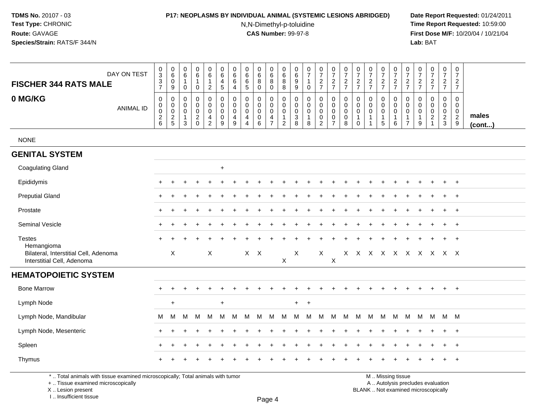### **P17: NEOPLASMS BY INDIVIDUAL ANIMAL (SYSTEMIC LESIONS ABRIDGED) Date Report Requested:** 01/24/2011

N,N-Dimethyl-p-toluidine

 **Time Report Requested:** 10:59:00 **First Dose M/F:** 10/20/04 / 10/21/04<br>**Lab:** BAT **Lab:** BAT

| DAY ON TEST<br><b>FISCHER 344 RATS MALE</b>                          | $_{3}^{\rm 0}$<br>$\sqrt{3}$<br>$\overline{7}$                                | $\pmb{0}$<br>$\,6\,$<br>$\mathbf 0$<br>9 | $\pmb{0}$<br>$\,6\,$<br>$\mathbf{1}$<br>$\pmb{0}$                        | $\pmb{0}$<br>6<br>$\mathbf{1}$<br>$\mathbf 0$          | 0<br>6<br>$\mathbf{1}$<br>$\overline{2}$               | $\pmb{0}$<br>6<br>$\overline{4}$<br>$\sqrt{5}$                             | 0<br>$\,6$<br>6<br>$\overline{4}$          | 0<br>6<br>6<br>$\sqrt{5}$                                                     | 0<br>$\,6\,$<br>8<br>$\mathbf 0$                    | 0<br>$6\overline{6}$<br>8<br>$\mathbf 0$                            | $\pmb{0}$<br>$\,6\,$<br>$\,8\,$<br>8                             | $\mathbf 0$<br>$\,6\,$<br>$9\,$<br>$\boldsymbol{9}$             | $\frac{0}{7}$<br>$\mathbf{1}$<br>$\mathbf 0$                   | 0<br>$\boldsymbol{7}$<br>$\overline{a}$<br>$\overline{7}$ | $\begin{smallmatrix}0\\7\end{smallmatrix}$<br>$\overline{2}$<br>$\overline{7}$ | $\begin{array}{c} 0 \\ 7 \end{array}$<br>$\overline{c}$<br>$\overline{7}$ | 0<br>$\overline{7}$<br>$\overline{a}$<br>$\overline{7}$     | $\frac{0}{7}$<br>$\sqrt{2}$<br>$\overline{7}$         | 0<br>$\overline{7}$<br>$\sqrt{2}$<br>$\overline{7}$        | $\frac{0}{7}$<br>$\overline{c}$<br>$\overline{7}$              | 0<br>$\overline{7}$<br>$\overline{2}$<br>$\overline{7}$       | 0<br>$\overline{7}$<br>$\overline{c}$<br>$\overline{7}$ | $\frac{0}{7}$<br>$\overline{a}$<br>$\overline{7}$     | $\pmb{0}$<br>$\boldsymbol{7}$<br>$\overline{2}$<br>$\overline{7}$          | 0<br>$\overline{7}$<br>$\overline{2}$<br>$\overline{7}$      |                 |
|----------------------------------------------------------------------|-------------------------------------------------------------------------------|------------------------------------------|--------------------------------------------------------------------------|--------------------------------------------------------|--------------------------------------------------------|----------------------------------------------------------------------------|--------------------------------------------|-------------------------------------------------------------------------------|-----------------------------------------------------|---------------------------------------------------------------------|------------------------------------------------------------------|-----------------------------------------------------------------|----------------------------------------------------------------|-----------------------------------------------------------|--------------------------------------------------------------------------------|---------------------------------------------------------------------------|-------------------------------------------------------------|-------------------------------------------------------|------------------------------------------------------------|----------------------------------------------------------------|---------------------------------------------------------------|---------------------------------------------------------|-------------------------------------------------------|----------------------------------------------------------------------------|--------------------------------------------------------------|-----------------|
| 0 MG/KG<br><b>ANIMAL ID</b>                                          | $\pmb{0}$<br>$\mathbf 0$<br>$\mathbf 0$<br>$\boldsymbol{2}$<br>$6\phantom{1}$ | 0<br>0<br>$\mathbf 0$<br>$\frac{2}{5}$   | $\mathbf 0$<br>$\mathbf 0$<br>$\mathbf 0$<br>$\mathbf 1$<br>$\mathbf{3}$ | 0<br>0<br>$\mathsf 0$<br>$\overline{c}$<br>$\mathbf 0$ | 0<br>$\mathbf 0$<br>$\mathbf 0$<br>4<br>$\overline{2}$ | $\mathbf 0$<br>$\mathbf 0$<br>$\mathbf 0$<br>$\pmb{0}$<br>$\boldsymbol{9}$ | 0<br>$\mathbf 0$<br>$\mathbf{0}$<br>4<br>9 | $\mathbf 0$<br>$\mathbf 0$<br>$\mathbf 0$<br>$\overline{4}$<br>$\overline{4}$ | 0<br>$\mathbf 0$<br>$\mathbf 0$<br>$\mathbf 0$<br>6 | 0<br>$\mathbf 0$<br>$\mathbf 0$<br>$\overline{4}$<br>$\overline{7}$ | $\mathbf 0$<br>0<br>$\mathbf 0$<br>$\mathbf 1$<br>$\overline{c}$ | $\mathbf 0$<br>$\mathbf 0$<br>$\boldsymbol{0}$<br>$\frac{3}{8}$ | $\mathbf 0$<br>$\mathbf 0$<br>$\mathbf 0$<br>$\mathbf{1}$<br>8 | 0<br>0<br>$\mathbf 0$<br>$\pmb{0}$<br>$\boldsymbol{2}$    | 0<br>$\mathbf 0$<br>$\mathbf 0$<br>$\pmb{0}$<br>$\overline{7}$                 | 0<br>$\mathbf 0$<br>$\mathbf 0$<br>$\mathbf 0$<br>8                       | 0<br>$\mathbf 0$<br>$\Omega$<br>$\mathbf{1}$<br>$\mathbf 0$ | 0<br>$\mathbf 0$<br>$\pmb{0}$<br>$\overline{1}$<br>-1 | 0<br>$\mathbf 0$<br>$\Omega$<br>$\mathbf{1}$<br>$\sqrt{5}$ | $\Omega$<br>$\mathbf 0$<br>$\overline{0}$<br>$\mathbf{1}$<br>6 | $\Omega$<br>$\mathbf 0$<br>$\mathbf 0$<br>1<br>$\overline{7}$ | $\Omega$<br>0<br>0<br>$\mathbf{1}$<br>9                 | 0<br>0<br>$\pmb{0}$<br>$\overline{c}$<br>$\mathbf{1}$ | $\mathbf 0$<br>$\mathbf 0$<br>$\mathbf 0$<br>$\overline{c}$<br>$\mathsf 3$ | $\mathbf 0$<br>$\mathbf 0$<br>$\mathbf 0$<br>$\sqrt{2}$<br>9 | males<br>(cont) |
| <b>NONE</b>                                                          |                                                                               |                                          |                                                                          |                                                        |                                                        |                                                                            |                                            |                                                                               |                                                     |                                                                     |                                                                  |                                                                 |                                                                |                                                           |                                                                                |                                                                           |                                                             |                                                       |                                                            |                                                                |                                                               |                                                         |                                                       |                                                                            |                                                              |                 |
| <b>GENITAL SYSTEM</b>                                                |                                                                               |                                          |                                                                          |                                                        |                                                        |                                                                            |                                            |                                                                               |                                                     |                                                                     |                                                                  |                                                                 |                                                                |                                                           |                                                                                |                                                                           |                                                             |                                                       |                                                            |                                                                |                                                               |                                                         |                                                       |                                                                            |                                                              |                 |
| <b>Coagulating Gland</b>                                             |                                                                               |                                          |                                                                          |                                                        |                                                        | $\ddot{}$                                                                  |                                            |                                                                               |                                                     |                                                                     |                                                                  |                                                                 |                                                                |                                                           |                                                                                |                                                                           |                                                             |                                                       |                                                            |                                                                |                                                               |                                                         |                                                       |                                                                            |                                                              |                 |
| Epididymis                                                           | +                                                                             | $\ddot{}$                                |                                                                          | $\ddot{}$                                              | +                                                      |                                                                            |                                            |                                                                               |                                                     |                                                                     |                                                                  |                                                                 |                                                                |                                                           |                                                                                |                                                                           |                                                             |                                                       |                                                            |                                                                |                                                               |                                                         | $\ddot{}$                                             | $\ddot{}$                                                                  | $+$                                                          |                 |
| <b>Preputial Gland</b>                                               | $\ddot{}$                                                                     |                                          |                                                                          |                                                        |                                                        |                                                                            |                                            |                                                                               |                                                     |                                                                     |                                                                  |                                                                 |                                                                |                                                           |                                                                                |                                                                           |                                                             |                                                       |                                                            |                                                                |                                                               |                                                         |                                                       | $\ddot{}$                                                                  | $+$                                                          |                 |
| Prostate                                                             | $\pm$                                                                         | ÷                                        |                                                                          |                                                        |                                                        |                                                                            |                                            |                                                                               |                                                     |                                                                     |                                                                  |                                                                 |                                                                |                                                           |                                                                                |                                                                           |                                                             |                                                       |                                                            |                                                                |                                                               |                                                         |                                                       | $\ddot{}$                                                                  | $+$                                                          |                 |
| <b>Seminal Vesicle</b>                                               |                                                                               |                                          |                                                                          |                                                        |                                                        |                                                                            |                                            |                                                                               |                                                     |                                                                     |                                                                  |                                                                 |                                                                |                                                           |                                                                                |                                                                           |                                                             |                                                       |                                                            |                                                                |                                                               |                                                         |                                                       |                                                                            | $+$                                                          |                 |
| <b>Testes</b><br>Hemangioma<br>Bilateral, Interstitial Cell, Adenoma |                                                                               | $\sf X$                                  |                                                                          |                                                        | $\boldsymbol{\mathsf{X}}$                              |                                                                            |                                            | $X$ $X$                                                                       |                                                     |                                                                     |                                                                  | X                                                               |                                                                | X                                                         |                                                                                |                                                                           |                                                             |                                                       |                                                            |                                                                |                                                               |                                                         | X X X X X X X X X X                                   | $\ddot{}$                                                                  | $+$                                                          |                 |
| Interstitial Cell, Adenoma                                           |                                                                               |                                          |                                                                          |                                                        |                                                        |                                                                            |                                            |                                                                               |                                                     |                                                                     | $\boldsymbol{\mathsf{X}}$                                        |                                                                 |                                                                |                                                           | $\boldsymbol{\mathsf{X}}$                                                      |                                                                           |                                                             |                                                       |                                                            |                                                                |                                                               |                                                         |                                                       |                                                                            |                                                              |                 |
| <b>HEMATOPOIETIC SYSTEM</b>                                          |                                                                               |                                          |                                                                          |                                                        |                                                        |                                                                            |                                            |                                                                               |                                                     |                                                                     |                                                                  |                                                                 |                                                                |                                                           |                                                                                |                                                                           |                                                             |                                                       |                                                            |                                                                |                                                               |                                                         |                                                       |                                                                            |                                                              |                 |
| <b>Bone Marrow</b>                                                   | +                                                                             |                                          |                                                                          |                                                        |                                                        |                                                                            |                                            |                                                                               |                                                     |                                                                     |                                                                  |                                                                 |                                                                |                                                           |                                                                                | $\div$                                                                    | $\pm$                                                       |                                                       | $\ddot{}$                                                  |                                                                | $\ddot{}$                                                     | $\ddot{}$                                               | $\ddot{}$                                             | $+$                                                                        | $+$                                                          |                 |
| Lymph Node                                                           |                                                                               | $\ddot{}$                                |                                                                          |                                                        |                                                        | $\ddot{}$                                                                  |                                            |                                                                               |                                                     |                                                                     |                                                                  | $+$                                                             | $+$                                                            |                                                           |                                                                                |                                                                           |                                                             |                                                       |                                                            |                                                                |                                                               |                                                         |                                                       |                                                                            |                                                              |                 |
| Lymph Node, Mandibular                                               | м                                                                             | M                                        | м                                                                        | M                                                      | м                                                      | м                                                                          | M                                          | М                                                                             | M                                                   | M                                                                   | М                                                                | M                                                               | м                                                              | M                                                         | M                                                                              | M                                                                         | M                                                           | M                                                     | м                                                          | M                                                              | M                                                             | M                                                       | M                                                     | M M                                                                        |                                                              |                 |
| Lymph Node, Mesenteric                                               | +                                                                             |                                          |                                                                          |                                                        |                                                        |                                                                            |                                            |                                                                               |                                                     |                                                                     |                                                                  |                                                                 |                                                                |                                                           |                                                                                |                                                                           |                                                             |                                                       |                                                            |                                                                |                                                               |                                                         |                                                       | $\ddot{}$                                                                  | $+$                                                          |                 |
| Spleen                                                               |                                                                               | ٠                                        |                                                                          |                                                        |                                                        |                                                                            |                                            |                                                                               |                                                     |                                                                     |                                                                  |                                                                 |                                                                |                                                           |                                                                                |                                                                           |                                                             |                                                       |                                                            |                                                                |                                                               |                                                         |                                                       | +                                                                          | $+$                                                          |                 |
| Thymus                                                               |                                                                               |                                          |                                                                          |                                                        |                                                        |                                                                            |                                            |                                                                               |                                                     |                                                                     |                                                                  |                                                                 |                                                                |                                                           |                                                                                |                                                                           |                                                             |                                                       |                                                            |                                                                |                                                               |                                                         |                                                       |                                                                            | $\ddot{}$                                                    |                 |

\* .. Total animals with tissue examined microscopically; Total animals with tumor

+ .. Tissue examined microscopically

X .. Lesion present

I .. Insufficient tissue

Page 4

M .. Missing tissue

y the contract of the contract of the contract of the contract of the contract of  $\mathsf A$  . Autolysis precludes evaluation

Lesion present BLANK .. Not examined microscopically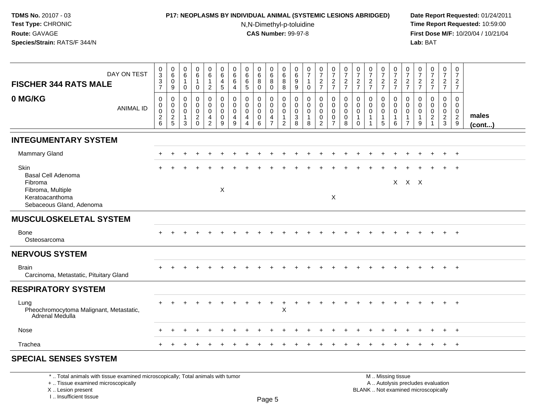# **P17: NEOPLASMS BY INDIVIDUAL ANIMAL (SYSTEMIC LESIONS ABRIDGED) Date Report Requested:** 01/24/2011

N,N-Dimethyl-p-toluidine

 **Time Report Requested:** 10:59:00 **First Dose M/F:** 10/20/04 / 10/21/04<br>**Lab:** BAT **Lab:** BAT

## **SPECIAL SENSES SYSTEM**

\* .. Total animals with tissue examined microscopically; Total animals with tumor

+ .. Tissue examined microscopically

X .. Lesion present

I .. Insufficient tissue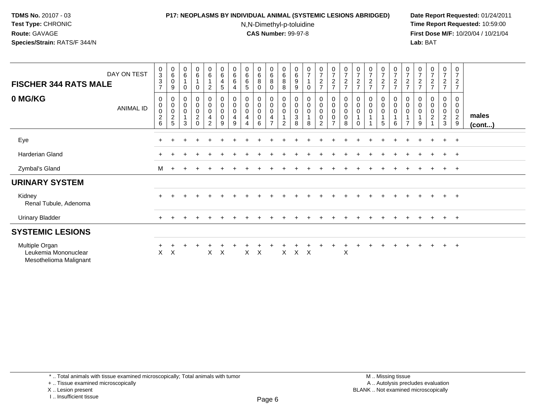## **P17: NEOPLASMS BY INDIVIDUAL ANIMAL (SYSTEMIC LESIONS ABRIDGED) Date Report Requested:** 01/24/2011

N,N-Dimethyl-p-toluidine

 **Time Report Requested:** 10:59:00 **First Dose M/F:** 10/20/04 / 10/21/04<br>**Lab:** BAT **Lab:** BAT

| DAY ON TEST<br><b>FISCHER 344 RATS MALE</b>                      |           | $\pmb{0}$<br>$\ensuremath{\mathsf{3}}$<br>$\ensuremath{\mathsf{3}}$<br>$\overline{ }$ | $_{6}^{\rm 0}$<br>$\mathsf{O}\xspace$<br>9 | $\begin{array}{c} 0 \\ 6 \end{array}$<br>$\overline{1}$<br>0 | $\boldsymbol{0}$<br>$\,6\,$<br>$\mathbf{1}$<br>0            | $\begin{array}{c} 0 \\ 6 \end{array}$<br>$\mathbf{1}$<br>$\overline{c}$            | $\pmb{0}$<br>$\,6\,$<br>4<br>5                                                        | $\boldsymbol{0}$<br>$\,6\,$<br>6<br>4 | $\begin{array}{c} 0 \\ 6 \end{array}$<br>$\,6\,$<br>$\sqrt{5}$ | $\begin{array}{c} 0 \\ 6 \end{array}$<br>$\bf8$<br>0 | $\pmb{0}$<br>$\,6\,$<br>$\bf 8$<br>0                             | $\begin{matrix} 0 \\ 6 \end{matrix}$<br>8<br>8    | $_{6}^{\rm 0}$<br>$\boldsymbol{9}$<br>9                       | $\begin{array}{c} 0 \\ 7 \end{array}$<br>0 | $\frac{0}{7}$<br>$\frac{2}{7}$                         | $\frac{0}{7}$<br>$\overline{c}$<br>$\overline{7}$              | $\frac{0}{7}$<br>$\frac{2}{7}$        | $\frac{0}{7}$<br>$\frac{2}{7}$          | $\frac{0}{7}$<br>$\frac{2}{7}$  | $\frac{0}{7}$<br>$\frac{2}{7}$                                            | $\frac{0}{7}$<br>$rac{2}{7}$                                                         | $\frac{0}{7}$<br>$\frac{2}{7}$          | $\frac{0}{7}$<br>$\frac{2}{7}$ | $\frac{0}{7}$<br>$\frac{2}{7}$                    | $\begin{array}{c} 0 \\ 7 \end{array}$<br>$\frac{2}{7}$  | $\pmb{0}$<br>$\overline{7}$<br>$\sqrt{2}$<br>$\overline{7}$ |                       |
|------------------------------------------------------------------|-----------|---------------------------------------------------------------------------------------|--------------------------------------------|--------------------------------------------------------------|-------------------------------------------------------------|------------------------------------------------------------------------------------|---------------------------------------------------------------------------------------|---------------------------------------|----------------------------------------------------------------|------------------------------------------------------|------------------------------------------------------------------|---------------------------------------------------|---------------------------------------------------------------|--------------------------------------------|--------------------------------------------------------|----------------------------------------------------------------|---------------------------------------|-----------------------------------------|---------------------------------|---------------------------------------------------------------------------|--------------------------------------------------------------------------------------|-----------------------------------------|--------------------------------|---------------------------------------------------|---------------------------------------------------------|-------------------------------------------------------------|-----------------------|
| 0 MG/KG                                                          | ANIMAL ID | 0<br>$\pmb{0}$<br>$\pmb{0}$<br>$\frac{2}{6}$                                          | 0<br>0<br>$\pmb{0}$<br>$\frac{2}{5}$       | 0<br>$\pmb{0}$<br>$\mathbf 0$<br>$\overline{1}$<br>3         | 0<br>$\boldsymbol{0}$<br>$\mathbf 0$<br>$\overline{c}$<br>0 | $\pmb{0}$<br>$\pmb{0}$<br>$\mathbf 0$<br>$\overline{\mathbf{4}}$<br>$\overline{c}$ | $\begin{smallmatrix} 0\\0 \end{smallmatrix}$<br>$\mathsf{O}\xspace$<br>$\pmb{0}$<br>9 | 0<br>0<br>0<br>4<br>9                 | $\pmb{0}$<br>$\pmb{0}$<br>$\pmb{0}$<br>4<br>4                  | 0<br>$\mathsf 0$<br>$\pmb{0}$<br>$\pmb{0}$<br>6      | 0<br>$\boldsymbol{0}$<br>$\boldsymbol{0}$<br>4<br>$\overline{7}$ | 0<br>$\mathbf 0$<br>$\mathsf 0$<br>$\overline{2}$ | 0<br>$\pmb{0}$<br>$\pmb{0}$<br>$\ensuremath{\mathsf{3}}$<br>8 | $_{\rm 0}^{\rm 0}$<br>$\pmb{0}$<br>8       | 0<br>$\mathbf 0$<br>$\mathbf 0$<br>0<br>$\overline{a}$ | $_{\rm 0}^{\rm 0}$<br>$\pmb{0}$<br>$\pmb{0}$<br>$\overline{7}$ | 0<br>$\pmb{0}$<br>$\pmb{0}$<br>0<br>8 | 0<br>$\pmb{0}$<br>$\pmb{0}$<br>$\Omega$ | $_{\rm 0}^{\rm 0}$<br>$\pmb{0}$ | $\begin{smallmatrix} 0\\0 \end{smallmatrix}$<br>$\mathsf 0$<br>$\sqrt{5}$ | $\begin{smallmatrix} 0\\0 \end{smallmatrix}$<br>$\pmb{0}$<br>$\mathbf{1}$<br>$\,6\,$ | 0<br>$\mathbf 0$<br>0<br>$\overline{ }$ | $\,0\,$<br>0<br>9              | 0<br>$\mathbf 0$<br>$\pmb{0}$<br>$\boldsymbol{2}$ | 0<br>$\mathbf 0$<br>0<br>$\overline{c}$<br>$\mathbf{3}$ | 0<br>0<br>0<br>$\overline{2}$<br>9                          | males<br>$($ cont $)$ |
| Eye                                                              |           | $\pm$                                                                                 |                                            |                                                              |                                                             |                                                                                    |                                                                                       |                                       |                                                                |                                                      |                                                                  |                                                   |                                                               |                                            |                                                        |                                                                |                                       |                                         |                                 |                                                                           |                                                                                      |                                         |                                |                                                   | $+$                                                     | $+$                                                         |                       |
| Harderian Gland                                                  |           |                                                                                       |                                            |                                                              |                                                             |                                                                                    |                                                                                       |                                       |                                                                |                                                      |                                                                  |                                                   |                                                               |                                            |                                                        |                                                                |                                       |                                         |                                 |                                                                           |                                                                                      |                                         |                                |                                                   | $+$                                                     | $+$                                                         |                       |
| Zymbal's Gland                                                   |           | M                                                                                     | $+$                                        |                                                              |                                                             |                                                                                    |                                                                                       |                                       |                                                                |                                                      |                                                                  |                                                   |                                                               |                                            |                                                        |                                                                |                                       |                                         |                                 |                                                                           |                                                                                      |                                         |                                | $\pm$                                             | $+$                                                     | $+$                                                         |                       |
| <b>URINARY SYSTEM</b>                                            |           |                                                                                       |                                            |                                                              |                                                             |                                                                                    |                                                                                       |                                       |                                                                |                                                      |                                                                  |                                                   |                                                               |                                            |                                                        |                                                                |                                       |                                         |                                 |                                                                           |                                                                                      |                                         |                                |                                                   |                                                         |                                                             |                       |
| Kidney<br>Renal Tubule, Adenoma                                  |           | $\pm$                                                                                 |                                            |                                                              |                                                             |                                                                                    |                                                                                       |                                       |                                                                |                                                      |                                                                  |                                                   |                                                               |                                            |                                                        |                                                                |                                       |                                         |                                 |                                                                           |                                                                                      |                                         |                                |                                                   |                                                         | $+$                                                         |                       |
| <b>Urinary Bladder</b>                                           |           | $+$                                                                                   |                                            |                                                              |                                                             |                                                                                    |                                                                                       |                                       |                                                                |                                                      |                                                                  |                                                   |                                                               |                                            |                                                        |                                                                |                                       |                                         |                                 |                                                                           |                                                                                      |                                         |                                | $\pm$                                             | $+$ $+$                                                 |                                                             |                       |
| <b>SYSTEMIC LESIONS</b>                                          |           |                                                                                       |                                            |                                                              |                                                             |                                                                                    |                                                                                       |                                       |                                                                |                                                      |                                                                  |                                                   |                                                               |                                            |                                                        |                                                                |                                       |                                         |                                 |                                                                           |                                                                                      |                                         |                                |                                                   |                                                         |                                                             |                       |
| Multiple Organ<br>Leukemia Mononuclear<br>Mesothelioma Malignant |           | X                                                                                     | X                                          |                                                              |                                                             | X                                                                                  | $\boldsymbol{\mathsf{X}}$                                                             |                                       | X                                                              | X                                                    |                                                                  | X                                                 | $\times$                                                      | X                                          |                                                        |                                                                | X                                     |                                         |                                 |                                                                           |                                                                                      |                                         |                                |                                                   | $+$                                                     | $+$                                                         |                       |

+ .. Tissue examined microscopically

X .. Lesion present

I .. Insufficient tissue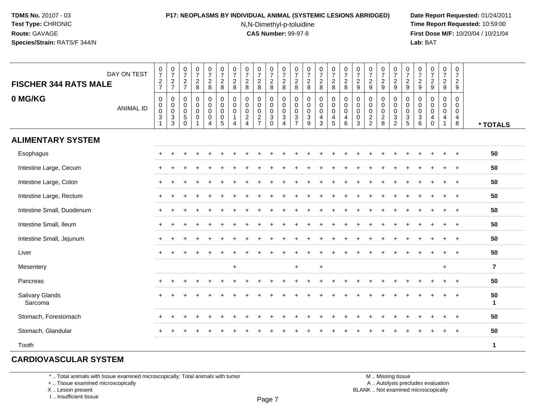# **P17: NEOPLASMS BY INDIVIDUAL ANIMAL (SYSTEMIC LESIONS ABRIDGED) Date Report Requested:** 01/24/2011

N,N-Dimethyl-p-toluidine

 **Time Report Requested:** 10:59:00 **First Dose M/F:** 10/20/04 / 10/21/04<br>**Lab:** BAT **Lab:** BAT

| <b>FISCHER 344 RATS MALE</b> | DAY ON TEST      | $\frac{0}{7}$<br>$\frac{2}{7}$                                    | $\frac{0}{7}$<br>$\frac{2}{7}$                                            | $\begin{smallmatrix}0\\7\end{smallmatrix}$<br>$\frac{2}{7}$ | $\begin{array}{c} 0 \\ 7 \end{array}$<br>$_{\rm 8}^2$ | $\frac{0}{7}$<br>$_{8}^{\rm 2}$                   | $\frac{0}{7}$<br>$\sqrt{2}$<br>8                                       | $\frac{0}{7}$<br>$\overline{2}$<br>8           | $\frac{0}{7}$<br>$\sqrt{2}$<br>8                                              | $\frac{0}{7}$<br>$\overline{a}$<br>8   | $\frac{0}{7}$<br>$^2_{\bf 8}$                                                         | $\frac{0}{7}$<br>$\overline{c}$<br>8                            | $\frac{0}{7}$<br>$\overline{2}$<br>8                             | $\begin{smallmatrix}0\\7\end{smallmatrix}$<br>$\frac{2}{8}$ | $\frac{0}{7}$<br>$_{8}^2$                                      | $\frac{0}{7}$<br>$_{\rm 8}^2$                   | $\frac{0}{7}$<br>$\frac{2}{8}$                                           | $\frac{0}{7}$<br>$\overline{2}$<br>9                                     | $\frac{0}{7}$<br>$\overline{c}$<br>$9\,$                                      | $\frac{0}{7}$<br>$\overline{c}$<br>9                            | $\frac{0}{7}$<br>$\frac{2}{9}$                                             | $\frac{0}{7}$<br>$\frac{2}{9}$                                                       | $\frac{0}{7}$<br>$\frac{2}{9}$  | $\frac{0}{7}$<br>$\sqrt{2}$<br>9                           | $\frac{0}{7}$<br>$\overline{a}$<br>9 | $\frac{0}{7}$<br>$\overline{2}$<br>$9\,$  |                    |
|------------------------------|------------------|-------------------------------------------------------------------|---------------------------------------------------------------------------|-------------------------------------------------------------|-------------------------------------------------------|---------------------------------------------------|------------------------------------------------------------------------|------------------------------------------------|-------------------------------------------------------------------------------|----------------------------------------|---------------------------------------------------------------------------------------|-----------------------------------------------------------------|------------------------------------------------------------------|-------------------------------------------------------------|----------------------------------------------------------------|-------------------------------------------------|--------------------------------------------------------------------------|--------------------------------------------------------------------------|-------------------------------------------------------------------------------|-----------------------------------------------------------------|----------------------------------------------------------------------------|--------------------------------------------------------------------------------------|---------------------------------|------------------------------------------------------------|--------------------------------------|-------------------------------------------|--------------------|
| 0 MG/KG                      | <b>ANIMAL ID</b> | $\mathbf 0$<br>0<br>$\mathbf 0$<br>$\ensuremath{\mathsf{3}}$<br>1 | 0<br>$\mathsf{O}\xspace$<br>$\mathbf 0$<br>$\ensuremath{\mathsf{3}}$<br>3 | 0<br>0<br>$\pmb{0}$<br>$\mathbf 5$<br>$\mathbf 0$           | $\mathsf 0$<br>$\pmb{0}$<br>$\mathsf 0$<br>$\pmb{0}$  | 0<br>$\mathbf 0$<br>$\mathbf 0$<br>$\pmb{0}$<br>4 | $\mathbf 0$<br>$\mathbf 0$<br>$\mathbf 0$<br>$\mathbf 0$<br>$\sqrt{5}$ | $\mathbf 0$<br>$\mathbf 0$<br>$\mathbf 0$<br>4 | $\mathbf 0$<br>$\mathbf 0$<br>$\mathbf 0$<br>$\overline{c}$<br>$\overline{4}$ | 0<br>0<br>$\mathbf 0$<br>$\frac{2}{7}$ | $\mathbf 0$<br>$\mathbf 0$<br>$\mathbf 0$<br>$\ensuremath{\mathsf{3}}$<br>$\mathbf 0$ | $\mathbf 0$<br>0<br>$\mathbf 0$<br>$\sqrt{3}$<br>$\overline{4}$ | $\mathbf 0$<br>$\mathbf 0$<br>$\mathbf 0$<br>3<br>$\overline{7}$ | $\mathbf 0$<br>$\mathbf 0$<br>$\pmb{0}$<br>$\sqrt{3}$<br>9  | $\mathbf 0$<br>$\pmb{0}$<br>$\mathsf 0$<br>$\overline{4}$<br>3 | 0<br>0<br>0<br>$\overline{4}$<br>$\overline{5}$ | $\mathbf 0$<br>$\mathsf{O}\xspace$<br>$\mathbf 0$<br>$\overline{4}$<br>6 | $\mathbf 0$<br>$\mathbf 0$<br>$\mathbf 0$<br>$\mathbf 0$<br>$\mathbf{3}$ | $\mathbf 0$<br>$\mathbf 0$<br>$\mathbf 0$<br>$\overline{2}$<br>$\overline{c}$ | $\mathbf 0$<br>0<br>$\mathbf 0$<br>$\overline{\mathbf{c}}$<br>8 | 0<br>$\pmb{0}$<br>$\pmb{0}$<br>$\ensuremath{\mathsf{3}}$<br>$\overline{c}$ | $\mathbf 0$<br>$\mathsf 0$<br>$\mathsf 0$<br>$\ensuremath{\mathsf{3}}$<br>$\sqrt{5}$ | $\mathbf 0$<br>0<br>0<br>3<br>6 | $\mathbf 0$<br>$\mathbf 0$<br>$\mathbf 0$<br>4<br>$\Omega$ | $\mathbf 0$<br>0<br>0<br>4           | $\mathbf 0$<br>$\mathbf 0$<br>0<br>4<br>8 | * TOTALS           |
| <b>ALIMENTARY SYSTEM</b>     |                  |                                                                   |                                                                           |                                                             |                                                       |                                                   |                                                                        |                                                |                                                                               |                                        |                                                                                       |                                                                 |                                                                  |                                                             |                                                                |                                                 |                                                                          |                                                                          |                                                                               |                                                                 |                                                                            |                                                                                      |                                 |                                                            |                                      |                                           |                    |
| Esophagus                    |                  | $\pm$                                                             |                                                                           |                                                             |                                                       |                                                   |                                                                        |                                                |                                                                               |                                        |                                                                                       |                                                                 |                                                                  |                                                             |                                                                |                                                 |                                                                          |                                                                          |                                                                               |                                                                 |                                                                            |                                                                                      |                                 |                                                            |                                      | $+$                                       | 50                 |
| Intestine Large, Cecum       |                  |                                                                   |                                                                           |                                                             |                                                       |                                                   |                                                                        |                                                |                                                                               |                                        |                                                                                       |                                                                 |                                                                  |                                                             |                                                                |                                                 |                                                                          |                                                                          |                                                                               |                                                                 |                                                                            |                                                                                      |                                 |                                                            |                                      |                                           | 50                 |
| Intestine Large, Colon       |                  |                                                                   |                                                                           |                                                             |                                                       |                                                   |                                                                        |                                                |                                                                               |                                        |                                                                                       |                                                                 |                                                                  |                                                             |                                                                |                                                 |                                                                          |                                                                          |                                                                               |                                                                 |                                                                            |                                                                                      |                                 |                                                            | $\div$                               | $\ddot{}$                                 | 50                 |
| Intestine Large, Rectum      |                  |                                                                   |                                                                           |                                                             |                                                       |                                                   |                                                                        |                                                |                                                                               |                                        |                                                                                       |                                                                 |                                                                  |                                                             |                                                                |                                                 |                                                                          |                                                                          |                                                                               |                                                                 |                                                                            |                                                                                      |                                 |                                                            | $\div$                               | $+$                                       | 50                 |
| Intestine Small, Duodenum    |                  |                                                                   |                                                                           |                                                             |                                                       |                                                   |                                                                        |                                                |                                                                               |                                        |                                                                                       |                                                                 |                                                                  |                                                             |                                                                |                                                 |                                                                          |                                                                          |                                                                               |                                                                 |                                                                            |                                                                                      |                                 |                                                            |                                      | $\ddot{}$                                 | 50                 |
| Intestine Small, Ileum       |                  | $+$                                                               |                                                                           |                                                             |                                                       |                                                   |                                                                        |                                                |                                                                               |                                        |                                                                                       |                                                                 |                                                                  |                                                             |                                                                |                                                 |                                                                          |                                                                          |                                                                               |                                                                 |                                                                            |                                                                                      |                                 |                                                            |                                      | $\ddot{}$                                 | 50                 |
| Intestine Small, Jejunum     |                  |                                                                   |                                                                           |                                                             |                                                       |                                                   |                                                                        |                                                |                                                                               |                                        |                                                                                       |                                                                 |                                                                  |                                                             |                                                                |                                                 |                                                                          |                                                                          |                                                                               |                                                                 |                                                                            |                                                                                      |                                 |                                                            |                                      |                                           | 50                 |
| Liver                        |                  |                                                                   |                                                                           |                                                             |                                                       |                                                   |                                                                        |                                                |                                                                               |                                        |                                                                                       |                                                                 |                                                                  |                                                             |                                                                |                                                 |                                                                          |                                                                          |                                                                               |                                                                 |                                                                            |                                                                                      |                                 |                                                            |                                      |                                           | 50                 |
| Mesentery                    |                  |                                                                   |                                                                           |                                                             |                                                       |                                                   |                                                                        | $\ddot{}$                                      |                                                                               |                                        |                                                                                       |                                                                 | $\ddot{}$                                                        |                                                             | $+$                                                            |                                                 |                                                                          |                                                                          |                                                                               |                                                                 |                                                                            |                                                                                      |                                 |                                                            | $+$                                  |                                           | $\overline{7}$     |
| Pancreas                     |                  |                                                                   |                                                                           |                                                             |                                                       |                                                   |                                                                        |                                                |                                                                               |                                        |                                                                                       |                                                                 |                                                                  |                                                             |                                                                |                                                 |                                                                          |                                                                          |                                                                               |                                                                 |                                                                            |                                                                                      |                                 |                                                            |                                      | $\ddot{}$                                 | 50                 |
| Salivary Glands<br>Sarcoma   |                  |                                                                   |                                                                           |                                                             |                                                       |                                                   |                                                                        |                                                |                                                                               |                                        |                                                                                       |                                                                 |                                                                  |                                                             |                                                                |                                                 |                                                                          |                                                                          |                                                                               |                                                                 |                                                                            |                                                                                      |                                 |                                                            |                                      |                                           | 50<br>$\mathbf{1}$ |
| Stomach, Forestomach         |                  | $\pm$                                                             |                                                                           |                                                             |                                                       |                                                   |                                                                        |                                                |                                                                               |                                        |                                                                                       |                                                                 |                                                                  |                                                             |                                                                |                                                 |                                                                          |                                                                          |                                                                               |                                                                 |                                                                            |                                                                                      |                                 |                                                            |                                      | $\overline{ }$                            | 50                 |
| Stomach, Glandular           |                  |                                                                   |                                                                           |                                                             |                                                       |                                                   |                                                                        |                                                |                                                                               |                                        |                                                                                       |                                                                 |                                                                  |                                                             |                                                                |                                                 |                                                                          |                                                                          |                                                                               |                                                                 |                                                                            |                                                                                      |                                 |                                                            |                                      |                                           | 50                 |
| Tooth                        |                  |                                                                   |                                                                           |                                                             |                                                       |                                                   |                                                                        |                                                |                                                                               |                                        |                                                                                       |                                                                 |                                                                  |                                                             |                                                                |                                                 |                                                                          |                                                                          |                                                                               |                                                                 |                                                                            |                                                                                      |                                 |                                                            |                                      |                                           | $\mathbf{1}$       |

# **CARDIOVASCULAR SYSTEM**

\* .. Total animals with tissue examined microscopically; Total animals with tumor

+ .. Tissue examined microscopically

X .. Lesion present

I .. Insufficient tissue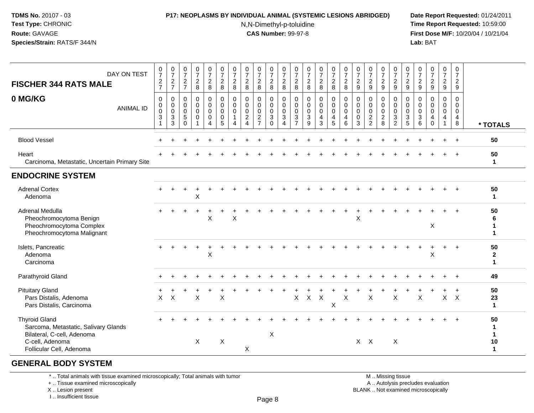#### **P17: NEOPLASMS BY INDIVIDUAL ANIMAL (SYSTEMIC LESIONS ABRIDGED) Date Report Requested:** 01/24/2011

N,N-Dimethyl-p-toluidine

 **Time Report Requested:** 10:59:00 **First Dose M/F:** 10/20/04 / 10/21/04<br>**Lab:** BAT **Lab:** BAT

| DAY ON TEST<br><b>FISCHER 344 RATS MALE</b>                                                                                               | $\frac{0}{7}$<br>$\frac{2}{7}$                               | $\frac{0}{7}$<br>$\overline{c}$<br>$\overline{7}$    | $\frac{0}{7}$<br>$\overline{2}$<br>$\overline{7}$                  | $\frac{0}{7}$<br>$\frac{2}{8}$            | $\begin{array}{c} 0 \\ 7 \end{array}$<br>$\overline{2}$<br>8                     | $\frac{0}{7}$<br>$\sqrt{2}$<br>$\bf 8$                    | $\frac{0}{7}$<br>$\overline{2}$<br>8                   | $\frac{0}{7}$<br>$\overline{2}$<br>$\,8\,$                              | $\frac{0}{7}$<br>$\overline{a}$<br>8                                | $\frac{0}{7}$<br>$\overline{2}$<br>8                       | $\frac{0}{7}$<br>$\sqrt{2}$<br>8                                                  | $\frac{0}{7}$<br>$\frac{2}{8}$                                                      | $\frac{0}{7}$<br>$\frac{2}{8}$                                    | $\frac{0}{7}$<br>$\overline{2}$<br>$\bf 8$             | $\begin{smallmatrix}0\\7\end{smallmatrix}$<br>$\overline{2}$<br>8 | $\frac{0}{7}$<br>$\overline{2}$<br>8            | $\frac{0}{7}$<br>$\frac{2}{9}$            | $\frac{0}{7}$<br>$\overline{2}$<br>9                                          | $\frac{0}{7}$<br>$\overline{c}$<br>$\mathsf g$         | $\frac{0}{7}$<br>$\frac{2}{9}$                                           | $\frac{0}{7}$<br>$\overline{2}$<br>9                         | $\frac{0}{7}$<br>$\overline{c}$<br>$\boldsymbol{9}$ | $\frac{0}{7}$<br>$\frac{2}{9}$                           | $\frac{0}{7}$<br>$\overline{2}$<br>9                   | 0<br>$\overline{7}$<br>$\overline{a}$<br>9                                      |                                        |
|-------------------------------------------------------------------------------------------------------------------------------------------|--------------------------------------------------------------|------------------------------------------------------|--------------------------------------------------------------------|-------------------------------------------|----------------------------------------------------------------------------------|-----------------------------------------------------------|--------------------------------------------------------|-------------------------------------------------------------------------|---------------------------------------------------------------------|------------------------------------------------------------|-----------------------------------------------------------------------------------|-------------------------------------------------------------------------------------|-------------------------------------------------------------------|--------------------------------------------------------|-------------------------------------------------------------------|-------------------------------------------------|-------------------------------------------|-------------------------------------------------------------------------------|--------------------------------------------------------|--------------------------------------------------------------------------|--------------------------------------------------------------|-----------------------------------------------------|----------------------------------------------------------|--------------------------------------------------------|---------------------------------------------------------------------------------|----------------------------------------|
| 0 MG/KG<br><b>ANIMAL ID</b>                                                                                                               | $\mathbf 0$<br>$\mathbf 0$<br>$\pmb{0}$<br>$\mathbf{3}$<br>1 | 0<br>$\mathbf 0$<br>$\mathbf 0$<br>$\mathbf{3}$<br>3 | $\mathbf 0$<br>$\mathsf{O}\xspace$<br>$\mathbf 0$<br>5<br>$\Omega$ | 0<br>$\mathbf 0$<br>$\mathbf 0$<br>0<br>1 | $\pmb{0}$<br>$\mathsf{O}\xspace$<br>$\mathbf 0$<br>$\mathbf 0$<br>$\overline{4}$ | $\pmb{0}$<br>$\pmb{0}$<br>$\mathsf 0$<br>$\mathbf 0$<br>5 | 0<br>$\mathbf 0$<br>$\mathbf 0$<br>$\overline{1}$<br>4 | $\mathbf 0$<br>$\mathbf 0$<br>$\mathbf 0$<br>$\overline{2}$<br>$\Delta$ | 0<br>$\mathbf 0$<br>$\mathbf 0$<br>$\overline{c}$<br>$\overline{7}$ | 0<br>$\mathbf 0$<br>$\mathbf 0$<br>$\mathsf 3$<br>$\Omega$ | $\mathbf 0$<br>$\mathsf 0$<br>$\mathsf{O}\xspace$<br>$\sqrt{3}$<br>$\overline{4}$ | $\mathbf 0$<br>$\mathbf 0$<br>$\mathsf{O}\xspace$<br>$\mathbf{3}$<br>$\overline{7}$ | $\mathbf 0$<br>$\mathbf 0$<br>$\boldsymbol{0}$<br>$\sqrt{3}$<br>9 | 0<br>$\mathbf 0$<br>$\mathbf 0$<br>$\overline{4}$<br>3 | 0<br>$\mathsf{O}\xspace$<br>$\mathbf 0$<br>4<br>5                 | $\mathbf 0$<br>$\pmb{0}$<br>$\pmb{0}$<br>4<br>6 | 0<br>$\mathbf 0$<br>$\mathbf 0$<br>0<br>3 | $\mathbf 0$<br>$\mathsf 0$<br>$\mathsf 0$<br>$\overline{c}$<br>$\overline{2}$ | 0<br>$\mathbf 0$<br>$\mathbf 0$<br>$\overline{c}$<br>8 | 0<br>$\check{\mathbf{0}}$<br>$\mathbf 0$<br>$\sqrt{3}$<br>$\overline{2}$ | $\mathbf 0$<br>$\pmb{0}$<br>$\mathbf 0$<br>$\mathbf{3}$<br>5 | $\mathbf 0$<br>$\mathbf 0$<br>$\mathbf 0$<br>3<br>6 | $\mathbf 0$<br>$\mathbf 0$<br>$\pmb{0}$<br>4<br>$\Omega$ | 0<br>$\mathbf 0$<br>$\mathbf 0$<br>$\overline{4}$<br>1 | $\mathbf 0$<br>$\mathbf 0$<br>$\mathsf{O}\xspace$<br>$\overline{4}$<br>$\bf{8}$ | * TOTALS                               |
| <b>Blood Vessel</b>                                                                                                                       |                                                              |                                                      |                                                                    |                                           |                                                                                  |                                                           |                                                        |                                                                         |                                                                     |                                                            |                                                                                   |                                                                                     |                                                                   |                                                        |                                                                   |                                                 |                                           |                                                                               |                                                        |                                                                          |                                                              |                                                     |                                                          |                                                        |                                                                                 | 50                                     |
| Heart<br>Carcinoma, Metastatic, Uncertain Primary Site                                                                                    |                                                              |                                                      |                                                                    |                                           |                                                                                  |                                                           |                                                        |                                                                         |                                                                     |                                                            |                                                                                   |                                                                                     |                                                                   |                                                        |                                                                   |                                                 |                                           |                                                                               |                                                        |                                                                          |                                                              |                                                     |                                                          |                                                        |                                                                                 | 50<br>$\mathbf{1}$                     |
| <b>ENDOCRINE SYSTEM</b>                                                                                                                   |                                                              |                                                      |                                                                    |                                           |                                                                                  |                                                           |                                                        |                                                                         |                                                                     |                                                            |                                                                                   |                                                                                     |                                                                   |                                                        |                                                                   |                                                 |                                           |                                                                               |                                                        |                                                                          |                                                              |                                                     |                                                          |                                                        |                                                                                 |                                        |
| <b>Adrenal Cortex</b><br>Adenoma                                                                                                          |                                                              |                                                      |                                                                    | X                                         |                                                                                  |                                                           |                                                        |                                                                         |                                                                     |                                                            |                                                                                   |                                                                                     |                                                                   |                                                        |                                                                   |                                                 |                                           |                                                                               |                                                        |                                                                          |                                                              |                                                     |                                                          |                                                        |                                                                                 | 50<br>$\mathbf{1}$                     |
| Adrenal Medulla<br>Pheochromocytoma Benign<br>Pheochromocytoma Complex<br>Pheochromocytoma Malignant                                      |                                                              |                                                      |                                                                    |                                           | $\times$                                                                         |                                                           | X                                                      |                                                                         |                                                                     |                                                            |                                                                                   |                                                                                     |                                                                   |                                                        |                                                                   |                                                 | X                                         |                                                                               |                                                        |                                                                          |                                                              |                                                     | X                                                        |                                                        |                                                                                 | 50<br>6<br>1<br>1                      |
| Islets, Pancreatic<br>Adenoma<br>Carcinoma                                                                                                |                                                              |                                                      |                                                                    |                                           | X                                                                                |                                                           |                                                        |                                                                         |                                                                     |                                                            |                                                                                   |                                                                                     |                                                                   |                                                        |                                                                   |                                                 |                                           |                                                                               |                                                        |                                                                          |                                                              |                                                     | X                                                        |                                                        |                                                                                 | 50<br>$\boldsymbol{2}$<br>$\mathbf{1}$ |
| Parathyroid Gland                                                                                                                         |                                                              |                                                      |                                                                    |                                           |                                                                                  |                                                           |                                                        |                                                                         |                                                                     |                                                            |                                                                                   |                                                                                     |                                                                   |                                                        |                                                                   |                                                 |                                           |                                                                               |                                                        |                                                                          |                                                              |                                                     |                                                          |                                                        |                                                                                 | 49                                     |
| <b>Pituitary Gland</b><br>Pars Distalis, Adenoma<br>Pars Distalis, Carcinoma                                                              | X                                                            | $\boldsymbol{\mathsf{X}}$                            |                                                                    | $\sf X$                                   |                                                                                  | $\mathsf X$                                               |                                                        |                                                                         |                                                                     |                                                            |                                                                                   | X                                                                                   | $\mathsf{X}$                                                      | $\mathsf{X}$                                           | X                                                                 | $\boldsymbol{\mathsf{X}}$                       |                                           | $\boldsymbol{\mathsf{X}}$                                                     |                                                        | $\mathsf{X}$                                                             |                                                              | $\mathsf X$                                         |                                                          | $X$ $X$                                                |                                                                                 | 50<br>23<br>$\mathbf 1$                |
| <b>Thyroid Gland</b><br>Sarcoma, Metastatic, Salivary Glands<br>Bilateral, C-cell, Adenoma<br>C-cell, Adenoma<br>Follicular Cell, Adenoma |                                                              |                                                      |                                                                    | X                                         |                                                                                  | X                                                         |                                                        | X                                                                       |                                                                     | $\boldsymbol{\mathsf{X}}$                                  |                                                                                   |                                                                                     |                                                                   |                                                        |                                                                   |                                                 | $X$ $X$                                   |                                                                               |                                                        | $\times$                                                                 |                                                              |                                                     |                                                          |                                                        |                                                                                 | 50<br>-1<br>1<br>10<br>$\mathbf{1}$    |
|                                                                                                                                           |                                                              |                                                      |                                                                    |                                           |                                                                                  |                                                           |                                                        |                                                                         |                                                                     |                                                            |                                                                                   |                                                                                     |                                                                   |                                                        |                                                                   |                                                 |                                           |                                                                               |                                                        |                                                                          |                                                              |                                                     |                                                          |                                                        |                                                                                 |                                        |

### **GENERAL BODY SYSTEM**

\* .. Total animals with tissue examined microscopically; Total animals with tumor

+ .. Tissue examined microscopically

X .. Lesion present

I .. Insufficient tissue

M .. Missing tissue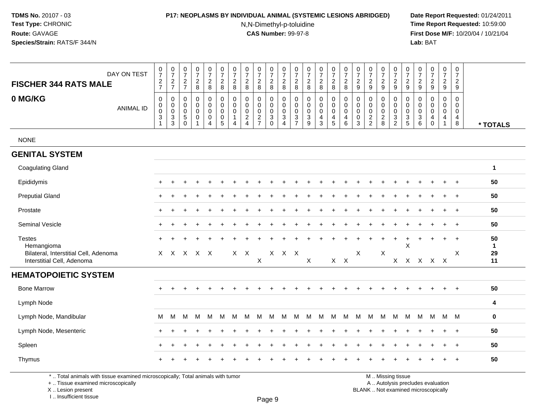### **P17: NEOPLASMS BY INDIVIDUAL ANIMAL (SYSTEMIC LESIONS ABRIDGED) Date Report Requested:** 01/24/2011

N,N-Dimethyl-p-toluidine

 **Time Report Requested:** 10:59:00 **First Dose M/F:** 10/20/04 / 10/21/04<br>**Lab:** BAT **Lab:** BAT

| DAY ON TEST<br><b>FISCHER 344 RATS MALE</b>                         | $\pmb{0}$<br>$\overline{7}$<br>$\frac{2}{7}$                      | $\frac{0}{7}$<br>$\frac{2}{7}$           | $\frac{0}{7}$<br>$\frac{2}{7}$                                       | $\frac{0}{7}$<br>$\boldsymbol{2}$<br>$\bf 8$                   | $\frac{0}{7}$<br>$\boldsymbol{2}$<br>$\bf{8}$                | $\frac{0}{7}$<br>$\boldsymbol{2}$<br>8                        | 0<br>$\overline{7}$<br>$\boldsymbol{2}$<br>8 | 0<br>$\overline{7}$<br>$\overline{2}$<br>8                                      | $\frac{0}{7}$<br>$\boldsymbol{2}$<br>$\bf 8$          | $\pmb{0}$<br>$\overline{7}$<br>$_{8}^{\rm 2}$                               | 0<br>$\overline{7}$<br>$\boldsymbol{2}$<br>8                      | 0<br>$\overline{7}$<br>$\sqrt{2}$<br>8                          | 0<br>$\overline{7}$<br>$\overline{c}$<br>$\bf 8$ | $\frac{0}{7}$<br>$\overline{c}$<br>$\bf 8$             | 0<br>$\overline{7}$<br>$\overline{c}$<br>8                                  | $\begin{array}{c} 0 \\ 7 \end{array}$<br>$\overline{c}$<br>$\,8\,$ | 0<br>$\overline{7}$<br>$\overline{2}$<br>9               | 0<br>$\overline{7}$<br>$\overline{c}$<br>9               | $\frac{0}{7}$<br>$\overline{c}$<br>$9\,$    | $\frac{0}{7}$<br>$\frac{2}{9}$                           | 0<br>$\overline{7}$<br>$\boldsymbol{2}$<br>$\boldsymbol{9}$                          | 0<br>$\overline{7}$<br>$\sqrt{2}$<br>$\boldsymbol{9}$ | 0<br>$\overline{7}$<br>$\sqrt{2}$<br>$9\,$              | $\pmb{0}$<br>$\overline{7}$<br>$\overline{a}$<br>9 | $\mathbf 0$<br>$\overline{7}$<br>$\overline{c}$<br>$9\,$ |                    |
|---------------------------------------------------------------------|-------------------------------------------------------------------|------------------------------------------|----------------------------------------------------------------------|----------------------------------------------------------------|--------------------------------------------------------------|---------------------------------------------------------------|----------------------------------------------|---------------------------------------------------------------------------------|-------------------------------------------------------|-----------------------------------------------------------------------------|-------------------------------------------------------------------|-----------------------------------------------------------------|--------------------------------------------------|--------------------------------------------------------|-----------------------------------------------------------------------------|--------------------------------------------------------------------|----------------------------------------------------------|----------------------------------------------------------|---------------------------------------------|----------------------------------------------------------|--------------------------------------------------------------------------------------|-------------------------------------------------------|---------------------------------------------------------|----------------------------------------------------|----------------------------------------------------------|--------------------|
| 0 MG/KG<br><b>ANIMAL ID</b>                                         | $\mathbf 0$<br>0<br>$\mathbf 0$<br>$\ensuremath{\mathsf{3}}$<br>1 | 0<br>0<br>$\pmb{0}$<br>$\mathbf{3}$<br>3 | $\mathbf 0$<br>$\mathbf 0$<br>$\pmb{0}$<br>$\sqrt{5}$<br>$\mathbf 0$ | $\mathbf 0$<br>$\mathbf 0$<br>$\pmb{0}$<br>$\mathsf{O}\xspace$ | 0<br>$\mathbf 0$<br>$\pmb{0}$<br>$\pmb{0}$<br>$\overline{4}$ | $\mathbf 0$<br>$\mathbf 0$<br>$\mathbf 0$<br>$\mathbf 0$<br>5 | 0<br>$\Omega$<br>0<br>1<br>4                 | $\Omega$<br>$\Omega$<br>$\mathbf 0$<br>$\overline{c}$<br>$\boldsymbol{\Lambda}$ | $\Omega$<br>$\mathbf 0$<br>$\pmb{0}$<br>$\frac{2}{7}$ | 0<br>$\mathbf 0$<br>$\mathbf 0$<br>$\ensuremath{\mathsf{3}}$<br>$\mathbf 0$ | 0<br>$\mathbf 0$<br>$\mathbf 0$<br>$\mathbf{3}$<br>$\overline{4}$ | 0<br>$\mathbf 0$<br>$\mathbf 0$<br>$\sqrt{3}$<br>$\overline{7}$ | 0<br>$\mathbf 0$<br>$\pmb{0}$<br>$\frac{3}{9}$   | 0<br>$\mathbf 0$<br>$\mathsf 0$<br>$\overline{4}$<br>3 | 0<br>$\mathbf 0$<br>$\mathsf{O}\xspace$<br>$\overline{4}$<br>$\overline{5}$ | $\mathbf 0$<br>$\pmb{0}$<br>$\pmb{0}$<br>$\overline{4}$<br>6       | 0<br>$\mathbf 0$<br>$\mathbf 0$<br>$\boldsymbol{0}$<br>3 | $\mathbf 0$<br>$\mathbf 0$<br>$\pmb{0}$<br>$\frac{2}{2}$ | 0<br>$\mathbf 0$<br>$\mathbf 0$<br>$_{8}^2$ | 0<br>$\mathsf{O}\xspace$<br>$\mathbf 0$<br>$\frac{3}{2}$ | $\mathbf 0$<br>$\mathbf 0$<br>$\mathsf 0$<br>$\ensuremath{\mathsf{3}}$<br>$\sqrt{5}$ | 0<br>$\Omega$<br>0<br>$\sqrt{3}$<br>$\,6\,$           | $\Omega$<br>$\Omega$<br>$\mathbf 0$<br>4<br>$\mathbf 0$ | 0<br>$\Omega$<br>$\boldsymbol{0}$<br>4<br>1        | $\Omega$<br>$\mathbf 0$<br>$\mathsf{O}\xspace$<br>4<br>8 | * TOTALS           |
| <b>NONE</b>                                                         |                                                                   |                                          |                                                                      |                                                                |                                                              |                                                               |                                              |                                                                                 |                                                       |                                                                             |                                                                   |                                                                 |                                                  |                                                        |                                                                             |                                                                    |                                                          |                                                          |                                             |                                                          |                                                                                      |                                                       |                                                         |                                                    |                                                          |                    |
| <b>GENITAL SYSTEM</b>                                               |                                                                   |                                          |                                                                      |                                                                |                                                              |                                                               |                                              |                                                                                 |                                                       |                                                                             |                                                                   |                                                                 |                                                  |                                                        |                                                                             |                                                                    |                                                          |                                                          |                                             |                                                          |                                                                                      |                                                       |                                                         |                                                    |                                                          |                    |
| <b>Coagulating Gland</b>                                            |                                                                   |                                          |                                                                      |                                                                |                                                              |                                                               |                                              |                                                                                 |                                                       |                                                                             |                                                                   |                                                                 |                                                  |                                                        |                                                                             |                                                                    |                                                          |                                                          |                                             |                                                          |                                                                                      |                                                       |                                                         |                                                    |                                                          | $\mathbf{1}$       |
| Epididymis                                                          |                                                                   |                                          |                                                                      |                                                                |                                                              |                                                               |                                              |                                                                                 |                                                       |                                                                             |                                                                   |                                                                 |                                                  |                                                        |                                                                             |                                                                    |                                                          |                                                          |                                             |                                                          |                                                                                      |                                                       |                                                         |                                                    | $\ddot{}$                                                | 50                 |
| <b>Preputial Gland</b>                                              |                                                                   |                                          |                                                                      |                                                                |                                                              |                                                               |                                              |                                                                                 |                                                       |                                                                             |                                                                   |                                                                 |                                                  |                                                        |                                                                             |                                                                    |                                                          |                                                          |                                             |                                                          |                                                                                      |                                                       |                                                         | $\div$                                             | $+$                                                      | 50                 |
| Prostate                                                            |                                                                   |                                          |                                                                      |                                                                |                                                              |                                                               |                                              |                                                                                 |                                                       |                                                                             |                                                                   |                                                                 |                                                  |                                                        |                                                                             |                                                                    |                                                          |                                                          |                                             |                                                          |                                                                                      |                                                       |                                                         |                                                    | $\ddot{}$                                                | 50                 |
| <b>Seminal Vesicle</b>                                              |                                                                   |                                          |                                                                      |                                                                |                                                              |                                                               |                                              |                                                                                 |                                                       |                                                                             |                                                                   |                                                                 |                                                  |                                                        |                                                                             |                                                                    |                                                          |                                                          |                                             |                                                          |                                                                                      |                                                       |                                                         |                                                    |                                                          | 50                 |
| <b>Testes</b><br>Hemangioma                                         |                                                                   |                                          |                                                                      |                                                                | ÷                                                            |                                                               |                                              |                                                                                 |                                                       |                                                                             |                                                                   |                                                                 |                                                  |                                                        |                                                                             |                                                                    |                                                          |                                                          | $\ddot{}$                                   | $\ddot{}$                                                | $\ddot{}$<br>X                                                                       | $\ddot{}$                                             |                                                         | $\ddot{}$                                          | $\ddot{}$                                                | 50<br>$\mathbf{1}$ |
| Bilateral, Interstitial Cell, Adenoma<br>Interstitial Cell, Adenoma |                                                                   |                                          | X X X X X                                                            |                                                                |                                                              |                                                               | $X$ $X$                                      |                                                                                 | X                                                     |                                                                             | X X X                                                             |                                                                 | X                                                |                                                        |                                                                             | $X$ $X$                                                            | X                                                        |                                                          | X                                           | X                                                        | X                                                                                    |                                                       | X X X                                                   |                                                    | X                                                        | 29<br>11           |
| <b>HEMATOPOIETIC SYSTEM</b>                                         |                                                                   |                                          |                                                                      |                                                                |                                                              |                                                               |                                              |                                                                                 |                                                       |                                                                             |                                                                   |                                                                 |                                                  |                                                        |                                                                             |                                                                    |                                                          |                                                          |                                             |                                                          |                                                                                      |                                                       |                                                         |                                                    |                                                          |                    |
| <b>Bone Marrow</b>                                                  |                                                                   |                                          |                                                                      |                                                                |                                                              |                                                               |                                              |                                                                                 |                                                       |                                                                             |                                                                   |                                                                 |                                                  |                                                        |                                                                             |                                                                    |                                                          |                                                          |                                             |                                                          |                                                                                      |                                                       |                                                         | $\div$                                             | $\ddot{}$                                                | 50                 |
| Lymph Node                                                          |                                                                   |                                          |                                                                      |                                                                |                                                              |                                                               |                                              |                                                                                 |                                                       |                                                                             |                                                                   |                                                                 |                                                  |                                                        |                                                                             |                                                                    |                                                          |                                                          |                                             |                                                          |                                                                                      |                                                       |                                                         |                                                    |                                                          | 4                  |
| Lymph Node, Mandibular                                              | M                                                                 | M                                        | м                                                                    | м                                                              | м                                                            | M                                                             | м                                            | м                                                                               | M                                                     | M                                                                           | М                                                                 | M                                                               | M                                                | M                                                      | M                                                                           | M                                                                  | M                                                        | M                                                        | M                                           | M                                                        | M                                                                                    | м                                                     |                                                         | M M M                                              |                                                          | $\mathbf 0$        |
| Lymph Node, Mesenteric                                              |                                                                   |                                          |                                                                      |                                                                |                                                              |                                                               |                                              |                                                                                 |                                                       |                                                                             |                                                                   |                                                                 |                                                  |                                                        |                                                                             |                                                                    |                                                          |                                                          |                                             |                                                          |                                                                                      |                                                       |                                                         |                                                    | $\ddot{}$                                                | 50                 |
| Spleen                                                              |                                                                   |                                          |                                                                      |                                                                |                                                              |                                                               |                                              |                                                                                 |                                                       |                                                                             |                                                                   |                                                                 |                                                  |                                                        |                                                                             |                                                                    |                                                          |                                                          |                                             |                                                          |                                                                                      |                                                       |                                                         |                                                    | $\ddot{}$                                                | 50                 |
| Thymus                                                              |                                                                   |                                          |                                                                      |                                                                |                                                              |                                                               |                                              |                                                                                 |                                                       |                                                                             |                                                                   |                                                                 |                                                  |                                                        |                                                                             |                                                                    |                                                          |                                                          |                                             |                                                          |                                                                                      |                                                       |                                                         |                                                    |                                                          | 50                 |

\* .. Total animals with tissue examined microscopically; Total animals with tumor

+ .. Tissue examined microscopically

X .. Lesion present

I .. Insufficient tissue

y the contract of the contract of the contract of the contract of the contract of  $\mathsf A$  . Autolysis precludes evaluation

Lesion present BLANK .. Not examined microscopically

M .. Missing tissue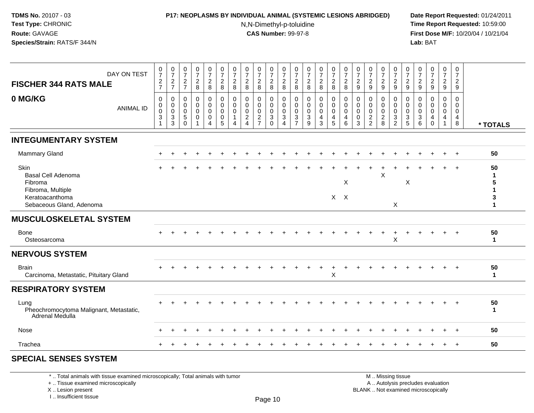#### **P17: NEOPLASMS BY INDIVIDUAL ANIMAL (SYSTEMIC LESIONS ABRIDGED) Date Report Requested:** 01/24/2011

N,N-Dimethyl-p-toluidine

 **Time Report Requested:** 10:59:00 **First Dose M/F:** 10/20/04 / 10/21/04<br>**Lab:** BAT **Lab:** BAT

| $\pmb{0}$<br>$\mathbf 0$<br>$\mathbf 0$<br>$\mathbf 0$<br>0<br>$\mathbf 0$<br>0<br>0<br>$\mathbf 0$<br>$\mathbf 0$<br>$\pmb{0}$<br>$\mathbf 0$<br>$\mathbf 0$<br>0<br>0<br>0<br>$\mathbf 0$<br>0<br>$\mathbf 0$<br>0<br>0<br>0<br>0<br>$\mathbf 0$<br>0<br>$\mathsf{O}\xspace$<br>0<br>$\mathbf 0$<br>$\mathbf 0$<br>$\mathbf 0$<br>0<br>0<br>$\pmb{0}$<br>0<br>$\mathbf 0$<br>0<br>0<br>$\mathbf 0$<br>$\mathbf 0$<br>$\mathbf 0$<br>$\mathbf 0$<br>0<br>0<br>0<br>$\mathbf 0$<br>0<br>$\mathbf 0$<br>$\mathbf 0$<br>0<br>0<br><b>ANIMAL ID</b><br>$\mathbf 0$<br>$\pmb{0}$<br>$\mathbf 0$<br>$\mathbf 0$<br>$\mathbf 0$<br>$\mathbf 0$<br>$\mathbf 0$<br>0<br>$\mathbf 0$<br>$\mathbf 0$<br>0<br>$\mathbf 0$<br>$\mathbf 0$<br>$\mathbf 0$<br>$\mathbf 0$<br>$\mathbf 0$<br>$\mathbf 0$<br>$\mathbf 0$<br>$\mathbf 0$<br>$\mathbf 0$<br>$\mathbf 0$<br>0<br>$\mathbf 0$<br>$\Omega$<br>$\mathbf 0$<br>$\sqrt{3}$<br>$\sqrt{3}$<br>$\sqrt{3}$<br>$5\,$<br>0<br>$\mathsf{O}\xspace$<br>$\overline{c}$<br>$\overline{c}$<br>$\ensuremath{\mathsf{3}}$<br>$\mathsf 3$<br>$\sqrt{3}$<br>$\overline{2}$<br>$\overline{c}$<br>$\ensuremath{\mathsf{3}}$<br>3<br>$\pmb{0}$<br>$\overline{4}$<br>$\overline{4}$<br>$\mathbf 0$<br>$\ensuremath{\mathsf{3}}$<br>4<br>$\overline{4}$<br>$\overline{1}$<br>4<br>4<br>$\overline{7}$<br>$\overline{5}$<br>$\overline{2}$<br>5<br>$\overline{7}$<br>$\Omega$<br>9<br>3<br>6<br>8<br>2<br>5<br>8<br>3<br>3<br>6<br>$\Omega$<br>$\overline{4}$<br>$\Omega$<br>4<br>4<br>4<br>$\mathbf{1}$<br>1<br>* TOTALS<br><b>INTEGUMENTARY SYSTEM</b><br><b>Mammary Gland</b><br>50<br>$+$<br>Skin<br>50<br>Basal Cell Adenoma<br>X<br>-1<br>$\mathsf X$<br>Fibroma<br>X<br>5<br>Fibroma, Multiple<br>Keratoacanthoma<br>$X$ $X$<br>3<br>X<br>Sebaceous Gland, Adenoma<br>-1<br><b>MUSCULOSKELETAL SYSTEM</b><br>50<br><b>Bone</b><br>$\ddot{}$<br>$\ddot{}$<br>X<br>Osteosarcoma<br>$\mathbf{1}$<br><b>NERVOUS SYSTEM</b><br>50<br><b>Brain</b><br>$\div$<br>X<br>Carcinoma, Metastatic, Pituitary Gland<br>$\mathbf{1}$<br><b>RESPIRATORY SYSTEM</b><br>50<br>Lung<br>Pheochromocytoma Malignant, Metastatic,<br>$\mathbf{1}$<br>Adrenal Medulla<br>50<br>Nose<br>÷<br>$+$<br>50<br>Trachea<br>$\ddot{}$ | DAY ON TEST<br><b>FISCHER 344 RATS MALE</b> | $\frac{0}{7}$<br>$\sqrt{2}$<br>$\overline{7}$ | $\frac{0}{7}$<br>$\overline{c}$<br>$\overline{7}$ | $\frac{0}{7}$<br>$\overline{c}$<br>$\overline{7}$ | $\frac{0}{7}$<br>$\overline{a}$<br>8 | $\frac{0}{7}$<br>$\sqrt{2}$<br>8 | $\frac{0}{7}$<br>$\sqrt{2}$<br>8 | $\frac{0}{7}$<br>$\sqrt{2}$<br>8 | 0<br>$\overline{7}$<br>$\overline{2}$<br>8 | $\frac{0}{7}$<br>$\overline{a}$<br>8 | $\begin{smallmatrix}0\\7\end{smallmatrix}$<br>$\overline{2}$<br>8 | $\frac{0}{7}$<br>$\sqrt{2}$<br>8 | $\frac{0}{7}$<br>$\overline{2}$<br>8 | $\begin{smallmatrix}0\\7\end{smallmatrix}$<br>$\sqrt{2}$<br>8 | $\frac{0}{7}$<br>$\overline{2}$<br>8 | $\frac{0}{7}$<br>$\overline{2}$<br>8 | $\frac{0}{7}$<br>$\overline{c}$<br>8 | $\frac{0}{7}$<br>$\overline{c}$<br>9 | $\frac{0}{7}$<br>$\overline{2}$<br>9 | $\frac{0}{7}$<br>$\sqrt{2}$<br>9 | $\frac{0}{7}$<br>$\overline{2}$<br>9 | $\frac{0}{7}$<br>$\overline{a}$<br>9 | $\frac{0}{7}$<br>$\overline{c}$<br>$\boldsymbol{9}$ | $\frac{0}{7}$<br>$\sqrt{2}$<br>$\boldsymbol{9}$ | $\frac{0}{7}$<br>$\overline{c}$<br>9 | 0<br>$\overline{7}$<br>$\overline{2}$<br>9 |  |
|----------------------------------------------------------------------------------------------------------------------------------------------------------------------------------------------------------------------------------------------------------------------------------------------------------------------------------------------------------------------------------------------------------------------------------------------------------------------------------------------------------------------------------------------------------------------------------------------------------------------------------------------------------------------------------------------------------------------------------------------------------------------------------------------------------------------------------------------------------------------------------------------------------------------------------------------------------------------------------------------------------------------------------------------------------------------------------------------------------------------------------------------------------------------------------------------------------------------------------------------------------------------------------------------------------------------------------------------------------------------------------------------------------------------------------------------------------------------------------------------------------------------------------------------------------------------------------------------------------------------------------------------------------------------------------------------------------------------------------------------------------------------------------------------------------------------------------------------------------------------------------------------------------------------------------------------------------------------------------------------------------------------------------------------------------------------------------------------------------------------------------------------------------------------------------------------------------------------------------|---------------------------------------------|-----------------------------------------------|---------------------------------------------------|---------------------------------------------------|--------------------------------------|----------------------------------|----------------------------------|----------------------------------|--------------------------------------------|--------------------------------------|-------------------------------------------------------------------|----------------------------------|--------------------------------------|---------------------------------------------------------------|--------------------------------------|--------------------------------------|--------------------------------------|--------------------------------------|--------------------------------------|----------------------------------|--------------------------------------|--------------------------------------|-----------------------------------------------------|-------------------------------------------------|--------------------------------------|--------------------------------------------|--|
|                                                                                                                                                                                                                                                                                                                                                                                                                                                                                                                                                                                                                                                                                                                                                                                                                                                                                                                                                                                                                                                                                                                                                                                                                                                                                                                                                                                                                                                                                                                                                                                                                                                                                                                                                                                                                                                                                                                                                                                                                                                                                                                                                                                                                                  | 0 MG/KG                                     |                                               |                                                   |                                                   |                                      |                                  |                                  |                                  |                                            |                                      |                                                                   |                                  |                                      |                                                               |                                      |                                      |                                      |                                      |                                      |                                  |                                      |                                      |                                                     |                                                 |                                      |                                            |  |
|                                                                                                                                                                                                                                                                                                                                                                                                                                                                                                                                                                                                                                                                                                                                                                                                                                                                                                                                                                                                                                                                                                                                                                                                                                                                                                                                                                                                                                                                                                                                                                                                                                                                                                                                                                                                                                                                                                                                                                                                                                                                                                                                                                                                                                  |                                             |                                               |                                                   |                                                   |                                      |                                  |                                  |                                  |                                            |                                      |                                                                   |                                  |                                      |                                                               |                                      |                                      |                                      |                                      |                                      |                                  |                                      |                                      |                                                     |                                                 |                                      |                                            |  |
|                                                                                                                                                                                                                                                                                                                                                                                                                                                                                                                                                                                                                                                                                                                                                                                                                                                                                                                                                                                                                                                                                                                                                                                                                                                                                                                                                                                                                                                                                                                                                                                                                                                                                                                                                                                                                                                                                                                                                                                                                                                                                                                                                                                                                                  |                                             |                                               |                                                   |                                                   |                                      |                                  |                                  |                                  |                                            |                                      |                                                                   |                                  |                                      |                                                               |                                      |                                      |                                      |                                      |                                      |                                  |                                      |                                      |                                                     |                                                 |                                      |                                            |  |
|                                                                                                                                                                                                                                                                                                                                                                                                                                                                                                                                                                                                                                                                                                                                                                                                                                                                                                                                                                                                                                                                                                                                                                                                                                                                                                                                                                                                                                                                                                                                                                                                                                                                                                                                                                                                                                                                                                                                                                                                                                                                                                                                                                                                                                  |                                             |                                               |                                                   |                                                   |                                      |                                  |                                  |                                  |                                            |                                      |                                                                   |                                  |                                      |                                                               |                                      |                                      |                                      |                                      |                                      |                                  |                                      |                                      |                                                     |                                                 |                                      |                                            |  |
|                                                                                                                                                                                                                                                                                                                                                                                                                                                                                                                                                                                                                                                                                                                                                                                                                                                                                                                                                                                                                                                                                                                                                                                                                                                                                                                                                                                                                                                                                                                                                                                                                                                                                                                                                                                                                                                                                                                                                                                                                                                                                                                                                                                                                                  |                                             |                                               |                                                   |                                                   |                                      |                                  |                                  |                                  |                                            |                                      |                                                                   |                                  |                                      |                                                               |                                      |                                      |                                      |                                      |                                      |                                  |                                      |                                      |                                                     |                                                 |                                      |                                            |  |
|                                                                                                                                                                                                                                                                                                                                                                                                                                                                                                                                                                                                                                                                                                                                                                                                                                                                                                                                                                                                                                                                                                                                                                                                                                                                                                                                                                                                                                                                                                                                                                                                                                                                                                                                                                                                                                                                                                                                                                                                                                                                                                                                                                                                                                  |                                             |                                               |                                                   |                                                   |                                      |                                  |                                  |                                  |                                            |                                      |                                                                   |                                  |                                      |                                                               |                                      |                                      |                                      |                                      |                                      |                                  |                                      |                                      |                                                     |                                                 |                                      |                                            |  |
|                                                                                                                                                                                                                                                                                                                                                                                                                                                                                                                                                                                                                                                                                                                                                                                                                                                                                                                                                                                                                                                                                                                                                                                                                                                                                                                                                                                                                                                                                                                                                                                                                                                                                                                                                                                                                                                                                                                                                                                                                                                                                                                                                                                                                                  |                                             |                                               |                                                   |                                                   |                                      |                                  |                                  |                                  |                                            |                                      |                                                                   |                                  |                                      |                                                               |                                      |                                      |                                      |                                      |                                      |                                  |                                      |                                      |                                                     |                                                 |                                      |                                            |  |
|                                                                                                                                                                                                                                                                                                                                                                                                                                                                                                                                                                                                                                                                                                                                                                                                                                                                                                                                                                                                                                                                                                                                                                                                                                                                                                                                                                                                                                                                                                                                                                                                                                                                                                                                                                                                                                                                                                                                                                                                                                                                                                                                                                                                                                  |                                             |                                               |                                                   |                                                   |                                      |                                  |                                  |                                  |                                            |                                      |                                                                   |                                  |                                      |                                                               |                                      |                                      |                                      |                                      |                                      |                                  |                                      |                                      |                                                     |                                                 |                                      |                                            |  |
|                                                                                                                                                                                                                                                                                                                                                                                                                                                                                                                                                                                                                                                                                                                                                                                                                                                                                                                                                                                                                                                                                                                                                                                                                                                                                                                                                                                                                                                                                                                                                                                                                                                                                                                                                                                                                                                                                                                                                                                                                                                                                                                                                                                                                                  |                                             |                                               |                                                   |                                                   |                                      |                                  |                                  |                                  |                                            |                                      |                                                                   |                                  |                                      |                                                               |                                      |                                      |                                      |                                      |                                      |                                  |                                      |                                      |                                                     |                                                 |                                      |                                            |  |
|                                                                                                                                                                                                                                                                                                                                                                                                                                                                                                                                                                                                                                                                                                                                                                                                                                                                                                                                                                                                                                                                                                                                                                                                                                                                                                                                                                                                                                                                                                                                                                                                                                                                                                                                                                                                                                                                                                                                                                                                                                                                                                                                                                                                                                  |                                             |                                               |                                                   |                                                   |                                      |                                  |                                  |                                  |                                            |                                      |                                                                   |                                  |                                      |                                                               |                                      |                                      |                                      |                                      |                                      |                                  |                                      |                                      |                                                     |                                                 |                                      |                                            |  |
|                                                                                                                                                                                                                                                                                                                                                                                                                                                                                                                                                                                                                                                                                                                                                                                                                                                                                                                                                                                                                                                                                                                                                                                                                                                                                                                                                                                                                                                                                                                                                                                                                                                                                                                                                                                                                                                                                                                                                                                                                                                                                                                                                                                                                                  |                                             |                                               |                                                   |                                                   |                                      |                                  |                                  |                                  |                                            |                                      |                                                                   |                                  |                                      |                                                               |                                      |                                      |                                      |                                      |                                      |                                  |                                      |                                      |                                                     |                                                 |                                      |                                            |  |
|                                                                                                                                                                                                                                                                                                                                                                                                                                                                                                                                                                                                                                                                                                                                                                                                                                                                                                                                                                                                                                                                                                                                                                                                                                                                                                                                                                                                                                                                                                                                                                                                                                                                                                                                                                                                                                                                                                                                                                                                                                                                                                                                                                                                                                  |                                             |                                               |                                                   |                                                   |                                      |                                  |                                  |                                  |                                            |                                      |                                                                   |                                  |                                      |                                                               |                                      |                                      |                                      |                                      |                                      |                                  |                                      |                                      |                                                     |                                                 |                                      |                                            |  |
|                                                                                                                                                                                                                                                                                                                                                                                                                                                                                                                                                                                                                                                                                                                                                                                                                                                                                                                                                                                                                                                                                                                                                                                                                                                                                                                                                                                                                                                                                                                                                                                                                                                                                                                                                                                                                                                                                                                                                                                                                                                                                                                                                                                                                                  |                                             |                                               |                                                   |                                                   |                                      |                                  |                                  |                                  |                                            |                                      |                                                                   |                                  |                                      |                                                               |                                      |                                      |                                      |                                      |                                      |                                  |                                      |                                      |                                                     |                                                 |                                      |                                            |  |

# **SPECIAL SENSES SYSTEM**

\* .. Total animals with tissue examined microscopically; Total animals with tumor

+ .. Tissue examined microscopically

X .. Lesion present

I .. Insufficient tissue

 M .. Missing tissuey the contract of the contract of the contract of the contract of the contract of  $\mathsf A$  . Autolysis precludes evaluation

Lesion present BLANK .. Not examined microscopically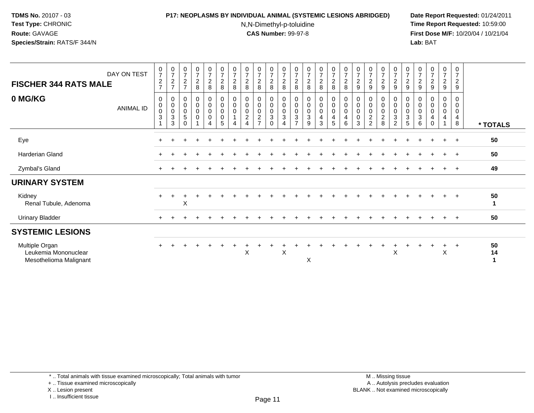## **P17: NEOPLASMS BY INDIVIDUAL ANIMAL (SYSTEMIC LESIONS ABRIDGED) Date Report Requested:** 01/24/2011

N,N-Dimethyl-p-toluidine

 **Time Report Requested:** 10:59:00 **First Dose M/F:** 10/20/04 / 10/21/04<br>**Lab:** BAT **Lab:** BAT

| <b>FISCHER 344 RATS MALE</b>                                     | DAY ON TEST      | $072$<br>$727$                            | $\frac{0}{7}$<br>$\frac{2}{7}$                                  | $\frac{0}{7}$<br>$\frac{2}{7}$          | $\frac{0}{7}$<br>8                                   | $\frac{0}{7}$<br>$\frac{2}{8}$          | $\frac{0}{7}$<br>$\overline{c}$<br>8                      | $\frac{0}{7}$<br>$\sqrt{2}$<br>8           | $\frac{0}{7}$<br>$\frac{2}{8}$                                    | $\frac{0}{7}$<br>$\sqrt{2}$<br>8            | $\begin{smallmatrix}0\\7\end{smallmatrix}$<br>$\frac{2}{8}$                   | $\frac{0}{7}$<br>$\frac{2}{8}$                                    | $\frac{0}{7}$<br>$\boldsymbol{2}$<br>8                                | $\frac{0}{7}$<br>$\boldsymbol{2}$<br>8                                  | $\frac{0}{7}$<br>$\overline{a}$<br>8 | 0728                                                        | $\begin{array}{c} 0 \\ 7 \end{array}$<br>$\frac{2}{8}$       | $\frac{0}{7}$<br>$\frac{2}{9}$                            | $\begin{array}{c} 0 \\ 7 \\ 2 \end{array}$<br>9                     | $\frac{0}{7}$<br>$\overline{c}$<br>9                         | 0729                                                            | $\frac{0}{7}$<br>$\overline{c}$<br>9                     | $\frac{0}{7}$<br>$\boldsymbol{2}$<br>9 | $\begin{array}{c} 0 \\ 7 \end{array}$<br>$\frac{2}{9}$ | $\frac{0}{7}$<br>$\frac{2}{9}$ | 0<br>$\overline{7}$<br>$\boldsymbol{2}$<br>$9\,$     |          |
|------------------------------------------------------------------|------------------|-------------------------------------------|-----------------------------------------------------------------|-----------------------------------------|------------------------------------------------------|-----------------------------------------|-----------------------------------------------------------|--------------------------------------------|-------------------------------------------------------------------|---------------------------------------------|-------------------------------------------------------------------------------|-------------------------------------------------------------------|-----------------------------------------------------------------------|-------------------------------------------------------------------------|--------------------------------------|-------------------------------------------------------------|--------------------------------------------------------------|-----------------------------------------------------------|---------------------------------------------------------------------|--------------------------------------------------------------|-----------------------------------------------------------------|----------------------------------------------------------|----------------------------------------|--------------------------------------------------------|--------------------------------|------------------------------------------------------|----------|
| 0 MG/KG                                                          | <b>ANIMAL ID</b> | 0<br>$\pmb{0}$<br>$\pmb{0}$<br>$\sqrt{3}$ | 0<br>$\mathbf 0$<br>$\pmb{0}$<br>$\ensuremath{\mathsf{3}}$<br>3 | 0<br>0<br>$\pmb{0}$<br>5<br>$\mathbf 0$ | $\mathbf 0$<br>$\pmb{0}$<br>$\pmb{0}$<br>$\mathbf 0$ | 0<br>$\mathsf{O}\xspace$<br>0<br>0<br>4 | $\mathbf 0$<br>$\pmb{0}$<br>$\pmb{0}$<br>$\mathbf 0$<br>5 | 0<br>$\pmb{0}$<br>$\mathsf{O}\xspace$<br>4 | 0<br>$\mathbf 0$<br>$\pmb{0}$<br>$\overline{c}$<br>$\overline{4}$ | 0<br>$\pmb{0}$<br>$\pmb{0}$<br>$\mathbf{2}$ | 0<br>$\mathsf{O}\xspace$<br>$\mathsf{O}\xspace$<br>$\mathsf 3$<br>$\mathbf 0$ | 0<br>$\mathbf 0$<br>$\mathbf 0$<br>$\mathbf{3}$<br>$\overline{4}$ | $\mathbf 0$<br>$\pmb{0}$<br>$\pmb{0}$<br>$\sqrt{3}$<br>$\overline{7}$ | $\mathbf 0$<br>$\pmb{0}$<br>$\pmb{0}$<br>$\ensuremath{\mathsf{3}}$<br>9 | 0<br>$\mathbf 0$<br>0<br>4<br>3      | 0<br>$\pmb{0}$<br>$\pmb{0}$<br>$\overline{\mathbf{4}}$<br>5 | $\mathbf 0$<br>$\pmb{0}$<br>$\pmb{0}$<br>$\overline{4}$<br>6 | $\mathbf 0$<br>$\pmb{0}$<br>$\pmb{0}$<br>$\mathbf 0$<br>3 | $\pmb{0}$<br>$\pmb{0}$<br>$\pmb{0}$<br>$\sqrt{2}$<br>$\overline{2}$ | $\mathbf 0$<br>$\pmb{0}$<br>$\pmb{0}$<br>$\overline{c}$<br>8 | $\pmb{0}$<br>$\overline{0}$<br>$\overline{3}$<br>$\overline{c}$ | 0<br>$\pmb{0}$<br>$\mathsf{O}\xspace$<br>$\sqrt{3}$<br>5 | 0<br>0<br>0<br>$\sqrt{3}$<br>6         | 0<br>$\pmb{0}$<br>$\pmb{0}$<br>4<br>$\mathbf 0$        | 0<br>$\pmb{0}$<br>0<br>4       | 0<br>$\mathbf 0$<br>$\pmb{0}$<br>$\overline{4}$<br>8 | * TOTALS |
| Eye                                                              |                  |                                           |                                                                 |                                         |                                                      |                                         |                                                           |                                            |                                                                   |                                             |                                                                               |                                                                   |                                                                       |                                                                         |                                      |                                                             |                                                              |                                                           |                                                                     |                                                              |                                                                 |                                                          |                                        |                                                        |                                | $\overline{+}$                                       | 50       |
| <b>Harderian Gland</b>                                           |                  |                                           |                                                                 |                                         |                                                      |                                         |                                                           |                                            |                                                                   |                                             |                                                                               |                                                                   |                                                                       |                                                                         |                                      |                                                             |                                                              |                                                           |                                                                     |                                                              |                                                                 |                                                          |                                        |                                                        | $\ddot{}$                      | $+$                                                  | 50       |
| Zymbal's Gland                                                   |                  | $+$                                       |                                                                 |                                         |                                                      |                                         |                                                           |                                            |                                                                   |                                             |                                                                               |                                                                   |                                                                       |                                                                         |                                      |                                                             |                                                              |                                                           |                                                                     |                                                              |                                                                 |                                                          |                                        |                                                        | $+$                            | $^{+}$                                               | 49       |
| <b>URINARY SYSTEM</b>                                            |                  |                                           |                                                                 |                                         |                                                      |                                         |                                                           |                                            |                                                                   |                                             |                                                                               |                                                                   |                                                                       |                                                                         |                                      |                                                             |                                                              |                                                           |                                                                     |                                                              |                                                                 |                                                          |                                        |                                                        |                                |                                                      |          |
| Kidney<br>Renal Tubule, Adenoma                                  |                  | $+$                                       | $\pm$                                                           | X                                       |                                                      |                                         |                                                           |                                            |                                                                   |                                             |                                                                               |                                                                   |                                                                       |                                                                         |                                      |                                                             |                                                              |                                                           |                                                                     |                                                              |                                                                 |                                                          |                                        |                                                        | $\pm$                          | $+$                                                  | 50       |
| <b>Urinary Bladder</b>                                           |                  |                                           |                                                                 |                                         |                                                      |                                         |                                                           |                                            |                                                                   |                                             |                                                                               |                                                                   |                                                                       |                                                                         |                                      |                                                             |                                                              |                                                           |                                                                     |                                                              |                                                                 |                                                          |                                        |                                                        |                                | $+$                                                  | 50       |
| <b>SYSTEMIC LESIONS</b>                                          |                  |                                           |                                                                 |                                         |                                                      |                                         |                                                           |                                            |                                                                   |                                             |                                                                               |                                                                   |                                                                       |                                                                         |                                      |                                                             |                                                              |                                                           |                                                                     |                                                              |                                                                 |                                                          |                                        |                                                        |                                |                                                      |          |
| Multiple Organ<br>Leukemia Mononuclear<br>Mesothelioma Malignant |                  |                                           |                                                                 |                                         |                                                      |                                         |                                                           |                                            | X                                                                 |                                             |                                                                               | X                                                                 |                                                                       | X                                                                       |                                      |                                                             |                                                              |                                                           |                                                                     |                                                              | $\mathsf{X}$                                                    |                                                          |                                        |                                                        | $\ddot{}$<br>$\sf X$           | $^{+}$                                               | 50<br>14 |

\* .. Total animals with tissue examined microscopically; Total animals with tumor

+ .. Tissue examined microscopically

X .. Lesion present

I .. Insufficient tissue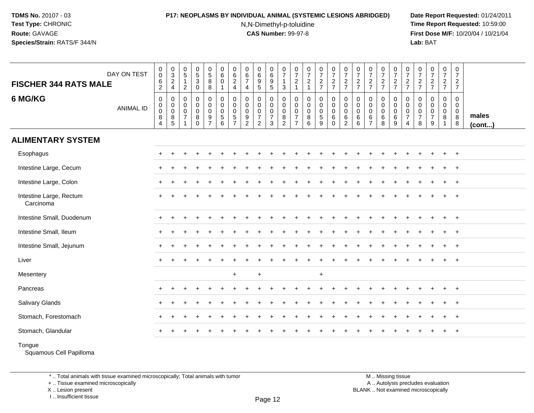# **P17: NEOPLASMS BY INDIVIDUAL ANIMAL (SYSTEMIC LESIONS ABRIDGED) Date Report Requested:** 01/24/2011

N,N-Dimethyl-p-toluidine

 **Time Report Requested:** 10:59:00 **First Dose M/F:** 10/20/04 / 10/21/04<br>**Lab:** BAT **Lab:** BAT

| <b>FISCHER 344 RATS MALE</b>         | DAY ON TEST      | $\overline{0}$<br>0<br>$\,6$<br>$\overline{c}$                           | $_{3}^{\rm 0}$<br>$\frac{2}{4}$                 | $\begin{array}{c} 0 \\ 5 \end{array}$<br>$\overline{1}$<br>$\overline{2}$ | $\begin{array}{c} 0 \\ 5 \end{array}$<br>$\ensuremath{\mathsf{3}}$<br>$\mathsf 0$ | $\begin{array}{c} 0 \\ 5 \end{array}$<br>8<br>8                               | $\begin{array}{c} 0 \\ 6 \end{array}$<br>$\mathbf 0$<br>$\overline{1}$ | 0<br>$\,6\,$<br>$\overline{2}$<br>$\overline{4}$                | $\pmb{0}$<br>$\,6$<br>$\overline{7}$<br>$\overline{4}$            | $_{6}^{\rm 0}$<br>$\boldsymbol{9}$<br>$\overline{5}$    | $\begin{array}{c} 0 \\ 6 \end{array}$<br>$\begin{array}{c} 9 \\ 5 \end{array}$ | $\frac{0}{7}$<br>$\overline{1}$<br>$\mathbf{3}$                             | $\frac{0}{7}$<br>$\overline{2}$<br>1                                | $\begin{smallmatrix}0\\7\end{smallmatrix}$<br>$\frac{2}{1}$    | $\frac{0}{7}$<br>$rac{2}{7}$              | $\begin{array}{c} 0 \\ 7 \end{array}$<br>$\frac{2}{7}$    | $\frac{0}{7}$<br>$\frac{2}{7}$                                       | $\frac{0}{7}$<br>$\frac{2}{7}$                            | $\frac{0}{7}$<br>$\frac{2}{7}$                                 | $\frac{0}{7}$<br>$\frac{2}{7}$        | $\begin{smallmatrix}0\\7\end{smallmatrix}$<br>$rac{2}{7}$       | $\frac{0}{7}$<br>$\frac{2}{7}$                                              | $\frac{0}{7}$<br>$\frac{2}{7}$     | $\begin{array}{c} 0 \\ 7 \end{array}$<br>$\frac{2}{7}$ | $\frac{0}{7}$<br>$\overline{2}$<br>$\overline{7}$    | $\begin{array}{c} 0 \\ 7 \end{array}$<br>$\overline{2}$<br>$\overline{7}$ |                       |
|--------------------------------------|------------------|--------------------------------------------------------------------------|-------------------------------------------------|---------------------------------------------------------------------------|-----------------------------------------------------------------------------------|-------------------------------------------------------------------------------|------------------------------------------------------------------------|-----------------------------------------------------------------|-------------------------------------------------------------------|---------------------------------------------------------|--------------------------------------------------------------------------------|-----------------------------------------------------------------------------|---------------------------------------------------------------------|----------------------------------------------------------------|-------------------------------------------|-----------------------------------------------------------|----------------------------------------------------------------------|-----------------------------------------------------------|----------------------------------------------------------------|---------------------------------------|-----------------------------------------------------------------|-----------------------------------------------------------------------------|------------------------------------|--------------------------------------------------------|------------------------------------------------------|---------------------------------------------------------------------------|-----------------------|
| 6 MG/KG                              | <b>ANIMAL ID</b> | $\boldsymbol{0}$<br>$\overline{0}$<br>$\mathbf 0$<br>8<br>$\overline{4}$ | $\mathsf{O}$<br>0<br>$\pmb{0}$<br>$\frac{8}{5}$ | $\pmb{0}$<br>0<br>$\mathbf 0$<br>$\overline{7}$<br>$\overline{1}$         | $\pmb{0}$<br>$\pmb{0}$<br>$\mathbf 0$<br>$\overline{8}$<br>$\mathbf 0$            | $\pmb{0}$<br>$\mathbf 0$<br>$\mathbf 0$<br>$\boldsymbol{9}$<br>$\overline{7}$ | $\mathbf 0$<br>$\mathbf 0$<br>$\mathbf 0$<br>$\overline{5}$<br>6       | 0<br>$\mathbf 0$<br>$\mathbf 0$<br>$\sqrt{5}$<br>$\overline{7}$ | $\pmb{0}$<br>0<br>$\pmb{0}$<br>$\boldsymbol{9}$<br>$\overline{c}$ | 0<br>0<br>$\pmb{0}$<br>$\overline{7}$<br>$\overline{2}$ | $\mathbf 0$<br>$\mathbf 0$<br>$\mathbf 0$<br>$\overline{7}$<br>$\mathsf 3$     | $\mathsf 0$<br>$\mathbf 0$<br>$\boldsymbol{0}$<br>$\,8\,$<br>$\overline{2}$ | $\mathbf 0$<br>0<br>$\mathbf 0$<br>$\overline{7}$<br>$\overline{7}$ | $\pmb{0}$<br>$\mathbf 0$<br>$\mathbf 0$<br>$\overline{8}$<br>6 | $\pmb{0}$<br>$\mathbf 0$<br>$\frac{0}{5}$ | 0<br>$\mathbf 0$<br>$\mathbf 0$<br>$\,6\,$<br>$\mathbf 0$ | $\mathsf{O}\xspace$<br>$\pmb{0}$<br>$\pmb{0}$<br>6<br>$\overline{2}$ | $\mathbf 0$<br>$\mathbf 0$<br>$\mathbf 0$<br>6<br>$\,6\,$ | $\pmb{0}$<br>$\mathbf 0$<br>$\mathbf 0$<br>6<br>$\overline{7}$ | 0<br>0<br>$\mathbf 0$<br>$\,6\,$<br>8 | $\pmb{0}$<br>$\pmb{0}$<br>$\begin{matrix}0\\6\end{matrix}$<br>9 | 0<br>$\mathbf 0$<br>$\begin{array}{c} 0 \\ 7 \end{array}$<br>$\overline{4}$ | 0<br>0<br>0<br>$\overline{7}$<br>8 | $\mathbf 0$<br>0<br>$\pmb{0}$<br>$\overline{7}$<br>9   | 0<br>$\mathbf 0$<br>$\mathbf 0$<br>8<br>$\mathbf{1}$ | $\mathsf 0$<br>$\mathbf 0$<br>$\mathsf 0$<br>$\bf 8$<br>8                 | males<br>$($ cont $)$ |
| <b>ALIMENTARY SYSTEM</b>             |                  |                                                                          |                                                 |                                                                           |                                                                                   |                                                                               |                                                                        |                                                                 |                                                                   |                                                         |                                                                                |                                                                             |                                                                     |                                                                |                                           |                                                           |                                                                      |                                                           |                                                                |                                       |                                                                 |                                                                             |                                    |                                                        |                                                      |                                                                           |                       |
| Esophagus                            |                  |                                                                          |                                                 |                                                                           |                                                                                   |                                                                               |                                                                        |                                                                 |                                                                   |                                                         |                                                                                |                                                                             |                                                                     |                                                                |                                           |                                                           |                                                                      |                                                           |                                                                |                                       |                                                                 |                                                                             |                                    |                                                        |                                                      | $+$                                                                       |                       |
| Intestine Large, Cecum               |                  | ÷                                                                        |                                                 |                                                                           |                                                                                   |                                                                               |                                                                        |                                                                 |                                                                   |                                                         |                                                                                |                                                                             |                                                                     |                                                                |                                           |                                                           |                                                                      |                                                           |                                                                |                                       |                                                                 |                                                                             |                                    |                                                        |                                                      | $^{+}$                                                                    |                       |
| Intestine Large, Colon               |                  |                                                                          |                                                 |                                                                           |                                                                                   |                                                                               |                                                                        |                                                                 |                                                                   |                                                         |                                                                                |                                                                             |                                                                     |                                                                |                                           |                                                           |                                                                      |                                                           |                                                                |                                       |                                                                 |                                                                             |                                    |                                                        |                                                      | $\ddot{}$                                                                 |                       |
| Intestine Large, Rectum<br>Carcinoma |                  |                                                                          |                                                 |                                                                           |                                                                                   |                                                                               |                                                                        |                                                                 |                                                                   |                                                         |                                                                                |                                                                             |                                                                     |                                                                |                                           |                                                           |                                                                      |                                                           |                                                                |                                       |                                                                 |                                                                             |                                    |                                                        |                                                      | $\ddot{}$                                                                 |                       |
| Intestine Small, Duodenum            |                  |                                                                          |                                                 |                                                                           |                                                                                   |                                                                               |                                                                        |                                                                 |                                                                   |                                                         |                                                                                |                                                                             |                                                                     |                                                                |                                           |                                                           |                                                                      |                                                           |                                                                |                                       |                                                                 |                                                                             |                                    |                                                        |                                                      | $+$                                                                       |                       |
| Intestine Small, Ileum               |                  |                                                                          |                                                 |                                                                           |                                                                                   |                                                                               |                                                                        |                                                                 |                                                                   |                                                         |                                                                                |                                                                             |                                                                     |                                                                |                                           |                                                           |                                                                      |                                                           |                                                                |                                       |                                                                 |                                                                             |                                    |                                                        |                                                      | $+$                                                                       |                       |
| Intestine Small, Jejunum             |                  |                                                                          |                                                 |                                                                           |                                                                                   |                                                                               |                                                                        |                                                                 |                                                                   |                                                         |                                                                                |                                                                             |                                                                     |                                                                |                                           |                                                           |                                                                      |                                                           |                                                                |                                       |                                                                 |                                                                             |                                    |                                                        |                                                      | $\ddot{}$                                                                 |                       |
| Liver                                |                  |                                                                          |                                                 |                                                                           |                                                                                   |                                                                               |                                                                        |                                                                 |                                                                   |                                                         |                                                                                |                                                                             |                                                                     |                                                                |                                           |                                                           |                                                                      |                                                           |                                                                |                                       |                                                                 |                                                                             |                                    |                                                        |                                                      | $\ddot{}$                                                                 |                       |
| Mesentery                            |                  |                                                                          |                                                 |                                                                           |                                                                                   |                                                                               |                                                                        | $\ddot{}$                                                       |                                                                   | $+$                                                     |                                                                                |                                                                             |                                                                     |                                                                | $+$                                       |                                                           |                                                                      |                                                           |                                                                |                                       |                                                                 |                                                                             |                                    |                                                        |                                                      |                                                                           |                       |
| Pancreas                             |                  |                                                                          | $\div$                                          |                                                                           |                                                                                   |                                                                               |                                                                        |                                                                 |                                                                   |                                                         |                                                                                |                                                                             |                                                                     |                                                                |                                           |                                                           |                                                                      |                                                           |                                                                |                                       |                                                                 |                                                                             |                                    |                                                        | $\ddot{}$                                            | $+$                                                                       |                       |
| <b>Salivary Glands</b>               |                  |                                                                          |                                                 |                                                                           |                                                                                   |                                                                               |                                                                        |                                                                 |                                                                   |                                                         |                                                                                |                                                                             |                                                                     |                                                                |                                           |                                                           |                                                                      |                                                           |                                                                |                                       |                                                                 |                                                                             |                                    |                                                        |                                                      | $\ddot{}$                                                                 |                       |
| Stomach, Forestomach                 |                  |                                                                          |                                                 |                                                                           |                                                                                   |                                                                               |                                                                        |                                                                 |                                                                   |                                                         |                                                                                |                                                                             |                                                                     |                                                                |                                           |                                                           |                                                                      |                                                           |                                                                |                                       |                                                                 |                                                                             |                                    |                                                        |                                                      | $\ddot{}$                                                                 |                       |
| Stomach, Glandular                   |                  |                                                                          |                                                 |                                                                           |                                                                                   |                                                                               |                                                                        |                                                                 |                                                                   |                                                         |                                                                                |                                                                             |                                                                     |                                                                |                                           |                                                           |                                                                      |                                                           |                                                                |                                       |                                                                 |                                                                             |                                    |                                                        |                                                      | $+$                                                                       |                       |
| Tongue                               |                  |                                                                          |                                                 |                                                                           |                                                                                   |                                                                               |                                                                        |                                                                 |                                                                   |                                                         |                                                                                |                                                                             |                                                                     |                                                                |                                           |                                                           |                                                                      |                                                           |                                                                |                                       |                                                                 |                                                                             |                                    |                                                        |                                                      |                                                                           |                       |

Squamous Cell Papilloma

\* .. Total animals with tissue examined microscopically; Total animals with tumor

+ .. Tissue examined microscopically

X .. Lesion present

I .. Insufficient tissue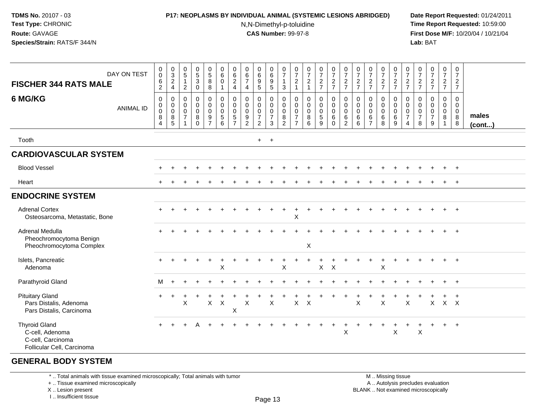#### **P17: NEOPLASMS BY INDIVIDUAL ANIMAL (SYSTEMIC LESIONS ABRIDGED) Date Report Requested:** 01/24/2011

N,N-Dimethyl-p-toluidine

 **Time Report Requested:** 10:59:00 **First Dose M/F:** 10/20/04 / 10/21/04<br>**Lab:** BAT **Lab:** BAT

| DAY ON TEST<br><b>FISCHER 344 RATS MALE</b><br>6 MG/KG<br><b>ANIMAL ID</b>                 | $\begin{smallmatrix} 0\\0 \end{smallmatrix}$<br>$\frac{6}{2}$<br>$\mathbf 0$<br>$\mathbf 0$<br>$\pmb{0}$<br>8<br>$\overline{4}$ | $_3^0$<br>$\overline{2}$<br>$\overline{4}$<br>$\mathbf 0$<br>$\mathbf 0$<br>$\mathbf 0$<br>8<br>5 | $\begin{array}{c} 0 \\ 5 \end{array}$<br>$\mathbf{1}$<br>$\overline{c}$<br>0<br>$\mathbf 0$<br>$\mathbf 0$<br>$\overline{7}$<br>$\mathbf{1}$ | $\begin{array}{c} 0 \\ 5 \\ 3 \end{array}$<br>0<br>0<br>$\overline{0}$<br>$\mathbf 0$<br>8<br>$\Omega$ | 0<br>8<br>8<br>$\pmb{0}$<br>$\ddot{\mathbf{0}}$<br>$\ddot{\mathbf{0}}$<br>9<br>$\overline{7}$ | $\begin{array}{c} 0 \\ 6 \end{array}$<br>$\pmb{0}$<br>1<br>$\mathsf 0$<br>$\ddot{\mathbf{0}}$<br>$\mathbf 0$<br>$\sqrt{5}$<br>6 | $\begin{array}{c} 0 \\ 6 \end{array}$<br>$\overline{2}$<br>$\overline{4}$<br>0<br>$\mathbf 0$<br>$\mathbf 0$<br>$5\phantom{.0}$<br>$\overline{7}$ | $\pmb{0}$<br>$6\phantom{a}$<br>$\overline{7}$<br>$\overline{\mathbf{4}}$<br>$\mathbf 0$<br>$\mathbf 0$<br>$\mathbf 0$<br>9<br>$\overline{2}$ | 0<br>$\,6\,$<br>$\overline{9}$<br>$\sqrt{5}$<br>0<br>$\mathbf 0$<br>$\mathbf 0$<br>$\overline{7}$<br>$\overline{2}$ | 0<br>6<br>9<br>5<br>0<br>$\overline{0}$<br>$\frac{0}{7}$<br>3 | $\begin{smallmatrix}0\\7\end{smallmatrix}$<br>$\mathbf{1}$<br>$\mathbf{3}$<br>0<br>$\mathbf 0$<br>$\mathsf{O}\xspace$<br>8<br>$\overline{2}$ | $\frac{0}{7}$<br>$\frac{2}{1}$<br>0<br>0<br>0<br>$\overline{7}$<br>$\overline{7}$ | $\frac{0}{7}$<br>$\frac{2}{1}$<br>$\mathbf 0$<br>$\ddot{\mathbf{0}}$<br>$\overline{0}$<br>$\,8\,$<br>6 | $\frac{0}{7}$<br>$\frac{2}{7}$<br>0<br>$\mathbf 0$<br>$\mathbf 0$<br>$\,$ 5 $\,$<br>9 | $\frac{0}{7}$<br>$\frac{2}{7}$<br>$\pmb{0}$<br>$\overline{0}$<br>$\mathbf 0$<br>6<br>$\Omega$ | $\frac{0}{7}$<br>$\frac{2}{7}$<br>0<br>$\mathsf{O}\xspace$<br>$\mathbf 0$<br>6<br>$\overline{2}$ | $\frac{0}{7}$<br>$\frac{2}{7}$<br>$\mathbf 0$<br>$\mathbf 0$<br>$\mathbf 0$<br>6<br>6 | $\frac{0}{7}$<br>$\frac{2}{7}$<br>0<br>$\mathbf 0$<br>$\mathbf 0$<br>6<br>$\overline{7}$ | $\frac{0}{7}$<br>$\frac{2}{7}$<br>0<br>$\mathbf 0$<br>$\mathbf 0$<br>$\,6$<br>8 | $\frac{0}{7}$<br>$\frac{2}{7}$<br>0<br>$\mathbf 0$<br>$\mathbf 0$<br>6<br>9 | $\frac{0}{7}$<br>$\frac{2}{7}$<br>0<br>$\mathbf 0$<br>$\mathbf 0$<br>$\overline{7}$<br>4 | $\frac{0}{7}$<br>$\frac{2}{7}$<br>0<br>$\mathsf 0$<br>$\mathbf 0$<br>$\boldsymbol{7}$<br>8 | $\frac{0}{7}$<br>$\frac{2}{7}$<br>0<br>$\mathbf 0$<br>$\mathbf 0$<br>$\overline{7}$<br>9 | $\frac{0}{7}$<br>$\frac{2}{7}$<br>$\pmb{0}$<br>$\overline{0}$<br>$\overline{0}$<br>8<br>$\mathbf{1}$ | $\mathbf 0$<br>$\overline{7}$<br>$\frac{2}{7}$<br>$\mathbf 0$<br>$\mathbf 0$<br>$\boldsymbol{0}$<br>$\overline{8}$<br>8 | males<br>$($ cont $)$ |
|--------------------------------------------------------------------------------------------|---------------------------------------------------------------------------------------------------------------------------------|---------------------------------------------------------------------------------------------------|----------------------------------------------------------------------------------------------------------------------------------------------|--------------------------------------------------------------------------------------------------------|-----------------------------------------------------------------------------------------------|---------------------------------------------------------------------------------------------------------------------------------|---------------------------------------------------------------------------------------------------------------------------------------------------|----------------------------------------------------------------------------------------------------------------------------------------------|---------------------------------------------------------------------------------------------------------------------|---------------------------------------------------------------|----------------------------------------------------------------------------------------------------------------------------------------------|-----------------------------------------------------------------------------------|--------------------------------------------------------------------------------------------------------|---------------------------------------------------------------------------------------|-----------------------------------------------------------------------------------------------|--------------------------------------------------------------------------------------------------|---------------------------------------------------------------------------------------|------------------------------------------------------------------------------------------|---------------------------------------------------------------------------------|-----------------------------------------------------------------------------|------------------------------------------------------------------------------------------|--------------------------------------------------------------------------------------------|------------------------------------------------------------------------------------------|------------------------------------------------------------------------------------------------------|-------------------------------------------------------------------------------------------------------------------------|-----------------------|
| Tooth                                                                                      |                                                                                                                                 |                                                                                                   |                                                                                                                                              |                                                                                                        |                                                                                               |                                                                                                                                 |                                                                                                                                                   |                                                                                                                                              | $+$                                                                                                                 | $+$                                                           |                                                                                                                                              |                                                                                   |                                                                                                        |                                                                                       |                                                                                               |                                                                                                  |                                                                                       |                                                                                          |                                                                                 |                                                                             |                                                                                          |                                                                                            |                                                                                          |                                                                                                      |                                                                                                                         |                       |
| <b>CARDIOVASCULAR SYSTEM</b>                                                               |                                                                                                                                 |                                                                                                   |                                                                                                                                              |                                                                                                        |                                                                                               |                                                                                                                                 |                                                                                                                                                   |                                                                                                                                              |                                                                                                                     |                                                               |                                                                                                                                              |                                                                                   |                                                                                                        |                                                                                       |                                                                                               |                                                                                                  |                                                                                       |                                                                                          |                                                                                 |                                                                             |                                                                                          |                                                                                            |                                                                                          |                                                                                                      |                                                                                                                         |                       |
| <b>Blood Vessel</b>                                                                        |                                                                                                                                 |                                                                                                   |                                                                                                                                              |                                                                                                        |                                                                                               |                                                                                                                                 |                                                                                                                                                   |                                                                                                                                              |                                                                                                                     |                                                               |                                                                                                                                              |                                                                                   |                                                                                                        |                                                                                       |                                                                                               |                                                                                                  |                                                                                       |                                                                                          |                                                                                 |                                                                             |                                                                                          |                                                                                            |                                                                                          |                                                                                                      | $\overline{+}$                                                                                                          |                       |
| Heart                                                                                      |                                                                                                                                 |                                                                                                   |                                                                                                                                              |                                                                                                        |                                                                                               |                                                                                                                                 |                                                                                                                                                   |                                                                                                                                              |                                                                                                                     |                                                               |                                                                                                                                              |                                                                                   |                                                                                                        |                                                                                       |                                                                                               |                                                                                                  |                                                                                       |                                                                                          |                                                                                 |                                                                             |                                                                                          |                                                                                            |                                                                                          | $\ddot{}$                                                                                            | $+$                                                                                                                     |                       |
| <b>ENDOCRINE SYSTEM</b>                                                                    |                                                                                                                                 |                                                                                                   |                                                                                                                                              |                                                                                                        |                                                                                               |                                                                                                                                 |                                                                                                                                                   |                                                                                                                                              |                                                                                                                     |                                                               |                                                                                                                                              |                                                                                   |                                                                                                        |                                                                                       |                                                                                               |                                                                                                  |                                                                                       |                                                                                          |                                                                                 |                                                                             |                                                                                          |                                                                                            |                                                                                          |                                                                                                      |                                                                                                                         |                       |
| <b>Adrenal Cortex</b><br>Osteosarcoma, Metastatic, Bone                                    |                                                                                                                                 |                                                                                                   |                                                                                                                                              |                                                                                                        |                                                                                               |                                                                                                                                 |                                                                                                                                                   |                                                                                                                                              |                                                                                                                     |                                                               |                                                                                                                                              | X                                                                                 |                                                                                                        |                                                                                       |                                                                                               |                                                                                                  |                                                                                       |                                                                                          |                                                                                 |                                                                             |                                                                                          |                                                                                            |                                                                                          |                                                                                                      | $+$                                                                                                                     |                       |
| Adrenal Medulla<br>Pheochromocytoma Benign<br>Pheochromocytoma Complex                     |                                                                                                                                 |                                                                                                   |                                                                                                                                              |                                                                                                        |                                                                                               |                                                                                                                                 |                                                                                                                                                   |                                                                                                                                              |                                                                                                                     |                                                               |                                                                                                                                              |                                                                                   | X                                                                                                      |                                                                                       |                                                                                               |                                                                                                  |                                                                                       |                                                                                          |                                                                                 |                                                                             |                                                                                          |                                                                                            |                                                                                          |                                                                                                      | $+$                                                                                                                     |                       |
| Islets, Pancreatic<br>Adenoma                                                              |                                                                                                                                 |                                                                                                   |                                                                                                                                              |                                                                                                        |                                                                                               | $\boldsymbol{\mathsf{X}}$                                                                                                       |                                                                                                                                                   |                                                                                                                                              |                                                                                                                     |                                                               | X                                                                                                                                            |                                                                                   |                                                                                                        | $\mathsf{X}$                                                                          | $\times$                                                                                      |                                                                                                  |                                                                                       |                                                                                          | X                                                                               |                                                                             |                                                                                          |                                                                                            |                                                                                          | $\pm$                                                                                                | $+$                                                                                                                     |                       |
| Parathyroid Gland                                                                          | м                                                                                                                               |                                                                                                   |                                                                                                                                              |                                                                                                        |                                                                                               |                                                                                                                                 |                                                                                                                                                   |                                                                                                                                              |                                                                                                                     |                                                               |                                                                                                                                              |                                                                                   |                                                                                                        |                                                                                       |                                                                                               |                                                                                                  |                                                                                       |                                                                                          |                                                                                 |                                                                             |                                                                                          |                                                                                            |                                                                                          | $+$                                                                                                  | $+$                                                                                                                     |                       |
| <b>Pituitary Gland</b><br>Pars Distalis, Adenoma<br>Pars Distalis, Carcinoma               |                                                                                                                                 |                                                                                                   | X                                                                                                                                            |                                                                                                        | $\mathsf X$                                                                                   | $\mathsf{X}$                                                                                                                    | $\boldsymbol{\mathsf{X}}$                                                                                                                         | X                                                                                                                                            |                                                                                                                     | X                                                             |                                                                                                                                              | X                                                                                 | $\times$                                                                                               |                                                                                       |                                                                                               |                                                                                                  | X                                                                                     |                                                                                          | $\pmb{\times}$                                                                  |                                                                             | X                                                                                        |                                                                                            | X                                                                                        | $X$ $X$                                                                                              |                                                                                                                         |                       |
| <b>Thyroid Gland</b><br>C-cell, Adenoma<br>C-cell, Carcinoma<br>Follicular Cell, Carcinoma |                                                                                                                                 |                                                                                                   |                                                                                                                                              |                                                                                                        |                                                                                               |                                                                                                                                 |                                                                                                                                                   |                                                                                                                                              |                                                                                                                     |                                                               |                                                                                                                                              |                                                                                   |                                                                                                        |                                                                                       |                                                                                               | $\ddot{}$<br>$\mathsf X$                                                                         |                                                                                       |                                                                                          | $\ddot{}$                                                                       | $\times$                                                                    |                                                                                          | $\boldsymbol{\mathsf{X}}$                                                                  | $\ddot{}$                                                                                | $+$                                                                                                  | $+$                                                                                                                     |                       |

### **GENERAL BODY SYSTEM**

\* .. Total animals with tissue examined microscopically; Total animals with tumor

+ .. Tissue examined microscopically

X .. Lesion present

I .. Insufficient tissue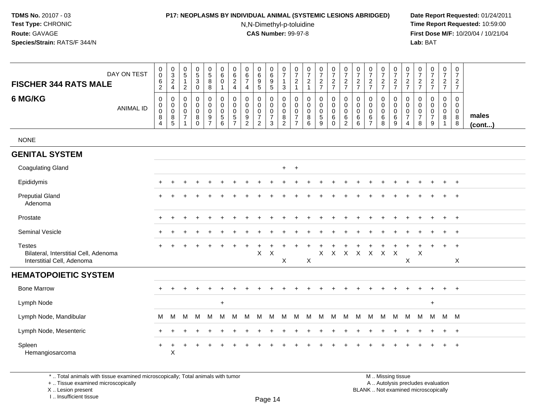### **P17: NEOPLASMS BY INDIVIDUAL ANIMAL (SYSTEMIC LESIONS ABRIDGED) Date Report Requested:** 01/24/2011

N,N-Dimethyl-p-toluidine

 **Time Report Requested:** 10:59:00 **First Dose M/F:** 10/20/04 / 10/21/04<br>**Lab:** BAT **Lab:** BAT

| DAY ON TEST<br><b>FISCHER 344 RATS MALE</b>                                          | $\pmb{0}$<br>$\pmb{0}$<br>$\,6$<br>$\overline{2}$                         | $\pmb{0}$<br>$\mathbf{3}$<br>$\frac{2}{4}$                                     | 0<br>$\sqrt{5}$<br>$\mathbf 1$<br>$\overline{2}$ | $\begin{array}{c} 0 \\ 5 \end{array}$<br>$\sqrt{3}$<br>$\mathbf 0$ | $\pmb{0}$<br>$\sqrt{5}$<br>$\, 8$<br>$\bf8$               | $\mathbf 0$<br>$\,6\,$<br>$\mathbf 0$<br>$\mathbf{1}$ | $\pmb{0}$<br>$\,6\,$<br>$\boldsymbol{2}$<br>$\overline{4}$  | 0<br>6<br>$\overline{7}$<br>$\overline{4}$ | $\pmb{0}$<br>$\,6\,$<br>$\boldsymbol{9}$<br>$\sqrt{5}$                      | $\pmb{0}$<br>$\,6\,$<br>$\frac{9}{5}$                                 | $\,0\,$<br>$\overline{7}$<br>$\mathbf{1}$<br>$\mathbf{3}$           | 0<br>$\overline{7}$<br>$\overline{c}$<br>$\mathbf{1}$             | 0<br>$\overline{7}$<br>$\boldsymbol{2}$<br>$\mathbf{1}$ | $\frac{0}{7}$<br>$\frac{2}{7}$               | $\pmb{0}$<br>$\overline{7}$<br>$\frac{2}{7}$ | $\pmb{0}$<br>$\overline{7}$<br>$\frac{2}{7}$                     | $\pmb{0}$<br>$\overline{7}$<br>$\boldsymbol{2}$<br>$\overline{7}$ | 0<br>$\overline{7}$<br>$\frac{2}{7}$                                  | 0<br>$\overline{7}$<br>$\frac{2}{7}$                           | $\pmb{0}$<br>$\boldsymbol{7}$<br>$\frac{2}{7}$ | $\,0\,$<br>$\overline{7}$<br>$\frac{2}{7}$                        | 0<br>$\overline{7}$<br>$\sqrt{2}$<br>$\overline{7}$ | $\pmb{0}$<br>$\overline{7}$<br>$\frac{2}{7}$                                 | $\pmb{0}$<br>$\overline{7}$<br>$\frac{2}{7}$ | $\pmb{0}$<br>$\overline{7}$<br>$\frac{2}{7}$                    |                       |
|--------------------------------------------------------------------------------------|---------------------------------------------------------------------------|--------------------------------------------------------------------------------|--------------------------------------------------|--------------------------------------------------------------------|-----------------------------------------------------------|-------------------------------------------------------|-------------------------------------------------------------|--------------------------------------------|-----------------------------------------------------------------------------|-----------------------------------------------------------------------|---------------------------------------------------------------------|-------------------------------------------------------------------|---------------------------------------------------------|----------------------------------------------|----------------------------------------------|------------------------------------------------------------------|-------------------------------------------------------------------|-----------------------------------------------------------------------|----------------------------------------------------------------|------------------------------------------------|-------------------------------------------------------------------|-----------------------------------------------------|------------------------------------------------------------------------------|----------------------------------------------|-----------------------------------------------------------------|-----------------------|
| 6 MG/KG<br>ANIMAL ID                                                                 | $\pmb{0}$<br>$\boldsymbol{0}$<br>$\mathbf 0$<br>$\bf 8$<br>$\overline{4}$ | $\mathbf 0$<br>$\mathbf 0$<br>$\mathsf{O}\xspace$<br>$\bf 8$<br>$\overline{5}$ | 0<br>$\mathbf 0$<br>0<br>$\overline{7}$          | $\pmb{0}$<br>$\mathbf 0$<br>$\pmb{0}$<br>$\bf 8$<br>$\overline{0}$ | 0<br>0<br>$\pmb{0}$<br>$\boldsymbol{9}$<br>$\overline{7}$ | $\mathbf 0$<br>$\mathbf 0$<br>$\pmb{0}$<br>5<br>6     | $\pmb{0}$<br>0<br>$\pmb{0}$<br>$\sqrt{5}$<br>$\overline{7}$ | 0<br>0<br>$\mathbf 0$<br>$\frac{9}{2}$     | $\mathbf 0$<br>$\mathbf 0$<br>$\pmb{0}$<br>$\overline{7}$<br>$\overline{2}$ | 0<br>$\boldsymbol{0}$<br>$\mathbf 0$<br>$\overline{7}$<br>$\mathsf 3$ | 0<br>$\mathbf 0$<br>$\mathsf{O}\xspace$<br>$\, 8$<br>$\overline{2}$ | 0<br>$\mathbf 0$<br>$\pmb{0}$<br>$\overline{7}$<br>$\overline{7}$ | 0<br>$\mathbf 0$<br>$\pmb{0}$<br>$\bf 8$<br>6           | $\pmb{0}$<br>0<br>$\pmb{0}$<br>$\frac{5}{9}$ | 0<br>0<br>$\mathbf 0$<br>6<br>$\mathbf 0$    | $\mathbf 0$<br>$\mathbf 0$<br>$\mathbf 0$<br>6<br>$\overline{2}$ | 0<br>$\mathbf 0$<br>$\pmb{0}$<br>$\,6\,$<br>$\,6$                 | $\mathbf 0$<br>$\mathbf 0$<br>$\boldsymbol{0}$<br>6<br>$\overline{7}$ | 0<br>$\mathbf 0$<br>$\pmb{0}$<br>$6^{\circ}$<br>$\overline{8}$ | 0<br>0<br>$\pmb{0}$<br>$\frac{6}{9}$           | 0<br>$\mathbf 0$<br>$\pmb{0}$<br>$\overline{7}$<br>$\overline{4}$ | 0<br>$\mathbf 0$<br>0<br>$\overline{7}$<br>8        | $\mathbf 0$<br>$\Omega$<br>$\mathbf 0$<br>$\overline{7}$<br>$\boldsymbol{9}$ | 0<br>$\mathbf 0$<br>$\mathbf 0$<br>8<br>1    | $\mathbf 0$<br>$\mathbf 0$<br>$\mathbf 0$<br>$\bf 8$<br>$\bf 8$ | males<br>$($ cont $)$ |
| <b>NONE</b>                                                                          |                                                                           |                                                                                |                                                  |                                                                    |                                                           |                                                       |                                                             |                                            |                                                                             |                                                                       |                                                                     |                                                                   |                                                         |                                              |                                              |                                                                  |                                                                   |                                                                       |                                                                |                                                |                                                                   |                                                     |                                                                              |                                              |                                                                 |                       |
| <b>GENITAL SYSTEM</b>                                                                |                                                                           |                                                                                |                                                  |                                                                    |                                                           |                                                       |                                                             |                                            |                                                                             |                                                                       |                                                                     |                                                                   |                                                         |                                              |                                              |                                                                  |                                                                   |                                                                       |                                                                |                                                |                                                                   |                                                     |                                                                              |                                              |                                                                 |                       |
| <b>Coagulating Gland</b>                                                             |                                                                           |                                                                                |                                                  |                                                                    |                                                           |                                                       |                                                             |                                            |                                                                             |                                                                       | $+$                                                                 | $+$                                                               |                                                         |                                              |                                              |                                                                  |                                                                   |                                                                       |                                                                |                                                |                                                                   |                                                     |                                                                              |                                              |                                                                 |                       |
| Epididymis                                                                           |                                                                           |                                                                                |                                                  |                                                                    |                                                           |                                                       |                                                             |                                            |                                                                             |                                                                       |                                                                     |                                                                   |                                                         |                                              |                                              |                                                                  |                                                                   |                                                                       |                                                                |                                                |                                                                   |                                                     |                                                                              |                                              | $\ddot{}$                                                       |                       |
| <b>Preputial Gland</b><br>Adenoma                                                    |                                                                           |                                                                                |                                                  |                                                                    |                                                           |                                                       |                                                             |                                            |                                                                             |                                                                       |                                                                     |                                                                   |                                                         |                                              |                                              |                                                                  |                                                                   |                                                                       |                                                                |                                                |                                                                   |                                                     |                                                                              |                                              | $\ddot{}$                                                       |                       |
| Prostate                                                                             |                                                                           |                                                                                |                                                  |                                                                    |                                                           |                                                       |                                                             |                                            |                                                                             |                                                                       |                                                                     |                                                                   |                                                         |                                              |                                              |                                                                  |                                                                   |                                                                       |                                                                |                                                |                                                                   |                                                     |                                                                              |                                              | $+$                                                             |                       |
| Seminal Vesicle                                                                      |                                                                           |                                                                                |                                                  |                                                                    |                                                           |                                                       |                                                             |                                            |                                                                             |                                                                       |                                                                     |                                                                   |                                                         |                                              |                                              |                                                                  |                                                                   |                                                                       |                                                                |                                                |                                                                   |                                                     |                                                                              | $\div$                                       | $+$                                                             |                       |
| <b>Testes</b><br>Bilateral, Interstitial Cell, Adenoma<br>Interstitial Cell, Adenoma |                                                                           |                                                                                |                                                  |                                                                    |                                                           |                                                       |                                                             |                                            | X                                                                           | $\times$                                                              | $\boldsymbol{\mathsf{X}}$                                           |                                                                   | X                                                       | X                                            | X                                            | $\boldsymbol{\mathsf{X}}$                                        | $\mathsf X$                                                       | $\mathsf{X}$                                                          | $\mathsf{X}$                                                   | $\mathsf{X}$                                   | X                                                                 | $\times$                                            |                                                                              | $\ddot{}$                                    | $+$<br>X                                                        |                       |
| <b>HEMATOPOIETIC SYSTEM</b>                                                          |                                                                           |                                                                                |                                                  |                                                                    |                                                           |                                                       |                                                             |                                            |                                                                             |                                                                       |                                                                     |                                                                   |                                                         |                                              |                                              |                                                                  |                                                                   |                                                                       |                                                                |                                                |                                                                   |                                                     |                                                                              |                                              |                                                                 |                       |
| <b>Bone Marrow</b>                                                                   |                                                                           |                                                                                |                                                  |                                                                    |                                                           |                                                       |                                                             |                                            |                                                                             |                                                                       |                                                                     |                                                                   |                                                         |                                              |                                              |                                                                  |                                                                   |                                                                       | $\div$                                                         |                                                |                                                                   | $\div$                                              |                                                                              | $\ddot{}$                                    | $+$                                                             |                       |
| Lymph Node                                                                           |                                                                           |                                                                                |                                                  |                                                                    |                                                           | $\ddot{}$                                             |                                                             |                                            |                                                                             |                                                                       |                                                                     |                                                                   |                                                         |                                              |                                              |                                                                  |                                                                   |                                                                       |                                                                |                                                |                                                                   |                                                     | $\ddot{}$                                                                    |                                              |                                                                 |                       |
| Lymph Node, Mandibular                                                               | M                                                                         | M                                                                              | М                                                | M                                                                  | M                                                         | М                                                     | M                                                           | M                                          | м                                                                           | м                                                                     | M                                                                   | М                                                                 | M                                                       | M                                            | M                                            | м                                                                | М                                                                 | M                                                                     | M                                                              | M                                              | M                                                                 | м                                                   | M                                                                            | M M                                          |                                                                 |                       |
| Lymph Node, Mesenteric                                                               |                                                                           |                                                                                |                                                  |                                                                    |                                                           |                                                       |                                                             |                                            |                                                                             |                                                                       |                                                                     |                                                                   |                                                         |                                              |                                              |                                                                  |                                                                   |                                                                       |                                                                |                                                |                                                                   |                                                     |                                                                              | $\ddot{}$                                    | $+$                                                             |                       |
| Spleen<br>Hemangiosarcoma                                                            | $+$                                                                       | +<br>$\mathsf X$                                                               |                                                  |                                                                    |                                                           |                                                       |                                                             |                                            |                                                                             |                                                                       |                                                                     |                                                                   |                                                         |                                              |                                              |                                                                  |                                                                   |                                                                       |                                                                |                                                |                                                                   |                                                     |                                                                              |                                              | $\ddot{}$                                                       |                       |

\* .. Total animals with tissue examined microscopically; Total animals with tumor

+ .. Tissue examined microscopically

X .. Lesion present

I .. Insufficient tissue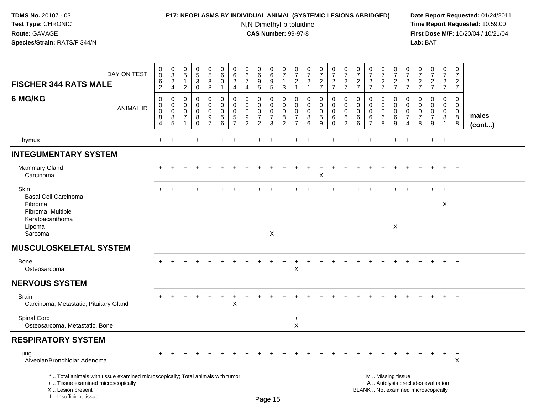## **P17: NEOPLASMS BY INDIVIDUAL ANIMAL (SYSTEMIC LESIONS ABRIDGED) Date Report Requested:** 01/24/2011

N,N-Dimethyl-p-toluidine

 **Time Report Requested:** 10:59:00 **First Dose M/F:** 10/20/04 / 10/21/04<br>**Lab:** BAT **Lab:** BAT

| DAY ON TEST<br><b>FISCHER 344 RATS MALE</b>                                                                                                                         | 0<br>$\mathbf 0$<br>6<br>$\overline{2}$ | $_{3}^{\rm 0}$<br>$_4^2$ | $\pmb{0}$<br>$\overline{5}$<br>$\mathbf{1}$<br>$\mathbf{2}$ | $\begin{array}{c} 0 \\ 5 \end{array}$<br>3<br>$\pmb{0}$    | $\begin{smallmatrix} 0\\5 \end{smallmatrix}$<br>8<br>8 | 0<br>$6\phantom{1}$<br>$\mathbf 0$<br>$\overline{1}$ | $\mathbf 0$<br>$\,6\,$<br>$\overline{c}$<br>4                          | $\pmb{0}$<br>$\,6\,$<br>$\overline{7}$<br>$\overline{4}$ | 0<br>$\overline{6}$<br>9<br>5                          | 0<br>6<br>9<br>$5\phantom{.0}$                         | $\begin{array}{c} 0 \\ 7 \end{array}$<br>1<br>$\mathbf{3}$ | $\begin{array}{c} 0 \\ 7 \end{array}$<br>$\overline{c}$<br>$\overline{1}$ | $\frac{0}{7}$<br>$\overline{c}$<br>$\overline{1}$ | $\frac{0}{7}$<br>$\frac{2}{7}$            | $\frac{0}{7}$<br>$\frac{2}{7}$                      | $\frac{0}{7}$<br>$\frac{2}{7}$                         | $\frac{0}{7}$<br>$\frac{2}{7}$         | $\frac{0}{7}$<br>$\frac{2}{7}$                | $\begin{array}{c} 0 \\ 7 \end{array}$<br>$\frac{2}{7}$ | $\frac{0}{7}$<br>$\frac{2}{7}$                   | 0<br>$\overline{7}$<br>$\overline{c}$<br>$\overline{7}$ | $\begin{array}{c} 0 \\ 7 \end{array}$<br>$\boldsymbol{2}$<br>$\overline{7}$ | $\frac{0}{7}$<br>$\frac{2}{7}$                      | $\begin{smallmatrix}0\\7\end{smallmatrix}$<br>$\frac{2}{7}$ | $\pmb{0}$<br>$\overline{7}$<br>$\overline{c}$<br>$\overline{7}$ |                       |
|---------------------------------------------------------------------------------------------------------------------------------------------------------------------|-----------------------------------------|--------------------------|-------------------------------------------------------------|------------------------------------------------------------|--------------------------------------------------------|------------------------------------------------------|------------------------------------------------------------------------|----------------------------------------------------------|--------------------------------------------------------|--------------------------------------------------------|------------------------------------------------------------|---------------------------------------------------------------------------|---------------------------------------------------|-------------------------------------------|-----------------------------------------------------|--------------------------------------------------------|----------------------------------------|-----------------------------------------------|--------------------------------------------------------|--------------------------------------------------|---------------------------------------------------------|-----------------------------------------------------------------------------|-----------------------------------------------------|-------------------------------------------------------------|-----------------------------------------------------------------|-----------------------|
| 6 MG/KG<br><b>ANIMAL ID</b>                                                                                                                                         | 0<br>$\mathbf 0$<br>0<br>8<br>4         | 0<br>0<br>0<br>8<br>5    | $\mathbf 0$<br>$\Omega$<br>$\mathbf 0$<br>7<br>1            | $\mathbf 0$<br>$\mathbf 0$<br>$\mathbf 0$<br>8<br>$\Omega$ | 0<br>$\mathbf 0$<br>$\mathbf 0$<br>9<br>$\overline{7}$ | $\mathbf 0$<br>$\mathbf 0$<br>$\mathbf 0$<br>5<br>6  | $\mathbf 0$<br>$\Omega$<br>$\mathbf 0$<br>$\sqrt{5}$<br>$\overline{7}$ | 0<br>$\Omega$<br>$\mathbf 0$<br>9<br>2                   | 0<br>$\Omega$<br>0<br>$\overline{7}$<br>$\overline{2}$ | 0<br>$\mathbf 0$<br>$\mathbf 0$<br>$\overline{7}$<br>3 | 0<br>$\mathbf 0$<br>$\mathbf 0$<br>8<br>$\overline{2}$     | 0<br>$\Omega$<br>$\mathbf 0$<br>$\overline{7}$<br>$\overline{7}$          | $\mathbf 0$<br>$\Omega$<br>$\mathbf 0$<br>8<br>6  | 0<br>0<br>$\mathbf 0$<br>$\,$ 5 $\,$<br>9 | 0<br>$\mathbf 0$<br>$\mathbf 0$<br>6<br>$\mathbf 0$ | 0<br>$\mathbf 0$<br>$\mathbf 0$<br>6<br>$\overline{2}$ | 0<br>$\Omega$<br>$\mathbf 0$<br>6<br>6 | $\Omega$<br>$\Omega$<br>$\mathbf 0$<br>6<br>7 | 0<br>$\mathbf 0$<br>$\mathbf 0$<br>6<br>8              | $\mathbf 0$<br>$\Omega$<br>$\mathbf 0$<br>6<br>9 | 0<br>$\Omega$<br>$\mathbf 0$<br>7<br>4                  | 0<br>$\Omega$<br>$\Omega$<br>7<br>8                                         | 0<br>$\Omega$<br>$\mathbf 0$<br>$\overline{7}$<br>9 | $\mathbf 0$<br>$\mathbf 0$<br>0<br>8<br>-1                  | $\mathbf 0$<br>$\mathbf 0$<br>0<br>$\,8\,$<br>8                 | males<br>$($ cont $)$ |
| Thymus                                                                                                                                                              | $\ddot{}$                               |                          |                                                             |                                                            |                                                        |                                                      |                                                                        |                                                          |                                                        |                                                        |                                                            |                                                                           |                                                   |                                           |                                                     |                                                        |                                        |                                               |                                                        |                                                  |                                                         |                                                                             | $\ddot{}$                                           | $+$                                                         | $+$                                                             |                       |
| <b>INTEGUMENTARY SYSTEM</b>                                                                                                                                         |                                         |                          |                                                             |                                                            |                                                        |                                                      |                                                                        |                                                          |                                                        |                                                        |                                                            |                                                                           |                                                   |                                           |                                                     |                                                        |                                        |                                               |                                                        |                                                  |                                                         |                                                                             |                                                     |                                                             |                                                                 |                       |
| <b>Mammary Gland</b><br>Carcinoma                                                                                                                                   |                                         |                          |                                                             |                                                            |                                                        |                                                      |                                                                        |                                                          |                                                        |                                                        |                                                            |                                                                           |                                                   | $\ddot{}$<br>X                            |                                                     |                                                        |                                        |                                               |                                                        |                                                  |                                                         |                                                                             |                                                     |                                                             | $\overline{+}$                                                  |                       |
| Skin<br><b>Basal Cell Carcinoma</b>                                                                                                                                 |                                         |                          |                                                             |                                                            |                                                        |                                                      |                                                                        |                                                          |                                                        |                                                        |                                                            |                                                                           |                                                   |                                           |                                                     |                                                        |                                        |                                               |                                                        |                                                  |                                                         |                                                                             |                                                     |                                                             |                                                                 |                       |
| Fibroma<br>Fibroma, Multiple                                                                                                                                        |                                         |                          |                                                             |                                                            |                                                        |                                                      |                                                                        |                                                          |                                                        |                                                        |                                                            |                                                                           |                                                   |                                           |                                                     |                                                        |                                        |                                               |                                                        |                                                  |                                                         |                                                                             |                                                     | X                                                           |                                                                 |                       |
| Keratoacanthoma<br>Lipoma<br>Sarcoma                                                                                                                                |                                         |                          |                                                             |                                                            |                                                        |                                                      |                                                                        |                                                          |                                                        | X                                                      |                                                            |                                                                           |                                                   |                                           |                                                     |                                                        |                                        |                                               |                                                        | $\times$                                         |                                                         |                                                                             |                                                     |                                                             |                                                                 |                       |
| <b>MUSCULOSKELETAL SYSTEM</b>                                                                                                                                       |                                         |                          |                                                             |                                                            |                                                        |                                                      |                                                                        |                                                          |                                                        |                                                        |                                                            |                                                                           |                                                   |                                           |                                                     |                                                        |                                        |                                               |                                                        |                                                  |                                                         |                                                                             |                                                     |                                                             |                                                                 |                       |
| Bone<br>Osteosarcoma                                                                                                                                                |                                         |                          |                                                             |                                                            |                                                        |                                                      |                                                                        |                                                          |                                                        |                                                        |                                                            | X                                                                         |                                                   |                                           |                                                     |                                                        |                                        |                                               |                                                        |                                                  |                                                         |                                                                             |                                                     |                                                             | $\ddot{}$                                                       |                       |
| <b>NERVOUS SYSTEM</b>                                                                                                                                               |                                         |                          |                                                             |                                                            |                                                        |                                                      |                                                                        |                                                          |                                                        |                                                        |                                                            |                                                                           |                                                   |                                           |                                                     |                                                        |                                        |                                               |                                                        |                                                  |                                                         |                                                                             |                                                     |                                                             |                                                                 |                       |
| <b>Brain</b><br>Carcinoma, Metastatic, Pituitary Gland                                                                                                              |                                         |                          |                                                             |                                                            |                                                        |                                                      | X                                                                      |                                                          |                                                        |                                                        |                                                            |                                                                           |                                                   |                                           |                                                     |                                                        |                                        |                                               |                                                        |                                                  |                                                         |                                                                             |                                                     |                                                             |                                                                 |                       |
| Spinal Cord<br>Osteosarcoma, Metastatic, Bone                                                                                                                       |                                         |                          |                                                             |                                                            |                                                        |                                                      |                                                                        |                                                          |                                                        |                                                        |                                                            | $\ddot{}$<br>X                                                            |                                                   |                                           |                                                     |                                                        |                                        |                                               |                                                        |                                                  |                                                         |                                                                             |                                                     |                                                             |                                                                 |                       |
| <b>RESPIRATORY SYSTEM</b>                                                                                                                                           |                                         |                          |                                                             |                                                            |                                                        |                                                      |                                                                        |                                                          |                                                        |                                                        |                                                            |                                                                           |                                                   |                                           |                                                     |                                                        |                                        |                                               |                                                        |                                                  |                                                         |                                                                             |                                                     |                                                             |                                                                 |                       |
| Lung<br>Alveolar/Bronchiolar Adenoma                                                                                                                                |                                         |                          |                                                             |                                                            |                                                        |                                                      |                                                                        |                                                          |                                                        |                                                        |                                                            |                                                                           |                                                   |                                           |                                                     |                                                        |                                        |                                               |                                                        |                                                  |                                                         |                                                                             |                                                     | $\ddot{}$                                                   | $+$<br>X                                                        |                       |
| *  Total animals with tissue examined microscopically; Total animals with tumor<br>+  Tissue examined microscopically<br>X  Lesion present<br>I Insufficient tissue |                                         |                          |                                                             |                                                            |                                                        |                                                      |                                                                        |                                                          |                                                        | $D_{200}$ 15                                           |                                                            |                                                                           |                                                   |                                           |                                                     |                                                        |                                        |                                               |                                                        | M  Missing tissue                                |                                                         | A  Autolysis precludes evaluation<br>BLANK  Not examined microscopically    |                                                     |                                                             |                                                                 |                       |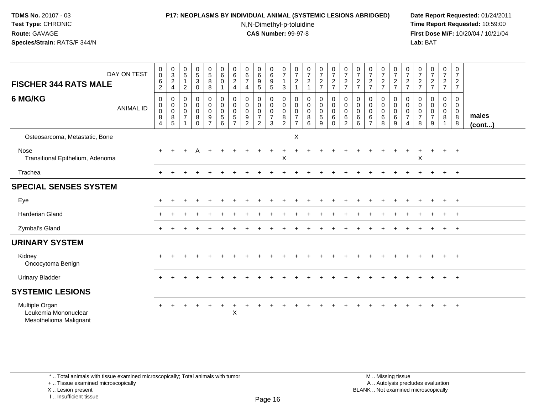### **P17: NEOPLASMS BY INDIVIDUAL ANIMAL (SYSTEMIC LESIONS ABRIDGED) Date Report Requested:** 01/24/2011

N,N-Dimethyl-p-toluidine

 **Time Report Requested:** 10:59:00 **First Dose M/F:** 10/20/04 / 10/21/04<br>**Lab:** BAT **Lab:** BAT

| DAY ON TEST<br><b>FISCHER 344 RATS MALE</b>                      | $\mathbf 0$<br>$\,0\,$<br>$\,6\,$<br>$\sqrt{2}$           | $\begin{array}{c} 0 \\ 3 \\ 2 \end{array}$<br>$\overline{\mathbf{4}}$ | $\pmb{0}$<br>$\sqrt{5}$<br>$\mathbf{1}$<br>$\boldsymbol{2}$ | $\begin{array}{c} 0 \\ 5 \end{array}$<br>$\mathbf{3}$<br>$\pmb{0}$ | $\begin{array}{c} 0 \\ 5 \\ 8 \end{array}$<br>8                | $\begin{array}{c} 0 \\ 6 \end{array}$<br>$\pmb{0}$                                | $062$<br>4                                                  | $\begin{array}{c} 0 \\ 6 \\ 7 \end{array}$<br>$\overline{\mathbf{4}}$       | $\begin{array}{c} 0 \\ 6 \end{array}$<br>9<br>5                             | 0<br>9<br>5                                             | $\frac{0}{7}$<br>$\mathbf{1}$<br>$\mathbf{3}$                | 0<br>$\boldsymbol{7}$<br>$\frac{2}{1}$          | $\frac{0}{7}$<br>$\frac{2}{1}$                        | $\begin{smallmatrix}0\\7\end{smallmatrix}$<br>$\frac{2}{7}$            | $\frac{0}{7}$<br>$\frac{2}{7}$                               | $\frac{0}{7}$<br>$\frac{2}{7}$                                               | $\frac{0}{7}$<br>$\frac{2}{7}$                  | $\begin{array}{c} 0 \\ 7 \end{array}$<br>$\frac{2}{7}$                  | $\frac{0}{7}$<br>$\frac{2}{7}$                                  | $\frac{0}{7}$<br>$\frac{2}{7}$                                  | 0<br>$\overline{7}$<br>$\frac{2}{7}$       | $\frac{0}{7}$<br>$\frac{2}{7}$     | $\frac{0}{7}$<br>$\frac{2}{7}$                            | 0<br>$\boldsymbol{7}$<br>$\frac{2}{7}$  | $\mathbf 0$<br>$\overline{7}$<br>$\frac{2}{7}$                |                 |
|------------------------------------------------------------------|-----------------------------------------------------------|-----------------------------------------------------------------------|-------------------------------------------------------------|--------------------------------------------------------------------|----------------------------------------------------------------|-----------------------------------------------------------------------------------|-------------------------------------------------------------|-----------------------------------------------------------------------------|-----------------------------------------------------------------------------|---------------------------------------------------------|--------------------------------------------------------------|-------------------------------------------------|-------------------------------------------------------|------------------------------------------------------------------------|--------------------------------------------------------------|------------------------------------------------------------------------------|-------------------------------------------------|-------------------------------------------------------------------------|-----------------------------------------------------------------|-----------------------------------------------------------------|--------------------------------------------|------------------------------------|-----------------------------------------------------------|-----------------------------------------|---------------------------------------------------------------|-----------------|
| 6 MG/KG<br><b>ANIMAL ID</b>                                      | 0<br>$\pmb{0}$<br>$\mathbf 0$<br>$\, 8$<br>$\overline{4}$ | 0<br>$\pmb{0}$<br>$\pmb{0}$<br>$\bf 8$<br>5                           | 0<br>$\boldsymbol{0}$<br>$\mathbf 0$<br>$\overline{7}$      | 0<br>$\mathbf 0$<br>0<br>8<br>$\Omega$                             | $\pmb{0}$<br>$\mathsf{O}\xspace$<br>$\pmb{0}$<br>$\frac{9}{7}$ | $\pmb{0}$<br>$\ddot{\mathbf{0}}$<br>$\pmb{0}$<br>$\overline{5}$<br>$6\phantom{1}$ | 0<br>$\pmb{0}$<br>$\pmb{0}$<br>$\sqrt{5}$<br>$\overline{7}$ | $\pmb{0}$<br>$\mathbf 0$<br>$\pmb{0}$<br>$\boldsymbol{9}$<br>$\overline{2}$ | 0<br>$\mathsf{O}\xspace$<br>$\mathbf 0$<br>$\overline{7}$<br>$\overline{2}$ | 0<br>$\overline{0}$ <sub>0</sub><br>$\overline{7}$<br>3 | 0<br>$\mathbf 0$<br>$\mathbf 0$<br>$\bf 8$<br>$\overline{2}$ | 0<br>0<br>0<br>$\overline{7}$<br>$\overline{7}$ | 0<br>$\begin{bmatrix} 0 \\ 0 \\ 8 \end{bmatrix}$<br>6 | 0<br>$\ddot{\mathbf{0}}$<br>$\pmb{0}$<br>$\mathbf 5$<br>$\overline{9}$ | 0<br>$\mathsf 0$<br>$\mathsf{O}\xspace$<br>$\,6$<br>$\Omega$ | 0<br>$\mathsf{O}\xspace$<br>$\mathsf{O}\xspace$<br>$\,6\,$<br>$\overline{2}$ | 0<br>$\mathbf 0$<br>$\mathsf 0$<br>$\,6\,$<br>6 | 0<br>$\mathsf{O}\xspace$<br>$\overline{0}$<br>$\,6\,$<br>$\overline{7}$ | 0<br>$\ddot{\mathbf{0}}$<br>$\ddot{\mathbf{0}}$<br>$\,6\,$<br>8 | 0<br>$\mathsf{O}\xspace$<br>$\ddot{\mathbf{0}}$<br>$\,6\,$<br>9 | 0<br>0<br>$\pmb{0}$<br>$\overline{7}$<br>4 | 0<br>0<br>0<br>$\overline{7}$<br>8 | 0<br>$\boldsymbol{0}$<br>$\pmb{0}$<br>$\overline{7}$<br>9 | 0<br>$\overline{0}$<br>$\mathbf 0$<br>8 | $\mathbf 0$<br>$\mathbf 0$<br>$\overline{0}$<br>$\frac{8}{8}$ | males<br>(cont) |
| Osteosarcoma, Metastatic, Bone                                   |                                                           |                                                                       |                                                             |                                                                    |                                                                |                                                                                   |                                                             |                                                                             |                                                                             |                                                         |                                                              | X                                               |                                                       |                                                                        |                                                              |                                                                              |                                                 |                                                                         |                                                                 |                                                                 |                                            |                                    |                                                           |                                         |                                                               |                 |
| Nose<br>Transitional Epithelium, Adenoma                         |                                                           |                                                                       |                                                             |                                                                    |                                                                |                                                                                   |                                                             |                                                                             |                                                                             |                                                         | X                                                            |                                                 |                                                       |                                                                        |                                                              |                                                                              |                                                 |                                                                         |                                                                 |                                                                 |                                            | X                                  | ÷                                                         | $+$                                     | $+$                                                           |                 |
| Trachea                                                          | $\div$                                                    |                                                                       |                                                             |                                                                    |                                                                |                                                                                   |                                                             |                                                                             |                                                                             |                                                         |                                                              |                                                 |                                                       |                                                                        |                                                              |                                                                              |                                                 |                                                                         |                                                                 |                                                                 |                                            |                                    |                                                           | $\ddot{}$                               | $+$                                                           |                 |
| <b>SPECIAL SENSES SYSTEM</b>                                     |                                                           |                                                                       |                                                             |                                                                    |                                                                |                                                                                   |                                                             |                                                                             |                                                                             |                                                         |                                                              |                                                 |                                                       |                                                                        |                                                              |                                                                              |                                                 |                                                                         |                                                                 |                                                                 |                                            |                                    |                                                           |                                         |                                                               |                 |
| Eye                                                              |                                                           |                                                                       |                                                             |                                                                    |                                                                |                                                                                   |                                                             |                                                                             |                                                                             |                                                         |                                                              |                                                 |                                                       |                                                                        |                                                              |                                                                              |                                                 |                                                                         |                                                                 |                                                                 |                                            |                                    |                                                           |                                         | $+$                                                           |                 |
| <b>Harderian Gland</b>                                           |                                                           |                                                                       |                                                             |                                                                    |                                                                |                                                                                   |                                                             |                                                                             |                                                                             |                                                         |                                                              |                                                 |                                                       |                                                                        |                                                              |                                                                              |                                                 |                                                                         |                                                                 |                                                                 |                                            |                                    |                                                           |                                         | $+$                                                           |                 |
| Zymbal's Gland                                                   | $+$                                                       |                                                                       |                                                             |                                                                    |                                                                |                                                                                   |                                                             |                                                                             |                                                                             |                                                         |                                                              |                                                 |                                                       |                                                                        |                                                              |                                                                              |                                                 |                                                                         |                                                                 |                                                                 |                                            |                                    |                                                           | $\ddot{}$                               | $+$                                                           |                 |
| <b>URINARY SYSTEM</b>                                            |                                                           |                                                                       |                                                             |                                                                    |                                                                |                                                                                   |                                                             |                                                                             |                                                                             |                                                         |                                                              |                                                 |                                                       |                                                                        |                                                              |                                                                              |                                                 |                                                                         |                                                                 |                                                                 |                                            |                                    |                                                           |                                         |                                                               |                 |
| Kidney<br>Oncocytoma Benign                                      |                                                           |                                                                       |                                                             |                                                                    |                                                                |                                                                                   |                                                             |                                                                             |                                                                             |                                                         |                                                              |                                                 |                                                       |                                                                        |                                                              |                                                                              |                                                 |                                                                         |                                                                 |                                                                 |                                            |                                    |                                                           |                                         | $+$                                                           |                 |
| <b>Urinary Bladder</b>                                           |                                                           |                                                                       |                                                             |                                                                    |                                                                |                                                                                   |                                                             |                                                                             |                                                                             |                                                         |                                                              |                                                 |                                                       |                                                                        |                                                              |                                                                              |                                                 |                                                                         |                                                                 |                                                                 |                                            |                                    |                                                           | $+$                                     | $+$                                                           |                 |
| <b>SYSTEMIC LESIONS</b>                                          |                                                           |                                                                       |                                                             |                                                                    |                                                                |                                                                                   |                                                             |                                                                             |                                                                             |                                                         |                                                              |                                                 |                                                       |                                                                        |                                                              |                                                                              |                                                 |                                                                         |                                                                 |                                                                 |                                            |                                    |                                                           |                                         |                                                               |                 |
| Multiple Organ<br>Leukemia Mononuclear<br>Mesothelioma Malignant |                                                           |                                                                       |                                                             |                                                                    |                                                                | $\ddot{}$                                                                         | $\mathsf X$                                                 |                                                                             |                                                                             |                                                         |                                                              |                                                 |                                                       |                                                                        |                                                              |                                                                              |                                                 |                                                                         |                                                                 |                                                                 |                                            |                                    |                                                           |                                         | $+$                                                           |                 |

\* .. Total animals with tissue examined microscopically; Total animals with tumor

+ .. Tissue examined microscopically

X .. Lesion present

I .. Insufficient tissue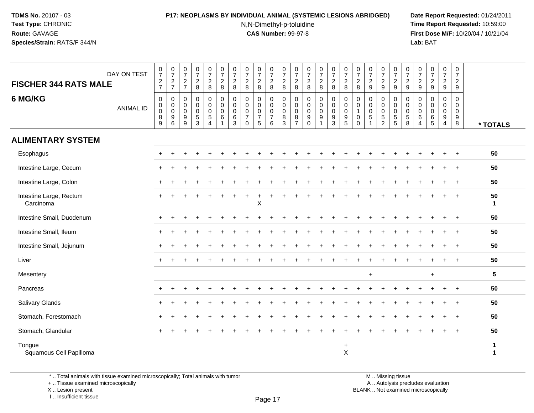# **P17: NEOPLASMS BY INDIVIDUAL ANIMAL (SYSTEMIC LESIONS ABRIDGED) Date Report Requested:** 01/24/2011

N,N-Dimethyl-p-toluidine

 **Time Report Requested:** 10:59:00 **First Dose M/F:** 10/20/04 / 10/21/04<br>**Lab:** BAT **Lab:** BAT

| <b>FISCHER 344 RATS MALE</b>         | DAY ON TEST      | $\frac{0}{7}$<br>$\frac{2}{7}$                                   | $\frac{0}{7}$<br>$\frac{2}{7}$        | $\frac{0}{7}$<br>$\frac{2}{7}$                 | $\begin{array}{c} 0 \\ 7 \end{array}$<br>$_{\rm 8}^2$  | $\begin{array}{c} 0 \\ 7 \end{array}$<br>$\frac{2}{8}$ | $\begin{array}{c} 0 \\ 7 \end{array}$<br>$\overline{c}$<br>$\,8\,$ | $\frac{0}{7}$<br>$\overline{c}$<br>8 | 0<br>$\overline{7}$<br>$\overline{2}$<br>$\bf 8$       | $\frac{0}{7}$<br>$\boldsymbol{2}$<br>$\,8\,$         | $\frac{0}{7}$<br>$_{\rm 8}^2$                                    | $\begin{array}{c} 0 \\ 7 \end{array}$<br>$\overline{c}$<br>8    | $\frac{0}{7}$<br>$\overline{c}$<br>8 | $\frac{0}{7}$<br>$\overline{a}$<br>8      | $\frac{0}{7}$<br>$\overline{a}$<br>8 | $\begin{array}{c} 0 \\ 7 \end{array}$<br>$\frac{2}{8}$ | $\frac{0}{7}$<br>$\overline{c}$<br>8                                   | $\frac{0}{7}$<br>$\overline{c}$<br>8 | $\frac{0}{7}$<br>$\overline{a}$<br>9     | $\frac{0}{7}$<br>$\overline{c}$<br>9 | $\frac{0}{7}$<br>$\frac{2}{9}$                                           | $\boldsymbol{0}$<br>$\boldsymbol{7}$<br>$\frac{2}{9}$ | $\pmb{0}$<br>$\overline{7}$<br>$\overline{c}$<br>9 | $\begin{smallmatrix} 0\\7 \end{smallmatrix}$<br>$\overline{c}$<br>9 | $\frac{0}{7}$<br>$\overline{c}$<br>$9\,$                       | $\begin{array}{c} 0 \\ 7 \end{array}$<br>$\overline{c}$<br>9 |                   |
|--------------------------------------|------------------|------------------------------------------------------------------|---------------------------------------|------------------------------------------------|--------------------------------------------------------|--------------------------------------------------------|--------------------------------------------------------------------|--------------------------------------|--------------------------------------------------------|------------------------------------------------------|------------------------------------------------------------------|-----------------------------------------------------------------|--------------------------------------|-------------------------------------------|--------------------------------------|--------------------------------------------------------|------------------------------------------------------------------------|--------------------------------------|------------------------------------------|--------------------------------------|--------------------------------------------------------------------------|-------------------------------------------------------|----------------------------------------------------|---------------------------------------------------------------------|----------------------------------------------------------------|--------------------------------------------------------------|-------------------|
| 6 MG/KG                              | <b>ANIMAL ID</b> | $\mathbf 0$<br>$\mathbf 0$<br>$\pmb{0}$<br>8<br>$\boldsymbol{9}$ | 0<br>$\pmb{0}$<br>$\pmb{0}$<br>9<br>6 | 0<br>$\mathbf 0$<br>$\boldsymbol{0}$<br>9<br>9 | $\mathbf 0$<br>$\pmb{0}$<br>$\pmb{0}$<br>$\frac{5}{3}$ | 0<br>0<br>$\mathbf 0$<br>$\,$ 5 $\,$<br>$\overline{4}$ | 0<br>$\pmb{0}$<br>$\mathbf 0$<br>$\,6$<br>1                        | 0<br>0<br>0<br>6<br>$\mathbf{3}$     | $\mathbf 0$<br>0<br>0<br>$\overline{7}$<br>$\mathbf 0$ | 0<br>$\mathbf 0$<br>$\pmb{0}$<br>$\overline{7}$<br>5 | 0<br>$\boldsymbol{0}$<br>$\boldsymbol{0}$<br>$\overline{7}$<br>6 | 0<br>$\mathsf 0$<br>$\boldsymbol{0}$<br>$\,8\,$<br>$\mathbf{3}$ | 0<br>0<br>0<br>8<br>$\overline{7}$   | 0<br>$\mathbf 0$<br>0<br>9<br>$\mathbf 0$ | 0<br>$\pmb{0}$<br>$\pmb{0}$<br>9     | 0<br>$\mathbf 0$<br>$\mathbf 0$<br>$\frac{9}{3}$       | 0<br>$\mathbf 0$<br>$\pmb{0}$<br>$\begin{array}{c} 9 \\ 5 \end{array}$ | 0<br>$\mathbf 0$<br>0<br>$\mathbf 0$ | 0<br>$\mathbf 0$<br>0<br>$\sqrt{5}$<br>1 | 0<br>0<br>$\pmb{0}$<br>$\frac{5}{2}$ | 0<br>$\mathbf 0$<br>$\mathbf 0$<br>$\begin{array}{c} 5 \\ 5 \end{array}$ | 0<br>$\mathbf 0$<br>$\mathbf 0$<br>$\sqrt{5}$<br>8    | 0<br>$\mathbf 0$<br>0<br>6<br>$\overline{4}$       | $\mathbf 0$<br>$\mathbf 0$<br>0<br>6<br>5                           | 0<br>$\mathsf 0$<br>$\mathsf{O}\xspace$<br>9<br>$\overline{4}$ | 0<br>0<br>$\mathbf 0$<br>9<br>8                              | * TOTALS          |
| <b>ALIMENTARY SYSTEM</b>             |                  |                                                                  |                                       |                                                |                                                        |                                                        |                                                                    |                                      |                                                        |                                                      |                                                                  |                                                                 |                                      |                                           |                                      |                                                        |                                                                        |                                      |                                          |                                      |                                                                          |                                                       |                                                    |                                                                     |                                                                |                                                              |                   |
| Esophagus                            |                  |                                                                  |                                       |                                                |                                                        |                                                        |                                                                    |                                      |                                                        |                                                      |                                                                  |                                                                 |                                      |                                           |                                      |                                                        |                                                                        |                                      |                                          |                                      |                                                                          |                                                       |                                                    |                                                                     | $\div$                                                         | $\ddot{}$                                                    | 50                |
| Intestine Large, Cecum               |                  |                                                                  |                                       |                                                |                                                        |                                                        |                                                                    |                                      |                                                        |                                                      |                                                                  |                                                                 |                                      |                                           |                                      |                                                        |                                                                        |                                      |                                          |                                      |                                                                          |                                                       |                                                    |                                                                     | $\div$                                                         | $\ddot{}$                                                    | 50                |
| Intestine Large, Colon               |                  |                                                                  |                                       |                                                |                                                        |                                                        |                                                                    |                                      |                                                        |                                                      |                                                                  |                                                                 |                                      |                                           |                                      |                                                        |                                                                        |                                      |                                          |                                      |                                                                          |                                                       |                                                    |                                                                     |                                                                | $\ddot{}$                                                    | 50                |
| Intestine Large, Rectum<br>Carcinoma |                  |                                                                  |                                       |                                                |                                                        |                                                        |                                                                    |                                      |                                                        | $\mathsf{X}$                                         |                                                                  |                                                                 |                                      |                                           |                                      |                                                        |                                                                        |                                      |                                          |                                      |                                                                          |                                                       |                                                    |                                                                     |                                                                |                                                              | 50<br>$\mathbf 1$ |
| Intestine Small, Duodenum            |                  |                                                                  |                                       |                                                |                                                        |                                                        |                                                                    |                                      |                                                        |                                                      |                                                                  |                                                                 |                                      |                                           |                                      |                                                        |                                                                        |                                      |                                          |                                      |                                                                          |                                                       |                                                    |                                                                     |                                                                | $\ddot{}$                                                    | 50                |
| Intestine Small, Ileum               |                  |                                                                  |                                       |                                                |                                                        |                                                        |                                                                    |                                      |                                                        |                                                      |                                                                  |                                                                 |                                      |                                           |                                      |                                                        |                                                                        |                                      |                                          |                                      |                                                                          |                                                       |                                                    |                                                                     |                                                                | $\ddot{}$                                                    | 50                |
| Intestine Small, Jejunum             |                  |                                                                  |                                       |                                                |                                                        |                                                        |                                                                    |                                      |                                                        |                                                      |                                                                  |                                                                 |                                      |                                           |                                      |                                                        |                                                                        |                                      |                                          |                                      |                                                                          |                                                       |                                                    |                                                                     |                                                                | $\ddot{}$                                                    | 50                |
| Liver                                |                  |                                                                  |                                       |                                                |                                                        |                                                        |                                                                    |                                      |                                                        |                                                      |                                                                  |                                                                 |                                      |                                           |                                      |                                                        |                                                                        |                                      |                                          |                                      |                                                                          |                                                       |                                                    |                                                                     |                                                                |                                                              | 50                |
| Mesentery                            |                  |                                                                  |                                       |                                                |                                                        |                                                        |                                                                    |                                      |                                                        |                                                      |                                                                  |                                                                 |                                      |                                           |                                      |                                                        |                                                                        |                                      | $\ddot{}$                                |                                      |                                                                          |                                                       |                                                    | $\ddot{}$                                                           |                                                                |                                                              | $5\phantom{.0}$   |
| Pancreas                             |                  |                                                                  |                                       |                                                |                                                        |                                                        |                                                                    |                                      |                                                        |                                                      |                                                                  |                                                                 |                                      |                                           |                                      |                                                        |                                                                        |                                      |                                          |                                      |                                                                          |                                                       |                                                    |                                                                     | $\div$                                                         | $^{+}$                                                       | 50                |
| Salivary Glands                      |                  |                                                                  |                                       |                                                |                                                        |                                                        |                                                                    |                                      |                                                        |                                                      |                                                                  |                                                                 |                                      |                                           |                                      |                                                        |                                                                        |                                      |                                          |                                      |                                                                          |                                                       |                                                    |                                                                     |                                                                | $\ddot{}$                                                    | 50                |
| Stomach, Forestomach                 |                  |                                                                  |                                       |                                                |                                                        |                                                        |                                                                    |                                      |                                                        |                                                      |                                                                  |                                                                 |                                      |                                           |                                      |                                                        |                                                                        |                                      |                                          |                                      |                                                                          |                                                       |                                                    |                                                                     |                                                                | $\ddot{}$                                                    | 50                |
| Stomach, Glandular                   |                  |                                                                  |                                       |                                                |                                                        |                                                        |                                                                    |                                      |                                                        |                                                      |                                                                  |                                                                 |                                      |                                           |                                      |                                                        |                                                                        |                                      |                                          |                                      |                                                                          |                                                       |                                                    |                                                                     |                                                                |                                                              | 50                |
| Tongue<br>Squamous Cell Papilloma    |                  |                                                                  |                                       |                                                |                                                        |                                                        |                                                                    |                                      |                                                        |                                                      |                                                                  |                                                                 |                                      |                                           |                                      |                                                        | $\ddot{}$<br>$\mathsf X$                                               |                                      |                                          |                                      |                                                                          |                                                       |                                                    |                                                                     |                                                                |                                                              | 1<br>1            |

\* .. Total animals with tissue examined microscopically; Total animals with tumor

+ .. Tissue examined microscopically

X .. Lesion present

I .. Insufficient tissue

M .. Missing tissue y the contract of the contract of the contract of the contract of the contract of  $\mathsf A$  . Autolysis precludes evaluation

Lesion present BLANK .. Not examined microscopically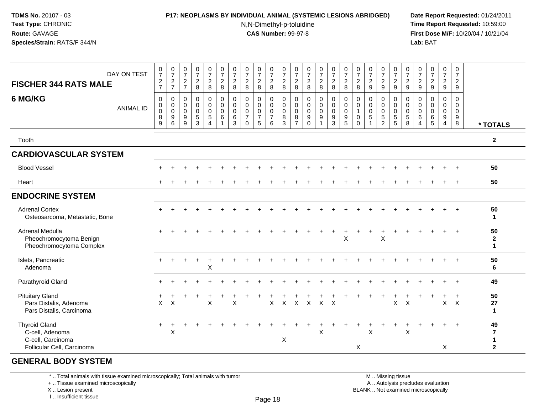### **P17: NEOPLASMS BY INDIVIDUAL ANIMAL (SYSTEMIC LESIONS ABRIDGED) Date Report Requested:** 01/24/2011

N,N-Dimethyl-p-toluidine

 **Time Report Requested:** 10:59:00 **First Dose M/F:** 10/20/04 / 10/21/04<br>**Lab:** BAT **Lab:** BAT

| DAY ON TEST<br><b>FISCHER 344 RATS MALE</b>                                                | $\frac{0}{7}$<br>$\frac{2}{7}$                               | $\frac{0}{7}$<br>$\sqrt{2}$<br>$\overline{7}$                    | $\frac{0}{7}$<br>$\overline{c}$<br>$\overline{7}$        | $\frac{0}{7}$<br>$\overline{a}$<br>8                  | $\begin{matrix} 0 \\ 7 \\ 2 \end{matrix}$<br>8                           | $\frac{0}{7}$<br>$\sqrt{2}$<br>$\,8\,$                           | $\frac{0}{7}$<br>$\sqrt{2}$<br>8 | $\frac{0}{7}$<br>$\overline{2}$<br>8                                         | $\frac{0}{7}$<br>$\overline{a}$<br>8         | $\begin{array}{c} 0 \\ 7 \\ 2 \end{array}$<br>8        | $\frac{0}{7}$<br>$\sqrt{2}$<br>8                                     | $\frac{0}{7}$<br>$\overline{c}$<br>8                           | $\frac{0}{7}$<br>$\sqrt{2}$<br>8                                | $\frac{0}{7}$<br>$\overline{2}$<br>8                                | $\begin{array}{c} 0 \\ 7 \\ 2 \end{array}$<br>8   | $\begin{array}{c} 0 \\ 7 \\ 2 \end{array}$<br>8                             | $\frac{0}{7}$<br>$\sqrt{2}$<br>8                                            | $\frac{0}{7}$<br>$\sqrt{2}$<br>9                           | $\frac{0}{7}$<br>$\overline{2}$<br>$\boldsymbol{9}$    | $\begin{matrix} 0 \\ 7 \\ 2 \end{matrix}$<br>$\boldsymbol{9}$    | $\frac{0}{7}$<br>$\sqrt{2}$<br>9                                 | $\frac{0}{7}$<br>$\sqrt{2}$<br>9   | $\frac{0}{7}$<br>$\sqrt{2}$<br>$9\,$                                   | $\frac{0}{7}$<br>$\sqrt{2}$<br>9                                                   | 0<br>$\overline{7}$<br>$\overline{2}$<br>9 |                                          |
|--------------------------------------------------------------------------------------------|--------------------------------------------------------------|------------------------------------------------------------------|----------------------------------------------------------|-------------------------------------------------------|--------------------------------------------------------------------------|------------------------------------------------------------------|----------------------------------|------------------------------------------------------------------------------|----------------------------------------------|--------------------------------------------------------|----------------------------------------------------------------------|----------------------------------------------------------------|-----------------------------------------------------------------|---------------------------------------------------------------------|---------------------------------------------------|-----------------------------------------------------------------------------|-----------------------------------------------------------------------------|------------------------------------------------------------|--------------------------------------------------------|------------------------------------------------------------------|------------------------------------------------------------------|------------------------------------|------------------------------------------------------------------------|------------------------------------------------------------------------------------|--------------------------------------------|------------------------------------------|
| 6 MG/KG<br><b>ANIMAL ID</b>                                                                | $\mathbf 0$<br>$\boldsymbol{0}$<br>$\pmb{0}$<br>$\bf 8$<br>9 | $\mathbf 0$<br>$\pmb{0}$<br>$\mathbf 0$<br>$\boldsymbol{9}$<br>6 | 0<br>$\mathbf 0$<br>$\mathbf 0$<br>$\boldsymbol{9}$<br>9 | 0<br>$\boldsymbol{0}$<br>$\mathbf 0$<br>$\frac{5}{3}$ | $\pmb{0}$<br>$\mathbf 0$<br>$\mathbf 0$<br>$\,$ 5 $\,$<br>$\overline{4}$ | $\pmb{0}$<br>$\pmb{0}$<br>$\pmb{0}$<br>$\,6\,$<br>$\overline{1}$ | 0<br>$\mathbf 0$<br>0<br>6<br>3  | $\mathbf 0$<br>$\boldsymbol{0}$<br>$\mathbf 0$<br>$\overline{7}$<br>$\Omega$ | 0<br>$\mathbf 0$<br>0<br>$\overline{7}$<br>5 | 0<br>$\mathsf 0$<br>$\mathsf 0$<br>$\overline{7}$<br>6 | $\mathbf 0$<br>$\pmb{0}$<br>$\mathbf 0$<br>$\bf 8$<br>$\overline{3}$ | $\mathbf 0$<br>$\pmb{0}$<br>$\mathbf 0$<br>8<br>$\overline{7}$ | $\pmb{0}$<br>$\mathbf 0$<br>$\mathbf 0$<br>$9\,$<br>$\mathbf 0$ | 0<br>$\mathsf{O}\xspace$<br>$\mathsf{O}\xspace$<br>$\boldsymbol{9}$ | 0<br>$\overline{0}$<br>$\pmb{0}$<br>$\frac{9}{3}$ | $\mathbf 0$<br>$\pmb{0}$<br>$\pmb{0}$<br>$\boldsymbol{9}$<br>$\overline{5}$ | $\mathbf 0$<br>$\mathbf 0$<br>$\overline{1}$<br>$\mathbf 0$<br>$\mathbf{0}$ | $\pmb{0}$<br>$\mathbf 0$<br>$\mathbf 0$<br>$\sqrt{5}$<br>1 | 0<br>$\mathbf 0$<br>$\mathbf 0$<br>5<br>$\overline{2}$ | $_{\rm 0}^{\rm 0}$<br>$\begin{array}{c} 0 \\ 5 \\ 5 \end{array}$ | $\mathbf 0$<br>$\pmb{0}$<br>$\pmb{0}$<br>$5\,$<br>$\overline{8}$ | 0<br>0<br>0<br>6<br>$\overline{4}$ | $\mathbf 0$<br>$\mathbf 0$<br>$\mathbf 0$<br>$\,6\,$<br>$\overline{5}$ | $\mathbf 0$<br>$\pmb{0}$<br>$\boldsymbol{0}$<br>$\boldsymbol{9}$<br>$\overline{4}$ | 0<br>$\mathbf 0$<br>$\mathbf 0$<br>9<br>8  | * TOTALS                                 |
| Tooth                                                                                      |                                                              |                                                                  |                                                          |                                                       |                                                                          |                                                                  |                                  |                                                                              |                                              |                                                        |                                                                      |                                                                |                                                                 |                                                                     |                                                   |                                                                             |                                                                             |                                                            |                                                        |                                                                  |                                                                  |                                    |                                                                        |                                                                                    |                                            | $\mathbf{2}$                             |
| <b>CARDIOVASCULAR SYSTEM</b>                                                               |                                                              |                                                                  |                                                          |                                                       |                                                                          |                                                                  |                                  |                                                                              |                                              |                                                        |                                                                      |                                                                |                                                                 |                                                                     |                                                   |                                                                             |                                                                             |                                                            |                                                        |                                                                  |                                                                  |                                    |                                                                        |                                                                                    |                                            |                                          |
| <b>Blood Vessel</b>                                                                        |                                                              |                                                                  |                                                          |                                                       |                                                                          |                                                                  |                                  |                                                                              |                                              |                                                        |                                                                      |                                                                |                                                                 |                                                                     |                                                   |                                                                             |                                                                             |                                                            |                                                        |                                                                  |                                                                  |                                    |                                                                        |                                                                                    |                                            | 50                                       |
| Heart                                                                                      |                                                              |                                                                  |                                                          |                                                       |                                                                          |                                                                  |                                  |                                                                              |                                              |                                                        |                                                                      |                                                                |                                                                 |                                                                     |                                                   |                                                                             |                                                                             |                                                            |                                                        |                                                                  |                                                                  |                                    |                                                                        |                                                                                    |                                            | 50                                       |
| <b>ENDOCRINE SYSTEM</b>                                                                    |                                                              |                                                                  |                                                          |                                                       |                                                                          |                                                                  |                                  |                                                                              |                                              |                                                        |                                                                      |                                                                |                                                                 |                                                                     |                                                   |                                                                             |                                                                             |                                                            |                                                        |                                                                  |                                                                  |                                    |                                                                        |                                                                                    |                                            |                                          |
| <b>Adrenal Cortex</b><br>Osteosarcoma, Metastatic, Bone                                    |                                                              |                                                                  |                                                          |                                                       |                                                                          |                                                                  |                                  |                                                                              |                                              |                                                        |                                                                      |                                                                |                                                                 |                                                                     |                                                   |                                                                             |                                                                             |                                                            |                                                        |                                                                  |                                                                  |                                    |                                                                        |                                                                                    |                                            | 50<br>$\mathbf{1}$                       |
| Adrenal Medulla<br>Pheochromocytoma Benign<br>Pheochromocytoma Complex                     |                                                              |                                                                  |                                                          |                                                       |                                                                          |                                                                  |                                  |                                                                              |                                              |                                                        |                                                                      |                                                                |                                                                 |                                                                     |                                                   | X                                                                           |                                                                             |                                                            | X                                                      |                                                                  |                                                                  |                                    |                                                                        |                                                                                    |                                            | 50<br>$\boldsymbol{2}$<br>$\mathbf{1}$   |
| Islets, Pancreatic<br>Adenoma                                                              |                                                              |                                                                  |                                                          |                                                       | X                                                                        |                                                                  |                                  |                                                                              |                                              |                                                        |                                                                      |                                                                |                                                                 |                                                                     |                                                   |                                                                             |                                                                             |                                                            |                                                        |                                                                  |                                                                  |                                    |                                                                        |                                                                                    |                                            | 50<br>6                                  |
| Parathyroid Gland                                                                          |                                                              |                                                                  |                                                          |                                                       |                                                                          |                                                                  |                                  |                                                                              |                                              |                                                        |                                                                      |                                                                |                                                                 |                                                                     |                                                   |                                                                             |                                                                             |                                                            |                                                        |                                                                  |                                                                  |                                    |                                                                        |                                                                                    |                                            | 49                                       |
| <b>Pituitary Gland</b><br>Pars Distalis, Adenoma<br>Pars Distalis, Carcinoma               | X                                                            | $\pmb{\times}$                                                   |                                                          |                                                       | $\pmb{\times}$                                                           |                                                                  | Χ                                |                                                                              |                                              | X                                                      | $\mathsf{X}^-$                                                       |                                                                | $X$ $X$                                                         | $X$ $X$                                                             |                                                   |                                                                             |                                                                             |                                                            |                                                        | $\mathsf X$                                                      | $\boldsymbol{\mathsf{X}}$                                        |                                    |                                                                        | $\mathsf{X}$                                                                       | $\mathsf{X}$                               | 50<br>27<br>$\mathbf{1}$                 |
| <b>Thyroid Gland</b><br>C-cell, Adenoma<br>C-cell, Carcinoma<br>Follicular Cell, Carcinoma | $\ddot{}$                                                    | $\pmb{\times}$                                                   |                                                          |                                                       |                                                                          |                                                                  |                                  |                                                                              |                                              |                                                        | X                                                                    |                                                                |                                                                 | Χ                                                                   |                                                   |                                                                             | X                                                                           | X                                                          |                                                        |                                                                  | X                                                                |                                    |                                                                        | X                                                                                  |                                            | 49<br>7<br>$\mathbf 1$<br>$\overline{2}$ |

### **GENERAL BODY SYSTEM**

\* .. Total animals with tissue examined microscopically; Total animals with tumor

+ .. Tissue examined microscopically

X .. Lesion present

I .. Insufficient tissue

M .. Missing tissue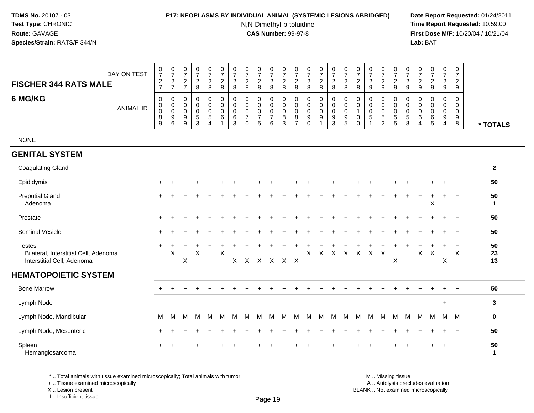### **P17: NEOPLASMS BY INDIVIDUAL ANIMAL (SYSTEMIC LESIONS ABRIDGED) Date Report Requested:** 01/24/2011

N,N-Dimethyl-p-toluidine

 **Time Report Requested:** 10:59:00 **First Dose M/F:** 10/20/04 / 10/21/04<br>**Lab:** BAT **Lab:** BAT

| DAY ON TEST<br><b>FISCHER 344 RATS MALE</b>                                          | $\frac{0}{7}$<br>$\frac{2}{7}$                           | $\begin{array}{c} 0 \\ 7 \end{array}$<br>$\frac{2}{7}$ | $\frac{0}{7}$<br>$\sqrt{2}$<br>$\overline{7}$ | $\frac{0}{7}$<br>$\frac{2}{8}$                              | $\begin{array}{c} 0 \\ 7 \end{array}$<br>$\frac{2}{8}$                  | $\begin{array}{c} 0 \\ 7 \end{array}$<br>$\overline{2}$<br>$\overline{8}$ | $\frac{0}{7}$<br>$\overline{c}$<br>8      | $\frac{0}{7}$<br>$\boldsymbol{2}$<br>8                         | $\frac{0}{7}$<br>$\overline{2}$<br>8       | $\begin{array}{c} 0 \\ 7 \end{array}$<br>$_{\rm 8}^2$ | $\frac{0}{7}$<br>$\frac{2}{8}$                                         | $\pmb{0}$<br>$\overline{7}$<br>$\frac{2}{8}$                     | $\frac{0}{7}$<br>$_{\rm 8}^2$                               | $\frac{0}{7}$<br>$\overline{a}$<br>$\overline{8}$     | $\begin{array}{c} 0 \\ 7 \end{array}$<br>$\frac{2}{8}$                 | $\frac{0}{7}$<br>$\sqrt{2}$<br>$\overline{8}$                        | 0<br>$\overline{7}$<br>$\overline{2}$<br>8           | $\frac{0}{7}$<br>$\overline{2}$<br>9               | $\frac{0}{7}$<br>$\overline{a}$<br>9             | $\begin{array}{c} 0 \\ 7 \end{array}$<br>$\frac{2}{9}$  | $\frac{0}{7}$<br>$\frac{2}{9}$         | 0<br>$\overline{7}$<br>$\frac{2}{9}$ | $\begin{array}{c} 0 \\ 7 \end{array}$<br>$\overline{2}$<br>$\overline{9}$ | $\frac{0}{7}$<br>$\frac{2}{9}$               | $\begin{array}{c} 0 \\ 7 \end{array}$<br>$\overline{2}$<br>9       |                    |
|--------------------------------------------------------------------------------------|----------------------------------------------------------|--------------------------------------------------------|-----------------------------------------------|-------------------------------------------------------------|-------------------------------------------------------------------------|---------------------------------------------------------------------------|-------------------------------------------|----------------------------------------------------------------|--------------------------------------------|-------------------------------------------------------|------------------------------------------------------------------------|------------------------------------------------------------------|-------------------------------------------------------------|-------------------------------------------------------|------------------------------------------------------------------------|----------------------------------------------------------------------|------------------------------------------------------|----------------------------------------------------|--------------------------------------------------|---------------------------------------------------------|----------------------------------------|--------------------------------------|---------------------------------------------------------------------------|----------------------------------------------|--------------------------------------------------------------------|--------------------|
| 6 MG/KG<br><b>ANIMAL ID</b>                                                          | $\pmb{0}$<br>$\pmb{0}$<br>$\overline{0}$<br>$\bf 8$<br>9 | 0<br>0<br>$\mathsf{O}\xspace$<br>9<br>6                | 0<br>0<br>$\mathbf 0$<br>9<br>9               | $\pmb{0}$<br>0<br>$\mathbf 0$<br>$\sqrt{5}$<br>$\mathbf{3}$ | $\mathbf 0$<br>$\mathbf 0$<br>$\pmb{0}$<br>$\sqrt{5}$<br>$\overline{4}$ | $\mathsf 0$<br>$\mathbf 0$<br>$\mathbf 0$<br>6<br>$\mathbf{1}$            | 0<br>$\mathbf 0$<br>$\mathbf 0$<br>6<br>3 | 0<br>$\mathbf 0$<br>$\pmb{0}$<br>$\overline{7}$<br>$\mathbf 0$ | 0<br>0<br>$\pmb{0}$<br>$\overline{7}$<br>5 | 0<br>0<br>$\mathbf 0$<br>$\overline{7}$<br>6          | $\mathbf 0$<br>$\mathsf{O}\xspace$<br>$\mathbf 0$<br>8<br>$\mathbf{3}$ | $\mathbf 0$<br>$\mathbf 0$<br>$\mathbf 0$<br>8<br>$\overline{7}$ | $\pmb{0}$<br>$\mathbf 0$<br>$\mathbf 0$<br>9<br>$\mathbf 0$ | 0<br>0<br>$\boldsymbol{0}$<br>$9\,$<br>$\overline{ }$ | $\mathbf 0$<br>$\mathbf 0$<br>$\mathsf{O}\xspace$<br>9<br>$\mathbf{3}$ | $\mathbf 0$<br>$\mathbf 0$<br>$\ddot{\mathbf{0}}$<br>9<br>$\sqrt{5}$ | $\mathbf 0$<br>0<br>$\mathbf{1}$<br>0<br>$\mathbf 0$ | 0<br>$\mathbf 0$<br>$\mathbf 0$<br>$\sqrt{5}$<br>1 | 0<br>0<br>$\mathbf 0$<br>$5\,$<br>$\overline{2}$ | $\pmb{0}$<br>$\pmb{0}$<br>$\mathbf 0$<br>$\overline{5}$ | 0<br>0<br>$\pmb{0}$<br>$\sqrt{5}$<br>8 | 0<br>0<br>0<br>6<br>$\overline{4}$   | $\mathbf 0$<br>$\mathbf 0$<br>$\mathbf 0$<br>$\,6$<br>$\sqrt{5}$          | 0<br>0<br>$\mathbf 0$<br>9<br>$\overline{4}$ | $\mathbf 0$<br>$\mathbf 0$<br>$\mathsf 0$<br>$\boldsymbol{9}$<br>8 | * TOTALS           |
| <b>NONE</b>                                                                          |                                                          |                                                        |                                               |                                                             |                                                                         |                                                                           |                                           |                                                                |                                            |                                                       |                                                                        |                                                                  |                                                             |                                                       |                                                                        |                                                                      |                                                      |                                                    |                                                  |                                                         |                                        |                                      |                                                                           |                                              |                                                                    |                    |
| <b>GENITAL SYSTEM</b>                                                                |                                                          |                                                        |                                               |                                                             |                                                                         |                                                                           |                                           |                                                                |                                            |                                                       |                                                                        |                                                                  |                                                             |                                                       |                                                                        |                                                                      |                                                      |                                                    |                                                  |                                                         |                                        |                                      |                                                                           |                                              |                                                                    |                    |
| <b>Coagulating Gland</b>                                                             |                                                          |                                                        |                                               |                                                             |                                                                         |                                                                           |                                           |                                                                |                                            |                                                       |                                                                        |                                                                  |                                                             |                                                       |                                                                        |                                                                      |                                                      |                                                    |                                                  |                                                         |                                        |                                      |                                                                           |                                              |                                                                    | $\mathbf{2}$       |
| Epididymis                                                                           |                                                          |                                                        |                                               |                                                             |                                                                         |                                                                           |                                           |                                                                |                                            |                                                       |                                                                        |                                                                  |                                                             |                                                       |                                                                        |                                                                      |                                                      |                                                    |                                                  |                                                         |                                        |                                      |                                                                           |                                              |                                                                    | 50                 |
| <b>Preputial Gland</b><br>Adenoma                                                    |                                                          |                                                        |                                               |                                                             |                                                                         |                                                                           |                                           |                                                                |                                            |                                                       |                                                                        |                                                                  |                                                             |                                                       |                                                                        |                                                                      |                                                      |                                                    |                                                  |                                                         |                                        |                                      | X                                                                         | $\ddot{}$                                    | $\ddot{}$                                                          | 50<br>$\mathbf{1}$ |
| Prostate                                                                             |                                                          |                                                        |                                               |                                                             |                                                                         |                                                                           |                                           |                                                                |                                            |                                                       |                                                                        |                                                                  |                                                             |                                                       |                                                                        |                                                                      |                                                      |                                                    |                                                  |                                                         |                                        |                                      |                                                                           |                                              |                                                                    | 50                 |
| <b>Seminal Vesicle</b>                                                               |                                                          |                                                        |                                               |                                                             |                                                                         |                                                                           |                                           |                                                                |                                            |                                                       |                                                                        |                                                                  |                                                             |                                                       |                                                                        |                                                                      |                                                      |                                                    |                                                  |                                                         |                                        |                                      |                                                                           | $\div$                                       | $\ddot{}$                                                          | 50                 |
| <b>Testes</b><br>Bilateral, Interstitial Cell, Adenoma<br>Interstitial Cell, Adenoma |                                                          | X                                                      | X                                             | X                                                           |                                                                         | X                                                                         | $\mathsf{X}$                              | $\times$                                                       | $\boldsymbol{\mathsf{X}}$                  | $\mathsf{X}$                                          | X                                                                      | $\mathsf{X}$                                                     | X                                                           | $\mathsf{X}$                                          | $\mathsf{X}$                                                           | $\mathsf{X}$                                                         | X                                                    | X X                                                |                                                  | X                                                       |                                        | X                                    | X                                                                         | X                                            | $\ddot{}$<br>$\boldsymbol{\mathsf{X}}$                             | 50<br>23<br>13     |
| <b>HEMATOPOIETIC SYSTEM</b>                                                          |                                                          |                                                        |                                               |                                                             |                                                                         |                                                                           |                                           |                                                                |                                            |                                                       |                                                                        |                                                                  |                                                             |                                                       |                                                                        |                                                                      |                                                      |                                                    |                                                  |                                                         |                                        |                                      |                                                                           |                                              |                                                                    |                    |
| <b>Bone Marrow</b>                                                                   |                                                          |                                                        |                                               |                                                             |                                                                         |                                                                           |                                           |                                                                |                                            |                                                       |                                                                        |                                                                  |                                                             |                                                       |                                                                        |                                                                      |                                                      |                                                    |                                                  |                                                         |                                        |                                      |                                                                           |                                              |                                                                    | 50                 |
| Lymph Node                                                                           |                                                          |                                                        |                                               |                                                             |                                                                         |                                                                           |                                           |                                                                |                                            |                                                       |                                                                        |                                                                  |                                                             |                                                       |                                                                        |                                                                      |                                                      |                                                    |                                                  |                                                         |                                        |                                      |                                                                           | $\ddot{}$                                    |                                                                    | $\mathbf{3}$       |
| Lymph Node, Mandibular                                                               | M                                                        | M                                                      | М                                             | M                                                           | M                                                                       | M                                                                         | M                                         | M                                                              | M                                          | M                                                     | м                                                                      | M                                                                | M                                                           | M                                                     | M                                                                      | м                                                                    | м                                                    | M                                                  | M                                                | M                                                       | М                                      | M                                    | M                                                                         | M M                                          |                                                                    | $\mathbf 0$        |
| Lymph Node, Mesenteric                                                               |                                                          |                                                        |                                               |                                                             |                                                                         |                                                                           |                                           |                                                                |                                            |                                                       |                                                                        |                                                                  |                                                             |                                                       |                                                                        |                                                                      |                                                      |                                                    |                                                  |                                                         |                                        |                                      |                                                                           |                                              | $\ddot{}$                                                          | 50                 |
| Spleen<br>Hemangiosarcoma                                                            |                                                          |                                                        |                                               |                                                             |                                                                         |                                                                           |                                           |                                                                |                                            |                                                       |                                                                        |                                                                  |                                                             |                                                       |                                                                        |                                                                      |                                                      |                                                    |                                                  |                                                         |                                        |                                      |                                                                           |                                              | $\pm$                                                              | 50<br>$\mathbf{1}$ |

\* .. Total animals with tissue examined microscopically; Total animals with tumor

+ .. Tissue examined microscopically

X .. Lesion present

I .. Insufficient tissue

M .. Missing tissue y the contract of the contract of the contract of the contract of the contract of  $\mathsf A$  . Autolysis precludes evaluation

Lesion present BLANK .. Not examined microscopically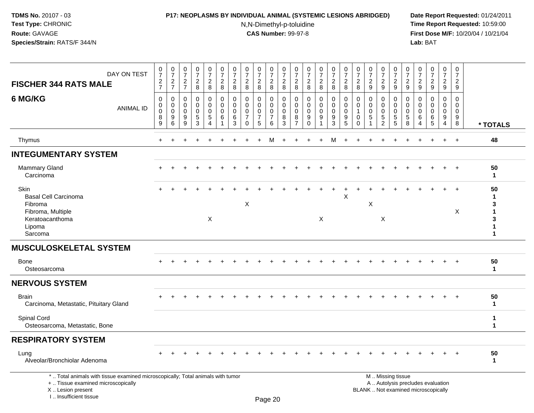### **P17: NEOPLASMS BY INDIVIDUAL ANIMAL (SYSTEMIC LESIONS ABRIDGED) Date Report Requested:** 01/24/2011

N,N-Dimethyl-p-toluidine

 **Time Report Requested:** 10:59:00 **First Dose M/F:** 10/20/04 / 10/21/04<br>**Lab:** BAT **Lab:** BAT

| DAY ON TEST<br><b>FISCHER 344 RATS MALE</b>                                                                                                                         | $\frac{0}{7}$<br>$\frac{2}{7}$         | $\begin{smallmatrix}0\\7\end{smallmatrix}$<br>$\frac{2}{7}$ | $\frac{0}{7}$<br>$\frac{2}{7}$      | $\frac{0}{7}$<br>$_{8}^{\rm 2}$                            | $\mathbf 0$<br>$\overline{7}$<br>$\frac{2}{8}$                            | $\frac{0}{7}$<br>$\frac{2}{8}$                                | $\frac{0}{7}$<br>$\frac{2}{8}$                   | $\frac{0}{7}$<br>$_{8}^{\rm 2}$                                         | $\frac{0}{7}$<br>$\overline{c}$<br>$\bf 8$                    | 0<br>$\boldsymbol{7}$<br>$\frac{2}{8}$                                 | $\frac{0}{7}$<br>$_{\rm 8}^2$                    | 0<br>$\overline{7}$<br>$\frac{2}{8}$                             | $\begin{smallmatrix}0\\7\end{smallmatrix}$<br>$\frac{2}{8}$ | $\frac{0}{7}$<br>$_{8}^{\rm 2}$      | $\frac{0}{7}$<br>$\frac{2}{8}$                           | $\frac{0}{7}$<br>$\boldsymbol{2}$<br>$\overline{8}$ | 0<br>$\overline{7}$<br>$\overline{c}$<br>8 | $\frac{0}{7}$<br>$\sqrt{2}$<br>$9\,$                       | $\frac{0}{7}$<br>$\frac{2}{9}$                                         | $\frac{0}{7}$<br>$\frac{2}{9}$                  | 0<br>$\overline{7}$<br>$\frac{2}{9}$ | 0<br>$\overline{7}$<br>$\frac{2}{9}$                            | $\frac{0}{7}$<br>$\frac{2}{9}$                                           | $\mathbf 0$<br>$\boldsymbol{7}$<br>$\frac{2}{9}$              | 0<br>$\overline{7}$<br>$\boldsymbol{2}$<br>9     |                                                        |
|---------------------------------------------------------------------------------------------------------------------------------------------------------------------|----------------------------------------|-------------------------------------------------------------|-------------------------------------|------------------------------------------------------------|---------------------------------------------------------------------------|---------------------------------------------------------------|--------------------------------------------------|-------------------------------------------------------------------------|---------------------------------------------------------------|------------------------------------------------------------------------|--------------------------------------------------|------------------------------------------------------------------|-------------------------------------------------------------|--------------------------------------|----------------------------------------------------------|-----------------------------------------------------|--------------------------------------------|------------------------------------------------------------|------------------------------------------------------------------------|-------------------------------------------------|--------------------------------------|-----------------------------------------------------------------|--------------------------------------------------------------------------|---------------------------------------------------------------|--------------------------------------------------|--------------------------------------------------------|
| 6 MG/KG<br><b>ANIMAL ID</b>                                                                                                                                         | $\Omega$<br>0<br>$\mathbf 0$<br>8<br>9 | $\Omega$<br>0<br>$\mathbf 0$<br>9<br>$6\phantom{1}$         | $\Omega$<br>0<br>$\Omega$<br>9<br>9 | $\Omega$<br>$\mathbf 0$<br>$\mathbf 0$<br>$\,$ 5 $\,$<br>3 | $\mathbf 0$<br>$\mathbf 0$<br>$\mathbf 0$<br>$\sqrt{5}$<br>$\overline{4}$ | $\Omega$<br>$\mathbf 0$<br>$\mathbf 0$<br>6<br>$\overline{1}$ | $\Omega$<br>$\mathbf 0$<br>$\mathbf 0$<br>6<br>3 | $\mathbf 0$<br>$\mathbf 0$<br>$\mathbf 0$<br>$\overline{7}$<br>$\Omega$ | $\Omega$<br>$\mathbf 0$<br>$\mathbf 0$<br>$\overline{7}$<br>5 | $\mathbf 0$<br>$\mathbf 0$<br>$\pmb{0}$<br>$\boldsymbol{7}$<br>$\,6\,$ | $\Omega$<br>$\mathbf 0$<br>$\mathbf 0$<br>8<br>3 | $\mathbf 0$<br>$\mathbf 0$<br>$\mathbf 0$<br>8<br>$\overline{7}$ | $\Omega$<br>$\Omega$<br>$\mathbf 0$<br>9<br>$\Omega$        | $\mathbf 0$<br>0<br>$\mathbf 0$<br>9 | $\mathbf 0$<br>0<br>$\mathbf 0$<br>$\boldsymbol{9}$<br>3 | $\Omega$<br>0<br>$\mathbf 0$<br>9<br>$\overline{5}$ | $\Omega$<br>0<br>$\mathbf 0$<br>$\Omega$   | $\Omega$<br>$\mathbf 0$<br>$\mathbf 0$<br>$\sqrt{5}$<br>-1 | $\Omega$<br>$\mathbf 0$<br>$\mathbf 0$<br>$\sqrt{5}$<br>$\overline{2}$ | $\Omega$<br>0<br>$\mathbf 0$<br>$\sqrt{5}$<br>5 | $\Omega$<br>0<br>$\Omega$<br>5<br>8  | $\Omega$<br>$\Omega$<br>$\Omega$<br>6<br>$\boldsymbol{\Lambda}$ | $\Omega$<br>$\mathbf 0$<br>$\mathbf 0$<br>6<br>5                         | $\Omega$<br>$\mathbf 0$<br>$\mathbf 0$<br>9<br>$\overline{4}$ | $\Omega$<br>$\mathbf 0$<br>$\mathbf 0$<br>9<br>8 | * TOTALS                                               |
| Thymus                                                                                                                                                              | $+$                                    |                                                             |                                     |                                                            |                                                                           |                                                               |                                                  |                                                                         |                                                               | м                                                                      |                                                  |                                                                  |                                                             |                                      | м                                                        |                                                     |                                            |                                                            |                                                                        |                                                 |                                      |                                                                 |                                                                          | $\ddot{}$                                                     | $+$                                              | 48                                                     |
| <b>INTEGUMENTARY SYSTEM</b>                                                                                                                                         |                                        |                                                             |                                     |                                                            |                                                                           |                                                               |                                                  |                                                                         |                                                               |                                                                        |                                                  |                                                                  |                                                             |                                      |                                                          |                                                     |                                            |                                                            |                                                                        |                                                 |                                      |                                                                 |                                                                          |                                                               |                                                  |                                                        |
| Mammary Gland<br>Carcinoma                                                                                                                                          |                                        |                                                             |                                     |                                                            |                                                                           |                                                               |                                                  |                                                                         |                                                               |                                                                        |                                                  |                                                                  |                                                             |                                      |                                                          |                                                     |                                            |                                                            |                                                                        |                                                 |                                      |                                                                 |                                                                          | $\ddot{}$                                                     | $+$                                              | 50<br>$\mathbf{1}$                                     |
| Skin<br><b>Basal Cell Carcinoma</b><br>Fibroma<br>Fibroma, Multiple<br>Keratoacanthoma<br>Lipoma<br>Sarcoma                                                         |                                        |                                                             |                                     |                                                            | X                                                                         |                                                               |                                                  | X                                                                       |                                                               |                                                                        |                                                  |                                                                  |                                                             | X                                    |                                                          | X                                                   |                                            | X                                                          | X                                                                      |                                                 |                                      |                                                                 |                                                                          |                                                               | $\overline{+}$<br>$\boldsymbol{\mathsf{X}}$      | 50<br>1<br>3<br>$\mathbf{1}$<br>3<br>1<br>$\mathbf{1}$ |
| <b>MUSCULOSKELETAL SYSTEM</b>                                                                                                                                       |                                        |                                                             |                                     |                                                            |                                                                           |                                                               |                                                  |                                                                         |                                                               |                                                                        |                                                  |                                                                  |                                                             |                                      |                                                          |                                                     |                                            |                                                            |                                                                        |                                                 |                                      |                                                                 |                                                                          |                                                               |                                                  |                                                        |
| <b>Bone</b><br>Osteosarcoma                                                                                                                                         |                                        |                                                             |                                     |                                                            |                                                                           |                                                               |                                                  |                                                                         |                                                               |                                                                        |                                                  |                                                                  |                                                             |                                      |                                                          |                                                     |                                            |                                                            |                                                                        |                                                 |                                      |                                                                 |                                                                          |                                                               |                                                  | 50<br>1                                                |
| <b>NERVOUS SYSTEM</b>                                                                                                                                               |                                        |                                                             |                                     |                                                            |                                                                           |                                                               |                                                  |                                                                         |                                                               |                                                                        |                                                  |                                                                  |                                                             |                                      |                                                          |                                                     |                                            |                                                            |                                                                        |                                                 |                                      |                                                                 |                                                                          |                                                               |                                                  |                                                        |
| <b>Brain</b><br>Carcinoma, Metastatic, Pituitary Gland                                                                                                              |                                        |                                                             |                                     |                                                            |                                                                           |                                                               |                                                  |                                                                         |                                                               |                                                                        |                                                  |                                                                  |                                                             |                                      |                                                          |                                                     |                                            |                                                            |                                                                        |                                                 |                                      |                                                                 |                                                                          |                                                               |                                                  | 50<br>$\mathbf{1}$                                     |
| Spinal Cord<br>Osteosarcoma, Metastatic, Bone                                                                                                                       |                                        |                                                             |                                     |                                                            |                                                                           |                                                               |                                                  |                                                                         |                                                               |                                                                        |                                                  |                                                                  |                                                             |                                      |                                                          |                                                     |                                            |                                                            |                                                                        |                                                 |                                      |                                                                 |                                                                          |                                                               |                                                  | 1<br>$\mathbf{1}$                                      |
| <b>RESPIRATORY SYSTEM</b>                                                                                                                                           |                                        |                                                             |                                     |                                                            |                                                                           |                                                               |                                                  |                                                                         |                                                               |                                                                        |                                                  |                                                                  |                                                             |                                      |                                                          |                                                     |                                            |                                                            |                                                                        |                                                 |                                      |                                                                 |                                                                          |                                                               |                                                  |                                                        |
| Lung<br>Alveolar/Bronchiolar Adenoma                                                                                                                                |                                        |                                                             |                                     |                                                            |                                                                           |                                                               |                                                  |                                                                         |                                                               |                                                                        |                                                  |                                                                  |                                                             |                                      |                                                          |                                                     |                                            |                                                            |                                                                        |                                                 |                                      |                                                                 |                                                                          | $\ddot{}$                                                     | $+$                                              | 50<br>$\mathbf 1$                                      |
| *  Total animals with tissue examined microscopically; Total animals with tumor<br>+  Tissue examined microscopically<br>X  Lesion present<br>I Insufficient tissue |                                        |                                                             |                                     |                                                            |                                                                           |                                                               |                                                  |                                                                         |                                                               | $D_{200}$ 20                                                           |                                                  |                                                                  |                                                             |                                      |                                                          |                                                     |                                            |                                                            |                                                                        | M  Missing tissue                               |                                      |                                                                 | A  Autolysis precludes evaluation<br>BLANK  Not examined microscopically |                                                               |                                                  |                                                        |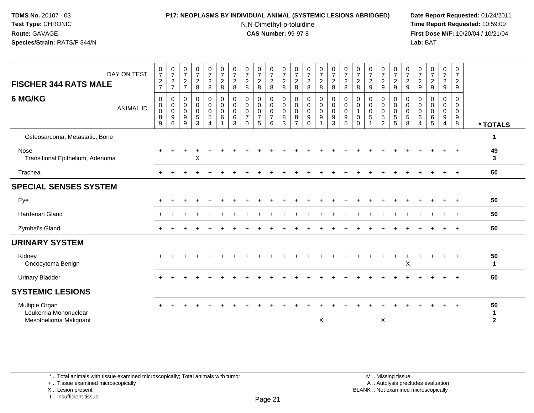### **P17: NEOPLASMS BY INDIVIDUAL ANIMAL (SYSTEMIC LESIONS ABRIDGED) Date Report Requested:** 01/24/2011

N,N-Dimethyl-p-toluidine

 **Time Report Requested:** 10:59:00 **First Dose M/F:** 10/20/04 / 10/21/04<br>**Lab:** BAT **Lab:** BAT

| DAY ON TEST<br><b>FISCHER 344 RATS MALE</b>                      | $\begin{smallmatrix}0\\7\end{smallmatrix}$<br>$\frac{2}{7}$ | $\frac{0}{7}$<br>$\frac{2}{7}$                      | $\frac{0}{7}$<br>$\frac{2}{7}$                 | $\frac{0}{7}$<br>$\overline{c}$<br>8             | $\frac{0}{7}$<br>$_{\rm 8}^2$                            | $\frac{0}{7}$<br>$\frac{2}{8}$                                     | $\frac{0}{7}$<br>$\overline{c}$<br>8      | $\frac{0}{7}$<br>$\overline{c}$<br>8                        | $\frac{0}{7}$<br>$\overline{c}$<br>8                   | $\begin{smallmatrix}0\\7\end{smallmatrix}$<br>$_{8}^2$ | $\frac{0}{7}$<br>$\overline{c}$<br>8              | $\frac{0}{7}$<br>$\overline{c}$<br>8                   | $\begin{array}{c} 0 \\ 7 \end{array}$<br>$\overline{\mathbf{c}}$<br>8 | $\frac{0}{7}$<br>$\overline{\mathbf{c}}$<br>8 | $\frac{0}{7}$<br>$\frac{2}{8}$                               | $\frac{0}{7}$<br>$\frac{2}{8}$                                                | $\frac{0}{7}$<br>$\overline{c}$<br>8    | $\frac{0}{7}$<br>$\overline{c}$<br>9 | $\frac{0}{7}$<br>$\overline{\mathbf{c}}$<br>9          | $\begin{array}{c} 0 \\ 7 \end{array}$<br>$\overline{a}$<br>9 | $\frac{0}{7}$<br>$\overline{c}$<br>$9\,$         | $\begin{smallmatrix}0\\7\end{smallmatrix}$<br>$\frac{2}{9}$ | $\frac{0}{7}$<br>$\overline{c}$<br>$\overline{9}$ | $\frac{0}{7}$<br>$\frac{2}{9}$  | $\frac{0}{7}$<br>$\frac{2}{9}$                 |                            |
|------------------------------------------------------------------|-------------------------------------------------------------|-----------------------------------------------------|------------------------------------------------|--------------------------------------------------|----------------------------------------------------------|--------------------------------------------------------------------|-------------------------------------------|-------------------------------------------------------------|--------------------------------------------------------|--------------------------------------------------------|---------------------------------------------------|--------------------------------------------------------|-----------------------------------------------------------------------|-----------------------------------------------|--------------------------------------------------------------|-------------------------------------------------------------------------------|-----------------------------------------|--------------------------------------|--------------------------------------------------------|--------------------------------------------------------------|--------------------------------------------------|-------------------------------------------------------------|---------------------------------------------------|---------------------------------|------------------------------------------------|----------------------------|
| 6 MG/KG<br><b>ANIMAL ID</b>                                      | 0<br>$\mathbf 0$<br>0<br>8<br>9                             | $\mathbf 0$<br>$\mathbf 0$<br>$\mathbf 0$<br>9<br>6 | 0<br>0<br>$\mathbf 0$<br>$\boldsymbol{9}$<br>9 | 0<br>$\mathsf 0$<br>$\pmb{0}$<br>$\sqrt{5}$<br>3 | 0<br>$\overline{0}$<br>$\pmb{0}$<br>$5\phantom{.0}$<br>4 | $\pmb{0}$<br>$\mathbf 0$<br>$\mathbf 0$<br>$\,6$<br>$\overline{A}$ | 0<br>$\mathbf 0$<br>$\mathbf 0$<br>6<br>3 | 0<br>$\mathbf 0$<br>$\pmb{0}$<br>$\overline{7}$<br>$\Omega$ | 0<br>$\mathbf 0$<br>$\mathbf 0$<br>$\overline{7}$<br>5 | 0<br>$\pmb{0}$<br>0<br>$\overline{7}$<br>6             | $\mathbf 0$<br>$\mathbf 0$<br>$\pmb{0}$<br>8<br>3 | 0<br>$\mathbf 0$<br>$\mathbf 0$<br>8<br>$\overline{7}$ | 0<br>$\mathbf 0$<br>$\mathbf 0$<br>9<br>$\Omega$                      | 0<br>$\mathbf 0$<br>0<br>$\boldsymbol{9}$     | $\pmb{0}$<br>$\pmb{0}$<br>$\pmb{0}$<br>$\boldsymbol{9}$<br>3 | $\boldsymbol{0}$<br>$\mathsf{O}\xspace$<br>$\pmb{0}$<br>$\boldsymbol{9}$<br>5 | 0<br>$\mathbf 0$<br>-1<br>0<br>$\Omega$ | 0<br>$\mathbf 0$<br>$\mathbf 0$<br>5 | 0<br>$\mathbf 0$<br>0<br>$\mathbf 5$<br>$\mathfrak{p}$ | 0<br>$\mathsf 0$<br>0<br>5<br>5                              | 0<br>$\mathsf 0$<br>$\pmb{0}$<br>$\sqrt{5}$<br>8 | $\mathbf 0$<br>$\mathbf 0$<br>$\mathbf 0$<br>6<br>4         | 0<br>$\mathbf 0$<br>$\mathbf 0$<br>6<br>5         | 0<br>$\mathbf 0$<br>0<br>9<br>4 | 0<br>$\mathbf 0$<br>0<br>$\boldsymbol{9}$<br>8 | * TOTALS                   |
| Osteosarcoma, Metastatic, Bone                                   |                                                             |                                                     |                                                |                                                  |                                                          |                                                                    |                                           |                                                             |                                                        |                                                        |                                                   |                                                        |                                                                       |                                               |                                                              |                                                                               |                                         |                                      |                                                        |                                                              |                                                  |                                                             |                                                   |                                 |                                                | 1                          |
| Nose<br>Transitional Epithelium, Adenoma                         |                                                             |                                                     |                                                | Х                                                |                                                          |                                                                    |                                           |                                                             |                                                        |                                                        |                                                   |                                                        |                                                                       |                                               |                                                              |                                                                               |                                         |                                      |                                                        |                                                              |                                                  |                                                             |                                                   |                                 |                                                | 49<br>3                    |
| Trachea                                                          | $\div$                                                      |                                                     |                                                |                                                  |                                                          |                                                                    |                                           |                                                             |                                                        |                                                        |                                                   |                                                        |                                                                       |                                               |                                                              |                                                                               |                                         |                                      |                                                        |                                                              |                                                  |                                                             |                                                   |                                 |                                                | 50                         |
| <b>SPECIAL SENSES SYSTEM</b>                                     |                                                             |                                                     |                                                |                                                  |                                                          |                                                                    |                                           |                                                             |                                                        |                                                        |                                                   |                                                        |                                                                       |                                               |                                                              |                                                                               |                                         |                                      |                                                        |                                                              |                                                  |                                                             |                                                   |                                 |                                                |                            |
| Eye                                                              |                                                             |                                                     |                                                |                                                  |                                                          |                                                                    |                                           |                                                             |                                                        |                                                        |                                                   |                                                        |                                                                       |                                               |                                                              |                                                                               |                                         |                                      |                                                        |                                                              |                                                  |                                                             |                                                   |                                 |                                                | 50                         |
| Harderian Gland                                                  |                                                             |                                                     |                                                |                                                  |                                                          |                                                                    |                                           |                                                             |                                                        |                                                        |                                                   |                                                        |                                                                       |                                               |                                                              |                                                                               |                                         |                                      |                                                        |                                                              |                                                  |                                                             |                                                   |                                 |                                                | 50                         |
| Zymbal's Gland                                                   |                                                             |                                                     |                                                |                                                  |                                                          |                                                                    |                                           |                                                             |                                                        |                                                        |                                                   |                                                        |                                                                       |                                               |                                                              |                                                                               |                                         |                                      |                                                        |                                                              |                                                  |                                                             |                                                   |                                 |                                                | 50                         |
| <b>URINARY SYSTEM</b>                                            |                                                             |                                                     |                                                |                                                  |                                                          |                                                                    |                                           |                                                             |                                                        |                                                        |                                                   |                                                        |                                                                       |                                               |                                                              |                                                                               |                                         |                                      |                                                        |                                                              |                                                  |                                                             |                                                   |                                 |                                                |                            |
| Kidney<br>Oncocytoma Benign                                      |                                                             |                                                     |                                                |                                                  |                                                          |                                                                    |                                           |                                                             |                                                        |                                                        |                                                   |                                                        |                                                                       |                                               |                                                              |                                                                               |                                         |                                      |                                                        |                                                              | X                                                |                                                             |                                                   |                                 |                                                | 50<br>$\mathbf{1}$         |
| <b>Urinary Bladder</b>                                           |                                                             |                                                     |                                                |                                                  |                                                          |                                                                    |                                           |                                                             |                                                        |                                                        |                                                   |                                                        |                                                                       |                                               |                                                              |                                                                               |                                         |                                      |                                                        |                                                              |                                                  |                                                             |                                                   |                                 |                                                | 50                         |
| <b>SYSTEMIC LESIONS</b>                                          |                                                             |                                                     |                                                |                                                  |                                                          |                                                                    |                                           |                                                             |                                                        |                                                        |                                                   |                                                        |                                                                       |                                               |                                                              |                                                                               |                                         |                                      |                                                        |                                                              |                                                  |                                                             |                                                   |                                 |                                                |                            |
| Multiple Organ<br>Leukemia Mononuclear<br>Mesothelioma Malignant |                                                             |                                                     |                                                |                                                  |                                                          |                                                                    |                                           |                                                             |                                                        |                                                        |                                                   |                                                        |                                                                       | X                                             |                                                              |                                                                               |                                         |                                      | X                                                      |                                                              |                                                  |                                                             |                                                   |                                 |                                                | 50<br>-1<br>$\overline{2}$ |

\* .. Total animals with tissue examined microscopically; Total animals with tumor

+ .. Tissue examined microscopically

X .. Lesion present

I .. Insufficient tissue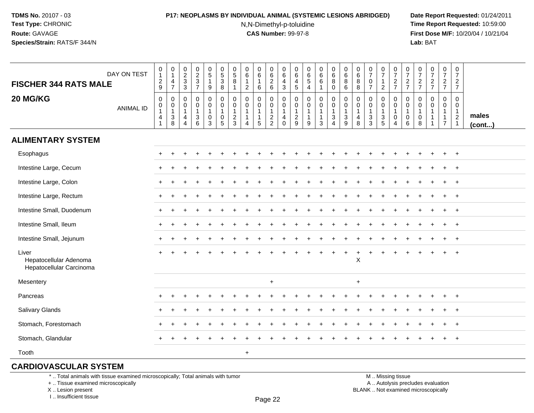## **P17: NEOPLASMS BY INDIVIDUAL ANIMAL (SYSTEMIC LESIONS ABRIDGED) Date Report Requested:** 01/24/2011

N,N-Dimethyl-p-toluidine

 **Time Report Requested:** 10:59:00 **First Dose M/F:** 10/20/04 / 10/21/04<br>**Lab: BAT Lab:** BAT

| <b>FISCHER 344 RATS MALE</b>                                | DAY ON TEST      | $\begin{smallmatrix}0\\1\end{smallmatrix}$<br>$\frac{2}{9}$                               | $\pmb{0}$<br>$\mathbf{1}$<br>$\frac{4}{7}$                                   | $\begin{array}{c} 0 \\ 2 \\ 3 \\ 3 \end{array}$                    | $\begin{array}{c} 0 \\ 2 \\ 3 \\ 7 \end{array}$ | $\begin{array}{c} 0 \\ 5 \end{array}$<br>$\mathbf{1}$<br>9                | $\begin{array}{c} 0 \\ 5 \end{array}$<br>$\ensuremath{\mathsf{3}}$<br>8 | $\pmb{0}$<br>$\overline{5}$<br>8<br>$\mathbf{1}$                             | $\begin{array}{c} 0 \\ 6 \end{array}$<br>$\mathbf{1}$<br>$\overline{2}$      | $\begin{matrix} 0 \\ 6 \end{matrix}$<br>$\mathbf{1}$<br>6       |                                                           | $\begin{array}{c} 0 \\ 6 \end{array}$<br>$\frac{4}{3}$                      | $\begin{array}{c} 0 \\ 6 \end{array}$<br>$\begin{array}{c} 4 \\ 5 \end{array}$ | $\begin{matrix} 0 \\ 6 \\ 5 \end{matrix}$<br>$\overline{4}$   | $\begin{array}{c} 0 \\ 6 \end{array}$<br>$\,6\,$<br>1 | $_{6}^{\rm 0}$<br>8<br>0                                  | $\begin{matrix} 0 \\ 6 \\ 8 \end{matrix}$<br>6                                       | $\begin{array}{c} 0 \\ 6 \end{array}$<br>8<br>8 | $\begin{array}{c} 0 \\ 7 \end{array}$<br>$\mathbf 0$<br>$\overline{7}$ | $\frac{0}{7}$<br>$\mathbf{1}$<br>$\overline{c}$                   | $\begin{array}{c} 0 \\ 7 \end{array}$<br>$\frac{2}{7}$                       | $\frac{0}{7}$<br>$\frac{2}{7}$             | $\frac{0}{7}$<br>$\frac{2}{7}$                    | $\begin{array}{c} 0 \\ 7 \end{array}$<br>$\frac{2}{7}$ | $\begin{smallmatrix}0\\7\end{smallmatrix}$<br>$\frac{2}{7}$                    | $\frac{0}{7}$<br>$\frac{2}{7}$                                             |                 |
|-------------------------------------------------------------|------------------|-------------------------------------------------------------------------------------------|------------------------------------------------------------------------------|--------------------------------------------------------------------|-------------------------------------------------|---------------------------------------------------------------------------|-------------------------------------------------------------------------|------------------------------------------------------------------------------|------------------------------------------------------------------------------|-----------------------------------------------------------------|-----------------------------------------------------------|-----------------------------------------------------------------------------|--------------------------------------------------------------------------------|---------------------------------------------------------------|-------------------------------------------------------|-----------------------------------------------------------|--------------------------------------------------------------------------------------|-------------------------------------------------|------------------------------------------------------------------------|-------------------------------------------------------------------|------------------------------------------------------------------------------|--------------------------------------------|---------------------------------------------------|--------------------------------------------------------|--------------------------------------------------------------------------------|----------------------------------------------------------------------------|-----------------|
| 20 MG/KG                                                    | <b>ANIMAL ID</b> | $\boldsymbol{0}$<br>$\pmb{0}$<br>$\mathbf{1}$<br>$\overline{\mathcal{A}}$<br>$\mathbf{1}$ | $\mathbf 0$<br>$\mathbf 0$<br>$\mathbf{1}$<br>$\ensuremath{\mathsf{3}}$<br>8 | 0<br>$\pmb{0}$<br>$\mathbf{1}$<br>$\overline{4}$<br>$\overline{4}$ | $\pmb{0}$<br>$\pmb{0}$<br>1<br>$\frac{3}{6}$    | $\mathbf 0$<br>$\mathbf 0$<br>$\mathbf{1}$<br>$\mathbf 0$<br>$\mathbf{3}$ | $\pmb{0}$<br>$\mathbf 0$<br>$\mathbf{1}$<br>$\pmb{0}$<br>$\sqrt{5}$     | $\mathbf 0$<br>$\mathbf 0$<br>$\mathbf{1}$<br>$\overline{c}$<br>$\mathbf{3}$ | $\mathbf 0$<br>$\mathbf 0$<br>$\mathbf{1}$<br>$\mathbf{1}$<br>$\overline{4}$ | $\mathbf 0$<br>$\mathbf 0$<br>$\mathbf{1}$<br>$\mathbf{1}$<br>5 | $\pmb{0}$<br>$\mathbf 0$<br>$\mathbf{1}$<br>$\frac{2}{2}$ | $\mathsf 0$<br>$\mathbf 0$<br>$\mathbf{1}$<br>$\overline{4}$<br>$\mathsf 0$ | $\mathbf 0$<br>$\mathbf 0$<br>$\overline{1}$<br>$\frac{2}{9}$                  | $\mathbf 0$<br>$\pmb{0}$<br>$\mathbf{1}$<br>$\mathbf{1}$<br>9 | 0<br>0<br>1<br>$\mathbf{1}$<br>3                      | $\pmb{0}$<br>$\mathbf 0$<br>$\mathbf{1}$<br>$\frac{3}{4}$ | $\mathsf 0$<br>$\mathsf{O}\xspace$<br>$\mathbf{1}$<br>$\ensuremath{\mathsf{3}}$<br>9 | $\mathbf 0$<br>0<br>$\mathbf{1}$<br>4<br>8      | $\mathbf 0$<br>$\mathbf 0$<br>$\mathbf{1}$<br>$\frac{3}{3}$            | 0<br>$\mathbf 0$<br>$\mathbf{1}$<br>$\mathsf 3$<br>$\overline{5}$ | $\boldsymbol{0}$<br>$\pmb{0}$<br>$\mathbf{1}$<br>$\pmb{0}$<br>$\overline{4}$ | $\mathbf 0$<br>0<br>$\mathbf{1}$<br>0<br>6 | $\Omega$<br>$\mathbf 0$<br>$\mathbf{1}$<br>0<br>8 | $\mathbf 0$<br>$\pmb{0}$<br>1                          | $\mathbf 0$<br>$\mathbf 0$<br>$\overline{1}$<br>$\mathbf{1}$<br>$\overline{7}$ | $\mathbf 0$<br>$\mathbf 0$<br>$\mathbf{1}$<br>$\sqrt{2}$<br>$\overline{1}$ | males<br>(cont) |
| <b>ALIMENTARY SYSTEM</b>                                    |                  |                                                                                           |                                                                              |                                                                    |                                                 |                                                                           |                                                                         |                                                                              |                                                                              |                                                                 |                                                           |                                                                             |                                                                                |                                                               |                                                       |                                                           |                                                                                      |                                                 |                                                                        |                                                                   |                                                                              |                                            |                                                   |                                                        |                                                                                |                                                                            |                 |
| Esophagus                                                   |                  |                                                                                           |                                                                              |                                                                    |                                                 |                                                                           |                                                                         |                                                                              |                                                                              |                                                                 |                                                           |                                                                             |                                                                                |                                                               |                                                       |                                                           |                                                                                      |                                                 |                                                                        |                                                                   |                                                                              |                                            |                                                   | $\div$                                                 | $+$                                                                            | $+$                                                                        |                 |
| Intestine Large, Cecum                                      |                  |                                                                                           |                                                                              |                                                                    |                                                 |                                                                           |                                                                         |                                                                              |                                                                              |                                                                 |                                                           |                                                                             |                                                                                |                                                               |                                                       |                                                           |                                                                                      |                                                 |                                                                        |                                                                   |                                                                              |                                            |                                                   |                                                        |                                                                                | $^{+}$                                                                     |                 |
| Intestine Large, Colon                                      |                  | $+$                                                                                       |                                                                              |                                                                    |                                                 |                                                                           |                                                                         |                                                                              |                                                                              |                                                                 |                                                           |                                                                             |                                                                                |                                                               |                                                       |                                                           |                                                                                      |                                                 |                                                                        |                                                                   |                                                                              |                                            |                                                   |                                                        |                                                                                | $^{+}$                                                                     |                 |
| Intestine Large, Rectum                                     |                  |                                                                                           |                                                                              |                                                                    |                                                 |                                                                           |                                                                         |                                                                              |                                                                              |                                                                 |                                                           |                                                                             |                                                                                |                                                               |                                                       |                                                           |                                                                                      |                                                 |                                                                        |                                                                   |                                                                              |                                            |                                                   |                                                        |                                                                                | $\overline{ }$                                                             |                 |
| Intestine Small, Duodenum                                   |                  |                                                                                           |                                                                              |                                                                    |                                                 |                                                                           |                                                                         |                                                                              |                                                                              |                                                                 |                                                           |                                                                             |                                                                                |                                                               |                                                       |                                                           |                                                                                      |                                                 |                                                                        |                                                                   |                                                                              |                                            |                                                   |                                                        | $+$                                                                            | $+$                                                                        |                 |
| Intestine Small, Ileum                                      |                  |                                                                                           |                                                                              |                                                                    |                                                 |                                                                           |                                                                         |                                                                              |                                                                              |                                                                 |                                                           |                                                                             |                                                                                |                                                               |                                                       |                                                           |                                                                                      |                                                 |                                                                        |                                                                   |                                                                              |                                            |                                                   |                                                        | $\ddot{}$                                                                      | $^{+}$                                                                     |                 |
| Intestine Small, Jejunum                                    |                  |                                                                                           |                                                                              |                                                                    |                                                 |                                                                           |                                                                         |                                                                              |                                                                              |                                                                 |                                                           |                                                                             |                                                                                |                                                               |                                                       |                                                           |                                                                                      |                                                 |                                                                        |                                                                   |                                                                              |                                            |                                                   |                                                        |                                                                                | $+$                                                                        |                 |
| Liver<br>Hepatocellular Adenoma<br>Hepatocellular Carcinoma |                  | $+$                                                                                       |                                                                              |                                                                    |                                                 |                                                                           |                                                                         |                                                                              |                                                                              |                                                                 |                                                           |                                                                             |                                                                                |                                                               |                                                       |                                                           | $\ddot{}$                                                                            | +<br>X                                          |                                                                        |                                                                   |                                                                              |                                            |                                                   |                                                        |                                                                                | $^{+}$                                                                     |                 |
| Mesentery                                                   |                  |                                                                                           |                                                                              |                                                                    |                                                 |                                                                           |                                                                         |                                                                              |                                                                              |                                                                 | $\ddot{}$                                                 |                                                                             |                                                                                |                                                               |                                                       |                                                           |                                                                                      | $\ddot{}$                                       |                                                                        |                                                                   |                                                                              |                                            |                                                   |                                                        |                                                                                |                                                                            |                 |
| Pancreas                                                    |                  |                                                                                           |                                                                              |                                                                    |                                                 |                                                                           |                                                                         |                                                                              |                                                                              |                                                                 |                                                           |                                                                             |                                                                                |                                                               |                                                       |                                                           |                                                                                      |                                                 |                                                                        |                                                                   |                                                                              |                                            |                                                   |                                                        | +                                                                              | $\overline{+}$                                                             |                 |
| Salivary Glands                                             |                  | $\pm$                                                                                     |                                                                              |                                                                    |                                                 |                                                                           |                                                                         |                                                                              |                                                                              |                                                                 |                                                           |                                                                             |                                                                                |                                                               |                                                       |                                                           |                                                                                      |                                                 |                                                                        |                                                                   |                                                                              |                                            |                                                   |                                                        | ÷                                                                              | $+$                                                                        |                 |
| Stomach, Forestomach                                        |                  |                                                                                           |                                                                              |                                                                    |                                                 |                                                                           |                                                                         |                                                                              |                                                                              |                                                                 |                                                           |                                                                             |                                                                                |                                                               |                                                       |                                                           |                                                                                      |                                                 |                                                                        |                                                                   |                                                                              |                                            |                                                   |                                                        |                                                                                | $\ddot{}$                                                                  |                 |
| Stomach, Glandular                                          |                  | $\ddot{}$                                                                                 | $\ddot{}$                                                                    |                                                                    | $\ddot{}$                                       |                                                                           |                                                                         |                                                                              |                                                                              |                                                                 |                                                           |                                                                             |                                                                                |                                                               |                                                       |                                                           |                                                                                      |                                                 |                                                                        | $\ddot{}$                                                         |                                                                              | ÷                                          | $\ddot{}$                                         | $\div$                                                 | $+$                                                                            | $+$                                                                        |                 |
| Tooth                                                       |                  |                                                                                           |                                                                              |                                                                    |                                                 |                                                                           |                                                                         |                                                                              | $\ddot{}$                                                                    |                                                                 |                                                           |                                                                             |                                                                                |                                                               |                                                       |                                                           |                                                                                      |                                                 |                                                                        |                                                                   |                                                                              |                                            |                                                   |                                                        |                                                                                |                                                                            |                 |

## **CARDIOVASCULAR SYSTEM**

\* .. Total animals with tissue examined microscopically; Total animals with tumor

+ .. Tissue examined microscopically

 Lesion present BLANK .. Not examined microscopicallyX .. Lesion present

I .. Insufficient tissue

 M .. Missing tissuey the contract of the contract of the contract of the contract of the contract of  $\mathsf A$  . Autolysis precludes evaluation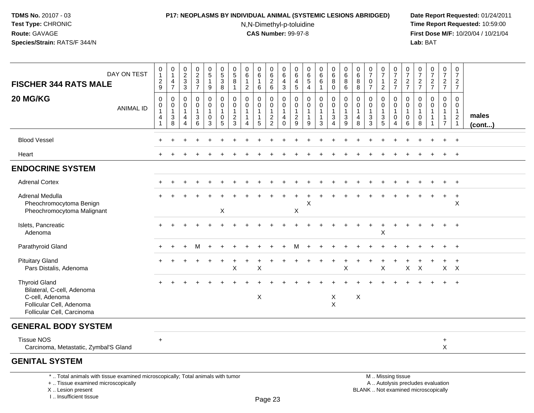#### **P17: NEOPLASMS BY INDIVIDUAL ANIMAL (SYSTEMIC LESIONS ABRIDGED) Date Report Requested:** 01/24/2011

N,N-Dimethyl-p-toluidine

 **Time Report Requested:** 10:59:00 **First Dose M/F:** 10/20/04 / 10/21/04<br>**Lab:** BAT **Lab:** BAT

| DAY ON TEST<br><b>FISCHER 344 RATS MALE</b>                                                                                     |                  | $\begin{smallmatrix}0\\1\end{smallmatrix}$<br>$\frac{2}{9}$       | 0<br>$\overline{1}$<br>4<br>$\overline{7}$           | $\pmb{0}$<br>$\overline{2}$<br>$\ensuremath{\mathsf{3}}$<br>$\mathbf{3}$ | 0<br>$\frac{2}{3}$                                                | $\begin{array}{c} 0 \\ 5 \end{array}$<br>$\mathbf{1}$<br>9      | $\begin{array}{c} 0 \\ 5 \\ 3 \end{array}$<br>8                 | $\mathbf 0$<br>$\frac{5}{8}$<br>$\mathbf{1}$      | 0<br>$\,6\,$<br>$\mathbf{1}$<br>$\overline{2}$                     | 0<br>$\,6\,$<br>6          | 0626                                                      | $\pmb{0}$<br>$\,6$<br>4<br>$\mathbf{3}$ | 0<br>6<br>4<br>$\overline{5}$                                | $\begin{array}{c} 0 \\ 6 \end{array}$<br>$\,$ 5 $\,$<br>$\overline{4}$ | $\pmb{0}$<br>$\,6\,$<br>$\,6\,$<br>$\mathbf{1}$       | $\pmb{0}$<br>$\,6\,$<br>8<br>0                                     | $\mathbf 0$<br>$\,6\,$<br>8<br>6                  | $\pmb{0}$<br>$\,6\,$<br>8<br>$\overline{8}$ | $\begin{array}{c} 0 \\ 7 \end{array}$<br>$\pmb{0}$<br>$\overline{7}$ | $\frac{0}{7}$<br>$\mathbf{1}$<br>$\boldsymbol{2}$ | $\frac{0}{7}$<br>$\frac{2}{7}$                                    | $\frac{0}{7}$<br>$\frac{2}{7}$ | $\frac{0}{7}$<br>$\frac{2}{7}$ | $\frac{0}{7}$<br>$\frac{2}{7}$        | $\begin{array}{c} 0 \\ 7 \end{array}$<br>$rac{2}{7}$ | $\pmb{0}$<br>$\overline{7}$<br>$\frac{2}{7}$                  |                 |
|---------------------------------------------------------------------------------------------------------------------------------|------------------|-------------------------------------------------------------------|------------------------------------------------------|--------------------------------------------------------------------------|-------------------------------------------------------------------|-----------------------------------------------------------------|-----------------------------------------------------------------|---------------------------------------------------|--------------------------------------------------------------------|----------------------------|-----------------------------------------------------------|-----------------------------------------|--------------------------------------------------------------|------------------------------------------------------------------------|-------------------------------------------------------|--------------------------------------------------------------------|---------------------------------------------------|---------------------------------------------|----------------------------------------------------------------------|---------------------------------------------------|-------------------------------------------------------------------|--------------------------------|--------------------------------|---------------------------------------|------------------------------------------------------|---------------------------------------------------------------|-----------------|
| 20 MG/KG                                                                                                                        | <b>ANIMAL ID</b> | $\mathbf 0$<br>$\mathbf 0$<br>$\mathbf{1}$<br>4<br>$\overline{1}$ | $\mathbf 0$<br>$\mathbf 0$<br>$\mathbf{1}$<br>3<br>8 | 0<br>$\mathbf 0$<br>1<br>4<br>$\overline{4}$                             | 0<br>$\mathbf 0$<br>$\mathbf 1$<br>$\mathbf{3}$<br>$\overline{6}$ | $\pmb{0}$<br>$\mathbf 0$<br>$\mathbf{1}$<br>0<br>$\overline{3}$ | 0<br>$\mathbf 0$<br>$\mathbf{1}$<br>$\pmb{0}$<br>$\overline{5}$ | 0<br>$\mathbf 0$<br>$\mathbf{1}$<br>$\frac{2}{3}$ | 0<br>$\mathbf 0$<br>$\mathbf{1}$<br>$\mathbf{1}$<br>$\overline{4}$ | 0<br>$\mathbf 0$<br>1<br>5 | 0<br>$\mathsf{O}\xspace$<br>$\mathbf{1}$<br>$\frac{2}{2}$ | 0<br>0<br>$\mathbf{1}$<br>4<br>$\Omega$ | $\mathbf 0$<br>$\mathbf{0}$<br>$\mathbf{1}$<br>$\frac{2}{9}$ | 0<br>$\pmb{0}$<br>$\mathbf{1}$<br>$\mathbf{1}$<br>9                    | 0<br>$\mathbf 0$<br>$\mathbf{1}$<br>$\mathbf{1}$<br>3 | 0<br>$\mathbf 0$<br>$\mathbf{1}$<br>$\ensuremath{\mathsf{3}}$<br>4 | 0<br>$\mathbf 0$<br>$\mathbf{1}$<br>$\frac{3}{9}$ | 0<br>0<br>$\mathbf{1}$<br>4<br>8            | 0<br>$\mathbf 0$<br>$\mathbf{1}$<br>$\frac{3}{3}$                    | 0<br>$\mathbf 0$<br>$\mathbf{1}$<br>$\frac{3}{5}$ | 0<br>$\mathsf 0$<br>$\mathbf{1}$<br>$\mathbf 0$<br>$\overline{4}$ | 0<br>0<br>1<br>0<br>6          | 0<br>0<br>0<br>8               | 0<br>$\mathbf 0$<br>$\mathbf{1}$<br>1 | 0<br>$\mathbf 0$<br>$\mathbf{1}$<br>$\overline{7}$   | $\mathbf 0$<br>$\mathbf 0$<br>$\overline{1}$<br>$\frac{2}{1}$ | males<br>(cont) |
| <b>Blood Vessel</b>                                                                                                             |                  |                                                                   |                                                      |                                                                          |                                                                   |                                                                 |                                                                 |                                                   |                                                                    |                            |                                                           |                                         |                                                              |                                                                        |                                                       |                                                                    |                                                   |                                             |                                                                      |                                                   |                                                                   |                                |                                |                                       |                                                      | $\overline{ }$                                                |                 |
| Heart                                                                                                                           |                  |                                                                   |                                                      |                                                                          |                                                                   |                                                                 |                                                                 |                                                   |                                                                    |                            |                                                           |                                         |                                                              |                                                                        |                                                       |                                                                    |                                                   |                                             |                                                                      |                                                   |                                                                   |                                |                                |                                       | $\ddot{}$                                            | $+$                                                           |                 |
| <b>ENDOCRINE SYSTEM</b>                                                                                                         |                  |                                                                   |                                                      |                                                                          |                                                                   |                                                                 |                                                                 |                                                   |                                                                    |                            |                                                           |                                         |                                                              |                                                                        |                                                       |                                                                    |                                                   |                                             |                                                                      |                                                   |                                                                   |                                |                                |                                       |                                                      |                                                               |                 |
| <b>Adrenal Cortex</b>                                                                                                           |                  |                                                                   |                                                      |                                                                          |                                                                   |                                                                 |                                                                 |                                                   |                                                                    |                            |                                                           |                                         |                                                              |                                                                        |                                                       |                                                                    |                                                   |                                             |                                                                      |                                                   |                                                                   |                                |                                |                                       |                                                      | $+$                                                           |                 |
| Adrenal Medulla<br>Pheochromocytoma Benign<br>Pheochromocytoma Malignant                                                        |                  |                                                                   |                                                      |                                                                          |                                                                   |                                                                 | $\boldsymbol{\mathsf{X}}$                                       |                                                   |                                                                    |                            |                                                           |                                         | X                                                            | X                                                                      |                                                       |                                                                    |                                                   |                                             |                                                                      |                                                   |                                                                   |                                |                                |                                       | $\ddot{}$                                            | $\ddot{}$<br>$\times$                                         |                 |
| Islets, Pancreatic<br>Adenoma                                                                                                   |                  |                                                                   |                                                      |                                                                          |                                                                   |                                                                 |                                                                 |                                                   |                                                                    |                            |                                                           |                                         |                                                              |                                                                        |                                                       |                                                                    |                                                   |                                             |                                                                      | $\mathsf X$                                       |                                                                   |                                |                                |                                       |                                                      | $+$                                                           |                 |
| Parathyroid Gland                                                                                                               |                  |                                                                   |                                                      |                                                                          | м                                                                 |                                                                 |                                                                 |                                                   |                                                                    |                            |                                                           |                                         |                                                              |                                                                        |                                                       |                                                                    |                                                   |                                             |                                                                      |                                                   |                                                                   |                                |                                |                                       |                                                      | $+$                                                           |                 |
| <b>Pituitary Gland</b><br>Pars Distalis, Adenoma                                                                                |                  |                                                                   |                                                      |                                                                          |                                                                   |                                                                 |                                                                 | X                                                 |                                                                    | X                          |                                                           |                                         |                                                              |                                                                        |                                                       |                                                                    | X                                                 |                                             |                                                                      | $\pmb{\times}$                                    |                                                                   | X                              | $\boldsymbol{\mathsf{X}}$      |                                       | $X$ $X$                                              | $+$                                                           |                 |
| <b>Thyroid Gland</b><br>Bilateral, C-cell, Adenoma<br>C-cell, Adenoma<br>Follicular Cell, Adenoma<br>Follicular Cell, Carcinoma |                  |                                                                   |                                                      |                                                                          |                                                                   |                                                                 |                                                                 |                                                   |                                                                    | X                          |                                                           |                                         |                                                              |                                                                        |                                                       | X<br>$\boldsymbol{\mathsf{X}}$                                     |                                                   | $\boldsymbol{\mathsf{X}}$                   |                                                                      |                                                   |                                                                   |                                |                                |                                       |                                                      | $\ddot{+}$                                                    |                 |
| <b>GENERAL BODY SYSTEM</b>                                                                                                      |                  |                                                                   |                                                      |                                                                          |                                                                   |                                                                 |                                                                 |                                                   |                                                                    |                            |                                                           |                                         |                                                              |                                                                        |                                                       |                                                                    |                                                   |                                             |                                                                      |                                                   |                                                                   |                                |                                |                                       |                                                      |                                                               |                 |
| <b>Tissue NOS</b><br>Carcinoma, Metastatic, Zymbal'S Gland                                                                      |                  | $\ddot{}$                                                         |                                                      |                                                                          |                                                                   |                                                                 |                                                                 |                                                   |                                                                    |                            |                                                           |                                         |                                                              |                                                                        |                                                       |                                                                    |                                                   |                                             |                                                                      |                                                   |                                                                   |                                |                                |                                       | $\ddot{}$<br>X                                       |                                                               |                 |
| <b>GENITAL SYSTEM</b><br>*  Total animals with tissue examined microscopically; Total animals with tumor                        |                  |                                                                   |                                                      |                                                                          |                                                                   |                                                                 |                                                                 |                                                   |                                                                    |                            |                                                           |                                         |                                                              |                                                                        |                                                       |                                                                    |                                                   |                                             | M  Missing tissue                                                    |                                                   |                                                                   |                                |                                |                                       |                                                      |                                                               |                 |

+ .. Tissue examined microscopically

X .. Lesion present

I .. Insufficient tissue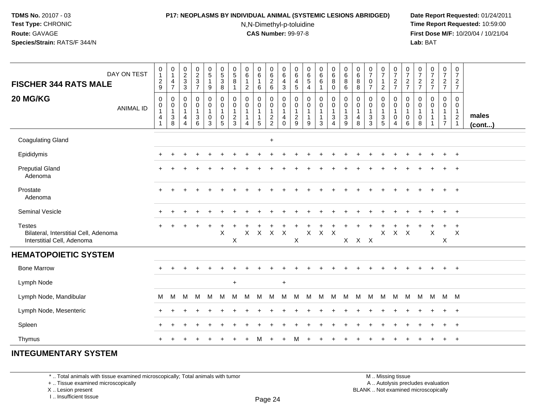### **P17: NEOPLASMS BY INDIVIDUAL ANIMAL (SYSTEMIC LESIONS ABRIDGED) Date Report Requested:** 01/24/2011

N,N-Dimethyl-p-toluidine

 **Time Report Requested:** 10:59:00 **First Dose M/F:** 10/20/04 / 10/21/04<br>**Lab:** BAT **Lab:** BAT

| DAY ON TEST<br><b>FISCHER 344 RATS MALE</b>                                          | $\pmb{0}$<br>$\mathbf{1}$<br>$\frac{2}{9}$ | $\begin{smallmatrix}0\\1\end{smallmatrix}$<br>$\overline{4}$<br>$\overline{7}$        | $\begin{smallmatrix} 0\\2\\3 \end{smallmatrix}$<br>$\mathbf{3}$ | $\begin{array}{c} 0 \\ 2 \\ 3 \end{array}$<br>$\overline{7}$ | $\begin{smallmatrix}0\0\5\end{smallmatrix}$<br>$\mathbf{1}$<br>$\boldsymbol{9}$      | $\begin{smallmatrix} 0\\5 \end{smallmatrix}$<br>$\mathbf{3}$<br>8 | 0<br>$\overline{5}$<br>8                      | $\pmb{0}$<br>$6\phantom{a}$<br>$\mathbf{1}$<br>2                           | 0<br>$6\phantom{1}6$<br>$\mathbf{1}$<br>6           | 0<br>$6\overline{6}$<br>$\begin{array}{c} 2 \\ 6 \end{array}$ | 0<br>$\,6\,$<br>4<br>3                            | 0<br>6<br>$\overline{4}$<br>$\sqrt{5}$              | $_{\rm 6}^{\rm 0}$<br>$\sqrt{5}$<br>$\overline{4}$   | 0<br>$6\phantom{a}$<br>6<br>$\mathbf{1}$              | $\pmb{0}$<br>$6\overline{6}$<br>8<br>$\mathbf 0$      | 0<br>$6\phantom{a}$<br>8<br>6    | 0<br>$6\phantom{a}$<br>8<br>8                | $\begin{array}{c} 0 \\ 7 \end{array}$<br>0<br>$\overline{7}$ | $\frac{0}{7}$<br>$\mathbf{1}$<br>$\overline{c}$              | $\frac{0}{7}$<br>$\frac{2}{7}$                                                           | $\begin{smallmatrix}0\\7\end{smallmatrix}$<br>$rac{2}{7}$ | $\frac{0}{7}$<br>$rac{2}{7}$                         | $\frac{0}{7}$<br>$\frac{2}{7}$ | $\begin{array}{c} 0 \\ 7 \end{array}$<br>$rac{2}{7}$                 | $\frac{0}{7}$<br>$\overline{2}$<br>$\overline{7}$                              |                 |
|--------------------------------------------------------------------------------------|--------------------------------------------|---------------------------------------------------------------------------------------|-----------------------------------------------------------------|--------------------------------------------------------------|--------------------------------------------------------------------------------------|-------------------------------------------------------------------|-----------------------------------------------|----------------------------------------------------------------------------|-----------------------------------------------------|---------------------------------------------------------------|---------------------------------------------------|-----------------------------------------------------|------------------------------------------------------|-------------------------------------------------------|-------------------------------------------------------|----------------------------------|----------------------------------------------|--------------------------------------------------------------|--------------------------------------------------------------|------------------------------------------------------------------------------------------|-----------------------------------------------------------|------------------------------------------------------|--------------------------------|----------------------------------------------------------------------|--------------------------------------------------------------------------------|-----------------|
| 20 MG/KG<br><b>ANIMAL ID</b>                                                         | $\pmb{0}$<br>0<br>1<br>4<br>$\overline{1}$ | $\mathbf 0$<br>$\pmb{0}$<br>$\overline{\mathbf{1}}$<br>$\ensuremath{\mathsf{3}}$<br>8 | 0<br>0<br>$\mathbf{1}$<br>4<br>4                                | 0<br>0<br>1<br>3<br>6                                        | $\pmb{0}$<br>$\overline{0}$<br>$\mathbf{1}$<br>$\mathsf{O}\xspace$<br>$\overline{3}$ | $\pmb{0}$<br>$\pmb{0}$<br>$\mathbf{1}$<br>$\mathbf 0$<br>5        | $\mathbf 0$<br>$\mathbf 0$<br>$\sqrt{2}$<br>3 | $\mathbf 0$<br>$\mathbf 0$<br>-1<br>$\mathbf{1}$<br>$\boldsymbol{\Lambda}$ | 0<br>$\mathbf 0$<br>1<br>$\mathbf{1}$<br>$\sqrt{5}$ | 0<br>$\mathbf 0$<br>$\mathbf{1}$<br>$\frac{2}{2}$             | $\mathbf 0$<br>0<br>$\mathbf{1}$<br>4<br>$\Omega$ | $\mathbf 0$<br>0<br>$\mathbf{1}$<br>$\sqrt{2}$<br>9 | $\mathbf 0$<br>0<br>$\mathbf 1$<br>$\mathbf{1}$<br>9 | 0<br>$\mathbf 0$<br>1<br>$\mathbf{1}$<br>$\mathbf{3}$ | $\mathsf 0$<br>0<br>$\mathbf{1}$<br>$\mathbf{3}$<br>4 | 0<br>0<br>$\mathbf{1}$<br>3<br>9 | $\mathbf 0$<br>0<br>$\overline{1}$<br>4<br>8 | $\pmb{0}$<br>0<br>$\mathbf{1}$<br>$\mathbf 3$<br>3           | 0<br>$\mathbf 0$<br>$\mathbf{1}$<br>$\sqrt{3}$<br>$\sqrt{5}$ | $\mathbf 0$<br>$\mathsf{O}\xspace$<br>$\mathbf{1}$<br>$\boldsymbol{0}$<br>$\overline{4}$ | $\mathbf 0$<br>0<br>$\mathbf{1}$<br>$\mathbf 0$<br>6      | $\mathbf 0$<br>0<br>$\mathbf{1}$<br>$\mathbf 0$<br>8 | $\mathbf 0$<br>$\mathbf 0$     | $\mathbf 0$<br>$\mathbf 0$<br>-1<br>$\overline{1}$<br>$\overline{7}$ | $\mathbf 0$<br>$\mathbf 0$<br>$\mathbf{1}$<br>$\overline{c}$<br>$\overline{1}$ | males<br>(cont) |
| <b>Coagulating Gland</b>                                                             |                                            |                                                                                       |                                                                 |                                                              |                                                                                      |                                                                   |                                               |                                                                            |                                                     | $\ddot{}$                                                     |                                                   |                                                     |                                                      |                                                       |                                                       |                                  |                                              |                                                              |                                                              |                                                                                          |                                                           |                                                      |                                |                                                                      |                                                                                |                 |
| Epididymis                                                                           |                                            |                                                                                       |                                                                 |                                                              |                                                                                      |                                                                   |                                               |                                                                            |                                                     |                                                               |                                                   |                                                     |                                                      |                                                       |                                                       |                                  |                                              |                                                              |                                                              |                                                                                          |                                                           |                                                      |                                |                                                                      | $\overline{+}$                                                                 |                 |
| <b>Preputial Gland</b><br>Adenoma                                                    |                                            |                                                                                       |                                                                 |                                                              |                                                                                      |                                                                   |                                               |                                                                            |                                                     |                                                               |                                                   |                                                     |                                                      |                                                       |                                                       |                                  |                                              |                                                              |                                                              |                                                                                          |                                                           |                                                      |                                |                                                                      | $\ddot{}$                                                                      |                 |
| Prostate<br>Adenoma                                                                  | $\div$                                     |                                                                                       |                                                                 |                                                              |                                                                                      |                                                                   |                                               |                                                                            |                                                     |                                                               |                                                   |                                                     |                                                      |                                                       |                                                       |                                  |                                              |                                                              |                                                              |                                                                                          |                                                           |                                                      |                                |                                                                      | $\overline{+}$                                                                 |                 |
| Seminal Vesicle                                                                      |                                            |                                                                                       |                                                                 |                                                              |                                                                                      |                                                                   |                                               |                                                                            |                                                     |                                                               |                                                   |                                                     |                                                      |                                                       |                                                       |                                  |                                              |                                                              |                                                              |                                                                                          |                                                           |                                                      |                                |                                                                      | $+$                                                                            |                 |
| <b>Testes</b><br>Bilateral, Interstitial Cell, Adenoma<br>Interstitial Cell, Adenoma | $\ddot{}$                                  |                                                                                       |                                                                 |                                                              |                                                                                      | X                                                                 | X                                             | X                                                                          |                                                     | X X X                                                         |                                                   | X                                                   | X                                                    | $X$ $X$                                               |                                                       |                                  | $X$ $X$ $X$                                  |                                                              | $\mathsf{X}$                                                 | $\mathsf{X}$                                                                             | $\mathsf{X}$                                              |                                                      | $\boldsymbol{\mathsf{X}}$      | X                                                                    | $\div$<br>X                                                                    |                 |
| <b>HEMATOPOIETIC SYSTEM</b>                                                          |                                            |                                                                                       |                                                                 |                                                              |                                                                                      |                                                                   |                                               |                                                                            |                                                     |                                                               |                                                   |                                                     |                                                      |                                                       |                                                       |                                  |                                              |                                                              |                                                              |                                                                                          |                                                           |                                                      |                                |                                                                      |                                                                                |                 |
| <b>Bone Marrow</b>                                                                   |                                            |                                                                                       |                                                                 |                                                              |                                                                                      |                                                                   |                                               |                                                                            |                                                     |                                                               |                                                   |                                                     |                                                      |                                                       |                                                       |                                  |                                              |                                                              |                                                              |                                                                                          |                                                           |                                                      |                                | ÷.                                                                   | $+$                                                                            |                 |
| Lymph Node                                                                           |                                            |                                                                                       |                                                                 |                                                              |                                                                                      |                                                                   | $\ddot{}$                                     |                                                                            |                                                     |                                                               | $+$                                               |                                                     |                                                      |                                                       |                                                       |                                  |                                              |                                                              |                                                              |                                                                                          |                                                           |                                                      |                                |                                                                      |                                                                                |                 |
| Lymph Node, Mandibular                                                               | M                                          | М                                                                                     | M                                                               | M                                                            | M                                                                                    | M                                                                 | м                                             | M                                                                          | м                                                   | M                                                             | м                                                 | M                                                   | M                                                    | M                                                     | M                                                     | M                                | M M                                          |                                                              | M                                                            | M                                                                                        | M                                                         | M                                                    | M M M                          |                                                                      |                                                                                |                 |
| Lymph Node, Mesenteric                                                               | ÷                                          |                                                                                       |                                                                 |                                                              |                                                                                      |                                                                   |                                               |                                                                            |                                                     |                                                               |                                                   |                                                     |                                                      |                                                       |                                                       |                                  |                                              |                                                              |                                                              |                                                                                          |                                                           |                                                      |                                |                                                                      | $\overline{+}$                                                                 |                 |
| Spleen                                                                               | ÷                                          |                                                                                       |                                                                 |                                                              |                                                                                      |                                                                   |                                               |                                                                            |                                                     |                                                               |                                                   |                                                     |                                                      |                                                       |                                                       |                                  |                                              |                                                              |                                                              |                                                                                          |                                                           |                                                      |                                | $\pm$                                                                | $+$                                                                            |                 |
| Thymus                                                                               | $\div$                                     |                                                                                       |                                                                 |                                                              |                                                                                      |                                                                   |                                               |                                                                            | м                                                   | $\div$                                                        | $\ddot{}$                                         | м                                                   |                                                      |                                                       |                                                       |                                  |                                              |                                                              |                                                              |                                                                                          |                                                           |                                                      |                                | $\ddot{}$                                                            | $+$                                                                            |                 |

## **INTEGUMENTARY SYSTEM**

\* .. Total animals with tissue examined microscopically; Total animals with tumor

+ .. Tissue examined microscopically

X .. Lesion present

I .. Insufficient tissue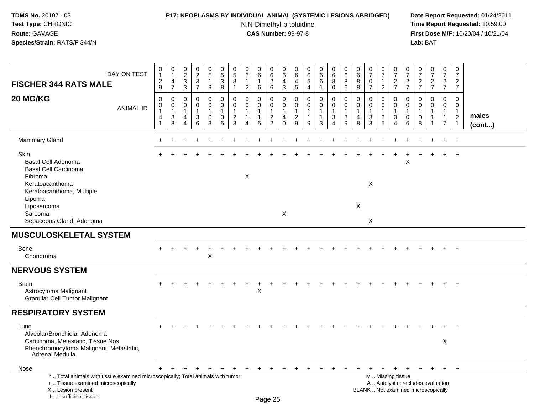### **P17: NEOPLASMS BY INDIVIDUAL ANIMAL (SYSTEMIC LESIONS ABRIDGED) Date Report Requested:** 01/24/2011

N,N-Dimethyl-p-toluidine

 **Time Report Requested:** 10:59:00 **First Dose M/F:** 10/20/04 / 10/21/04<br>**Lab:** BAT **Lab:** BAT

| DAY ON TEST<br><b>FISCHER 344 RATS MALE</b>                                                                                                                           | 0<br>$\overline{1}$<br>$\sqrt{2}$<br>9                  | $\pmb{0}$<br>$\mathbf{1}$<br>$\overline{4}$<br>$\overline{7}$                | $_2^0$<br>$\sqrt{3}$<br>$\mathbf{3}$                 | $\frac{0}{2}$<br>3<br>$\overline{7}$                 | $\begin{array}{c} 0 \\ 5 \end{array}$<br>$\mathbf{1}$<br>9 | $\begin{array}{c} 0 \\ 5 \end{array}$<br>$\sqrt{3}$<br>$\,8\,$ | 0<br>$\overline{5}$<br>$\, 8$<br>$\overline{1}$                                | 0<br>6<br>$\mathbf{1}$<br>$\overline{2}$                                             | 0<br>$6^{\circ}$<br>1<br>6 | 0<br>$\overline{6}$<br>$\overline{2}$<br>$6\phantom{a}$                        | 0<br>6<br>4<br>$\mathfrak{S}$                     | 0<br>6<br>4<br>$\sqrt{5}$                           | $\begin{array}{c} 0 \\ 6 \end{array}$<br>$\sqrt{5}$<br>$\overline{4}$ | 0<br>$\overline{6}$<br>$\,6\,$<br>$\mathbf{1}$        | $\mathbf 0$<br>$\,6\,$<br>8<br>$\mathbf 0$                                          | 0<br>6<br>8<br>6                            | 0<br>$\,6\,$<br>8<br>8                  | $\frac{0}{7}$<br>$\mathbf 0$<br>$\overline{7}$                | 0<br>$\overline{7}$<br>1<br>$\overline{2}$                      | $\frac{0}{7}$<br>$\frac{2}{7}$                                                                | 0<br>$\overline{7}$<br>$\frac{2}{7}$                        | $\begin{array}{c} 0 \\ 7 \end{array}$<br>$\overline{c}$<br>$\overline{7}$ | $\frac{0}{7}$<br>$\frac{2}{7}$                      | $\begin{array}{c} 0 \\ 7 \end{array}$<br>$rac{2}{7}$               | $\pmb{0}$<br>$\overline{7}$<br>$\overline{2}$<br>$\overline{7}$              |                 |
|-----------------------------------------------------------------------------------------------------------------------------------------------------------------------|---------------------------------------------------------|------------------------------------------------------------------------------|------------------------------------------------------|------------------------------------------------------|------------------------------------------------------------|----------------------------------------------------------------|--------------------------------------------------------------------------------|--------------------------------------------------------------------------------------|----------------------------|--------------------------------------------------------------------------------|---------------------------------------------------|-----------------------------------------------------|-----------------------------------------------------------------------|-------------------------------------------------------|-------------------------------------------------------------------------------------|---------------------------------------------|-----------------------------------------|---------------------------------------------------------------|-----------------------------------------------------------------|-----------------------------------------------------------------------------------------------|-------------------------------------------------------------|---------------------------------------------------------------------------|-----------------------------------------------------|--------------------------------------------------------------------|------------------------------------------------------------------------------|-----------------|
| 20 MG/KG<br><b>ANIMAL ID</b>                                                                                                                                          | $\mathbf 0$<br>0<br>$\mathbf{1}$<br>$\overline{4}$<br>1 | $\mathbf 0$<br>$\mathbf 0$<br>$\mathbf{1}$<br>$\ensuremath{\mathsf{3}}$<br>8 | $\mathbf 0$<br>$\mathbf 0$<br>$\mathbf{1}$<br>4<br>4 | $\mathbf 0$<br>$\mathbf 0$<br>$\mathbf{1}$<br>3<br>6 | 0<br>0<br>$\mathbf{1}$<br>$\mathbf 0$<br>3                 | $\mathbf 0$<br>$\mathbf 0$<br>$\mathbf{1}$<br>$\mathbf 0$<br>5 | $\mathbf 0$<br>$\mathbf 0$<br>$\overline{1}$<br>$\overline{2}$<br>$\mathbf{3}$ | $\mathbf 0$<br>$\mathbf 0$<br>$\mathbf{1}$<br>$\mathbf{1}$<br>$\boldsymbol{\Lambda}$ | 0<br>$\mathbf 0$<br>5      | $\mathbf 0$<br>$\mathbf 0$<br>$\mathbf{1}$<br>$\overline{c}$<br>$\overline{2}$ | $\mathbf 0$<br>0<br>$\mathbf{1}$<br>4<br>$\Omega$ | $\mathbf 0$<br>$\mathbf 0$<br>-1<br>$\sqrt{2}$<br>9 | $\mathbf 0$<br>$\mathbf 0$<br>$\overline{1}$<br>$\mathbf{1}$<br>9     | $\mathbf 0$<br>$\mathbf 0$<br>$\mathbf{1}$<br>-1<br>3 | $\mathbf 0$<br>$\mathbf 0$<br>$\mathbf{1}$<br>$\ensuremath{\mathsf{3}}$<br>$\Delta$ | 0<br>0<br>$\mathbf{1}$<br>$\mathbf{3}$<br>9 | $\Omega$<br>0<br>$\mathbf{1}$<br>4<br>8 | $\mathbf 0$<br>$\mathbf 0$<br>$\mathbf{1}$<br>$\sqrt{3}$<br>3 | $\mathbf 0$<br>$\mathbf 0$<br>$\mathbf{1}$<br>$\mathbf{3}$<br>5 | $\mathbf 0$<br>$\mathbf 0$<br>$\overline{1}$<br>$\mathsf{O}\xspace$<br>$\boldsymbol{\Lambda}$ | $\Omega$<br>$\mathbf 0$<br>$\mathbf{1}$<br>$\mathbf 0$<br>6 | $\Omega$<br>0<br>1<br>0<br>8                                              | $\mathbf 0$<br>$\mathbf 0$<br>$\mathbf 1$<br>1<br>1 | 0<br>$\mathbf 0$<br>$\mathbf{1}$<br>$\mathbf{1}$<br>$\overline{7}$ | $\mathbf 0$<br>$\mathbf 0$<br>$\mathbf{1}$<br>$\overline{c}$<br>$\mathbf{1}$ | males<br>(cont) |
| <b>Mammary Gland</b>                                                                                                                                                  |                                                         |                                                                              |                                                      |                                                      |                                                            |                                                                |                                                                                |                                                                                      |                            |                                                                                |                                                   |                                                     |                                                                       |                                                       |                                                                                     |                                             |                                         |                                                               |                                                                 |                                                                                               |                                                             |                                                                           |                                                     |                                                                    | $\ddot{\phantom{1}}$                                                         |                 |
| Skin<br><b>Basal Cell Adenoma</b><br><b>Basal Cell Carcinoma</b>                                                                                                      |                                                         |                                                                              |                                                      |                                                      |                                                            |                                                                |                                                                                |                                                                                      |                            |                                                                                |                                                   |                                                     |                                                                       |                                                       |                                                                                     |                                             |                                         |                                                               |                                                                 |                                                                                               | X                                                           |                                                                           |                                                     |                                                                    | $\overline{+}$                                                               |                 |
| Fibroma<br>Keratoacanthoma<br>Keratoacanthoma, Multiple<br>Lipoma                                                                                                     |                                                         |                                                                              |                                                      |                                                      |                                                            |                                                                |                                                                                | $\boldsymbol{\mathsf{X}}$                                                            |                            |                                                                                |                                                   |                                                     |                                                                       |                                                       |                                                                                     |                                             |                                         | $\pmb{\times}$                                                |                                                                 |                                                                                               |                                                             |                                                                           |                                                     |                                                                    |                                                                              |                 |
| Liposarcoma<br>Sarcoma<br>Sebaceous Gland, Adenoma                                                                                                                    |                                                         |                                                                              |                                                      |                                                      |                                                            |                                                                |                                                                                |                                                                                      |                            |                                                                                | $\boldsymbol{\mathsf{X}}$                         |                                                     |                                                                       |                                                       |                                                                                     |                                             | $\boldsymbol{\mathsf{X}}$               | X                                                             |                                                                 |                                                                                               |                                                             |                                                                           |                                                     |                                                                    |                                                                              |                 |
| <b>MUSCULOSKELETAL SYSTEM</b>                                                                                                                                         |                                                         |                                                                              |                                                      |                                                      |                                                            |                                                                |                                                                                |                                                                                      |                            |                                                                                |                                                   |                                                     |                                                                       |                                                       |                                                                                     |                                             |                                         |                                                               |                                                                 |                                                                                               |                                                             |                                                                           |                                                     |                                                                    |                                                                              |                 |
| Bone<br>Chondroma                                                                                                                                                     |                                                         |                                                                              |                                                      |                                                      | $\pmb{\times}$                                             |                                                                |                                                                                |                                                                                      |                            |                                                                                |                                                   |                                                     |                                                                       |                                                       |                                                                                     |                                             |                                         |                                                               |                                                                 |                                                                                               |                                                             |                                                                           |                                                     |                                                                    | $\div$                                                                       |                 |
| <b>NERVOUS SYSTEM</b>                                                                                                                                                 |                                                         |                                                                              |                                                      |                                                      |                                                            |                                                                |                                                                                |                                                                                      |                            |                                                                                |                                                   |                                                     |                                                                       |                                                       |                                                                                     |                                             |                                         |                                                               |                                                                 |                                                                                               |                                                             |                                                                           |                                                     |                                                                    |                                                                              |                 |
| <b>Brain</b><br>Astrocytoma Malignant<br><b>Granular Cell Tumor Malignant</b>                                                                                         |                                                         |                                                                              |                                                      |                                                      |                                                            |                                                                |                                                                                |                                                                                      | $\mathsf X$                |                                                                                |                                                   |                                                     |                                                                       |                                                       |                                                                                     |                                             |                                         |                                                               |                                                                 |                                                                                               |                                                             |                                                                           |                                                     | $+$                                                                | $+$                                                                          |                 |
| <b>RESPIRATORY SYSTEM</b>                                                                                                                                             |                                                         |                                                                              |                                                      |                                                      |                                                            |                                                                |                                                                                |                                                                                      |                            |                                                                                |                                                   |                                                     |                                                                       |                                                       |                                                                                     |                                             |                                         |                                                               |                                                                 |                                                                                               |                                                             |                                                                           |                                                     |                                                                    |                                                                              |                 |
| Lung<br>Alveolar/Bronchiolar Adenoma                                                                                                                                  |                                                         |                                                                              |                                                      |                                                      |                                                            |                                                                |                                                                                |                                                                                      |                            |                                                                                |                                                   |                                                     |                                                                       |                                                       |                                                                                     |                                             |                                         |                                                               |                                                                 |                                                                                               |                                                             |                                                                           |                                                     |                                                                    |                                                                              |                 |
| Carcinoma, Metastatic, Tissue Nos<br>Pheochromocytoma Malignant, Metastatic,<br>Adrenal Medulla                                                                       |                                                         |                                                                              |                                                      |                                                      |                                                            |                                                                |                                                                                |                                                                                      |                            |                                                                                |                                                   |                                                     |                                                                       |                                                       |                                                                                     |                                             |                                         |                                                               |                                                                 |                                                                                               |                                                             |                                                                           |                                                     | X                                                                  |                                                                              |                 |
| Nose                                                                                                                                                                  |                                                         | + + + + +                                                                    |                                                      |                                                      |                                                            | $+$                                                            | $+$                                                                            | $+$                                                                                  | $+$                        | $+$                                                                            | $\pm$                                             |                                                     |                                                                       | $\ddot{}$                                             | $+$                                                                                 | $+$                                         | $+$                                     |                                                               |                                                                 | + + + +                                                                                       |                                                             |                                                                           | $+ + +$                                             |                                                                    | $+$                                                                          |                 |
| *  Total animals with tissue examined microscopically; Total animals with tumor<br>+  Tissue examined microscopically<br>X  Lesion present<br>I., Insufficient tissue |                                                         |                                                                              |                                                      |                                                      |                                                            |                                                                |                                                                                |                                                                                      |                            | Page 25                                                                        |                                                   |                                                     |                                                                       |                                                       |                                                                                     |                                             |                                         | BLANK  Not examined microscopically                           |                                                                 | M. Missing tissue<br>A  Autolysis precludes evaluation                                        |                                                             |                                                                           |                                                     |                                                                    |                                                                              |                 |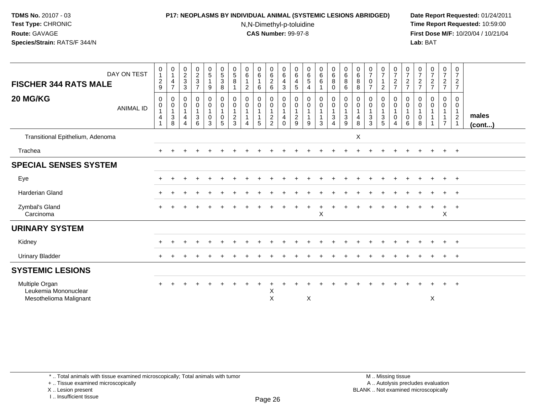#### **P17: NEOPLASMS BY INDIVIDUAL ANIMAL (SYSTEMIC LESIONS ABRIDGED) Date Report Requested:** 01/24/2011

N,N-Dimethyl-p-toluidine

 **Time Report Requested:** 10:59:00 **First Dose M/F:** 10/20/04 / 10/21/04<br>**Lab:** BAT **Lab:** BAT

| DAY ON TEST<br><b>FISCHER 344 RATS MALE</b><br>20 MG/KG          | 0<br>$\mathbf{1}$<br>$\overline{c}$<br>$\boldsymbol{9}$<br>$\mathbf 0$ | $\begin{smallmatrix}0\\1\end{smallmatrix}$<br>4<br>$\overline{7}$<br>0 | $\begin{array}{c} 0 \\ 2 \\ 3 \end{array}$<br>$\mathbf{3}$<br>$\mathbf 0$ | $\begin{smallmatrix} 0\\2\\3 \end{smallmatrix}$<br>$\overline{7}$<br>0 | $\begin{array}{c} 0 \\ 5 \end{array}$<br>1<br>9<br>$\mathbf 0$  | $\begin{array}{c} 0 \\ 5 \\ 3 \end{array}$<br>$\,8\,$<br>$\pmb{0}$ | $\begin{array}{c} 0 \\ 5 \\ 8 \end{array}$<br>0                   | $\begin{array}{c} 0 \\ 6 \end{array}$<br>$\mathbf{1}$<br>$\overline{2}$<br>0 | $\begin{smallmatrix}0\0\0\end{smallmatrix}$<br>1<br>6<br>0 |                                                                               | $\begin{array}{c} 0 \\ 6 \end{array}$<br>4<br>3<br>0 | 0<br>$\,6$<br>$\overline{4}$<br>$\sqrt{5}$<br>0    | $\begin{array}{c} 0 \\ 6 \\ 5 \end{array}$<br>$\overline{4}$<br>$\mathbf 0$ | $\begin{matrix}0\0\0\0\end{matrix}$<br>0          | $\begin{array}{c} 0 \\ 6 \end{array}$<br>$\, 8$<br>$\mathbf 0$<br>$\overline{0}$ | $\begin{array}{c} 0 \\ 6 \end{array}$<br>8<br>6<br>0 | $\begin{array}{c} 0 \\ 6 \end{array}$<br>8<br>8<br>0        | $\frac{0}{7}$<br>$\pmb{0}$<br>0                             | $\frac{0}{7}$<br>$\overline{1}$<br>$\overline{2}$                               | $\frac{0}{7}$<br>$\sqrt{2}$<br>$\overline{7}$<br>$\mathbf 0$ | $\frac{0}{7}$<br>$\overline{c}$<br>$\overline{7}$<br>0 | $\frac{0}{7}$<br>$\frac{2}{7}$<br>0 | $\frac{0}{7}$<br>$\frac{2}{7}$<br>0                   | $\frac{0}{7}$<br>$\overline{a}$<br>$\overline{7}$<br>0        | 0<br>$\overline{7}$<br>$\overline{2}$<br>$\overline{7}$<br>$\mathbf 0$ |                       |
|------------------------------------------------------------------|------------------------------------------------------------------------|------------------------------------------------------------------------|---------------------------------------------------------------------------|------------------------------------------------------------------------|-----------------------------------------------------------------|--------------------------------------------------------------------|-------------------------------------------------------------------|------------------------------------------------------------------------------|------------------------------------------------------------|-------------------------------------------------------------------------------|------------------------------------------------------|----------------------------------------------------|-----------------------------------------------------------------------------|---------------------------------------------------|----------------------------------------------------------------------------------|------------------------------------------------------|-------------------------------------------------------------|-------------------------------------------------------------|---------------------------------------------------------------------------------|--------------------------------------------------------------|--------------------------------------------------------|-------------------------------------|-------------------------------------------------------|---------------------------------------------------------------|------------------------------------------------------------------------|-----------------------|
| <b>ANIMAL ID</b>                                                 | $\pmb{0}$<br>$\mathbf 1$<br>4                                          | $\begin{smallmatrix}0\\1\end{smallmatrix}$<br>$\sqrt{3}$<br>8          | $\pmb{0}$<br>$\overline{1}$<br>$\overline{4}$<br>$\overline{4}$           | $\mathbf 0$<br>$\mathbf{1}$<br>3<br>6                                  | $\ddot{\mathbf{0}}$<br>$\mathbf{1}$<br>$\mathsf{O}\xspace$<br>3 | $\pmb{0}$<br>$\overline{1}$<br>$\pmb{0}$<br>$\overline{5}$         | $\mathbf 0$<br>$\overline{1}$<br>$\boldsymbol{2}$<br>$\mathbf{3}$ | $\pmb{0}$<br>$\mathbf{1}$<br>$\mathbf{1}$<br>4                               | $\mathbf 0$<br>$\mathbf{1}$<br>1<br>5                      | $\begin{smallmatrix} 0\\0 \end{smallmatrix}$<br>$\mathbf{1}$<br>$\frac{2}{2}$ | 0<br>$\mathbf{1}$<br>4<br>0                          | $\pmb{0}$<br>$\mathbf{1}$<br>$\boldsymbol{2}$<br>9 | $\mathsf 0$<br>$\mathbf{1}$<br>$\mathbf{1}$<br>9                            | $\mathsf{O}$<br>$\mathbf{1}$<br>$\mathbf{1}$<br>3 | $\mathbf 0$<br>$\overline{1}$<br>$\mathbf 3$<br>4                                | $\pmb{0}$<br>$\mathbf{1}$<br>$\sqrt{3}$<br>9         | $\mathbf 0$<br>$\mathbf{1}$<br>$\overline{\mathbf{4}}$<br>8 | $\pmb{0}$<br>$\mathbf{1}$<br>$\ensuremath{\mathsf{3}}$<br>3 | $\begin{smallmatrix} 0\\0 \end{smallmatrix}$<br>$\overline{1}$<br>$\frac{3}{5}$ | $\mathbf 0$<br>$\mathbf{1}$<br>$\mathbf 0$<br>$\overline{4}$ | $\mathbf 0$<br>$\mathbf{1}$<br>0<br>6                  | $\mathbf 0$<br>$\pmb{0}$<br>8       | $\boldsymbol{0}$<br>1<br>$\mathbf{1}$<br>$\mathbf{1}$ | $\mathbf 0$<br>$\mathbf{1}$<br>$\mathbf{1}$<br>$\overline{7}$ | $\mathbf 0$<br>$\mathbf{1}$<br>$\overline{2}$<br>$\overline{1}$        | males<br>$($ cont $)$ |
| Transitional Epithelium, Adenoma                                 |                                                                        |                                                                        |                                                                           |                                                                        |                                                                 |                                                                    |                                                                   |                                                                              |                                                            |                                                                               |                                                      |                                                    |                                                                             |                                                   |                                                                                  |                                                      | X                                                           |                                                             |                                                                                 |                                                              |                                                        |                                     |                                                       |                                                               |                                                                        |                       |
| Trachea                                                          |                                                                        |                                                                        |                                                                           |                                                                        |                                                                 |                                                                    |                                                                   |                                                                              |                                                            |                                                                               |                                                      |                                                    |                                                                             |                                                   |                                                                                  |                                                      |                                                             |                                                             |                                                                                 |                                                              |                                                        |                                     |                                                       | $\pm$                                                         | $+$                                                                    |                       |
| <b>SPECIAL SENSES SYSTEM</b>                                     |                                                                        |                                                                        |                                                                           |                                                                        |                                                                 |                                                                    |                                                                   |                                                                              |                                                            |                                                                               |                                                      |                                                    |                                                                             |                                                   |                                                                                  |                                                      |                                                             |                                                             |                                                                                 |                                                              |                                                        |                                     |                                                       |                                                               |                                                                        |                       |
| Eye                                                              | $\pm$                                                                  |                                                                        |                                                                           |                                                                        |                                                                 |                                                                    |                                                                   |                                                                              |                                                            |                                                                               |                                                      |                                                    |                                                                             |                                                   |                                                                                  |                                                      |                                                             |                                                             |                                                                                 |                                                              |                                                        |                                     | $\div$                                                | $+$                                                           | $+$                                                                    |                       |
| Harderian Gland                                                  |                                                                        |                                                                        |                                                                           |                                                                        |                                                                 |                                                                    |                                                                   |                                                                              |                                                            |                                                                               |                                                      |                                                    |                                                                             |                                                   |                                                                                  |                                                      |                                                             |                                                             |                                                                                 |                                                              |                                                        |                                     |                                                       | $+$                                                           | $+$                                                                    |                       |
| Zymbal's Gland<br>Carcinoma                                      |                                                                        |                                                                        |                                                                           |                                                                        |                                                                 |                                                                    |                                                                   |                                                                              |                                                            |                                                                               |                                                      |                                                    |                                                                             | X                                                 |                                                                                  |                                                      |                                                             |                                                             |                                                                                 |                                                              |                                                        |                                     |                                                       | $\ddot{}$<br>X                                                | $+$                                                                    |                       |
| <b>URINARY SYSTEM</b>                                            |                                                                        |                                                                        |                                                                           |                                                                        |                                                                 |                                                                    |                                                                   |                                                                              |                                                            |                                                                               |                                                      |                                                    |                                                                             |                                                   |                                                                                  |                                                      |                                                             |                                                             |                                                                                 |                                                              |                                                        |                                     |                                                       |                                                               |                                                                        |                       |
| Kidney                                                           |                                                                        |                                                                        |                                                                           |                                                                        |                                                                 |                                                                    |                                                                   |                                                                              |                                                            |                                                                               |                                                      |                                                    |                                                                             |                                                   |                                                                                  |                                                      |                                                             |                                                             |                                                                                 |                                                              |                                                        |                                     | $\div$                                                | $+$                                                           | $+$                                                                    |                       |
| Urinary Bladder                                                  |                                                                        |                                                                        |                                                                           |                                                                        |                                                                 |                                                                    |                                                                   |                                                                              |                                                            |                                                                               |                                                      |                                                    |                                                                             |                                                   |                                                                                  |                                                      |                                                             |                                                             |                                                                                 |                                                              |                                                        |                                     |                                                       | $\pm$                                                         | $+$                                                                    |                       |
| <b>SYSTEMIC LESIONS</b>                                          |                                                                        |                                                                        |                                                                           |                                                                        |                                                                 |                                                                    |                                                                   |                                                                              |                                                            |                                                                               |                                                      |                                                    |                                                                             |                                                   |                                                                                  |                                                      |                                                             |                                                             |                                                                                 |                                                              |                                                        |                                     |                                                       |                                                               |                                                                        |                       |
| Multiple Organ<br>Leukemia Mononuclear<br>Mesothelioma Malignant | $\ddot{}$                                                              |                                                                        |                                                                           |                                                                        |                                                                 |                                                                    |                                                                   |                                                                              |                                                            | X<br>X                                                                        |                                                      |                                                    | X                                                                           |                                                   |                                                                                  |                                                      |                                                             |                                                             |                                                                                 |                                                              |                                                        |                                     | X                                                     | $+$                                                           | $+$                                                                    |                       |

+ .. Tissue examined microscopically

X .. Lesion present

I .. Insufficient tissue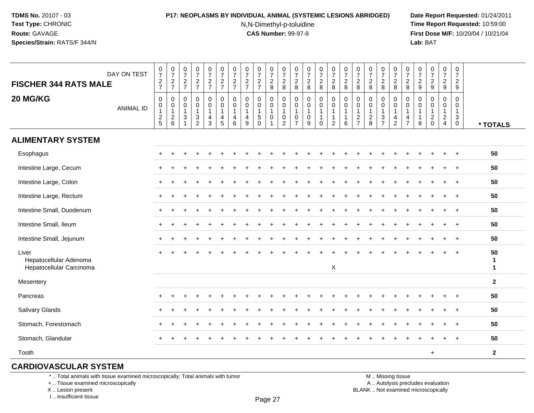### **P17: NEOPLASMS BY INDIVIDUAL ANIMAL (SYSTEMIC LESIONS ABRIDGED) Date Report Requested:** 01/24/2011

N,N-Dimethyl-p-toluidine

 **Time Report Requested:** 10:59:00 **First Dose M/F:** 10/20/04 / 10/21/04<br>**Lab:** BAT **Lab:** BAT

| <b>FISCHER 344 RATS MALE</b>                                | DAY ON TEST      | $\frac{0}{7}$<br>$\frac{2}{7}$                            | $\frac{0}{7}$<br>$\frac{2}{7}$                            | $\begin{array}{c} 0 \\ 7 \end{array}$<br>$\frac{2}{7}$                              | $\frac{0}{7}$<br>$\frac{2}{7}$          | $\frac{0}{7}$<br>$\frac{2}{7}$                                      | $\frac{0}{7}$<br>$\frac{2}{7}$                                | 0<br>$\overline{7}$<br>$\frac{2}{7}$                   | $\frac{0}{7}$<br>$\frac{2}{7}$                            | $\frac{0}{7}$<br>$\frac{2}{7}$                          | $\begin{array}{c} 0 \\ 7 \end{array}$<br>$\frac{2}{8}$                  | $\frac{0}{7}$<br>$\frac{2}{8}$                                          | $\frac{0}{7}$<br>$\frac{2}{8}$                                                          | $\begin{array}{c} 0 \\ 7 \end{array}$<br>$\frac{2}{8}$                | $\frac{0}{7}$<br>$\frac{2}{8}$                               | $\begin{smallmatrix}0\\7\end{smallmatrix}$<br>$_{8}^2$                               | $\begin{array}{c} 0 \\ 7 \end{array}$<br>$\overline{c}$<br>8 | $\boldsymbol{0}$<br>$\overline{7}$<br>$\sqrt{2}$<br>8                            | $\begin{array}{c} 0 \\ 7 \end{array}$<br>$\overline{2}$<br>8 | $\frac{0}{7}$<br>$\frac{2}{8}$                    | $\frac{0}{7}$<br>$_{8}^2$                                              | $\frac{0}{7}$<br>$\overline{2}$<br>8                    | $\frac{0}{7}$<br>$\frac{2}{9}$                                  | $\begin{smallmatrix} 0\\7 \end{smallmatrix}$<br>$\frac{2}{9}$ | $\begin{smallmatrix}0\\7\end{smallmatrix}$<br>$\frac{2}{9}$                 | $\boldsymbol{0}$<br>$\overline{7}$<br>$\overline{2}$<br>9              |                         |
|-------------------------------------------------------------|------------------|-----------------------------------------------------------|-----------------------------------------------------------|-------------------------------------------------------------------------------------|-----------------------------------------|---------------------------------------------------------------------|---------------------------------------------------------------|--------------------------------------------------------|-----------------------------------------------------------|---------------------------------------------------------|-------------------------------------------------------------------------|-------------------------------------------------------------------------|-----------------------------------------------------------------------------------------|-----------------------------------------------------------------------|--------------------------------------------------------------|--------------------------------------------------------------------------------------|--------------------------------------------------------------|----------------------------------------------------------------------------------|--------------------------------------------------------------|---------------------------------------------------|------------------------------------------------------------------------|---------------------------------------------------------|-----------------------------------------------------------------|---------------------------------------------------------------|-----------------------------------------------------------------------------|------------------------------------------------------------------------|-------------------------|
| 20 MG/KG                                                    | <b>ANIMAL ID</b> | $\pmb{0}$<br>$\pmb{0}$<br>$\overline{1}$<br>$\frac{2}{5}$ | $\mathbf 0$<br>$\pmb{0}$<br>$\mathbf{1}$<br>$\frac{2}{6}$ | $\pmb{0}$<br>$\pmb{0}$<br>$\mathbf{1}$<br>$\ensuremath{\mathsf{3}}$<br>$\mathbf{1}$ | 0<br>0<br>$\mathbf{1}$<br>$\frac{3}{2}$ | $\mathbf 0$<br>$\mathsf{O}\xspace$<br>$\mathbf{1}$<br>$\frac{4}{3}$ | $\pmb{0}$<br>$\pmb{0}$<br>$\mathbf{1}$<br>4<br>$\overline{5}$ | $\mathbf 0$<br>$\mathbf 0$<br>$\overline{1}$<br>4<br>6 | $\mathbf 0$<br>$\boldsymbol{0}$<br>$\mathbf{1}$<br>4<br>9 | 0<br>$\mathbf 0$<br>$\mathbf{1}$<br>5<br>$\overline{0}$ | 0<br>$\mathbf 0$<br>$\mathbf{1}$<br>$\mathsf{O}\xspace$<br>$\mathbf{1}$ | $\pmb{0}$<br>$\mathsf 0$<br>$\mathbf{1}$<br>$\pmb{0}$<br>$\overline{2}$ | $\boldsymbol{0}$<br>$\mathbf 0$<br>$\overline{1}$<br>$\boldsymbol{0}$<br>$\overline{7}$ | $\pmb{0}$<br>$\pmb{0}$<br>$\mathbf{1}$<br>$\pmb{0}$<br>$\overline{9}$ | $\pmb{0}$<br>$\mathsf 0$<br>1<br>$\mathbf{1}$<br>$\mathbf 0$ | $\mathbf 0$<br>$\mathsf{O}\xspace$<br>$\mathbf{1}$<br>$\mathbf{1}$<br>$\overline{c}$ | $\pmb{0}$<br>$\pmb{0}$<br>$\mathbf 1$<br>$\mathbf 1$<br>6    | $\mathbf 0$<br>$\mathbf 0$<br>$\mathbf{1}$<br>$\boldsymbol{2}$<br>$\overline{7}$ | $\mathbf 0$<br>$\pmb{0}$<br>$\mathbf{1}$<br>$\frac{2}{8}$    | 0<br>$\mathbf 0$<br>$\mathbf{1}$<br>$\frac{3}{7}$ | $\pmb{0}$<br>$\pmb{0}$<br>$\mathbf{1}$<br>$\overline{4}$<br>$\sqrt{2}$ | 0<br>$\mathbf 0$<br>$\mathbf{1}$<br>4<br>$\overline{7}$ | $\mathbf 0$<br>$\mathbf 0$<br>$\mathbf{1}$<br>$\mathbf{1}$<br>8 | $\mathbf 0$<br>$\mathbf 0$<br>$\mathbf{1}$<br>$^2_{\rm 0}$    | 0<br>$\pmb{0}$<br>$\mathbf{1}$<br>$\overline{2}$<br>$\overline{\mathbf{4}}$ | $\mathbf 0$<br>$\mathbf 0$<br>$\mathbf{1}$<br>3<br>$\ddot{\mathbf{0}}$ | * TOTALS                |
| <b>ALIMENTARY SYSTEM</b>                                    |                  |                                                           |                                                           |                                                                                     |                                         |                                                                     |                                                               |                                                        |                                                           |                                                         |                                                                         |                                                                         |                                                                                         |                                                                       |                                                              |                                                                                      |                                                              |                                                                                  |                                                              |                                                   |                                                                        |                                                         |                                                                 |                                                               |                                                                             |                                                                        |                         |
| Esophagus                                                   |                  |                                                           |                                                           |                                                                                     |                                         |                                                                     |                                                               |                                                        |                                                           |                                                         |                                                                         |                                                                         |                                                                                         |                                                                       |                                                              |                                                                                      |                                                              |                                                                                  |                                                              |                                                   |                                                                        |                                                         |                                                                 |                                                               |                                                                             |                                                                        | 50                      |
| Intestine Large, Cecum                                      |                  |                                                           |                                                           |                                                                                     |                                         |                                                                     |                                                               |                                                        |                                                           |                                                         |                                                                         |                                                                         |                                                                                         |                                                                       |                                                              |                                                                                      |                                                              |                                                                                  |                                                              |                                                   |                                                                        |                                                         |                                                                 |                                                               | $\ddot{}$                                                                   | $+$                                                                    | 50                      |
| Intestine Large, Colon                                      |                  |                                                           |                                                           |                                                                                     |                                         |                                                                     |                                                               |                                                        |                                                           |                                                         |                                                                         |                                                                         |                                                                                         |                                                                       |                                                              |                                                                                      |                                                              |                                                                                  |                                                              |                                                   |                                                                        |                                                         |                                                                 |                                                               |                                                                             |                                                                        | 50                      |
| Intestine Large, Rectum                                     |                  |                                                           |                                                           |                                                                                     |                                         |                                                                     |                                                               |                                                        |                                                           |                                                         |                                                                         |                                                                         |                                                                                         |                                                                       |                                                              |                                                                                      |                                                              |                                                                                  |                                                              |                                                   |                                                                        |                                                         |                                                                 |                                                               |                                                                             |                                                                        | 50                      |
| Intestine Small, Duodenum                                   |                  |                                                           |                                                           |                                                                                     |                                         |                                                                     |                                                               |                                                        |                                                           |                                                         |                                                                         |                                                                         |                                                                                         |                                                                       |                                                              |                                                                                      |                                                              |                                                                                  |                                                              |                                                   |                                                                        |                                                         |                                                                 |                                                               |                                                                             |                                                                        | 50                      |
| Intestine Small, Ileum                                      |                  |                                                           |                                                           |                                                                                     |                                         |                                                                     |                                                               |                                                        |                                                           |                                                         |                                                                         |                                                                         |                                                                                         |                                                                       |                                                              |                                                                                      |                                                              |                                                                                  |                                                              |                                                   |                                                                        |                                                         |                                                                 |                                                               | $+$                                                                         | $+$                                                                    | 50                      |
| Intestine Small, Jejunum                                    |                  |                                                           |                                                           |                                                                                     |                                         |                                                                     |                                                               |                                                        |                                                           |                                                         |                                                                         |                                                                         |                                                                                         |                                                                       |                                                              |                                                                                      |                                                              |                                                                                  |                                                              |                                                   |                                                                        |                                                         |                                                                 |                                                               |                                                                             | $\ddot{}$                                                              | 50                      |
| Liver<br>Hepatocellular Adenoma<br>Hepatocellular Carcinoma |                  |                                                           |                                                           |                                                                                     |                                         |                                                                     |                                                               |                                                        |                                                           |                                                         |                                                                         |                                                                         |                                                                                         |                                                                       |                                                              | X                                                                                    |                                                              |                                                                                  |                                                              |                                                   |                                                                        |                                                         |                                                                 |                                                               |                                                                             |                                                                        | 50<br>1<br>$\mathbf{1}$ |
| Mesentery                                                   |                  |                                                           |                                                           |                                                                                     |                                         |                                                                     |                                                               |                                                        |                                                           |                                                         |                                                                         |                                                                         |                                                                                         |                                                                       |                                                              |                                                                                      |                                                              |                                                                                  |                                                              |                                                   |                                                                        |                                                         |                                                                 |                                                               |                                                                             |                                                                        | $\overline{2}$          |
| Pancreas                                                    |                  |                                                           |                                                           |                                                                                     |                                         |                                                                     |                                                               |                                                        |                                                           |                                                         |                                                                         |                                                                         |                                                                                         |                                                                       |                                                              |                                                                                      |                                                              |                                                                                  |                                                              |                                                   |                                                                        |                                                         |                                                                 |                                                               |                                                                             |                                                                        | 50                      |
| Salivary Glands                                             |                  |                                                           |                                                           |                                                                                     |                                         |                                                                     |                                                               |                                                        |                                                           |                                                         |                                                                         |                                                                         |                                                                                         |                                                                       |                                                              |                                                                                      |                                                              |                                                                                  |                                                              |                                                   |                                                                        |                                                         |                                                                 |                                                               |                                                                             | $\ddot{}$                                                              | 50                      |
| Stomach, Forestomach                                        |                  |                                                           |                                                           |                                                                                     |                                         |                                                                     |                                                               |                                                        |                                                           |                                                         |                                                                         |                                                                         |                                                                                         |                                                                       |                                                              |                                                                                      |                                                              |                                                                                  |                                                              |                                                   |                                                                        |                                                         |                                                                 |                                                               |                                                                             | $\ddot{}$                                                              | 50                      |
| Stomach, Glandular                                          |                  | ÷                                                         |                                                           |                                                                                     |                                         |                                                                     |                                                               |                                                        |                                                           |                                                         |                                                                         |                                                                         |                                                                                         |                                                                       |                                                              |                                                                                      |                                                              |                                                                                  |                                                              |                                                   |                                                                        |                                                         |                                                                 |                                                               |                                                                             |                                                                        | 50                      |
| Tooth                                                       |                  |                                                           |                                                           |                                                                                     |                                         |                                                                     |                                                               |                                                        |                                                           |                                                         |                                                                         |                                                                         |                                                                                         |                                                                       |                                                              |                                                                                      |                                                              |                                                                                  |                                                              |                                                   |                                                                        |                                                         |                                                                 | $\ddot{}$                                                     |                                                                             |                                                                        | $\mathbf{2}$            |

## **CARDIOVASCULAR SYSTEM**

\* .. Total animals with tissue examined microscopically; Total animals with tumor

+ .. Tissue examined microscopically

X .. Lesion present

I .. Insufficient tissue

M .. Missing tissue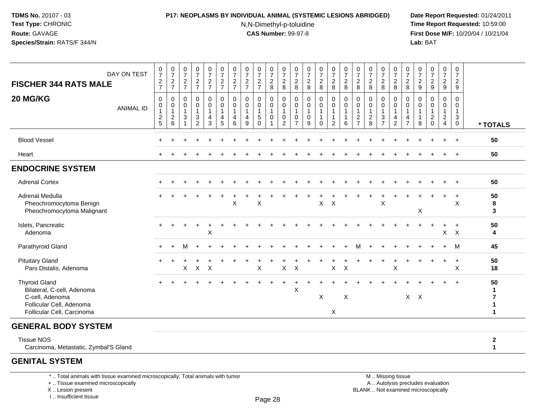#### **P17: NEOPLASMS BY INDIVIDUAL ANIMAL (SYSTEMIC LESIONS ABRIDGED) Date Report Requested:** 01/24/2011

N,N-Dimethyl-p-toluidine

 **Time Report Requested:** 10:59:00 **First Dose M/F:** 10/20/04 / 10/21/04<br>**Lab:** BAT **Lab:** BAT

| DAY ON TEST<br><b>FISCHER 344 RATS MALE</b>                                                                                     | $\frac{0}{7}$<br>$\frac{2}{7}$                            | $\frac{0}{7}$<br>$\frac{2}{7}$                                       | $\frac{0}{7}$<br>$\frac{2}{7}$                                           | $\frac{0}{7}$<br>$\frac{2}{7}$                          | $\frac{0}{7}$<br>$\frac{2}{7}$                          | $\frac{0}{7}$<br>$\frac{2}{7}$                                    | $\frac{0}{7}$<br>$\frac{2}{7}$                     | $\frac{0}{7}$<br>$\overline{c}$<br>$\overline{7}$    | $\frac{0}{7}$<br>$\frac{2}{7}$                              | $\begin{array}{c} 0 \\ 7 \end{array}$<br>$\frac{2}{8}$                                  | $\begin{array}{c} 0 \\ 7 \end{array}$<br>$_{\rm 8}^2$           | $\frac{0}{7}$<br>$\frac{2}{8}$                                 | $\begin{smallmatrix}0\\7\end{smallmatrix}$<br>$\frac{2}{8}$  | $\frac{0}{7}$<br>$\frac{2}{8}$                    | $\begin{smallmatrix}0\\7\end{smallmatrix}$<br>$\overline{a}$<br>8  | $\frac{0}{7}$<br>$\overline{c}$<br>8                          | $\frac{0}{7}$<br>$\frac{2}{8}$                                                 | $\begin{array}{c} 0 \\ 7 \end{array}$<br>$\sqrt{2}$<br>8               | $\frac{0}{7}$<br>$\frac{2}{8}$                                             | $\frac{0}{7}$<br>$\frac{2}{8}$                                       | $\frac{0}{7}$<br>$\frac{2}{8}$                | $\frac{0}{7}$<br>$\frac{2}{9}$   | $\begin{array}{c} 0 \\ 7 \end{array}$<br>$\frac{2}{9}$                    | $\frac{0}{7}$<br>$\overline{2}$<br>$\boldsymbol{9}$        | $\frac{0}{7}$<br>$\overline{2}$<br>9                           |                                                |
|---------------------------------------------------------------------------------------------------------------------------------|-----------------------------------------------------------|----------------------------------------------------------------------|--------------------------------------------------------------------------|---------------------------------------------------------|---------------------------------------------------------|-------------------------------------------------------------------|----------------------------------------------------|------------------------------------------------------|-------------------------------------------------------------|-----------------------------------------------------------------------------------------|-----------------------------------------------------------------|----------------------------------------------------------------|--------------------------------------------------------------|---------------------------------------------------|--------------------------------------------------------------------|---------------------------------------------------------------|--------------------------------------------------------------------------------|------------------------------------------------------------------------|----------------------------------------------------------------------------|----------------------------------------------------------------------|-----------------------------------------------|----------------------------------|---------------------------------------------------------------------------|------------------------------------------------------------|----------------------------------------------------------------|------------------------------------------------|
| 20 MG/KG<br><b>ANIMAL ID</b>                                                                                                    | $\mathbf 0$<br>$\pmb{0}$<br>$\mathbf{1}$<br>$\frac{2}{5}$ | 0<br>$\mathbf 0$<br>$\mathbf{1}$<br>$\overline{2}$<br>$6\phantom{1}$ | $\mathbf 0$<br>$\pmb{0}$<br>$\mathbf{1}$<br>$\sqrt{3}$<br>$\overline{1}$ | 0<br>$\mathbf 0$<br>$\mathbf{1}$<br>3<br>$\overline{2}$ | 0<br>$\mathbf 0$<br>$\mathbf{1}$<br>4<br>$\mathfrak{Z}$ | $\mathbf 0$<br>$\mathsf 0$<br>$\mathbf{1}$<br>$\overline{4}$<br>5 | $\mathbf 0$<br>$\pmb{0}$<br>$\mathbf{1}$<br>4<br>6 | $\mathbf 0$<br>$\mathbf 0$<br>$\mathbf{1}$<br>4<br>9 | $\mathbf 0$<br>$\mathbf 0$<br>$\mathbf{1}$<br>5<br>$\Omega$ | $\mathbf 0$<br>$\mathsf{O}\xspace$<br>$\mathbf{1}$<br>$\pmb{0}$<br>$\blacktriangleleft$ | $\mathbf 0$<br>$\pmb{0}$<br>$\mathbf{1}$<br>0<br>$\overline{c}$ | 0<br>$\boldsymbol{0}$<br>$\overline{1}$<br>0<br>$\overline{7}$ | $\mathbf 0$<br>$\pmb{0}$<br>$\mathbf{1}$<br>$\mathbf 0$<br>9 | $\mathbf{0}$<br>$\mathsf 0$<br>1<br>1<br>$\Omega$ | 0<br>$\mathbf 0$<br>$\mathbf{1}$<br>$\mathbf{1}$<br>$\overline{c}$ | $\mathbf 0$<br>$\pmb{0}$<br>$\mathbf{1}$<br>$\mathbf{1}$<br>6 | $\mathbf 0$<br>$\mathbf 0$<br>$\mathbf{1}$<br>$\overline{2}$<br>$\overline{7}$ | $\mathbf 0$<br>$\boldsymbol{0}$<br>$\mathbf{1}$<br>$\overline{2}$<br>8 | $\mathbf 0$<br>$\mathbf 0$<br>$\mathbf{1}$<br>$\sqrt{3}$<br>$\overline{7}$ | $\mathbf 0$<br>$\overline{0}$<br>$\mathbf{1}$<br>4<br>$\overline{2}$ | 0<br>0<br>$\mathbf{1}$<br>4<br>$\overline{7}$ | 0<br>0<br>$\mathbf{1}$<br>1<br>8 | $\mathbf 0$<br>$\pmb{0}$<br>$\mathbf{1}$<br>$\overline{c}$<br>$\mathbf 0$ | 0<br>0<br>$\mathbf{1}$<br>$\overline{2}$<br>$\overline{4}$ | $\mathbf 0$<br>$\mathbf 0$<br>$\mathbf{1}$<br>3<br>$\mathbf 0$ | * TOTALS                                       |
| <b>Blood Vessel</b>                                                                                                             |                                                           |                                                                      |                                                                          |                                                         |                                                         |                                                                   |                                                    |                                                      |                                                             |                                                                                         |                                                                 |                                                                |                                                              |                                                   |                                                                    |                                                               |                                                                                |                                                                        |                                                                            |                                                                      |                                               |                                  |                                                                           |                                                            |                                                                | 50                                             |
| Heart                                                                                                                           |                                                           |                                                                      |                                                                          |                                                         |                                                         |                                                                   |                                                    |                                                      |                                                             |                                                                                         |                                                                 |                                                                |                                                              |                                                   |                                                                    |                                                               |                                                                                |                                                                        |                                                                            |                                                                      |                                               |                                  |                                                                           |                                                            |                                                                | 50                                             |
| <b>ENDOCRINE SYSTEM</b>                                                                                                         |                                                           |                                                                      |                                                                          |                                                         |                                                         |                                                                   |                                                    |                                                      |                                                             |                                                                                         |                                                                 |                                                                |                                                              |                                                   |                                                                    |                                                               |                                                                                |                                                                        |                                                                            |                                                                      |                                               |                                  |                                                                           |                                                            |                                                                |                                                |
| <b>Adrenal Cortex</b>                                                                                                           |                                                           |                                                                      |                                                                          |                                                         |                                                         |                                                                   |                                                    |                                                      |                                                             |                                                                                         |                                                                 |                                                                |                                                              |                                                   |                                                                    |                                                               |                                                                                |                                                                        |                                                                            |                                                                      |                                               |                                  |                                                                           |                                                            | $+$                                                            | 50                                             |
| Adrenal Medulla<br>Pheochromocytoma Benign<br>Pheochromocytoma Malignant                                                        |                                                           |                                                                      |                                                                          |                                                         |                                                         |                                                                   | $\mathsf X$                                        |                                                      | X                                                           |                                                                                         |                                                                 |                                                                |                                                              | X                                                 | $\times$                                                           |                                                               |                                                                                |                                                                        | X                                                                          |                                                                      |                                               | X                                |                                                                           | $\ddot{}$                                                  | $\ddot{}$<br>$\boldsymbol{\mathsf{X}}$                         | 50<br>8<br>3                                   |
| Islets, Pancreatic<br>Adenoma                                                                                                   |                                                           |                                                                      |                                                                          | $\ddot{}$                                               | $\ddot{}$<br>$\sf X$                                    |                                                                   |                                                    |                                                      |                                                             |                                                                                         |                                                                 |                                                                |                                                              |                                                   |                                                                    |                                                               |                                                                                |                                                                        |                                                                            |                                                                      |                                               |                                  | $\overline{+}$                                                            | $\ddot{}$                                                  | $\overline{+}$<br>$X$ $X$                                      | 50<br>4                                        |
| Parathyroid Gland                                                                                                               |                                                           | $\div$                                                               | м                                                                        | $\div$                                                  |                                                         |                                                                   |                                                    |                                                      |                                                             |                                                                                         |                                                                 |                                                                |                                                              |                                                   |                                                                    |                                                               |                                                                                |                                                                        |                                                                            |                                                                      |                                               |                                  |                                                                           | $+$                                                        | м                                                              | 45                                             |
| <b>Pituitary Gland</b><br>Pars Distalis, Adenoma                                                                                |                                                           |                                                                      | X                                                                        | $\mathsf{X}$                                            | $\mathsf{X}$                                            |                                                                   |                                                    |                                                      | $\mathsf X$                                                 |                                                                                         | $\mathsf{X}$                                                    | $\boldsymbol{\mathsf{X}}$                                      |                                                              |                                                   | $\mathsf X$                                                        | $\mathsf{X}$                                                  |                                                                                |                                                                        |                                                                            | $\times$                                                             |                                               |                                  |                                                                           | $\ddot{}$                                                  | $\overline{+}$<br>X                                            | 50<br>18                                       |
| <b>Thyroid Gland</b><br>Bilateral, C-cell, Adenoma<br>C-cell, Adenoma<br>Follicular Cell, Adenoma<br>Follicular Cell, Carcinoma |                                                           |                                                                      |                                                                          |                                                         |                                                         |                                                                   |                                                    |                                                      |                                                             |                                                                                         |                                                                 | X                                                              |                                                              | X                                                 | X                                                                  | $\mathsf X$                                                   |                                                                                |                                                                        |                                                                            |                                                                      | $X$ $X$                                       |                                  |                                                                           |                                                            | $\ddot{}$                                                      | 50<br>1<br>$\overline{7}$<br>1<br>$\mathbf{1}$ |
| <b>GENERAL BODY SYSTEM</b>                                                                                                      |                                                           |                                                                      |                                                                          |                                                         |                                                         |                                                                   |                                                    |                                                      |                                                             |                                                                                         |                                                                 |                                                                |                                                              |                                                   |                                                                    |                                                               |                                                                                |                                                                        |                                                                            |                                                                      |                                               |                                  |                                                                           |                                                            |                                                                |                                                |
| <b>Tissue NOS</b><br>Carcinoma, Metastatic, Zymbal'S Gland                                                                      |                                                           |                                                                      |                                                                          |                                                         |                                                         |                                                                   |                                                    |                                                      |                                                             |                                                                                         |                                                                 |                                                                |                                                              |                                                   |                                                                    |                                                               |                                                                                |                                                                        |                                                                            |                                                                      |                                               |                                  |                                                                           |                                                            |                                                                | $\mathbf{2}$<br>$\mathbf{1}$                   |

# **GENITAL SYSTEM**

\* .. Total animals with tissue examined microscopically; Total animals with tumor

+ .. Tissue examined microscopically

X .. Lesion present

I .. Insufficient tissue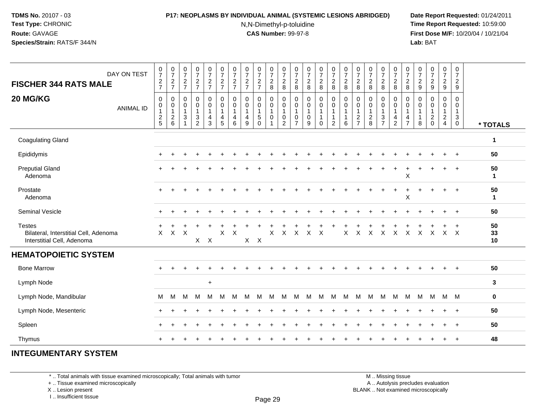#### **P17: NEOPLASMS BY INDIVIDUAL ANIMAL (SYSTEMIC LESIONS ABRIDGED) Date Report Requested:** 01/24/2011

N,N-Dimethyl-p-toluidine

 **Time Report Requested:** 10:59:00 **First Dose M/F:** 10/20/04 / 10/21/04<br>**Lab:** BAT **Lab:** BAT

| DAY ON TEST<br><b>FISCHER 344 RATS MALE</b><br>20 MG/KG                              | $\frac{0}{7}$<br>$\overline{c}$<br>$\overline{7}$<br>$\mathbf 0$ | $\frac{0}{7}$<br>$\overline{2}$<br>$\overline{7}$<br>$\mathsf{O}\xspace$ | $\frac{0}{7}$<br>$\overline{2}$<br>$\overline{7}$<br>$\pmb{0}$ | 0<br>$\overline{7}$<br>$\overline{c}$<br>$\overline{7}$<br>0     | 0<br>$\overline{7}$<br>$\overline{2}$<br>$\overline{7}$<br>0          | $\frac{0}{7}$<br>$\overline{c}$<br>$\overline{7}$<br>0 | $\frac{0}{7}$<br>$\overline{2}$<br>$\overline{7}$<br>$\mathbf 0$ | $\pmb{0}$<br>$\overline{7}$<br>$\overline{2}$<br>$\overline{7}$<br>$\pmb{0}$ | 0<br>$\overline{7}$<br>$\overline{c}$<br>$\overline{7}$<br>0 | 0<br>$\overline{7}$<br>$\boldsymbol{2}$<br>8<br>$\pmb{0}$               | $\frac{0}{7}$<br>$\overline{c}$<br>$\,8\,$<br>$\mathsf{O}\xspace$ | 0<br>$\overline{7}$<br>$\overline{c}$<br>8<br>0      | $\mathbf 0$<br>$\overline{7}$<br>$\overline{2}$<br>8<br>$\pmb{0}$ | 0<br>$\overline{7}$<br>$\overline{2}$<br>$\,8\,$<br>$\pmb{0}$ | 0<br>$\overline{7}$<br>$\overline{2}$<br>8<br>$\pmb{0}$       | $\frac{0}{7}$<br>$\overline{c}$<br>8<br>$\mathsf 0$ | 0<br>$\overline{7}$<br>$\overline{2}$<br>8<br>0       | $\mathbf 0$<br>$\overline{7}$<br>$\boldsymbol{2}$<br>8<br>$\mathbf 0$ | 0<br>$\overline{7}$<br>$\overline{2}$<br>$\,8\,$<br>0            | $\mathbf 0$<br>$\overline{7}$<br>$\overline{2}$<br>8<br>0 | 0<br>$\overline{7}$<br>$\overline{a}$<br>8<br>$\mathbf 0$ | 0<br>$\overline{7}$<br>$\overline{2}$<br>$\boldsymbol{9}$<br>$\mathbf 0$ | $\begin{smallmatrix}0\\7\end{smallmatrix}$<br>$\overline{2}$<br>$\boldsymbol{9}$<br>$\mathbf 0$ | 0<br>$\overline{7}$<br>$\overline{2}$<br>$\boldsymbol{9}$<br>0 | $\pmb{0}$<br>$\overline{7}$<br>$\overline{2}$<br>9<br>$\mathbf 0$ |                    |
|--------------------------------------------------------------------------------------|------------------------------------------------------------------|--------------------------------------------------------------------------|----------------------------------------------------------------|------------------------------------------------------------------|-----------------------------------------------------------------------|--------------------------------------------------------|------------------------------------------------------------------|------------------------------------------------------------------------------|--------------------------------------------------------------|-------------------------------------------------------------------------|-------------------------------------------------------------------|------------------------------------------------------|-------------------------------------------------------------------|---------------------------------------------------------------|---------------------------------------------------------------|-----------------------------------------------------|-------------------------------------------------------|-----------------------------------------------------------------------|------------------------------------------------------------------|-----------------------------------------------------------|-----------------------------------------------------------|--------------------------------------------------------------------------|-------------------------------------------------------------------------------------------------|----------------------------------------------------------------|-------------------------------------------------------------------|--------------------|
| <b>ANIMAL ID</b>                                                                     | 0<br>1<br>$\frac{2}{5}$                                          | $\mathbf 0$<br>$\overline{1}$<br>$\frac{2}{6}$                           | $\mathbf 0$<br>$\overline{1}$<br>$\sqrt{3}$<br>$\overline{1}$  | 0<br>$\mathbf{1}$<br>$\ensuremath{\mathsf{3}}$<br>$\overline{2}$ | $\mathsf{O}\xspace$<br>$\mathbf{1}$<br>$\overline{4}$<br>$\mathbf{3}$ | $\pmb{0}$<br>$\mathbf{1}$<br>4<br>5                    | $\mathbf 0$<br>$\overline{1}$<br>4<br>6                          | $\mathbf 0$<br>$\mathbf{1}$<br>$\overline{\mathbf{4}}$<br>9                  | $\mathbf 0$<br>$\mathbf 1$<br>5<br>$\Omega$                  | $\ddot{\mathbf{0}}$<br>$\mathbf{1}$<br>$\boldsymbol{0}$<br>$\mathbf{1}$ | $\,0\,$<br>$\mathbf{1}$<br>$\pmb{0}$<br>$\overline{2}$            | 0<br>$\overline{1}$<br>$\mathbf 0$<br>$\overline{7}$ | $\mathbf 0$<br>$\overline{1}$<br>$\mathbf 0$<br>9                 | $\mathbf 0$<br>$\mathbf{1}$<br>1<br>$\mathbf 0$               | $\mathbf 0$<br>$\mathbf{1}$<br>$\mathbf{1}$<br>$\overline{2}$ | $\pmb{0}$<br>$\mathbf{1}$<br>$\mathbf{1}$<br>6      | 0<br>$\mathbf{1}$<br>$\overline{c}$<br>$\overline{7}$ | $\mathbf 0$<br>$\mathbf{1}$<br>$\frac{2}{8}$                          | 0<br>$\mathbf{1}$<br>$\ensuremath{\mathsf{3}}$<br>$\overline{7}$ | $\mathsf 0$<br>$\mathbf{1}$<br>4<br>$\overline{c}$        | 0<br>$\mathbf{1}$<br>4<br>$\overline{7}$                  | 0<br>$\mathbf{1}$<br>$\mathbf 1$<br>8                                    | 0<br>$\mathbf{1}$<br>$\frac{2}{0}$                                                              | 0<br>$\overline{1}$<br>$\frac{2}{4}$                           | 0<br>$\mathbf{1}$<br>$\mathbf{3}$<br>$\overline{0}$               | * TOTALS           |
| <b>Coagulating Gland</b>                                                             |                                                                  |                                                                          |                                                                |                                                                  |                                                                       |                                                        |                                                                  |                                                                              |                                                              |                                                                         |                                                                   |                                                      |                                                                   |                                                               |                                                               |                                                     |                                                       |                                                                       |                                                                  |                                                           |                                                           |                                                                          |                                                                                                 |                                                                |                                                                   | $\mathbf{1}$       |
| Epididymis                                                                           |                                                                  |                                                                          |                                                                |                                                                  |                                                                       |                                                        |                                                                  |                                                                              |                                                              |                                                                         |                                                                   |                                                      |                                                                   |                                                               |                                                               |                                                     |                                                       |                                                                       |                                                                  |                                                           |                                                           |                                                                          |                                                                                                 |                                                                | $\overline{ }$                                                    | 50                 |
| <b>Preputial Gland</b><br>Adenoma                                                    |                                                                  |                                                                          |                                                                |                                                                  |                                                                       |                                                        |                                                                  |                                                                              |                                                              |                                                                         |                                                                   |                                                      |                                                                   |                                                               |                                                               |                                                     |                                                       |                                                                       |                                                                  |                                                           | X                                                         |                                                                          |                                                                                                 |                                                                |                                                                   | 50<br>$\mathbf{1}$ |
| Prostate<br>Adenoma                                                                  |                                                                  |                                                                          |                                                                |                                                                  |                                                                       |                                                        |                                                                  |                                                                              |                                                              |                                                                         |                                                                   |                                                      |                                                                   |                                                               |                                                               |                                                     |                                                       |                                                                       |                                                                  | $\ddot{}$                                                 | $\ddot{}$<br>X                                            |                                                                          |                                                                                                 |                                                                | $\ddot{}$                                                         | 50<br>$\mathbf{1}$ |
| <b>Seminal Vesicle</b>                                                               |                                                                  |                                                                          |                                                                |                                                                  |                                                                       |                                                        |                                                                  |                                                                              |                                                              |                                                                         |                                                                   |                                                      |                                                                   |                                                               |                                                               |                                                     |                                                       |                                                                       |                                                                  |                                                           |                                                           |                                                                          |                                                                                                 |                                                                | $\ddot{}$                                                         | 50                 |
| <b>Testes</b><br>Bilateral, Interstitial Cell, Adenoma<br>Interstitial Cell, Adenoma | $\times$                                                         | X                                                                        | $\times$                                                       | $X$ $X$                                                          |                                                                       | X                                                      | X                                                                | $X$ $X$                                                                      |                                                              | $\times$                                                                | $\times$                                                          | $\times$                                             | $\times$ $\times$                                                 |                                                               |                                                               | X                                                   | $\mathsf{X}$                                          | $\mathsf{X}$                                                          | $\times$                                                         | $\mathsf{X}$                                              | $\mathsf{X}$                                              | $\times$ $\times$                                                        |                                                                                                 | $X$ $X$                                                        |                                                                   | 50<br>33<br>10     |
| <b>HEMATOPOIETIC SYSTEM</b>                                                          |                                                                  |                                                                          |                                                                |                                                                  |                                                                       |                                                        |                                                                  |                                                                              |                                                              |                                                                         |                                                                   |                                                      |                                                                   |                                                               |                                                               |                                                     |                                                       |                                                                       |                                                                  |                                                           |                                                           |                                                                          |                                                                                                 |                                                                |                                                                   |                    |
| <b>Bone Marrow</b>                                                                   |                                                                  |                                                                          |                                                                |                                                                  |                                                                       |                                                        |                                                                  |                                                                              |                                                              |                                                                         |                                                                   |                                                      |                                                                   |                                                               |                                                               |                                                     |                                                       |                                                                       |                                                                  |                                                           |                                                           |                                                                          |                                                                                                 |                                                                | $\div$                                                            | 50                 |
| Lymph Node                                                                           |                                                                  |                                                                          |                                                                |                                                                  | $+$                                                                   |                                                        |                                                                  |                                                                              |                                                              |                                                                         |                                                                   |                                                      |                                                                   |                                                               |                                                               |                                                     |                                                       |                                                                       |                                                                  |                                                           |                                                           |                                                                          |                                                                                                 |                                                                |                                                                   | 3                  |
| Lymph Node, Mandibular                                                               | м                                                                | м                                                                        | M                                                              | M                                                                | м                                                                     | м                                                      | м                                                                | м                                                                            | M                                                            | M                                                                       | M                                                                 | м                                                    | M                                                                 | M                                                             | M                                                             | M                                                   | M                                                     | M                                                                     | M                                                                | M                                                         | M                                                         | M                                                                        | M                                                                                               | M M                                                            |                                                                   | $\mathbf 0$        |
| Lymph Node, Mesenteric                                                               |                                                                  |                                                                          |                                                                |                                                                  |                                                                       |                                                        |                                                                  |                                                                              |                                                              |                                                                         |                                                                   |                                                      |                                                                   |                                                               |                                                               |                                                     |                                                       |                                                                       |                                                                  |                                                           |                                                           |                                                                          |                                                                                                 |                                                                |                                                                   | 50                 |
| Spleen                                                                               |                                                                  |                                                                          |                                                                |                                                                  |                                                                       |                                                        |                                                                  |                                                                              |                                                              |                                                                         |                                                                   |                                                      |                                                                   |                                                               |                                                               |                                                     |                                                       |                                                                       |                                                                  |                                                           |                                                           |                                                                          |                                                                                                 |                                                                | $\ddot{}$                                                         | 50                 |
| Thymus                                                                               |                                                                  |                                                                          |                                                                |                                                                  |                                                                       |                                                        |                                                                  |                                                                              |                                                              |                                                                         |                                                                   |                                                      |                                                                   |                                                               |                                                               |                                                     |                                                       |                                                                       |                                                                  |                                                           |                                                           |                                                                          |                                                                                                 |                                                                | $\ddot{}$                                                         | 48                 |

## **INTEGUMENTARY SYSTEM**

\* .. Total animals with tissue examined microscopically; Total animals with tumor

+ .. Tissue examined microscopically

X .. Lesion present

I .. Insufficient tissue

M .. Missing tissue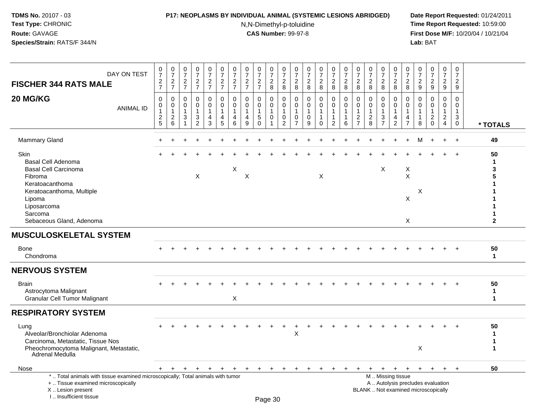### **P17: NEOPLASMS BY INDIVIDUAL ANIMAL (SYSTEMIC LESIONS ABRIDGED) Date Report Requested:** 01/24/2011

N,N-Dimethyl-p-toluidine

 **Time Report Requested:** 10:59:00 **First Dose M/F:** 10/20/04 / 10/21/04<br>**Lab:** BAT **Lab:** BAT

| DAY ON TEST<br><b>FISCHER 344 RATS MALE</b>                                                                                                                                                 | $\frac{0}{7}$<br>$\frac{2}{7}$                                      | $\begin{array}{c} 0 \\ 7 \end{array}$<br>$\overline{c}$<br>$\overline{7}$ | $\frac{0}{7}$<br>$\frac{2}{7}$               | $\begin{smallmatrix}0\\7\end{smallmatrix}$<br>$\frac{2}{7}$               | $\frac{0}{7}$<br>$\frac{2}{7}$                          | $\frac{0}{7}$<br>$\frac{2}{7}$                                 | $\frac{0}{7}$<br>$\frac{2}{7}$                          | $\begin{array}{c} 0 \\ 7 \end{array}$<br>$\overline{c}$<br>$\overline{7}$ | $\frac{0}{7}$<br>$\overline{2}$<br>$\overline{7}$                    | $\begin{array}{c} 0 \\ 7 \end{array}$<br>$\sqrt{2}$<br>$\overline{8}$ | $\frac{0}{7}$<br>$\sqrt{2}$<br>8                                          | $\frac{0}{7}$<br>$\sqrt{2}$<br>8                                               | $\begin{array}{c} 0 \\ 7 \end{array}$<br>$\overline{2}$<br>$\bf 8$ | $\frac{0}{7}$<br>$\overline{a}$<br>8                        | $\begin{array}{c} 0 \\ 7 \end{array}$<br>$\overline{2}$<br>8       | $\frac{0}{7}$<br>$\overline{2}$<br>8                            | $\frac{0}{7}$<br>$\overline{c}$<br>8                                | $\frac{0}{7}$<br>2<br>8                                        | $\frac{0}{7}$<br>$\overline{2}$<br>8                 | $\frac{0}{7}$<br>$\overline{2}$<br>8                                                          | $\begin{array}{c} 0 \\ 7 \end{array}$<br>$\overline{2}$<br>8         | $\begin{array}{c} 0 \\ 7 \end{array}$<br>$\overline{2}$<br>9 | $\begin{smallmatrix} 0\\7 \end{smallmatrix}$<br>$\boldsymbol{2}$<br>$9\,$ | $\begin{array}{c} 0 \\ 7 \end{array}$<br>$\frac{2}{9}$                         | $\mathsf 0$<br>$\boldsymbol{7}$<br>$\overline{2}$<br>9                    |                                           |
|---------------------------------------------------------------------------------------------------------------------------------------------------------------------------------------------|---------------------------------------------------------------------|---------------------------------------------------------------------------|----------------------------------------------|---------------------------------------------------------------------------|---------------------------------------------------------|----------------------------------------------------------------|---------------------------------------------------------|---------------------------------------------------------------------------|----------------------------------------------------------------------|-----------------------------------------------------------------------|---------------------------------------------------------------------------|--------------------------------------------------------------------------------|--------------------------------------------------------------------|-------------------------------------------------------------|--------------------------------------------------------------------|-----------------------------------------------------------------|---------------------------------------------------------------------|----------------------------------------------------------------|------------------------------------------------------|-----------------------------------------------------------------------------------------------|----------------------------------------------------------------------|--------------------------------------------------------------|---------------------------------------------------------------------------|--------------------------------------------------------------------------------|---------------------------------------------------------------------------|-------------------------------------------|
| 20 MG/KG<br><b>ANIMAL ID</b>                                                                                                                                                                | 0<br>$\pmb{0}$<br>$\mathbf{1}$<br>$\overline{2}$<br>$5\phantom{.0}$ | $\mathbf 0$<br>$\mathbf 0$<br>$\mathbf{1}$<br>$\overline{c}$<br>6         | $\mathbf 0$<br>$\Omega$<br>$\mathbf{1}$<br>3 | $\mathbf 0$<br>$\pmb{0}$<br>$\mathbf{1}$<br>$\mathsf 3$<br>$\overline{2}$ | 0<br>$\mathbf 0$<br>$\mathbf{1}$<br>$\overline{4}$<br>3 | $\mathbf 0$<br>$\Omega$<br>$\mathbf{1}$<br>$\overline{4}$<br>5 | $\mathbf 0$<br>0<br>$\mathbf{1}$<br>$\overline{4}$<br>6 | $\Omega$<br>$\Omega$<br>$\mathbf{1}$<br>$\overline{4}$<br>9               | $\mathbf 0$<br>$\mathbf 0$<br>$\mathbf{1}$<br>$\sqrt{5}$<br>$\Omega$ | $\mathbf 0$<br>$\mathbf 0$<br>$\mathbf{1}$<br>$\mathbf 0$             | $\mathbf 0$<br>$\mathbf 0$<br>$\overline{1}$<br>$\mathbf 0$<br>$\sqrt{2}$ | $\mathbf 0$<br>$\mathbf 0$<br>$\mathbf{1}$<br>$\overline{0}$<br>$\overline{7}$ | $\mathbf 0$<br>$\mathbf 0$<br>$\mathbf{1}$<br>$\mathbf 0$<br>9     | $\mathbf 0$<br>0<br>$\mathbf{1}$<br>$\mathbf 1$<br>$\Omega$ | 0<br>$\pmb{0}$<br>$\mathbf{1}$<br>$\mathbf{1}$<br>$\boldsymbol{2}$ | $\mathbf 0$<br>$\pmb{0}$<br>$\overline{1}$<br>$\mathbf{1}$<br>6 | 0<br>$\Omega$<br>$\overline{1}$<br>$\overline{2}$<br>$\overline{7}$ | $\mathbf 0$<br>$\Omega$<br>$\mathbf{1}$<br>$\overline{2}$<br>8 | 0<br>$\Omega$<br>$\mathbf{1}$<br>3<br>$\overline{7}$ | 0<br>$\mathsf 0$<br>$\mathbf{1}$<br>$\overline{4}$<br>$\sqrt{2}$                              | 0<br>$\mathbf 0$<br>$\mathbf{1}$<br>$\overline{4}$<br>$\overline{7}$ | $\mathbf 0$<br>$\Omega$<br>$\mathbf{1}$<br>$\mathbf{1}$<br>8 | $\mathbf 0$<br>$\Omega$<br>$\mathbf{1}$<br>$\overline{c}$<br>$\Omega$     | $\mathbf 0$<br>$\mathbf 0$<br>$\mathbf{1}$<br>$\overline{2}$<br>$\overline{4}$ | $\mathbf 0$<br>$\mathbf 0$<br>$\mathbf{1}$<br>$\mathbf{3}$<br>$\mathbf 0$ | * TOTALS                                  |
| Mammary Gland                                                                                                                                                                               |                                                                     |                                                                           |                                              |                                                                           |                                                         |                                                                |                                                         |                                                                           |                                                                      |                                                                       |                                                                           |                                                                                |                                                                    |                                                             |                                                                    |                                                                 |                                                                     |                                                                |                                                      |                                                                                               |                                                                      |                                                              |                                                                           | $\ddot{}$                                                                      | $+$                                                                       | 49                                        |
| <b>Skin</b><br>Basal Cell Adenoma<br><b>Basal Cell Carcinoma</b><br>Fibroma<br>Keratoacanthoma<br>Keratoacanthoma, Multiple<br>Lipoma<br>Liposarcoma<br>Sarcoma<br>Sebaceous Gland, Adenoma |                                                                     |                                                                           |                                              | X                                                                         |                                                         |                                                                | X                                                       | X                                                                         |                                                                      |                                                                       |                                                                           |                                                                                |                                                                    | X                                                           |                                                                    |                                                                 |                                                                     |                                                                | X                                                    |                                                                                               | X<br>$\boldsymbol{\mathsf{X}}$<br>X<br>X                             | X                                                            |                                                                           |                                                                                |                                                                           | 50<br>$\mathbf{1}$<br>3<br>$\overline{2}$ |
| <b>MUSCULOSKELETAL SYSTEM</b>                                                                                                                                                               |                                                                     |                                                                           |                                              |                                                                           |                                                         |                                                                |                                                         |                                                                           |                                                                      |                                                                       |                                                                           |                                                                                |                                                                    |                                                             |                                                                    |                                                                 |                                                                     |                                                                |                                                      |                                                                                               |                                                                      |                                                              |                                                                           |                                                                                |                                                                           |                                           |
| Bone<br>Chondroma                                                                                                                                                                           |                                                                     |                                                                           |                                              |                                                                           |                                                         |                                                                |                                                         |                                                                           |                                                                      |                                                                       |                                                                           |                                                                                |                                                                    |                                                             |                                                                    |                                                                 |                                                                     |                                                                |                                                      |                                                                                               |                                                                      |                                                              |                                                                           |                                                                                |                                                                           | 50<br>$\mathbf{1}$                        |
| <b>NERVOUS SYSTEM</b>                                                                                                                                                                       |                                                                     |                                                                           |                                              |                                                                           |                                                         |                                                                |                                                         |                                                                           |                                                                      |                                                                       |                                                                           |                                                                                |                                                                    |                                                             |                                                                    |                                                                 |                                                                     |                                                                |                                                      |                                                                                               |                                                                      |                                                              |                                                                           |                                                                                |                                                                           |                                           |
| <b>Brain</b><br>Astrocytoma Malignant<br><b>Granular Cell Tumor Malignant</b>                                                                                                               |                                                                     |                                                                           |                                              |                                                                           |                                                         |                                                                | $\boldsymbol{\mathsf{X}}$                               |                                                                           |                                                                      |                                                                       |                                                                           |                                                                                |                                                                    |                                                             |                                                                    |                                                                 |                                                                     |                                                                |                                                      |                                                                                               |                                                                      |                                                              |                                                                           |                                                                                |                                                                           | 50<br>$\mathbf{1}$<br>$\mathbf{1}$        |
| <b>RESPIRATORY SYSTEM</b>                                                                                                                                                                   |                                                                     |                                                                           |                                              |                                                                           |                                                         |                                                                |                                                         |                                                                           |                                                                      |                                                                       |                                                                           |                                                                                |                                                                    |                                                             |                                                                    |                                                                 |                                                                     |                                                                |                                                      |                                                                                               |                                                                      |                                                              |                                                                           |                                                                                |                                                                           |                                           |
| Lung<br>Alveolar/Bronchiolar Adenoma<br>Carcinoma, Metastatic, Tissue Nos<br>Pheochromocytoma Malignant, Metastatic,<br>Adrenal Medulla                                                     |                                                                     |                                                                           |                                              |                                                                           |                                                         |                                                                |                                                         |                                                                           |                                                                      |                                                                       |                                                                           | Χ                                                                              |                                                                    |                                                             |                                                                    |                                                                 |                                                                     |                                                                |                                                      |                                                                                               |                                                                      | $\mathsf X$                                                  |                                                                           |                                                                                |                                                                           | 50<br>-1<br>$\mathbf{1}$<br>1             |
| Nose                                                                                                                                                                                        |                                                                     | + + + + + +                                                               |                                              |                                                                           |                                                         |                                                                |                                                         | + + + +                                                                   |                                                                      |                                                                       | $+$                                                                       | $+$                                                                            | $+$                                                                | $+$                                                         | $+$                                                                | $+$                                                             | $+$                                                                 |                                                                |                                                      | $+$ + + +                                                                                     |                                                                      | $+$                                                          | $+$                                                                       | $+$                                                                            | $+$                                                                       | 50                                        |
| *  Total animals with tissue examined microscopically; Total animals with tumor<br>+  Tissue examined microscopically<br>X  Lesion present<br>I Insufficient tissue                         |                                                                     |                                                                           |                                              |                                                                           |                                                         |                                                                |                                                         |                                                                           |                                                                      | Page 30                                                               |                                                                           |                                                                                |                                                                    |                                                             |                                                                    |                                                                 |                                                                     |                                                                |                                                      | M  Missing tissue<br>A  Autolysis precludes evaluation<br>BLANK  Not examined microscopically |                                                                      |                                                              |                                                                           |                                                                                |                                                                           |                                           |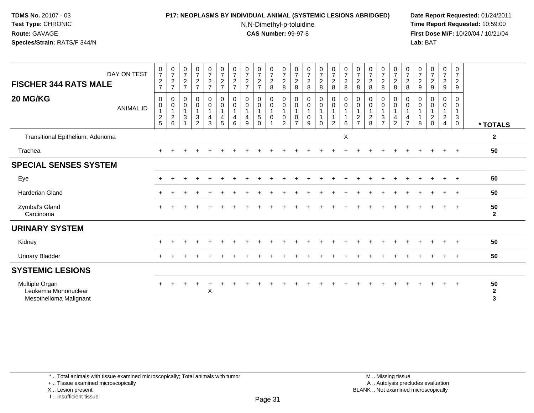### **P17: NEOPLASMS BY INDIVIDUAL ANIMAL (SYSTEMIC LESIONS ABRIDGED) Date Report Requested:** 01/24/2011

N,N-Dimethyl-p-toluidine

 **Time Report Requested:** 10:59:00 **First Dose M/F:** 10/20/04 / 10/21/04<br>**Lab:** BAT **Lab:** BAT

| DAY ON TEST<br><b>FISCHER 344 RATS MALE</b>                      | $\begin{smallmatrix}0\\7\end{smallmatrix}$<br>$\boldsymbol{2}$<br>$\overline{7}$ | $\frac{0}{7}$<br>$\overline{2}$<br>$\overline{7}$ | 0<br>$\overline{7}$<br>$\boldsymbol{2}$<br>$\overline{7}$ | $\frac{0}{7}$<br>$\frac{2}{7}$                     | $\begin{smallmatrix}0\\7\end{smallmatrix}$<br>$\overline{2}$<br>$\overline{7}$ | $\frac{0}{7}$<br>$\overline{c}$<br>$\overline{7}$                       | $\frac{0}{7}$<br>$\overline{2}$<br>$\overline{7}$ | $\frac{0}{7}$<br>$\overline{c}$<br>$\overline{7}$     | 0<br>$\overline{7}$<br>$\overline{c}$<br>$\overline{7}$ | $\frac{0}{7}$<br>$\overline{a}$<br>8                              | $\frac{0}{7}$<br>$\overline{c}$<br>8                                         | $\frac{0}{7}$<br>$\boldsymbol{2}$<br>$\,8\,$          | $\frac{0}{7}$<br>$\overline{c}$<br>8             | $\frac{0}{7}$<br>$\overline{a}$<br>8         | $\frac{0}{7}$<br>$\overline{a}$<br>8                                                             | $\frac{0}{7}$<br>$\overline{c}$<br>8                        | 0<br>$\overline{7}$<br>$\overline{c}$<br>$\bf 8$          | $\frac{0}{7}$<br>$\overline{c}$<br>8                             | 0<br>$\boldsymbol{7}$<br>$\boldsymbol{2}$<br>$\,8\,$             | 0<br>$\boldsymbol{7}$<br>$\overline{a}$<br>8                                 | $\frac{0}{7}$<br>$\overline{2}$<br>8          | 0<br>$\overline{7}$<br>$\overline{2}$<br>9 | $\begin{smallmatrix}0\\7\end{smallmatrix}$<br>$\overline{c}$<br>$\boldsymbol{9}$ | $\frac{0}{7}$<br>$\overline{2}$<br>$\boldsymbol{9}$ | $\mathbf 0$<br>$\overline{7}$<br>2<br>9                         |                                        |
|------------------------------------------------------------------|----------------------------------------------------------------------------------|---------------------------------------------------|-----------------------------------------------------------|----------------------------------------------------|--------------------------------------------------------------------------------|-------------------------------------------------------------------------|---------------------------------------------------|-------------------------------------------------------|---------------------------------------------------------|-------------------------------------------------------------------|------------------------------------------------------------------------------|-------------------------------------------------------|--------------------------------------------------|----------------------------------------------|--------------------------------------------------------------------------------------------------|-------------------------------------------------------------|-----------------------------------------------------------|------------------------------------------------------------------|------------------------------------------------------------------|------------------------------------------------------------------------------|-----------------------------------------------|--------------------------------------------|----------------------------------------------------------------------------------|-----------------------------------------------------|-----------------------------------------------------------------|----------------------------------------|
| 20 MG/KG<br><b>ANIMAL ID</b>                                     | $\mathbf 0$<br>0<br>$\mathbf{1}$<br>$\frac{2}{5}$                                | 0<br>0<br>$\mathbf{1}$<br>$\overline{2}$<br>6     | 0<br>$\pmb{0}$<br>$\mathbf{1}$<br>$\mathbf{3}$            | 0<br>$\mathbf 0$<br>$\mathbf{3}$<br>$\overline{2}$ | 0<br>$\boldsymbol{0}$<br>$\mathbf{1}$<br>$\overline{4}$<br>$\mathbf{3}$        | 0<br>$\pmb{0}$<br>$\mathbf{1}$<br>$\overline{\mathbf{4}}$<br>$\sqrt{5}$ | 0<br>0<br>$\overline{1}$<br>4<br>6                | 0<br>$\pmb{0}$<br>$\mathbf{1}$<br>$\overline{4}$<br>9 | 0<br>$\mathbf 0$<br>$\mathbf{1}$<br>5<br>$\Omega$       | $_{\rm 0}^{\rm 0}$<br>$\mathbf{1}$<br>$\pmb{0}$<br>$\overline{1}$ | $\boldsymbol{0}$<br>$\pmb{0}$<br>$\mathbf{1}$<br>$\pmb{0}$<br>$\overline{2}$ | 0<br>$\pmb{0}$<br>$\mathbf{1}$<br>0<br>$\overline{7}$ | 0<br>$\pmb{0}$<br>$\mathbf{1}$<br>$\pmb{0}$<br>9 | 0<br>$\mathsf{O}\xspace$<br>1<br>$\mathbf 0$ | $\begin{smallmatrix} 0\\0 \end{smallmatrix}$<br>$\overline{1}$<br>$\mathbf{1}$<br>$\overline{2}$ | $\pmb{0}$<br>$\pmb{0}$<br>$\mathbf{1}$<br>$\mathbf{1}$<br>6 | 0<br>0<br>$\mathbf 1$<br>$\overline{c}$<br>$\overline{7}$ | $\mathbf 0$<br>$\boldsymbol{0}$<br>$\mathbf{1}$<br>$\frac{2}{8}$ | 0<br>$\pmb{0}$<br>$\mathbf{1}$<br>$\mathbf{3}$<br>$\overline{7}$ | $\mathbf 0$<br>$\pmb{0}$<br>$\mathbf{1}$<br>$\overline{4}$<br>$\overline{2}$ | 0<br>0<br>$\mathbf{1}$<br>4<br>$\overline{7}$ | 0<br>0<br>$\mathbf 1$<br>$\mathbf{1}$<br>8 | 0<br>$\mathbf 0$<br>$\mathbf{1}$<br>$^2_{\rm 0}$                                 | 0<br>0<br>$\mathbf{1}$<br>$_4^2$                    | $\mathbf 0$<br>0<br>$\mathbf{1}$<br>$\mathbf{3}$<br>$\mathbf 0$ | * TOTALS                               |
| Transitional Epithelium, Adenoma                                 |                                                                                  |                                                   |                                                           |                                                    |                                                                                |                                                                         |                                                   |                                                       |                                                         |                                                                   |                                                                              |                                                       |                                                  |                                              |                                                                                                  | X                                                           |                                                           |                                                                  |                                                                  |                                                                              |                                               |                                            |                                                                                  |                                                     |                                                                 | $\mathbf{2}$                           |
| Trachea                                                          |                                                                                  |                                                   |                                                           |                                                    |                                                                                |                                                                         |                                                   |                                                       |                                                         |                                                                   |                                                                              |                                                       |                                                  |                                              |                                                                                                  |                                                             |                                                           |                                                                  |                                                                  |                                                                              |                                               |                                            |                                                                                  |                                                     | $+$                                                             | 50                                     |
| <b>SPECIAL SENSES SYSTEM</b>                                     |                                                                                  |                                                   |                                                           |                                                    |                                                                                |                                                                         |                                                   |                                                       |                                                         |                                                                   |                                                                              |                                                       |                                                  |                                              |                                                                                                  |                                                             |                                                           |                                                                  |                                                                  |                                                                              |                                               |                                            |                                                                                  |                                                     |                                                                 |                                        |
| Eye                                                              |                                                                                  |                                                   |                                                           |                                                    |                                                                                |                                                                         |                                                   |                                                       |                                                         |                                                                   |                                                                              |                                                       |                                                  |                                              |                                                                                                  |                                                             |                                                           |                                                                  |                                                                  |                                                                              |                                               |                                            |                                                                                  |                                                     |                                                                 | 50                                     |
| Harderian Gland                                                  |                                                                                  |                                                   |                                                           |                                                    |                                                                                |                                                                         |                                                   |                                                       |                                                         |                                                                   |                                                                              |                                                       |                                                  |                                              |                                                                                                  |                                                             |                                                           |                                                                  |                                                                  |                                                                              |                                               |                                            |                                                                                  | $\div$                                              | $+$                                                             | 50                                     |
| Zymbal's Gland<br>Carcinoma                                      |                                                                                  |                                                   |                                                           |                                                    |                                                                                |                                                                         |                                                   |                                                       |                                                         |                                                                   |                                                                              |                                                       |                                                  |                                              |                                                                                                  |                                                             |                                                           |                                                                  |                                                                  |                                                                              |                                               |                                            |                                                                                  | $\ddot{}$                                           | $+$                                                             | 50<br>$\mathbf{2}$                     |
| <b>URINARY SYSTEM</b>                                            |                                                                                  |                                                   |                                                           |                                                    |                                                                                |                                                                         |                                                   |                                                       |                                                         |                                                                   |                                                                              |                                                       |                                                  |                                              |                                                                                                  |                                                             |                                                           |                                                                  |                                                                  |                                                                              |                                               |                                            |                                                                                  |                                                     |                                                                 |                                        |
| Kidney                                                           |                                                                                  |                                                   |                                                           |                                                    |                                                                                |                                                                         |                                                   |                                                       |                                                         |                                                                   |                                                                              |                                                       |                                                  |                                              |                                                                                                  |                                                             |                                                           |                                                                  |                                                                  |                                                                              |                                               |                                            |                                                                                  |                                                     |                                                                 | 50                                     |
| Urinary Bladder                                                  |                                                                                  |                                                   |                                                           |                                                    |                                                                                |                                                                         |                                                   |                                                       |                                                         |                                                                   |                                                                              |                                                       |                                                  |                                              |                                                                                                  |                                                             |                                                           |                                                                  |                                                                  |                                                                              |                                               |                                            |                                                                                  |                                                     |                                                                 | 50                                     |
| <b>SYSTEMIC LESIONS</b>                                          |                                                                                  |                                                   |                                                           |                                                    |                                                                                |                                                                         |                                                   |                                                       |                                                         |                                                                   |                                                                              |                                                       |                                                  |                                              |                                                                                                  |                                                             |                                                           |                                                                  |                                                                  |                                                                              |                                               |                                            |                                                                                  |                                                     |                                                                 |                                        |
| Multiple Organ<br>Leukemia Mononuclear<br>Mesothelioma Malignant | $\ddot{}$                                                                        |                                                   |                                                           |                                                    | ÷<br>X                                                                         |                                                                         |                                                   |                                                       |                                                         |                                                                   |                                                                              |                                                       |                                                  |                                              |                                                                                                  |                                                             |                                                           |                                                                  |                                                                  |                                                                              |                                               |                                            |                                                                                  | $\ddot{}$                                           | $+$                                                             | 50<br>$\boldsymbol{2}$<br>$\mathbf{3}$ |

\* .. Total animals with tissue examined microscopically; Total animals with tumor

+ .. Tissue examined microscopically

X .. Lesion present

I .. Insufficient tissue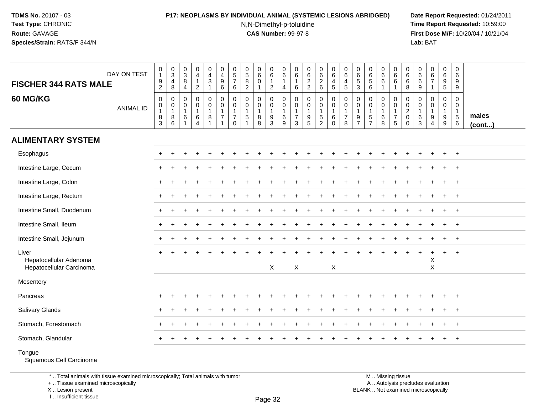## **P17: NEOPLASMS BY INDIVIDUAL ANIMAL (SYSTEMIC LESIONS ABRIDGED) Date Report Requested:** 01/24/2011

N,N-Dimethyl-p-toluidine

 **Time Report Requested:** 10:59:00 **First Dose M/F:** 10/20/04 / 10/21/04<br>**Lab:** BAT **Lab:** BAT

| <b>FISCHER 344 RATS MALE</b>                                | DAY ON TEST      | $\begin{smallmatrix}0\\1\end{smallmatrix}$<br>$\boldsymbol{9}$<br>$\overline{2}$ | $_{3}^{\rm 0}$<br>$\overline{4}$<br>8                | $\pmb{0}$<br>$\mathbf{3}$<br>8<br>$\overline{4}$ | $\begin{smallmatrix}0\0\4\end{smallmatrix}$<br>$\mathbf{1}$<br>$\sqrt{2}$ | $\pmb{0}$<br>$\overline{4}$<br>$\ensuremath{\mathsf{3}}$<br>$\overline{\mathbf{1}}$ | $\begin{smallmatrix}0\\4\end{smallmatrix}$<br>$9\,$<br>6                       | $\begin{array}{c} 0 \\ 5 \end{array}$<br>$\overline{7}$<br>6 | $\begin{array}{c} 0 \\ 5 \end{array}$<br>$\bf8$<br>$\boldsymbol{2}$   | 0<br>$6\overline{6}$<br>$\mathbf 0$<br>$\mathbf 1$ | $\mathsf{O}$<br>$\,6\,$<br>$\mathbf 1$<br>$\overline{2}$ | $\pmb{0}$<br>$\,6\,$<br>$\mathbf{1}$<br>$\overline{4}$   | 0<br>$\,6$<br>$\overline{1}$<br>6                         | $\mathbf 0$<br>$\,6\,$<br>$\frac{2}{2}$                                             | $\pmb{0}$<br>$6\overline{6}$<br>$\overline{c}$<br>6 | $\mathbf 0$<br>$\,6\,$<br>$\overline{4}$<br>5                 | $\pmb{0}$<br>6<br>$\overline{\mathbf{4}}$<br>$5\phantom{.0}$    | $\mathbf 0$<br>$\,6\,$<br>$\sqrt{5}$<br>$\mathbf{3}$    | $\pmb{0}$<br>$6\phantom{a}$<br>$\sqrt{5}$<br>$\,6\,$ | $\pmb{0}$<br>$\,6\,$<br>$6\phantom{1}$<br>$\mathbf{1}$    | $\mathbf 0$<br>6<br>6<br>$\overline{1}$                                        | 0<br>$\,6$<br>6<br>8                         | 0<br>$\,6\,$<br>$\,6\,$<br>$\boldsymbol{9}$ | $_{6}^{\rm 0}$<br>$\overline{7}$<br>$\mathbf 1$ | $\mathsf{O}\xspace$<br>$\,6\,$<br>$\boldsymbol{9}$<br>$5\,$ | $\boldsymbol{0}$<br>$\,6\,$<br>9<br>9                         |                 |
|-------------------------------------------------------------|------------------|----------------------------------------------------------------------------------|------------------------------------------------------|--------------------------------------------------|---------------------------------------------------------------------------|-------------------------------------------------------------------------------------|--------------------------------------------------------------------------------|--------------------------------------------------------------|-----------------------------------------------------------------------|----------------------------------------------------|----------------------------------------------------------|----------------------------------------------------------|-----------------------------------------------------------|-------------------------------------------------------------------------------------|-----------------------------------------------------|---------------------------------------------------------------|-----------------------------------------------------------------|---------------------------------------------------------|------------------------------------------------------|-----------------------------------------------------------|--------------------------------------------------------------------------------|----------------------------------------------|---------------------------------------------|-------------------------------------------------|-------------------------------------------------------------|---------------------------------------------------------------|-----------------|
| 60 MG/KG                                                    | <b>ANIMAL ID</b> | $\mathbf 0$<br>$\begin{smallmatrix}0\\1\end{smallmatrix}$<br>$\overline{8}$<br>3 | $\mathbf 0$<br>$\mathbf 0$<br>$\mathbf{1}$<br>8<br>6 | $\mathbf 0$<br>0<br>$\mathbf{1}$<br>6            | 0<br>$\mathbf 0$<br>$\mathbf{1}$<br>6<br>$\overline{4}$                   | 0<br>$\mathbf 0$<br>$\mathbf{1}$<br>8<br>-1                                         | $\mathbf 0$<br>$\mathbf 0$<br>$\mathbf{1}$<br>$\overline{7}$<br>$\overline{1}$ | $\mathbf 0$<br>$\mathbf 0$<br>$\overline{7}$<br>0            | $\mathbf 0$<br>$\mathsf{O}\xspace$<br>$\mathbf{1}$<br>$\sqrt{5}$<br>1 | $\mathbf 0$<br>0<br>$\mathbf{1}$<br>8<br>8         | 0<br>$\mathbf 0$<br>$\mathbf 1$<br>9<br>$\mathbf{3}$     | $\mathbf 0$<br>$\mathbf 0$<br>$\mathbf{1}$<br>$\,6$<br>9 | 0<br>$\mathbf 0$<br>$\overline{1}$<br>$\overline{7}$<br>3 | $\mathbf 0$<br>$\mathbf 0$<br>$\mathbf{1}$<br>$\begin{array}{c} 9 \\ 5 \end{array}$ | 0<br>0<br>1<br>5<br>$\overline{2}$                  | 0<br>$\overline{0}$<br>$\mathbf{1}$<br>$\,6\,$<br>$\mathbf 0$ | 0<br>$\mathsf{O}\xspace$<br>$\mathbf{1}$<br>$\overline{7}$<br>8 | $\mathbf 0$<br>0<br>$\mathbf{1}$<br>9<br>$\overline{7}$ | 0<br>$\pmb{0}$<br>$\mathbf{1}$<br>$\frac{5}{7}$      | $\mathbf{0}$<br>$\mathbf 0$<br>$\mathbf{1}$<br>$\,6$<br>8 | $\mathbf 0$<br>$\mathbf 0$<br>$\mathbf{1}$<br>$\overline{7}$<br>$\overline{5}$ | 0<br>0<br>$\overline{c}$<br>0<br>$\mathbf 0$ | 0<br>0<br>$\overline{1}$<br>6<br>3          | 0<br>0<br>1<br>9<br>$\overline{4}$              | $\mathbf 0$<br>$\mathbf 0$<br>$\mathbf{1}$<br>$9\,$<br>9    | $\mathbf 0$<br>$\mathbf 0$<br>$\mathbf{1}$<br>$\sqrt{5}$<br>6 | males<br>(cont) |
| <b>ALIMENTARY SYSTEM</b>                                    |                  |                                                                                  |                                                      |                                                  |                                                                           |                                                                                     |                                                                                |                                                              |                                                                       |                                                    |                                                          |                                                          |                                                           |                                                                                     |                                                     |                                                               |                                                                 |                                                         |                                                      |                                                           |                                                                                |                                              |                                             |                                                 |                                                             |                                                               |                 |
| Esophagus                                                   |                  |                                                                                  |                                                      |                                                  |                                                                           |                                                                                     |                                                                                |                                                              |                                                                       |                                                    |                                                          |                                                          |                                                           |                                                                                     |                                                     |                                                               |                                                                 |                                                         |                                                      |                                                           |                                                                                |                                              |                                             |                                                 |                                                             | $+$                                                           |                 |
| Intestine Large, Cecum                                      |                  |                                                                                  |                                                      |                                                  |                                                                           |                                                                                     |                                                                                |                                                              |                                                                       |                                                    |                                                          |                                                          |                                                           |                                                                                     |                                                     |                                                               |                                                                 |                                                         |                                                      |                                                           |                                                                                |                                              |                                             |                                                 |                                                             | $\overline{ }$                                                |                 |
| Intestine Large, Colon                                      |                  |                                                                                  |                                                      |                                                  |                                                                           |                                                                                     |                                                                                |                                                              |                                                                       |                                                    |                                                          |                                                          |                                                           |                                                                                     |                                                     |                                                               |                                                                 |                                                         |                                                      |                                                           |                                                                                |                                              |                                             |                                                 |                                                             | $\overline{+}$                                                |                 |
| Intestine Large, Rectum                                     |                  |                                                                                  |                                                      |                                                  |                                                                           |                                                                                     |                                                                                |                                                              |                                                                       |                                                    |                                                          |                                                          |                                                           |                                                                                     |                                                     |                                                               |                                                                 |                                                         |                                                      |                                                           |                                                                                |                                              |                                             |                                                 |                                                             |                                                               |                 |
| Intestine Small, Duodenum                                   |                  |                                                                                  |                                                      |                                                  |                                                                           |                                                                                     |                                                                                |                                                              |                                                                       |                                                    |                                                          |                                                          |                                                           |                                                                                     |                                                     |                                                               |                                                                 |                                                         |                                                      |                                                           |                                                                                |                                              |                                             |                                                 |                                                             | $\overline{1}$                                                |                 |
| Intestine Small, Ileum                                      |                  |                                                                                  |                                                      |                                                  |                                                                           |                                                                                     |                                                                                |                                                              |                                                                       |                                                    |                                                          |                                                          |                                                           |                                                                                     |                                                     |                                                               |                                                                 |                                                         |                                                      |                                                           |                                                                                |                                              |                                             |                                                 | $\ddot{}$                                                   | $+$                                                           |                 |
| Intestine Small, Jejunum                                    |                  |                                                                                  |                                                      |                                                  |                                                                           |                                                                                     |                                                                                |                                                              |                                                                       |                                                    |                                                          |                                                          |                                                           |                                                                                     |                                                     |                                                               |                                                                 |                                                         |                                                      |                                                           |                                                                                |                                              |                                             |                                                 |                                                             | $\overline{+}$                                                |                 |
| Liver<br>Hepatocellular Adenoma<br>Hepatocellular Carcinoma |                  |                                                                                  |                                                      |                                                  |                                                                           |                                                                                     |                                                                                |                                                              |                                                                       |                                                    | X                                                        |                                                          | X                                                         |                                                                                     |                                                     | $\mathsf X$                                                   |                                                                 |                                                         |                                                      |                                                           |                                                                                |                                              | ÷                                           | $\ddot{}$<br>X<br>$\pmb{\times}$                | $\ddot{}$                                                   | $+$                                                           |                 |
| Mesentery                                                   |                  |                                                                                  |                                                      |                                                  |                                                                           |                                                                                     |                                                                                |                                                              |                                                                       |                                                    |                                                          |                                                          |                                                           |                                                                                     |                                                     |                                                               |                                                                 |                                                         |                                                      |                                                           |                                                                                |                                              |                                             |                                                 |                                                             |                                                               |                 |
| Pancreas                                                    |                  |                                                                                  |                                                      |                                                  |                                                                           |                                                                                     |                                                                                |                                                              |                                                                       |                                                    |                                                          |                                                          |                                                           |                                                                                     |                                                     |                                                               |                                                                 |                                                         |                                                      |                                                           |                                                                                |                                              |                                             |                                                 |                                                             | $\overline{+}$                                                |                 |
| Salivary Glands                                             |                  |                                                                                  |                                                      |                                                  |                                                                           |                                                                                     |                                                                                |                                                              |                                                                       |                                                    |                                                          |                                                          |                                                           |                                                                                     |                                                     |                                                               |                                                                 |                                                         |                                                      |                                                           |                                                                                |                                              |                                             |                                                 |                                                             | $\overline{+}$                                                |                 |
| Stomach, Forestomach                                        |                  |                                                                                  |                                                      |                                                  |                                                                           |                                                                                     |                                                                                |                                                              |                                                                       |                                                    |                                                          |                                                          |                                                           |                                                                                     |                                                     |                                                               |                                                                 |                                                         |                                                      |                                                           |                                                                                |                                              |                                             |                                                 |                                                             | $\pm$                                                         |                 |
| Stomach, Glandular                                          |                  |                                                                                  | $\div$                                               |                                                  |                                                                           |                                                                                     |                                                                                |                                                              |                                                                       |                                                    |                                                          |                                                          |                                                           |                                                                                     |                                                     |                                                               |                                                                 |                                                         |                                                      |                                                           |                                                                                |                                              |                                             |                                                 | $+$                                                         | $+$                                                           |                 |
| Tongue<br>Squamous Cell Carcinoma                           |                  |                                                                                  |                                                      |                                                  |                                                                           |                                                                                     |                                                                                |                                                              |                                                                       |                                                    |                                                          |                                                          |                                                           |                                                                                     |                                                     |                                                               |                                                                 |                                                         |                                                      |                                                           |                                                                                |                                              |                                             |                                                 |                                                             |                                                               |                 |

\* .. Total animals with tissue examined microscopically; Total animals with tumor

+ .. Tissue examined microscopically

X .. Lesion present

I .. Insufficient tissue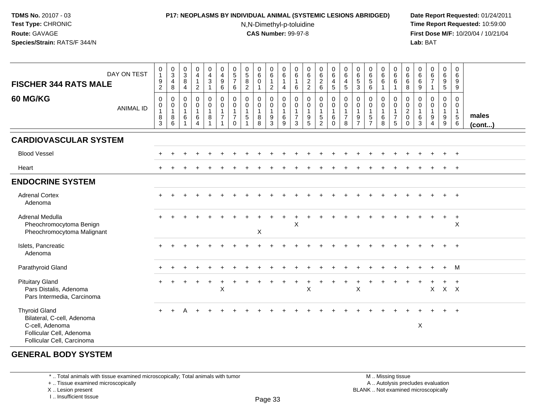## **P17: NEOPLASMS BY INDIVIDUAL ANIMAL (SYSTEMIC LESIONS ABRIDGED) Date Report Requested:** 01/24/2011

N,N-Dimethyl-p-toluidine

 **Time Report Requested:** 10:59:00 **First Dose M/F:** 10/20/04 / 10/21/04<br>**Lab:** BAT **Lab:** BAT

| <b>FISCHER 344 RATS MALE</b><br>60 MG/KG                                                                                        | DAY ON TEST      | $\,0\,$<br>$\mathbf{1}$<br>$\boldsymbol{9}$<br>$\overline{c}$<br>$\mathbf 0$ | $_{3}^{\rm 0}$<br>$\overline{4}$<br>8<br>$\mathbf 0$             | $_{3}^{\rm 0}$<br>8<br>$\overline{4}$<br>$\mathbf 0$ | $\pmb{0}$<br>$\overline{4}$<br>$\mathbf{1}$<br>$\overline{2}$<br>0 | $\mathbf 0$<br>$\frac{4}{3}$<br>$\mathbf{1}$<br>$\mathbf 0$ | $\pmb{0}$<br>$\overline{4}$<br>$\boldsymbol{9}$<br>6<br>$\mathbf 0$ | 0<br>5<br>$\overline{7}$<br>6<br>$\mathbf 0$ | $\begin{array}{c} 0 \\ 5 \end{array}$<br>$\bf 8$<br>2<br>$\mathbf 0$ | $\pmb{0}$<br>$\,6\,$<br>$\mathbf 0$<br>$\mathbf{1}$<br>$\mathbf 0$ | $\pmb{0}$<br>$\,6\,$<br>1<br>$\overline{2}$<br>$\mathbf 0$ | 0<br>6<br>$\mathbf{1}$<br>4<br>$\mathbf 0$ | 0<br>$\,6\,$<br>$\mathbf{1}$<br>$\,6\,$<br>0       | $062$<br>22<br>$\mathsf{O}\xspace$                                 | $\begin{array}{c} 0 \\ 6 \end{array}$<br>$\sqrt{2}$<br>$\,6\,$<br>0 | $\pmb{0}$<br>$\,6\,$<br>$\overline{4}$<br>$\overline{5}$<br>$\mathbf 0$ | 0<br>$\,6\,$<br>$\overline{\mathbf{4}}$<br>5<br>$\mathbf 0$ | 0<br>$\begin{array}{c} 6 \\ 5 \end{array}$<br>$\mathbf{3}$<br>$\mathbf 0$ | $\begin{array}{c} 0 \\ 6 \end{array}$<br>$\overline{5}$<br>6<br>0 | $\begin{array}{c} 0 \\ 6 \end{array}$<br>$\,6\,$<br>$\overline{1}$<br>$\mathbf 0$ | $\begin{array}{c} 0 \\ 6 \end{array}$<br>$\,6$<br>$\overline{1}$<br>$\mathbf 0$ | 0<br>$\,6\,$<br>6<br>8<br>0                            | 0<br>$\,6\,$<br>$\,6$<br>$\boldsymbol{9}$<br>0 | $\begin{array}{c} 0 \\ 6 \\ 7 \end{array}$<br>$\mathbf{1}$<br>0 | $\mathbf 0$<br>$\,6\,$<br>$\boldsymbol{9}$<br>$\sqrt{5}$<br>$\mathbf 0$ | $\pmb{0}$<br>$6\phantom{a}$<br>9<br>9<br>$\Omega$ |                       |
|---------------------------------------------------------------------------------------------------------------------------------|------------------|------------------------------------------------------------------------------|------------------------------------------------------------------|------------------------------------------------------|--------------------------------------------------------------------|-------------------------------------------------------------|---------------------------------------------------------------------|----------------------------------------------|----------------------------------------------------------------------|--------------------------------------------------------------------|------------------------------------------------------------|--------------------------------------------|----------------------------------------------------|--------------------------------------------------------------------|---------------------------------------------------------------------|-------------------------------------------------------------------------|-------------------------------------------------------------|---------------------------------------------------------------------------|-------------------------------------------------------------------|-----------------------------------------------------------------------------------|---------------------------------------------------------------------------------|--------------------------------------------------------|------------------------------------------------|-----------------------------------------------------------------|-------------------------------------------------------------------------|---------------------------------------------------|-----------------------|
|                                                                                                                                 | <b>ANIMAL ID</b> | $\pmb{0}$<br>$\mathbf{1}$<br>$\,8\,$<br>$\mathsf 3$                          | $\begin{smallmatrix}0\\1\end{smallmatrix}$<br>$\bf 8$<br>$\,6\,$ | $\mathbf 0$<br>$\mathbf{1}$<br>6                     | $\mathbf 0$<br>$\mathbf{1}$<br>$\,6\,$<br>$\overline{4}$           | $\mathbf 0$<br>$\mathbf{1}$<br>8<br>$\mathbf{1}$            | $\mathsf{O}\xspace$<br>$\mathbf{1}$<br>$\overline{7}$<br>1          | 0<br>$\overline{7}$<br>$\Omega$              | $\pmb{0}$<br>$\mathbf{1}$<br>$\,$ 5 $\,$                             | $\mathbf 0$<br>$\mathbf{1}$<br>$\bf 8$<br>8                        | $\mathbf 0$<br>$\mathbf{1}$<br>$\boldsymbol{9}$<br>3       | $\mathbf 0$<br>$\mathbf{1}$<br>$\,6$<br>9  | $\pmb{0}$<br>$\overline{1}$<br>$\overline{7}$<br>3 | $\pmb{0}$<br>$\mathbf{1}$<br>$\begin{array}{c} 9 \\ 5 \end{array}$ | $\mathbf 0$<br>$\mathbf{1}$<br>$\sqrt{5}$<br>$\overline{c}$         | $\pmb{0}$<br>$\mathbf{1}$<br>$\,6\,$<br>$\Omega$                        | $\pmb{0}$<br>$\mathbf{1}$<br>$\overline{7}$<br>8            | $\mathbf 0$<br>$\overline{1}$<br>9<br>$\overline{7}$                      | $\mathbf 0$<br>$\,$ 5 $\,$<br>$\overline{7}$                      | $\mathbf 0$<br>$\overline{1}$<br>$\,6\,$<br>8                                     | $\mathsf{O}\xspace$<br>$\overline{1}$<br>$\overline{7}$<br>$\sqrt{5}$           | $\mathbf 0$<br>$\overline{c}$<br>$\pmb{0}$<br>$\Omega$ | $\mathbf 0$<br>6<br>3                          | $\pmb{0}$<br>1<br>9<br>4                                        | $\mathbf 0$<br>$\overline{1}$<br>$\boldsymbol{9}$<br>9                  | $\mathbf 0$<br>$\mathbf{1}$<br>$\sqrt{5}$<br>6    | males<br>$($ cont $)$ |
| <b>CARDIOVASCULAR SYSTEM</b>                                                                                                    |                  |                                                                              |                                                                  |                                                      |                                                                    |                                                             |                                                                     |                                              |                                                                      |                                                                    |                                                            |                                            |                                                    |                                                                    |                                                                     |                                                                         |                                                             |                                                                           |                                                                   |                                                                                   |                                                                                 |                                                        |                                                |                                                                 |                                                                         |                                                   |                       |
| <b>Blood Vessel</b>                                                                                                             |                  |                                                                              |                                                                  |                                                      |                                                                    |                                                             |                                                                     |                                              |                                                                      |                                                                    |                                                            |                                            |                                                    |                                                                    |                                                                     |                                                                         |                                                             |                                                                           |                                                                   |                                                                                   |                                                                                 |                                                        |                                                |                                                                 | $+$                                                                     | $+$                                               |                       |
| Heart                                                                                                                           |                  |                                                                              |                                                                  |                                                      |                                                                    |                                                             |                                                                     |                                              |                                                                      |                                                                    |                                                            |                                            |                                                    |                                                                    |                                                                     |                                                                         |                                                             |                                                                           |                                                                   |                                                                                   |                                                                                 |                                                        |                                                |                                                                 |                                                                         | $+$                                               |                       |
| <b>ENDOCRINE SYSTEM</b>                                                                                                         |                  |                                                                              |                                                                  |                                                      |                                                                    |                                                             |                                                                     |                                              |                                                                      |                                                                    |                                                            |                                            |                                                    |                                                                    |                                                                     |                                                                         |                                                             |                                                                           |                                                                   |                                                                                   |                                                                                 |                                                        |                                                |                                                                 |                                                                         |                                                   |                       |
| <b>Adrenal Cortex</b><br>Adenoma                                                                                                |                  | $\ddot{}$                                                                    |                                                                  |                                                      |                                                                    |                                                             |                                                                     |                                              |                                                                      |                                                                    |                                                            |                                            |                                                    |                                                                    |                                                                     |                                                                         |                                                             |                                                                           |                                                                   |                                                                                   |                                                                                 |                                                        |                                                |                                                                 |                                                                         | $+$                                               |                       |
| Adrenal Medulla<br>Pheochromocytoma Benign<br>Pheochromocytoma Malignant                                                        |                  |                                                                              |                                                                  |                                                      |                                                                    |                                                             |                                                                     |                                              |                                                                      | X                                                                  |                                                            |                                            | X                                                  |                                                                    |                                                                     |                                                                         |                                                             |                                                                           |                                                                   |                                                                                   |                                                                                 |                                                        |                                                |                                                                 | $+$                                                                     | $+$<br>X                                          |                       |
| Islets, Pancreatic<br>Adenoma                                                                                                   |                  |                                                                              |                                                                  |                                                      |                                                                    |                                                             |                                                                     |                                              |                                                                      |                                                                    |                                                            |                                            |                                                    |                                                                    |                                                                     |                                                                         |                                                             |                                                                           |                                                                   |                                                                                   |                                                                                 |                                                        |                                                |                                                                 | $+$                                                                     | $+$                                               |                       |
| Parathyroid Gland                                                                                                               |                  |                                                                              |                                                                  |                                                      |                                                                    |                                                             |                                                                     |                                              |                                                                      |                                                                    |                                                            |                                            |                                                    |                                                                    |                                                                     |                                                                         |                                                             |                                                                           |                                                                   |                                                                                   |                                                                                 |                                                        |                                                |                                                                 | $+$                                                                     | M                                                 |                       |
| <b>Pituitary Gland</b><br>Pars Distalis, Adenoma<br>Pars Intermedia, Carcinoma                                                  |                  |                                                                              |                                                                  |                                                      |                                                                    |                                                             | X                                                                   |                                              |                                                                      |                                                                    |                                                            |                                            |                                                    | X                                                                  |                                                                     |                                                                         |                                                             | X                                                                         |                                                                   |                                                                                   |                                                                                 |                                                        |                                                | $\mathsf{X}$                                                    | +<br>$X$ $X$                                                            | $\ddot{}$                                         |                       |
| <b>Thyroid Gland</b><br>Bilateral, C-cell, Adenoma<br>C-cell, Adenoma<br>Follicular Cell, Adenoma<br>Follicular Cell, Carcinoma |                  | $\ddot{}$                                                                    |                                                                  | A                                                    |                                                                    |                                                             |                                                                     |                                              |                                                                      |                                                                    |                                                            |                                            |                                                    |                                                                    |                                                                     |                                                                         |                                                             |                                                                           |                                                                   |                                                                                   |                                                                                 |                                                        | X                                              |                                                                 | $+$                                                                     | $+$                                               |                       |

# **GENERAL BODY SYSTEM**

\* .. Total animals with tissue examined microscopically; Total animals with tumor

+ .. Tissue examined microscopically

X .. Lesion present

I .. Insufficient tissue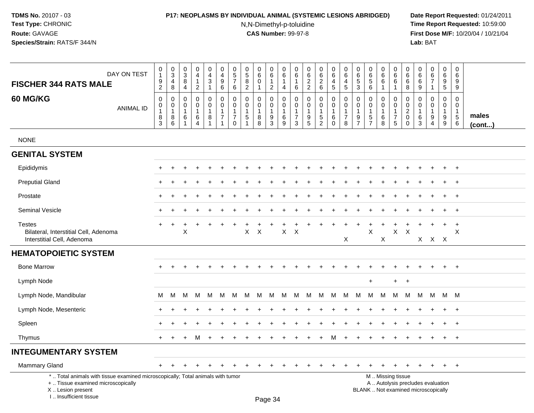#### **P17: NEOPLASMS BY INDIVIDUAL ANIMAL (SYSTEMIC LESIONS ABRIDGED) Date Report Requested:** 01/24/2011

N,N-Dimethyl-p-toluidine

 **Time Report Requested:** 10:59:00 **First Dose M/F:** 10/20/04 / 10/21/04<br>**Lab:** BAT **Lab:** BAT

| DAY ON TEST                                                                                                                                                           | $\pmb{0}$<br>$\mathbf{1}$                         | $\begin{array}{c} 0 \\ 3 \\ 4 \end{array}$                       | 0<br>$\mathbf{3}$<br>8                        | 0<br>$\overline{4}$<br>$\mathbf{1}$                                 | 0<br>$\overline{4}$<br>3        | 0<br>$\overline{4}$<br>$\boldsymbol{9}$                              | $\pmb{0}$<br>$\frac{5}{7}$                                              | $\pmb{0}$<br>$\sqrt{5}$<br>$\overline{8}$      | $\pmb{0}$<br>6<br>$\mathbf 0$                        | 0<br>$\,6\,$<br>$\mathbf{1}$                                    | 0<br>$\,6\,$<br>$\mathbf{1}$                                               | 0<br>6<br>1                                                        | 0<br>$\,6\,$                                  | $\pmb{0}$<br>$\,6\,$                                      | $\pmb{0}$<br>6<br>4                                              | 0<br>$\,6\,$<br>4                                               | 0<br>$\,6\,$<br>$\sqrt{5}$                                        | 0<br>$\,6\,$<br>$\sqrt{5}$                                  | 0<br>6<br>$6\overline{6}$               | $\pmb{0}$<br>$\,6\,$<br>$6\overline{6}$                                                       | $\pmb{0}$<br>$\,6\,$<br>$6\phantom{a}$                   | $\mathbf 0$<br>6                                                  | $\pmb{0}$<br>$\,6\,$<br>$\overline{7}$                         | $\pmb{0}$<br>$\,6\,$                                                | 0<br>$6\phantom{1}6$<br>9                           |                       |
|-----------------------------------------------------------------------------------------------------------------------------------------------------------------------|---------------------------------------------------|------------------------------------------------------------------|-----------------------------------------------|---------------------------------------------------------------------|---------------------------------|----------------------------------------------------------------------|-------------------------------------------------------------------------|------------------------------------------------|------------------------------------------------------|-----------------------------------------------------------------|----------------------------------------------------------------------------|--------------------------------------------------------------------|-----------------------------------------------|-----------------------------------------------------------|------------------------------------------------------------------|-----------------------------------------------------------------|-------------------------------------------------------------------|-------------------------------------------------------------|-----------------------------------------|-----------------------------------------------------------------------------------------------|----------------------------------------------------------|-------------------------------------------------------------------|----------------------------------------------------------------|---------------------------------------------------------------------|-----------------------------------------------------|-----------------------|
| <b>FISCHER 344 RATS MALE</b>                                                                                                                                          | $\frac{9}{2}$                                     | $\bf 8$                                                          | 4                                             | $\overline{2}$                                                      | $\mathbf{1}$                    | $\,6\,$                                                              | $\,6\,$                                                                 | $\overline{2}$                                 | $\overline{1}$                                       | $\overline{c}$                                                  | 4                                                                          | 6                                                                  | $\frac{2}{2}$                                 | $\frac{2}{6}$                                             | $\sqrt{5}$                                                       | $\overline{5}$                                                  | 3                                                                 | $\,6\,$                                                     | $\mathbf{1}$                            | $\mathbf{1}$                                                                                  | 8                                                        | $\overline{6}$<br>9                                               | $\overline{1}$                                                 | $\frac{9}{5}$                                                       | 9                                                   |                       |
| <b>60 MG/KG</b><br><b>ANIMAL ID</b>                                                                                                                                   | $\mathbf 0$<br>$\pmb{0}$<br>$\mathbf 1$<br>$^8_3$ | $\pmb{0}$<br>$\pmb{0}$<br>$\overline{1}$<br>8<br>$6\phantom{1}6$ | 0<br>$\mathbf{0}$<br>$\overline{1}$<br>6<br>1 | $\mathbf 0$<br>$\mathbf 0$<br>$\overline{1}$<br>6<br>$\overline{4}$ | 0<br>$\mathbf 0$<br>1<br>8<br>1 | 0<br>$\mathbf 0$<br>$\mathbf{1}$<br>$\overline{7}$<br>$\overline{1}$ | $\pmb{0}$<br>$\pmb{0}$<br>$\mathbf{1}$<br>$\overline{7}$<br>$\mathbf 0$ | $\mathbf 0$<br>0<br>$\mathbf{1}$<br>$\sqrt{5}$ | $\mathbf 0$<br>$\mathbf 0$<br>$\mathbf{1}$<br>8<br>8 | $\mathbf 0$<br>$\mathbf 0$<br>$\mathbf{1}$<br>9<br>$\mathbf{3}$ | $\mathbf 0$<br>$\mathsf{O}\xspace$<br>$\mathbf{1}$<br>$6\phantom{1}6$<br>9 | $\mathbf 0$<br>0<br>$\mathbf{1}$<br>$\overline{7}$<br>$\mathbf{3}$ | 0<br>0<br>$\mathbf{1}$<br>9<br>$\overline{5}$ | $\mathbf 0$<br>$\pmb{0}$<br>$\mathbf{1}$<br>$\frac{5}{2}$ | $\mathbf 0$<br>$\mathbf 0$<br>$\overline{1}$<br>6<br>$\mathbf 0$ | $\mathbf 0$<br>$\pmb{0}$<br>$\mathbf{1}$<br>$\overline{7}$<br>8 | $\mathbf 0$<br>$\mathbf 0$<br>$\mathbf{1}$<br>9<br>$\overline{7}$ | $\mathbf 0$<br>$\mathbf 0$<br>$\mathbf{1}$<br>$\frac{5}{7}$ | 0<br>$\Omega$<br>$\mathbf{1}$<br>6<br>8 | $\pmb{0}$<br>$\mathbf 0$<br>$\mathbf{1}$<br>$\boldsymbol{7}$<br>$\overline{5}$                | $\mathbf 0$<br>$\pmb{0}$<br>$\frac{2}{0}$<br>$\mathbf 0$ | $\mathbf 0$<br>$\mathbf 0$<br>$\mathbf{1}$<br>6<br>$\overline{3}$ | $\mathbf 0$<br>$\Omega$<br>$\mathbf{1}$<br>9<br>$\overline{4}$ | $\mathbf 0$<br>$\mathbf 0$<br>$\mathbf{1}$<br>9<br>$\boldsymbol{9}$ | 0<br>$\mathbf 0$<br>$\mathbf{1}$<br>$\sqrt{5}$<br>6 | males<br>$($ cont $)$ |
| <b>NONE</b>                                                                                                                                                           |                                                   |                                                                  |                                               |                                                                     |                                 |                                                                      |                                                                         |                                                |                                                      |                                                                 |                                                                            |                                                                    |                                               |                                                           |                                                                  |                                                                 |                                                                   |                                                             |                                         |                                                                                               |                                                          |                                                                   |                                                                |                                                                     |                                                     |                       |
| <b>GENITAL SYSTEM</b>                                                                                                                                                 |                                                   |                                                                  |                                               |                                                                     |                                 |                                                                      |                                                                         |                                                |                                                      |                                                                 |                                                                            |                                                                    |                                               |                                                           |                                                                  |                                                                 |                                                                   |                                                             |                                         |                                                                                               |                                                          |                                                                   |                                                                |                                                                     |                                                     |                       |
| Epididymis                                                                                                                                                            |                                                   |                                                                  |                                               |                                                                     |                                 |                                                                      |                                                                         |                                                |                                                      |                                                                 |                                                                            |                                                                    |                                               |                                                           |                                                                  |                                                                 |                                                                   |                                                             |                                         |                                                                                               |                                                          |                                                                   |                                                                | $\ddot{}$                                                           | $+$                                                 |                       |
| <b>Preputial Gland</b>                                                                                                                                                |                                                   |                                                                  |                                               |                                                                     |                                 |                                                                      |                                                                         |                                                |                                                      |                                                                 |                                                                            |                                                                    |                                               |                                                           |                                                                  |                                                                 |                                                                   |                                                             |                                         |                                                                                               |                                                          |                                                                   |                                                                |                                                                     | $\overline{ }$                                      |                       |
| Prostate                                                                                                                                                              |                                                   |                                                                  |                                               |                                                                     |                                 |                                                                      |                                                                         |                                                |                                                      |                                                                 |                                                                            |                                                                    |                                               |                                                           |                                                                  |                                                                 |                                                                   |                                                             |                                         |                                                                                               |                                                          |                                                                   |                                                                |                                                                     | $\overline{ }$                                      |                       |
| Seminal Vesicle                                                                                                                                                       |                                                   |                                                                  |                                               |                                                                     |                                 |                                                                      |                                                                         |                                                |                                                      |                                                                 |                                                                            |                                                                    |                                               |                                                           |                                                                  |                                                                 |                                                                   |                                                             |                                         |                                                                                               |                                                          |                                                                   |                                                                |                                                                     | $\ddot{}$                                           |                       |
| <b>Testes</b><br>Bilateral, Interstitial Cell, Adenoma<br>Interstitial Cell, Adenoma                                                                                  | $+$                                               | $+$                                                              | +<br>$\mathsf X$                              |                                                                     | $\div$                          | $\div$                                                               | $\ddot{}$                                                               | $\pmb{\times}$                                 | $\times$                                             | $\div$                                                          | $\mathsf{X}$                                                               | $\sf X$                                                            |                                               |                                                           |                                                                  | $\div$<br>Χ                                                     | $\div$                                                            | X                                                           | $\ddot{}$<br>X                          | $\mathsf X$                                                                                   | $\sf X$                                                  |                                                                   | X X X                                                          | $+$                                                                 | $+$<br>$\times$                                     |                       |
| <b>HEMATOPOIETIC SYSTEM</b>                                                                                                                                           |                                                   |                                                                  |                                               |                                                                     |                                 |                                                                      |                                                                         |                                                |                                                      |                                                                 |                                                                            |                                                                    |                                               |                                                           |                                                                  |                                                                 |                                                                   |                                                             |                                         |                                                                                               |                                                          |                                                                   |                                                                |                                                                     |                                                     |                       |
| <b>Bone Marrow</b>                                                                                                                                                    | $+$                                               |                                                                  |                                               |                                                                     |                                 |                                                                      |                                                                         |                                                |                                                      |                                                                 |                                                                            |                                                                    |                                               |                                                           |                                                                  |                                                                 |                                                                   |                                                             |                                         |                                                                                               |                                                          |                                                                   |                                                                | $\ddot{}$                                                           | $+$                                                 |                       |
| Lymph Node                                                                                                                                                            |                                                   |                                                                  |                                               |                                                                     |                                 |                                                                      |                                                                         |                                                |                                                      |                                                                 |                                                                            |                                                                    |                                               |                                                           |                                                                  |                                                                 |                                                                   | ÷                                                           |                                         | $+$                                                                                           | $\overline{1}$                                           |                                                                   |                                                                |                                                                     |                                                     |                       |
| Lymph Node, Mandibular                                                                                                                                                | М                                                 | м                                                                | м                                             | M                                                                   | M                               | м                                                                    | M                                                                       | м                                              | м                                                    | M                                                               | М                                                                          | M                                                                  | M                                             | M                                                         | M                                                                | м                                                               | М                                                                 | М                                                           | M                                       | M                                                                                             | М                                                        | м                                                                 | M                                                              | M M                                                                 |                                                     |                       |
| Lymph Node, Mesenteric                                                                                                                                                |                                                   |                                                                  |                                               |                                                                     |                                 |                                                                      |                                                                         |                                                |                                                      |                                                                 |                                                                            |                                                                    |                                               |                                                           |                                                                  |                                                                 |                                                                   |                                                             |                                         |                                                                                               |                                                          |                                                                   |                                                                |                                                                     | $\overline{ }$                                      |                       |
| Spleen                                                                                                                                                                | $\ddot{}$                                         |                                                                  |                                               |                                                                     |                                 |                                                                      |                                                                         |                                                |                                                      |                                                                 |                                                                            |                                                                    |                                               |                                                           |                                                                  |                                                                 |                                                                   |                                                             |                                         |                                                                                               |                                                          |                                                                   |                                                                |                                                                     | $\overline{+}$                                      |                       |
| Thymus                                                                                                                                                                | $+$                                               | $+$                                                              | $+$                                           | M                                                                   | $+$                             | $+$                                                                  | $\pm$                                                                   |                                                |                                                      | $\ddot{}$                                                       | $\ddot{}$                                                                  | $\ddot{}$                                                          | $\ddot{}$                                     | $+$                                                       | M                                                                | $+$                                                             | $\ddot{}$                                                         | $\ddot{}$                                                   | $\ddot{}$                               | $\pm$                                                                                         | $\overline{+}$                                           | $\ddot{}$                                                         | $\ddot{}$                                                      | $+$                                                                 | $+$                                                 |                       |
| <b>INTEGUMENTARY SYSTEM</b>                                                                                                                                           |                                                   |                                                                  |                                               |                                                                     |                                 |                                                                      |                                                                         |                                                |                                                      |                                                                 |                                                                            |                                                                    |                                               |                                                           |                                                                  |                                                                 |                                                                   |                                                             |                                         |                                                                                               |                                                          |                                                                   |                                                                |                                                                     |                                                     |                       |
| Mammary Gland                                                                                                                                                         | $+$                                               | $\div$                                                           |                                               |                                                                     |                                 |                                                                      |                                                                         |                                                |                                                      |                                                                 |                                                                            |                                                                    |                                               |                                                           | ÷                                                                |                                                                 |                                                                   |                                                             | $\ddot{}$                               | $\pm$                                                                                         | $\div$                                                   |                                                                   | $\pm$                                                          | $+$                                                                 | $+$                                                 |                       |
| *  Total animals with tissue examined microscopically; Total animals with tumor<br>+  Tissue examined microscopically<br>X  Lesion present<br>I., Insufficient tissue |                                                   |                                                                  |                                               |                                                                     |                                 |                                                                      |                                                                         |                                                | Page 34                                              |                                                                 |                                                                            |                                                                    |                                               |                                                           |                                                                  |                                                                 |                                                                   |                                                             |                                         | M  Missing tissue<br>A  Autolysis precludes evaluation<br>BLANK  Not examined microscopically |                                                          |                                                                   |                                                                |                                                                     |                                                     |                       |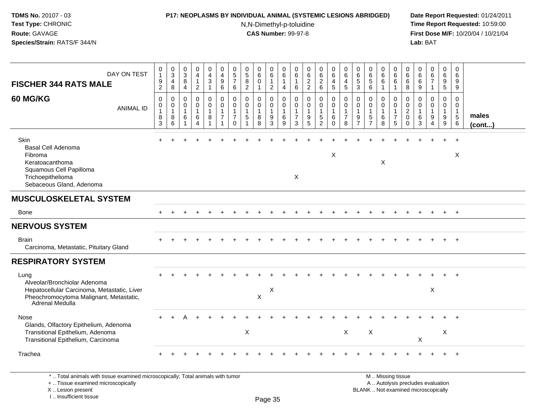I .. Insufficient tissue

#### **P17: NEOPLASMS BY INDIVIDUAL ANIMAL (SYSTEMIC LESIONS ABRIDGED) Date Report Requested:** 01/24/2011

N,N-Dimethyl-p-toluidine

 **Time Report Requested:** 10:59:00 **First Dose M/F:** 10/20/04 / 10/21/04<br>**Lab:** BAT **Lab:** BAT

| DAY ON TEST<br><b>FISCHER 344 RATS MALE</b>                                                                                                       | $\begin{smallmatrix}0\\1\end{smallmatrix}$<br>$9\,$<br>$\overline{2}$  | $_{3}^{\rm 0}$<br>4<br>8                         | $\,0\,$<br>$\overline{3}$<br>8<br>4                     | 0<br>$\overline{4}$<br>$\mathbf{1}$<br>$\overline{2}$ | $\pmb{0}$<br>$\overline{4}$<br>$\mathbf{3}$<br>$\mathbf{1}$   | $\pmb{0}$<br>$\overline{4}$<br>$\boldsymbol{9}$<br>6         | $\pmb{0}$<br>$\frac{5}{7}$<br>6                                      | 0<br>$\overline{5}$<br>$\bf8$<br>$\overline{2}$ | $\begin{array}{c} 0 \\ 6 \end{array}$<br>$\pmb{0}$<br>$\mathbf{1}$ | 0<br>$\,6\,$<br>$\mathbf{1}$<br>$\overline{2}$                                      | 0<br>6<br>$\mathbf{1}$<br>$\overline{4}$ | 0<br>6<br>$\mathbf{1}$<br>6                              | $\begin{array}{c} 0 \\ 6 \end{array}$<br>$\sqrt{2}$<br>$\overline{2}$ | $\begin{array}{c} 0 \\ 6 \end{array}$<br>$\sqrt{2}$<br>6                 | $\mathbf 0$<br>6<br>$\overline{a}$<br>$\sqrt{5}$             | 0<br>$\,6$<br>4<br>$5\phantom{.0}$            | $\begin{array}{c} 0 \\ 6 \end{array}$<br>5<br>3                   | $_{6}^{\rm 0}$<br>$\sqrt{5}$<br>6                        | $\mathbf 0$<br>$\overline{6}$<br>$\,6\,$<br>$\overline{1}$ | $\pmb{0}$<br>6<br>$\,6\,$<br>$\overline{1}$                         | 0<br>6<br>6<br>8                                       | 0<br>6<br>6<br>9                  | $_6^0$<br>$\overline{7}$<br>$\mathbf{1}$      | $\pmb{0}$<br>$\,6\,$<br>9<br>$\overline{5}$ | 0<br>6<br>9<br>9                                    |                 |
|---------------------------------------------------------------------------------------------------------------------------------------------------|------------------------------------------------------------------------|--------------------------------------------------|---------------------------------------------------------|-------------------------------------------------------|---------------------------------------------------------------|--------------------------------------------------------------|----------------------------------------------------------------------|-------------------------------------------------|--------------------------------------------------------------------|-------------------------------------------------------------------------------------|------------------------------------------|----------------------------------------------------------|-----------------------------------------------------------------------|--------------------------------------------------------------------------|--------------------------------------------------------------|-----------------------------------------------|-------------------------------------------------------------------|----------------------------------------------------------|------------------------------------------------------------|---------------------------------------------------------------------|--------------------------------------------------------|-----------------------------------|-----------------------------------------------|---------------------------------------------|-----------------------------------------------------|-----------------|
| <b>60 MG/KG</b><br><b>ANIMAL ID</b>                                                                                                               | $\mathbf 0$<br>$\boldsymbol{0}$<br>$\overline{1}$<br>8<br>$\mathbf{3}$ | $\mathbf 0$<br>0<br>$\mathbf{1}$<br>8<br>$\,6\,$ | $\mathbf 0$<br>0<br>$\mathbf{1}$<br>6<br>$\overline{1}$ | 0<br>0<br>$\mathbf{1}$<br>6<br>$\overline{4}$         | 0<br>$\mathbf 0$<br>$\mathbf{1}$<br>$\,8\,$<br>$\overline{1}$ | $\mathbf 0$<br>$\mathbf 0$<br>$\mathbf{1}$<br>$\overline{7}$ | $\mathbf 0$<br>0<br>$\overline{1}$<br>$\overline{7}$<br>$\mathbf{0}$ | $\mathbf 0$<br>0<br>$\mathbf{1}$<br>$\sqrt{5}$  | 0<br>0<br>$\mathbf{1}$<br>8<br>8                                   | $\mathbf 0$<br>$\boldsymbol{0}$<br>$\mathbf{1}$<br>$\boldsymbol{9}$<br>$\mathbf{3}$ | 0<br>0<br>$\mathbf 1$<br>6<br>9          | 0<br>0<br>$\mathbf{1}$<br>$\overline{7}$<br>$\mathbf{3}$ | $\mathbf 0$<br>$\mathbf 0$<br>$\mathbf{1}$<br>9<br>5                  | $\pmb{0}$<br>$\mathbf 0$<br>$\mathbf{1}$<br>$\sqrt{5}$<br>$\overline{2}$ | $\mathbf 0$<br>$\pmb{0}$<br>$\mathbf{1}$<br>6<br>$\mathbf 0$ | 0<br>0<br>$\mathbf{1}$<br>$\overline{7}$<br>8 | $\mathbf 0$<br>$\mathbf 0$<br>$\mathbf{1}$<br>9<br>$\overline{7}$ | $\mathbf 0$<br>0<br>$\mathbf{1}$<br>5<br>$\overline{7}$  | 0<br>$\mathbf 0$<br>$\mathbf{1}$<br>6<br>8                 | $\mathbf 0$<br>$\mathbf 0$<br>$\mathbf{1}$<br>$\boldsymbol{7}$<br>5 | 0<br>0<br>$\overline{c}$<br>$\mathbf 0$<br>$\mathbf 0$ | 0<br>0<br>$\mathbf{1}$<br>6<br>3  | 0<br>0<br>$\mathbf{1}$<br>9<br>$\overline{4}$ | 0<br>$\mathbf 0$<br>$\mathbf{1}$<br>9<br>9  | $\mathbf 0$<br>0<br>$\mathbf{1}$<br>$\sqrt{5}$<br>6 | males<br>(cont) |
| Skin<br>Basal Cell Adenoma<br>Fibroma<br>Keratoacanthoma<br>Squamous Cell Papilloma<br>Trichoepithelioma<br>Sebaceous Gland, Adenoma              |                                                                        |                                                  |                                                         |                                                       |                                                               |                                                              |                                                                      |                                                 |                                                                    |                                                                                     |                                          | X                                                        |                                                                       |                                                                          | X                                                            |                                               |                                                                   |                                                          | X                                                          |                                                                     |                                                        |                                   |                                               |                                             | X                                                   |                 |
| <b>MUSCULOSKELETAL SYSTEM</b>                                                                                                                     |                                                                        |                                                  |                                                         |                                                       |                                                               |                                                              |                                                                      |                                                 |                                                                    |                                                                                     |                                          |                                                          |                                                                       |                                                                          |                                                              |                                               |                                                                   |                                                          |                                                            |                                                                     |                                                        |                                   |                                               |                                             |                                                     |                 |
| <b>Bone</b>                                                                                                                                       |                                                                        |                                                  |                                                         |                                                       |                                                               |                                                              |                                                                      |                                                 |                                                                    |                                                                                     |                                          |                                                          |                                                                       |                                                                          |                                                              |                                               |                                                                   |                                                          |                                                            |                                                                     |                                                        |                                   |                                               |                                             | $+$                                                 |                 |
| <b>NERVOUS SYSTEM</b>                                                                                                                             |                                                                        |                                                  |                                                         |                                                       |                                                               |                                                              |                                                                      |                                                 |                                                                    |                                                                                     |                                          |                                                          |                                                                       |                                                                          |                                                              |                                               |                                                                   |                                                          |                                                            |                                                                     |                                                        |                                   |                                               |                                             |                                                     |                 |
| <b>Brain</b><br>Carcinoma, Metastatic, Pituitary Gland                                                                                            |                                                                        |                                                  |                                                         |                                                       |                                                               |                                                              |                                                                      |                                                 |                                                                    |                                                                                     |                                          |                                                          |                                                                       |                                                                          |                                                              |                                               |                                                                   |                                                          |                                                            |                                                                     |                                                        |                                   |                                               |                                             |                                                     |                 |
| <b>RESPIRATORY SYSTEM</b>                                                                                                                         |                                                                        |                                                  |                                                         |                                                       |                                                               |                                                              |                                                                      |                                                 |                                                                    |                                                                                     |                                          |                                                          |                                                                       |                                                                          |                                                              |                                               |                                                                   |                                                          |                                                            |                                                                     |                                                        |                                   |                                               |                                             |                                                     |                 |
| Lung<br>Alveolar/Bronchiolar Adenoma<br>Hepatocellular Carcinoma, Metastatic, Liver<br>Pheochromocytoma Malignant, Metastatic,<br>Adrenal Medulla |                                                                        |                                                  |                                                         |                                                       |                                                               |                                                              |                                                                      |                                                 | X                                                                  | X                                                                                   |                                          |                                                          |                                                                       |                                                                          |                                                              |                                               |                                                                   |                                                          |                                                            |                                                                     |                                                        |                                   | X                                             |                                             |                                                     |                 |
| Nose<br>Glands, Olfactory Epithelium, Adenoma<br>Transitional Epithelium, Adenoma<br>Transitional Epithelium, Carcinoma                           |                                                                        |                                                  |                                                         |                                                       |                                                               |                                                              |                                                                      | X                                               |                                                                    |                                                                                     |                                          |                                                          |                                                                       |                                                                          |                                                              | $\boldsymbol{\mathsf{X}}$                     |                                                                   | X                                                        |                                                            |                                                                     |                                                        | X                                 |                                               | X                                           |                                                     |                 |
| Trachea                                                                                                                                           |                                                                        |                                                  |                                                         |                                                       |                                                               |                                                              |                                                                      |                                                 |                                                                    |                                                                                     |                                          |                                                          |                                                                       |                                                                          |                                                              |                                               |                                                                   |                                                          |                                                            |                                                                     |                                                        |                                   |                                               |                                             | $^+$                                                |                 |
| *  Total animals with tissue examined microscopically; Total animals with tumor<br>+  Tissue examined microscopically<br>X  Lesion present        |                                                                        |                                                  |                                                         |                                                       |                                                               |                                                              |                                                                      |                                                 |                                                                    |                                                                                     |                                          |                                                          |                                                                       |                                                                          |                                                              |                                               |                                                                   | M  Missing tissue<br>BLANK  Not examined microscopically |                                                            |                                                                     |                                                        | A  Autolysis precludes evaluation |                                               |                                             |                                                     |                 |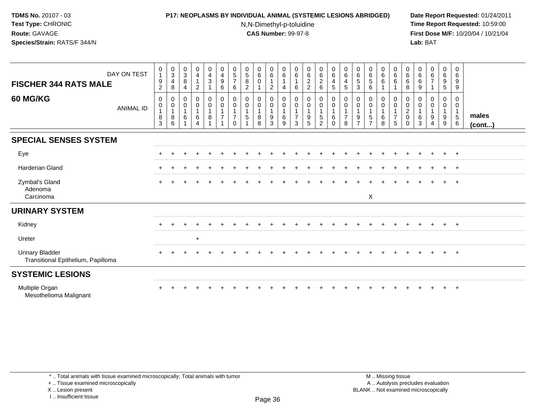# **P17: NEOPLASMS BY INDIVIDUAL ANIMAL (SYSTEMIC LESIONS ABRIDGED) Date Report Requested:** 01/24/2011

N,N-Dimethyl-p-toluidine

 **Time Report Requested:** 10:59:00 **First Dose M/F:** 10/20/04 / 10/21/04<br>**Lab:** BAT **Lab:** BAT

| <b>FISCHER 344 RATS MALE</b>                                 | DAY ON TEST      | $\mathbf 0$<br>$\overline{1}$<br>$\boldsymbol{9}$<br>$\overline{2}$ | $_{3}^{\rm 0}$<br>4<br>8         | $\pmb{0}$<br>$\sqrt{3}$<br>8<br>4     | 0<br>$\overline{4}$<br>2 | $\begin{smallmatrix}0\0\4\end{smallmatrix}$<br>$\mathbf{3}$<br>$\mathbf{1}$ | $\begin{smallmatrix}0\0\4\end{smallmatrix}$<br>$\boldsymbol{9}$<br>6 | $\begin{array}{c} 0 \\ 5 \end{array}$<br>$\overline{7}$<br>6 | $\frac{0}{5}$<br>$\bf 8$<br>$\overline{2}$   | 0<br>$\,6\,$<br>$\mathbf 0$ | $\begin{array}{c} 0 \\ 6 \end{array}$<br>$\mathbf{1}$<br>$\overline{c}$ | 0<br>$\,6\,$<br>$\mathbf{1}$<br>$\overline{4}$ | 0<br>6<br>6                   | $\begin{array}{c} 0 \\ 6 \end{array}$<br>$\boldsymbol{2}$<br>$\overline{2}$ | $\begin{array}{c} 0 \\ 6 \end{array}$<br>$\frac{2}{6}$          | 0<br>$\,6\,$<br>$\overline{4}$<br>5                        | $_{6}^{\rm 0}$<br>4<br>5                     | 0<br>6<br>5<br>$\mathbf{3}$             | $\begin{array}{c} 0 \\ 6 \end{array}$<br>$\sqrt{5}$<br>6 | $\begin{array}{c} 0 \\ 6 \end{array}$<br>$\,6\,$ | $\begin{array}{c} 0 \\ 6 \end{array}$<br>$\,6\,$<br>$\mathbf{1}$             | 0<br>$\,6\,$<br>6<br>8                    | 0<br>6<br>6<br>9 | $_{6}^{\rm 0}$<br>$\overline{7}$ | 0<br>6<br>9<br>5     | $\mathbf 0$<br>$\,6\,$<br>9<br>9                                                     |                       |
|--------------------------------------------------------------|------------------|---------------------------------------------------------------------|----------------------------------|---------------------------------------|--------------------------|-----------------------------------------------------------------------------|----------------------------------------------------------------------|--------------------------------------------------------------|----------------------------------------------|-----------------------------|-------------------------------------------------------------------------|------------------------------------------------|-------------------------------|-----------------------------------------------------------------------------|-----------------------------------------------------------------|------------------------------------------------------------|----------------------------------------------|-----------------------------------------|----------------------------------------------------------|--------------------------------------------------|------------------------------------------------------------------------------|-------------------------------------------|------------------|----------------------------------|----------------------|--------------------------------------------------------------------------------------|-----------------------|
| <b>60 MG/KG</b>                                              | <b>ANIMAL ID</b> | 0<br>$\pmb{0}$<br>$\overline{1}$<br>$\frac{8}{3}$                   | 0<br>0<br>$\mathbf{1}$<br>8<br>6 | 0<br>$\mathbf 0$<br>$\mathbf{1}$<br>6 | $\mathbf 0$<br>0<br>6    | $\pmb{0}$<br>$\pmb{0}$<br>$\mathbf{1}$<br>8<br>$\overline{A}$               | $\pmb{0}$<br>$\pmb{0}$<br>$\overline{7}$                             | 0<br>$\pmb{0}$<br>$\overline{7}$<br>$\Omega$                 | 0<br>$\pmb{0}$<br>$\mathbf{1}$<br>$\sqrt{5}$ | 0<br>0<br>$\bf8$<br>8       | 0<br>$\mathbf 0$<br>$\mathbf{1}$<br>$\boldsymbol{9}$<br>$\overline{3}$  | 0<br>$\pmb{0}$<br>$\mathbf{1}$<br>$\,6\,$<br>9 | 0<br>0<br>$\overline{7}$<br>3 | $\mathbf 0$<br>$\pmb{0}$<br>$\frac{9}{5}$                                   | 0<br>$\pmb{0}$<br>$\mathbf{1}$<br>$\mathbf 5$<br>$\overline{2}$ | 0<br>$\mathbf 0$<br>$\mathbf{1}$<br>$\,6\,$<br>$\mathbf 0$ | 0<br>$\mathbf 0$<br>1<br>$\overline{7}$<br>8 | 0<br>0<br>$\mathbf{1}$<br>$\frac{9}{7}$ | 0<br>$\pmb{0}$<br>$\frac{5}{7}$                          | 0<br>$\pmb{0}$<br>$\,6\,$<br>$\overline{8}$      | 0<br>$\mathsf{O}\xspace$<br>$\mathbf{1}$<br>$\overline{7}$<br>$\overline{5}$ | 0<br>0<br>$\overline{c}$<br>0<br>$\Omega$ | 0<br>0<br>6<br>3 | 0<br>0<br>9<br>4                 | 0<br>0<br>$9\,$<br>9 | 0<br>$\mathbf 0$<br>$\overline{\mathbf{1}}$<br>$\begin{array}{c} 5 \\ 6 \end{array}$ | males<br>$($ cont $)$ |
| <b>SPECIAL SENSES SYSTEM</b>                                 |                  |                                                                     |                                  |                                       |                          |                                                                             |                                                                      |                                                              |                                              |                             |                                                                         |                                                |                               |                                                                             |                                                                 |                                                            |                                              |                                         |                                                          |                                                  |                                                                              |                                           |                  |                                  |                      |                                                                                      |                       |
| Eye                                                          |                  |                                                                     |                                  |                                       |                          |                                                                             |                                                                      |                                                              |                                              |                             |                                                                         |                                                |                               |                                                                             |                                                                 |                                                            |                                              |                                         |                                                          |                                                  |                                                                              |                                           |                  | $\div$                           | $+$                  | $+$                                                                                  |                       |
| <b>Harderian Gland</b>                                       |                  |                                                                     |                                  |                                       |                          |                                                                             |                                                                      |                                                              |                                              |                             |                                                                         |                                                |                               |                                                                             |                                                                 |                                                            |                                              |                                         |                                                          |                                                  |                                                                              |                                           |                  |                                  | $+$                  | $+$                                                                                  |                       |
| Zymbal's Gland<br>Adenoma<br>Carcinoma                       |                  |                                                                     |                                  |                                       |                          |                                                                             |                                                                      |                                                              |                                              |                             |                                                                         |                                                |                               |                                                                             |                                                                 |                                                            |                                              |                                         | X                                                        |                                                  |                                                                              |                                           |                  |                                  | $\ddot{}$            | $+$                                                                                  |                       |
| <b>URINARY SYSTEM</b>                                        |                  |                                                                     |                                  |                                       |                          |                                                                             |                                                                      |                                                              |                                              |                             |                                                                         |                                                |                               |                                                                             |                                                                 |                                                            |                                              |                                         |                                                          |                                                  |                                                                              |                                           |                  |                                  |                      |                                                                                      |                       |
| Kidney                                                       |                  |                                                                     |                                  |                                       |                          |                                                                             |                                                                      |                                                              |                                              |                             |                                                                         |                                                |                               |                                                                             |                                                                 |                                                            |                                              |                                         |                                                          |                                                  |                                                                              |                                           |                  |                                  | $\pm$                | $+$                                                                                  |                       |
| Ureter                                                       |                  |                                                                     |                                  |                                       | $+$                      |                                                                             |                                                                      |                                                              |                                              |                             |                                                                         |                                                |                               |                                                                             |                                                                 |                                                            |                                              |                                         |                                                          |                                                  |                                                                              |                                           |                  |                                  |                      |                                                                                      |                       |
| <b>Urinary Bladder</b><br>Transitional Epithelium, Papilloma |                  |                                                                     |                                  |                                       |                          |                                                                             |                                                                      |                                                              |                                              |                             |                                                                         |                                                |                               |                                                                             |                                                                 |                                                            |                                              |                                         |                                                          |                                                  |                                                                              |                                           |                  |                                  | $+$                  | $+$                                                                                  |                       |
| <b>SYSTEMIC LESIONS</b>                                      |                  |                                                                     |                                  |                                       |                          |                                                                             |                                                                      |                                                              |                                              |                             |                                                                         |                                                |                               |                                                                             |                                                                 |                                                            |                                              |                                         |                                                          |                                                  |                                                                              |                                           |                  |                                  |                      |                                                                                      |                       |
| Multiple Organ                                               |                  |                                                                     |                                  |                                       |                          |                                                                             |                                                                      |                                                              |                                              |                             |                                                                         |                                                |                               |                                                                             |                                                                 |                                                            |                                              |                                         |                                                          |                                                  |                                                                              |                                           |                  |                                  |                      | $\overline{+}$                                                                       |                       |

iltiple Organ<br>Mesothelioma Malignant

\* .. Total animals with tissue examined microscopically; Total animals with tumor

+ .. Tissue examined microscopically

X .. Lesion present

I .. Insufficient tissue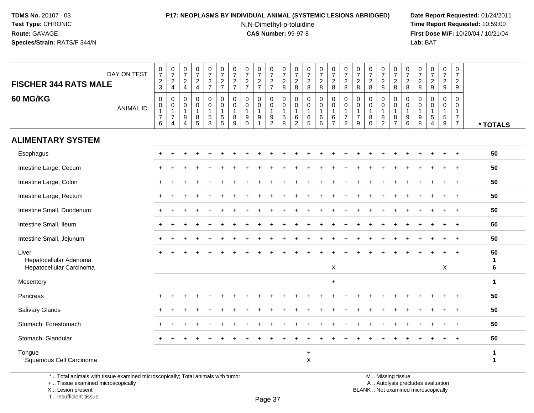## **P17: NEOPLASMS BY INDIVIDUAL ANIMAL (SYSTEMIC LESIONS ABRIDGED) Date Report Requested:** 01/24/2011

N,N-Dimethyl-p-toluidine

 **Time Report Requested:** 10:59:00 **First Dose M/F:** 10/20/04 / 10/21/04<br>**Lab:** BAT **Lab:** BAT

| <b>FISCHER 344 RATS MALE</b>                                | DAY ON TEST      | $\begin{array}{c} 0 \\ 7 \end{array}$<br>$\frac{2}{3}$                      | $\frac{0}{7}$<br>$\boldsymbol{2}$<br>$\overline{4}$ | $\begin{array}{c} 0 \\ 7 \end{array}$<br>$\sqrt{2}$<br>$\overline{4}$ | $\frac{0}{7}$<br>$\boldsymbol{2}$<br>$\overline{4}$ | $\pmb{0}$<br>$\boldsymbol{7}$<br>$rac{2}{7}$                  | $\frac{0}{7}$<br>$\frac{2}{7}$                        | $\frac{0}{7}$<br>$\frac{2}{7}$             | $\begin{array}{c} 0 \\ 7 \end{array}$<br>$\frac{2}{7}$                       | $\frac{0}{7}$<br>$\frac{2}{7}$                | $\frac{0}{7}$<br>$\frac{2}{7}$                               | $\frac{0}{7}$<br>$\sqrt{2}$<br>8                    | 0<br>$\overline{7}$<br>$\overline{c}$<br>8                  | 0<br>$\overline{7}$<br>$\boldsymbol{2}$<br>8               | $\frac{0}{7}$<br>$\overline{\mathbf{c}}$<br>8       | $\begin{smallmatrix}0\\7\end{smallmatrix}$<br>$\sqrt{2}$<br>8         | $\frac{0}{7}$<br>$\overline{c}$<br>8                                       | 0<br>$\overline{7}$<br>$\overline{2}$<br>8                        | $\frac{0}{7}$<br>$\boldsymbol{2}$<br>8                          | $\begin{array}{c} 0 \\ 7 \end{array}$<br>$\overline{c}$<br>8 | $\frac{0}{7}$<br>$\overline{c}$<br>8                | $\pmb{0}$<br>$\overline{7}$<br>$\overline{c}$<br>8  | 0<br>$\overline{7}$<br>$\sqrt{2}$<br>8     | $\pmb{0}$<br>$\overline{7}$<br>$\overline{2}$<br>9               | $\frac{0}{7}$<br>$\sqrt{2}$<br>$\boldsymbol{9}$           | $\begin{array}{c} 0 \\ 7 \end{array}$<br>$\overline{2}$<br>9 |                             |
|-------------------------------------------------------------|------------------|-----------------------------------------------------------------------------|-----------------------------------------------------|-----------------------------------------------------------------------|-----------------------------------------------------|---------------------------------------------------------------|-------------------------------------------------------|--------------------------------------------|------------------------------------------------------------------------------|-----------------------------------------------|--------------------------------------------------------------|-----------------------------------------------------|-------------------------------------------------------------|------------------------------------------------------------|-----------------------------------------------------|-----------------------------------------------------------------------|----------------------------------------------------------------------------|-------------------------------------------------------------------|-----------------------------------------------------------------|--------------------------------------------------------------|-----------------------------------------------------|-----------------------------------------------------|--------------------------------------------|------------------------------------------------------------------|-----------------------------------------------------------|--------------------------------------------------------------|-----------------------------|
| 60 MG/KG                                                    | <b>ANIMAL ID</b> | $\boldsymbol{0}$<br>$\boldsymbol{0}$<br>$\mathbf{1}$<br>$\overline{7}$<br>6 | 0<br>0<br>1<br>$\overline{7}$<br>4                  | 0<br>0<br>$\overline{1}$<br>8<br>$\overline{4}$                       | 0<br>0<br>$\mathbf{1}$<br>$^8_5$                    | $\mathbf 0$<br>$\mathbf 0$<br>$\mathbf{1}$<br>$\sqrt{5}$<br>3 | 0<br>$\mathbf 0$<br>$\overline{1}$<br>$\sqrt{5}$<br>5 | 0<br>$\mathbf 0$<br>$\mathbf{1}$<br>8<br>9 | $\pmb{0}$<br>$\mathbf 0$<br>$\mathbf{1}$<br>$\boldsymbol{9}$<br>$\mathbf{0}$ | 0<br>0<br>$\mathbf{1}$<br>9<br>$\overline{ }$ | 0<br>0<br>$\mathbf{1}$<br>$\boldsymbol{9}$<br>$\overline{2}$ | 0<br>$\mathbf 0$<br>$\mathbf{1}$<br>$\sqrt{5}$<br>8 | 0<br>$\mathbf 0$<br>$\mathbf{1}$<br>$\,6$<br>$\overline{2}$ | $\mathbf 0$<br>$\mathbf 0$<br>$\mathbf{1}$<br>$\,6\,$<br>5 | $\mathbf 0$<br>$\mathbf 0$<br>$\mathbf 1$<br>$^6_6$ | $\pmb{0}$<br>$\mathbf 0$<br>$\mathbf{1}$<br>$\,6\,$<br>$\overline{7}$ | $\pmb{0}$<br>$\pmb{0}$<br>$\mathbf{1}$<br>$\overline{7}$<br>$\overline{2}$ | $\mathbf 0$<br>$\mathbf 0$<br>$\mathbf{1}$<br>$\overline{7}$<br>9 | $\mathbf 0$<br>$\mathbf 0$<br>$\mathbf{1}$<br>8<br>$\mathbf{0}$ | 0<br>$\mathbf 0$<br>$\mathbf{1}$<br>8<br>$\overline{2}$      | 0<br>0<br>$\mathbf{1}$<br>$\bf 8$<br>$\overline{7}$ | 0<br>0<br>$\mathbf{1}$<br>$\boldsymbol{9}$<br>$\,6$ | 0<br>$\mathbf 0$<br>$\mathbf{1}$<br>9<br>8 | 0<br>$\mathbf 0$<br>$\mathbf{1}$<br>$\sqrt{5}$<br>$\overline{4}$ | 0<br>0<br>$\mathbf{1}$<br>$\,$ 5 $\,$<br>$\boldsymbol{9}$ | 0<br>0<br>$\mathbf{1}$<br>$\overline{7}$<br>$\overline{7}$   | * TOTALS                    |
| <b>ALIMENTARY SYSTEM</b>                                    |                  |                                                                             |                                                     |                                                                       |                                                     |                                                               |                                                       |                                            |                                                                              |                                               |                                                              |                                                     |                                                             |                                                            |                                                     |                                                                       |                                                                            |                                                                   |                                                                 |                                                              |                                                     |                                                     |                                            |                                                                  |                                                           |                                                              |                             |
| Esophagus                                                   |                  |                                                                             |                                                     |                                                                       |                                                     |                                                               |                                                       |                                            |                                                                              |                                               |                                                              |                                                     |                                                             |                                                            |                                                     |                                                                       |                                                                            |                                                                   |                                                                 |                                                              |                                                     |                                                     |                                            |                                                                  |                                                           |                                                              | 50                          |
| Intestine Large, Cecum                                      |                  |                                                                             |                                                     |                                                                       |                                                     |                                                               |                                                       |                                            |                                                                              |                                               |                                                              |                                                     |                                                             |                                                            |                                                     |                                                                       |                                                                            |                                                                   |                                                                 |                                                              |                                                     |                                                     |                                            |                                                                  |                                                           |                                                              | 50                          |
| Intestine Large, Colon                                      |                  |                                                                             |                                                     |                                                                       |                                                     |                                                               |                                                       |                                            |                                                                              |                                               |                                                              |                                                     |                                                             |                                                            |                                                     |                                                                       |                                                                            |                                                                   |                                                                 |                                                              |                                                     |                                                     |                                            |                                                                  |                                                           |                                                              | 50                          |
| Intestine Large, Rectum                                     |                  |                                                                             |                                                     |                                                                       |                                                     |                                                               |                                                       |                                            |                                                                              |                                               |                                                              |                                                     |                                                             |                                                            |                                                     |                                                                       |                                                                            |                                                                   |                                                                 |                                                              |                                                     |                                                     |                                            |                                                                  | ÷.                                                        | $\overline{+}$                                               | 50                          |
| Intestine Small, Duodenum                                   |                  |                                                                             |                                                     |                                                                       |                                                     |                                                               |                                                       |                                            |                                                                              |                                               |                                                              |                                                     |                                                             |                                                            |                                                     |                                                                       |                                                                            |                                                                   |                                                                 |                                                              |                                                     |                                                     |                                            |                                                                  |                                                           | $\overline{1}$                                               | 50                          |
| Intestine Small, Ileum                                      |                  |                                                                             |                                                     |                                                                       |                                                     |                                                               |                                                       |                                            |                                                                              |                                               |                                                              |                                                     |                                                             |                                                            |                                                     |                                                                       |                                                                            |                                                                   |                                                                 |                                                              |                                                     |                                                     |                                            |                                                                  |                                                           |                                                              | 50                          |
| Intestine Small, Jejunum                                    |                  |                                                                             |                                                     |                                                                       |                                                     |                                                               |                                                       |                                            |                                                                              |                                               |                                                              |                                                     |                                                             |                                                            |                                                     |                                                                       |                                                                            |                                                                   |                                                                 |                                                              |                                                     |                                                     |                                            |                                                                  |                                                           |                                                              | 50                          |
| Liver<br>Hepatocellular Adenoma<br>Hepatocellular Carcinoma |                  |                                                                             |                                                     |                                                                       |                                                     |                                                               |                                                       |                                            |                                                                              |                                               |                                                              |                                                     |                                                             |                                                            |                                                     | $\boldsymbol{\mathsf{X}}$                                             |                                                                            |                                                                   |                                                                 |                                                              |                                                     |                                                     |                                            |                                                                  | $+$<br>$\mathsf{X}$                                       | $\overline{+}$                                               | 50<br>$\mathbf{1}$<br>6     |
| Mesentery                                                   |                  |                                                                             |                                                     |                                                                       |                                                     |                                                               |                                                       |                                            |                                                                              |                                               |                                                              |                                                     |                                                             |                                                            |                                                     | $+$                                                                   |                                                                            |                                                                   |                                                                 |                                                              |                                                     |                                                     |                                            |                                                                  |                                                           |                                                              | $\mathbf{1}$                |
| Pancreas                                                    |                  |                                                                             |                                                     |                                                                       |                                                     |                                                               |                                                       |                                            |                                                                              |                                               |                                                              |                                                     |                                                             |                                                            |                                                     |                                                                       |                                                                            |                                                                   |                                                                 |                                                              |                                                     |                                                     |                                            |                                                                  |                                                           |                                                              | 50                          |
| Salivary Glands                                             |                  |                                                                             |                                                     |                                                                       |                                                     |                                                               |                                                       |                                            |                                                                              |                                               |                                                              |                                                     |                                                             |                                                            |                                                     |                                                                       |                                                                            |                                                                   |                                                                 |                                                              |                                                     |                                                     |                                            |                                                                  |                                                           | $\overline{ }$                                               | 50                          |
| Stomach, Forestomach                                        |                  |                                                                             |                                                     |                                                                       |                                                     |                                                               |                                                       |                                            |                                                                              |                                               |                                                              |                                                     |                                                             |                                                            |                                                     |                                                                       |                                                                            |                                                                   |                                                                 |                                                              |                                                     |                                                     |                                            |                                                                  |                                                           |                                                              | 50                          |
| Stomach, Glandular                                          |                  |                                                                             |                                                     |                                                                       |                                                     |                                                               |                                                       |                                            |                                                                              |                                               |                                                              |                                                     |                                                             |                                                            |                                                     |                                                                       |                                                                            |                                                                   |                                                                 |                                                              |                                                     |                                                     |                                            |                                                                  |                                                           |                                                              | 50                          |
| Tongue<br>Squamous Cell Carcinoma                           |                  |                                                                             |                                                     |                                                                       |                                                     |                                                               |                                                       |                                            |                                                                              |                                               |                                                              |                                                     |                                                             | $\ddot{}$<br>$\mathsf{X}$                                  |                                                     |                                                                       |                                                                            |                                                                   |                                                                 |                                                              |                                                     |                                                     |                                            |                                                                  |                                                           |                                                              | $\mathbf 1$<br>$\mathbf{1}$ |

\* .. Total animals with tissue examined microscopically; Total animals with tumor

+ .. Tissue examined microscopically

 Lesion present BLANK .. Not examined microscopicallyX .. Lesion present

I .. Insufficient tissue

M .. Missing tissue

y the contract of the contract of the contract of the contract of the contract of  $\mathsf A$  . Autolysis precludes evaluation

Page 37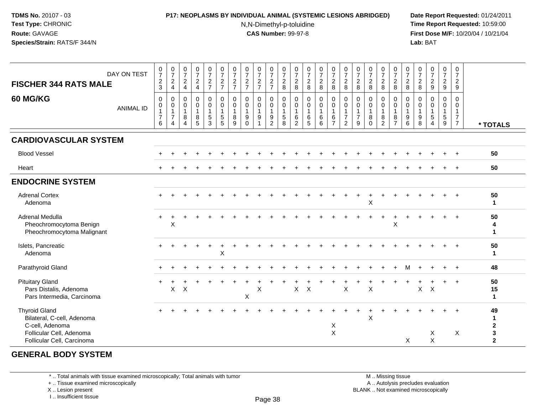### **P17: NEOPLASMS BY INDIVIDUAL ANIMAL (SYSTEMIC LESIONS ABRIDGED) Date Report Requested:** 01/24/2011

N,N-Dimethyl-p-toluidine

 **Time Report Requested:** 10:59:00 **First Dose M/F:** 10/20/04 / 10/21/04<br>**Lab:** BAT **Lab:** BAT

| <b>FISCHER 344 RATS MALE</b>                                                                                                    | DAY ON TEST      | $\frac{0}{7}$<br>$\frac{2}{3}$                                          | $\frac{0}{7}$<br>$\sqrt{2}$<br>$\overline{4}$           | $\frac{0}{7}$<br>$\sqrt{2}$<br>$\overline{4}$                             | $\frac{0}{7}$<br>$\frac{2}{4}$                | $\begin{array}{c} 0 \\ 7 \end{array}$<br>$\frac{2}{7}$                        | $\begin{array}{c} 0 \\ 7 \end{array}$<br>$\frac{2}{7}$             | $\frac{0}{7}$<br>$\frac{2}{7}$               | $\begin{array}{c} 0 \\ 7 \end{array}$<br>$\frac{2}{7}$    | $\frac{0}{7}$<br>$\frac{2}{7}$ | $\begin{array}{c} 0 \\ 7 \end{array}$<br>$rac{2}{7}$                    | $\frac{0}{7}$<br>$\begin{array}{c} 2 \\ 8 \end{array}$        | $\frac{0}{7}$<br>$\frac{2}{8}$                                    | $\begin{array}{c} 0 \\ 7 \end{array}$<br>$_{8}^2$      | $\frac{0}{7}$<br>$\frac{2}{8}$                      | $\frac{0}{7}$<br>$\frac{2}{8}$                                          | $\begin{array}{c} 0 \\ 7 \end{array}$<br>$\frac{2}{8}$             | $\begin{array}{c} 0 \\ 7 \end{array}$<br>$\frac{2}{8}$              | $\frac{0}{7}$<br>$\frac{2}{8}$                            | $\frac{0}{7}$<br>$\frac{2}{8}$                           | $\frac{0}{7}$<br>$_{8}^2$                                   | $\frac{0}{7}$<br>$_{8}^2$                        | $\frac{0}{7}$<br>$_{8}^{\rm 2}$                        | $\begin{array}{c} 0 \\ 7 \end{array}$<br>$\frac{2}{9}$ | $\frac{0}{7}$<br>$\frac{2}{9}$   | $\begin{smallmatrix}0\\7\end{smallmatrix}$<br>$\overline{a}$<br>9      |                                                                   |
|---------------------------------------------------------------------------------------------------------------------------------|------------------|-------------------------------------------------------------------------|---------------------------------------------------------|---------------------------------------------------------------------------|-----------------------------------------------|-------------------------------------------------------------------------------|--------------------------------------------------------------------|----------------------------------------------|-----------------------------------------------------------|--------------------------------|-------------------------------------------------------------------------|---------------------------------------------------------------|-------------------------------------------------------------------|--------------------------------------------------------|-----------------------------------------------------|-------------------------------------------------------------------------|--------------------------------------------------------------------|---------------------------------------------------------------------|-----------------------------------------------------------|----------------------------------------------------------|-------------------------------------------------------------|--------------------------------------------------|--------------------------------------------------------|--------------------------------------------------------|----------------------------------|------------------------------------------------------------------------|-------------------------------------------------------------------|
| <b>60 MG/KG</b>                                                                                                                 | <b>ANIMAL ID</b> | $\mathbf 0$<br>$\mathbf 0$<br>$\mathbf{1}$<br>$\overline{7}$<br>$\,6\,$ | 0<br>$\mathbf 0$<br>$\mathbf{1}$<br>$\overline{7}$<br>4 | $\mathbf 0$<br>$\mathbf 0$<br>$\mathbf{1}$<br>8<br>$\boldsymbol{\Lambda}$ | 0<br>$\overline{0}$<br>$\mathbf{1}$<br>8<br>5 | $\begin{smallmatrix}0\\0\end{smallmatrix}$<br>$\mathbf{1}$<br>$\sqrt{5}$<br>3 | $\pmb{0}$<br>$\pmb{0}$<br>$\mathbf{1}$<br>$\sqrt{5}$<br>$\sqrt{5}$ | 0<br>$\mathbf 0$<br>$\overline{1}$<br>8<br>9 | $\pmb{0}$<br>$\mathbf 0$<br>$\mathbf{1}$<br>9<br>$\Omega$ | 0<br>0<br>$\mathbf{1}$<br>9    | $\pmb{0}$<br>$\mathsf{O}\xspace$<br>$\mathbf{1}$<br>9<br>$\overline{2}$ | $\mathbf 0$<br>$\mathsf 0$<br>$\mathbf{1}$<br>$\sqrt{5}$<br>8 | $\pmb{0}$<br>$\mathbf 0$<br>$\overline{1}$<br>6<br>$\overline{2}$ | $\pmb{0}$<br>$\mathbf 0$<br>$\mathbf{1}$<br>$\,6$<br>5 | $\pmb{0}$<br>$\mathsf{O}$<br>$\mathbf{1}$<br>6<br>6 | $\pmb{0}$<br>$\mathsf{O}\xspace$<br>$\mathbf{1}$<br>6<br>$\overline{7}$ | 0<br>$\pmb{0}$<br>$\mathbf{1}$<br>$\overline{7}$<br>$\overline{2}$ | $\mathbf 0$<br>$\mathbf 0$<br>$\overline{1}$<br>$\overline{7}$<br>9 | $\pmb{0}$<br>$\mathbf 0$<br>$\mathbf{1}$<br>8<br>$\Omega$ | 0<br>$\mathsf{O}$<br>$\mathbf{1}$<br>8<br>$\overline{2}$ | $_{\rm 0}^{\rm 0}$<br>$\overline{1}$<br>8<br>$\overline{7}$ | $\pmb{0}$<br>$\pmb{0}$<br>$\mathbf{1}$<br>9<br>6 | $\mathbf 0$<br>$\mathbf 0$<br>$\overline{1}$<br>9<br>8 | 0<br>0<br>$\mathbf{1}$<br>$\sqrt{5}$<br>4              | 0<br>0<br>$\mathbf{1}$<br>5<br>9 | $\mathbf 0$<br>0<br>$\overline{1}$<br>$\overline{7}$<br>$\overline{7}$ | * TOTALS                                                          |
| <b>CARDIOVASCULAR SYSTEM</b>                                                                                                    |                  |                                                                         |                                                         |                                                                           |                                               |                                                                               |                                                                    |                                              |                                                           |                                |                                                                         |                                                               |                                                                   |                                                        |                                                     |                                                                         |                                                                    |                                                                     |                                                           |                                                          |                                                             |                                                  |                                                        |                                                        |                                  |                                                                        |                                                                   |
| <b>Blood Vessel</b>                                                                                                             |                  |                                                                         |                                                         |                                                                           |                                               |                                                                               |                                                                    |                                              |                                                           |                                |                                                                         |                                                               |                                                                   |                                                        |                                                     |                                                                         |                                                                    |                                                                     |                                                           |                                                          |                                                             |                                                  |                                                        |                                                        |                                  |                                                                        | 50                                                                |
| Heart                                                                                                                           |                  |                                                                         |                                                         |                                                                           |                                               |                                                                               |                                                                    |                                              |                                                           |                                |                                                                         |                                                               |                                                                   |                                                        |                                                     |                                                                         |                                                                    |                                                                     |                                                           |                                                          |                                                             |                                                  |                                                        |                                                        |                                  |                                                                        | 50                                                                |
| <b>ENDOCRINE SYSTEM</b>                                                                                                         |                  |                                                                         |                                                         |                                                                           |                                               |                                                                               |                                                                    |                                              |                                                           |                                |                                                                         |                                                               |                                                                   |                                                        |                                                     |                                                                         |                                                                    |                                                                     |                                                           |                                                          |                                                             |                                                  |                                                        |                                                        |                                  |                                                                        |                                                                   |
| <b>Adrenal Cortex</b><br>Adenoma                                                                                                |                  |                                                                         |                                                         |                                                                           |                                               |                                                                               |                                                                    |                                              |                                                           |                                |                                                                         |                                                               |                                                                   |                                                        |                                                     |                                                                         |                                                                    |                                                                     | $\boldsymbol{\mathsf{X}}$                                 |                                                          |                                                             |                                                  |                                                        |                                                        |                                  |                                                                        | 50<br>$\mathbf{1}$                                                |
| Adrenal Medulla<br>Pheochromocytoma Benign<br>Pheochromocytoma Malignant                                                        |                  |                                                                         | X                                                       |                                                                           |                                               |                                                                               |                                                                    |                                              |                                                           |                                |                                                                         |                                                               |                                                                   |                                                        |                                                     |                                                                         |                                                                    |                                                                     |                                                           |                                                          | X                                                           |                                                  |                                                        |                                                        |                                  | $+$                                                                    | 50<br>4<br>-1                                                     |
| Islets, Pancreatic<br>Adenoma                                                                                                   |                  |                                                                         |                                                         |                                                                           |                                               |                                                                               | $\mathsf X$                                                        |                                              |                                                           |                                |                                                                         |                                                               |                                                                   |                                                        |                                                     |                                                                         |                                                                    |                                                                     |                                                           |                                                          |                                                             |                                                  |                                                        |                                                        |                                  |                                                                        | 50<br>$\mathbf{1}$                                                |
| Parathyroid Gland                                                                                                               |                  |                                                                         |                                                         |                                                                           |                                               |                                                                               |                                                                    |                                              |                                                           |                                |                                                                         |                                                               |                                                                   |                                                        |                                                     |                                                                         |                                                                    |                                                                     |                                                           |                                                          |                                                             | М                                                |                                                        |                                                        |                                  |                                                                        | 48                                                                |
| <b>Pituitary Gland</b><br>Pars Distalis, Adenoma<br>Pars Intermedia, Carcinoma                                                  |                  |                                                                         | X                                                       | X                                                                         |                                               |                                                                               |                                                                    |                                              | X                                                         | X                              |                                                                         |                                                               | X                                                                 | X                                                      |                                                     |                                                                         | $\sf X$                                                            |                                                                     | $\boldsymbol{\mathsf{X}}$                                 |                                                          |                                                             |                                                  | $\mathsf X$                                            | $\boldsymbol{\mathsf{X}}$                              |                                  | $+$                                                                    | 50<br>15<br>$\mathbf{1}$                                          |
| <b>Thyroid Gland</b><br>Bilateral, C-cell, Adenoma<br>C-cell, Adenoma<br>Follicular Cell, Adenoma<br>Follicular Cell, Carcinoma |                  |                                                                         |                                                         |                                                                           |                                               |                                                                               |                                                                    |                                              |                                                           |                                |                                                                         |                                                               |                                                                   |                                                        |                                                     | X<br>$\boldsymbol{\mathsf{X}}$                                          |                                                                    |                                                                     | X                                                         |                                                          |                                                             | X                                                |                                                        | X<br>$\times$                                          |                                  | X                                                                      | 49<br>$\mathbf{1}$<br>$\mathbf{2}$<br>$\mathbf 3$<br>$\mathbf{2}$ |

# **GENERAL BODY SYSTEM**

\* .. Total animals with tissue examined microscopically; Total animals with tumor

+ .. Tissue examined microscopically

X .. Lesion present

I .. Insufficient tissue

 M .. Missing tissuey the contract of the contract of the contract of the contract of the contract of  $\mathsf A$  . Autolysis precludes evaluation Lesion present BLANK .. Not examined microscopically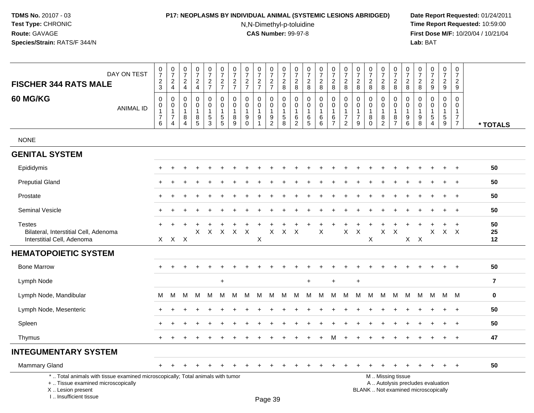### **P17: NEOPLASMS BY INDIVIDUAL ANIMAL (SYSTEMIC LESIONS ABRIDGED) Date Report Requested:** 01/24/2011

N,N-Dimethyl-p-toluidine

| DAY ON TEST<br><b>FISCHER 344 RATS MALE</b>                                                                                                                        | 0<br>$\overline{7}$<br>$\sqrt{2}$<br>3           | $\begin{array}{c} 0 \\ 7 \end{array}$<br>$\sqrt{2}$<br>$\overline{4}$ | 0<br>$\overline{7}$<br>$\overline{2}$<br>$\overline{4}$ | 0<br>$\overline{7}$<br>$\overline{2}$<br>$\overline{4}$ | 0<br>$\overline{7}$<br>$\overline{c}$<br>$\overline{7}$ | $\pmb{0}$<br>$\overline{7}$<br>$\overline{c}$<br>$\overline{7}$           | $\pmb{0}$<br>$\overline{7}$<br>$\overline{c}$<br>$\overline{7}$ | 0<br>$\overline{7}$<br>$\boldsymbol{2}$<br>$\overline{7}$ | $\pmb{0}$<br>$\overline{7}$<br>$\overline{c}$<br>$\overline{7}$ | 0<br>$\overline{7}$<br>$\boldsymbol{2}$<br>$\overline{7}$              | 0<br>$\overline{7}$<br>$\overline{2}$<br>8           | 0<br>$\overline{7}$<br>$\overline{c}$<br>8          | 0<br>$\overline{7}$<br>$\overline{2}$<br>8 | $\pmb{0}$<br>$\overline{7}$<br>$\overline{c}$<br>$\bf8$ | 0<br>$\overline{7}$<br>$\overline{c}$<br>8          | 0<br>$\overline{7}$<br>$\boldsymbol{2}$<br>8                         | 0<br>$\overline{7}$<br>$\overline{c}$<br>8              | 0<br>$\overline{7}$<br>$\overline{2}$<br>8 | $\pmb{0}$<br>$\overline{7}$<br>$\overline{c}$<br>8                      | $\pmb{0}$<br>$\overline{7}$<br>$\sqrt{2}$<br>8          | 0<br>$\overline{7}$<br>$\overline{2}$<br>8 | 0<br>$\overline{7}$<br>$\overline{c}$<br>8 | 0<br>$\overline{7}$<br>$\overline{2}$<br>9                               | $\pmb{0}$<br>$\overline{7}$<br>$\overline{c}$<br>9   | $\pmb{0}$<br>$\overline{7}$<br>$\overline{a}$<br>9                             |                |
|--------------------------------------------------------------------------------------------------------------------------------------------------------------------|--------------------------------------------------|-----------------------------------------------------------------------|---------------------------------------------------------|---------------------------------------------------------|---------------------------------------------------------|---------------------------------------------------------------------------|-----------------------------------------------------------------|-----------------------------------------------------------|-----------------------------------------------------------------|------------------------------------------------------------------------|------------------------------------------------------|-----------------------------------------------------|--------------------------------------------|---------------------------------------------------------|-----------------------------------------------------|----------------------------------------------------------------------|---------------------------------------------------------|--------------------------------------------|-------------------------------------------------------------------------|---------------------------------------------------------|--------------------------------------------|--------------------------------------------|--------------------------------------------------------------------------|------------------------------------------------------|--------------------------------------------------------------------------------|----------------|
| 60 MG/KG<br><b>ANIMAL ID</b>                                                                                                                                       | 0<br>0<br>1<br>$\overline{7}$<br>6               | 0<br>$\pmb{0}$<br>$\overline{1}$<br>$\overline{7}$<br>4               | $\mathbf 0$<br>0<br>$\mathbf{1}$<br>8<br>4              | $\mathbf 0$<br>$\Omega$<br>$\mathbf{1}$<br>8<br>5       | 0<br>$\mathbf 0$<br>$\mathbf 1$<br>$\sqrt{5}$<br>3      | 0<br>$\mathbf 0$<br>$\mathbf{1}$<br>$\begin{array}{c} 5 \\ 5 \end{array}$ | $\mathbf 0$<br>0<br>$\mathbf{1}$<br>8<br>9                      | 0<br>0<br>$\mathbf{1}$<br>9<br>$\mathbf 0$                | $\mathbf 0$<br>$\mathbf 0$<br>$\mathbf{1}$<br>9<br>$\mathbf{1}$ | 0<br>$\mathbf 0$<br>$\mathbf{1}$<br>$\boldsymbol{9}$<br>$\overline{2}$ | 0<br>$\mathbf 0$<br>$\mathbf{1}$<br>$\,$ 5 $\,$<br>8 | 0<br>0<br>$\mathbf{1}$<br>$\,6\,$<br>$\overline{2}$ | $\mathbf 0$<br>0<br>$\mathbf{1}$<br>6<br>5 | $\mathbf 0$<br>0<br>$\mathbf{1}$<br>$\,6\,$<br>6        | 0<br>0<br>$\mathbf{1}$<br>$\,6\,$<br>$\overline{7}$ | 0<br>$\mathbf 0$<br>$\mathbf{1}$<br>$\overline{7}$<br>$\overline{2}$ | 0<br>$\mathbf 0$<br>$\mathbf{1}$<br>$\overline{7}$<br>9 | 0<br>0<br>$\mathbf{1}$<br>8<br>$\Omega$    | $\mathbf 0$<br>$\mathbf 0$<br>$\mathbf{1}$<br>$\bf 8$<br>$\overline{2}$ | 0<br>$\mathbf 0$<br>$\mathbf{1}$<br>8<br>$\overline{7}$ | 0<br>$\mathbf 0$<br>$\mathbf{1}$<br>9<br>6 | 0<br>0<br>1<br>$9\,$<br>8                  | $\mathbf 0$<br>0<br>$\mathbf{1}$<br>$\sqrt{5}$<br>$\overline{4}$         | 0<br>$\mathbf 0$<br>$\mathbf{1}$<br>$\,$ 5 $\,$<br>9 | $\mathbf 0$<br>$\mathbf 0$<br>$\mathbf{1}$<br>$\overline{7}$<br>$\overline{7}$ | * TOTALS       |
| <b>NONE</b>                                                                                                                                                        |                                                  |                                                                       |                                                         |                                                         |                                                         |                                                                           |                                                                 |                                                           |                                                                 |                                                                        |                                                      |                                                     |                                            |                                                         |                                                     |                                                                      |                                                         |                                            |                                                                         |                                                         |                                            |                                            |                                                                          |                                                      |                                                                                |                |
| <b>GENITAL SYSTEM</b>                                                                                                                                              |                                                  |                                                                       |                                                         |                                                         |                                                         |                                                                           |                                                                 |                                                           |                                                                 |                                                                        |                                                      |                                                     |                                            |                                                         |                                                     |                                                                      |                                                         |                                            |                                                                         |                                                         |                                            |                                            |                                                                          |                                                      |                                                                                |                |
| Epididymis                                                                                                                                                         |                                                  |                                                                       |                                                         |                                                         |                                                         |                                                                           |                                                                 |                                                           |                                                                 |                                                                        |                                                      |                                                     |                                            |                                                         |                                                     |                                                                      |                                                         |                                            |                                                                         |                                                         |                                            |                                            |                                                                          |                                                      | $\div$                                                                         | 50             |
| <b>Preputial Gland</b>                                                                                                                                             | $\div$                                           |                                                                       |                                                         |                                                         |                                                         |                                                                           |                                                                 |                                                           |                                                                 |                                                                        |                                                      |                                                     |                                            |                                                         |                                                     |                                                                      |                                                         |                                            |                                                                         |                                                         |                                            |                                            |                                                                          | $\ddot{}$                                            | $+$                                                                            | 50             |
| Prostate                                                                                                                                                           |                                                  |                                                                       |                                                         |                                                         |                                                         |                                                                           |                                                                 |                                                           |                                                                 |                                                                        |                                                      |                                                     |                                            |                                                         |                                                     |                                                                      |                                                         |                                            |                                                                         |                                                         |                                            |                                            |                                                                          | $\div$                                               | $\overline{+}$                                                                 | 50             |
| Seminal Vesicle                                                                                                                                                    | $\pm$                                            |                                                                       |                                                         |                                                         |                                                         |                                                                           |                                                                 |                                                           |                                                                 |                                                                        |                                                      |                                                     |                                            |                                                         |                                                     |                                                                      |                                                         |                                            |                                                                         |                                                         |                                            |                                            |                                                                          | $\ddot{}$                                            | $+$                                                                            | 50             |
| <b>Testes</b><br>Bilateral, Interstitial Cell, Adenoma<br>Interstitial Cell, Adenoma                                                                               |                                                  |                                                                       |                                                         | X                                                       | $\mathsf{X}$                                            | $\mathsf{X}$                                                              | $\mathsf{X}$                                                    | $\boldsymbol{\mathsf{X}}$                                 | X                                                               | X.                                                                     | $\sf X$                                              | X                                                   |                                            | X                                                       |                                                     | X                                                                    | $\times$                                                | X                                          | X                                                                       | $\boldsymbol{\mathsf{X}}$                               |                                            |                                            | X                                                                        | X X                                                  | $\ddot{}$                                                                      | 50<br>25<br>12 |
| <b>HEMATOPOIETIC SYSTEM</b>                                                                                                                                        | $X$ $X$<br>X X X<br>÷                            |                                                                       |                                                         |                                                         |                                                         |                                                                           |                                                                 |                                                           |                                                                 |                                                                        |                                                      |                                                     |                                            |                                                         |                                                     |                                                                      |                                                         |                                            |                                                                         |                                                         |                                            |                                            |                                                                          |                                                      |                                                                                |                |
| <b>Bone Marrow</b>                                                                                                                                                 | $\ddot{}$<br>$\ddot{}$<br>$\ddot{}$<br>$\ddot{}$ |                                                                       |                                                         |                                                         |                                                         |                                                                           |                                                                 |                                                           |                                                                 |                                                                        |                                                      |                                                     |                                            |                                                         |                                                     | $\overline{+}$                                                       | 50                                                      |                                            |                                                                         |                                                         |                                            |                                            |                                                                          |                                                      |                                                                                |                |
| Lymph Node                                                                                                                                                         |                                                  |                                                                       |                                                         |                                                         |                                                         |                                                                           |                                                                 |                                                           |                                                                 |                                                                        |                                                      |                                                     |                                            |                                                         |                                                     |                                                                      | $\overline{7}$                                          |                                            |                                                                         |                                                         |                                            |                                            |                                                                          |                                                      |                                                                                |                |
| Lymph Node, Mandibular                                                                                                                                             | М                                                | м                                                                     | M                                                       | м                                                       | М                                                       | M                                                                         | м                                                               | M                                                         | M                                                               | M                                                                      | M                                                    | M                                                   | М                                          | М                                                       | м                                                   | М                                                                    | M                                                       | M                                          | м                                                                       | М                                                       | M                                          | М                                          | M                                                                        | M                                                    | M                                                                              | $\mathbf 0$    |
| Lymph Node, Mesenteric                                                                                                                                             |                                                  |                                                                       |                                                         |                                                         |                                                         |                                                                           |                                                                 |                                                           |                                                                 |                                                                        |                                                      |                                                     |                                            |                                                         |                                                     |                                                                      |                                                         |                                            |                                                                         |                                                         |                                            |                                            |                                                                          | $\ddot{}$                                            | $\ddot{}$                                                                      | 50             |
| Spleen                                                                                                                                                             |                                                  |                                                                       |                                                         |                                                         |                                                         |                                                                           |                                                                 |                                                           |                                                                 |                                                                        |                                                      |                                                     |                                            |                                                         |                                                     |                                                                      |                                                         |                                            |                                                                         |                                                         |                                            |                                            |                                                                          |                                                      | $\ddot{}$                                                                      | 50             |
| Thymus                                                                                                                                                             |                                                  |                                                                       |                                                         |                                                         |                                                         |                                                                           |                                                                 |                                                           |                                                                 |                                                                        |                                                      |                                                     |                                            |                                                         | M                                                   | $\ddot{}$                                                            |                                                         |                                            |                                                                         |                                                         |                                            |                                            |                                                                          | $\ddot{}$                                            | $+$                                                                            | 47             |
| <b>INTEGUMENTARY SYSTEM</b>                                                                                                                                        |                                                  |                                                                       |                                                         |                                                         |                                                         |                                                                           |                                                                 |                                                           |                                                                 |                                                                        |                                                      |                                                     |                                            |                                                         |                                                     |                                                                      |                                                         |                                            |                                                                         |                                                         |                                            |                                            |                                                                          |                                                      |                                                                                |                |
| Mammary Gland                                                                                                                                                      | $+$                                              |                                                                       |                                                         |                                                         |                                                         |                                                                           |                                                                 |                                                           |                                                                 |                                                                        |                                                      |                                                     |                                            |                                                         |                                                     |                                                                      |                                                         |                                            |                                                                         |                                                         |                                            |                                            |                                                                          | $\ddot{}$                                            | $\overline{+}$                                                                 | 50             |
| *  Total animals with tissue examined microscopically; Total animals with tumor<br>+  Tissue examined microscopically<br>X Lesion present<br>I Insufficient tissue |                                                  |                                                                       |                                                         |                                                         |                                                         |                                                                           |                                                                 |                                                           |                                                                 | $D_{200}$ 20                                                           |                                                      |                                                     |                                            |                                                         |                                                     |                                                                      |                                                         | M  Missing tissue                          |                                                                         |                                                         |                                            |                                            | A  Autolysis precludes evaluation<br>BLANK  Not examined microscopically |                                                      |                                                                                |                |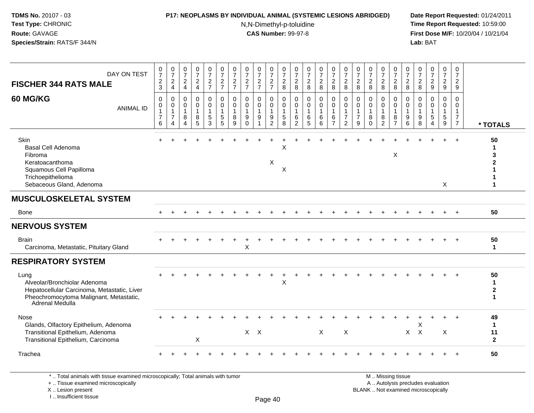### **P17: NEOPLASMS BY INDIVIDUAL ANIMAL (SYSTEMIC LESIONS ABRIDGED) Date Report Requested:** 01/24/2011

N,N-Dimethyl-p-toluidine

 **Time Report Requested:** 10:59:00 **First Dose M/F:** 10/20/04 / 10/21/04<br>**Lab:** BAT **Lab:** BAT

| DAY ON TEST<br><b>FISCHER 344 RATS MALE</b><br>60 MG/KG<br><b>ANIMAL ID</b>                                                                       | $\frac{0}{7}$<br>$\frac{2}{3}$<br>$\mathbf 0$<br>$\Omega$<br>$\mathbf{1}$<br>$\overline{7}$<br>6 | $\frac{0}{7}$<br>$\overline{c}$<br>$\overline{4}$<br>$\mathbf 0$<br>$\overline{0}$<br>$\mathbf{1}$<br>$\overline{7}$<br>4 | $\frac{0}{7}$<br>$_4^2$<br>$\mathbf 0$<br>$\mathbf 0$<br>$\mathbf{1}$<br>8<br>4 | $\frac{0}{7}$<br>$\frac{2}{4}$<br>$\mathbf 0$<br>$\mathbf 0$<br>$\mathbf{1}$<br>8<br>5 | $\frac{0}{7}$<br>$\frac{2}{7}$<br>0<br>$\Omega$<br>$\mathbf{1}$<br>$\sqrt{5}$<br>3 | $\frac{0}{7}$<br>$\frac{2}{7}$<br>$\mathbf 0$<br>$\mathbf 0$<br>$\overline{1}$<br>$\frac{5}{5}$ | $\frac{0}{7}$<br>$\frac{2}{7}$<br>$\mathbf 0$<br>$\mathbf{0}$<br>$\mathbf{1}$<br>8<br>9 | $\frac{0}{7}$<br>$\frac{2}{7}$<br>$\mathbf 0$<br>$\mathbf 0$<br>$\mathbf{1}$<br>$\boldsymbol{9}$<br>$\Omega$ | $\frac{0}{7}$<br>$\frac{2}{7}$<br>$\mathbf 0$<br>$\mathbf 0$<br>$\mathbf{1}$<br>9 | $\frac{0}{7}$<br>$\frac{2}{7}$<br>0<br>$\mathbf 0$<br>$\mathbf{1}$<br>9<br>$\overline{2}$ | 0<br>$\overline{7}$<br>$_{\rm 8}^2$<br>$\mathbf 0$<br>$\mathbf 0$<br>$\overline{1}$<br>$\,$ 5 $\,$<br>8 | 0<br>$\overline{7}$<br>$\frac{2}{8}$<br>$\mathbf 0$<br>$\mathbf 0$<br>$\mathbf{1}$<br>6<br>$\overline{2}$ | 0<br>$\overline{7}$<br>$_{\rm 8}^2$<br>$\mathbf 0$<br>$\Omega$<br>1<br>6<br>5 | $\frac{0}{7}$<br>$\frac{2}{8}$<br>$\mathbf 0$<br>$\mathbf 0$<br>1<br>6<br>6 | $\frac{0}{7}$<br>$\frac{2}{8}$<br>0<br>$\mathbf 0$<br>$\mathbf 1$<br>6<br>$\overline{7}$ | $\frac{0}{7}$<br>$\frac{2}{8}$<br>$\mathbf 0$<br>$\mathbf 0$<br>$\mathbf{1}$<br>$\overline{7}$<br>$\overline{2}$ | $\frac{0}{7}$<br>$\boldsymbol{2}$<br>8<br>$\Omega$<br>$\mathbf{0}$<br>$\mathbf{1}$<br>$\overline{7}$<br>9 | 0<br>$\overline{7}$<br>$\overline{c}$<br>8<br>$\Omega$<br>$\Omega$<br>-1<br>8<br>$\Omega$ | $\frac{0}{7}$<br>$\overline{a}$<br>8<br>$\Omega$<br>$\Omega$<br>8<br>$\overline{2}$ | $\frac{0}{7}$<br>$_{8}^2$<br>$\mathbf 0$<br>$\mathbf 0$<br>$\mathbf{1}$<br>$\frac{8}{7}$ | $\frac{0}{7}$<br>$^2_{\bf 8}$<br>$\mathbf 0$<br>$\Omega$<br>$\mathbf{1}$<br>9<br>6 | $\frac{0}{7}$<br>$\overline{\mathbf{c}}$<br>8<br>0<br>$\Omega$<br>$\overline{1}$<br>9<br>8 | 0<br>$\overline{7}$<br>$\frac{2}{9}$<br>$\Omega$<br>$\Omega$<br>1<br>$\sqrt{5}$<br>$\overline{4}$ | $\frac{0}{7}$<br>$\frac{2}{9}$<br>0<br>$\Omega$<br>$\mathbf 1$<br>$\overline{5}$<br>9 | 0<br>$\overline{7}$<br>$\overline{c}$<br>9<br>$\Omega$<br>$\mathbf 0$<br>$\mathbf{1}$<br>$\overline{7}$<br>$\overline{7}$ | * TOTALS                                           |
|---------------------------------------------------------------------------------------------------------------------------------------------------|--------------------------------------------------------------------------------------------------|---------------------------------------------------------------------------------------------------------------------------|---------------------------------------------------------------------------------|----------------------------------------------------------------------------------------|------------------------------------------------------------------------------------|-------------------------------------------------------------------------------------------------|-----------------------------------------------------------------------------------------|--------------------------------------------------------------------------------------------------------------|-----------------------------------------------------------------------------------|-------------------------------------------------------------------------------------------|---------------------------------------------------------------------------------------------------------|-----------------------------------------------------------------------------------------------------------|-------------------------------------------------------------------------------|-----------------------------------------------------------------------------|------------------------------------------------------------------------------------------|------------------------------------------------------------------------------------------------------------------|-----------------------------------------------------------------------------------------------------------|-------------------------------------------------------------------------------------------|-------------------------------------------------------------------------------------|------------------------------------------------------------------------------------------|------------------------------------------------------------------------------------|--------------------------------------------------------------------------------------------|---------------------------------------------------------------------------------------------------|---------------------------------------------------------------------------------------|---------------------------------------------------------------------------------------------------------------------------|----------------------------------------------------|
| Skin<br>Basal Cell Adenoma<br>Fibroma<br>Keratoacanthoma<br>Squamous Cell Papilloma<br>Trichoepithelioma<br>Sebaceous Gland, Adenoma              |                                                                                                  |                                                                                                                           |                                                                                 |                                                                                        |                                                                                    |                                                                                                 |                                                                                         |                                                                                                              |                                                                                   | Χ                                                                                         | $\boldsymbol{\mathsf{X}}$<br>X                                                                          |                                                                                                           |                                                                               |                                                                             |                                                                                          |                                                                                                                  |                                                                                                           |                                                                                           |                                                                                     | X                                                                                        |                                                                                    |                                                                                            |                                                                                                   | X                                                                                     | $\ddot{+}$                                                                                                                | 50<br>1<br>1                                       |
| <b>MUSCULOSKELETAL SYSTEM</b>                                                                                                                     |                                                                                                  |                                                                                                                           |                                                                                 |                                                                                        |                                                                                    |                                                                                                 |                                                                                         |                                                                                                              |                                                                                   |                                                                                           |                                                                                                         |                                                                                                           |                                                                               |                                                                             |                                                                                          |                                                                                                                  |                                                                                                           |                                                                                           |                                                                                     |                                                                                          |                                                                                    |                                                                                            |                                                                                                   |                                                                                       |                                                                                                                           |                                                    |
| <b>Bone</b>                                                                                                                                       |                                                                                                  |                                                                                                                           |                                                                                 |                                                                                        |                                                                                    |                                                                                                 |                                                                                         |                                                                                                              |                                                                                   |                                                                                           |                                                                                                         |                                                                                                           |                                                                               |                                                                             |                                                                                          |                                                                                                                  |                                                                                                           |                                                                                           |                                                                                     |                                                                                          |                                                                                    |                                                                                            |                                                                                                   |                                                                                       | $\ddot{}$                                                                                                                 | 50                                                 |
| <b>NERVOUS SYSTEM</b>                                                                                                                             |                                                                                                  |                                                                                                                           |                                                                                 |                                                                                        |                                                                                    |                                                                                                 |                                                                                         |                                                                                                              |                                                                                   |                                                                                           |                                                                                                         |                                                                                                           |                                                                               |                                                                             |                                                                                          |                                                                                                                  |                                                                                                           |                                                                                           |                                                                                     |                                                                                          |                                                                                    |                                                                                            |                                                                                                   |                                                                                       |                                                                                                                           |                                                    |
| <b>Brain</b><br>Carcinoma, Metastatic, Pituitary Gland                                                                                            |                                                                                                  |                                                                                                                           |                                                                                 |                                                                                        |                                                                                    |                                                                                                 |                                                                                         | X                                                                                                            |                                                                                   |                                                                                           |                                                                                                         |                                                                                                           |                                                                               |                                                                             |                                                                                          |                                                                                                                  |                                                                                                           |                                                                                           |                                                                                     |                                                                                          |                                                                                    |                                                                                            |                                                                                                   |                                                                                       |                                                                                                                           | 50<br>$\mathbf{1}$                                 |
| <b>RESPIRATORY SYSTEM</b>                                                                                                                         |                                                                                                  |                                                                                                                           |                                                                                 |                                                                                        |                                                                                    |                                                                                                 |                                                                                         |                                                                                                              |                                                                                   |                                                                                           |                                                                                                         |                                                                                                           |                                                                               |                                                                             |                                                                                          |                                                                                                                  |                                                                                                           |                                                                                           |                                                                                     |                                                                                          |                                                                                    |                                                                                            |                                                                                                   |                                                                                       |                                                                                                                           |                                                    |
| Lung<br>Alveolar/Bronchiolar Adenoma<br>Hepatocellular Carcinoma, Metastatic, Liver<br>Pheochromocytoma Malignant, Metastatic,<br>Adrenal Medulla |                                                                                                  |                                                                                                                           |                                                                                 |                                                                                        |                                                                                    |                                                                                                 |                                                                                         |                                                                                                              |                                                                                   |                                                                                           | X                                                                                                       |                                                                                                           |                                                                               |                                                                             |                                                                                          |                                                                                                                  |                                                                                                           |                                                                                           |                                                                                     |                                                                                          |                                                                                    |                                                                                            |                                                                                                   |                                                                                       |                                                                                                                           | 50<br>$\mathbf{1}$<br>$\mathbf{2}$<br>$\mathbf{1}$ |
| Nose<br>Glands, Olfactory Epithelium, Adenoma<br>Transitional Epithelium, Adenoma<br>Transitional Epithelium, Carcinoma                           |                                                                                                  |                                                                                                                           |                                                                                 | X                                                                                      |                                                                                    |                                                                                                 |                                                                                         | $X$ $X$                                                                                                      |                                                                                   |                                                                                           |                                                                                                         |                                                                                                           |                                                                               | X                                                                           |                                                                                          | $\boldsymbol{\mathsf{X}}$                                                                                        |                                                                                                           |                                                                                           |                                                                                     |                                                                                          |                                                                                    | X<br>$X$ $X$                                                                               |                                                                                                   | $\boldsymbol{\mathsf{X}}$                                                             |                                                                                                                           | 49<br>$\mathbf{1}$<br>11<br>$\overline{2}$         |
| Trachea                                                                                                                                           |                                                                                                  |                                                                                                                           |                                                                                 |                                                                                        |                                                                                    |                                                                                                 |                                                                                         |                                                                                                              |                                                                                   |                                                                                           |                                                                                                         |                                                                                                           |                                                                               |                                                                             |                                                                                          |                                                                                                                  |                                                                                                           |                                                                                           |                                                                                     |                                                                                          |                                                                                    |                                                                                            |                                                                                                   |                                                                                       |                                                                                                                           | 50                                                 |
| *  Total animals with tissue examined microscopically; Total animals with tumor                                                                   |                                                                                                  |                                                                                                                           |                                                                                 |                                                                                        |                                                                                    |                                                                                                 |                                                                                         |                                                                                                              |                                                                                   |                                                                                           |                                                                                                         |                                                                                                           |                                                                               |                                                                             |                                                                                          |                                                                                                                  |                                                                                                           |                                                                                           |                                                                                     | M  Missing tissue                                                                        |                                                                                    |                                                                                            |                                                                                                   |                                                                                       |                                                                                                                           |                                                    |

+ .. Tissue examined microscopically

X .. Lesion present

I .. Insufficient tissue

y the contract of the contract of the contract of the contract of the contract of  $\mathsf A$  . Autolysis precludes evaluation Lesion present BLANK .. Not examined microscopically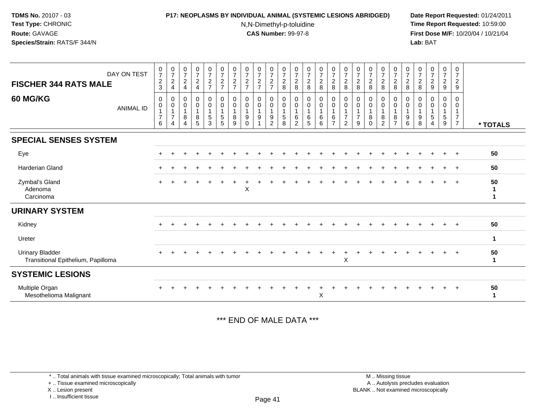## **P17: NEOPLASMS BY INDIVIDUAL ANIMAL (SYSTEMIC LESIONS ABRIDGED) Date Report Requested:** 01/24/2011

N,N-Dimethyl-p-toluidine

 **Time Report Requested:** 10:59:00 **First Dose M/F:** 10/20/04 / 10/21/04<br>**Lab:** BAT **Lab:** BAT

| $\frac{0}{7}$<br>$\begin{array}{c} 0 \\ 7 \end{array}$<br>$\begin{smallmatrix}0\\7\end{smallmatrix}$<br>$\frac{0}{7}$<br>$\frac{0}{7}$<br>$\begin{smallmatrix}0\\7\end{smallmatrix}$<br>$\frac{0}{7}$<br>$\frac{0}{7}$<br>$\frac{0}{7}$<br>$\frac{0}{7}$<br>$\frac{0}{7}$<br>$\frac{0}{7}$<br>$\frac{0}{7}$<br>$\frac{0}{7}$<br>$\frac{0}{7}$<br>$\frac{0}{7}$<br>$\frac{0}{7}$<br>$\frac{0}{7}$<br>$\frac{0}{7}$<br>$\frac{0}{7}$<br>$\frac{0}{7}$<br>$\frac{0}{7}$<br>$\frac{0}{7}$<br>$\frac{0}{7}$<br>$\frac{0}{7}$<br>DAY ON TEST<br>$\sqrt{2}$<br>$\overline{c}$<br>$\sqrt{2}$<br>$\sqrt{2}$<br>$\overline{c}$<br>$\overline{c}$<br>$\sqrt{2}$<br>$\sqrt{2}$<br>$\overline{a}$<br>$\overline{c}$<br>$\overline{a}$<br>$rac{2}{7}$<br>$\sqrt{2}$<br>$\sqrt{2}$<br>$\sqrt{2}$<br>$\overline{a}$<br>$\overline{c}$<br>$\sqrt{2}$<br>$\overline{c}$<br>$\sqrt{2}$<br>$\boldsymbol{2}$<br>$\sqrt{2}$<br>$\overline{\mathbf{c}}$<br>$\sqrt{2}$<br>$\sqrt{2}$<br><b>FISCHER 344 RATS MALE</b><br>3<br>$\overline{7}$<br>$\overline{7}$<br>$\overline{7}$<br>$\overline{7}$<br>8<br>8<br>8<br>$\boldsymbol{9}$<br>$\overline{4}$<br>$\overline{7}$<br>8<br>8<br>8<br>8<br>8<br>8<br>8<br>8<br>8<br>$\boldsymbol{9}$<br>9<br>$\overline{4}$<br>$\overline{4}$<br><b>60 MG/KG</b><br>$_{\rm 0}^{\rm 0}$<br>$\pmb{0}$<br>$_{\rm 0}^{\rm 0}$<br>$\mathbf 0$<br>$\pmb{0}$<br>$\pmb{0}$<br>0<br>0<br>0<br>0<br>0<br>0<br>0<br>0<br>$\begin{matrix} 0 \\ 0 \\ 1 \end{matrix}$<br>0<br>0<br>0<br>0<br>0<br>0<br>0<br>$\mathbf 0$<br>0<br>0<br>$\overline{0}$<br>$\ddot{\mathbf{0}}$<br>$\ddot{\mathbf{0}}$<br>$\ddot{\mathbf{0}}$<br>$\mathsf{O}\xspace$<br>$\mathbf 0$<br>$\pmb{0}$<br>$\boldsymbol{0}$<br>$\pmb{0}$<br>$\mathbf 0$<br>0<br>$\pmb{0}$<br>$\pmb{0}$<br>$\pmb{0}$<br>$\,0\,$<br>0<br>$\mathbf 0$<br>0<br>0<br>0<br>$\mathbf 0$<br>0<br><b>ANIMAL ID</b><br>$\mathbf{1}$<br>$\mathbf{1}$<br>$\mathbf{1}$<br>$\mathbf{1}$<br>$\mathbf{1}$<br>$\mathbf{1}$<br>$\mathbf{1}$<br>1<br>$\overline{1}$<br>$\mathbf{1}$<br>$\overline{1}$<br>$\overline{1}$<br>$\overline{1}$<br>$\mathbf{1}$<br>$\mathbf{1}$<br>$\mathbf{1}$<br>$\mathbf{1}$<br>$\overline{1}$<br>$\mathbf{1}$<br>$\overline{1}$<br>$\overline{7}$<br>$\sqrt{5}$<br>$\overline{7}$<br>$\overline{7}$<br>5<br>$\boldsymbol{7}$<br>$\overline{7}$<br>$\mathbf 5$<br>$\sqrt{5}$<br>9<br>8<br>$\sqrt{5}$<br>8<br>8<br>$\,6\,$<br>6<br>$\,6\,$<br>$\bf 8$<br>$\bf 8$<br>$\boldsymbol{9}$<br>9<br>9<br>6<br>$\boldsymbol{9}$<br>8<br>5<br>$\mathbf{3}$<br>$\sqrt{5}$<br>$\overline{2}$<br>8<br>5<br>6<br>$\overline{7}$<br>$\overline{2}$<br>$\overline{2}$<br>$\overline{7}$<br>6<br>9<br>$\overline{7}$<br>$\overline{2}$<br>9<br>$\Omega$<br>8<br>$\overline{4}$<br>6<br>9<br>$\Omega$<br>4<br>4<br>* TOTALS<br><b>SPECIAL SENSES SYSTEM</b><br>50<br>Eye<br>$\overline{+}$<br><b>Harderian Gland</b><br>50<br>50<br>Zymbal's Gland<br>X<br>Adenoma<br>Carcinoma<br><b>URINARY SYSTEM</b><br>50<br>Kidney<br>$+$<br>Ureter<br>1<br>50<br><b>Urinary Bladder</b><br>$\cdot$<br>+<br>$\mathsf X$<br>Transitional Epithelium, Papilloma<br>1<br><b>SYSTEMIC LESIONS</b><br>Multiple Organ<br>50<br>X<br>Mesothelioma Malignant<br>-1 |  |  |  |  |  |  |  |  |  |  |  |  |  |  |
|---------------------------------------------------------------------------------------------------------------------------------------------------------------------------------------------------------------------------------------------------------------------------------------------------------------------------------------------------------------------------------------------------------------------------------------------------------------------------------------------------------------------------------------------------------------------------------------------------------------------------------------------------------------------------------------------------------------------------------------------------------------------------------------------------------------------------------------------------------------------------------------------------------------------------------------------------------------------------------------------------------------------------------------------------------------------------------------------------------------------------------------------------------------------------------------------------------------------------------------------------------------------------------------------------------------------------------------------------------------------------------------------------------------------------------------------------------------------------------------------------------------------------------------------------------------------------------------------------------------------------------------------------------------------------------------------------------------------------------------------------------------------------------------------------------------------------------------------------------------------------------------------------------------------------------------------------------------------------------------------------------------------------------------------------------------------------------------------------------------------------------------------------------------------------------------------------------------------------------------------------------------------------------------------------------------------------------------------------------------------------------------------------------------------------------------------------------------------------------------------------------------------------------------------------------------------------------------------------------------------------------------------------------------------------------------------------------------------------------------------------------------------------------------------------------------------------------------------------------------------------------------------------------------------------------------------------------------------------------------------------------------------------------------------------------------------------------------------------------------------------------------------------------------------------------------------|--|--|--|--|--|--|--|--|--|--|--|--|--|--|
|                                                                                                                                                                                                                                                                                                                                                                                                                                                                                                                                                                                                                                                                                                                                                                                                                                                                                                                                                                                                                                                                                                                                                                                                                                                                                                                                                                                                                                                                                                                                                                                                                                                                                                                                                                                                                                                                                                                                                                                                                                                                                                                                                                                                                                                                                                                                                                                                                                                                                                                                                                                                                                                                                                                                                                                                                                                                                                                                                                                                                                                                                                                                                                                             |  |  |  |  |  |  |  |  |  |  |  |  |  |  |
|                                                                                                                                                                                                                                                                                                                                                                                                                                                                                                                                                                                                                                                                                                                                                                                                                                                                                                                                                                                                                                                                                                                                                                                                                                                                                                                                                                                                                                                                                                                                                                                                                                                                                                                                                                                                                                                                                                                                                                                                                                                                                                                                                                                                                                                                                                                                                                                                                                                                                                                                                                                                                                                                                                                                                                                                                                                                                                                                                                                                                                                                                                                                                                                             |  |  |  |  |  |  |  |  |  |  |  |  |  |  |
|                                                                                                                                                                                                                                                                                                                                                                                                                                                                                                                                                                                                                                                                                                                                                                                                                                                                                                                                                                                                                                                                                                                                                                                                                                                                                                                                                                                                                                                                                                                                                                                                                                                                                                                                                                                                                                                                                                                                                                                                                                                                                                                                                                                                                                                                                                                                                                                                                                                                                                                                                                                                                                                                                                                                                                                                                                                                                                                                                                                                                                                                                                                                                                                             |  |  |  |  |  |  |  |  |  |  |  |  |  |  |
|                                                                                                                                                                                                                                                                                                                                                                                                                                                                                                                                                                                                                                                                                                                                                                                                                                                                                                                                                                                                                                                                                                                                                                                                                                                                                                                                                                                                                                                                                                                                                                                                                                                                                                                                                                                                                                                                                                                                                                                                                                                                                                                                                                                                                                                                                                                                                                                                                                                                                                                                                                                                                                                                                                                                                                                                                                                                                                                                                                                                                                                                                                                                                                                             |  |  |  |  |  |  |  |  |  |  |  |  |  |  |
|                                                                                                                                                                                                                                                                                                                                                                                                                                                                                                                                                                                                                                                                                                                                                                                                                                                                                                                                                                                                                                                                                                                                                                                                                                                                                                                                                                                                                                                                                                                                                                                                                                                                                                                                                                                                                                                                                                                                                                                                                                                                                                                                                                                                                                                                                                                                                                                                                                                                                                                                                                                                                                                                                                                                                                                                                                                                                                                                                                                                                                                                                                                                                                                             |  |  |  |  |  |  |  |  |  |  |  |  |  |  |
|                                                                                                                                                                                                                                                                                                                                                                                                                                                                                                                                                                                                                                                                                                                                                                                                                                                                                                                                                                                                                                                                                                                                                                                                                                                                                                                                                                                                                                                                                                                                                                                                                                                                                                                                                                                                                                                                                                                                                                                                                                                                                                                                                                                                                                                                                                                                                                                                                                                                                                                                                                                                                                                                                                                                                                                                                                                                                                                                                                                                                                                                                                                                                                                             |  |  |  |  |  |  |  |  |  |  |  |  |  |  |
|                                                                                                                                                                                                                                                                                                                                                                                                                                                                                                                                                                                                                                                                                                                                                                                                                                                                                                                                                                                                                                                                                                                                                                                                                                                                                                                                                                                                                                                                                                                                                                                                                                                                                                                                                                                                                                                                                                                                                                                                                                                                                                                                                                                                                                                                                                                                                                                                                                                                                                                                                                                                                                                                                                                                                                                                                                                                                                                                                                                                                                                                                                                                                                                             |  |  |  |  |  |  |  |  |  |  |  |  |  |  |
|                                                                                                                                                                                                                                                                                                                                                                                                                                                                                                                                                                                                                                                                                                                                                                                                                                                                                                                                                                                                                                                                                                                                                                                                                                                                                                                                                                                                                                                                                                                                                                                                                                                                                                                                                                                                                                                                                                                                                                                                                                                                                                                                                                                                                                                                                                                                                                                                                                                                                                                                                                                                                                                                                                                                                                                                                                                                                                                                                                                                                                                                                                                                                                                             |  |  |  |  |  |  |  |  |  |  |  |  |  |  |
|                                                                                                                                                                                                                                                                                                                                                                                                                                                                                                                                                                                                                                                                                                                                                                                                                                                                                                                                                                                                                                                                                                                                                                                                                                                                                                                                                                                                                                                                                                                                                                                                                                                                                                                                                                                                                                                                                                                                                                                                                                                                                                                                                                                                                                                                                                                                                                                                                                                                                                                                                                                                                                                                                                                                                                                                                                                                                                                                                                                                                                                                                                                                                                                             |  |  |  |  |  |  |  |  |  |  |  |  |  |  |
|                                                                                                                                                                                                                                                                                                                                                                                                                                                                                                                                                                                                                                                                                                                                                                                                                                                                                                                                                                                                                                                                                                                                                                                                                                                                                                                                                                                                                                                                                                                                                                                                                                                                                                                                                                                                                                                                                                                                                                                                                                                                                                                                                                                                                                                                                                                                                                                                                                                                                                                                                                                                                                                                                                                                                                                                                                                                                                                                                                                                                                                                                                                                                                                             |  |  |  |  |  |  |  |  |  |  |  |  |  |  |
|                                                                                                                                                                                                                                                                                                                                                                                                                                                                                                                                                                                                                                                                                                                                                                                                                                                                                                                                                                                                                                                                                                                                                                                                                                                                                                                                                                                                                                                                                                                                                                                                                                                                                                                                                                                                                                                                                                                                                                                                                                                                                                                                                                                                                                                                                                                                                                                                                                                                                                                                                                                                                                                                                                                                                                                                                                                                                                                                                                                                                                                                                                                                                                                             |  |  |  |  |  |  |  |  |  |  |  |  |  |  |
|                                                                                                                                                                                                                                                                                                                                                                                                                                                                                                                                                                                                                                                                                                                                                                                                                                                                                                                                                                                                                                                                                                                                                                                                                                                                                                                                                                                                                                                                                                                                                                                                                                                                                                                                                                                                                                                                                                                                                                                                                                                                                                                                                                                                                                                                                                                                                                                                                                                                                                                                                                                                                                                                                                                                                                                                                                                                                                                                                                                                                                                                                                                                                                                             |  |  |  |  |  |  |  |  |  |  |  |  |  |  |

\*\*\* END OF MALE DATA \*\*\*

\* .. Total animals with tissue examined microscopically; Total animals with tumor

+ .. Tissue examined microscopically

X .. Lesion present

I .. Insufficient tissue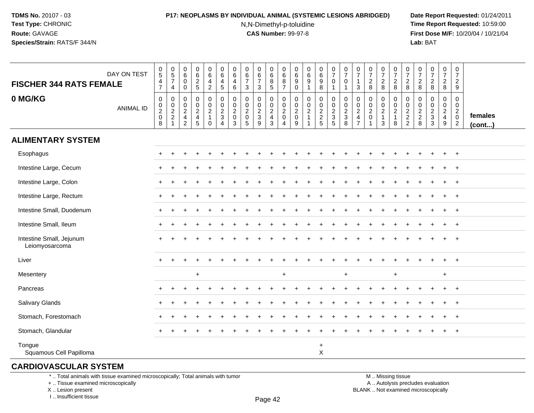### **P17: NEOPLASMS BY INDIVIDUAL ANIMAL (SYSTEMIC LESIONS ABRIDGED) Date Report Requested:** 01/24/2011

N,N-Dimethyl-p-toluidine

 **Time Report Requested:** 10:59:00 **First Dose M/F:** 10/20/04 / 10/21/04<br>**Lab: BAT Lab:** BAT

| <b>FISCHER 344 RATS FEMALE</b>             | DAY ON TEST      | $\begin{array}{c} 0 \\ 5 \end{array}$<br>$\frac{4}{7}$ | $\begin{array}{c} 0 \\ 5 \\ 7 \end{array}$<br>$\overline{4}$ | $\begin{array}{c} 0 \\ 6 \end{array}$<br>$\boldsymbol{0}$<br>$\mathbf 0$ | $\begin{array}{c} 0 \\ 6 \end{array}$<br>$rac{2}{5}$ | $\begin{array}{c} 0 \\ 6 \end{array}$<br>$\overline{\mathbf{4}}$<br>$\overline{2}$ | $_{6}^{\rm 0}$<br>$\begin{array}{c} 4 \\ 5 \end{array}$        | $\begin{array}{c} 0 \\ 6 \end{array}$<br>$\overline{\mathbf{4}}$<br>6         | 0<br>6<br>$\overline{7}$<br>3                               | $\begin{array}{c} 0 \\ 6 \\ 7 \end{array}$<br>3                       | 0<br>$\overline{6}$<br>$^8$ 5                           | $\begin{array}{c} 0 \\ 6 \end{array}$<br>8<br>$\overline{7}$    | 0<br>$\overline{6}$<br>9<br>$\mathbf 0$ | 0<br>$\,6\,$<br>9<br>$\mathbf{1}$                                  | $_{6}^{\rm 0}$<br>$\boldsymbol{9}$<br>8 | $\frac{0}{7}$<br>$\mathbf 0$<br>$\overline{1}$                   | $\begin{array}{c} 0 \\ 7 \end{array}$<br>$\mathbf 0$<br>$\mathbf{1}$ | $\frac{0}{7}$<br>1<br>3                                 | $\frac{0}{7}$<br>$_{\rm 8}^2$                                            | $\frac{0}{7}$<br>$_{\rm 8}^2$              | $\frac{0}{7}$<br>$_{\rm 8}^2$           | $\frac{0}{7}$<br>$\frac{2}{8}$                       | $\frac{0}{7}$<br>$\overline{c}$<br>8                 | $\frac{0}{7}$<br>$\overline{c}$<br>8                       | $\frac{0}{7}$<br>$\frac{2}{8}$ | $\begin{smallmatrix} 0\\7 \end{smallmatrix}$<br>$\overline{c}$<br>9       |                         |
|--------------------------------------------|------------------|--------------------------------------------------------|--------------------------------------------------------------|--------------------------------------------------------------------------|------------------------------------------------------|------------------------------------------------------------------------------------|----------------------------------------------------------------|-------------------------------------------------------------------------------|-------------------------------------------------------------|-----------------------------------------------------------------------|---------------------------------------------------------|-----------------------------------------------------------------|-----------------------------------------|--------------------------------------------------------------------|-----------------------------------------|------------------------------------------------------------------|----------------------------------------------------------------------|---------------------------------------------------------|--------------------------------------------------------------------------|--------------------------------------------|-----------------------------------------|------------------------------------------------------|------------------------------------------------------|------------------------------------------------------------|--------------------------------|---------------------------------------------------------------------------|-------------------------|
| 0 MG/KG                                    | <b>ANIMAL ID</b> | $\pmb{0}$<br>$\frac{0}{2}$<br>$\overline{8}$           | $\pmb{0}$<br>$\frac{0}{2}$<br>$\mathbf{1}$                   | 0<br>$\begin{array}{c} 0 \\ 2 \\ 4 \end{array}$<br>$\overline{2}$        | $\pmb{0}$<br>$\mathbf 0$<br>$\frac{2}{4}$<br>5       | 0<br>$\mathbf 0$<br>$\overline{2}$<br>$\mathbf{1}$<br>0                            | $\mathbf 0$<br>$\begin{array}{c} 0 \\ 2 \\ 3 \\ 4 \end{array}$ | $\mathbf 0$<br>$\mathsf 0$<br>$\overline{2}$<br>$\mathsf 0$<br>$\overline{3}$ | 0<br>$\pmb{0}$<br>$\overline{2}$<br>$\pmb{0}$<br>$\sqrt{5}$ | $\boldsymbol{0}$<br>$\begin{array}{c}\n0 \\ 2 \\ 3 \\ 9\n\end{array}$ | 0<br>$\pmb{0}$<br>$\overline{c}$<br>$\overline{4}$<br>3 | $\pmb{0}$<br>$\mathop{2}\limits^{\mathbb{O}}$<br>$\pmb{0}$<br>4 | 0<br>$\pmb{0}$<br>$^2_{\rm 0}$<br>9     | 0<br>$\mathbf 0$<br>$\overline{2}$<br>$\mathbf{1}$<br>$\mathbf{1}$ | $\mathbf 0$<br>$0$<br>$2$<br>$2$<br>$5$ | $\mathbf 0$<br>$\begin{array}{c}\n0 \\ 2 \\ 3 \\ 5\n\end{array}$ | $\mathbf 0$<br>$\begin{array}{c} 0 \\ 2 \\ 3 \\ 8 \end{array}$       | 0<br>$\pmb{0}$<br>$\overline{2}$<br>4<br>$\overline{7}$ | $\mathbf 0$<br>$\begin{matrix} 0 \\ 2 \\ 0 \end{matrix}$<br>$\mathbf{1}$ | $\mathbf 0$<br>$_2^0$<br>$\mathbf{1}$<br>3 | 0<br>$\frac{0}{2}$<br>$\mathbf{1}$<br>8 | 0<br>$\begin{array}{c} 0 \\ 2 \\ 2 \\ 2 \end{array}$ | 0<br>0<br>$\begin{array}{c} 2 \\ 2 \\ 8 \end{array}$ | 0<br>0<br>$\overline{2}$<br>$\mathbf{3}$<br>$\overline{3}$ | 0<br>0<br>$\frac{2}{4}$<br>9   | $\pmb{0}$<br>$\mathbf 0$<br>$\overline{2}$<br>$\pmb{0}$<br>$\overline{2}$ | females<br>$($ cont $)$ |
| <b>ALIMENTARY SYSTEM</b>                   |                  |                                                        |                                                              |                                                                          |                                                      |                                                                                    |                                                                |                                                                               |                                                             |                                                                       |                                                         |                                                                 |                                         |                                                                    |                                         |                                                                  |                                                                      |                                                         |                                                                          |                                            |                                         |                                                      |                                                      |                                                            |                                |                                                                           |                         |
| Esophagus                                  |                  |                                                        |                                                              |                                                                          |                                                      |                                                                                    |                                                                |                                                                               |                                                             |                                                                       |                                                         |                                                                 |                                         |                                                                    |                                         |                                                                  |                                                                      |                                                         |                                                                          |                                            |                                         |                                                      |                                                      |                                                            | $\ddot{}$                      | $+$                                                                       |                         |
| Intestine Large, Cecum                     |                  |                                                        |                                                              |                                                                          |                                                      |                                                                                    |                                                                |                                                                               |                                                             |                                                                       |                                                         |                                                                 |                                         |                                                                    |                                         |                                                                  |                                                                      |                                                         |                                                                          |                                            |                                         |                                                      |                                                      |                                                            |                                | $\overline{+}$                                                            |                         |
| Intestine Large, Colon                     |                  | $+$                                                    |                                                              |                                                                          |                                                      |                                                                                    |                                                                |                                                                               |                                                             |                                                                       |                                                         |                                                                 |                                         |                                                                    |                                         |                                                                  |                                                                      |                                                         |                                                                          |                                            |                                         |                                                      |                                                      |                                                            |                                | $\overline{+}$                                                            |                         |
| Intestine Large, Rectum                    |                  | $\pm$                                                  |                                                              |                                                                          |                                                      |                                                                                    |                                                                |                                                                               |                                                             |                                                                       |                                                         |                                                                 |                                         |                                                                    |                                         |                                                                  |                                                                      |                                                         |                                                                          |                                            |                                         |                                                      |                                                      |                                                            |                                | $^{+}$                                                                    |                         |
| Intestine Small, Duodenum                  |                  | $\pm$                                                  |                                                              |                                                                          |                                                      |                                                                                    |                                                                |                                                                               |                                                             |                                                                       |                                                         |                                                                 |                                         |                                                                    |                                         |                                                                  |                                                                      |                                                         |                                                                          |                                            |                                         |                                                      |                                                      |                                                            | $\ddot{}$                      | $\overline{+}$                                                            |                         |
| Intestine Small, Ileum                     |                  | $\pm$                                                  |                                                              |                                                                          |                                                      |                                                                                    |                                                                |                                                                               |                                                             |                                                                       |                                                         |                                                                 |                                         |                                                                    |                                         |                                                                  |                                                                      |                                                         |                                                                          |                                            |                                         |                                                      |                                                      |                                                            | $\ddot{}$                      | $+$                                                                       |                         |
| Intestine Small, Jejunum<br>Leiomyosarcoma |                  |                                                        |                                                              |                                                                          |                                                      |                                                                                    |                                                                |                                                                               |                                                             |                                                                       |                                                         |                                                                 |                                         |                                                                    |                                         |                                                                  |                                                                      |                                                         |                                                                          |                                            |                                         |                                                      |                                                      |                                                            |                                | $\ddot{}$                                                                 |                         |
| Liver                                      |                  | $\pm$                                                  |                                                              |                                                                          |                                                      |                                                                                    |                                                                |                                                                               |                                                             |                                                                       |                                                         |                                                                 |                                         |                                                                    |                                         |                                                                  |                                                                      |                                                         |                                                                          |                                            |                                         |                                                      |                                                      |                                                            |                                | $+$                                                                       |                         |
| Mesentery                                  |                  |                                                        |                                                              |                                                                          | $+$                                                  |                                                                                    |                                                                |                                                                               |                                                             |                                                                       |                                                         | $\ddot{}$                                                       |                                         |                                                                    |                                         |                                                                  | $\ddot{}$                                                            |                                                         |                                                                          |                                            | $\ddot{}$                               |                                                      |                                                      |                                                            | $\ddot{}$                      |                                                                           |                         |
| Pancreas                                   |                  | $\pm$                                                  |                                                              |                                                                          |                                                      |                                                                                    |                                                                |                                                                               |                                                             |                                                                       |                                                         |                                                                 |                                         |                                                                    |                                         |                                                                  |                                                                      |                                                         |                                                                          |                                            |                                         |                                                      |                                                      |                                                            | $\ddot{}$                      | $+$                                                                       |                         |
| Salivary Glands                            |                  |                                                        |                                                              |                                                                          |                                                      |                                                                                    |                                                                |                                                                               |                                                             |                                                                       |                                                         |                                                                 |                                         |                                                                    |                                         |                                                                  |                                                                      |                                                         |                                                                          |                                            |                                         |                                                      |                                                      |                                                            |                                | $\ddot{}$                                                                 |                         |
| Stomach, Forestomach                       |                  | $+$                                                    | $\div$                                                       |                                                                          |                                                      |                                                                                    |                                                                |                                                                               |                                                             |                                                                       |                                                         |                                                                 |                                         |                                                                    |                                         |                                                                  |                                                                      |                                                         |                                                                          |                                            |                                         |                                                      |                                                      |                                                            |                                | $\overline{+}$                                                            |                         |
| Stomach, Glandular                         |                  | $\ddot{}$                                              |                                                              |                                                                          |                                                      |                                                                                    |                                                                |                                                                               |                                                             |                                                                       |                                                         |                                                                 |                                         |                                                                    |                                         |                                                                  |                                                                      |                                                         |                                                                          |                                            |                                         |                                                      |                                                      |                                                            |                                | $\ddot{}$                                                                 |                         |
| Tongue<br>Squamous Cell Papilloma          |                  |                                                        |                                                              |                                                                          |                                                      |                                                                                    |                                                                |                                                                               |                                                             |                                                                       |                                                         |                                                                 |                                         |                                                                    | $\ddot{}$<br>X                          |                                                                  |                                                                      |                                                         |                                                                          |                                            |                                         |                                                      |                                                      |                                                            |                                |                                                                           |                         |

## **CARDIOVASCULAR SYSTEM**

\* .. Total animals with tissue examined microscopically; Total animals with tumor

+ .. Tissue examined microscopically

X .. Lesion present

I .. Insufficient tissue

 M .. Missing tissuey the contract of the contract of the contract of the contract of the contract of  $\mathsf A$  . Autolysis precludes evaluation Lesion present BLANK .. Not examined microscopically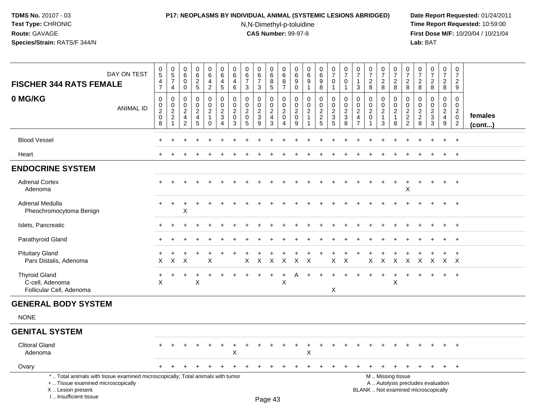I .. Insufficient tissue

### **P17: NEOPLASMS BY INDIVIDUAL ANIMAL (SYSTEMIC LESIONS ABRIDGED) Date Report Requested:** 01/24/2011

N,N-Dimethyl-p-toluidine

| DAY ON TEST                                                                                                                                | $\begin{array}{c} 0 \\ 5 \end{array}$                                         | $\begin{array}{c} 0 \\ 5 \end{array}$                            | $\mathbf 0$<br>6                                                 | $_{6}^{\rm 0}$                                                      | $\boldsymbol{0}$<br>$\overline{6}$                                       | 0<br>$6\overline{6}$                                                          | $\mathbf 0$<br>$\,6\,$                               | $\mathbf 0$<br>$6\phantom{a}$                                        | 0<br>6                                                 | $_{6}^{\rm 0}$                                                                   | 0<br>$6\phantom{a}$                                               | 0<br>6                                                | $\begin{array}{c} 0 \\ 6 \end{array}$         | $\pmb{0}$<br>$\overline{6}$                                   | $\frac{0}{7}$                                                        | $\frac{0}{7}$                                          | 0<br>$\overline{7}$                                          | $\frac{0}{7}$                                               | $\frac{0}{7}$                                                     | $\begin{array}{c} 0 \\ 7 \end{array}$                             | 0<br>$\overline{7}$                                 | $\frac{0}{7}$                                       | $\frac{0}{7}$                                                            | $\mathsf{O}\xspace$<br>$\overline{7}$                                  | $\mathbf 0$<br>$\overline{7}$                                            |                   |
|--------------------------------------------------------------------------------------------------------------------------------------------|-------------------------------------------------------------------------------|------------------------------------------------------------------|------------------------------------------------------------------|---------------------------------------------------------------------|--------------------------------------------------------------------------|-------------------------------------------------------------------------------|------------------------------------------------------|----------------------------------------------------------------------|--------------------------------------------------------|----------------------------------------------------------------------------------|-------------------------------------------------------------------|-------------------------------------------------------|-----------------------------------------------|---------------------------------------------------------------|----------------------------------------------------------------------|--------------------------------------------------------|--------------------------------------------------------------|-------------------------------------------------------------|-------------------------------------------------------------------|-------------------------------------------------------------------|-----------------------------------------------------|-----------------------------------------------------|--------------------------------------------------------------------------|------------------------------------------------------------------------|--------------------------------------------------------------------------|-------------------|
| <b>FISCHER 344 RATS FEMALE</b>                                                                                                             | 4<br>$\overline{7}$                                                           | $\overline{7}$<br>4                                              | 0<br>$\mathbf 0$                                                 | $\frac{2}{5}$                                                       | $\overline{4}$<br>$\overline{2}$                                         | 4<br>5                                                                        | $\overline{4}$<br>6                                  | $\overline{7}$<br>3                                                  | 7<br>3                                                 | 8<br>$\overline{5}$                                                              | $\bf 8$<br>$\overline{7}$                                         | 9<br>$\mathbf 0$                                      | $\boldsymbol{9}$<br>$\mathbf{1}$              | $\boldsymbol{9}$<br>$\overline{8}$                            | $\mathbf 0$<br>$\mathbf{1}$                                          | 0<br>$\mathbf 1$                                       | $\mathbf{1}$<br>3                                            | $\frac{2}{8}$                                               | $\frac{2}{8}$                                                     | $\frac{2}{8}$                                                     | $_{\rm 8}^2$                                        | $_{\rm 8}^2$                                        | $\frac{2}{8}$                                                            | $\frac{2}{8}$                                                          | $\boldsymbol{2}$<br>9                                                    |                   |
| 0 MG/KG<br><b>ANIMAL ID</b>                                                                                                                | $\mathbf 0$<br>$\begin{smallmatrix} 0\\2 \end{smallmatrix}$<br>$\pmb{0}$<br>8 | $\mathbf 0$<br>0<br>$\overline{2}$<br>$\sqrt{2}$<br>$\mathbf{1}$ | $\Omega$<br>$\mathbf 0$<br>$\overline{2}$<br>4<br>$\overline{2}$ | $\mathbf 0$<br>$\mathbf 0$<br>$\overline{2}$<br>$\overline{4}$<br>5 | $\mathbf 0$<br>$\mathbf 0$<br>$\overline{2}$<br>$\mathbf{1}$<br>$\Omega$ | $\mathbf 0$<br>$\pmb{0}$<br>$\boldsymbol{2}$<br>$\mathsf 3$<br>$\overline{4}$ | 0<br>$\mathbf 0$<br>$\overline{2}$<br>$\pmb{0}$<br>3 | $\mathbf 0$<br>$\overline{0}$<br>$\overline{2}$<br>$\mathbf 0$<br>-5 | 0<br>$\mathbf 0$<br>$\overline{2}$<br>$\mathsf 3$<br>9 | $\mathbf 0$<br>$\mathbf 0$<br>$\overline{c}$<br>$\overline{4}$<br>$\overline{3}$ | 0<br>$\mathbf 0$<br>$\mathbf{2}$<br>$\mathbf 0$<br>$\overline{4}$ | 0<br>$\mathbf{0}$<br>$\overline{2}$<br>$\pmb{0}$<br>9 | $\mathbf 0$<br>$\mathbf 0$<br>$\sqrt{2}$<br>1 | $\mathbf 0$<br>$\mathbf 0$<br>$\overline{2}$<br>$\frac{2}{5}$ | $\mathbf 0$<br>0<br>$\overline{2}$<br>$\ensuremath{\mathsf{3}}$<br>5 | $\mathbf 0$<br>$\mathbf 0$<br>$\overline{2}$<br>3<br>8 | 0<br>0<br>$\overline{2}$<br>$\overline{4}$<br>$\overline{7}$ | $\mathbf 0$<br>$\mathbf 0$<br>$\overline{2}$<br>$\mathbf 0$ | 0<br>$\mathsf{O}\xspace$<br>$\overline{2}$<br>$\overline{1}$<br>3 | $\mathbf 0$<br>$\mathsf 0$<br>$\overline{2}$<br>$\mathbf{1}$<br>8 | 0<br>$\mathbf 0$<br>$\overline{2}$<br>$\frac{2}{2}$ | 0<br>$\mathbf 0$<br>$\overline{2}$<br>$\frac{2}{8}$ | $\mathbf 0$<br>$\mathbf 0$<br>$\overline{c}$<br>$\frac{1}{3}$            | $\mathbf 0$<br>$\overline{0}$<br>$\overline{2}$<br>$\overline{4}$<br>9 | $\Omega$<br>$\mathbf 0$<br>$\overline{2}$<br>$\pmb{0}$<br>$\overline{2}$ | females<br>(cont) |
| <b>Blood Vessel</b>                                                                                                                        |                                                                               |                                                                  |                                                                  |                                                                     |                                                                          |                                                                               |                                                      |                                                                      |                                                        |                                                                                  |                                                                   |                                                       |                                               |                                                               |                                                                      |                                                        |                                                              |                                                             |                                                                   |                                                                   |                                                     |                                                     |                                                                          |                                                                        | $+$                                                                      |                   |
| Heart                                                                                                                                      |                                                                               |                                                                  |                                                                  |                                                                     |                                                                          |                                                                               |                                                      |                                                                      |                                                        |                                                                                  |                                                                   |                                                       |                                               |                                                               |                                                                      |                                                        |                                                              |                                                             |                                                                   |                                                                   |                                                     |                                                     |                                                                          |                                                                        | $+$                                                                      |                   |
| <b>ENDOCRINE SYSTEM</b>                                                                                                                    |                                                                               |                                                                  |                                                                  |                                                                     |                                                                          |                                                                               |                                                      |                                                                      |                                                        |                                                                                  |                                                                   |                                                       |                                               |                                                               |                                                                      |                                                        |                                                              |                                                             |                                                                   |                                                                   |                                                     |                                                     |                                                                          |                                                                        |                                                                          |                   |
| <b>Adrenal Cortex</b><br>Adenoma                                                                                                           |                                                                               |                                                                  |                                                                  |                                                                     |                                                                          |                                                                               |                                                      |                                                                      |                                                        |                                                                                  |                                                                   |                                                       |                                               |                                                               |                                                                      |                                                        |                                                              |                                                             |                                                                   | $\ddot{}$                                                         | X                                                   |                                                     | $\ddot{}$                                                                | $\ddot{}$                                                              | $+$                                                                      |                   |
| Adrenal Medulla<br>Pheochromocytoma Benign                                                                                                 |                                                                               |                                                                  | х                                                                |                                                                     |                                                                          |                                                                               |                                                      |                                                                      |                                                        |                                                                                  |                                                                   |                                                       |                                               |                                                               |                                                                      |                                                        |                                                              |                                                             |                                                                   |                                                                   |                                                     |                                                     |                                                                          |                                                                        | $\div$                                                                   |                   |
| Islets, Pancreatic                                                                                                                         |                                                                               |                                                                  |                                                                  |                                                                     |                                                                          |                                                                               |                                                      |                                                                      |                                                        |                                                                                  |                                                                   |                                                       |                                               |                                                               |                                                                      |                                                        |                                                              |                                                             |                                                                   |                                                                   |                                                     |                                                     |                                                                          |                                                                        | $\ddot{}$                                                                |                   |
| Parathyroid Gland                                                                                                                          |                                                                               |                                                                  |                                                                  |                                                                     |                                                                          |                                                                               |                                                      |                                                                      |                                                        |                                                                                  |                                                                   |                                                       |                                               |                                                               |                                                                      |                                                        |                                                              |                                                             |                                                                   |                                                                   |                                                     |                                                     |                                                                          | +                                                                      | $\overline{+}$                                                           |                   |
| <b>Pituitary Gland</b><br>Pars Distalis, Adenoma                                                                                           | X                                                                             | $\pmb{\times}$                                                   | X                                                                |                                                                     | X                                                                        |                                                                               |                                                      | X                                                                    | X                                                      | $\boldsymbol{\mathsf{X}}$                                                        | $\mathsf{X}$                                                      | X                                                     | $\boldsymbol{\mathsf{X}}$                     |                                                               | $\mathsf{X}$                                                         | $\sf X$                                                |                                                              | $\pmb{\times}$                                              | $\mathsf X$                                                       | $\boldsymbol{\mathsf{X}}$                                         | $\pmb{\times}$                                      | $\mathsf{X}$                                        | X                                                                        | $X$ $X$                                                                | $+$                                                                      |                   |
| <b>Thyroid Gland</b><br>C-cell, Adenoma<br>Follicular Cell, Adenoma                                                                        | $\times$                                                                      |                                                                  |                                                                  | $\boldsymbol{\mathsf{X}}$                                           |                                                                          |                                                                               |                                                      |                                                                      |                                                        | +                                                                                | $\ddot{}$<br>$\pmb{\times}$                                       | A                                                     |                                               |                                                               | $\sf X$                                                              |                                                        |                                                              |                                                             | $\ddot{}$                                                         | X                                                                 |                                                     |                                                     |                                                                          | $+$                                                                    | $+$                                                                      |                   |
| <b>GENERAL BODY SYSTEM</b>                                                                                                                 |                                                                               |                                                                  |                                                                  |                                                                     |                                                                          |                                                                               |                                                      |                                                                      |                                                        |                                                                                  |                                                                   |                                                       |                                               |                                                               |                                                                      |                                                        |                                                              |                                                             |                                                                   |                                                                   |                                                     |                                                     |                                                                          |                                                                        |                                                                          |                   |
| <b>NONE</b>                                                                                                                                |                                                                               |                                                                  |                                                                  |                                                                     |                                                                          |                                                                               |                                                      |                                                                      |                                                        |                                                                                  |                                                                   |                                                       |                                               |                                                               |                                                                      |                                                        |                                                              |                                                             |                                                                   |                                                                   |                                                     |                                                     |                                                                          |                                                                        |                                                                          |                   |
| <b>GENITAL SYSTEM</b>                                                                                                                      |                                                                               |                                                                  |                                                                  |                                                                     |                                                                          |                                                                               |                                                      |                                                                      |                                                        |                                                                                  |                                                                   |                                                       |                                               |                                                               |                                                                      |                                                        |                                                              |                                                             |                                                                   |                                                                   |                                                     |                                                     |                                                                          |                                                                        |                                                                          |                   |
| <b>Clitoral Gland</b><br>Adenoma                                                                                                           |                                                                               |                                                                  |                                                                  |                                                                     |                                                                          |                                                                               | X                                                    |                                                                      |                                                        |                                                                                  |                                                                   |                                                       | X                                             |                                                               |                                                                      |                                                        |                                                              |                                                             |                                                                   |                                                                   |                                                     |                                                     |                                                                          |                                                                        | $\div$                                                                   |                   |
| Ovary                                                                                                                                      |                                                                               |                                                                  |                                                                  |                                                                     |                                                                          |                                                                               |                                                      |                                                                      |                                                        |                                                                                  |                                                                   |                                                       |                                               |                                                               |                                                                      |                                                        |                                                              |                                                             |                                                                   |                                                                   |                                                     |                                                     | $\pm$                                                                    | $\pm$                                                                  | $+$                                                                      |                   |
| *  Total animals with tissue examined microscopically; Total animals with tumor<br>+  Tissue examined microscopically<br>X  Lesion present |                                                                               |                                                                  |                                                                  |                                                                     |                                                                          |                                                                               |                                                      |                                                                      |                                                        |                                                                                  |                                                                   |                                                       |                                               |                                                               |                                                                      |                                                        |                                                              |                                                             |                                                                   | M  Missing tissue                                                 |                                                     |                                                     | A  Autolysis precludes evaluation<br>BLANK  Not examined microscopically |                                                                        |                                                                          |                   |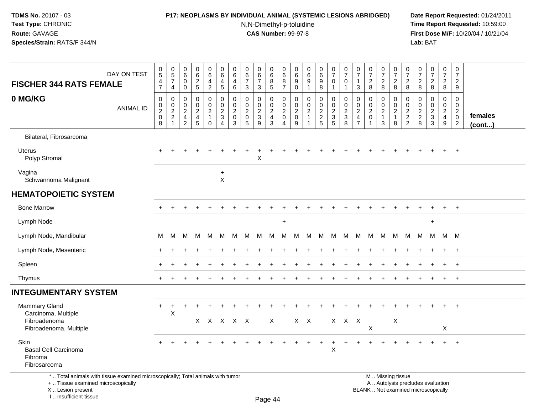I .. Insufficient tissue

### **P17: NEOPLASMS BY INDIVIDUAL ANIMAL (SYSTEMIC LESIONS ABRIDGED) Date Report Requested:** 01/24/2011

N,N-Dimethyl-p-toluidine

 **Time Report Requested:** 10:59:00 **First Dose M/F:** 10/20/04 / 10/21/04<br>**Lab:** BAT **Lab:** BAT

| DAY ON TEST<br><b>FISCHER 344 RATS FEMALE</b>                                                                                             | $\pmb{0}$<br>$\sqrt{5}$<br>$\overline{4}$<br>$\overline{7}$ | $\begin{array}{c} 0 \\ 5 \end{array}$<br>$\overline{7}$<br>$\overline{a}$ | $\pmb{0}$<br>$\,6\,$<br>0<br>0                        | $_{6}^{\rm 0}$<br>$\overline{a}$<br>5        | $\begin{array}{c} 0 \\ 6 \end{array}$<br>$\overline{4}$<br>$\overline{2}$ | $\pmb{0}$<br>$\,6\,$<br>$\overline{4}$<br>$\sqrt{5}$        | $\pmb{0}$<br>6<br>$\overline{4}$<br>6                            | 0<br>$6\phantom{.}6$<br>$\overline{7}$<br>$\mathbf{3}$                    | $\begin{array}{c} 0 \\ 6 \end{array}$<br>$\overline{7}$<br>3 | $_{6}^{\rm 0}$<br>8<br>5                                       | $\pmb{0}$<br>$\,6\,$<br>8<br>$\overline{7}$                         | 0<br>6<br>$\boldsymbol{9}$<br>0        | $\begin{array}{c} 0 \\ 6 \end{array}$<br>$\boldsymbol{9}$<br>$\mathbf{1}$ | $\begin{array}{c} 0 \\ 6 \end{array}$<br>$\boldsymbol{9}$<br>8 | $\begin{array}{c} 0 \\ 7 \end{array}$<br>$\Omega$<br>$\mathbf{1}$ | $\frac{0}{7}$<br>$\Omega$<br>$\mathbf 1$ | $\pmb{0}$<br>$\boldsymbol{7}$<br>$\mathbf{1}$<br>$\mathbf{3}$          | $\frac{0}{7}$<br>$\overline{c}$<br>8                                  | $\begin{array}{c} 0 \\ 7 \end{array}$<br>$_{8}^{\rm 2}$            | $\frac{0}{7}$<br>$\sqrt{2}$<br>8                                | $\frac{0}{7}$<br>$\sqrt{2}$<br>8                    | $\frac{0}{7}$<br>$\overline{c}$<br>8   | $\frac{0}{7}$<br>$\overline{a}$<br>8                                     | $\begin{smallmatrix}0\\7\end{smallmatrix}$<br>$\overline{2}$<br>8 | $\pmb{0}$<br>$\overline{7}$<br>$\overline{2}$<br>9           |                   |
|-------------------------------------------------------------------------------------------------------------------------------------------|-------------------------------------------------------------|---------------------------------------------------------------------------|-------------------------------------------------------|----------------------------------------------|---------------------------------------------------------------------------|-------------------------------------------------------------|------------------------------------------------------------------|---------------------------------------------------------------------------|--------------------------------------------------------------|----------------------------------------------------------------|---------------------------------------------------------------------|----------------------------------------|---------------------------------------------------------------------------|----------------------------------------------------------------|-------------------------------------------------------------------|------------------------------------------|------------------------------------------------------------------------|-----------------------------------------------------------------------|--------------------------------------------------------------------|-----------------------------------------------------------------|-----------------------------------------------------|----------------------------------------|--------------------------------------------------------------------------|-------------------------------------------------------------------|--------------------------------------------------------------|-------------------|
| 0 MG/KG<br><b>ANIMAL ID</b>                                                                                                               | $\mathbf 0$<br>0<br>$\sqrt{2}$<br>$\mathbf 0$<br>8          | $\mathbf 0$<br>$\mathbf 0$<br>$\frac{2}{2}$<br>$\mathbf{1}$               | $\mathbf 0$<br>0<br>$\sqrt{2}$<br>4<br>$\overline{2}$ | $\mathbf 0$<br>0<br>$\overline{a}$<br>4<br>5 | 0<br>$\mathbf 0$<br>$\overline{2}$<br>$\mathbf{1}$<br>$\mathbf 0$         | $\mathbf 0$<br>$\pmb{0}$<br>$\frac{2}{3}$<br>$\overline{4}$ | $\mathbf 0$<br>$\mathbf 0$<br>$\overline{2}$<br>$\mathbf 0$<br>3 | $\mathbf 0$<br>$\mathbf 0$<br>$\sqrt{2}$<br>$\mathbf 0$<br>$5\phantom{1}$ | 0<br>$\mathbf 0$<br>$\frac{2}{3}$<br>9                       | 0<br>$\boldsymbol{0}$<br>$\overline{2}$<br>4<br>$\mathfrak{S}$ | $\mathbf 0$<br>0<br>$\overline{c}$<br>$\mathbf 0$<br>$\overline{4}$ | 0<br>0<br>$\overline{c}$<br>0<br>$9\,$ | $\mathbf 0$<br>$\mathbf 0$<br>$\overline{2}$<br>$\mathbf{1}$<br>-1        | 0<br>0<br>$\frac{2}{2}$<br>5                                   | $\mathbf 0$<br>$\mathbf 0$<br>$\frac{2}{3}$<br>5                  | 0<br>0<br>$\frac{2}{3}$<br>8             | 0<br>$\mathbf 0$<br>$\overline{c}$<br>$\overline{4}$<br>$\overline{7}$ | $\mathbf 0$<br>0<br>$\boldsymbol{2}$<br>$\mathbf 0$<br>$\overline{1}$ | $\mathbf 0$<br>0<br>$\overline{2}$<br>$\mathbf{1}$<br>$\mathbf{3}$ | $\mathbf 0$<br>$\mathbf 0$<br>$\sqrt{2}$<br>$\overline{1}$<br>8 | 0<br>$\mathbf 0$<br>$\frac{2}{2}$<br>$\overline{2}$ | 0<br>$\mathbf 0$<br>$\frac{2}{2}$<br>8 | 0<br>$\mathbf 0$<br>$\frac{2}{3}$<br>3                                   | 0<br>$\mathbf 0$<br>$\overline{a}$<br>$\overline{4}$<br>9         | $\mathbf 0$<br>$\mathbf 0$<br>$^2_{\rm 0}$<br>$\overline{2}$ | females<br>(cont) |
| Bilateral, Fibrosarcoma                                                                                                                   |                                                             |                                                                           |                                                       |                                              |                                                                           |                                                             |                                                                  |                                                                           |                                                              |                                                                |                                                                     |                                        |                                                                           |                                                                |                                                                   |                                          |                                                                        |                                                                       |                                                                    |                                                                 |                                                     |                                        |                                                                          |                                                                   |                                                              |                   |
| Uterus<br>Polyp Stromal                                                                                                                   |                                                             |                                                                           |                                                       |                                              |                                                                           |                                                             |                                                                  |                                                                           | Χ                                                            |                                                                |                                                                     |                                        |                                                                           |                                                                |                                                                   |                                          |                                                                        |                                                                       |                                                                    |                                                                 |                                                     |                                        |                                                                          |                                                                   |                                                              |                   |
| Vagina<br>Schwannoma Malignant                                                                                                            |                                                             |                                                                           |                                                       |                                              |                                                                           | $\ddot{}$<br>X                                              |                                                                  |                                                                           |                                                              |                                                                |                                                                     |                                        |                                                                           |                                                                |                                                                   |                                          |                                                                        |                                                                       |                                                                    |                                                                 |                                                     |                                        |                                                                          |                                                                   |                                                              |                   |
| <b>HEMATOPOIETIC SYSTEM</b>                                                                                                               |                                                             |                                                                           |                                                       |                                              |                                                                           |                                                             |                                                                  |                                                                           |                                                              |                                                                |                                                                     |                                        |                                                                           |                                                                |                                                                   |                                          |                                                                        |                                                                       |                                                                    |                                                                 |                                                     |                                        |                                                                          |                                                                   |                                                              |                   |
| <b>Bone Marrow</b>                                                                                                                        |                                                             |                                                                           |                                                       |                                              |                                                                           |                                                             |                                                                  |                                                                           |                                                              |                                                                |                                                                     |                                        |                                                                           |                                                                |                                                                   |                                          |                                                                        |                                                                       |                                                                    |                                                                 |                                                     |                                        |                                                                          |                                                                   | $\overline{+}$                                               |                   |
| Lymph Node                                                                                                                                |                                                             |                                                                           |                                                       |                                              |                                                                           |                                                             |                                                                  |                                                                           |                                                              |                                                                | $\ddot{}$                                                           |                                        |                                                                           |                                                                |                                                                   |                                          |                                                                        |                                                                       |                                                                    |                                                                 |                                                     |                                        | $\ddot{}$                                                                |                                                                   |                                                              |                   |
| Lymph Node, Mandibular                                                                                                                    | м                                                           | M                                                                         | M                                                     | M                                            | M                                                                         | M                                                           | M                                                                | M                                                                         | M                                                            | M                                                              | M                                                                   | M                                      | M.                                                                        | M                                                              | M                                                                 | M                                        | M                                                                      | - M                                                                   | M                                                                  | M                                                               | M                                                   | M M                                    |                                                                          | M M                                                               |                                                              |                   |
| Lymph Node, Mesenteric                                                                                                                    |                                                             |                                                                           |                                                       |                                              |                                                                           |                                                             |                                                                  |                                                                           |                                                              |                                                                |                                                                     |                                        |                                                                           |                                                                |                                                                   |                                          |                                                                        |                                                                       |                                                                    |                                                                 |                                                     |                                        |                                                                          | $+$                                                               | $+$                                                          |                   |
| Spleen                                                                                                                                    |                                                             |                                                                           |                                                       |                                              |                                                                           |                                                             |                                                                  |                                                                           |                                                              |                                                                |                                                                     |                                        |                                                                           |                                                                |                                                                   |                                          |                                                                        |                                                                       |                                                                    |                                                                 |                                                     |                                        |                                                                          |                                                                   | $\overline{+}$                                               |                   |
| Thymus                                                                                                                                    |                                                             |                                                                           |                                                       |                                              |                                                                           |                                                             |                                                                  |                                                                           |                                                              |                                                                |                                                                     |                                        |                                                                           |                                                                |                                                                   |                                          |                                                                        |                                                                       |                                                                    |                                                                 |                                                     |                                        |                                                                          | $+$                                                               | $^{+}$                                                       |                   |
| <b>INTEGUMENTARY SYSTEM</b>                                                                                                               |                                                             |                                                                           |                                                       |                                              |                                                                           |                                                             |                                                                  |                                                                           |                                                              |                                                                |                                                                     |                                        |                                                                           |                                                                |                                                                   |                                          |                                                                        |                                                                       |                                                                    |                                                                 |                                                     |                                        |                                                                          |                                                                   |                                                              |                   |
| <b>Mammary Gland</b><br>Carcinoma, Multiple                                                                                               | $\ddot{}$                                                   | $\ddot{}$<br>X                                                            |                                                       |                                              |                                                                           |                                                             |                                                                  |                                                                           |                                                              |                                                                |                                                                     |                                        |                                                                           |                                                                |                                                                   |                                          |                                                                        |                                                                       |                                                                    |                                                                 |                                                     |                                        |                                                                          |                                                                   |                                                              |                   |
| Fibroadenoma<br>Fibroadenoma, Multiple                                                                                                    |                                                             |                                                                           |                                                       |                                              | X X X X X                                                                 |                                                             |                                                                  |                                                                           |                                                              | X                                                              |                                                                     |                                        | $X$ $X$                                                                   |                                                                |                                                                   | X X X                                    |                                                                        | $\boldsymbol{\mathsf{X}}$                                             |                                                                    | $\boldsymbol{\mathsf{X}}$                                       |                                                     |                                        |                                                                          | X                                                                 |                                                              |                   |
| Skin<br><b>Basal Cell Carcinoma</b><br>Fibroma<br>Fibrosarcoma                                                                            |                                                             |                                                                           |                                                       |                                              |                                                                           |                                                             |                                                                  |                                                                           |                                                              |                                                                |                                                                     |                                        |                                                                           | $\ddot{}$                                                      | +<br>X                                                            |                                          |                                                                        |                                                                       |                                                                    |                                                                 |                                                     |                                        |                                                                          |                                                                   | $+$                                                          |                   |
| *  Total animals with tissue examined microscopically; Total animals with tumor<br>+  Tissue examined microscopically<br>X Lesion present |                                                             |                                                                           |                                                       |                                              |                                                                           |                                                             |                                                                  |                                                                           |                                                              |                                                                |                                                                     |                                        |                                                                           |                                                                |                                                                   |                                          |                                                                        |                                                                       |                                                                    | M  Missing tissue                                               |                                                     |                                        | A  Autolysis precludes evaluation<br>BLANK  Not examined microscopically |                                                                   |                                                              |                   |

Page 44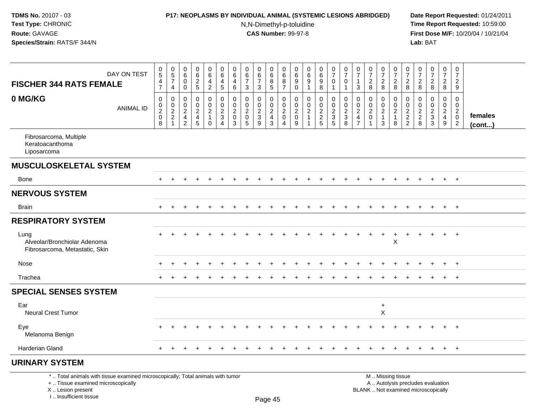I .. Insufficient tissue

### **P17: NEOPLASMS BY INDIVIDUAL ANIMAL (SYSTEMIC LESIONS ABRIDGED) Date Report Requested:** 01/24/2011

N,N-Dimethyl-p-toluidine

|                                                                                                                                            | DAY ON TEST      | $\mathbf 0$<br>5<br>4         | 0<br>$\sqrt{5}$<br>$\overline{7}$           | 0<br>6<br>$\mathbf 0$                                                        | $\mathbf 0$<br>$\,6$<br>$\sqrt{2}$   | $\mathbf 0$<br>$\,6\,$<br>4                                                | $\mathbf 0$<br>6<br>$\overline{4}$                            | 0<br>6<br>4                                         | 0<br>$\,6\,$<br>$\overline{7}$                                 | 0<br>6<br>$\overline{7}$                  | 0<br>6<br>8                        | $\mathbf 0$<br>$\,6\,$<br>8                                | $\mathbf 0$<br>6<br>9                        | 0<br>6<br>9                                              | 0<br>$\,6\,$<br>9                                   | 0<br>$\overline{7}$<br>$\mathbf 0$                          | $\pmb{0}$<br>$\overline{7}$<br>$\mathbf 0$     | 0<br>$\overline{7}$                                         | $\pmb{0}$<br>$\overline{7}$<br>$\overline{2}$         | 0<br>$\overline{7}$<br>$\overline{2}$                     | 0<br>$\overline{7}$<br>2                                            | 0<br>$\overline{7}$<br>2                                         | 0<br>$\overline{7}$<br>$\overline{2}$ | $\frac{0}{7}$<br>$\overline{2}$                                          | 0<br>$\overline{7}$<br>$\overline{2}$            | $\mathbf 0$<br>$\overline{7}$<br>$\overline{2}$                                       |                         |
|--------------------------------------------------------------------------------------------------------------------------------------------|------------------|-------------------------------|---------------------------------------------|------------------------------------------------------------------------------|--------------------------------------|----------------------------------------------------------------------------|---------------------------------------------------------------|-----------------------------------------------------|----------------------------------------------------------------|-------------------------------------------|------------------------------------|------------------------------------------------------------|----------------------------------------------|----------------------------------------------------------|-----------------------------------------------------|-------------------------------------------------------------|------------------------------------------------|-------------------------------------------------------------|-------------------------------------------------------|-----------------------------------------------------------|---------------------------------------------------------------------|------------------------------------------------------------------|---------------------------------------|--------------------------------------------------------------------------|--------------------------------------------------|---------------------------------------------------------------------------------------|-------------------------|
| <b>FISCHER 344 RATS FEMALE</b>                                                                                                             |                  | $\overline{7}$                | $\overline{4}$                              | $\mathbf 0$                                                                  | $\sqrt{5}$                           | $\overline{c}$                                                             | $\sqrt{5}$                                                    | 6                                                   | $\mathbf{3}$                                                   | 3                                         | 5                                  | $\overline{7}$                                             | $\mathbf 0$                                  | $\mathbf 1$                                              | 8                                                   | $\mathbf{1}$                                                | $\mathbf{1}$                                   | 3                                                           | 8                                                     | 8                                                         | 8                                                                   | 8                                                                | 8                                     | 8                                                                        | 8                                                | 9                                                                                     |                         |
| 0 MG/KG                                                                                                                                    | <b>ANIMAL ID</b> | $\,0\,$<br>$\frac{0}{2}$<br>8 | $\mathbf 0$<br>$\mathbf 0$<br>$\frac{2}{2}$ | $\mathbf 0$<br>$\mathbf 0$<br>$\sqrt{2}$<br>$\overline{4}$<br>$\overline{2}$ | 0<br>$\pmb{0}$<br>$\frac{2}{4}$<br>5 | $\mathbf 0$<br>$\mathbf 0$<br>$\overline{2}$<br>$\overline{1}$<br>$\Omega$ | $\mathbf 0$<br>$\mathbf 0$<br>$\frac{2}{3}$<br>$\overline{4}$ | $\Omega$<br>0<br>$\overline{c}$<br>$\mathbf 0$<br>3 | $\mathbf 0$<br>$\pmb{0}$<br>$\overline{c}$<br>$\mathbf 0$<br>5 | $\Omega$<br>0<br>$\overline{c}$<br>3<br>9 | 0<br>$\frac{0}{2}$<br>$\mathbf{3}$ | $\mathbf 0$<br>$\pmb{0}$<br>$\sqrt{2}$<br>$\mathbf 0$<br>4 | 0<br>$\mathbf 0$<br>$\overline{2}$<br>0<br>9 | $\mathbf 0$<br>$\mathbf 0$<br>$\sqrt{2}$<br>$\mathbf{1}$ | $\mathbf 0$<br>0<br>$\overline{c}$<br>$\frac{2}{5}$ | $\mathbf 0$<br>$\pmb{0}$<br>$\frac{2}{3}$<br>$\overline{5}$ | $\mathbf 0$<br>$\pmb{0}$<br>$\frac{2}{3}$<br>8 | $\Omega$<br>$\mathbf 0$<br>$\overline{c}$<br>$\overline{4}$ | $\mathbf 0$<br>$\pmb{0}$<br>$\sqrt{2}$<br>$\mathbf 0$ | 0<br>$\mathbf 0$<br>$\overline{c}$<br>$\overline{1}$<br>3 | $\mathbf 0$<br>$\mathbf 0$<br>$\overline{c}$<br>$\overline{1}$<br>8 | $\Omega$<br>$\mathbf 0$<br>$\overline{c}$<br>$\overline{c}$<br>2 | $\Omega$<br>0<br>$\frac{2}{2}$<br>8   | $\mathbf 0$<br>$\mathsf 0$<br>$\frac{2}{3}$                              | $\mathbf 0$<br>$\mathbf 0$<br>$\frac{2}{4}$<br>9 | $\mathbf 0$<br>$\mathsf{O}\xspace$<br>$\overline{2}$<br>$\mathbf 0$<br>$\overline{2}$ | females<br>$($ cont $)$ |
| Fibrosarcoma, Multiple<br>Keratoacanthoma<br>Liposarcoma                                                                                   |                  |                               |                                             |                                                                              |                                      |                                                                            |                                                               |                                                     |                                                                |                                           |                                    |                                                            |                                              |                                                          |                                                     |                                                             |                                                |                                                             |                                                       |                                                           |                                                                     |                                                                  |                                       |                                                                          |                                                  |                                                                                       |                         |
| MUSCULOSKELETAL SYSTEM                                                                                                                     |                  |                               |                                             |                                                                              |                                      |                                                                            |                                                               |                                                     |                                                                |                                           |                                    |                                                            |                                              |                                                          |                                                     |                                                             |                                                |                                                             |                                                       |                                                           |                                                                     |                                                                  |                                       |                                                                          |                                                  |                                                                                       |                         |
| Bone                                                                                                                                       |                  | $+$                           |                                             |                                                                              |                                      |                                                                            |                                                               |                                                     |                                                                |                                           |                                    |                                                            |                                              |                                                          |                                                     |                                                             |                                                |                                                             |                                                       |                                                           |                                                                     |                                                                  |                                       |                                                                          | $+$                                              | $+$                                                                                   |                         |
| <b>NERVOUS SYSTEM</b>                                                                                                                      |                  |                               |                                             |                                                                              |                                      |                                                                            |                                                               |                                                     |                                                                |                                           |                                    |                                                            |                                              |                                                          |                                                     |                                                             |                                                |                                                             |                                                       |                                                           |                                                                     |                                                                  |                                       |                                                                          |                                                  |                                                                                       |                         |
| <b>Brain</b>                                                                                                                               |                  | $+$                           | $+$                                         | $+$                                                                          | $\overline{ }$                       | $\ddot{}$                                                                  |                                                               |                                                     |                                                                | $\div$                                    | $\ddot{}$                          | $\ddot{}$                                                  | $\ddot{}$                                    | $\ddot{}$                                                | $\ddot{}$                                           | $\ddot{}$                                                   | $\ddot{}$                                      | $\pm$                                                       | $\ddot{}$                                             | $\ddot{}$                                                 | $\ddot{}$                                                           | $\ddot{}$                                                        | $+$                                   | $+$                                                                      | $+$                                              | $+$                                                                                   |                         |
| <b>RESPIRATORY SYSTEM</b>                                                                                                                  |                  |                               |                                             |                                                                              |                                      |                                                                            |                                                               |                                                     |                                                                |                                           |                                    |                                                            |                                              |                                                          |                                                     |                                                             |                                                |                                                             |                                                       |                                                           |                                                                     |                                                                  |                                       |                                                                          |                                                  |                                                                                       |                         |
| Lung<br>Alveolar/Bronchiolar Adenoma<br>Fibrosarcoma, Metastatic, Skin                                                                     |                  |                               |                                             |                                                                              |                                      |                                                                            |                                                               |                                                     |                                                                |                                           |                                    |                                                            |                                              |                                                          |                                                     |                                                             |                                                |                                                             |                                                       | ÷                                                         | $\ddot{}$<br>$\boldsymbol{\mathsf{X}}$                              |                                                                  |                                       |                                                                          | $\ddot{}$                                        | $+$                                                                                   |                         |
| Nose                                                                                                                                       |                  |                               |                                             |                                                                              |                                      |                                                                            |                                                               |                                                     |                                                                |                                           |                                    |                                                            |                                              |                                                          |                                                     |                                                             |                                                |                                                             |                                                       |                                                           |                                                                     |                                                                  |                                       |                                                                          |                                                  | $+$                                                                                   |                         |
| Trachea                                                                                                                                    |                  |                               |                                             |                                                                              |                                      |                                                                            |                                                               |                                                     |                                                                |                                           |                                    |                                                            |                                              |                                                          |                                                     |                                                             |                                                |                                                             |                                                       |                                                           |                                                                     |                                                                  |                                       |                                                                          | $+$                                              | $+$                                                                                   |                         |
| <b>SPECIAL SENSES SYSTEM</b>                                                                                                               |                  |                               |                                             |                                                                              |                                      |                                                                            |                                                               |                                                     |                                                                |                                           |                                    |                                                            |                                              |                                                          |                                                     |                                                             |                                                |                                                             |                                                       |                                                           |                                                                     |                                                                  |                                       |                                                                          |                                                  |                                                                                       |                         |
| Ear<br><b>Neural Crest Tumor</b>                                                                                                           |                  |                               |                                             |                                                                              |                                      |                                                                            |                                                               |                                                     |                                                                |                                           |                                    |                                                            |                                              |                                                          |                                                     |                                                             |                                                |                                                             |                                                       | $\ddot{}$<br>X                                            |                                                                     |                                                                  |                                       |                                                                          |                                                  |                                                                                       |                         |
| Eye<br>Melanoma Benign                                                                                                                     |                  |                               |                                             |                                                                              |                                      |                                                                            |                                                               |                                                     |                                                                |                                           |                                    |                                                            |                                              |                                                          |                                                     |                                                             |                                                |                                                             |                                                       |                                                           |                                                                     |                                                                  |                                       |                                                                          |                                                  | $+$                                                                                   |                         |
| <b>Harderian Gland</b>                                                                                                                     |                  |                               |                                             |                                                                              |                                      |                                                                            |                                                               |                                                     |                                                                |                                           |                                    |                                                            |                                              |                                                          |                                                     |                                                             |                                                |                                                             |                                                       |                                                           |                                                                     |                                                                  |                                       |                                                                          | $\pm$                                            | $+$                                                                                   |                         |
| <b>URINARY SYSTEM</b>                                                                                                                      |                  |                               |                                             |                                                                              |                                      |                                                                            |                                                               |                                                     |                                                                |                                           |                                    |                                                            |                                              |                                                          |                                                     |                                                             |                                                |                                                             |                                                       |                                                           |                                                                     |                                                                  |                                       |                                                                          |                                                  |                                                                                       |                         |
| *  Total animals with tissue examined microscopically; Total animals with tumor<br>+  Tissue examined microscopically<br>X  Lesion present |                  |                               |                                             |                                                                              |                                      |                                                                            |                                                               |                                                     |                                                                |                                           |                                    |                                                            |                                              |                                                          |                                                     |                                                             |                                                |                                                             |                                                       |                                                           | M  Missing tissue                                                   |                                                                  |                                       | A  Autolysis precludes evaluation<br>BLANK  Not examined microscopically |                                                  |                                                                                       |                         |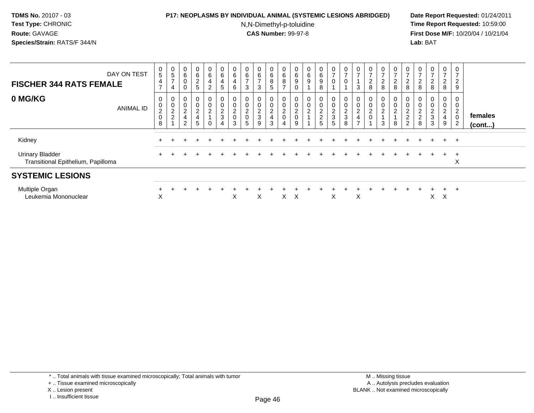### **P17: NEOPLASMS BY INDIVIDUAL ANIMAL (SYSTEMIC LESIONS ABRIDGED) Date Report Requested:** 01/24/2011

N,N-Dimethyl-p-toluidine

 **Time Report Requested:** 10:59:00 **First Dose M/F:** 10/20/04 / 10/21/04<br>**Lab:** BAT **Lab:** BAT

| DAY ON TEST<br><b>FISCHER 344 RATS FEMALE</b>                | $\begin{matrix} 0 \\ 5 \end{matrix}$<br>4<br>$\rightarrow$ | $\begin{array}{c} 0 \\ 5 \end{array}$<br>$\rightarrow$<br>4 | $\begin{matrix} 0 \\ 6 \end{matrix}$<br>$\pmb{0}$<br>$\Omega$ | 0<br>$6\overline{6}$<br>$\frac{2}{5}$ | 0<br>6<br>4<br>$\overline{c}$   | $_6^0$<br>4<br>5        | $\frac{0}{6}$<br>6                      | 0<br>$\,6\,$<br>$\rightarrow$<br>3                 | $\begin{array}{c} 0 \\ 6 \\ 7 \end{array}$<br>3 | $\begin{array}{c} 0 \\ 6 \end{array}$<br>$\,8\,$<br>5       | 0<br>$\,6$<br>8<br>$\rightarrow$             | $\begin{matrix} 0 \\ 6 \end{matrix}$<br>9 | 0<br>6<br>9                           | 0<br>6<br>9<br>8        | $\frac{0}{7}$<br>$\mathbf 0$                 | $\frac{0}{7}$<br>$\mathbf 0$                          | $\overline{7}$<br>3                                      | 0<br>$\overline{ }$<br>$\overline{c}$<br>8 | $\frac{0}{7}$<br>$_{\rm 8}^2$ | 0<br>$\overline{ }$<br>$_{\rm 8}^2$   | $\frac{0}{7}$<br>$\frac{2}{8}$ | 0<br>$\overline{ }$<br>$\overline{\mathbf{c}}$<br>8 | $\mathbf{0}$<br>$\overline{ }$<br>$\frac{2}{8}$ | 0<br>$\overline{7}$<br>$\sqrt{2}$<br>8              | 0<br>$\overline{\phantom{a}}$<br>$\overline{2}$<br>$\boldsymbol{9}$ |                         |
|--------------------------------------------------------------|------------------------------------------------------------|-------------------------------------------------------------|---------------------------------------------------------------|---------------------------------------|---------------------------------|-------------------------|-----------------------------------------|----------------------------------------------------|-------------------------------------------------|-------------------------------------------------------------|----------------------------------------------|-------------------------------------------|---------------------------------------|-------------------------|----------------------------------------------|-------------------------------------------------------|----------------------------------------------------------|--------------------------------------------|-------------------------------|---------------------------------------|--------------------------------|-----------------------------------------------------|-------------------------------------------------|-----------------------------------------------------|---------------------------------------------------------------------|-------------------------|
| 0 MG/KG<br><b>ANIMAL ID</b>                                  | 0<br>$\pmb{0}$<br>$^2_{\rm 0}$<br>8                        | 0<br>0<br>$\frac{2}{2}$                                     | 0<br>$\pmb{0}$<br>$\frac{2}{4}$<br>$\overline{2}$             | 0<br>0<br>$\overline{c}$<br>4<br>5    | $\mathbf 0$<br>$\boldsymbol{2}$ | 0<br>0<br>$\frac{2}{3}$ | 0<br>$\boldsymbol{2}$<br>$\pmb{0}$<br>3 | 0<br>$\pmb{0}$<br>$\overline{c}$<br>$\pmb{0}$<br>5 | 0<br>$\pmb{0}$<br>$\frac{2}{3}$<br>9            | 0<br>$\mathbf 0$<br>$\boldsymbol{2}$<br>$\overline{4}$<br>3 | $\mathbf 0$<br><sup>o</sup><br>$\frac{2}{0}$ | $\pmb{0}$<br>$^2_{0}$<br>9                | $\mathbf{0}$<br>0<br>$\boldsymbol{2}$ | 0<br>0<br>$\frac{2}{2}$ | $\pmb{0}$<br>$\pmb{0}$<br>$\frac{2}{3}$<br>5 | 0<br>$\pmb{0}$<br>$\boldsymbol{2}$<br>$\sqrt{3}$<br>8 | $\mathbf 0$<br>$\overline{\mathbf{c}}$<br>$\overline{ }$ | 0<br>0<br>$\overline{c}$<br>0              | 0<br>0<br>$\overline{2}$<br>3 | 0<br>$\pmb{0}$<br>$\overline{2}$<br>8 | 0<br>0<br>$\frac{2}{2}$        | 0<br>$\pmb{0}$<br>$\frac{2}{8}$                     | 0<br>0<br>$\frac{2}{3}$<br>3                    | 0<br>$\overline{c}$<br>$\overline{\mathbf{4}}$<br>9 | 0<br>0<br>$\Omega$<br>$\epsilon$<br>$\mathbf 0$<br>$\overline{c}$   | females<br>$($ cont $)$ |
| Kidney                                                       |                                                            |                                                             |                                                               |                                       |                                 |                         |                                         |                                                    |                                                 |                                                             |                                              |                                           |                                       |                         |                                              |                                                       |                                                          |                                            |                               |                                       |                                |                                                     |                                                 | $+$                                                 | $+$                                                                 |                         |
| <b>Urinary Bladder</b><br>Transitional Epithelium, Papilloma |                                                            |                                                             |                                                               |                                       |                                 |                         |                                         |                                                    |                                                 |                                                             |                                              |                                           |                                       |                         |                                              |                                                       |                                                          |                                            |                               |                                       |                                |                                                     |                                                 | $\pm$                                               | $+$<br>X                                                            |                         |
| <b>SYSTEMIC LESIONS</b>                                      |                                                            |                                                             |                                                               |                                       |                                 |                         |                                         |                                                    |                                                 |                                                             |                                              |                                           |                                       |                         |                                              |                                                       |                                                          |                                            |                               |                                       |                                |                                                     |                                                 |                                                     |                                                                     |                         |
| Multiple Organ<br>Leukemia Mononuclear                       | X                                                          |                                                             |                                                               |                                       |                                 |                         | Χ                                       |                                                    | X                                               |                                                             | X                                            | X                                         |                                       |                         | X                                            |                                                       | X                                                        |                                            |                               |                                       |                                |                                                     | X.                                              | $+$<br>X                                            | $+$                                                                 |                         |

\* .. Total animals with tissue examined microscopically; Total animals with tumor

+ .. Tissue examined microscopically

X .. Lesion present

I .. Insufficient tissue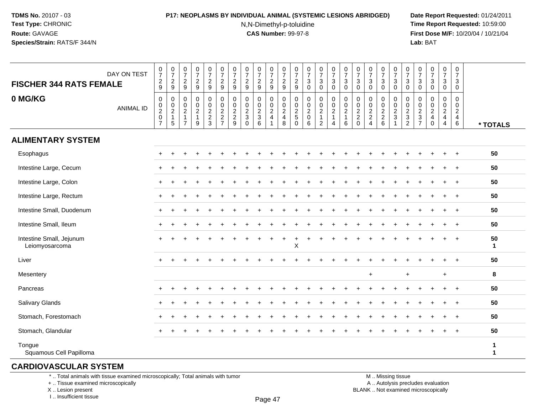## **P17: NEOPLASMS BY INDIVIDUAL ANIMAL (SYSTEMIC LESIONS ABRIDGED) Date Report Requested:** 01/24/2011

N,N-Dimethyl-p-toluidine

 **Time Report Requested:** 10:59:00 **First Dose M/F:** 10/20/04 / 10/21/04<br>**Lab: BAT Lab:** BAT

| <b>FISCHER 344 RATS FEMALE</b>             | DAY ON TEST      | $\frac{0}{7}$<br>$\frac{2}{9}$               | $\begin{array}{c} 0 \\ 7 \end{array}$<br>$\frac{2}{9}$ | $\frac{0}{7}$<br>$\frac{2}{9}$                                       | $\begin{smallmatrix} 0\\7 \end{smallmatrix}$<br>$\frac{2}{9}$                  | $\begin{array}{c} 0 \\ 7 \end{array}$<br>$\frac{2}{9}$ | $\frac{0}{7}$<br>$\frac{2}{9}$                              | $\frac{0}{7}$<br>$\frac{2}{9}$                                                 | $\begin{array}{c} 0 \\ 7 \end{array}$<br>$\frac{2}{9}$          | $\begin{array}{c} 0 \\ 7 \end{array}$<br>$\frac{2}{9}$ | $\frac{0}{7}$<br>$\frac{2}{9}$                                                  | $\frac{0}{7}$<br>$\frac{2}{9}$                                                       | $\frac{0}{7}$<br>$\frac{2}{9}$                   | $\frac{0}{7}$<br>$\ensuremath{\mathsf{3}}$<br>$\mathbf 0$      | $\frac{0}{7}$<br>$\sqrt{3}$<br>$\mathbf 0$                        | $\begin{array}{c} 0 \\ 7 \end{array}$<br>$_{0}^{3}$                                           | $\begin{array}{c} 0 \\ 7 \end{array}$<br>$\mathsf 3$<br>$\mathbf 0$                    | $\frac{0}{7}$<br>3<br>$\mathbf 0$                           | $\frac{0}{7}$<br>$\mathbf{3}$<br>$\mathbf 0$         | $\frac{0}{7}$<br>$\ensuremath{\mathsf{3}}$<br>$\Omega$ | $\begin{array}{c} 0 \\ 7 \end{array}$<br>$\mathsf 3$<br>$\mathbf 0$ | $\frac{0}{7}$<br>$\sqrt{3}$<br>$\mathbf 0$           | $\frac{0}{7}$<br>$\sqrt{3}$<br>$\mathbf 0$ | $\begin{array}{c} 0 \\ 7 \end{array}$<br>3<br>$\mathbf 0$ | $\frac{0}{7}$<br>3<br>$\mathbf 0$         | $\begin{smallmatrix}0\\7\end{smallmatrix}$<br>3<br>$\mathbf 0$                    |                   |
|--------------------------------------------|------------------|----------------------------------------------|--------------------------------------------------------|----------------------------------------------------------------------|--------------------------------------------------------------------------------|--------------------------------------------------------|-------------------------------------------------------------|--------------------------------------------------------------------------------|-----------------------------------------------------------------|--------------------------------------------------------|---------------------------------------------------------------------------------|--------------------------------------------------------------------------------------|--------------------------------------------------|----------------------------------------------------------------|-------------------------------------------------------------------|-----------------------------------------------------------------------------------------------|----------------------------------------------------------------------------------------|-------------------------------------------------------------|------------------------------------------------------|--------------------------------------------------------|---------------------------------------------------------------------|------------------------------------------------------|--------------------------------------------|-----------------------------------------------------------|-------------------------------------------|-----------------------------------------------------------------------------------|-------------------|
| 0 MG/KG                                    | <b>ANIMAL ID</b> | $\pmb{0}$<br>$\frac{0}{2}$<br>$\overline{7}$ | $\pmb{0}$<br>$\frac{0}{2}$<br>$\mathbf{1}$<br>$5\,$    | 0<br>$\mathbf 0$<br>$\overline{2}$<br>$\mathbf{1}$<br>$\overline{7}$ | $\pmb{0}$<br>$\begin{smallmatrix} 0\\2 \end{smallmatrix}$<br>$\mathbf{1}$<br>9 | $\pmb{0}$<br>$\mathbf 0$<br>$\frac{2}{3}$              | $\pmb{0}$<br>$\mathbf 0$<br>$\overline{2}$<br>$\frac{2}{7}$ | $\pmb{0}$<br>$\pmb{0}$<br>$\overline{2}$<br>$\overline{c}$<br>$\boldsymbol{9}$ | $\pmb{0}$<br>0<br>$\boldsymbol{2}$<br>$\sqrt{3}$<br>$\mathbf 0$ | $\pmb{0}$<br>$0$<br>$3$<br>$6$                         | 0<br>$\mathbf 0$<br>$\overline{2}$<br>$\overline{4}$<br>$\overline{\mathbf{1}}$ | $\,0\,$<br>$\begin{smallmatrix} 0\\2 \end{smallmatrix}$<br>$\overline{4}$<br>$\,8\,$ | 0<br>$\mathbf 0$<br>$\frac{2}{5}$<br>$\mathbf 0$ | $\pmb{0}$<br>$\pmb{0}$<br>$\overline{2}$<br>$\pmb{0}$<br>$\,6$ | $\pmb{0}$<br>$^{\rm 0}_{\rm 2}$<br>$\mathbf{1}$<br>$\overline{c}$ | $\mathbf 0$<br>$\begin{smallmatrix} 0\\2 \end{smallmatrix}$<br>$\mathbf{1}$<br>$\overline{4}$ | $\mathbf 0$<br>$\begin{smallmatrix} 0\\2 \end{smallmatrix}$<br>$\mathbf{1}$<br>$\,6\,$ | 0<br>0<br>$\boldsymbol{2}$<br>$\overline{c}$<br>$\mathbf 0$ | 0<br>$\begin{array}{c} 0 \\ 2 \\ 2 \\ 4 \end{array}$ | $\pmb{0}$<br>0, 2, 2, 6                                | 0<br>$\frac{0}{2}$                                                  | 0<br>$\begin{array}{c} 0 \\ 2 \\ 3 \\ 2 \end{array}$ | $\mathbf 0$<br>0<br>$rac{2}{3}$            | $\mathbf 0$<br>$\pmb{0}$<br>$\frac{2}{4}$<br>$\pmb{0}$    | 0<br>0<br>$\frac{2}{4}$<br>$\overline{4}$ | $\mathbf 0$<br>$\mathsf{O}\xspace$<br>$\overline{2}$<br>$\overline{4}$<br>$\,6\,$ | * TOTALS          |
| <b>ALIMENTARY SYSTEM</b>                   |                  |                                              |                                                        |                                                                      |                                                                                |                                                        |                                                             |                                                                                |                                                                 |                                                        |                                                                                 |                                                                                      |                                                  |                                                                |                                                                   |                                                                                               |                                                                                        |                                                             |                                                      |                                                        |                                                                     |                                                      |                                            |                                                           |                                           |                                                                                   |                   |
| Esophagus                                  |                  |                                              |                                                        |                                                                      |                                                                                |                                                        |                                                             |                                                                                |                                                                 |                                                        |                                                                                 |                                                                                      |                                                  |                                                                |                                                                   |                                                                                               |                                                                                        |                                                             |                                                      |                                                        |                                                                     |                                                      |                                            |                                                           |                                           | $\ddot{}$                                                                         | 50                |
| Intestine Large, Cecum                     |                  |                                              |                                                        |                                                                      |                                                                                |                                                        |                                                             |                                                                                |                                                                 |                                                        |                                                                                 |                                                                                      |                                                  |                                                                |                                                                   |                                                                                               |                                                                                        |                                                             |                                                      |                                                        |                                                                     |                                                      |                                            |                                                           |                                           | $\pm$                                                                             | 50                |
| Intestine Large, Colon                     |                  |                                              |                                                        |                                                                      |                                                                                |                                                        |                                                             |                                                                                |                                                                 |                                                        |                                                                                 |                                                                                      |                                                  |                                                                |                                                                   |                                                                                               |                                                                                        |                                                             |                                                      |                                                        |                                                                     |                                                      |                                            |                                                           |                                           |                                                                                   | 50                |
| Intestine Large, Rectum                    |                  |                                              |                                                        |                                                                      |                                                                                |                                                        |                                                             |                                                                                |                                                                 |                                                        |                                                                                 |                                                                                      |                                                  |                                                                |                                                                   |                                                                                               |                                                                                        |                                                             |                                                      |                                                        |                                                                     |                                                      |                                            |                                                           |                                           | $\ddot{}$                                                                         | 50                |
| Intestine Small, Duodenum                  |                  |                                              |                                                        |                                                                      |                                                                                |                                                        |                                                             |                                                                                |                                                                 |                                                        |                                                                                 |                                                                                      |                                                  |                                                                |                                                                   |                                                                                               |                                                                                        |                                                             |                                                      |                                                        |                                                                     |                                                      |                                            |                                                           |                                           |                                                                                   | 50                |
| Intestine Small, Ileum                     |                  |                                              |                                                        |                                                                      |                                                                                |                                                        |                                                             |                                                                                |                                                                 |                                                        |                                                                                 |                                                                                      |                                                  |                                                                |                                                                   |                                                                                               |                                                                                        |                                                             |                                                      |                                                        |                                                                     |                                                      |                                            |                                                           |                                           | $\ddot{}$                                                                         | 50                |
| Intestine Small, Jejunum<br>Leiomyosarcoma |                  |                                              |                                                        |                                                                      |                                                                                |                                                        |                                                             |                                                                                |                                                                 |                                                        |                                                                                 |                                                                                      | X                                                |                                                                |                                                                   |                                                                                               |                                                                                        |                                                             |                                                      |                                                        |                                                                     |                                                      |                                            |                                                           |                                           |                                                                                   | 50<br>$\mathbf 1$ |
| Liver                                      |                  | $\pm$                                        | ÷                                                      |                                                                      |                                                                                |                                                        |                                                             |                                                                                |                                                                 |                                                        |                                                                                 |                                                                                      |                                                  |                                                                |                                                                   |                                                                                               |                                                                                        |                                                             |                                                      |                                                        |                                                                     |                                                      |                                            |                                                           |                                           | $\ddot{}$                                                                         | 50                |
| Mesentery                                  |                  |                                              |                                                        |                                                                      |                                                                                |                                                        |                                                             |                                                                                |                                                                 |                                                        |                                                                                 |                                                                                      |                                                  |                                                                |                                                                   |                                                                                               |                                                                                        |                                                             | $\ddot{}$                                            |                                                        |                                                                     | $\ddot{}$                                            |                                            |                                                           | $\ddot{}$                                 |                                                                                   | 8                 |
| Pancreas                                   |                  |                                              |                                                        |                                                                      |                                                                                |                                                        |                                                             |                                                                                |                                                                 |                                                        |                                                                                 |                                                                                      |                                                  |                                                                |                                                                   |                                                                                               |                                                                                        |                                                             |                                                      |                                                        |                                                                     |                                                      |                                            |                                                           |                                           | $\div$                                                                            | 50                |
| <b>Salivary Glands</b>                     |                  |                                              |                                                        |                                                                      |                                                                                |                                                        |                                                             |                                                                                |                                                                 |                                                        |                                                                                 |                                                                                      |                                                  |                                                                |                                                                   |                                                                                               |                                                                                        |                                                             |                                                      |                                                        |                                                                     |                                                      |                                            |                                                           |                                           | $\ddot{}$                                                                         | 50                |
| Stomach, Forestomach                       |                  | $+$                                          |                                                        |                                                                      |                                                                                |                                                        |                                                             |                                                                                |                                                                 |                                                        |                                                                                 |                                                                                      |                                                  |                                                                |                                                                   |                                                                                               |                                                                                        |                                                             |                                                      |                                                        |                                                                     |                                                      |                                            |                                                           |                                           |                                                                                   | 50                |
| Stomach, Glandular                         |                  |                                              |                                                        |                                                                      |                                                                                |                                                        |                                                             |                                                                                |                                                                 |                                                        |                                                                                 |                                                                                      |                                                  |                                                                |                                                                   |                                                                                               |                                                                                        |                                                             |                                                      |                                                        |                                                                     |                                                      |                                            |                                                           |                                           |                                                                                   | 50                |
| Tongue<br>Squamous Cell Papilloma          |                  |                                              |                                                        |                                                                      |                                                                                |                                                        |                                                             |                                                                                |                                                                 |                                                        |                                                                                 |                                                                                      |                                                  |                                                                |                                                                   |                                                                                               |                                                                                        |                                                             |                                                      |                                                        |                                                                     |                                                      |                                            |                                                           |                                           |                                                                                   | $\mathbf{1}$<br>1 |

## **CARDIOVASCULAR SYSTEM**

\* .. Total animals with tissue examined microscopically; Total animals with tumor

+ .. Tissue examined microscopically

 Lesion present BLANK .. Not examined microscopicallyX .. Lesion present

I .. Insufficient tissue

 M .. Missing tissuey the contract of the contract of the contract of the contract of the contract of  $\mathsf A$  . Autolysis precludes evaluation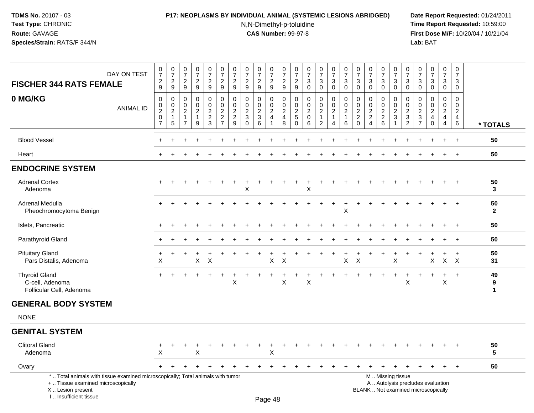### **P17: NEOPLASMS BY INDIVIDUAL ANIMAL (SYSTEMIC LESIONS ABRIDGED) Date Report Requested:** 01/24/2011

N,N-Dimethyl-p-toluidine

| DAY ON TEST<br><b>FISCHER 344 RATS FEMALE</b>                                                                                                                       |                                | $\frac{0}{7}$<br>$\frac{2}{9}$             | $\frac{0}{7}$<br>$\overline{c}$<br>$9\,$                | $\begin{array}{c} 0 \\ 7 \end{array}$<br>$\sqrt{2}$<br>9                    | $\frac{0}{7}$<br>$\sqrt{2}$<br>9                                            | 0<br>$\overline{7}$<br>$\overline{c}$<br>9                               | 0<br>$\overline{7}$<br>$\overline{c}$<br>9                                           | $\frac{0}{7}$<br>$\boldsymbol{2}$<br>$9\,$                    | $\pmb{0}$<br>$\overline{7}$<br>$\overline{c}$<br>9                    | $\pmb{0}$<br>$\overline{7}$<br>$\overline{2}$<br>$9\,$ | $\frac{0}{7}$<br>$\frac{2}{9}$                                               | 0<br>$\overline{7}$<br>$\boldsymbol{2}$<br>9                     | $\pmb{0}$<br>$\overline{7}$<br>$\overline{c}$<br>$9\,$                  | $\pmb{0}$<br>$\overline{7}$<br>3<br>$\mathbf 0$                  | $\frac{0}{7}$<br>3<br>$\mathbf 0$                                     | $\begin{smallmatrix} 0\\7 \end{smallmatrix}$<br>$\mathbf{3}$<br>0    | $\frac{0}{7}$<br>$\sqrt{3}$<br>$\mathbf 0$                  | $\frac{0}{7}$<br>$\mathbf{3}$<br>$\mathbf 0$                 | $\begin{matrix} 0 \\ 7 \end{matrix}$<br>$\sqrt{3}$<br>$\mathbf 0$                     | $\begin{array}{c} 0 \\ 7 \end{array}$<br>3<br>$\mathbf 0$           | $\frac{0}{7}$<br>$\mathbf{3}$<br>$\mathbf 0$                      | $\pmb{0}$<br>$\overline{7}$<br>3<br>$\mathbf 0$                          | 0<br>$\overline{7}$<br>$\sqrt{3}$<br>0                                    | $\begin{smallmatrix} 0\\7 \end{smallmatrix}$<br>$\sqrt{3}$<br>$\mathbf 0$ | 0<br>$\overline{7}$<br>$\mathbf{3}$<br>$\mathbf 0$               | $\pmb{0}$<br>$\overline{7}$<br>3<br>$\mathbf 0$                    |                         |
|---------------------------------------------------------------------------------------------------------------------------------------------------------------------|--------------------------------|--------------------------------------------|---------------------------------------------------------|-----------------------------------------------------------------------------|-----------------------------------------------------------------------------|--------------------------------------------------------------------------|--------------------------------------------------------------------------------------|---------------------------------------------------------------|-----------------------------------------------------------------------|--------------------------------------------------------|------------------------------------------------------------------------------|------------------------------------------------------------------|-------------------------------------------------------------------------|------------------------------------------------------------------|-----------------------------------------------------------------------|----------------------------------------------------------------------|-------------------------------------------------------------|--------------------------------------------------------------|---------------------------------------------------------------------------------------|---------------------------------------------------------------------|-------------------------------------------------------------------|--------------------------------------------------------------------------|---------------------------------------------------------------------------|---------------------------------------------------------------------------|------------------------------------------------------------------|--------------------------------------------------------------------|-------------------------|
| 0 MG/KG<br><b>ANIMAL ID</b>                                                                                                                                         | $\overline{7}$                 | 0<br>$_{2}^{\rm 0}$<br>$\mathsf{O}\xspace$ | 0<br>$\mathbf 0$<br>$\overline{2}$<br>$\mathbf{1}$<br>5 | $\Omega$<br>$\mathbf 0$<br>$\overline{c}$<br>$\mathbf{1}$<br>$\overline{7}$ | $\mathbf 0$<br>$\mathsf{O}\xspace$<br>$\boldsymbol{2}$<br>$\mathbf{1}$<br>9 | $\mathbf 0$<br>$\pmb{0}$<br>$\sqrt{2}$<br>$\overline{2}$<br>$\mathbf{3}$ | $\mathbf 0$<br>$\mathbf 0$<br>$\boldsymbol{2}$<br>$\boldsymbol{2}$<br>$\overline{7}$ | $\mathbf 0$<br>$\pmb{0}$<br>$\sqrt{2}$<br>$\overline{c}$<br>9 | $\Omega$<br>$\mathbf 0$<br>$\overline{2}$<br>$\mathbf{3}$<br>$\Omega$ | $\Omega$<br>0<br>$\sqrt{2}$<br>$\sqrt{3}$<br>6         | $\mathbf 0$<br>$\mathbf 0$<br>$\sqrt{2}$<br>$\overline{4}$<br>$\overline{1}$ | $\mathbf{0}$<br>$\mathbf 0$<br>$\sqrt{2}$<br>$\overline{4}$<br>8 | $\Omega$<br>$\mathbf 0$<br>$\overline{c}$<br>$\overline{5}$<br>$\Omega$ | $\mathbf 0$<br>$\mathbf 0$<br>$\overline{c}$<br>$\mathbf 0$<br>6 | 0<br>$\mathsf{O}$<br>$\overline{a}$<br>$\mathbf{1}$<br>$\overline{2}$ | 0<br>$\mathbf 0$<br>$\overline{2}$<br>$\mathbf{1}$<br>$\overline{4}$ | $\mathbf 0$<br>$\pmb{0}$<br>$\sqrt{2}$<br>$\mathbf{1}$<br>6 | 0<br>$\mathbf 0$<br>$\sqrt{2}$<br>$\overline{2}$<br>$\Omega$ | $\Omega$<br>$\mathbf 0$<br>$\overline{2}$<br>$\overline{2}$<br>$\boldsymbol{\Lambda}$ | $\Omega$<br>0<br>$\overline{2}$<br>$\overline{2}$<br>$6\phantom{a}$ | 0<br>$\mathsf{O}\xspace$<br>$\overline{2}$<br>3<br>$\overline{1}$ | $\Omega$<br>0<br>$\overline{c}$<br>$\mathbf{3}$<br>$\overline{2}$        | $\Omega$<br>$\mathbf 0$<br>$\overline{c}$<br>$\sqrt{3}$<br>$\overline{7}$ | $\mathbf 0$<br>$\mathbf 0$<br>$\sqrt{2}$<br>$\overline{a}$<br>$\Omega$    | $\Omega$<br>$\mathbf 0$<br>$\overline{2}$<br>4<br>$\overline{4}$ | $\Omega$<br>$\mathbf 0$<br>$\sqrt{2}$<br>$\overline{4}$<br>$\,6\,$ | * TOTALS                |
| <b>Blood Vessel</b>                                                                                                                                                 |                                |                                            |                                                         |                                                                             |                                                                             |                                                                          |                                                                                      |                                                               |                                                                       |                                                        |                                                                              |                                                                  |                                                                         |                                                                  |                                                                       |                                                                      |                                                             |                                                              |                                                                                       |                                                                     |                                                                   |                                                                          |                                                                           |                                                                           | $\div$                                                           | $\overline{+}$                                                     | 50                      |
| Heart                                                                                                                                                               |                                |                                            |                                                         |                                                                             |                                                                             |                                                                          |                                                                                      |                                                               |                                                                       |                                                        |                                                                              |                                                                  |                                                                         |                                                                  |                                                                       |                                                                      |                                                             |                                                              |                                                                                       |                                                                     |                                                                   |                                                                          |                                                                           |                                                                           | $\ddot{}$                                                        | $+$                                                                | 50                      |
| <b>ENDOCRINE SYSTEM</b>                                                                                                                                             |                                |                                            |                                                         |                                                                             |                                                                             |                                                                          |                                                                                      |                                                               |                                                                       |                                                        |                                                                              |                                                                  |                                                                         |                                                                  |                                                                       |                                                                      |                                                             |                                                              |                                                                                       |                                                                     |                                                                   |                                                                          |                                                                           |                                                                           |                                                                  |                                                                    |                         |
| <b>Adrenal Cortex</b><br>Adenoma                                                                                                                                    |                                | $+$                                        |                                                         |                                                                             |                                                                             |                                                                          |                                                                                      |                                                               | X                                                                     |                                                        |                                                                              |                                                                  |                                                                         | X                                                                |                                                                       |                                                                      |                                                             |                                                              |                                                                                       |                                                                     |                                                                   |                                                                          |                                                                           |                                                                           | $+$                                                              | $+$                                                                | 50<br>3                 |
| Adrenal Medulla<br>Pheochromocytoma Benign                                                                                                                          |                                |                                            |                                                         |                                                                             |                                                                             |                                                                          |                                                                                      |                                                               |                                                                       |                                                        |                                                                              |                                                                  |                                                                         |                                                                  |                                                                       |                                                                      | X                                                           |                                                              |                                                                                       |                                                                     |                                                                   |                                                                          |                                                                           |                                                                           |                                                                  | $\overline{+}$                                                     | 50<br>$\mathbf{2}$      |
| Islets, Pancreatic                                                                                                                                                  |                                |                                            |                                                         |                                                                             |                                                                             |                                                                          |                                                                                      |                                                               |                                                                       |                                                        |                                                                              |                                                                  |                                                                         |                                                                  |                                                                       |                                                                      |                                                             |                                                              |                                                                                       |                                                                     |                                                                   |                                                                          |                                                                           |                                                                           |                                                                  | $\ddot{}$                                                          | 50                      |
| Parathyroid Gland                                                                                                                                                   |                                |                                            |                                                         |                                                                             |                                                                             |                                                                          |                                                                                      |                                                               |                                                                       |                                                        |                                                                              |                                                                  |                                                                         |                                                                  |                                                                       |                                                                      |                                                             |                                                              |                                                                                       |                                                                     |                                                                   |                                                                          |                                                                           |                                                                           |                                                                  |                                                                    | 50                      |
| <b>Pituitary Gland</b><br>Pars Distalis, Adenoma                                                                                                                    | +<br>$\boldsymbol{\mathsf{X}}$ |                                            |                                                         |                                                                             | X                                                                           | X                                                                        |                                                                                      |                                                               |                                                                       |                                                        | $\boldsymbol{\mathsf{X}}$                                                    | $\times$                                                         |                                                                         |                                                                  |                                                                       |                                                                      | X                                                           | $\boldsymbol{\mathsf{X}}$                                    |                                                                                       |                                                                     | X                                                                 |                                                                          |                                                                           | X                                                                         | +<br>$\mathsf{X}$                                                | $\ddot{}$<br>$\mathsf{X}$                                          | 50<br>31                |
| <b>Thyroid Gland</b><br>C-cell, Adenoma<br>Follicular Cell, Adenoma                                                                                                 |                                |                                            |                                                         |                                                                             |                                                                             |                                                                          |                                                                                      | X                                                             |                                                                       |                                                        | $\ddot{}$                                                                    | X                                                                |                                                                         | X                                                                |                                                                       |                                                                      |                                                             |                                                              |                                                                                       |                                                                     |                                                                   | X                                                                        |                                                                           | $\ddot{}$                                                                 | $\ddot{}$<br>$\pmb{\times}$                                      | $\ddot{}$                                                          | 49<br>9<br>$\mathbf{1}$ |
| <b>GENERAL BODY SYSTEM</b>                                                                                                                                          |                                |                                            |                                                         |                                                                             |                                                                             |                                                                          |                                                                                      |                                                               |                                                                       |                                                        |                                                                              |                                                                  |                                                                         |                                                                  |                                                                       |                                                                      |                                                             |                                                              |                                                                                       |                                                                     |                                                                   |                                                                          |                                                                           |                                                                           |                                                                  |                                                                    |                         |
| <b>NONE</b>                                                                                                                                                         |                                |                                            |                                                         |                                                                             |                                                                             |                                                                          |                                                                                      |                                                               |                                                                       |                                                        |                                                                              |                                                                  |                                                                         |                                                                  |                                                                       |                                                                      |                                                             |                                                              |                                                                                       |                                                                     |                                                                   |                                                                          |                                                                           |                                                                           |                                                                  |                                                                    |                         |
| <b>GENITAL SYSTEM</b>                                                                                                                                               |                                |                                            |                                                         |                                                                             |                                                                             |                                                                          |                                                                                      |                                                               |                                                                       |                                                        |                                                                              |                                                                  |                                                                         |                                                                  |                                                                       |                                                                      |                                                             |                                                              |                                                                                       |                                                                     |                                                                   |                                                                          |                                                                           |                                                                           |                                                                  |                                                                    |                         |
| <b>Clitoral Gland</b><br>Adenoma                                                                                                                                    |                                | X                                          |                                                         |                                                                             | X                                                                           |                                                                          |                                                                                      |                                                               |                                                                       |                                                        | $\mathsf X$                                                                  |                                                                  |                                                                         |                                                                  |                                                                       |                                                                      |                                                             |                                                              |                                                                                       |                                                                     |                                                                   |                                                                          |                                                                           |                                                                           |                                                                  | $\ddot{}$                                                          | 50<br>5                 |
| Ovary                                                                                                                                                               |                                | $+$                                        | $\ddot{}$                                               |                                                                             |                                                                             |                                                                          |                                                                                      |                                                               |                                                                       | $\ddot{}$                                              | $\ddot{}$                                                                    |                                                                  |                                                                         |                                                                  |                                                                       |                                                                      |                                                             |                                                              |                                                                                       | $\ddot{}$                                                           | $\ddot{}$                                                         | $+$                                                                      | $\ddot{}$                                                                 | $\ddot{}$                                                                 | $+$                                                              | $+$                                                                | 50                      |
| *  Total animals with tissue examined microscopically; Total animals with tumor<br>+  Tissue examined microscopically<br>X  Lesion present<br>I Insufficient tissue |                                |                                            |                                                         |                                                                             |                                                                             |                                                                          |                                                                                      |                                                               |                                                                       |                                                        | $D_{200}$ $19$                                                               |                                                                  |                                                                         |                                                                  |                                                                       |                                                                      |                                                             |                                                              |                                                                                       |                                                                     | M  Missing tissue                                                 | A  Autolysis precludes evaluation<br>BLANK  Not examined microscopically |                                                                           |                                                                           |                                                                  |                                                                    |                         |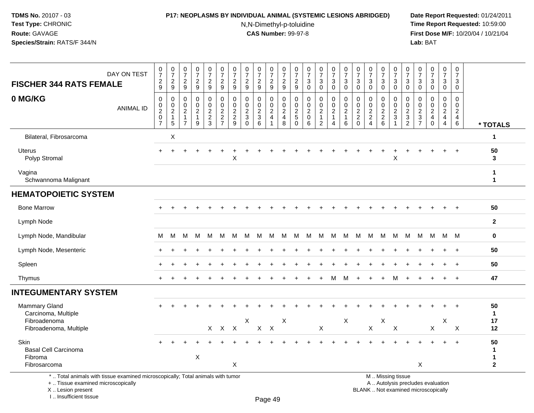#### **P17: NEOPLASMS BY INDIVIDUAL ANIMAL (SYSTEMIC LESIONS ABRIDGED) Date Report Requested:** 01/24/2011

N,N-Dimethyl-p-toluidine

 **Time Report Requested:** 10:59:00 **First Dose M/F:** 10/20/04 / 10/21/04<br>**Lab:** BAT **Lab:** BAT

| $\frac{0}{7}$<br>$\begin{array}{c} 0 \\ 7 \end{array}$<br>$\begin{smallmatrix}0\\7\end{smallmatrix}$<br>$\frac{0}{7}$<br>$\frac{0}{7}$<br>$\frac{0}{7}$<br>$\frac{0}{7}$<br>$\frac{0}{7}$<br>$\frac{0}{7}$<br>$\frac{0}{7}$<br>$\frac{0}{7}$<br>$\frac{0}{7}$<br>$\frac{0}{7}$<br>$\frac{0}{7}$<br>$\frac{0}{7}$<br>$\frac{0}{7}$<br>$\frac{0}{7}$<br>$\frac{0}{7}$<br>$\frac{0}{7}$<br>$\frac{0}{7}$<br>0<br>$\frac{0}{7}$<br>0<br>0<br>0<br>DAY ON TEST<br>$\overline{7}$<br>$\overline{7}$<br>$\overline{7}$<br>$\overline{7}$<br>$\overline{2}$<br>$\frac{2}{9}$<br>$\frac{2}{9}$<br>$\sqrt{2}$<br>$\overline{2}$<br>$\frac{2}{9}$<br>$\frac{2}{9}$<br>$\frac{2}{9}$<br>$\sqrt{2}$<br>$\boldsymbol{2}$<br>$\sqrt{2}$<br>$\sqrt{3}$<br>$\mathbf{3}$<br>$\mathbf{3}$<br>3<br>$\sqrt{3}$<br>$\mathsf 3$<br>$\sqrt{3}$<br>$\sqrt{3}$<br>$\mathbf{3}$<br>$\ensuremath{\mathsf{3}}$<br>$\overline{\mathbf{c}}$<br>3<br>$\mathbf{3}$<br>3<br>9<br>9<br>9<br>9<br>9<br>9<br>9<br>$\mathbf 0$<br>$\mathbf 0$<br>$\mathbf 0$<br>$\mathbf 0$<br>$\mathbf 0$<br>$\mathbf 0$<br>$\mathbf 0$<br>$\overline{0}$<br>$\mathbf 0$<br>$\mathbf 0$<br>$\mathbf 0$<br>$\mathbf 0$<br>$\mathbf 0$<br>$\pmb{0}$<br>$\pmb{0}$<br>$\mathbf 0$<br>0<br>$\mathbf 0$<br>$\mathbf 0$<br>$\mathbf 0$<br>0<br>$\mathbf 0$<br>$\mathbf 0$<br>$\mathbf 0$<br>$\mathbf 0$<br>$\mathbf 0$<br>$\mathbf 0$<br>0<br>$\mathbf 0$<br>0<br>$\mathbf{0}$<br>0<br>0<br>$\mathbf 0$<br>$\mathbf 0$<br>0<br>0<br>0<br>$\ddot{\mathbf{0}}$<br>$\frac{0}{2}$<br>$\mathsf{O}\xspace$<br>$\pmb{0}$<br>$\pmb{0}$<br>$\mathsf{O}\xspace$<br>$\pmb{0}$<br>$\mathsf{O}\xspace$<br>$\pmb{0}$<br>$\pmb{0}$<br>$\pmb{0}$<br>$\mathbf 0$<br>$\pmb{0}$<br>$\mathsf{O}\xspace$<br>$\mathbf 0$<br>$\mathbf 0$<br>$\mathbf 0$<br>0<br>0<br>$\mathbf 0$<br>$\mathbf 0$<br>$\mathbf 0$<br>0<br>0<br>0<br><b>ANIMAL ID</b><br>$\overline{2}$<br>$\overline{2}$<br>$\frac{2}{2}$<br>$\overline{2}$<br>$\overline{2}$<br>$\overline{2}$<br>$\overline{c}$<br>$\overline{c}$<br>$\overline{c}$<br>$\overline{c}$<br>$\sqrt{2}$<br>$\sqrt{2}$<br>$\sqrt{2}$<br>$\sqrt{2}$<br>$\overline{c}$<br>$\sqrt{2}$<br>$\overline{2}$<br>$\sqrt{2}$<br>$\overline{a}$<br>$\boldsymbol{2}$<br>$\sqrt{2}$<br>$\overline{2}$<br>$\sqrt{2}$<br>$\sqrt{2}$<br>$\frac{2}{7}$<br>$\frac{2}{9}$<br>$\mathbf{3}$<br>$\sqrt{3}$<br>$\frac{2}{6}$<br>$\ensuremath{\mathsf{3}}$<br>$\frac{3}{7}$<br>$\overline{4}$<br>$\pmb{0}$<br>$\frac{2}{3}$<br>$\overline{4}$<br>$\overline{\mathbf{4}}$<br>$\sqrt{5}$<br>$\mathbf 0$<br>$\mathbf{1}$<br>$\mathbf{1}$<br>$\mathbf{1}$<br>$\overline{2}$<br>$\sqrt{3}$<br>$\overline{4}$<br>$\overline{4}$<br>$\mathbf{1}$<br>$\overline{1}$<br>$\mathbf{1}$<br>$\overline{7}$<br>$\,6\,$<br>$\overline{4}$<br>$\overline{7}$<br>6<br>8<br>6<br>$\overline{c}$<br>$\overline{c}$<br>$\mathbf 0$<br>5<br>9<br>$\mathbf{0}$<br>1<br>$\mathbf 0$<br>$\overline{4}$<br>6<br>$\mathbf 0$<br>$\mathbf{1}$<br>* TOTALS<br>$\boldsymbol{\mathsf{X}}$<br>Bilateral, Fibrosarcoma<br>$\mathbf{1}$<br><b>Uterus</b><br>50<br>$\ddot{}$<br>Polyp Stromal<br>X<br>X<br>3<br>Vagina<br>1<br>Schwannoma Malignant<br>1<br>50<br><b>Bone Marrow</b><br>Lymph Node<br>$\boldsymbol{2}$<br>Lymph Node, Mandibular<br>$\bf{0}$<br>M<br>М<br>м<br>м<br>M<br>м<br>M<br>M<br>M<br>M<br>м<br>M<br>M<br>M<br>M<br>M<br>- M<br>М<br>M<br>м<br>M<br>M<br>M<br>M<br>M<br>Lymph Node, Mesenteric<br>50<br>Spleen<br>50<br>$+$<br>47<br>Thymus<br>м<br>м<br>м<br>$+$<br>$\ddot{}$<br>$+$<br>Mammary Gland<br>50<br>$+$<br>Carcinoma, Multiple<br>$\mathbf{1}$<br>$\mathsf X$<br>$\boldsymbol{\mathsf{X}}$<br>$\boldsymbol{\mathsf{X}}$<br>X<br>$\mathsf X$<br>Fibroadenoma<br>17<br>$X$ $X$<br>X X X<br>$\mathsf X$<br>$\mathsf X$<br>$\mathsf X$<br>$\mathsf{X}$<br>$\boldsymbol{\mathsf{X}}$<br>12<br>Fibroadenoma, Multiple<br>Skin<br>50<br>$\pm$<br>$+$<br><b>Basal Cell Carcinoma</b><br>1<br>X<br>Fibroma<br>1<br>X<br>X<br>$\mathbf{2}$<br>Fibrosarcoma |                                |  |  |  |  |  |  |  |  |  |  |  |  |  |
|----------------------------------------------------------------------------------------------------------------------------------------------------------------------------------------------------------------------------------------------------------------------------------------------------------------------------------------------------------------------------------------------------------------------------------------------------------------------------------------------------------------------------------------------------------------------------------------------------------------------------------------------------------------------------------------------------------------------------------------------------------------------------------------------------------------------------------------------------------------------------------------------------------------------------------------------------------------------------------------------------------------------------------------------------------------------------------------------------------------------------------------------------------------------------------------------------------------------------------------------------------------------------------------------------------------------------------------------------------------------------------------------------------------------------------------------------------------------------------------------------------------------------------------------------------------------------------------------------------------------------------------------------------------------------------------------------------------------------------------------------------------------------------------------------------------------------------------------------------------------------------------------------------------------------------------------------------------------------------------------------------------------------------------------------------------------------------------------------------------------------------------------------------------------------------------------------------------------------------------------------------------------------------------------------------------------------------------------------------------------------------------------------------------------------------------------------------------------------------------------------------------------------------------------------------------------------------------------------------------------------------------------------------------------------------------------------------------------------------------------------------------------------------------------------------------------------------------------------------------------------------------------------------------------------------------------------------------------------------------------------------------------------------------------------------------------------------------------------------------------------------------------------------------------------------------------------------------------------------------------------------------------------------------------------------------------------------------------------------------------------------------------------------------------------------------------------------------------------------------------------------------------------------------------------------------------------------------------------------------------------------------------------------------------------------------------------------------------------------------------------------------------------------------------------------------------------------------------------------------------------------------------------------------------------------------------------------------------------------|--------------------------------|--|--|--|--|--|--|--|--|--|--|--|--|--|
|                                                                                                                                                                                                                                                                                                                                                                                                                                                                                                                                                                                                                                                                                                                                                                                                                                                                                                                                                                                                                                                                                                                                                                                                                                                                                                                                                                                                                                                                                                                                                                                                                                                                                                                                                                                                                                                                                                                                                                                                                                                                                                                                                                                                                                                                                                                                                                                                                                                                                                                                                                                                                                                                                                                                                                                                                                                                                                                                                                                                                                                                                                                                                                                                                                                                                                                                                                                                                                                                                                                                                                                                                                                                                                                                                                                                                                                                                                                                                                                  | <b>FISCHER 344 RATS FEMALE</b> |  |  |  |  |  |  |  |  |  |  |  |  |  |
|                                                                                                                                                                                                                                                                                                                                                                                                                                                                                                                                                                                                                                                                                                                                                                                                                                                                                                                                                                                                                                                                                                                                                                                                                                                                                                                                                                                                                                                                                                                                                                                                                                                                                                                                                                                                                                                                                                                                                                                                                                                                                                                                                                                                                                                                                                                                                                                                                                                                                                                                                                                                                                                                                                                                                                                                                                                                                                                                                                                                                                                                                                                                                                                                                                                                                                                                                                                                                                                                                                                                                                                                                                                                                                                                                                                                                                                                                                                                                                                  | 0 MG/KG                        |  |  |  |  |  |  |  |  |  |  |  |  |  |
|                                                                                                                                                                                                                                                                                                                                                                                                                                                                                                                                                                                                                                                                                                                                                                                                                                                                                                                                                                                                                                                                                                                                                                                                                                                                                                                                                                                                                                                                                                                                                                                                                                                                                                                                                                                                                                                                                                                                                                                                                                                                                                                                                                                                                                                                                                                                                                                                                                                                                                                                                                                                                                                                                                                                                                                                                                                                                                                                                                                                                                                                                                                                                                                                                                                                                                                                                                                                                                                                                                                                                                                                                                                                                                                                                                                                                                                                                                                                                                                  |                                |  |  |  |  |  |  |  |  |  |  |  |  |  |
|                                                                                                                                                                                                                                                                                                                                                                                                                                                                                                                                                                                                                                                                                                                                                                                                                                                                                                                                                                                                                                                                                                                                                                                                                                                                                                                                                                                                                                                                                                                                                                                                                                                                                                                                                                                                                                                                                                                                                                                                                                                                                                                                                                                                                                                                                                                                                                                                                                                                                                                                                                                                                                                                                                                                                                                                                                                                                                                                                                                                                                                                                                                                                                                                                                                                                                                                                                                                                                                                                                                                                                                                                                                                                                                                                                                                                                                                                                                                                                                  |                                |  |  |  |  |  |  |  |  |  |  |  |  |  |
|                                                                                                                                                                                                                                                                                                                                                                                                                                                                                                                                                                                                                                                                                                                                                                                                                                                                                                                                                                                                                                                                                                                                                                                                                                                                                                                                                                                                                                                                                                                                                                                                                                                                                                                                                                                                                                                                                                                                                                                                                                                                                                                                                                                                                                                                                                                                                                                                                                                                                                                                                                                                                                                                                                                                                                                                                                                                                                                                                                                                                                                                                                                                                                                                                                                                                                                                                                                                                                                                                                                                                                                                                                                                                                                                                                                                                                                                                                                                                                                  |                                |  |  |  |  |  |  |  |  |  |  |  |  |  |
|                                                                                                                                                                                                                                                                                                                                                                                                                                                                                                                                                                                                                                                                                                                                                                                                                                                                                                                                                                                                                                                                                                                                                                                                                                                                                                                                                                                                                                                                                                                                                                                                                                                                                                                                                                                                                                                                                                                                                                                                                                                                                                                                                                                                                                                                                                                                                                                                                                                                                                                                                                                                                                                                                                                                                                                                                                                                                                                                                                                                                                                                                                                                                                                                                                                                                                                                                                                                                                                                                                                                                                                                                                                                                                                                                                                                                                                                                                                                                                                  | <b>HEMATOPOIETIC SYSTEM</b>    |  |  |  |  |  |  |  |  |  |  |  |  |  |
|                                                                                                                                                                                                                                                                                                                                                                                                                                                                                                                                                                                                                                                                                                                                                                                                                                                                                                                                                                                                                                                                                                                                                                                                                                                                                                                                                                                                                                                                                                                                                                                                                                                                                                                                                                                                                                                                                                                                                                                                                                                                                                                                                                                                                                                                                                                                                                                                                                                                                                                                                                                                                                                                                                                                                                                                                                                                                                                                                                                                                                                                                                                                                                                                                                                                                                                                                                                                                                                                                                                                                                                                                                                                                                                                                                                                                                                                                                                                                                                  |                                |  |  |  |  |  |  |  |  |  |  |  |  |  |
|                                                                                                                                                                                                                                                                                                                                                                                                                                                                                                                                                                                                                                                                                                                                                                                                                                                                                                                                                                                                                                                                                                                                                                                                                                                                                                                                                                                                                                                                                                                                                                                                                                                                                                                                                                                                                                                                                                                                                                                                                                                                                                                                                                                                                                                                                                                                                                                                                                                                                                                                                                                                                                                                                                                                                                                                                                                                                                                                                                                                                                                                                                                                                                                                                                                                                                                                                                                                                                                                                                                                                                                                                                                                                                                                                                                                                                                                                                                                                                                  |                                |  |  |  |  |  |  |  |  |  |  |  |  |  |
|                                                                                                                                                                                                                                                                                                                                                                                                                                                                                                                                                                                                                                                                                                                                                                                                                                                                                                                                                                                                                                                                                                                                                                                                                                                                                                                                                                                                                                                                                                                                                                                                                                                                                                                                                                                                                                                                                                                                                                                                                                                                                                                                                                                                                                                                                                                                                                                                                                                                                                                                                                                                                                                                                                                                                                                                                                                                                                                                                                                                                                                                                                                                                                                                                                                                                                                                                                                                                                                                                                                                                                                                                                                                                                                                                                                                                                                                                                                                                                                  |                                |  |  |  |  |  |  |  |  |  |  |  |  |  |
|                                                                                                                                                                                                                                                                                                                                                                                                                                                                                                                                                                                                                                                                                                                                                                                                                                                                                                                                                                                                                                                                                                                                                                                                                                                                                                                                                                                                                                                                                                                                                                                                                                                                                                                                                                                                                                                                                                                                                                                                                                                                                                                                                                                                                                                                                                                                                                                                                                                                                                                                                                                                                                                                                                                                                                                                                                                                                                                                                                                                                                                                                                                                                                                                                                                                                                                                                                                                                                                                                                                                                                                                                                                                                                                                                                                                                                                                                                                                                                                  |                                |  |  |  |  |  |  |  |  |  |  |  |  |  |
|                                                                                                                                                                                                                                                                                                                                                                                                                                                                                                                                                                                                                                                                                                                                                                                                                                                                                                                                                                                                                                                                                                                                                                                                                                                                                                                                                                                                                                                                                                                                                                                                                                                                                                                                                                                                                                                                                                                                                                                                                                                                                                                                                                                                                                                                                                                                                                                                                                                                                                                                                                                                                                                                                                                                                                                                                                                                                                                                                                                                                                                                                                                                                                                                                                                                                                                                                                                                                                                                                                                                                                                                                                                                                                                                                                                                                                                                                                                                                                                  |                                |  |  |  |  |  |  |  |  |  |  |  |  |  |
|                                                                                                                                                                                                                                                                                                                                                                                                                                                                                                                                                                                                                                                                                                                                                                                                                                                                                                                                                                                                                                                                                                                                                                                                                                                                                                                                                                                                                                                                                                                                                                                                                                                                                                                                                                                                                                                                                                                                                                                                                                                                                                                                                                                                                                                                                                                                                                                                                                                                                                                                                                                                                                                                                                                                                                                                                                                                                                                                                                                                                                                                                                                                                                                                                                                                                                                                                                                                                                                                                                                                                                                                                                                                                                                                                                                                                                                                                                                                                                                  |                                |  |  |  |  |  |  |  |  |  |  |  |  |  |
|                                                                                                                                                                                                                                                                                                                                                                                                                                                                                                                                                                                                                                                                                                                                                                                                                                                                                                                                                                                                                                                                                                                                                                                                                                                                                                                                                                                                                                                                                                                                                                                                                                                                                                                                                                                                                                                                                                                                                                                                                                                                                                                                                                                                                                                                                                                                                                                                                                                                                                                                                                                                                                                                                                                                                                                                                                                                                                                                                                                                                                                                                                                                                                                                                                                                                                                                                                                                                                                                                                                                                                                                                                                                                                                                                                                                                                                                                                                                                                                  | <b>INTEGUMENTARY SYSTEM</b>    |  |  |  |  |  |  |  |  |  |  |  |  |  |
|                                                                                                                                                                                                                                                                                                                                                                                                                                                                                                                                                                                                                                                                                                                                                                                                                                                                                                                                                                                                                                                                                                                                                                                                                                                                                                                                                                                                                                                                                                                                                                                                                                                                                                                                                                                                                                                                                                                                                                                                                                                                                                                                                                                                                                                                                                                                                                                                                                                                                                                                                                                                                                                                                                                                                                                                                                                                                                                                                                                                                                                                                                                                                                                                                                                                                                                                                                                                                                                                                                                                                                                                                                                                                                                                                                                                                                                                                                                                                                                  |                                |  |  |  |  |  |  |  |  |  |  |  |  |  |
|                                                                                                                                                                                                                                                                                                                                                                                                                                                                                                                                                                                                                                                                                                                                                                                                                                                                                                                                                                                                                                                                                                                                                                                                                                                                                                                                                                                                                                                                                                                                                                                                                                                                                                                                                                                                                                                                                                                                                                                                                                                                                                                                                                                                                                                                                                                                                                                                                                                                                                                                                                                                                                                                                                                                                                                                                                                                                                                                                                                                                                                                                                                                                                                                                                                                                                                                                                                                                                                                                                                                                                                                                                                                                                                                                                                                                                                                                                                                                                                  |                                |  |  |  |  |  |  |  |  |  |  |  |  |  |
|                                                                                                                                                                                                                                                                                                                                                                                                                                                                                                                                                                                                                                                                                                                                                                                                                                                                                                                                                                                                                                                                                                                                                                                                                                                                                                                                                                                                                                                                                                                                                                                                                                                                                                                                                                                                                                                                                                                                                                                                                                                                                                                                                                                                                                                                                                                                                                                                                                                                                                                                                                                                                                                                                                                                                                                                                                                                                                                                                                                                                                                                                                                                                                                                                                                                                                                                                                                                                                                                                                                                                                                                                                                                                                                                                                                                                                                                                                                                                                                  |                                |  |  |  |  |  |  |  |  |  |  |  |  |  |
|                                                                                                                                                                                                                                                                                                                                                                                                                                                                                                                                                                                                                                                                                                                                                                                                                                                                                                                                                                                                                                                                                                                                                                                                                                                                                                                                                                                                                                                                                                                                                                                                                                                                                                                                                                                                                                                                                                                                                                                                                                                                                                                                                                                                                                                                                                                                                                                                                                                                                                                                                                                                                                                                                                                                                                                                                                                                                                                                                                                                                                                                                                                                                                                                                                                                                                                                                                                                                                                                                                                                                                                                                                                                                                                                                                                                                                                                                                                                                                                  |                                |  |  |  |  |  |  |  |  |  |  |  |  |  |

\* .. Total animals with tissue examined microscopically; Total animals with tumor

+ .. Tissue examined microscopically

X .. Lesion present

I .. Insufficient tissue

Page 49

M .. Missing tissue

y the contract of the contract of the contract of the contract of the contract of  $\mathsf A$  . Autolysis precludes evaluation

Lesion present BLANK .. Not examined microscopically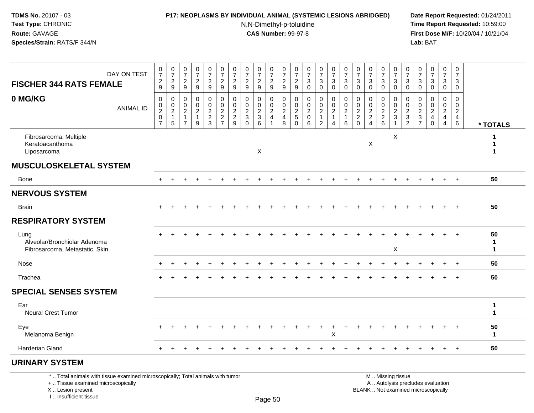I .. Insufficient tissue

# **P17: NEOPLASMS BY INDIVIDUAL ANIMAL (SYSTEMIC LESIONS ABRIDGED) Date Report Requested:** 01/24/2011

N,N-Dimethyl-p-toluidine

 **Time Report Requested:** 10:59:00 **First Dose M/F:** 10/20/04 / 10/21/04<br>**Lab:** BAT **Lab:** BAT

| DAY ON TEST<br><b>FISCHER 344 RATS FEMALE</b>                                                                                             | $\begin{array}{c} 0 \\ 7 \end{array}$<br>$\frac{2}{9}$                                     | $\frac{0}{7}$<br>$\frac{2}{9}$                      | $\frac{0}{7}$<br>$\boldsymbol{2}$<br>$\overline{9}$                         | $\frac{0}{7}$<br>$\frac{2}{9}$               | $\begin{array}{c} 0 \\ 7 \end{array}$<br>$\frac{2}{9}$                | $\frac{0}{7}$<br>$\sqrt{2}$<br>$\overline{9}$                                | $\pmb{0}$<br>$\overline{7}$<br>$\frac{2}{9}$                         | $\frac{0}{7}$<br>$\overline{c}$<br>9                                       | $\frac{0}{7}$<br>$\frac{2}{9}$                        | $\frac{0}{7}$<br>$\frac{2}{9}$                        | $\frac{0}{7}$<br>$\frac{2}{9}$                         | $\begin{array}{c} 0 \\ 7 \end{array}$<br>$\frac{2}{9}$ | $\begin{array}{c} 0 \\ 7 \end{array}$<br>$\mathbf{3}$<br>$\pmb{0}$ | $\begin{smallmatrix}0\\7\end{smallmatrix}$<br>$_{\rm 0}^3$           | $\frac{0}{7}$<br>$\mathfrak{Z}$<br>$\mathbf 0$                      | $\pmb{0}$<br>$\overline{7}$<br>3<br>$\mathbf 0$ | $\begin{array}{c} 0 \\ 7 \end{array}$<br>$\mathbf{3}$<br>$\mathbf 0$ | $\frac{0}{7}$<br>3<br>$\mathbf 0$                                        | $\frac{0}{7}$<br>$_{0}^{3}$         | $\begin{array}{c} 0 \\ 7 \end{array}$<br>$\sqrt{3}$<br>$\overline{0}$  | $\begin{array}{c} 0 \\ 7 \end{array}$<br>$_{\rm 0}^3$               | $\begin{array}{c} 0 \\ 7 \end{array}$<br>$\mathbf{3}$<br>$\mathbf 0$ | $\frac{0}{7}$<br>3<br>$\ddot{\mathbf{0}}$                                     | $\begin{array}{c} 0 \\ 7 \end{array}$<br>$\mathsf 3$<br>$\mathbf 0$              | $\mathbf 0$<br>$\overline{7}$<br>3<br>$\mathbf 0$ |                              |
|-------------------------------------------------------------------------------------------------------------------------------------------|--------------------------------------------------------------------------------------------|-----------------------------------------------------|-----------------------------------------------------------------------------|----------------------------------------------|-----------------------------------------------------------------------|------------------------------------------------------------------------------|----------------------------------------------------------------------|----------------------------------------------------------------------------|-------------------------------------------------------|-------------------------------------------------------|--------------------------------------------------------|--------------------------------------------------------|--------------------------------------------------------------------|----------------------------------------------------------------------|---------------------------------------------------------------------|-------------------------------------------------|----------------------------------------------------------------------|--------------------------------------------------------------------------|-------------------------------------|------------------------------------------------------------------------|---------------------------------------------------------------------|----------------------------------------------------------------------|-------------------------------------------------------------------------------|----------------------------------------------------------------------------------|---------------------------------------------------|------------------------------|
| 0 MG/KG<br><b>ANIMAL ID</b>                                                                                                               | $\mathbf 0$<br>$\begin{smallmatrix} 0\\2 \end{smallmatrix}$<br>$\pmb{0}$<br>$\overline{7}$ | $\mathbf 0$<br>0<br>$\sqrt{2}$<br>$\mathbf{1}$<br>5 | $\Omega$<br>$\mathbf 0$<br>$\overline{c}$<br>$\mathbf{1}$<br>$\overline{7}$ | 0<br>$\mathbf 0$<br>$\overline{2}$<br>1<br>9 | $\mathbf 0$<br>$\mathbf 0$<br>$\boldsymbol{2}$<br>$\overline{2}$<br>3 | $\mathbf 0$<br>$\pmb{0}$<br>$\boldsymbol{2}$<br>$\sqrt{2}$<br>$\overline{7}$ | $\mathbf 0$<br>$\mathbf{0}$<br>$\overline{2}$<br>$\overline{2}$<br>9 | $\mathbf 0$<br>$\mathbf 0$<br>$\overline{2}$<br>$\mathfrak{Z}$<br>$\Omega$ | 0<br>$\mathbf 0$<br>$\sqrt{2}$<br>$\overline{3}$<br>6 | $\mathbf 0$<br>0<br>$\sqrt{2}$<br>4<br>$\overline{1}$ | $\mathbf 0$<br>$\mathbf 0$<br>$\overline{2}$<br>4<br>8 | $\mathbf 0$<br>0<br>$\sqrt{2}$<br>5<br>$\Omega$        | $\mathbf 0$<br>$\mathbf 0$<br>$\boldsymbol{2}$<br>$\pmb{0}$<br>6   | 0<br>$\mathbf 0$<br>$\overline{2}$<br>$\mathbf{1}$<br>$\overline{2}$ | $\mathbf 0$<br>$\mathbf 0$<br>$\boldsymbol{2}$<br>$\mathbf{1}$<br>4 | $\mathbf 0$<br>0<br>$\overline{2}$<br>1<br>6    | $\mathbf 0$<br>$\mathbf 0$<br>2<br>$\sqrt{2}$<br>$\Omega$            | 0<br>$\mathbf 0$<br>$\overline{2}$<br>$\boldsymbol{2}$<br>$\overline{4}$ | 0<br>$\mathbf 0$<br>$\frac{2}{2}$ 6 | $\mathbf 0$<br>$\mathbf 0$<br>$\sqrt{2}$<br>$\sqrt{3}$<br>$\mathbf{1}$ | $\mathbf 0$<br>$\mathbf 0$<br>$\overline{c}$<br>$\overline{3}$<br>2 | $\Omega$<br>$\mathbf 0$<br>$\sqrt{2}$<br>$\overline{3}$<br>7         | $\mathbf 0$<br>$\pmb{0}$<br>$\boldsymbol{2}$<br>$\overline{4}$<br>$\mathbf 0$ | $\mathbf 0$<br>$\mathbf 0$<br>$\overline{2}$<br>$\overline{4}$<br>$\overline{4}$ | $\Omega$<br>0<br>$\overline{2}$<br>4<br>6         | * TOTALS                     |
| Fibrosarcoma, Multiple<br>Keratoacanthoma<br>Liposarcoma                                                                                  |                                                                                            |                                                     |                                                                             |                                              |                                                                       |                                                                              |                                                                      |                                                                            | X                                                     |                                                       |                                                        |                                                        |                                                                    |                                                                      |                                                                     |                                                 |                                                                      | X                                                                        |                                     | X                                                                      |                                                                     |                                                                      |                                                                               |                                                                                  |                                                   | 1<br>1                       |
| <b>MUSCULOSKELETAL SYSTEM</b>                                                                                                             |                                                                                            |                                                     |                                                                             |                                              |                                                                       |                                                                              |                                                                      |                                                                            |                                                       |                                                       |                                                        |                                                        |                                                                    |                                                                      |                                                                     |                                                 |                                                                      |                                                                          |                                     |                                                                        |                                                                     |                                                                      |                                                                               |                                                                                  |                                                   |                              |
| Bone                                                                                                                                      | $\ddot{}$                                                                                  |                                                     |                                                                             |                                              |                                                                       |                                                                              |                                                                      |                                                                            |                                                       |                                                       |                                                        |                                                        |                                                                    |                                                                      |                                                                     |                                                 |                                                                      |                                                                          |                                     |                                                                        |                                                                     |                                                                      |                                                                               | $+$                                                                              | $+$                                               | 50                           |
| <b>NERVOUS SYSTEM</b>                                                                                                                     |                                                                                            |                                                     |                                                                             |                                              |                                                                       |                                                                              |                                                                      |                                                                            |                                                       |                                                       |                                                        |                                                        |                                                                    |                                                                      |                                                                     |                                                 |                                                                      |                                                                          |                                     |                                                                        |                                                                     |                                                                      |                                                                               |                                                                                  |                                                   |                              |
| <b>Brain</b>                                                                                                                              |                                                                                            |                                                     |                                                                             |                                              |                                                                       |                                                                              |                                                                      |                                                                            |                                                       |                                                       |                                                        |                                                        |                                                                    |                                                                      |                                                                     |                                                 |                                                                      |                                                                          |                                     |                                                                        |                                                                     |                                                                      |                                                                               |                                                                                  | $+$                                               | 50                           |
| <b>RESPIRATORY SYSTEM</b>                                                                                                                 |                                                                                            |                                                     |                                                                             |                                              |                                                                       |                                                                              |                                                                      |                                                                            |                                                       |                                                       |                                                        |                                                        |                                                                    |                                                                      |                                                                     |                                                 |                                                                      |                                                                          |                                     |                                                                        |                                                                     |                                                                      |                                                                               |                                                                                  |                                                   |                              |
| Lung<br>Alveolar/Bronchiolar Adenoma<br>Fibrosarcoma, Metastatic, Skin                                                                    |                                                                                            |                                                     |                                                                             |                                              |                                                                       |                                                                              |                                                                      |                                                                            |                                                       |                                                       |                                                        |                                                        |                                                                    |                                                                      |                                                                     |                                                 |                                                                      |                                                                          |                                     | X                                                                      |                                                                     |                                                                      |                                                                               |                                                                                  |                                                   | 50<br>1<br>1                 |
| Nose                                                                                                                                      |                                                                                            |                                                     |                                                                             |                                              |                                                                       |                                                                              |                                                                      |                                                                            |                                                       |                                                       |                                                        |                                                        |                                                                    |                                                                      |                                                                     |                                                 |                                                                      |                                                                          |                                     |                                                                        |                                                                     |                                                                      |                                                                               |                                                                                  | $\ddot{}$                                         | 50                           |
| Trachea                                                                                                                                   |                                                                                            |                                                     |                                                                             |                                              |                                                                       |                                                                              |                                                                      |                                                                            |                                                       |                                                       |                                                        |                                                        |                                                                    |                                                                      |                                                                     |                                                 |                                                                      |                                                                          |                                     |                                                                        |                                                                     |                                                                      |                                                                               |                                                                                  | $+$                                               | 50                           |
| <b>SPECIAL SENSES SYSTEM</b>                                                                                                              |                                                                                            |                                                     |                                                                             |                                              |                                                                       |                                                                              |                                                                      |                                                                            |                                                       |                                                       |                                                        |                                                        |                                                                    |                                                                      |                                                                     |                                                 |                                                                      |                                                                          |                                     |                                                                        |                                                                     |                                                                      |                                                                               |                                                                                  |                                                   |                              |
| Ear<br>Neural Crest Tumor                                                                                                                 |                                                                                            |                                                     |                                                                             |                                              |                                                                       |                                                                              |                                                                      |                                                                            |                                                       |                                                       |                                                        |                                                        |                                                                    |                                                                      |                                                                     |                                                 |                                                                      |                                                                          |                                     |                                                                        |                                                                     |                                                                      |                                                                               |                                                                                  |                                                   | $\mathbf{1}$<br>$\mathbf{1}$ |
| Eye<br>Melanoma Benign                                                                                                                    |                                                                                            |                                                     |                                                                             |                                              |                                                                       |                                                                              |                                                                      |                                                                            |                                                       |                                                       |                                                        |                                                        |                                                                    |                                                                      | X                                                                   |                                                 |                                                                      |                                                                          |                                     |                                                                        |                                                                     |                                                                      |                                                                               |                                                                                  |                                                   | 50<br>1                      |
| <b>Harderian Gland</b>                                                                                                                    |                                                                                            |                                                     |                                                                             |                                              |                                                                       |                                                                              |                                                                      |                                                                            |                                                       |                                                       |                                                        |                                                        |                                                                    |                                                                      |                                                                     |                                                 |                                                                      |                                                                          |                                     |                                                                        |                                                                     |                                                                      |                                                                               |                                                                                  | $\div$                                            | 50                           |
| <b>URINARY SYSTEM</b>                                                                                                                     |                                                                                            |                                                     |                                                                             |                                              |                                                                       |                                                                              |                                                                      |                                                                            |                                                       |                                                       |                                                        |                                                        |                                                                    |                                                                      |                                                                     |                                                 |                                                                      |                                                                          |                                     |                                                                        |                                                                     |                                                                      |                                                                               |                                                                                  |                                                   |                              |
| *  Total animals with tissue examined microscopically; Total animals with tumor<br>+  Tissue examined microscopically<br>X Lesion present |                                                                                            |                                                     |                                                                             |                                              |                                                                       |                                                                              |                                                                      |                                                                            |                                                       |                                                       |                                                        |                                                        |                                                                    |                                                                      |                                                                     |                                                 |                                                                      |                                                                          |                                     | M  Missing tissue                                                      |                                                                     |                                                                      | A  Autolysis precludes evaluation<br>BLANK  Not examined microscopically      |                                                                                  |                                                   |                              |

Page 50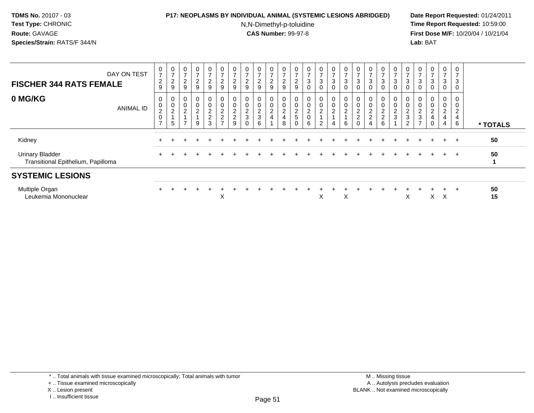## **P17: NEOPLASMS BY INDIVIDUAL ANIMAL (SYSTEMIC LESIONS ABRIDGED) Date Report Requested:** 01/24/2011

N,N-Dimethyl-p-toluidine

| DAY ON TEST<br><b>FISCHER 344 RATS FEMALE</b>                |                  | 0<br>$\overline{7}$<br>$\overline{c}$<br>9             | $\frac{0}{7}$<br>$\overline{c}$<br>9 | 0<br>$\rightarrow$<br>$\boldsymbol{2}$<br>9                        | 0<br>$\overline{ }$<br>$\frac{2}{9}$    | 0<br>$\overline{ }$<br>$\frac{2}{9}$ | $\mathbf 0$<br>$\overline{7}$<br>$\overline{2}$<br>9        | 0<br>$\rightarrow$<br>$\overline{c}$<br>9 | 0<br>$\overline{ }$<br>$\overline{c}$<br>$\boldsymbol{9}$ | 0<br>$\rightarrow$<br>$\overline{2}$<br>9 | 0<br>$\overline{ }$<br>$\sqrt{2}$<br>9         | 0<br>$\overline{z}$<br>$\overline{c}$<br>9                          | 0<br>$\overline{ }$<br>$\overline{c}$<br>9 | $\boldsymbol{0}$<br>$\overline{ }$<br>3<br>$\mathbf 0$     | 0<br>$\overline{ }$<br>$\mathbf{3}$<br>0             | 0<br>$\overline{ }$<br>3<br>0              | $\frac{0}{7}$<br>$\mathbf{3}$<br>$\mathbf 0$    | $\frac{0}{7}$<br>3<br>0                        | $\overline{ }$<br>3<br>0                | 0<br>$\overline{ }$<br>3<br>0 | $\frac{0}{7}$<br>$\sqrt{3}$<br>0                             | 0<br>$\rightarrow$<br>$\sqrt{3}$<br>0 | 0<br>$\overline{ }$<br>3<br>0        | 0<br>$\overline{ }$<br>3<br>0                           | $\mathbf 0$<br>$\overline{ }$<br>3<br>0 | 0<br>$\overline{ }$<br>3<br>0        |          |
|--------------------------------------------------------------|------------------|--------------------------------------------------------|--------------------------------------|--------------------------------------------------------------------|-----------------------------------------|--------------------------------------|-------------------------------------------------------------|-------------------------------------------|-----------------------------------------------------------|-------------------------------------------|------------------------------------------------|---------------------------------------------------------------------|--------------------------------------------|------------------------------------------------------------|------------------------------------------------------|--------------------------------------------|-------------------------------------------------|------------------------------------------------|-----------------------------------------|-------------------------------|--------------------------------------------------------------|---------------------------------------|--------------------------------------|---------------------------------------------------------|-----------------------------------------|--------------------------------------|----------|
| 0 MG/KG                                                      | <b>ANIMAL ID</b> | 0<br>$\mathbf 0$<br>2<br>$\mathbf 0$<br>$\overline{ }$ | 0<br>0<br>$\overline{c}$<br>5        | $\mathbf 0$<br>$\overline{\mathbf{c}}$<br>$\overline{\phantom{a}}$ | 0<br>$\pmb{0}$<br>$\boldsymbol{2}$<br>9 | 0<br>$\mathsf 0$<br>$\frac{2}{3}$    | $\mathbf 0$<br>$\pmb{0}$<br>$\frac{2}{2}$<br>$\overline{z}$ | $\mathbf 0$<br>2<br>$\sqrt{2}$<br>9       | 0<br>$\Omega$<br>∠<br>3<br>0                              | 0<br>$\overline{c}$<br>3<br>6             | 0<br>$\pmb{0}$<br>$\sqrt{2}$<br>$\overline{4}$ | $\mathbf 0$<br>$\mathbf 0$<br>$\overline{c}$<br>$\overline{4}$<br>8 | 0<br>$\mathbf 0$<br>$\frac{2}{5}$<br>0     | $\mathbf 0$<br>$\overline{\mathbf{c}}$<br>$\mathbf 0$<br>6 | 0<br>$\pmb{0}$<br>$\boldsymbol{2}$<br>$\overline{2}$ | 0<br>0<br>$\overline{c}$<br>$\overline{4}$ | $_{\rm 0}^{\rm 0}$<br>$\overline{c}$<br>$\,6\,$ | 0<br>$\pmb{0}$<br>$\frac{2}{2}$<br>$\mathbf 0$ | $\overline{c}$<br>$\boldsymbol{2}$<br>4 | 0<br>0<br>$\frac{2}{2}$<br>6  | $\begin{smallmatrix}0\0\0\end{smallmatrix}$<br>$\frac{2}{3}$ | 0<br>$\pmb{0}$<br>$\frac{2}{3}$<br>2  | 0<br>$\frac{2}{3}$<br>$\overline{ }$ | 0<br>$\pmb{0}$<br>$\overline{c}$<br>$\overline{4}$<br>0 | 0<br>0<br>$\overline{a}$<br>4<br>4      | $\Omega$<br>∠<br>$\overline{4}$<br>6 | * TOTALS |
| Kidney                                                       |                  |                                                        |                                      |                                                                    |                                         |                                      |                                                             |                                           |                                                           |                                           |                                                |                                                                     |                                            |                                                            |                                                      |                                            |                                                 |                                                |                                         |                               |                                                              |                                       |                                      |                                                         | ÷                                       | $+$                                  | 50       |
| <b>Urinary Bladder</b><br>Transitional Epithelium, Papilloma |                  |                                                        |                                      |                                                                    |                                         |                                      |                                                             |                                           |                                                           |                                           |                                                |                                                                     |                                            |                                                            |                                                      |                                            |                                                 |                                                |                                         |                               |                                                              |                                       |                                      |                                                         | $\div$                                  | $+$                                  | 50       |
| <b>SYSTEMIC LESIONS</b>                                      |                  |                                                        |                                      |                                                                    |                                         |                                      |                                                             |                                           |                                                           |                                           |                                                |                                                                     |                                            |                                                            |                                                      |                                            |                                                 |                                                |                                         |                               |                                                              |                                       |                                      |                                                         |                                         |                                      |          |
| Multiple Organ<br>Leukemia Mononuclear                       |                  | $\pm$                                                  |                                      |                                                                    |                                         |                                      | Χ                                                           |                                           |                                                           |                                           |                                                |                                                                     |                                            |                                                            | $\check{ }$<br>v                                     |                                            | X                                               |                                                |                                         |                               |                                                              | X                                     |                                      | X.                                                      | X                                       | $\div$                               | 50<br>15 |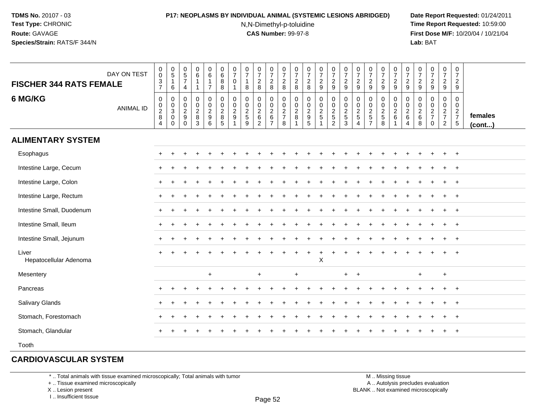## **P17: NEOPLASMS BY INDIVIDUAL ANIMAL (SYSTEMIC LESIONS ABRIDGED) Date Report Requested:** 01/24/2011

N,N-Dimethyl-p-toluidine

 **Time Report Requested:** 10:59:00 **First Dose M/F:** 10/20/04 / 10/21/04<br>**Lab:** BAT **Lab:** BAT

| <b>FISCHER 344 RATS FEMALE</b>  | DAY ON TEST      | $\mathbf 0$<br>$\boldsymbol{0}$<br>$\frac{3}{7}$ | $\frac{0}{5}$<br>$\mathbf{1}$<br>6                      | $\begin{array}{c} 0 \\ 5 \end{array}$<br>$\overline{7}$<br>$\overline{4}$ | $\begin{array}{c} 0 \\ 6 \end{array}$<br>$\mathbf{1}$ | $\begin{array}{c} 0 \\ 6 \end{array}$<br>$\overline{1}$<br>$\overline{7}$ | $\begin{array}{c} 0 \\ 6 \end{array}$<br>8<br>8                       | $\frac{0}{7}$<br>$\mathbf 0$<br>$\mathbf{1}$                       | $\frac{0}{7}$<br>$\mathbf{1}$<br>8                            | $\frac{0}{7}$<br>$\frac{2}{8}$    | $\frac{0}{7}$<br>$\frac{2}{8}$ | $\frac{0}{7}$<br>$\frac{2}{8}$               | $\frac{0}{7}$<br>$\frac{2}{8}$            | $\begin{smallmatrix}0\\7\end{smallmatrix}$<br>$\frac{2}{8}$  | $\frac{0}{7}$<br>$\frac{2}{9}$  | $\frac{0}{7}$<br>$\frac{2}{9}$ | $\begin{smallmatrix}0\\7\end{smallmatrix}$<br>$\frac{2}{9}$ | $\begin{array}{c} 0 \\ 7 \end{array}$<br>$\frac{2}{9}$ | $\frac{0}{7}$<br>$\frac{2}{9}$               | $\frac{0}{7}$<br>$\frac{2}{9}$ | $\frac{0}{7}$<br>$\frac{2}{9}$                              | $\begin{smallmatrix}0\\7\end{smallmatrix}$<br>$\frac{2}{9}$ | $\begin{smallmatrix}0\\7\end{smallmatrix}$<br>$\frac{2}{9}$ | $\frac{0}{7}$<br>$\frac{2}{9}$                         | $\begin{smallmatrix}0\\7\end{smallmatrix}$<br>$\frac{2}{9}$ | 0<br>$\overline{7}$<br>$\overline{2}$<br>9                 |                   |
|---------------------------------|------------------|--------------------------------------------------|---------------------------------------------------------|---------------------------------------------------------------------------|-------------------------------------------------------|---------------------------------------------------------------------------|-----------------------------------------------------------------------|--------------------------------------------------------------------|---------------------------------------------------------------|-----------------------------------|--------------------------------|----------------------------------------------|-------------------------------------------|--------------------------------------------------------------|---------------------------------|--------------------------------|-------------------------------------------------------------|--------------------------------------------------------|----------------------------------------------|--------------------------------|-------------------------------------------------------------|-------------------------------------------------------------|-------------------------------------------------------------|--------------------------------------------------------|-------------------------------------------------------------|------------------------------------------------------------|-------------------|
| 6 MG/KG                         | <b>ANIMAL ID</b> | $\mathbf 0$<br>$\mathbf 0$<br>$\frac{2}{8}$<br>4 | 0<br>$\begin{matrix}0\\3\\0\end{matrix}$<br>$\mathbf 0$ | 0<br>$\mathbf 0$<br>$\frac{2}{9}$<br>$\mathbf 0$                          | 0<br>$\pmb{0}$<br>$\frac{2}{3}$                       | 0<br>$\mathbf 0$<br>$\frac{2}{9}$<br>6                                    | $\pmb{0}$<br>$\pmb{0}$<br>$\overline{2}$<br>$\bf 8$<br>$\overline{5}$ | 0<br>$\mathbf 0$<br>$\sqrt{2}$<br>$\boldsymbol{9}$<br>$\mathbf{1}$ | $\pmb{0}$<br>$\mathbf 0$<br>$\frac{2}{5}$<br>$\boldsymbol{9}$ | 0<br>$\mathbf 0$<br>$\frac{2}{6}$ | 00267                          | $\pmb{0}$<br>$\pmb{0}$<br>$\frac{2}{7}$<br>8 | $\pmb{0}$<br>$\mathbf 0$<br>$\frac{2}{8}$ | $\pmb{0}$<br>$\begin{array}{c} 0 \\ 2 \\ 9 \\ 5 \end{array}$ | 0<br>$\pmb{0}$<br>$\frac{2}{5}$ | 00252                          | $\pmb{0}$<br>$\pmb{0}$<br>$\frac{2}{5}$<br>$\mathbf{3}$     | 0<br>0<br>$\frac{2}{5}$<br>$\overline{4}$              | $\boldsymbol{0}$<br>$0$<br>$2$<br>$5$<br>$7$ | 0<br>0<br>$\frac{2}{5}$<br>8   | $\mathbf 0$<br>$\pmb{0}$<br>$\frac{2}{6}$<br>$\overline{1}$ | 0<br>$\pmb{0}$<br>$^2\phantom{1}6$<br>$\overline{4}$        | 0<br>0<br>$\frac{2}{6}$<br>8                                | $\pmb{0}$<br>$\pmb{0}$<br>$\frac{2}{7}$<br>$\mathbf 0$ | 0<br>$\mathbf 0$<br>$rac{2}{7}$<br>$\overline{2}$           | $\mathsf 0$<br>$\mathbf 0$<br>$\frac{2}{7}$<br>$\,$ 5 $\,$ | females<br>(cont) |
| <b>ALIMENTARY SYSTEM</b>        |                  |                                                  |                                                         |                                                                           |                                                       |                                                                           |                                                                       |                                                                    |                                                               |                                   |                                |                                              |                                           |                                                              |                                 |                                |                                                             |                                                        |                                              |                                |                                                             |                                                             |                                                             |                                                        |                                                             |                                                            |                   |
| Esophagus                       |                  | +                                                |                                                         |                                                                           |                                                       |                                                                           |                                                                       |                                                                    |                                                               |                                   |                                |                                              |                                           |                                                              |                                 |                                |                                                             |                                                        |                                              |                                |                                                             |                                                             |                                                             |                                                        | $\pm$                                                       | $+$                                                        |                   |
| Intestine Large, Cecum          |                  |                                                  |                                                         |                                                                           |                                                       |                                                                           |                                                                       |                                                                    |                                                               |                                   |                                |                                              |                                           |                                                              |                                 |                                |                                                             |                                                        |                                              |                                |                                                             |                                                             |                                                             |                                                        |                                                             |                                                            |                   |
| Intestine Large, Colon          |                  |                                                  |                                                         |                                                                           |                                                       |                                                                           |                                                                       |                                                                    |                                                               |                                   |                                |                                              |                                           |                                                              |                                 |                                |                                                             |                                                        |                                              |                                |                                                             |                                                             |                                                             |                                                        |                                                             |                                                            |                   |
| Intestine Large, Rectum         |                  |                                                  |                                                         |                                                                           |                                                       |                                                                           |                                                                       |                                                                    |                                                               |                                   |                                |                                              |                                           |                                                              |                                 |                                |                                                             |                                                        |                                              |                                |                                                             |                                                             |                                                             |                                                        |                                                             | $+$                                                        |                   |
| Intestine Small, Duodenum       |                  |                                                  |                                                         |                                                                           |                                                       |                                                                           |                                                                       |                                                                    |                                                               |                                   |                                |                                              |                                           |                                                              |                                 |                                |                                                             |                                                        |                                              |                                |                                                             |                                                             |                                                             |                                                        | $\pm$                                                       | $^{+}$                                                     |                   |
| Intestine Small, Ileum          |                  |                                                  |                                                         |                                                                           |                                                       |                                                                           |                                                                       |                                                                    |                                                               |                                   |                                |                                              |                                           |                                                              |                                 |                                |                                                             |                                                        |                                              |                                |                                                             |                                                             |                                                             |                                                        |                                                             | $+$                                                        |                   |
| Intestine Small, Jejunum        |                  | $+$                                              |                                                         |                                                                           |                                                       |                                                                           |                                                                       |                                                                    |                                                               |                                   |                                |                                              |                                           |                                                              |                                 |                                |                                                             |                                                        |                                              |                                |                                                             |                                                             |                                                             |                                                        | $\ddot{}$                                                   | $+$                                                        |                   |
| Liver<br>Hepatocellular Adenoma |                  |                                                  |                                                         |                                                                           |                                                       |                                                                           |                                                                       |                                                                    |                                                               |                                   |                                |                                              |                                           | $\ddot{}$                                                    | $\ddot{}$<br>$\sf X$            |                                |                                                             |                                                        |                                              |                                |                                                             |                                                             |                                                             |                                                        |                                                             |                                                            |                   |
| Mesentery                       |                  |                                                  |                                                         |                                                                           |                                                       | $+$                                                                       |                                                                       |                                                                    |                                                               | $\ddot{}$                         |                                |                                              | $\ddot{}$                                 |                                                              |                                 |                                | $+$                                                         | $\ddot{}$                                              |                                              |                                |                                                             |                                                             | $+$                                                         |                                                        | $+$                                                         |                                                            |                   |
| Pancreas                        |                  |                                                  |                                                         |                                                                           |                                                       |                                                                           |                                                                       |                                                                    |                                                               |                                   |                                |                                              |                                           |                                                              |                                 |                                |                                                             |                                                        |                                              |                                |                                                             |                                                             |                                                             |                                                        |                                                             | $^{+}$                                                     |                   |
| <b>Salivary Glands</b>          |                  |                                                  |                                                         |                                                                           |                                                       |                                                                           |                                                                       |                                                                    |                                                               |                                   |                                |                                              |                                           |                                                              |                                 |                                |                                                             |                                                        |                                              |                                |                                                             |                                                             |                                                             |                                                        |                                                             | $+$                                                        |                   |
| Stomach, Forestomach            |                  |                                                  |                                                         |                                                                           |                                                       |                                                                           |                                                                       |                                                                    |                                                               |                                   |                                |                                              |                                           |                                                              |                                 |                                |                                                             |                                                        |                                              |                                |                                                             |                                                             |                                                             |                                                        |                                                             | $+$                                                        |                   |
| Stomach, Glandular              |                  |                                                  |                                                         |                                                                           |                                                       |                                                                           |                                                                       |                                                                    |                                                               |                                   |                                |                                              |                                           |                                                              |                                 |                                |                                                             |                                                        |                                              |                                |                                                             |                                                             |                                                             |                                                        | $\pm$                                                       | $+$                                                        |                   |
| Tooth                           |                  |                                                  |                                                         |                                                                           |                                                       |                                                                           |                                                                       |                                                                    |                                                               |                                   |                                |                                              |                                           |                                                              |                                 |                                |                                                             |                                                        |                                              |                                |                                                             |                                                             |                                                             |                                                        |                                                             |                                                            |                   |

## **CARDIOVASCULAR SYSTEM**

\* .. Total animals with tissue examined microscopically; Total animals with tumor

+ .. Tissue examined microscopically

X .. Lesion present

I .. Insufficient tissue

 M .. Missing tissuey the contract of the contract of the contract of the contract of the contract of  $\mathsf A$  . Autolysis precludes evaluation Lesion present BLANK .. Not examined microscopically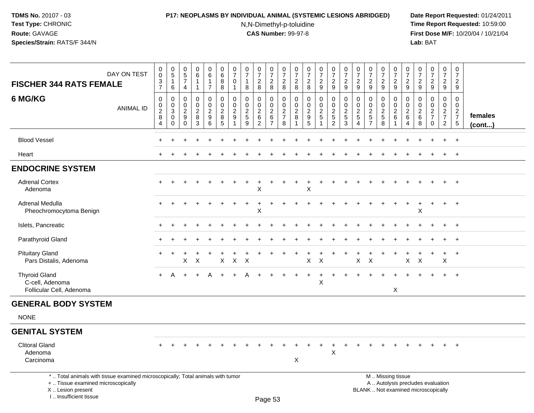### **P17: NEOPLASMS BY INDIVIDUAL ANIMAL (SYSTEMIC LESIONS ABRIDGED) Date Report Requested:** 01/24/2011

N,N-Dimethyl-p-toluidine

| DAY ON TEST<br><b>FISCHER 344 RATS FEMALE</b>                                                                                                                         |                  | $\pmb{0}$<br>$\ddot{\mathbf{0}}$<br>$\ensuremath{\mathsf{3}}$<br>$\overline{7}$ | $\begin{array}{c} 0 \\ 5 \end{array}$<br>$\mathbf{1}$<br>6 | $\begin{array}{c} 0 \\ 5 \end{array}$<br>$\overline{7}$<br>$\overline{4}$ | $\begin{array}{c} 0 \\ 6 \end{array}$<br>$\mathbf{1}$<br>1   | $\pmb{0}$<br>$6^{\circ}$<br>$\mathbf{1}$<br>$\overline{7}$ | $\pmb{0}$<br>$6\phantom{a}$<br>8<br>8                    | $\pmb{0}$<br>$\overline{7}$<br>$\mathbf 0$<br>-1 | $\pmb{0}$<br>$\overline{7}$<br>$\mathbf{1}$<br>8                  | $\frac{0}{7}$<br>$\overline{c}$<br>8                      | $\begin{array}{c} 0 \\ 7 \end{array}$<br>$\overline{2}$<br>8          | $\begin{array}{c} 0 \\ 7 \end{array}$<br>$\overline{c}$<br>8 | $\begin{smallmatrix}0\\7\end{smallmatrix}$<br>$\overline{c}$<br>8 | $\begin{array}{c} 0 \\ 7 \end{array}$<br>$\overline{c}$<br>$\,8\,$ | $\begin{array}{c} 0 \\ 7 \end{array}$<br>$\overline{2}$<br>9  | $\mathbf 0$<br>$\overline{7}$<br>$\overline{2}$<br>$9\,$           | $\frac{0}{7}$<br>$\boldsymbol{2}$<br>9       | $\begin{array}{c} 0 \\ 7 \end{array}$<br>$\overline{2}$<br>9     | $\begin{array}{c} 0 \\ 7 \end{array}$<br>$\overline{2}$<br>$9\,$ | $\begin{array}{c} 0 \\ 7 \end{array}$<br>$\overline{2}$<br>$\boldsymbol{9}$ | $\pmb{0}$<br>$\overline{7}$<br>$\overline{2}$<br>9                         | $\pmb{0}$<br>$\overline{7}$<br>$\overline{2}$<br>$9\,$       | $\pmb{0}$<br>$\overline{7}$<br>$\overline{2}$<br>$\boldsymbol{9}$ | $\frac{0}{7}$<br>$\overline{a}$<br>9             | $\begin{smallmatrix}0\\7\end{smallmatrix}$<br>$\overline{2}$<br>9 | $\pmb{0}$<br>$\overline{7}$<br>$\overline{2}$<br>9 |                   |
|-----------------------------------------------------------------------------------------------------------------------------------------------------------------------|------------------|---------------------------------------------------------------------------------|------------------------------------------------------------|---------------------------------------------------------------------------|--------------------------------------------------------------|------------------------------------------------------------|----------------------------------------------------------|--------------------------------------------------|-------------------------------------------------------------------|-----------------------------------------------------------|-----------------------------------------------------------------------|--------------------------------------------------------------|-------------------------------------------------------------------|--------------------------------------------------------------------|---------------------------------------------------------------|--------------------------------------------------------------------|----------------------------------------------|------------------------------------------------------------------|------------------------------------------------------------------|-----------------------------------------------------------------------------|----------------------------------------------------------------------------|--------------------------------------------------------------|-------------------------------------------------------------------|--------------------------------------------------|-------------------------------------------------------------------|----------------------------------------------------|-------------------|
| 6 MG/KG                                                                                                                                                               | <b>ANIMAL ID</b> | $\pmb{0}$<br>$\begin{smallmatrix} 0\\2\\8 \end{smallmatrix}$<br>$\overline{4}$  | 0<br>0<br>3<br>$\mathbf 0$<br>0                            | 0<br>$\mathbf 0$<br>$\overline{c}$<br>$\boldsymbol{9}$<br>$\Omega$        | $\mathsf 0$<br>$\mathbf 0$<br>$\overline{c}$<br>$\bf 8$<br>3 | $\mathbf 0$<br>0<br>$\overline{2}$<br>$9\,$<br>6           | $\pmb{0}$<br>$\pmb{0}$<br>$\overline{2}$<br>$\bf 8$<br>5 | $\pmb{0}$<br>$\mathbf 0$<br>$\overline{c}$<br>9  | $\pmb{0}$<br>$\mathbf 0$<br>$\overline{c}$<br>$\overline{5}$<br>9 | 0<br>$\mathbf 0$<br>$\overline{c}$<br>6<br>$\overline{2}$ | $\boldsymbol{0}$<br>$\mathbf 0$<br>$^2\phantom{0}6$<br>$\overline{7}$ | $\pmb{0}$<br>$\mathbf 0$<br>$\frac{2}{7}$<br>8               | $\mathsf 0$<br>$\mathbf 0$<br>$\overline{c}$<br>8                 | $\pmb{0}$<br>$\mathbf 0$<br>$\frac{2}{9}$<br>5                     | $\mathbf 0$<br>$\mathbf 0$<br>$\frac{2}{5}$<br>$\overline{ }$ | 0<br>$\mathbf 0$<br>$\overline{c}$<br>$\sqrt{5}$<br>$\overline{2}$ | $\pmb{0}$<br>$\pmb{0}$<br>$\frac{2}{5}$<br>3 | $\pmb{0}$<br>0<br>$\overline{2}$<br>$\sqrt{5}$<br>$\overline{4}$ | $\pmb{0}$<br>0<br>$\frac{2}{5}$<br>7                             | 0<br>$\mathbf 0$<br>$\frac{2}{5}$<br>8                                      | $\boldsymbol{0}$<br>$\mathbf 0$<br>$\overline{2}$<br>$6\phantom{1}6$<br>-1 | $\mathbf 0$<br>$\mathbf 0$<br>$\overline{c}$<br>$\,6\,$<br>4 | $\pmb{0}$<br>$\mathbf 0$<br>$\overline{c}$<br>$\,6$<br>8          | $\mathbf 0$<br>$\mathbf 0$<br>$\frac{2}{7}$<br>0 | $\pmb{0}$<br>$\mathbf 0$<br>$\frac{2}{7}$<br>$\overline{2}$       | $\pmb{0}$<br>$\mathbf 0$<br>$\frac{2}{7}$<br>$5\,$ | females<br>(cont) |
| <b>Blood Vessel</b>                                                                                                                                                   |                  |                                                                                 |                                                            |                                                                           |                                                              |                                                            |                                                          |                                                  |                                                                   |                                                           |                                                                       |                                                              |                                                                   |                                                                    |                                                               |                                                                    |                                              |                                                                  |                                                                  |                                                                             |                                                                            |                                                              |                                                                   |                                                  |                                                                   | $\overline{1}$                                     |                   |
| Heart                                                                                                                                                                 |                  |                                                                                 |                                                            |                                                                           |                                                              |                                                            |                                                          |                                                  |                                                                   |                                                           |                                                                       |                                                              |                                                                   |                                                                    |                                                               |                                                                    |                                              |                                                                  |                                                                  |                                                                             |                                                                            |                                                              |                                                                   |                                                  | $\ddot{}$                                                         | $^{+}$                                             |                   |
| <b>ENDOCRINE SYSTEM</b>                                                                                                                                               |                  |                                                                                 |                                                            |                                                                           |                                                              |                                                            |                                                          |                                                  |                                                                   |                                                           |                                                                       |                                                              |                                                                   |                                                                    |                                                               |                                                                    |                                              |                                                                  |                                                                  |                                                                             |                                                                            |                                                              |                                                                   |                                                  |                                                                   |                                                    |                   |
| <b>Adrenal Cortex</b><br>Adenoma                                                                                                                                      |                  |                                                                                 |                                                            |                                                                           |                                                              |                                                            |                                                          |                                                  |                                                                   | X                                                         |                                                                       |                                                              |                                                                   | X                                                                  |                                                               |                                                                    |                                              |                                                                  |                                                                  |                                                                             |                                                                            |                                                              |                                                                   |                                                  |                                                                   |                                                    |                   |
| <b>Adrenal Medulla</b><br>Pheochromocytoma Benign                                                                                                                     |                  |                                                                                 |                                                            |                                                                           |                                                              |                                                            |                                                          |                                                  |                                                                   | X                                                         |                                                                       |                                                              |                                                                   |                                                                    |                                                               |                                                                    |                                              |                                                                  |                                                                  |                                                                             |                                                                            |                                                              | х                                                                 |                                                  | $\ddot{}$                                                         | $\overline{1}$                                     |                   |
| Islets, Pancreatic                                                                                                                                                    |                  |                                                                                 |                                                            |                                                                           |                                                              |                                                            |                                                          |                                                  |                                                                   |                                                           |                                                                       |                                                              |                                                                   |                                                                    |                                                               |                                                                    |                                              |                                                                  |                                                                  |                                                                             |                                                                            |                                                              |                                                                   |                                                  |                                                                   | $^{+}$                                             |                   |
| Parathyroid Gland                                                                                                                                                     |                  |                                                                                 |                                                            |                                                                           |                                                              |                                                            |                                                          |                                                  |                                                                   |                                                           |                                                                       |                                                              |                                                                   |                                                                    |                                                               |                                                                    |                                              |                                                                  |                                                                  |                                                                             |                                                                            |                                                              |                                                                   |                                                  | ÷                                                                 | $+$                                                |                   |
| <b>Pituitary Gland</b><br>Pars Distalis, Adenoma                                                                                                                      |                  |                                                                                 |                                                            | X                                                                         | $\times$                                                     |                                                            | X                                                        | X                                                | X                                                                 |                                                           |                                                                       |                                                              |                                                                   | X                                                                  | X                                                             |                                                                    |                                              | X                                                                | X                                                                |                                                                             |                                                                            | X                                                            | Χ                                                                 |                                                  | $\ddot{}$<br>X                                                    | $^{+}$                                             |                   |
| <b>Thyroid Gland</b><br>C-cell, Adenoma<br>Follicular Cell, Adenoma                                                                                                   |                  | $+$                                                                             | A                                                          |                                                                           | $+$                                                          | A                                                          |                                                          | $\pm$                                            |                                                                   |                                                           |                                                                       |                                                              |                                                                   | $\div$                                                             | $\ddot{}$<br>$\sf X$                                          |                                                                    |                                              |                                                                  |                                                                  |                                                                             | $\div$<br>$\mathsf X$                                                      |                                                              |                                                                   | $\ddot{}$                                        | $+$                                                               | $+$                                                |                   |
| <b>GENERAL BODY SYSTEM</b>                                                                                                                                            |                  |                                                                                 |                                                            |                                                                           |                                                              |                                                            |                                                          |                                                  |                                                                   |                                                           |                                                                       |                                                              |                                                                   |                                                                    |                                                               |                                                                    |                                              |                                                                  |                                                                  |                                                                             |                                                                            |                                                              |                                                                   |                                                  |                                                                   |                                                    |                   |
| <b>NONE</b>                                                                                                                                                           |                  |                                                                                 |                                                            |                                                                           |                                                              |                                                            |                                                          |                                                  |                                                                   |                                                           |                                                                       |                                                              |                                                                   |                                                                    |                                                               |                                                                    |                                              |                                                                  |                                                                  |                                                                             |                                                                            |                                                              |                                                                   |                                                  |                                                                   |                                                    |                   |
| <b>GENITAL SYSTEM</b>                                                                                                                                                 |                  |                                                                                 |                                                            |                                                                           |                                                              |                                                            |                                                          |                                                  |                                                                   |                                                           |                                                                       |                                                              |                                                                   |                                                                    |                                                               |                                                                    |                                              |                                                                  |                                                                  |                                                                             |                                                                            |                                                              |                                                                   |                                                  |                                                                   |                                                    |                   |
| <b>Clitoral Gland</b><br>Adenoma<br>Carcinoma                                                                                                                         |                  |                                                                                 |                                                            |                                                                           |                                                              |                                                            |                                                          |                                                  |                                                                   |                                                           |                                                                       |                                                              | $\boldsymbol{\mathsf{X}}$                                         |                                                                    |                                                               | $\boldsymbol{\mathsf{X}}$                                          |                                              |                                                                  |                                                                  |                                                                             |                                                                            |                                                              |                                                                   |                                                  |                                                                   |                                                    |                   |
| *  Total animals with tissue examined microscopically; Total animals with tumor<br>+  Tissue examined microscopically<br>X  Lesion present<br>L., Insufficient tissue |                  |                                                                                 |                                                            |                                                                           |                                                              |                                                            |                                                          |                                                  |                                                                   |                                                           | Page 53                                                               |                                                              |                                                                   |                                                                    |                                                               |                                                                    |                                              |                                                                  | BLANK  Not examined microscopically                              |                                                                             | M  Missing tissue                                                          |                                                              |                                                                   | A  Autolysis precludes evaluation                |                                                                   |                                                    |                   |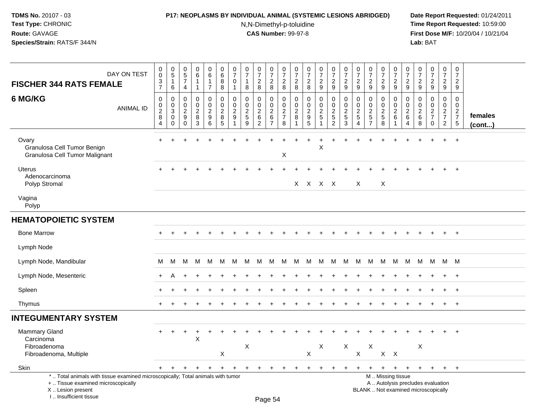### **P17: NEOPLASMS BY INDIVIDUAL ANIMAL (SYSTEMIC LESIONS ABRIDGED) Date Report Requested:** 01/24/2011

N,N-Dimethyl-p-toluidine

|                                                                                                                                                                       |                  |                                                                                  |                                                                                    |                                                            | 0                                                                 | $\boldsymbol{0}$                                           |                                                               |                                                      |                                                                 |                                                                     |                                                                       |                                                                             |                                                     |                                                                     |                                                                    |                                                                              |                                                                 |                                                         |                                                                    |                                                        |                                                                                               |                                                                    |                                                 |                                                                               |                                                         | 0                                                               |                   |
|-----------------------------------------------------------------------------------------------------------------------------------------------------------------------|------------------|----------------------------------------------------------------------------------|------------------------------------------------------------------------------------|------------------------------------------------------------|-------------------------------------------------------------------|------------------------------------------------------------|---------------------------------------------------------------|------------------------------------------------------|-----------------------------------------------------------------|---------------------------------------------------------------------|-----------------------------------------------------------------------|-----------------------------------------------------------------------------|-----------------------------------------------------|---------------------------------------------------------------------|--------------------------------------------------------------------|------------------------------------------------------------------------------|-----------------------------------------------------------------|---------------------------------------------------------|--------------------------------------------------------------------|--------------------------------------------------------|-----------------------------------------------------------------------------------------------|--------------------------------------------------------------------|-------------------------------------------------|-------------------------------------------------------------------------------|---------------------------------------------------------|-----------------------------------------------------------------|-------------------|
| <b>FISCHER 344 RATS FEMALE</b>                                                                                                                                        | DAY ON TEST      | $\begin{smallmatrix} 0\\0 \end{smallmatrix}$<br>$\frac{3}{7}$                    | $\begin{array}{c} 0 \\ 5 \end{array}$<br>$\mathbf{1}$                              | $\begin{array}{c} 0 \\ 5 \end{array}$<br>$\boldsymbol{7}$  | $\overline{6}$<br>$\mathbf{1}$                                    | $\overline{6}$<br>$\mathbf{1}$                             | $\begin{array}{c} 0 \\ 6 \end{array}$<br>$\overline{8}$       | $\begin{array}{c} 0 \\ 7 \end{array}$<br>$\mathbf 0$ | $\begin{array}{c} 0 \\ 7 \end{array}$<br>$\mathbf{1}$           | $\frac{0}{7}$<br>$\sqrt{2}$                                         | $\begin{array}{c} 0 \\ 7 \end{array}$<br>$\sqrt{2}$                   | $\frac{0}{7}$<br>$\boldsymbol{2}$                                           | $\begin{array}{c} 0 \\ 7 \end{array}$<br>$\sqrt{2}$ | $\frac{0}{7}$<br>$\sqrt{2}$                                         | $\begin{array}{c} 0 \\ 7 \end{array}$<br>$\frac{2}{9}$             | $\begin{array}{c} 0 \\ 7 \end{array}$<br>$\overline{2}$                      | $\frac{0}{7}$<br>$\sqrt{2}$                                     | $\begin{array}{c} 0 \\ 7 \end{array}$<br>$\overline{2}$ | $\frac{0}{7}$<br>$\overline{c}$                                    | $\begin{array}{c} 0 \\ 7 \end{array}$<br>$\frac{2}{9}$ | $\frac{0}{7}$<br>$\overline{2}$                                                               | $\frac{0}{7}$<br>$\frac{2}{9}$                                     | $\frac{0}{7}$<br>$\sqrt{2}$                     | $\frac{0}{7}$<br>$\frac{2}{9}$                                                | $\begin{array}{c} 0 \\ 7 \end{array}$<br>$\overline{2}$ | $\overline{7}$<br>$\overline{a}$                                |                   |
|                                                                                                                                                                       |                  |                                                                                  | 6                                                                                  | $\overline{4}$                                             | $\mathbf{1}$                                                      | $\overline{7}$                                             | 8                                                             | $\overline{1}$                                       | 8                                                               | 8                                                                   | 8                                                                     | 8                                                                           | 8                                                   | 8                                                                   |                                                                    | 9                                                                            | 9                                                               | 9                                                       | $9\,$                                                              |                                                        | 9                                                                                             |                                                                    | 9                                               |                                                                               | 9                                                       | 9                                                               |                   |
| 6 MG/KG                                                                                                                                                               | <b>ANIMAL ID</b> | $\boldsymbol{0}$<br>$\begin{smallmatrix} 0\\2 \end{smallmatrix}$<br>$\,8\,$<br>4 | $\mathbf 0$<br>$\mathbf 0$<br>$\ensuremath{\mathsf{3}}$<br>$\Omega$<br>$\mathbf 0$ | $\Omega$<br>$\mathbf 0$<br>$\overline{2}$<br>9<br>$\Omega$ | $\mathbf 0$<br>$\mathsf 0$<br>$\overline{2}$<br>8<br>$\mathbf{3}$ | 0<br>$\ddot{\mathbf{0}}$<br>$\overline{2}$<br>9<br>$\,6\,$ | $\mathbf 0$<br>$\pmb{0}$<br>$\overline{2}$<br>8<br>$\sqrt{5}$ | $\mathbf 0$<br>$\mathbf 0$<br>$\overline{2}$<br>9    | $\mathbf 0$<br>$\mathbf 0$<br>$\overline{2}$<br>$\sqrt{5}$<br>9 | $\mathbf 0$<br>$\mathbf 0$<br>$\overline{2}$<br>6<br>$\overline{2}$ | $\mathbf 0$<br>$\pmb{0}$<br>$\overline{2}$<br>$\,6$<br>$\overline{7}$ | $\mathbf 0$<br>$\mathsf{O}\xspace$<br>$\overline{2}$<br>$\overline{7}$<br>8 | $\mathbf 0$<br>$\mathbf 0$<br>$\overline{c}$<br>8   | $\mathbf 0$<br>$\pmb{0}$<br>$\overline{2}$<br>$\boldsymbol{9}$<br>5 | $\mathbf 0$<br>$\ddot{\mathbf{0}}$<br>$\frac{2}{5}$<br>$\mathbf 1$ | $\mathbf 0$<br>$\mathbf 0$<br>$\overline{2}$<br>$\sqrt{5}$<br>$\overline{c}$ | $\mathbf 0$<br>$\mathbf 0$<br>$\overline{c}$<br>$\sqrt{5}$<br>3 | $\mathbf 0$<br>$\mathbf 0$<br>$\frac{2}{5}$<br>4        | 0<br>$\mathbf 0$<br>$\overline{2}$<br>$\sqrt{5}$<br>$\overline{7}$ | $\pmb{0}$<br>$\frac{0}{2}$<br>$\sqrt{5}$<br>$\,8\,$    | $\mathbf 0$<br>$\mathsf 0$<br>$\overline{2}$<br>$\,6\,$<br>-1                                 | $\mathbf 0$<br>$\boldsymbol{0}$<br>$\frac{2}{6}$<br>$\overline{4}$ | $\Omega$<br>0<br>$\overline{2}$<br>$\,6\,$<br>8 | $\mathbf 0$<br>$\mathbf 0$<br>$\overline{2}$<br>$\overline{7}$<br>$\mathbf 0$ | 0<br>$\mathbf 0$<br>$\frac{2}{7}$<br>$\overline{2}$     | $\Omega$<br>0<br>$\sqrt{2}$<br>$\overline{7}$<br>$\overline{5}$ | females<br>(cont) |
| Ovary<br>Granulosa Cell Tumor Benign<br>Granulosa Cell Tumor Malignant                                                                                                |                  |                                                                                  |                                                                                    |                                                            |                                                                   |                                                            |                                                               |                                                      |                                                                 |                                                                     |                                                                       | Χ                                                                           |                                                     |                                                                     | $\mathsf X$                                                        |                                                                              |                                                                 |                                                         |                                                                    |                                                        |                                                                                               |                                                                    |                                                 |                                                                               |                                                         | $\ddot{}$                                                       |                   |
| <b>Uterus</b><br>Adenocarcinoma<br>Polyp Stromal                                                                                                                      |                  |                                                                                  |                                                                                    |                                                            |                                                                   |                                                            |                                                               |                                                      |                                                                 |                                                                     |                                                                       |                                                                             |                                                     | $X$ $X$ $X$ $X$                                                     |                                                                    |                                                                              |                                                                 | $\times$                                                |                                                                    | X                                                      |                                                                                               |                                                                    |                                                 |                                                                               |                                                         | $\div$                                                          |                   |
| Vagina<br>Polyp                                                                                                                                                       |                  |                                                                                  |                                                                                    |                                                            |                                                                   |                                                            |                                                               |                                                      |                                                                 |                                                                     |                                                                       |                                                                             |                                                     |                                                                     |                                                                    |                                                                              |                                                                 |                                                         |                                                                    |                                                        |                                                                                               |                                                                    |                                                 |                                                                               |                                                         |                                                                 |                   |
| <b>HEMATOPOIETIC SYSTEM</b>                                                                                                                                           |                  |                                                                                  |                                                                                    |                                                            |                                                                   |                                                            |                                                               |                                                      |                                                                 |                                                                     |                                                                       |                                                                             |                                                     |                                                                     |                                                                    |                                                                              |                                                                 |                                                         |                                                                    |                                                        |                                                                                               |                                                                    |                                                 |                                                                               |                                                         |                                                                 |                   |
| <b>Bone Marrow</b>                                                                                                                                                    |                  |                                                                                  | $\ddot{}$                                                                          |                                                            |                                                                   |                                                            |                                                               |                                                      |                                                                 |                                                                     |                                                                       |                                                                             |                                                     |                                                                     | $\ddot{}$                                                          |                                                                              |                                                                 |                                                         |                                                                    |                                                        | $\overline{1}$                                                                                | $\pm$                                                              | $\ddot{}$                                       | $\div$                                                                        | $+$                                                     | $+$                                                             |                   |
| Lymph Node                                                                                                                                                            |                  |                                                                                  |                                                                                    |                                                            |                                                                   |                                                            |                                                               |                                                      |                                                                 |                                                                     |                                                                       |                                                                             |                                                     |                                                                     |                                                                    |                                                                              |                                                                 |                                                         |                                                                    |                                                        |                                                                                               |                                                                    |                                                 |                                                                               |                                                         |                                                                 |                   |
| Lymph Node, Mandibular                                                                                                                                                |                  | M                                                                                | M                                                                                  | M                                                          | M                                                                 | M                                                          | M                                                             | м                                                    | M                                                               | M                                                                   | M                                                                     | M                                                                           | M                                                   | M                                                                   | M                                                                  | М                                                                            | M                                                               | M                                                       | M                                                                  | M                                                      | M                                                                                             | M                                                                  | M                                               | M                                                                             | M M                                                     |                                                                 |                   |
| Lymph Node, Mesenteric                                                                                                                                                |                  |                                                                                  |                                                                                    |                                                            |                                                                   |                                                            |                                                               |                                                      |                                                                 |                                                                     |                                                                       |                                                                             |                                                     |                                                                     |                                                                    |                                                                              |                                                                 |                                                         |                                                                    |                                                        |                                                                                               |                                                                    |                                                 |                                                                               |                                                         | $\ddot{}$                                                       |                   |
| Spleen                                                                                                                                                                |                  |                                                                                  |                                                                                    |                                                            |                                                                   |                                                            |                                                               |                                                      |                                                                 |                                                                     |                                                                       |                                                                             |                                                     |                                                                     |                                                                    |                                                                              |                                                                 |                                                         |                                                                    |                                                        |                                                                                               |                                                                    |                                                 |                                                                               |                                                         | $\div$                                                          |                   |
| Thymus                                                                                                                                                                |                  |                                                                                  |                                                                                    |                                                            |                                                                   |                                                            |                                                               |                                                      |                                                                 |                                                                     |                                                                       |                                                                             |                                                     |                                                                     |                                                                    |                                                                              |                                                                 |                                                         |                                                                    |                                                        |                                                                                               |                                                                    |                                                 |                                                                               |                                                         | $\ddot{}$                                                       |                   |
| <b>INTEGUMENTARY SYSTEM</b>                                                                                                                                           |                  |                                                                                  |                                                                                    |                                                            |                                                                   |                                                            |                                                               |                                                      |                                                                 |                                                                     |                                                                       |                                                                             |                                                     |                                                                     |                                                                    |                                                                              |                                                                 |                                                         |                                                                    |                                                        |                                                                                               |                                                                    |                                                 |                                                                               |                                                         |                                                                 |                   |
| <b>Mammary Gland</b><br>Carcinoma<br>Fibroadenoma<br>Fibroadenoma, Multiple                                                                                           |                  |                                                                                  |                                                                                    |                                                            | $\ddot{}$<br>$\sf X$                                              |                                                            | X                                                             |                                                      | X                                                               |                                                                     |                                                                       |                                                                             |                                                     | $\pmb{\times}$                                                      | X                                                                  |                                                                              | X                                                               | X                                                       | X                                                                  | $\mathsf X$                                            | $\mathsf{X}$                                                                                  |                                                                    | $\boldsymbol{\mathsf{X}}$                       |                                                                               |                                                         |                                                                 |                   |
| Skin                                                                                                                                                                  |                  | $+$                                                                              | $\ddot{}$                                                                          |                                                            | +                                                                 | $\ddot{}$                                                  | $\ddot{}$                                                     | +                                                    | $\ddot{}$                                                       | $\ddot{}$                                                           |                                                                       |                                                                             |                                                     | $\ddot{}$                                                           | $\ddot{}$                                                          | $\ddot{}$                                                                    | $\ddot{}$                                                       | $\ddot{}$                                               | +                                                                  | $+$                                                    | $+$                                                                                           | $+$                                                                | $+$                                             | $+$                                                                           | $+$                                                     | $+$                                                             |                   |
| *  Total animals with tissue examined microscopically; Total animals with tumor<br>+  Tissue examined microscopically<br>X  Lesion present<br>I., Insufficient tissue |                  |                                                                                  |                                                                                    |                                                            |                                                                   |                                                            |                                                               |                                                      |                                                                 |                                                                     | Page 54                                                               |                                                                             |                                                     |                                                                     |                                                                    |                                                                              |                                                                 |                                                         |                                                                    |                                                        | M  Missing tissue<br>A  Autolysis precludes evaluation<br>BLANK  Not examined microscopically |                                                                    |                                                 |                                                                               |                                                         |                                                                 |                   |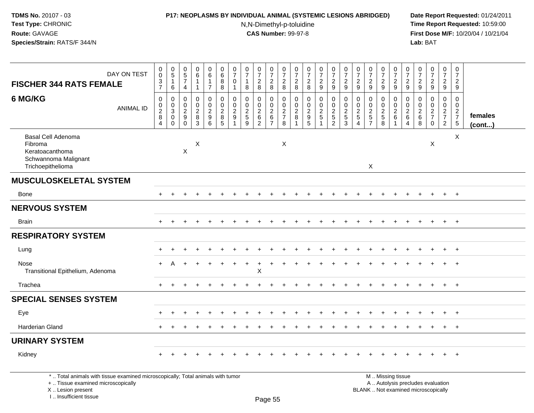I .. Insufficient tissue

# **P17: NEOPLASMS BY INDIVIDUAL ANIMAL (SYSTEMIC LESIONS ABRIDGED) Date Report Requested:** 01/24/2011

N,N-Dimethyl-p-toluidine

 **Time Report Requested:** 10:59:00 **First Dose M/F:** 10/20/04 / 10/21/04<br>**Lab:** BAT **Lab:** BAT

| DAY ON TEST<br><b>FISCHER 344 RATS FEMALE</b>                                                                                              | $_{\rm 0}^{\rm 0}$<br>$\overline{3}$<br>$\overline{7}$         | $\begin{array}{c} 0 \\ 5 \end{array}$<br>$\mathbf{1}$<br>6     | $\pmb{0}$<br>$\frac{5}{7}$<br>4                                       | $\begin{array}{c} 0 \\ 6 \end{array}$<br>$\mathbf{1}$<br>$\overline{1}$ | 0<br>6<br>$\mathbf{1}$<br>$\overline{7}$      | $\pmb{0}$<br>$\,6\,$<br>$\bf 8$<br>$\,8\,$             | 0<br>$\overline{7}$<br>$\mathbf 0$<br>1       | $\begin{array}{c} 0 \\ 7 \end{array}$<br>$\mathbf{1}$<br>8 | $\frac{0}{7}$<br>$\overline{c}$<br>8            | $\frac{0}{7}$<br>$\overline{2}$<br>8                | $\frac{0}{7}$<br>$\boldsymbol{2}$<br>8                 | $\frac{0}{7}$<br>$\boldsymbol{2}$<br>8 | $\frac{0}{7}$<br>$\boldsymbol{2}$<br>8                                                | $\frac{0}{7}$<br>$\overline{2}$<br>9             | $\begin{array}{c} 0 \\ 7 \end{array}$<br>$\overline{2}$<br>9 | $\frac{0}{7}$<br>$\overline{c}$<br>9                           | $\frac{0}{7}$<br>$\overline{c}$<br>9                           | $\begin{array}{c} 0 \\ 7 \end{array}$<br>$\boldsymbol{2}$<br>9 | $\begin{array}{c} 0 \\ 7 \end{array}$<br>$\boldsymbol{2}$<br>9          | $\begin{array}{c} 0 \\ 7 \end{array}$<br>$\overline{2}$<br>$\boldsymbol{9}$ | $\begin{array}{c} 0 \\ 7 \end{array}$<br>$\sqrt{2}$<br>9 | $\begin{array}{c} 0 \\ 7 \\ 2 \end{array}$<br>$\boldsymbol{9}$ | $\frac{0}{7}$<br>$\overline{c}$<br>9                                           | $\frac{0}{7}$<br>$\frac{2}{9}$                         | $\begin{array}{c} 0 \\ 7 \end{array}$<br>$\sqrt{2}$<br>9 |                         |
|--------------------------------------------------------------------------------------------------------------------------------------------|----------------------------------------------------------------|----------------------------------------------------------------|-----------------------------------------------------------------------|-------------------------------------------------------------------------|-----------------------------------------------|--------------------------------------------------------|-----------------------------------------------|------------------------------------------------------------|-------------------------------------------------|-----------------------------------------------------|--------------------------------------------------------|----------------------------------------|---------------------------------------------------------------------------------------|--------------------------------------------------|--------------------------------------------------------------|----------------------------------------------------------------|----------------------------------------------------------------|----------------------------------------------------------------|-------------------------------------------------------------------------|-----------------------------------------------------------------------------|----------------------------------------------------------|----------------------------------------------------------------|--------------------------------------------------------------------------------|--------------------------------------------------------|----------------------------------------------------------|-------------------------|
| 6 MG/KG<br><b>ANIMAL ID</b>                                                                                                                | 0<br>$\boldsymbol{0}$<br>$\overline{2}$<br>8<br>$\overline{4}$ | 0<br>$\mathbf 0$<br>$\overline{3}$<br>$\pmb{0}$<br>$\mathbf 0$ | $\mathbf 0$<br>0<br>$\overline{c}$<br>$\boldsymbol{9}$<br>$\mathbf 0$ | 0<br>$\mathbf 0$<br>$\sqrt{2}$<br>$\bf 8$<br>$\overline{3}$             | 0<br>0<br>$\sqrt{2}$<br>$\boldsymbol{9}$<br>6 | $\mathbf 0$<br>$\mathbf 0$<br>$\overline{c}$<br>8<br>5 | $\mathbf 0$<br>$\mathbf 0$<br>$\sqrt{2}$<br>9 | 0<br>$\pmb{0}$<br>$\sqrt{2}$<br>$\sqrt{5}$<br>9            | 0<br>0<br>$\overline{c}$<br>6<br>$\overline{2}$ | 0<br>$\mathbf 0$<br>$\overline{2}$<br>$\frac{6}{7}$ | $\mathbf 0$<br>$\mathbf 0$<br>$\frac{2}{7}$<br>$\,8\,$ | 0<br>0<br>$\sqrt{2}$<br>8              | $\mathbf 0$<br>$\mathbf 0$<br>$\overline{c}$<br>$\begin{array}{c} 9 \\ 5 \end{array}$ | 0<br>$\mathbf 0$<br>$\sqrt{2}$<br>$\overline{5}$ | 0<br>$\mathsf{O}\xspace$<br>$\frac{2}{5}$                    | 0<br>$\mathbf 0$<br>$\sqrt{2}$<br>$\sqrt{5}$<br>$\overline{3}$ | $\mathbf 0$<br>0<br>$\sqrt{2}$<br>$\sqrt{5}$<br>$\overline{4}$ | 0<br>$\mathbf 0$<br>$rac{2}{5}$                                | 0<br>$\mathbf 0$<br>$\sqrt{2}$<br>$\begin{array}{c} 5 \\ 8 \end{array}$ | $\mathbf 0$<br>$\mathbf 0$<br>$\overline{2}$<br>6<br>$\overline{1}$         | 0<br>0<br>$\sqrt{2}$<br>$\,6\,$<br>$\overline{4}$        | $\mathbf 0$<br>$\mathbf 0$<br>$\frac{2}{6}$<br>$\overline{8}$  | $\mathbf 0$<br>$\mathsf{O}$<br>$\overline{2}$<br>$\overline{7}$<br>$\mathbf 0$ | 0<br>$\overline{0}$<br>$\frac{2}{7}$<br>$\overline{2}$ | 0<br>$\mathbf 0$<br>$\frac{2}{7}$<br>$\,$ 5 $\,$         | females<br>$($ cont $)$ |
| Basal Cell Adenoma<br>Fibroma<br>Keratoacanthoma<br>Schwannoma Malignant<br>Trichoepithelioma                                              |                                                                |                                                                | $\pmb{\times}$                                                        | X                                                                       |                                               |                                                        |                                               |                                                            |                                                 |                                                     | $\boldsymbol{\mathsf{X}}$                              |                                        |                                                                                       |                                                  |                                                              |                                                                |                                                                | $\mathsf{X}$                                                   |                                                                         |                                                                             |                                                          |                                                                | X                                                                              |                                                        | $\mathsf X$                                              |                         |
| <b>MUSCULOSKELETAL SYSTEM</b>                                                                                                              |                                                                |                                                                |                                                                       |                                                                         |                                               |                                                        |                                               |                                                            |                                                 |                                                     |                                                        |                                        |                                                                                       |                                                  |                                                              |                                                                |                                                                |                                                                |                                                                         |                                                                             |                                                          |                                                                |                                                                                |                                                        |                                                          |                         |
| <b>Bone</b>                                                                                                                                |                                                                |                                                                |                                                                       |                                                                         |                                               |                                                        |                                               |                                                            |                                                 |                                                     |                                                        |                                        |                                                                                       |                                                  |                                                              |                                                                |                                                                |                                                                |                                                                         |                                                                             |                                                          |                                                                |                                                                                | $+$                                                    | $+$                                                      |                         |
| <b>NERVOUS SYSTEM</b>                                                                                                                      |                                                                |                                                                |                                                                       |                                                                         |                                               |                                                        |                                               |                                                            |                                                 |                                                     |                                                        |                                        |                                                                                       |                                                  |                                                              |                                                                |                                                                |                                                                |                                                                         |                                                                             |                                                          |                                                                |                                                                                |                                                        |                                                          |                         |
| <b>Brain</b>                                                                                                                               |                                                                |                                                                |                                                                       |                                                                         |                                               |                                                        |                                               |                                                            |                                                 |                                                     |                                                        |                                        |                                                                                       |                                                  |                                                              |                                                                |                                                                |                                                                |                                                                         |                                                                             |                                                          |                                                                |                                                                                |                                                        | $+$                                                      |                         |
| <b>RESPIRATORY SYSTEM</b>                                                                                                                  |                                                                |                                                                |                                                                       |                                                                         |                                               |                                                        |                                               |                                                            |                                                 |                                                     |                                                        |                                        |                                                                                       |                                                  |                                                              |                                                                |                                                                |                                                                |                                                                         |                                                                             |                                                          |                                                                |                                                                                |                                                        |                                                          |                         |
| Lung                                                                                                                                       |                                                                |                                                                |                                                                       |                                                                         |                                               |                                                        |                                               |                                                            |                                                 |                                                     |                                                        |                                        |                                                                                       |                                                  |                                                              |                                                                |                                                                |                                                                |                                                                         |                                                                             |                                                          |                                                                |                                                                                | $+$                                                    | $+$                                                      |                         |
| Nose<br>Transitional Epithelium, Adenoma                                                                                                   | $+$                                                            | A                                                              |                                                                       |                                                                         |                                               |                                                        |                                               | $\ddot{}$                                                  | $\overline{+}$<br>Χ                             |                                                     |                                                        |                                        |                                                                                       |                                                  |                                                              |                                                                |                                                                |                                                                |                                                                         |                                                                             |                                                          |                                                                |                                                                                |                                                        | $+$                                                      |                         |
| Trachea                                                                                                                                    | $+$                                                            |                                                                |                                                                       |                                                                         |                                               |                                                        |                                               |                                                            |                                                 |                                                     |                                                        |                                        |                                                                                       |                                                  |                                                              |                                                                |                                                                |                                                                |                                                                         |                                                                             |                                                          |                                                                |                                                                                | $+$                                                    | $+$                                                      |                         |
| <b>SPECIAL SENSES SYSTEM</b>                                                                                                               |                                                                |                                                                |                                                                       |                                                                         |                                               |                                                        |                                               |                                                            |                                                 |                                                     |                                                        |                                        |                                                                                       |                                                  |                                                              |                                                                |                                                                |                                                                |                                                                         |                                                                             |                                                          |                                                                |                                                                                |                                                        |                                                          |                         |
| Eye                                                                                                                                        |                                                                |                                                                |                                                                       |                                                                         |                                               |                                                        |                                               |                                                            |                                                 |                                                     |                                                        |                                        |                                                                                       |                                                  |                                                              |                                                                |                                                                |                                                                |                                                                         |                                                                             |                                                          |                                                                |                                                                                | $+$                                                    | $+$                                                      |                         |
| <b>Harderian Gland</b>                                                                                                                     |                                                                |                                                                |                                                                       |                                                                         |                                               |                                                        |                                               |                                                            |                                                 |                                                     |                                                        |                                        |                                                                                       |                                                  |                                                              |                                                                |                                                                |                                                                |                                                                         |                                                                             |                                                          |                                                                |                                                                                | $\ddot{}$                                              | $+$                                                      |                         |
| <b>URINARY SYSTEM</b>                                                                                                                      |                                                                |                                                                |                                                                       |                                                                         |                                               |                                                        |                                               |                                                            |                                                 |                                                     |                                                        |                                        |                                                                                       |                                                  |                                                              |                                                                |                                                                |                                                                |                                                                         |                                                                             |                                                          |                                                                |                                                                                |                                                        |                                                          |                         |
| Kidney                                                                                                                                     |                                                                |                                                                |                                                                       |                                                                         |                                               |                                                        |                                               |                                                            |                                                 |                                                     |                                                        |                                        |                                                                                       |                                                  |                                                              |                                                                |                                                                |                                                                |                                                                         |                                                                             |                                                          |                                                                |                                                                                |                                                        | $+$                                                      |                         |
| *  Total animals with tissue examined microscopically; Total animals with tumor<br>+  Tissue examined microscopically<br>X  Lesion present |                                                                |                                                                |                                                                       |                                                                         |                                               |                                                        |                                               |                                                            |                                                 |                                                     |                                                        |                                        |                                                                                       |                                                  |                                                              |                                                                |                                                                |                                                                |                                                                         | M  Missing tissue                                                           |                                                          |                                                                | A  Autolysis precludes evaluation<br>BLANK  Not examined microscopically       |                                                        |                                                          |                         |

Page 55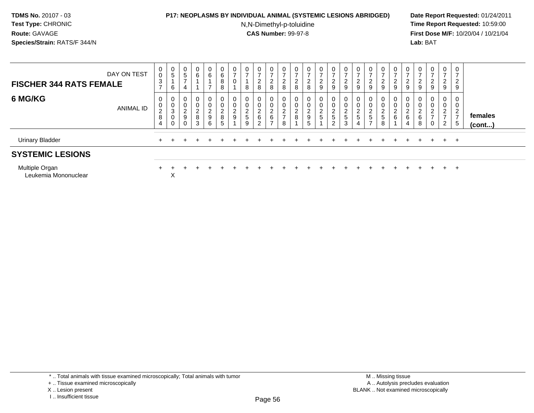### **P17: NEOPLASMS BY INDIVIDUAL ANIMAL (SYSTEMIC LESIONS ABRIDGED) Date Report Requested:** 01/24/2011

N,N-Dimethyl-p-toluidine

| DAY ON TEST<br><b>FISCHER 344 RATS FEMALE</b> | 0<br>$\mathsf 0$<br>$\mathbf{3}$<br>$\rightarrow$             | 0<br>5<br>6                                 | 0<br>5<br>$\overline{\phantom{a}}$        | $\mathbf{0}$<br>6                                             | $\overline{0}$<br>6<br>$\overline{ }$          | $\mathbf 0$<br>$\,6\,$<br>$\bf 8$<br>8                         | 0<br>$\rightarrow$<br>0 | $\overline{ }$<br>8 | 0<br>$\rightarrow$<br>$\overline{2}$<br>8            | 0 <sup>1</sup><br>$\rightarrow$<br>$\overline{c}$<br>8 | 0<br>$\frac{2}{8}$                                  | 0<br>$\overline{ }$<br>$_{\rm 8}^2$ | 0<br>$\overline{ }$<br>$\frac{2}{8}$                      | $\mathbf{0}$<br>$\rightarrow$<br>$\frac{2}{9}$ | 0<br>$\overline{ }$<br>$\frac{2}{9}$         | 0<br>$\rightarrow$<br>$\frac{2}{9}$             | $\epsilon$<br>9                | 0<br>$\frac{2}{9}$                             | 0<br>$\overline{ }$<br>2<br>9               | 0<br>$\overline{c}$<br>9                              | $\overline{0}$<br>$\sqrt{2}$<br>$\epsilon$<br>9 | 0<br>$\overline{ }$<br>∠<br>9         | 0<br>-<br>$\overline{a}$<br>9                   | 0<br>$\overline{ }$<br>$\overline{2}$<br>9         | 0<br>$\overline{ }$<br>$\overline{2}$<br>$9\,$  |                         |
|-----------------------------------------------|---------------------------------------------------------------|---------------------------------------------|-------------------------------------------|---------------------------------------------------------------|------------------------------------------------|----------------------------------------------------------------|-------------------------|---------------------|------------------------------------------------------|--------------------------------------------------------|-----------------------------------------------------|-------------------------------------|-----------------------------------------------------------|------------------------------------------------|----------------------------------------------|-------------------------------------------------|--------------------------------|------------------------------------------------|---------------------------------------------|-------------------------------------------------------|-------------------------------------------------|---------------------------------------|-------------------------------------------------|----------------------------------------------------|-------------------------------------------------|-------------------------|
| 6 MG/KG<br><b>ANIMAL ID</b>                   | 0<br>$\pmb{0}$<br>$\overline{c}$<br>$\bf 8$<br>$\overline{4}$ | $\overline{0}$<br>0<br>$\sqrt{3}$<br>0<br>0 | 0<br>0<br>$\overline{c}$<br>9<br>$\Omega$ | $\mathbf{0}$<br>$\mathbf 0$<br>$_{8}^{\rm 2}$<br>$\mathbf{3}$ | $\mathbf 0$<br>$\pmb{0}$<br>$\frac{2}{9}$<br>6 | $\mathbf 0$<br>$\begin{array}{c} 0 \\ 2 \\ 8 \end{array}$<br>5 | 0<br>0<br>$\frac{2}{9}$ | $rac{2}{5}$         | $\mathbf{0}$<br>0<br>$\overline{c}$<br>6<br>$\Omega$ | 0<br>0<br>$\overline{c}$<br>6<br>-                     | 0<br>$\pmb{0}$<br>$\sqrt{2}$<br>$\overline{ }$<br>8 | 0<br>0<br>$\overline{c}$<br>$\,8\,$ | 0<br>$\pmb{0}$<br>$\overline{c}$<br>$\boldsymbol{9}$<br>5 | 0<br>$\pmb{0}$<br>$rac{2}{5}$                  | $\pmb{0}$<br>$\frac{2}{5}$<br>$\overline{2}$ | $\mathbf{0}$<br>$\pmb{0}$<br>$\frac{2}{5}$<br>3 | 0<br>◠<br>ے<br>$\sqrt{5}$<br>4 | 0<br>$\pmb{0}$<br>$\overline{c}$<br>$\sqrt{5}$ | 0<br>0<br>$\overline{\mathbf{c}}$<br>5<br>8 | $\mathbf 0$<br>$\pmb{0}$<br>$\overline{2}$<br>$\,6\,$ | 0<br>$\sim$<br>$\epsilon$<br>6<br>4             | 0<br>$\boldsymbol{2}$<br>$\,6\,$<br>8 | 0<br>0<br>$\overline{2}$<br>-<br>$\overline{0}$ | 0<br>0<br>$\Omega$<br>$\epsilon$<br>2 <sup>7</sup> | 0<br>0<br>$\overline{2}$<br>$\overline{ }$<br>5 | females<br>$($ cont $)$ |
| <b>Urinary Bladder</b>                        |                                                               |                                             |                                           |                                                               |                                                |                                                                |                         |                     |                                                      |                                                        |                                                     |                                     |                                                           |                                                |                                              |                                                 |                                |                                                |                                             |                                                       |                                                 |                                       | $+$                                             | $+$                                                | $+$                                             |                         |
| <b>SYSTEMIC LESIONS</b>                       |                                                               |                                             |                                           |                                                               |                                                |                                                                |                         |                     |                                                      |                                                        |                                                     |                                     |                                                           |                                                |                                              |                                                 |                                |                                                |                                             |                                                       |                                                 |                                       |                                                 |                                                    |                                                 |                         |
| Multiple Organ<br>Leukemia Mononuclear        |                                                               | Х                                           |                                           |                                                               |                                                |                                                                |                         |                     |                                                      |                                                        |                                                     |                                     |                                                           |                                                |                                              |                                                 |                                |                                                |                                             |                                                       |                                                 |                                       | $+$                                             | $+$                                                | $+$                                             |                         |

<sup>+ ..</sup> Tissue examined microscopically

X .. Lesion present

I .. Insufficient tissue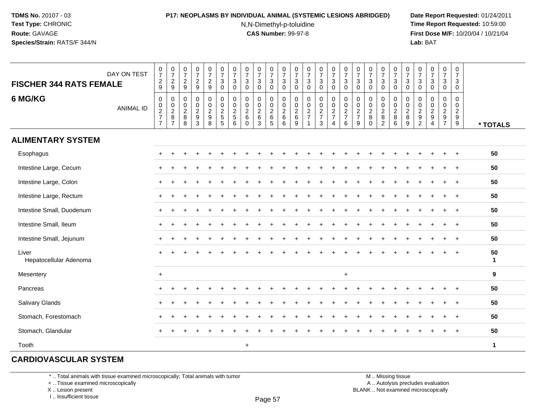### **P17: NEOPLASMS BY INDIVIDUAL ANIMAL (SYSTEMIC LESIONS ABRIDGED) Date Report Requested:** 01/24/2011

N,N-Dimethyl-p-toluidine

 **Time Report Requested:** 10:59:00 **First Dose M/F:** 10/20/04 / 10/21/04<br>**Lab:** BAT **Lab:** BAT

| DAY ON TEST<br><b>FISCHER 344 RATS FEMALE</b> | $\frac{0}{7}$<br>$\frac{2}{9}$                                              | $\frac{0}{7}$<br>$\frac{2}{9}$                       | 0<br>$\boldsymbol{7}$<br>$\frac{2}{9}$             | $\frac{0}{7}$<br>$\frac{2}{9}$   | $\begin{smallmatrix}0\\7\end{smallmatrix}$<br>$\frac{2}{9}$ | $\frac{0}{7}$<br>3<br>$\mathbf 0$                 | $\frac{0}{7}$<br>$\mathbf{3}$<br>$\mathbf 0$                | $\pmb{0}$<br>$\overline{7}$<br>$\sqrt{3}$<br>$\mathbf 0$                 | $\begin{array}{c} 0 \\ 7 \end{array}$<br>$\ensuremath{\mathsf{3}}$<br>$\mathbf 0$ | $\frac{0}{7}$<br>$\sqrt{3}$<br>$\mathbf 0$                | $\frac{0}{7}$<br>$\mathbf 3$<br>$\Omega$                                    | 0<br>$\overline{7}$<br>$\mathbf{3}$<br>$\Omega$        | $\frac{0}{7}$<br>$\sqrt{3}$<br>$\mathbf 0$                         | $\frac{0}{7}$<br>3<br>$\mathbf 0$            | $\frac{0}{7}$<br>$\sqrt{3}$<br>$\mathbf 0$     | $\frac{0}{7}$<br>$\mathbf{3}$<br>$\Omega$ | $\frac{0}{7}$<br>$\mathbf{3}$<br>$\Omega$         | $\frac{0}{7}$<br>$\sqrt{3}$<br>$\Omega$ | $\frac{0}{7}$<br>$\ensuremath{\mathsf{3}}$<br>$\mathbf 0$                      | $\frac{0}{7}$<br>$\ensuremath{\mathsf{3}}$<br>$\mathbf 0$      | $\frac{0}{7}$<br>$\mathbf{3}$<br>$\Omega$              | $\frac{0}{7}$<br>$\mathbf{3}$<br>$\mathbf 0$                             | $\frac{0}{7}$<br>$\mathsf 3$<br>$\mathbf 0$                                              | $\frac{0}{7}$<br>$\mathbf{3}$<br>0 | 0<br>$\overline{7}$<br>$\mathbf{3}$<br>0            |              |
|-----------------------------------------------|-----------------------------------------------------------------------------|------------------------------------------------------|----------------------------------------------------|----------------------------------|-------------------------------------------------------------|---------------------------------------------------|-------------------------------------------------------------|--------------------------------------------------------------------------|-----------------------------------------------------------------------------------|-----------------------------------------------------------|-----------------------------------------------------------------------------|--------------------------------------------------------|--------------------------------------------------------------------|----------------------------------------------|------------------------------------------------|-------------------------------------------|---------------------------------------------------|-----------------------------------------|--------------------------------------------------------------------------------|----------------------------------------------------------------|--------------------------------------------------------|--------------------------------------------------------------------------|------------------------------------------------------------------------------------------|------------------------------------|-----------------------------------------------------|--------------|
| 6 MG/KG<br><b>ANIMAL ID</b>                   | $\mathbf 0$<br>$\begin{array}{c} 0 \\ 2 \\ 7 \end{array}$<br>$\overline{7}$ | $\mathbf 0$<br>$_{2}^{\rm 0}$<br>8<br>$\overline{7}$ | $\mathbf 0$<br>0<br>$\overline{2}$<br>8<br>$\,8\,$ | $\mathbf 0$<br>$0$<br>$9$<br>$3$ | 0<br>$\mathbf 0$<br>$\overline{2}$<br>$\boldsymbol{9}$<br>8 | $\mathbf 0$<br>$\mathsf{O}$<br>$\frac{2}{5}$<br>5 | 0<br>$\begin{smallmatrix} 0\\2 \end{smallmatrix}$<br>5<br>6 | 0<br>$\begin{smallmatrix} 0\\2 \end{smallmatrix}$<br>$\,6\,$<br>$\Omega$ | $\mathbf 0$<br>$\begin{array}{c} 0 \\ 2 \\ 6 \end{array}$<br>$\sqrt{3}$           | 0<br>$\pmb{0}$<br>$\overline{2}$<br>$\,6\,$<br>$\sqrt{5}$ | $\mathbf 0$<br>$\begin{smallmatrix} 0\\2 \end{smallmatrix}$<br>$\,6\,$<br>6 | $\mathbf 0$<br>$\pmb{0}$<br>$\sqrt{2}$<br>$\,6\,$<br>9 | 0<br>$\pmb{0}$<br>$\sqrt{2}$<br>$\boldsymbol{7}$<br>$\overline{1}$ | $\pmb{0}$<br>$\frac{0}{2}$<br>$\mathfrak{Z}$ | $\mathbf 0$<br>$\frac{0}{2}$<br>$\overline{4}$ | $\pmb{0}$<br>$\frac{0}{2}$<br>6           | 0<br>0<br>$\boldsymbol{2}$<br>$\overline{7}$<br>9 | 0<br>$_{2}^{\rm 0}$<br>8<br>$\Omega$    | 0<br>$\begin{smallmatrix} 0\\2 \end{smallmatrix}$<br>$\bf 8$<br>$\overline{c}$ | $\mathbf 0$<br>$\begin{array}{c} 0 \\ 2 \\ 8 \end{array}$<br>6 | $\mathbf 0$<br>$\mathbf 0$<br>$\overline{c}$<br>8<br>9 | $\mathbf 0$<br>0<br>$\overline{2}$<br>$\boldsymbol{9}$<br>$\overline{c}$ | 0<br>$\begin{smallmatrix} 0\\ 2 \end{smallmatrix}$<br>$\boldsymbol{9}$<br>$\overline{4}$ | 0<br>$0$<br>$2$<br>$9$<br>$7$      | 0<br>$\mathbf 0$<br>$\overline{2}$<br>$\frac{9}{9}$ | * TOTALS     |
| <b>ALIMENTARY SYSTEM</b>                      |                                                                             |                                                      |                                                    |                                  |                                                             |                                                   |                                                             |                                                                          |                                                                                   |                                                           |                                                                             |                                                        |                                                                    |                                              |                                                |                                           |                                                   |                                         |                                                                                |                                                                |                                                        |                                                                          |                                                                                          |                                    |                                                     |              |
| Esophagus                                     | $\pm$                                                                       |                                                      |                                                    |                                  |                                                             |                                                   |                                                             |                                                                          |                                                                                   |                                                           |                                                                             |                                                        |                                                                    |                                              |                                                |                                           |                                                   |                                         |                                                                                |                                                                |                                                        |                                                                          |                                                                                          |                                    | $\overline{1}$                                      | 50           |
| Intestine Large, Cecum                        |                                                                             |                                                      |                                                    |                                  |                                                             |                                                   |                                                             |                                                                          |                                                                                   |                                                           |                                                                             |                                                        |                                                                    |                                              |                                                |                                           |                                                   |                                         |                                                                                |                                                                |                                                        |                                                                          |                                                                                          |                                    |                                                     | 50           |
| Intestine Large, Colon                        |                                                                             |                                                      |                                                    |                                  |                                                             |                                                   |                                                             |                                                                          |                                                                                   |                                                           |                                                                             |                                                        |                                                                    |                                              |                                                |                                           |                                                   |                                         |                                                                                |                                                                |                                                        |                                                                          |                                                                                          |                                    | $\overline{1}$                                      | 50           |
| Intestine Large, Rectum                       |                                                                             |                                                      |                                                    |                                  |                                                             |                                                   |                                                             |                                                                          |                                                                                   |                                                           |                                                                             |                                                        |                                                                    |                                              |                                                |                                           |                                                   |                                         |                                                                                |                                                                |                                                        |                                                                          |                                                                                          | $\pm$                              | $+$                                                 | 50           |
| Intestine Small, Duodenum                     |                                                                             |                                                      |                                                    |                                  |                                                             |                                                   |                                                             |                                                                          |                                                                                   |                                                           |                                                                             |                                                        |                                                                    |                                              |                                                |                                           |                                                   |                                         |                                                                                |                                                                |                                                        |                                                                          |                                                                                          |                                    | $\ddot{}$                                           | 50           |
| Intestine Small, Ileum                        | $+$                                                                         | $\ddot{}$                                            |                                                    |                                  |                                                             |                                                   |                                                             |                                                                          |                                                                                   |                                                           |                                                                             |                                                        |                                                                    |                                              |                                                |                                           |                                                   |                                         |                                                                                |                                                                |                                                        |                                                                          |                                                                                          |                                    | $\ddot{}$                                           | 50           |
| Intestine Small, Jejunum                      | $+$                                                                         |                                                      |                                                    |                                  |                                                             |                                                   |                                                             |                                                                          |                                                                                   |                                                           |                                                                             |                                                        |                                                                    |                                              |                                                |                                           |                                                   |                                         |                                                                                |                                                                |                                                        |                                                                          |                                                                                          |                                    |                                                     | 50           |
| Liver<br>Hepatocellular Adenoma               |                                                                             |                                                      |                                                    |                                  |                                                             |                                                   |                                                             |                                                                          |                                                                                   |                                                           |                                                                             |                                                        |                                                                    |                                              |                                                |                                           |                                                   |                                         |                                                                                |                                                                |                                                        |                                                                          |                                                                                          |                                    | $\overline{+}$                                      | 50<br>1      |
| Mesentery                                     | $\ddot{}$                                                                   |                                                      |                                                    |                                  |                                                             |                                                   |                                                             |                                                                          |                                                                                   |                                                           |                                                                             |                                                        |                                                                    |                                              |                                                | $\ddot{}$                                 |                                                   |                                         |                                                                                |                                                                |                                                        |                                                                          |                                                                                          |                                    |                                                     | 9            |
| Pancreas                                      |                                                                             |                                                      |                                                    |                                  |                                                             |                                                   |                                                             |                                                                          |                                                                                   |                                                           |                                                                             |                                                        |                                                                    |                                              |                                                |                                           |                                                   |                                         |                                                                                |                                                                |                                                        |                                                                          |                                                                                          |                                    |                                                     | 50           |
| <b>Salivary Glands</b>                        |                                                                             |                                                      |                                                    |                                  |                                                             |                                                   |                                                             |                                                                          |                                                                                   |                                                           |                                                                             |                                                        |                                                                    |                                              |                                                |                                           |                                                   |                                         |                                                                                |                                                                |                                                        |                                                                          |                                                                                          |                                    |                                                     | 50           |
| Stomach, Forestomach                          | $\pm$                                                                       | $\div$                                               |                                                    |                                  |                                                             |                                                   |                                                             |                                                                          |                                                                                   |                                                           |                                                                             |                                                        |                                                                    |                                              |                                                |                                           |                                                   |                                         |                                                                                |                                                                |                                                        |                                                                          |                                                                                          |                                    |                                                     | 50           |
| Stomach, Glandular                            |                                                                             |                                                      |                                                    |                                  |                                                             |                                                   |                                                             |                                                                          |                                                                                   |                                                           |                                                                             |                                                        |                                                                    |                                              |                                                |                                           |                                                   |                                         |                                                                                |                                                                |                                                        |                                                                          |                                                                                          |                                    |                                                     | 50           |
| Tooth                                         |                                                                             |                                                      |                                                    |                                  |                                                             |                                                   |                                                             | $\ddot{}$                                                                |                                                                                   |                                                           |                                                                             |                                                        |                                                                    |                                              |                                                |                                           |                                                   |                                         |                                                                                |                                                                |                                                        |                                                                          |                                                                                          |                                    |                                                     | $\mathbf{1}$ |

# **CARDIOVASCULAR SYSTEM**

\* .. Total animals with tissue examined microscopically; Total animals with tumor

+ .. Tissue examined microscopically

X .. Lesion present

I .. Insufficient tissue

 M .. Missing tissuey the contract of the contract of the contract of the contract of the contract of  $\mathsf A$  . Autolysis precludes evaluation Lesion present BLANK .. Not examined microscopically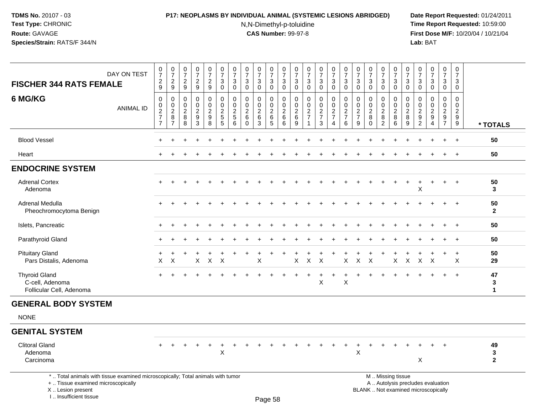### **P17: NEOPLASMS BY INDIVIDUAL ANIMAL (SYSTEMIC LESIONS ABRIDGED) Date Report Requested:** 01/24/2011

N,N-Dimethyl-p-toluidine

| <b>FISCHER 344 RATS FEMALE</b>                                                                                                                                      | DAY ON TEST      | $\begin{smallmatrix}0\\7\end{smallmatrix}$<br>$\overline{\mathbf{c}}$<br>9 | $\frac{0}{7}$<br>$\frac{2}{9}$                          | $\begin{array}{c} 0 \\ 7 \end{array}$<br>$\overline{c}$<br>9 | $\frac{0}{7}$<br>$\overline{c}$<br>9                                  | $\frac{0}{7}$<br>$\frac{2}{9}$                          | $\begin{matrix} 0 \\ 7 \end{matrix}$<br>$\sqrt{3}$<br>$\mathbf 0$            | $\frac{0}{7}$<br>3<br>0                                      | $\frac{0}{7}$<br>$\sqrt{3}$<br>$\mathbf 0$      | $\pmb{0}$<br>$\overline{7}$<br>3<br>0                     | $\frac{0}{7}$<br>$\mathbf{3}$<br>$\mathbf 0$           | $\frac{0}{7}$<br>$\sqrt{3}$<br>$\mathsf 0$                     | 0<br>$\overline{7}$<br>3<br>0                       | $\pmb{0}$<br>$\overline{7}$<br>3<br>$\mathbf 0$                           | $\frac{0}{7}$<br>3<br>0                                   | $\begin{smallmatrix}0\\7\end{smallmatrix}$<br>3<br>0                         | $\pmb{0}$<br>$\overline{7}$<br>$\mathbf{3}$<br>$\mathbf 0$    | 0<br>$\overline{7}$<br>$\sqrt{3}$<br>$\mathbf 0$                | $\begin{array}{c} 0 \\ 7 \end{array}$<br>3<br>$\mathbf 0$           | $\frac{0}{7}$<br>3<br>$\mathbf 0$                                | $\frac{0}{7}$<br>$\mathbf{3}$<br>0                 | 0<br>$\overline{7}$<br>3<br>$\mathbf 0$   | 0<br>$\overline{7}$<br>$\sqrt{3}$<br>0                                  | $\begin{smallmatrix}0\\7\end{smallmatrix}$<br>$\sqrt{3}$<br>0                   | $\frac{0}{7}$<br>$\mathbf{3}$<br>$\mathbf 0$                      | $\pmb{0}$<br>$\overline{7}$<br>3<br>$\mathbf 0$     |                                   |
|---------------------------------------------------------------------------------------------------------------------------------------------------------------------|------------------|----------------------------------------------------------------------------|---------------------------------------------------------|--------------------------------------------------------------|-----------------------------------------------------------------------|---------------------------------------------------------|------------------------------------------------------------------------------|--------------------------------------------------------------|-------------------------------------------------|-----------------------------------------------------------|--------------------------------------------------------|----------------------------------------------------------------|-----------------------------------------------------|---------------------------------------------------------------------------|-----------------------------------------------------------|------------------------------------------------------------------------------|---------------------------------------------------------------|-----------------------------------------------------------------|---------------------------------------------------------------------|------------------------------------------------------------------|----------------------------------------------------|-------------------------------------------|-------------------------------------------------------------------------|---------------------------------------------------------------------------------|-------------------------------------------------------------------|-----------------------------------------------------|-----------------------------------|
| 6 MG/KG                                                                                                                                                             | <b>ANIMAL ID</b> | $\Omega$<br>$\mathbf 0$<br>$\frac{2}{7}$<br>$\overline{7}$                 | 0<br>$\pmb{0}$<br>$\overline{2}$<br>8<br>$\overline{7}$ | $\Omega$<br>0<br>$\sqrt{2}$<br>8<br>8                        | $\mathbf 0$<br>$\pmb{0}$<br>$\boldsymbol{2}$<br>$\boldsymbol{9}$<br>3 | 0<br>$\mathbf 0$<br>$\sqrt{2}$<br>$\boldsymbol{9}$<br>8 | $\mathbf 0$<br>$\mathbf 0$<br>$\sqrt{2}$<br>$\overline{5}$<br>$5\phantom{1}$ | $\Omega$<br>$\mathbf 0$<br>$\overline{c}$<br>$\sqrt{5}$<br>6 | $\mathbf 0$<br>0<br>$\sqrt{2}$<br>6<br>$\Omega$ | 0<br>$\mathbf 0$<br>$\overline{c}$<br>$6\phantom{1}$<br>3 | $\mathbf 0$<br>$\mathbf 0$<br>$\overline{c}$<br>6<br>5 | $\mathbf 0$<br>$\mathbf 0$<br>$\boldsymbol{2}$<br>$\,6\,$<br>6 | $\Omega$<br>$\mathbf 0$<br>$\overline{c}$<br>6<br>9 | $\Omega$<br>$\mathbf 0$<br>$\sqrt{2}$<br>$\overline{7}$<br>$\overline{1}$ | $\mathbf 0$<br>0<br>$\overline{2}$<br>$\overline{7}$<br>3 | $\mathbf 0$<br>$\mathbf 0$<br>$\sqrt{2}$<br>$\overline{7}$<br>$\overline{4}$ | $\mathbf 0$<br>$\pmb{0}$<br>$\sqrt{2}$<br>$\overline{7}$<br>6 | $\mathbf 0$<br>$\mathbf 0$<br>$\sqrt{2}$<br>$\overline{7}$<br>9 | $\mathbf{0}$<br>$\mathbf 0$<br>$\overline{c}$<br>$\bf8$<br>$\Omega$ | $\Omega$<br>$\mathbf 0$<br>$\overline{2}$<br>8<br>$\overline{2}$ | $\mathbf 0$<br>$\mathbf 0$<br>$\sqrt{2}$<br>8<br>6 | $\Omega$<br>0<br>$\overline{c}$<br>8<br>9 | $\Omega$<br>0<br>$\boldsymbol{2}$<br>$\boldsymbol{9}$<br>$\overline{2}$ | $\Omega$<br>$\mathbf 0$<br>$\overline{2}$<br>$\boldsymbol{9}$<br>$\overline{A}$ | $\mathbf 0$<br>$\mathbf 0$<br>$\mathbf{2}$<br>9<br>$\overline{7}$ | $\Omega$<br>$\mathbf 0$<br>$\overline{2}$<br>9<br>9 | * TOTALS                          |
| <b>Blood Vessel</b>                                                                                                                                                 |                  |                                                                            |                                                         |                                                              |                                                                       |                                                         |                                                                              |                                                              |                                                 |                                                           |                                                        |                                                                |                                                     |                                                                           |                                                           |                                                                              |                                                               |                                                                 |                                                                     |                                                                  |                                                    |                                           |                                                                         |                                                                                 |                                                                   | $\overline{+}$                                      | 50                                |
| Heart                                                                                                                                                               |                  |                                                                            |                                                         |                                                              |                                                                       |                                                         |                                                                              |                                                              |                                                 |                                                           |                                                        |                                                                |                                                     |                                                                           |                                                           |                                                                              |                                                               |                                                                 |                                                                     |                                                                  |                                                    |                                           |                                                                         |                                                                                 | $+$                                                               | $+$                                                 | 50                                |
| <b>ENDOCRINE SYSTEM</b>                                                                                                                                             |                  |                                                                            |                                                         |                                                              |                                                                       |                                                         |                                                                              |                                                              |                                                 |                                                           |                                                        |                                                                |                                                     |                                                                           |                                                           |                                                                              |                                                               |                                                                 |                                                                     |                                                                  |                                                    |                                           |                                                                         |                                                                                 |                                                                   |                                                     |                                   |
| <b>Adrenal Cortex</b><br>Adenoma                                                                                                                                    |                  |                                                                            |                                                         |                                                              |                                                                       |                                                         |                                                                              |                                                              |                                                 |                                                           |                                                        |                                                                |                                                     |                                                                           |                                                           |                                                                              |                                                               |                                                                 |                                                                     |                                                                  |                                                    |                                           | Χ                                                                       |                                                                                 | $\ddot{}$                                                         | $+$                                                 | 50<br>3                           |
| Adrenal Medulla<br>Pheochromocytoma Benign                                                                                                                          |                  |                                                                            |                                                         |                                                              |                                                                       |                                                         |                                                                              |                                                              |                                                 |                                                           |                                                        |                                                                |                                                     |                                                                           |                                                           |                                                                              |                                                               |                                                                 |                                                                     |                                                                  |                                                    |                                           |                                                                         |                                                                                 |                                                                   | $\overline{+}$                                      | 50<br>$\mathbf{2}$                |
| Islets, Pancreatic                                                                                                                                                  |                  |                                                                            |                                                         |                                                              |                                                                       |                                                         |                                                                              |                                                              |                                                 |                                                           |                                                        |                                                                |                                                     |                                                                           |                                                           |                                                                              |                                                               |                                                                 |                                                                     |                                                                  |                                                    |                                           |                                                                         |                                                                                 |                                                                   | $\overline{1}$                                      | 50                                |
| Parathyroid Gland                                                                                                                                                   |                  |                                                                            |                                                         |                                                              |                                                                       |                                                         |                                                                              |                                                              |                                                 |                                                           |                                                        |                                                                |                                                     |                                                                           |                                                           |                                                                              |                                                               |                                                                 |                                                                     |                                                                  |                                                    |                                           |                                                                         |                                                                                 |                                                                   |                                                     | 50                                |
| <b>Pituitary Gland</b><br>Pars Distalis, Adenoma                                                                                                                    |                  | X                                                                          | $\times$                                                |                                                              | X                                                                     | $\boldsymbol{\mathsf{X}}$                               | $\times$                                                                     |                                                              |                                                 | X                                                         |                                                        |                                                                | Χ                                                   | X                                                                         | $\times$                                                  |                                                                              | X                                                             | X                                                               | X                                                                   |                                                                  | X                                                  | X                                         | X                                                                       | X                                                                               |                                                                   | $\div$<br>X                                         | 50<br>29                          |
| <b>Thyroid Gland</b><br>C-cell, Adenoma<br>Follicular Cell, Adenoma                                                                                                 |                  |                                                                            |                                                         |                                                              |                                                                       |                                                         |                                                                              |                                                              |                                                 |                                                           |                                                        |                                                                |                                                     |                                                                           | $\ddot{}$<br>X                                            | $\ddot{}$                                                                    | $\ddot{}$<br>$\pmb{\times}$                                   |                                                                 |                                                                     |                                                                  |                                                    |                                           |                                                                         |                                                                                 |                                                                   | $\ddot{}$                                           | 47<br>3<br>$\mathbf{1}$           |
| <b>GENERAL BODY SYSTEM</b>                                                                                                                                          |                  |                                                                            |                                                         |                                                              |                                                                       |                                                         |                                                                              |                                                              |                                                 |                                                           |                                                        |                                                                |                                                     |                                                                           |                                                           |                                                                              |                                                               |                                                                 |                                                                     |                                                                  |                                                    |                                           |                                                                         |                                                                                 |                                                                   |                                                     |                                   |
| <b>NONE</b>                                                                                                                                                         |                  |                                                                            |                                                         |                                                              |                                                                       |                                                         |                                                                              |                                                              |                                                 |                                                           |                                                        |                                                                |                                                     |                                                                           |                                                           |                                                                              |                                                               |                                                                 |                                                                     |                                                                  |                                                    |                                           |                                                                         |                                                                                 |                                                                   |                                                     |                                   |
| <b>GENITAL SYSTEM</b>                                                                                                                                               |                  |                                                                            |                                                         |                                                              |                                                                       |                                                         |                                                                              |                                                              |                                                 |                                                           |                                                        |                                                                |                                                     |                                                                           |                                                           |                                                                              |                                                               |                                                                 |                                                                     |                                                                  |                                                    |                                           |                                                                         |                                                                                 |                                                                   |                                                     |                                   |
| <b>Clitoral Gland</b><br>Adenoma<br>Carcinoma                                                                                                                       |                  |                                                                            |                                                         |                                                              |                                                                       |                                                         | X                                                                            |                                                              |                                                 |                                                           |                                                        |                                                                |                                                     |                                                                           |                                                           |                                                                              |                                                               | X                                                               |                                                                     |                                                                  |                                                    |                                           | $\pmb{\times}$                                                          |                                                                                 | $\ddot{}$                                                         |                                                     | 49<br>$\mathbf 3$<br>$\mathbf{2}$ |
| *  Total animals with tissue examined microscopically; Total animals with tumor<br>+  Tissue examined microscopically<br>X  Lesion present<br>I Insufficient tissue |                  |                                                                            |                                                         |                                                              |                                                                       |                                                         |                                                                              |                                                              |                                                 |                                                           | $D_{200}$ $E_0$                                        |                                                                |                                                     |                                                                           |                                                           |                                                                              |                                                               |                                                                 | BLANK  Not examined microscopically                                 |                                                                  | M  Missing tissue                                  | A  Autolysis precludes evaluation         |                                                                         |                                                                                 |                                                                   |                                                     |                                   |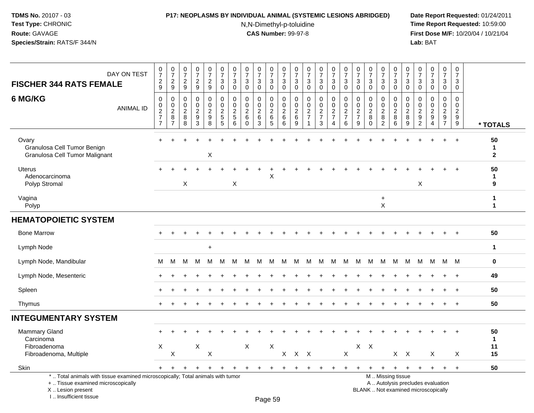### **P17: NEOPLASMS BY INDIVIDUAL ANIMAL (SYSTEMIC LESIONS ABRIDGED) Date Report Requested:** 01/24/2011

N,N-Dimethyl-p-toluidine

| <b>FISCHER 344 RATS FEMALE</b>                                                                                                                                      | DAY ON TEST      | $\frac{0}{7}$<br>$\sqrt{2}$<br>9                               | $\frac{0}{7}$<br>$\sqrt{2}$<br>9                                       | $\begin{smallmatrix}0\\7\end{smallmatrix}$<br>$\overline{c}$<br>9 | $\frac{0}{7}$<br>$\overline{c}$<br>9          | $\frac{0}{7}$<br>$\overline{a}$<br>9         | $\frac{0}{7}$<br>$\sqrt{3}$<br>$\mathbf 0$                                 | $\pmb{0}$<br>$\overline{7}$<br>3<br>$\mathbf 0$    | $\pmb{0}$<br>$\overline{7}$<br>3<br>$\mathbf 0$                          | $\begin{array}{c} 0 \\ 7 \end{array}$<br>3<br>$\mathbf 0$ | $\frac{0}{7}$<br>$\sqrt{3}$<br>0                             | $\pmb{0}$<br>$\overline{7}$<br>$\ensuremath{\mathsf{3}}$<br>$\mathsf{O}\xspace$ | $\mathbf 0$<br>$\overline{7}$<br>3<br>$\mathbf 0$      | $\frac{0}{7}$<br>$\sqrt{3}$<br>$\mathbf 0$                   | $\begin{smallmatrix}0\\7\end{smallmatrix}$<br>$\sqrt{3}$<br>$\mathbf 0$ | $\begin{smallmatrix}0\\7\end{smallmatrix}$<br>$\mathbf{3}$<br>$\mathbf 0$ | $\frac{0}{7}$<br>3<br>$\mathbf 0$               | 0<br>$\overline{7}$<br>3<br>0                          | $\begin{array}{c} 0 \\ 7 \end{array}$<br>$\sqrt{3}$<br>$\mathbf 0$      | $\frac{0}{7}$<br>3<br>0                                 | $\frac{0}{7}$<br>$\sqrt{3}$<br>$\mathbf 0$             | 0<br>$\overline{7}$<br>3<br>$\mathbf 0$     | $\begin{array}{c} 0 \\ 7 \end{array}$<br>3<br>0    | $\frac{0}{7}$<br>$\mathbf{3}$<br>0                                       | $\mathbf 0$<br>$\overline{7}$<br>$\mathbf{3}$<br>$\mathbf 0$ | $\pmb{0}$<br>$\overline{7}$<br>3<br>$\mathbf 0$         |                            |
|---------------------------------------------------------------------------------------------------------------------------------------------------------------------|------------------|----------------------------------------------------------------|------------------------------------------------------------------------|-------------------------------------------------------------------|-----------------------------------------------|----------------------------------------------|----------------------------------------------------------------------------|----------------------------------------------------|--------------------------------------------------------------------------|-----------------------------------------------------------|--------------------------------------------------------------|---------------------------------------------------------------------------------|--------------------------------------------------------|--------------------------------------------------------------|-------------------------------------------------------------------------|---------------------------------------------------------------------------|-------------------------------------------------|--------------------------------------------------------|-------------------------------------------------------------------------|---------------------------------------------------------|--------------------------------------------------------|---------------------------------------------|----------------------------------------------------|--------------------------------------------------------------------------|--------------------------------------------------------------|---------------------------------------------------------|----------------------------|
| 6 MG/KG                                                                                                                                                             | <b>ANIMAL ID</b> | $\mathbf 0$<br>$\mathsf{O}$<br>$\frac{2}{7}$<br>$\overline{7}$ | $\overline{0}$<br>$\mathbf 0$<br>$\overline{2}$<br>8<br>$\overline{7}$ | 0<br>$\mathbf 0$<br>$\overline{c}$<br>8<br>8                      | 0<br>$\mathsf{O}$<br>$\overline{a}$<br>9<br>3 | 0<br>$\mathbf 0$<br>$\overline{2}$<br>9<br>8 | $\mathbf 0$<br>$\pmb{0}$<br>$\overline{2}$<br>$\sqrt{5}$<br>$\overline{5}$ | $\Omega$<br>0<br>$\overline{c}$<br>$\sqrt{5}$<br>6 | $\Omega$<br>$\mathbf 0$<br>$\overline{c}$<br>$6\phantom{1}6$<br>$\Omega$ | 0<br>0<br>$\overline{c}$<br>$\,6\,$<br>3                  | $\mathbf 0$<br>$\mathsf 0$<br>$\overline{2}$<br>$\,6\,$<br>5 | 0<br>$\pmb{0}$<br>$\boldsymbol{2}$<br>$\,6$<br>$6\phantom{1}$                   | $\mathbf 0$<br>$\mathbf 0$<br>$\overline{c}$<br>6<br>9 | $\Omega$<br>$\mathbf 0$<br>$\sqrt{2}$<br>$\overline{7}$<br>1 | 0<br>$\pmb{0}$<br>$\overline{2}$<br>$\overline{7}$<br>3                 | 0<br>$\mathbf 0$<br>$\overline{2}$<br>$\overline{7}$<br>4                 | 0<br>0<br>$\overline{2}$<br>$\overline{7}$<br>6 | $\Omega$<br>0<br>$\overline{c}$<br>$\overline{7}$<br>9 | $\mathbf{0}$<br>$\mathbf 0$<br>$\overline{2}$<br>$\bf8$<br>$\mathbf{0}$ | 0<br>$\pmb{0}$<br>$\overline{2}$<br>8<br>$\overline{2}$ | $\mathbf 0$<br>$\mathbf 0$<br>$\overline{2}$<br>8<br>6 | $\Omega$<br>0<br>$\boldsymbol{2}$<br>8<br>9 | $\Omega$<br>0<br>$\sqrt{2}$<br>9<br>$\overline{2}$ | $\mathbf 0$<br>$\mathsf 0$<br>$\overline{2}$<br>9<br>$\overline{4}$      | $\Omega$<br>$\mathbf 0$<br>$\sqrt{2}$<br>9<br>$\overline{7}$ | $\Omega$<br>$\mathbf 0$<br>$\overline{2}$<br>9<br>$9\,$ | * TOTALS                   |
| Ovary<br>Granulosa Cell Tumor Benign<br>Granulosa Cell Tumor Malignant                                                                                              |                  |                                                                |                                                                        |                                                                   |                                               | X                                            |                                                                            |                                                    |                                                                          |                                                           |                                                              |                                                                                 |                                                        |                                                              |                                                                         |                                                                           |                                                 |                                                        |                                                                         |                                                         |                                                        |                                             |                                                    |                                                                          |                                                              | $+$                                                     | 50<br>1<br>$\mathbf{2}$    |
| <b>Uterus</b><br>Adenocarcinoma<br>Polyp Stromal                                                                                                                    |                  |                                                                |                                                                        | X                                                                 |                                               |                                              |                                                                            | X                                                  |                                                                          |                                                           | X                                                            |                                                                                 |                                                        |                                                              |                                                                         |                                                                           |                                                 |                                                        |                                                                         |                                                         |                                                        |                                             | X                                                  |                                                                          |                                                              |                                                         | 50<br>$\mathbf 1$<br>9     |
| Vagina<br>Polyp                                                                                                                                                     |                  |                                                                |                                                                        |                                                                   |                                               |                                              |                                                                            |                                                    |                                                                          |                                                           |                                                              |                                                                                 |                                                        |                                                              |                                                                         |                                                                           |                                                 |                                                        |                                                                         | $\ddot{}$<br>$\mathsf{X}$                               |                                                        |                                             |                                                    |                                                                          |                                                              |                                                         | $\mathbf 1$<br>$\mathbf 1$ |
| <b>HEMATOPOIETIC SYSTEM</b>                                                                                                                                         |                  |                                                                |                                                                        |                                                                   |                                               |                                              |                                                                            |                                                    |                                                                          |                                                           |                                                              |                                                                                 |                                                        |                                                              |                                                                         |                                                                           |                                                 |                                                        |                                                                         |                                                         |                                                        |                                             |                                                    |                                                                          |                                                              |                                                         |                            |
| <b>Bone Marrow</b>                                                                                                                                                  |                  |                                                                |                                                                        |                                                                   |                                               |                                              |                                                                            |                                                    |                                                                          |                                                           |                                                              |                                                                                 |                                                        |                                                              |                                                                         |                                                                           |                                                 |                                                        |                                                                         |                                                         |                                                        |                                             |                                                    |                                                                          |                                                              |                                                         | 50                         |
| Lymph Node                                                                                                                                                          |                  |                                                                |                                                                        |                                                                   |                                               | $\ddot{}$                                    |                                                                            |                                                    |                                                                          |                                                           |                                                              |                                                                                 |                                                        |                                                              |                                                                         |                                                                           |                                                 |                                                        |                                                                         |                                                         |                                                        |                                             |                                                    |                                                                          |                                                              |                                                         | $\mathbf{1}$               |
| Lymph Node, Mandibular                                                                                                                                              |                  | м                                                              | M                                                                      | M                                                                 | M                                             | M                                            | M                                                                          | M                                                  | M                                                                        | - M                                                       | M                                                            | M                                                                               | M                                                      | M                                                            | M                                                                       | M                                                                         | M                                               |                                                        | M M                                                                     | M                                                       | M                                                      | M                                           |                                                    | M M M M                                                                  |                                                              |                                                         | $\mathbf 0$                |
| Lymph Node, Mesenteric                                                                                                                                              |                  |                                                                |                                                                        |                                                                   |                                               |                                              |                                                                            |                                                    |                                                                          |                                                           |                                                              |                                                                                 |                                                        |                                                              |                                                                         |                                                                           |                                                 |                                                        |                                                                         |                                                         |                                                        |                                             |                                                    |                                                                          |                                                              | $\overline{ }$                                          | 49                         |
| Spleen                                                                                                                                                              |                  |                                                                |                                                                        |                                                                   |                                               |                                              |                                                                            |                                                    |                                                                          |                                                           |                                                              |                                                                                 |                                                        |                                                              |                                                                         |                                                                           |                                                 |                                                        |                                                                         |                                                         |                                                        |                                             |                                                    |                                                                          | $\ddot{}$                                                    | $+$                                                     | 50                         |
| Thymus                                                                                                                                                              |                  | $\div$                                                         |                                                                        |                                                                   |                                               |                                              |                                                                            |                                                    |                                                                          |                                                           |                                                              |                                                                                 |                                                        |                                                              |                                                                         |                                                                           |                                                 |                                                        |                                                                         |                                                         |                                                        |                                             |                                                    | $\ddot{}$                                                                | $\ddot{}$                                                    | $+$                                                     | 50                         |
| <b>INTEGUMENTARY SYSTEM</b>                                                                                                                                         |                  |                                                                |                                                                        |                                                                   |                                               |                                              |                                                                            |                                                    |                                                                          |                                                           |                                                              |                                                                                 |                                                        |                                                              |                                                                         |                                                                           |                                                 |                                                        |                                                                         |                                                         |                                                        |                                             |                                                    |                                                                          |                                                              |                                                         |                            |
| Mammary Gland<br>Carcinoma                                                                                                                                          |                  |                                                                |                                                                        |                                                                   |                                               |                                              |                                                                            |                                                    |                                                                          |                                                           |                                                              |                                                                                 |                                                        |                                                              |                                                                         |                                                                           |                                                 |                                                        |                                                                         |                                                         |                                                        |                                             |                                                    |                                                                          |                                                              |                                                         | 50<br>$\mathbf 1$          |
| Fibroadenoma<br>Fibroadenoma, Multiple                                                                                                                              |                  | Χ                                                              | $\boldsymbol{\mathsf{X}}$                                              |                                                                   | X                                             | $\pmb{\times}$                               |                                                                            |                                                    | $\sf X$                                                                  |                                                           | X                                                            |                                                                                 | X X X                                                  |                                                              |                                                                         |                                                                           | X                                               |                                                        | $X$ $X$                                                                 |                                                         | $X$ $X$                                                |                                             |                                                    | X                                                                        |                                                              | X                                                       | 11<br>15                   |
| Skin                                                                                                                                                                |                  |                                                                |                                                                        |                                                                   |                                               | $\ddot{}$                                    |                                                                            |                                                    | $\ddot{}$                                                                | $\ddot{}$                                                 | $\ddot{}$                                                    |                                                                                 |                                                        |                                                              |                                                                         |                                                                           | ÷                                               |                                                        |                                                                         | $\ddot{}$                                               | $\ddot{}$                                              | $\ddot{}$                                   | $+$                                                | $+$                                                                      | $+$                                                          | $+$                                                     | 50                         |
| *  Total animals with tissue examined microscopically; Total animals with tumor<br>+  Tissue examined microscopically<br>X  Lesion present<br>I Insufficient tissue |                  |                                                                |                                                                        |                                                                   |                                               |                                              |                                                                            |                                                    |                                                                          |                                                           | DaoEQ                                                        |                                                                                 |                                                        |                                                              |                                                                         |                                                                           |                                                 |                                                        | M  Missing tissue                                                       |                                                         |                                                        |                                             |                                                    | A  Autolysis precludes evaluation<br>BLANK  Not examined microscopically |                                                              |                                                         |                            |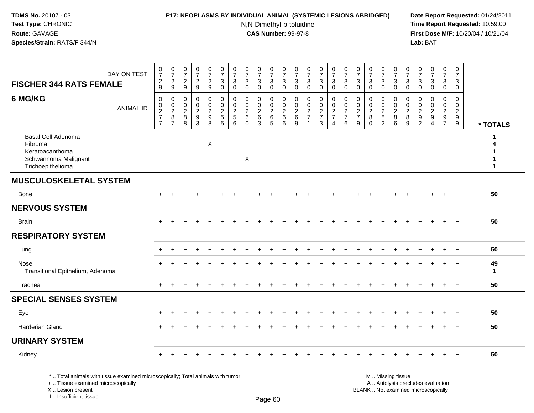> X .. Lesion present I .. Insufficient tissue

# **P17: NEOPLASMS BY INDIVIDUAL ANIMAL (SYSTEMIC LESIONS ABRIDGED) Date Report Requested:** 01/24/2011

N,N-Dimethyl-p-toluidine

 **Time Report Requested:** 10:59:00 **First Dose M/F:** 10/20/04 / 10/21/04<br>**Lab:** BAT **Lab:** BAT

| DAY ON TEST<br><b>FISCHER 344 RATS FEMALE</b>                                                                         | 0729                              | $\frac{0}{7}$<br>$\frac{2}{9}$ | 0729                                                           | $\begin{array}{c} 0 \\ 7 \end{array}$<br>$\frac{2}{9}$ | $\frac{0}{7}$<br>$\frac{2}{9}$    | $\frac{0}{7}$<br>$\mathbf{3}$<br>$\overline{0}$   | $\begin{array}{c} 0 \\ 7 \end{array}$<br>$\ensuremath{\mathsf{3}}$<br>$\mathbf 0$ | $\begin{array}{c} 0 \\ 7 \end{array}$<br>$\ensuremath{\mathsf{3}}$<br>$\mathbf 0$ | $\begin{array}{c} 0 \\ 7 \end{array}$<br>$\mathbf{3}$<br>$\mathbf 0$ | $\frac{0}{7}$<br>$\sqrt{3}$<br>$\mathbf 0$      | $\frac{0}{7}$<br>$\mathbf{3}$<br>$\mathbf 0$              | $\frac{0}{7}$<br>3<br>$\mathbf 0$      | $\frac{0}{7}$<br>$\ensuremath{\mathsf{3}}$<br>$\mathbf 0$ | $\begin{array}{c} 0 \\ 7 \end{array}$<br>3<br>$\pmb{0}$   | $\frac{0}{7}$<br>$_{\rm 0}^3$                               | $\frac{0}{7}$<br>$\sqrt{3}$<br>$\overline{0}$                                | $\frac{0}{7}$<br>$\mathbf{3}$<br>$\mathbf 0$ | $\begin{array}{c} 0 \\ 7 \end{array}$<br>$\sqrt{3}$<br>$\mathbf 0$ | $\frac{0}{7}$<br>3<br>$\mathbf 0$         | $\begin{smallmatrix}0\\7\end{smallmatrix}$<br>$\mathsf 3$<br>$\mathbf 0$ | $\frac{0}{7}$<br>$_{0}^{3}$                    | 0<br>$\overline{7}$<br>3<br>$\mathbf 0$            | $\frac{0}{7}$<br>$\ensuremath{\mathsf{3}}$<br>$\mathbf 0$    | $\frac{0}{7}$<br>3<br>$\mathbf 0$ | $\begin{smallmatrix} 0\\7 \end{smallmatrix}$<br>$\mathbf{3}$<br>$\mathbf 0$ |                    |
|-----------------------------------------------------------------------------------------------------------------------|-----------------------------------|--------------------------------|----------------------------------------------------------------|--------------------------------------------------------|-----------------------------------|---------------------------------------------------|-----------------------------------------------------------------------------------|-----------------------------------------------------------------------------------|----------------------------------------------------------------------|-------------------------------------------------|-----------------------------------------------------------|----------------------------------------|-----------------------------------------------------------|-----------------------------------------------------------|-------------------------------------------------------------|------------------------------------------------------------------------------|----------------------------------------------|--------------------------------------------------------------------|-------------------------------------------|--------------------------------------------------------------------------|------------------------------------------------|----------------------------------------------------|--------------------------------------------------------------|-----------------------------------|-----------------------------------------------------------------------------|--------------------|
| 6 MG/KG<br><b>ANIMAL ID</b>                                                                                           | $\mathbf 0$<br>0<br>$\frac{2}{7}$ | 0<br>0287                      | $\mathbf 0$<br>$\begin{array}{c} 0 \\ 2 \\ 8 \\ 8 \end{array}$ | $\mathbf 0$<br>0<br>$\frac{2}{9}$<br>$\overline{3}$    | 0<br>$\mathbf 0$<br>$\frac{2}{9}$ | $\mathbf 0$<br>$\ddot{\mathbf{0}}$<br>$rac{2}{5}$ | 0<br>$\mathbf 0$<br>$\frac{2}{5}$                                                 | $\Omega$<br>$\mathbf{0}$<br>$\boldsymbol{2}$<br>6<br>$\mathbf 0$                  | $\mathbf 0$<br>0<br>$\frac{2}{6}$<br>$\overline{3}$                  | 0<br>0<br>$\sqrt{2}$<br>$\,6$<br>$\overline{5}$ | $\mathbf 0$<br>0<br>$\overline{c}$<br>6<br>$\overline{6}$ | $\mathbf 0$<br>0<br>$\frac{2}{6}$<br>9 | 0<br>0<br>$\frac{2}{7}$<br>$\overline{1}$                 | $\mathbf 0$<br>$\pmb{0}$<br>$\frac{2}{7}$<br>$\mathbf{3}$ | $\mathbf 0$<br>$\pmb{0}$<br>$\frac{2}{7}$<br>$\overline{4}$ | $\mathbf 0$<br>$\begin{array}{c} 0 \\ 2 \\ 7 \end{array}$<br>$6\phantom{1}6$ | 0<br>0<br>$\frac{2}{7}$<br>$\overline{9}$    | $\mathbf 0$<br>$\mathbf 0$<br>$\sqrt{2}$<br>$\bf 8$<br>$\Omega$    | 0<br>0<br>$\frac{2}{8}$<br>$\overline{2}$ | 0<br>0<br>$\boldsymbol{2}$<br>8<br>$6\phantom{a}$                        | $\mathbf 0$<br>$\frac{0}{2}$<br>$\overline{9}$ | $\Omega$<br>0<br>$\sqrt{2}$<br>9<br>$\overline{2}$ | $\Omega$<br>$\mathbf 0$<br>$\boldsymbol{2}$<br>9<br>$\Delta$ | $\mathbf 0$<br>0<br>$\frac{2}{9}$ | $\mathbf 0$<br>$\mathbf 0$<br>$\overline{c}$<br>$\frac{9}{9}$               | * TOTALS           |
| <b>Basal Cell Adenoma</b><br>Fibroma<br>Keratoacanthoma<br>Schwannoma Malignant<br>Trichoepithelioma                  |                                   |                                |                                                                |                                                        | X                                 |                                                   |                                                                                   | X                                                                                 |                                                                      |                                                 |                                                           |                                        |                                                           |                                                           |                                                             |                                                                              |                                              |                                                                    |                                           |                                                                          |                                                |                                                    |                                                              |                                   |                                                                             |                    |
| <b>MUSCULOSKELETAL SYSTEM</b>                                                                                         |                                   |                                |                                                                |                                                        |                                   |                                                   |                                                                                   |                                                                                   |                                                                      |                                                 |                                                           |                                        |                                                           |                                                           |                                                             |                                                                              |                                              |                                                                    |                                           |                                                                          |                                                |                                                    |                                                              |                                   |                                                                             |                    |
| Bone                                                                                                                  | $+$                               |                                |                                                                |                                                        |                                   |                                                   |                                                                                   |                                                                                   |                                                                      |                                                 |                                                           |                                        |                                                           |                                                           |                                                             |                                                                              |                                              |                                                                    |                                           |                                                                          |                                                |                                                    |                                                              | $\ddot{}$                         | $+$                                                                         | 50                 |
| <b>NERVOUS SYSTEM</b>                                                                                                 |                                   |                                |                                                                |                                                        |                                   |                                                   |                                                                                   |                                                                                   |                                                                      |                                                 |                                                           |                                        |                                                           |                                                           |                                                             |                                                                              |                                              |                                                                    |                                           |                                                                          |                                                |                                                    |                                                              |                                   |                                                                             |                    |
| <b>Brain</b>                                                                                                          | $+$                               |                                |                                                                |                                                        |                                   |                                                   |                                                                                   |                                                                                   |                                                                      |                                                 |                                                           |                                        |                                                           |                                                           |                                                             |                                                                              |                                              |                                                                    |                                           |                                                                          |                                                |                                                    |                                                              | $\ddot{}$                         | $+$                                                                         | 50                 |
| <b>RESPIRATORY SYSTEM</b>                                                                                             |                                   |                                |                                                                |                                                        |                                   |                                                   |                                                                                   |                                                                                   |                                                                      |                                                 |                                                           |                                        |                                                           |                                                           |                                                             |                                                                              |                                              |                                                                    |                                           |                                                                          |                                                |                                                    |                                                              |                                   |                                                                             |                    |
| Lung                                                                                                                  |                                   |                                |                                                                |                                                        |                                   |                                                   |                                                                                   |                                                                                   |                                                                      |                                                 |                                                           |                                        |                                                           |                                                           |                                                             |                                                                              |                                              |                                                                    |                                           |                                                                          |                                                |                                                    |                                                              |                                   |                                                                             | 50                 |
| Nose<br>Transitional Epithelium, Adenoma                                                                              |                                   |                                |                                                                |                                                        |                                   |                                                   |                                                                                   |                                                                                   |                                                                      |                                                 |                                                           |                                        |                                                           |                                                           |                                                             |                                                                              |                                              |                                                                    |                                           |                                                                          |                                                |                                                    |                                                              | $\ddot{}$                         | $+$                                                                         | 49<br>$\mathbf{1}$ |
| Trachea                                                                                                               | $+$                               |                                |                                                                |                                                        |                                   |                                                   |                                                                                   |                                                                                   |                                                                      |                                                 |                                                           |                                        |                                                           |                                                           |                                                             |                                                                              |                                              |                                                                    |                                           |                                                                          |                                                |                                                    |                                                              |                                   | $+$                                                                         | 50                 |
| <b>SPECIAL SENSES SYSTEM</b>                                                                                          |                                   |                                |                                                                |                                                        |                                   |                                                   |                                                                                   |                                                                                   |                                                                      |                                                 |                                                           |                                        |                                                           |                                                           |                                                             |                                                                              |                                              |                                                                    |                                           |                                                                          |                                                |                                                    |                                                              |                                   |                                                                             |                    |
| Eye                                                                                                                   | $+$                               |                                |                                                                |                                                        |                                   |                                                   |                                                                                   |                                                                                   |                                                                      |                                                 |                                                           |                                        |                                                           |                                                           |                                                             |                                                                              |                                              |                                                                    |                                           |                                                                          |                                                |                                                    |                                                              |                                   | $\overline{+}$                                                              | 50                 |
| Harderian Gland                                                                                                       |                                   |                                |                                                                |                                                        |                                   |                                                   |                                                                                   |                                                                                   |                                                                      |                                                 |                                                           |                                        |                                                           |                                                           |                                                             |                                                                              |                                              |                                                                    |                                           |                                                                          |                                                |                                                    |                                                              |                                   | $\overline{+}$                                                              | 50                 |
| <b>URINARY SYSTEM</b>                                                                                                 |                                   |                                |                                                                |                                                        |                                   |                                                   |                                                                                   |                                                                                   |                                                                      |                                                 |                                                           |                                        |                                                           |                                                           |                                                             |                                                                              |                                              |                                                                    |                                           |                                                                          |                                                |                                                    |                                                              |                                   |                                                                             |                    |
| Kidney                                                                                                                |                                   |                                |                                                                |                                                        |                                   |                                                   |                                                                                   |                                                                                   |                                                                      |                                                 |                                                           |                                        |                                                           |                                                           |                                                             |                                                                              |                                              |                                                                    |                                           |                                                                          |                                                |                                                    |                                                              |                                   | $\overline{ }$                                                              | 50                 |
| *  Total animals with tissue examined microscopically; Total animals with tumor<br>+  Tissue examined microscopically |                                   |                                |                                                                |                                                        |                                   |                                                   |                                                                                   |                                                                                   |                                                                      |                                                 |                                                           |                                        |                                                           |                                                           |                                                             |                                                                              |                                              |                                                                    |                                           | M  Missing tissue                                                        |                                                |                                                    | A  Autolysis precludes evaluation                            |                                   |                                                                             |                    |

Page 60

Lesion present BLANK .. Not examined microscopically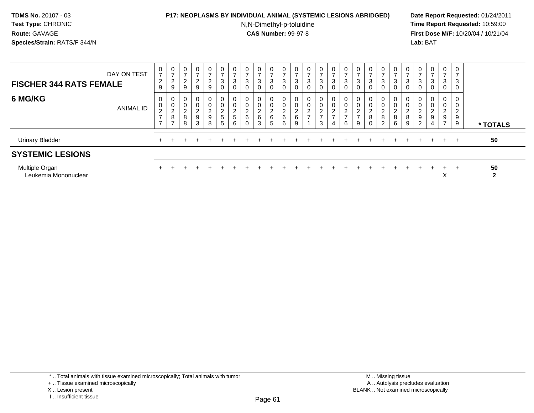## **P17: NEOPLASMS BY INDIVIDUAL ANIMAL (SYSTEMIC LESIONS ABRIDGED) Date Report Requested:** 01/24/2011

N,N-Dimethyl-p-toluidine

 **Time Report Requested:** 10:59:00 **First Dose M/F:** 10/20/04 / 10/21/04<br>**Lab:** BAT **Lab:** BAT

| DAY ON TEST<br><b>FISCHER 344 RATS FEMALE</b> | 0<br>$\overline{ }$<br>$\frac{2}{9}$              | $\mathbf 0$<br>$\rightarrow$<br>$\mathcal{D}$<br>$rac{2}{9}$ | 0<br>$\rightarrow$<br><sup>o</sup><br>$\frac{2}{9}$ | $\mathbf 0$<br>$\rightarrow$<br>$\frac{2}{9}$                  | $\overline{0}$<br>$\overline{ }$<br>$\frac{2}{9}$ | $\mathbf 0$<br>$\overline{z}$<br>$\sqrt{3}$<br>$\mathbf 0$ | $\mathbf 0$<br>$\rightarrow$<br>3<br>$\mathbf 0$ | 0<br>$\overline{ }$<br>3<br>$\mathbf 0$     | $\mathbf 0$<br>$\rightarrow$<br>3<br>0 | $\frac{0}{7}$<br>3<br>0                    | 0<br>$\overline{ }$<br>3<br>$\mathbf 0$ | $\frac{0}{7}$<br>$\mathbf{3}$<br>$\mathbf 0$           | $\frac{0}{7}$<br>$\mathbf{3}$<br>$\mathbf 0$ | 0<br>$\rightarrow$<br>3<br>0                  | $\frac{0}{7}$<br>3<br>$\mathbf 0$ | $\frac{0}{7}$<br>3<br>0      | $\frac{0}{7}$<br>3<br>0                     | 0<br>$\rightarrow$<br>$\mathbf{3}$<br>$\mathbf 0$ | $\frac{0}{7}$<br>3<br>$\mathbf 0$                            | 0<br>$\overline{ }$<br>$\mathbf{3}$<br>0           | $\frac{0}{7}$<br>3<br>0                              | 0<br>$\overline{ }$<br>3<br>$\overline{0}$           | $\frac{0}{7}$<br>3<br>0      | $\frac{0}{7}$<br>3<br>0                                          | $\mathbf{0}$<br>3<br>0 |                    |
|-----------------------------------------------|---------------------------------------------------|--------------------------------------------------------------|-----------------------------------------------------|----------------------------------------------------------------|---------------------------------------------------|------------------------------------------------------------|--------------------------------------------------|---------------------------------------------|----------------------------------------|--------------------------------------------|-----------------------------------------|--------------------------------------------------------|----------------------------------------------|-----------------------------------------------|-----------------------------------|------------------------------|---------------------------------------------|---------------------------------------------------|--------------------------------------------------------------|----------------------------------------------------|------------------------------------------------------|------------------------------------------------------|------------------------------|------------------------------------------------------------------|------------------------|--------------------|
| 6 MG/KG<br><b>ANIMAL ID</b>                   | 0<br>$\pmb{0}$<br>$\frac{2}{7}$<br>$\overline{ }$ | 0<br>$\pmb{0}$<br>$\sqrt{2}$<br>$\bf 8$<br>$\rightarrow$     | 0<br>0<br>$\sim$<br>L<br>8<br>8                     | $\boldsymbol{0}$<br>$\pmb{0}$<br>$\frac{2}{9}$<br>$\mathbf{3}$ | 0<br>0<br>$\frac{2}{9}$<br>8                      | $\mathbf 0$<br>$\pmb{0}$<br>$\frac{2}{5}$<br>5             | 0<br>0<br>$\sim$<br>$rac{2}{5}$<br>6             | $\mathbf 0$<br>$^2\phantom{1}6$<br>$\Omega$ | $\mathbf 0$<br>0<br>$\frac{2}{6}$<br>3 | 0<br>0<br>$\frac{2}{6}$<br>$5\overline{)}$ | 0<br>0<br>$^2\phantom{1}6$<br>6         | $\boldsymbol{0}$<br>$\pmb{0}$<br>$^2\phantom{1}6$<br>9 | $\pmb{0}$<br>$\pmb{0}$<br>$\frac{2}{7}$<br>1 | 0<br>0<br>$\mathcal{D}$<br>$\frac{2}{7}$<br>3 | $\mathbf 0$<br>$\frac{2}{7}$<br>4 | 0<br>0<br>$\frac{2}{7}$<br>6 | $\mathbf 0$<br>$\sim$<br>$\frac{2}{7}$<br>9 | 0<br>$\pmb{0}$<br>$\frac{2}{8}$<br>$\mathbf 0$    | $\mathbf 0$<br>$\mathbf 0$<br>$_{\rm 8}^2$<br>$\overline{2}$ | 0<br>$\mathbf 0$<br>$\overline{2}$<br>$\bf 8$<br>6 | 0<br>$\pmb{0}$<br>$\mathcal{L}$<br>∠<br>$\bf 8$<br>9 | $\overline{c}$<br>$\boldsymbol{9}$<br>$\overline{c}$ | 0<br>0<br>$\frac{2}{9}$<br>4 | $\overline{0}$<br>$\mathbf 0$<br>$\frac{2}{9}$<br>$\overline{ }$ | 0<br>0<br>2<br>9<br>9  | * TOTALS           |
| <b>Urinary Bladder</b>                        |                                                   |                                                              |                                                     |                                                                |                                                   |                                                            |                                                  |                                             |                                        |                                            |                                         |                                                        |                                              |                                               |                                   |                              |                                             |                                                   |                                                              |                                                    |                                                      |                                                      |                              | $+$                                                              | $+$                    | 50                 |
| <b>SYSTEMIC LESIONS</b>                       |                                                   |                                                              |                                                     |                                                                |                                                   |                                                            |                                                  |                                             |                                        |                                            |                                         |                                                        |                                              |                                               |                                   |                              |                                             |                                                   |                                                              |                                                    |                                                      |                                                      |                              |                                                                  |                        |                    |
| Multiple Organ<br>Leukemia Mononuclear        |                                                   |                                                              |                                                     |                                                                |                                                   |                                                            |                                                  |                                             |                                        |                                            |                                         |                                                        |                                              |                                               |                                   |                              |                                             |                                                   |                                                              |                                                    |                                                      |                                                      |                              | ÷.<br>ㅅ                                                          | $+$                    | 50<br>$\mathbf{2}$ |

\* .. Total animals with tissue examined microscopically; Total animals with tumor

X .. Lesion present

I .. Insufficient tissue

<sup>+ ..</sup> Tissue examined microscopically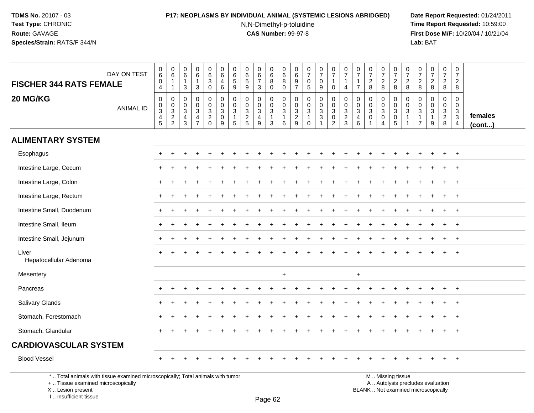# **P17: NEOPLASMS BY INDIVIDUAL ANIMAL (SYSTEMIC LESIONS ABRIDGED) Date Report Requested:** 01/24/2011

N,N-Dimethyl-p-toluidine

 **Time Report Requested:** 10:59:00 **First Dose M/F:** 10/20/04 / 10/21/04<br>**Lab:** BAT **Lab:** BAT

| <b>FISCHER 344 RATS FEMALE</b>                                                                                        | DAY ON TEST      | 0<br>$6\phantom{a}$<br>0<br>4                | $\pmb{0}$<br>$6\phantom{1}6$<br>$\overline{1}$<br>$\overline{1}$ | 0<br>6<br>$\overline{1}$<br>3                              | 0<br>$\,6\,$<br>$\mathbf{1}$<br>$\mathbf{3}$                                       | 0<br>$6\phantom{a}$<br>$\mathbf{3}$<br>$\mathbf 0$ | 0<br>$6\phantom{1}$<br>4<br>6                                                | 0<br>$6\phantom{a}$<br>5<br>9                                 | 0<br>6<br>$\sqrt{5}$<br>9                                    | $\mathbf 0$<br>$\,6\,$<br>$\overline{7}$<br>3                            | 0<br>$\,6\,$<br>8<br>0                        | 0<br>$\,6\,$<br>8<br>$\mathbf 0$                                  | 0<br>$\,6\,$<br>$9\,$<br>$\overline{7}$                        | 0<br>$\overline{7}$<br>0<br>$5\,$                              | $\frac{0}{7}$<br>0<br>$\boldsymbol{9}$         | $\mathbf 0$<br>$\overline{7}$<br>$\overline{1}$<br>$\mathbf 0$                | 0<br>$\overline{7}$<br>$\overline{1}$<br>$\overline{4}$     | 0<br>$\overline{7}$<br>$\mathbf{1}$<br>$\overline{7}$           | 0<br>$\overline{7}$<br>$\overline{2}$<br>8                               | $\frac{0}{7}$<br>$\overline{c}$<br>8                 | $\frac{0}{7}$<br>$_{8}^2$                                                                   | $\mathbf 0$<br>$\overline{7}$<br>$\sqrt{2}$<br>8 | 0<br>$\overline{7}$<br>$\frac{2}{8}$                                                        | 0<br>$\overline{7}$<br>$_{8}^{\rm 2}$                      | $\pmb{0}$<br>$\overline{7}$<br>$\overline{c}$<br>8 | 0<br>$\overline{7}$<br>$\overline{2}$<br>8       |                   |
|-----------------------------------------------------------------------------------------------------------------------|------------------|----------------------------------------------|------------------------------------------------------------------|------------------------------------------------------------|------------------------------------------------------------------------------------|----------------------------------------------------|------------------------------------------------------------------------------|---------------------------------------------------------------|--------------------------------------------------------------|--------------------------------------------------------------------------|-----------------------------------------------|-------------------------------------------------------------------|----------------------------------------------------------------|----------------------------------------------------------------|------------------------------------------------|-------------------------------------------------------------------------------|-------------------------------------------------------------|-----------------------------------------------------------------|--------------------------------------------------------------------------|------------------------------------------------------|---------------------------------------------------------------------------------------------|--------------------------------------------------|---------------------------------------------------------------------------------------------|------------------------------------------------------------|----------------------------------------------------|--------------------------------------------------|-------------------|
| 20 MG/KG                                                                                                              | <b>ANIMAL ID</b> | $\pmb{0}$<br>$_{3}^{\rm 0}$<br>$\frac{4}{5}$ | $\pmb{0}$<br>$\begin{array}{c} 0 \\ 3 \\ 2 \\ 2 \end{array}$     | $\Omega$<br>$\mathbf 0$<br>$\sqrt{3}$<br>4<br>$\mathbf{3}$ | $\Omega$<br>$\mathbf 0$<br>$\sqrt{3}$<br>$\overline{\mathbf{4}}$<br>$\overline{7}$ | 0<br>$\mathbf 0$<br>$\sqrt{3}$<br>$\frac{2}{0}$    | $\mathsf{O}$<br>$\mathbf 0$<br>$\overline{3}$<br>$\pmb{0}$<br>$\overline{9}$ | $\pmb{0}$<br>$\pmb{0}$<br>$\overline{3}$<br>$\mathbf{1}$<br>5 | $\mathbf{0}$<br>$\mathbf 0$<br>$\mathbf{3}$<br>$\frac{2}{5}$ | $\boldsymbol{0}$<br>$\mathbf 0$<br>$\overline{3}$<br>$\overline{4}$<br>9 | 0<br>0<br>$\overline{3}$<br>$\mathbf{1}$<br>3 | $\mathbf 0$<br>$\mathbf 0$<br>$\overline{3}$<br>$\mathbf{1}$<br>6 | 0<br>$\mathbf 0$<br>$\ensuremath{\mathsf{3}}$<br>$\frac{2}{9}$ | 0<br>$\mathbf 0$<br>$\ensuremath{\mathsf{3}}$<br>1<br>$\Omega$ | 0<br>$\pmb{0}$<br>$\overline{3}$<br>$\sqrt{3}$ | $\mathbf 0$<br>$\mathbf 0$<br>$\overline{3}$<br>$\mathbf 0$<br>$\overline{2}$ | $\pmb{0}$<br>$\mathbf 0$<br>$\overline{3}$<br>$\frac{2}{3}$ | $\mathbf 0$<br>$\mathbf 0$<br>$\sqrt{3}$<br>$\overline{4}$<br>6 | $\mathbf 0$<br>$\mathbf 0$<br>$\mathsf 3$<br>$\mathbf 0$<br>$\mathbf{1}$ | 0<br>0<br>$\overline{3}$<br>$\mathsf{O}\xspace$<br>4 | $\pmb{0}$<br>$\mathsf{O}\xspace$<br>$\overline{3}$<br>$\begin{array}{c} 0 \\ 5 \end{array}$ | 0<br>$\mathbf 0$<br>$\sqrt{3}$<br>1              | $\mathbf 0$<br>$\mathbf 0$<br>$\ensuremath{\mathsf{3}}$<br>$\overline{1}$<br>$\overline{7}$ | $\Omega$<br>$\mathbf 0$<br>$\sqrt{3}$<br>$\mathbf{1}$<br>9 | 0<br>$\mathbf 0$<br>$\sqrt{3}$<br>$\frac{2}{8}$    | $\mathbf 0$<br>$\mathbf 0$<br>$\frac{3}{3}$<br>4 | females<br>(cont) |
| <b>ALIMENTARY SYSTEM</b>                                                                                              |                  |                                              |                                                                  |                                                            |                                                                                    |                                                    |                                                                              |                                                               |                                                              |                                                                          |                                               |                                                                   |                                                                |                                                                |                                                |                                                                               |                                                             |                                                                 |                                                                          |                                                      |                                                                                             |                                                  |                                                                                             |                                                            |                                                    |                                                  |                   |
| Esophagus                                                                                                             |                  |                                              |                                                                  |                                                            |                                                                                    |                                                    |                                                                              |                                                               |                                                              |                                                                          |                                               |                                                                   |                                                                |                                                                |                                                |                                                                               |                                                             |                                                                 |                                                                          |                                                      |                                                                                             |                                                  |                                                                                             |                                                            |                                                    | $\overline{+}$                                   |                   |
| Intestine Large, Cecum                                                                                                |                  |                                              |                                                                  |                                                            |                                                                                    |                                                    |                                                                              |                                                               |                                                              |                                                                          |                                               |                                                                   |                                                                |                                                                |                                                |                                                                               |                                                             |                                                                 |                                                                          |                                                      |                                                                                             |                                                  |                                                                                             |                                                            |                                                    |                                                  |                   |
| Intestine Large, Colon                                                                                                |                  | ÷                                            |                                                                  |                                                            |                                                                                    |                                                    |                                                                              |                                                               |                                                              |                                                                          |                                               |                                                                   |                                                                |                                                                |                                                |                                                                               |                                                             |                                                                 |                                                                          |                                                      |                                                                                             |                                                  |                                                                                             |                                                            |                                                    | $\overline{1}$                                   |                   |
| Intestine Large, Rectum                                                                                               |                  |                                              |                                                                  |                                                            |                                                                                    |                                                    |                                                                              |                                                               |                                                              |                                                                          |                                               |                                                                   |                                                                |                                                                |                                                |                                                                               |                                                             |                                                                 |                                                                          |                                                      |                                                                                             |                                                  |                                                                                             |                                                            | $\ddot{}$                                          | $\overline{+}$                                   |                   |
| Intestine Small, Duodenum                                                                                             |                  |                                              |                                                                  |                                                            |                                                                                    |                                                    |                                                                              |                                                               |                                                              |                                                                          |                                               |                                                                   |                                                                |                                                                |                                                |                                                                               |                                                             |                                                                 |                                                                          |                                                      |                                                                                             |                                                  |                                                                                             |                                                            |                                                    |                                                  |                   |
| Intestine Small, Ileum                                                                                                |                  |                                              |                                                                  |                                                            |                                                                                    |                                                    |                                                                              |                                                               |                                                              |                                                                          |                                               |                                                                   |                                                                |                                                                |                                                |                                                                               |                                                             |                                                                 |                                                                          |                                                      |                                                                                             |                                                  |                                                                                             |                                                            |                                                    |                                                  |                   |
| Intestine Small, Jejunum                                                                                              |                  | $+$                                          |                                                                  |                                                            |                                                                                    |                                                    |                                                                              |                                                               |                                                              |                                                                          |                                               |                                                                   |                                                                |                                                                |                                                |                                                                               |                                                             |                                                                 |                                                                          |                                                      |                                                                                             |                                                  |                                                                                             |                                                            |                                                    | $+$                                              |                   |
| Liver<br>Hepatocellular Adenoma                                                                                       |                  |                                              |                                                                  |                                                            |                                                                                    |                                                    |                                                                              |                                                               |                                                              |                                                                          |                                               |                                                                   |                                                                |                                                                |                                                |                                                                               |                                                             |                                                                 |                                                                          |                                                      |                                                                                             |                                                  |                                                                                             |                                                            |                                                    |                                                  |                   |
| Mesentery                                                                                                             |                  |                                              |                                                                  |                                                            |                                                                                    |                                                    |                                                                              |                                                               |                                                              |                                                                          |                                               | $+$                                                               |                                                                |                                                                |                                                |                                                                               |                                                             | $+$                                                             |                                                                          |                                                      |                                                                                             |                                                  |                                                                                             |                                                            |                                                    |                                                  |                   |
| Pancreas                                                                                                              |                  |                                              |                                                                  |                                                            |                                                                                    |                                                    |                                                                              |                                                               |                                                              |                                                                          |                                               |                                                                   |                                                                |                                                                |                                                |                                                                               |                                                             |                                                                 |                                                                          |                                                      |                                                                                             |                                                  |                                                                                             |                                                            |                                                    |                                                  |                   |
| Salivary Glands                                                                                                       |                  |                                              |                                                                  |                                                            |                                                                                    |                                                    |                                                                              |                                                               |                                                              |                                                                          |                                               |                                                                   |                                                                |                                                                |                                                |                                                                               |                                                             |                                                                 |                                                                          |                                                      |                                                                                             |                                                  |                                                                                             |                                                            |                                                    |                                                  |                   |
| Stomach, Forestomach                                                                                                  |                  |                                              |                                                                  |                                                            |                                                                                    |                                                    |                                                                              |                                                               |                                                              |                                                                          |                                               |                                                                   |                                                                |                                                                |                                                |                                                                               |                                                             |                                                                 |                                                                          |                                                      |                                                                                             |                                                  |                                                                                             |                                                            |                                                    | $\overline{+}$                                   |                   |
| Stomach, Glandular                                                                                                    |                  |                                              |                                                                  |                                                            |                                                                                    |                                                    |                                                                              |                                                               |                                                              |                                                                          |                                               |                                                                   |                                                                |                                                                |                                                |                                                                               |                                                             |                                                                 |                                                                          |                                                      |                                                                                             |                                                  |                                                                                             |                                                            |                                                    | $\overline{+}$                                   |                   |
| <b>CARDIOVASCULAR SYSTEM</b>                                                                                          |                  |                                              |                                                                  |                                                            |                                                                                    |                                                    |                                                                              |                                                               |                                                              |                                                                          |                                               |                                                                   |                                                                |                                                                |                                                |                                                                               |                                                             |                                                                 |                                                                          |                                                      |                                                                                             |                                                  |                                                                                             |                                                            |                                                    |                                                  |                   |
| <b>Blood Vessel</b>                                                                                                   |                  |                                              |                                                                  |                                                            |                                                                                    |                                                    |                                                                              |                                                               |                                                              |                                                                          |                                               |                                                                   |                                                                |                                                                |                                                |                                                                               |                                                             |                                                                 |                                                                          |                                                      |                                                                                             |                                                  |                                                                                             |                                                            |                                                    |                                                  |                   |
| *  Total animals with tissue examined microscopically; Total animals with tumor<br>+  Tissue examined microscopically |                  |                                              |                                                                  |                                                            |                                                                                    |                                                    |                                                                              |                                                               |                                                              |                                                                          |                                               |                                                                   |                                                                |                                                                |                                                |                                                                               |                                                             |                                                                 | M  Missing tissue                                                        |                                                      |                                                                                             |                                                  |                                                                                             | A  Autolysis precludes evaluation                          |                                                    |                                                  |                   |

 Lesion present BLANK .. Not examined microscopicallyX .. Lesion present

I .. Insufficient tissue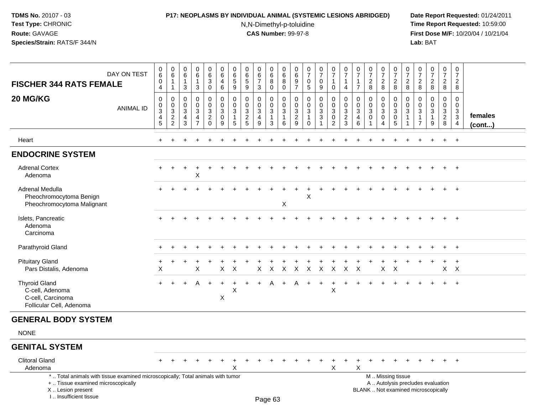### **P17: NEOPLASMS BY INDIVIDUAL ANIMAL (SYSTEMIC LESIONS ABRIDGED) Date Report Requested:** 01/24/2011

N,N-Dimethyl-p-toluidine

| <b>FISCHER 344 RATS FEMALE</b>                                                                                                                                        | DAY ON TEST      | $\,0\,$<br>$\,6$<br>$\boldsymbol{0}$<br>$\overline{4}$                              | $\pmb{0}$<br>$\,6$<br>1<br>$\mathbf{1}$                              | 0<br>6<br>$\overline{1}$<br>3                | $\pmb{0}$<br>$\,6\,$<br>$\mathbf{1}$<br>3                                    | $0\over 6$<br>$\mathbf{3}$<br>0                     | $\pmb{0}$<br>$\,6\,$<br>$\overline{4}$<br>$\,6\,$    | 0<br>$\,6\,$<br>$\sqrt{5}$<br>9                                   | $\pmb{0}$<br>$\,6\,$<br>$\sqrt{5}$<br>9                          | 0<br>$\,6\,$<br>$\overline{7}$<br>3 | $_{6}^{\rm 0}$<br>8<br>0                                                   | $\pmb{0}$<br>$\,6\,$<br>$\,8\,$<br>$\mathsf 0$                  | $\boldsymbol{0}$<br>$\,6$<br>$\boldsymbol{9}$<br>$\overline{7}$       | $\begin{array}{c} 0 \\ 7 \end{array}$<br>$\mathbf 0$<br>$\sqrt{5}$     | $\begin{smallmatrix}0\\7\end{smallmatrix}$<br>$\mathbf 0$<br>9 | $\begin{array}{c} 0 \\ 7 \end{array}$<br>$\mathbf{1}$<br>$\mathbf 0$      | $\frac{0}{7}$<br>$\mathbf{1}$<br>$\overline{4}$                            | $\pmb{0}$<br>$\overline{7}$<br>$\mathbf{1}$<br>$\overline{7}$   | $\begin{array}{c} 0 \\ 7 \end{array}$<br>$\overline{2}$<br>8 | $\frac{0}{7}$<br>$\frac{2}{8}$                          | $\frac{0}{7}$<br>$\frac{2}{8}$                                                                | $\frac{0}{7}$<br>$\overline{2}$<br>$\overline{8}$ | $\frac{0}{7}$<br>$_{\rm 8}^2$                                        | $\frac{0}{7}$<br>$\overline{2}$<br>$\overline{8}$    | $\begin{smallmatrix}0\\7\end{smallmatrix}$<br>$\frac{2}{8}$ | $\mathbf 0$<br>$\overline{7}$<br>$\overline{2}$<br>8          |                   |
|-----------------------------------------------------------------------------------------------------------------------------------------------------------------------|------------------|-------------------------------------------------------------------------------------|----------------------------------------------------------------------|----------------------------------------------|------------------------------------------------------------------------------|-----------------------------------------------------|------------------------------------------------------|-------------------------------------------------------------------|------------------------------------------------------------------|-------------------------------------|----------------------------------------------------------------------------|-----------------------------------------------------------------|-----------------------------------------------------------------------|------------------------------------------------------------------------|----------------------------------------------------------------|---------------------------------------------------------------------------|----------------------------------------------------------------------------|-----------------------------------------------------------------|--------------------------------------------------------------|---------------------------------------------------------|-----------------------------------------------------------------------------------------------|---------------------------------------------------|----------------------------------------------------------------------|------------------------------------------------------|-------------------------------------------------------------|---------------------------------------------------------------|-------------------|
| 20 MG/KG                                                                                                                                                              | <b>ANIMAL ID</b> | $\mathbf 0$<br>$\boldsymbol{0}$<br>$\ensuremath{\mathsf{3}}$<br>4<br>$\overline{5}$ | 0<br>$\pmb{0}$<br>$\mathbf{3}$<br>$\boldsymbol{2}$<br>$\overline{c}$ | 0<br>$\mathbf 0$<br>3<br>$\overline{4}$<br>3 | $\mathbf 0$<br>$\pmb{0}$<br>$\mathbf{3}$<br>$\overline{4}$<br>$\overline{7}$ | 0<br>$\mathbf 0$<br>3<br>$\overline{a}$<br>$\Omega$ | $\mathbf 0$<br>$\mathbf 0$<br>$\mathbf{3}$<br>0<br>9 | $\mathbf 0$<br>$\mathbf 0$<br>$\mathbf{3}$<br>$\overline{1}$<br>5 | $\mathbf 0$<br>$\mathbf 0$<br>$\mathsf 3$<br>$\overline{2}$<br>5 | 0<br>$\pmb{0}$<br>3<br>4<br>9       | $\mathbf 0$<br>$\mathbf 0$<br>$\mathbf{3}$<br>$\mathbf{1}$<br>$\mathbf{3}$ | $\mathbf 0$<br>$\pmb{0}$<br>$\mathbf{3}$<br>$\overline{1}$<br>6 | $\mathbf 0$<br>$\boldsymbol{0}$<br>$\mathsf 3$<br>$\overline{2}$<br>9 | $\mathbf 0$<br>$\pmb{0}$<br>$\mathfrak{Z}$<br>$\mathbf{1}$<br>$\Omega$ | 0<br>$\pmb{0}$<br>$\sqrt{3}$<br>$\sqrt{3}$<br>$\mathbf{1}$     | $\pmb{0}$<br>$\mathsf 0$<br>$\mathbf{3}$<br>$\mathbf 0$<br>$\overline{2}$ | $\mathbf 0$<br>$\pmb{0}$<br>$\mathbf{3}$<br>$\overline{2}$<br>$\mathbf{3}$ | $\mathbf 0$<br>$\mathbf 0$<br>$\sqrt{3}$<br>$\overline{4}$<br>6 | $\mathbf 0$<br>$\pmb{0}$<br>$\sqrt{3}$<br>$\mathbf 0$        | 0<br>$\pmb{0}$<br>$\mathfrak{Z}$<br>0<br>$\overline{4}$ | $\mathbf 0$<br>$\mathbf 0$<br>$\mathbf{3}$<br>$\overline{0}$<br>$\sqrt{5}$                    | 0<br>0<br>3<br>$\mathbf{1}$                       | $\mathbf 0$<br>0<br>$\mathfrak{S}$<br>$\mathbf{1}$<br>$\overline{7}$ | $\mathbf 0$<br>$\mathbf 0$<br>3<br>$\mathbf{1}$<br>9 | 0<br>$\mathbf 0$<br>$\overline{3}$<br>$\overline{2}$<br>8   | $\mathbf 0$<br>$\mathbf 0$<br>$\frac{3}{3}$<br>$\overline{4}$ | females<br>(cont) |
| Heart                                                                                                                                                                 |                  |                                                                                     |                                                                      |                                              |                                                                              |                                                     |                                                      |                                                                   |                                                                  |                                     |                                                                            |                                                                 |                                                                       |                                                                        |                                                                |                                                                           |                                                                            |                                                                 |                                                              |                                                         |                                                                                               |                                                   |                                                                      |                                                      | $\ddot{}$                                                   | $+$                                                           |                   |
| <b>ENDOCRINE SYSTEM</b>                                                                                                                                               |                  |                                                                                     |                                                                      |                                              |                                                                              |                                                     |                                                      |                                                                   |                                                                  |                                     |                                                                            |                                                                 |                                                                       |                                                                        |                                                                |                                                                           |                                                                            |                                                                 |                                                              |                                                         |                                                                                               |                                                   |                                                                      |                                                      |                                                             |                                                               |                   |
| <b>Adrenal Cortex</b><br>Adenoma                                                                                                                                      |                  |                                                                                     |                                                                      |                                              | X                                                                            |                                                     |                                                      |                                                                   |                                                                  |                                     |                                                                            |                                                                 |                                                                       |                                                                        |                                                                |                                                                           |                                                                            |                                                                 |                                                              |                                                         |                                                                                               |                                                   |                                                                      |                                                      |                                                             | $\overline{+}$                                                |                   |
| Adrenal Medulla<br>Pheochromocytoma Benign<br>Pheochromocytoma Malignant                                                                                              |                  |                                                                                     |                                                                      |                                              |                                                                              |                                                     |                                                      |                                                                   |                                                                  |                                     |                                                                            | X                                                               |                                                                       | Х                                                                      |                                                                |                                                                           |                                                                            |                                                                 |                                                              |                                                         |                                                                                               |                                                   |                                                                      |                                                      |                                                             |                                                               |                   |
| Islets, Pancreatic<br>Adenoma<br>Carcinoma                                                                                                                            |                  |                                                                                     |                                                                      |                                              |                                                                              |                                                     |                                                      |                                                                   |                                                                  |                                     |                                                                            |                                                                 |                                                                       |                                                                        |                                                                |                                                                           |                                                                            |                                                                 |                                                              |                                                         |                                                                                               |                                                   |                                                                      |                                                      |                                                             | $\overline{1}$                                                |                   |
| Parathyroid Gland                                                                                                                                                     |                  |                                                                                     |                                                                      |                                              |                                                                              |                                                     |                                                      |                                                                   |                                                                  |                                     |                                                                            |                                                                 |                                                                       |                                                                        |                                                                |                                                                           |                                                                            |                                                                 |                                                              |                                                         |                                                                                               |                                                   |                                                                      |                                                      | $+$                                                         | $+$                                                           |                   |
| <b>Pituitary Gland</b><br>Pars Distalis, Adenoma                                                                                                                      |                  | X                                                                                   |                                                                      |                                              | X                                                                            |                                                     | X                                                    | X                                                                 |                                                                  | X                                   | X                                                                          | X                                                               | $\mathsf X$                                                           | $\mathsf{X}$                                                           | $\mathsf{X}$                                                   | $\mathsf{X}$                                                              | $\mathsf{X}$                                                               | $\boldsymbol{\mathsf{X}}$                                       |                                                              | $\boldsymbol{\mathsf{X}}$                               | $\mathsf{X}$                                                                                  |                                                   |                                                                      |                                                      | $\ddot{}$<br>$\mathsf{X}^-$                                 | $\overline{+}$<br>$\mathsf{X}$                                |                   |
| <b>Thyroid Gland</b><br>C-cell, Adenoma<br>C-cell, Carcinoma<br>Follicular Cell, Adenoma                                                                              |                  |                                                                                     |                                                                      |                                              | A                                                                            |                                                     | X                                                    | $\pmb{\times}$                                                    |                                                                  |                                     | A                                                                          |                                                                 |                                                                       |                                                                        |                                                                | $\times$                                                                  |                                                                            |                                                                 |                                                              |                                                         |                                                                                               |                                                   |                                                                      | $\ddot{}$                                            | $+$                                                         | $+$                                                           |                   |
| <b>GENERAL BODY SYSTEM</b>                                                                                                                                            |                  |                                                                                     |                                                                      |                                              |                                                                              |                                                     |                                                      |                                                                   |                                                                  |                                     |                                                                            |                                                                 |                                                                       |                                                                        |                                                                |                                                                           |                                                                            |                                                                 |                                                              |                                                         |                                                                                               |                                                   |                                                                      |                                                      |                                                             |                                                               |                   |
| <b>NONE</b>                                                                                                                                                           |                  |                                                                                     |                                                                      |                                              |                                                                              |                                                     |                                                      |                                                                   |                                                                  |                                     |                                                                            |                                                                 |                                                                       |                                                                        |                                                                |                                                                           |                                                                            |                                                                 |                                                              |                                                         |                                                                                               |                                                   |                                                                      |                                                      |                                                             |                                                               |                   |
| <b>GENITAL SYSTEM</b>                                                                                                                                                 |                  |                                                                                     |                                                                      |                                              |                                                                              |                                                     |                                                      |                                                                   |                                                                  |                                     |                                                                            |                                                                 |                                                                       |                                                                        |                                                                |                                                                           |                                                                            |                                                                 |                                                              |                                                         |                                                                                               |                                                   |                                                                      |                                                      |                                                             |                                                               |                   |
| <b>Clitoral Gland</b><br>Adenoma                                                                                                                                      |                  |                                                                                     |                                                                      |                                              |                                                                              |                                                     |                                                      | X                                                                 |                                                                  |                                     |                                                                            |                                                                 |                                                                       |                                                                        | $\ddot{}$                                                      | $\ddot{}$<br>X                                                            | $\ddot{}$                                                                  | $\ddot{}$<br>X                                                  |                                                              |                                                         |                                                                                               |                                                   |                                                                      | $\ddot{}$                                            | $\ddot{}$                                                   | $+$                                                           |                   |
| *  Total animals with tissue examined microscopically; Total animals with tumor<br>+  Tissue examined microscopically<br>X  Lesion present<br>I., Insufficient tissue |                  |                                                                                     |                                                                      |                                              |                                                                              |                                                     |                                                      |                                                                   |                                                                  |                                     | Page 63                                                                    |                                                                 |                                                                       |                                                                        |                                                                |                                                                           |                                                                            |                                                                 |                                                              |                                                         | M  Missing tissue<br>A  Autolysis precludes evaluation<br>BLANK  Not examined microscopically |                                                   |                                                                      |                                                      |                                                             |                                                               |                   |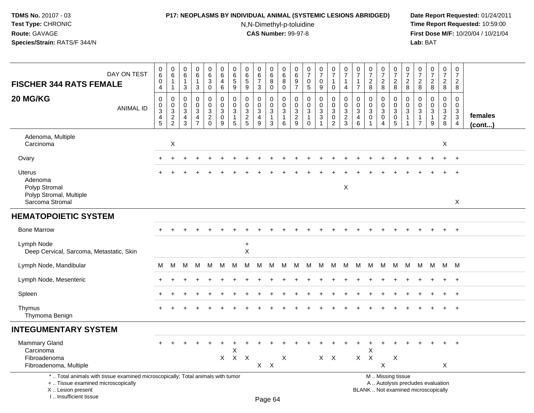# **P17: NEOPLASMS BY INDIVIDUAL ANIMAL (SYSTEMIC LESIONS ABRIDGED) Date Report Requested:** 01/24/2011

N,N-Dimethyl-p-toluidine

| DAY ON TEST<br><b>FISCHER 344 RATS FEMALE</b>                                                                                                                         | $\pmb{0}$<br>$\overline{6}$<br>$\pmb{0}$<br>4                        | $\begin{array}{c} 0 \\ 6 \end{array}$<br>$\mathbf{1}$<br>$\overline{1}$ | 0<br>6<br>$\overline{1}$<br>3                        | $\mathbf 0$<br>$6\phantom{1}6$<br>$\mathbf{1}$<br>$\mathbf{3}$                 | 0<br>$\overline{6}$<br>$\mathbf{3}$<br>0                          | $_{6}^{\rm 0}$<br>$\overline{4}$<br>$6\phantom{a}$        | $_{6}^{\rm 0}$<br>5<br>9                             | 0<br>6<br>$\sqrt{5}$<br>$9\,$                                   | $_{6}^{\rm 0}$<br>$\overline{7}$<br>3                         | $\begin{array}{c} 0 \\ 6 \end{array}$<br>8<br>$\mathbf 0$    | 0<br>$\,6\,$<br>8<br>$\mathbf 0$                    | 0<br>6<br>$9\,$<br>$\overline{7}$                           | $\begin{array}{c} 0 \\ 7 \end{array}$<br>$\mathbf 0$<br>$\overline{5}$ | $\frac{0}{7}$<br>$\mathsf{O}$<br>9                      | $\begin{array}{c} 0 \\ 7 \end{array}$<br>$\mathbf{1}$<br>$\mathbf 0$              | $\begin{array}{c} 0 \\ 7 \end{array}$<br>$\mathbf{1}$<br>4  | $\frac{0}{7}$<br>$\mathbf{1}$<br>$\overline{7}$                   | $\begin{array}{c} 0 \\ 7 \end{array}$<br>$\overline{2}$<br>8 | $\begin{array}{c} 0 \\ 7 \end{array}$<br>$\sqrt{2}$<br>$\,8\,$ | $\frac{0}{7}$<br>$\sqrt{2}$<br>$\,8\,$                                                        | $\frac{0}{7}$<br>$\overline{2}$<br>8    | $\frac{0}{7}$<br>$\overline{2}$<br>8                 | $\frac{0}{7}$<br>$\overline{c}$<br>$\bf 8$                         | $\begin{smallmatrix}0\\7\end{smallmatrix}$<br>$\overline{2}$<br>8 | $\pmb{0}$<br>$\boldsymbol{7}$<br>$\overline{2}$<br>8           |                   |
|-----------------------------------------------------------------------------------------------------------------------------------------------------------------------|----------------------------------------------------------------------|-------------------------------------------------------------------------|------------------------------------------------------|--------------------------------------------------------------------------------|-------------------------------------------------------------------|-----------------------------------------------------------|------------------------------------------------------|-----------------------------------------------------------------|---------------------------------------------------------------|--------------------------------------------------------------|-----------------------------------------------------|-------------------------------------------------------------|------------------------------------------------------------------------|---------------------------------------------------------|-----------------------------------------------------------------------------------|-------------------------------------------------------------|-------------------------------------------------------------------|--------------------------------------------------------------|----------------------------------------------------------------|-----------------------------------------------------------------------------------------------|-----------------------------------------|------------------------------------------------------|--------------------------------------------------------------------|-------------------------------------------------------------------|----------------------------------------------------------------|-------------------|
| 20 MG/KG<br><b>ANIMAL ID</b>                                                                                                                                          | 0<br>$\mathbf 0$<br>$\ensuremath{\mathsf{3}}$<br>$\overline{4}$<br>5 | $\mathbf 0$<br>$\begin{array}{c} 0 \\ 3 \\ 2 \\ 2 \end{array}$          | $\mathbf 0$<br>$\mathbf 0$<br>$\mathbf{3}$<br>4<br>3 | $\mathbf 0$<br>$\mathbf 0$<br>$\mathbf{3}$<br>$\overline{4}$<br>$\overline{7}$ | 0<br>$\mathbf 0$<br>$\mathbf{3}$<br>$\overline{2}$<br>$\mathbf 0$ | 0<br>$\pmb{0}$<br>3<br>$\overline{0}$<br>$\boldsymbol{9}$ | $\mathsf 0$<br>$\mathbf 0$<br>3<br>$\mathbf{1}$<br>5 | $\mathbf 0$<br>$\mathbf 0$<br>$\sqrt{3}$<br>$\overline{2}$<br>5 | $\pmb{0}$<br>$\pmb{0}$<br>$\mathbf{3}$<br>$\overline{4}$<br>9 | 0<br>$\boldsymbol{0}$<br>$\mathbf{3}$<br>$\overline{1}$<br>3 | 0<br>$\mathbf 0$<br>$\sqrt{3}$<br>$\mathbf{1}$<br>6 | $\mathbf 0$<br>$\mathbf 0$<br>$\sqrt{3}$<br>$\sqrt{2}$<br>9 | $\mathbf 0$<br>$\mathbf 0$<br>$\sqrt{3}$<br>$\mathbf{1}$<br>$\Omega$   | 0<br>$\mathbf 0$<br>3<br>$\overline{3}$<br>$\mathbf{1}$ | $\pmb{0}$<br>$\mathbf 0$<br>$\mathbf{3}$<br>$\ddot{\mathbf{0}}$<br>$\overline{2}$ | $\pmb{0}$<br>$\pmb{0}$<br>$\sqrt{3}$<br>$\overline{2}$<br>3 | $\mathbf 0$<br>$\mathbf 0$<br>$\mathbf{3}$<br>$\overline{4}$<br>6 | $\mathbf 0$<br>$\mathbf 0$<br>$\mathbf{3}$<br>$\mathbf 0$    | 0<br>$\pmb{0}$<br>$\sqrt{3}$<br>$\pmb{0}$<br>4                 | $\mathbf 0$<br>$\mathbf 0$<br>$\sqrt{3}$<br>$\pmb{0}$<br>5                                    | 0<br>$\Omega$<br>3<br>$\mathbf{1}$<br>1 | 0<br>$\Omega$<br>3<br>$\mathbf{1}$<br>$\overline{7}$ | $\pmb{0}$<br>$\boldsymbol{0}$<br>$\mathbf{3}$<br>$\mathbf{1}$<br>9 | 0<br>$\mathbf 0$<br>$\mathbf{3}$<br>$\overline{2}$<br>8           | $\mathsf{O}\xspace$<br>$\mathbf 0$<br>$_3^3$<br>$\overline{4}$ | females<br>(cont) |
| Adenoma, Multiple<br>Carcinoma                                                                                                                                        |                                                                      | X                                                                       |                                                      |                                                                                |                                                                   |                                                           |                                                      |                                                                 |                                                               |                                                              |                                                     |                                                             |                                                                        |                                                         |                                                                                   |                                                             |                                                                   |                                                              |                                                                |                                                                                               |                                         |                                                      |                                                                    | X                                                                 |                                                                |                   |
| Ovary                                                                                                                                                                 |                                                                      |                                                                         |                                                      |                                                                                |                                                                   |                                                           |                                                      |                                                                 |                                                               |                                                              |                                                     |                                                             |                                                                        |                                                         |                                                                                   |                                                             |                                                                   |                                                              |                                                                |                                                                                               |                                         |                                                      |                                                                    |                                                                   | $\ddot{}$                                                      |                   |
| <b>Uterus</b><br>Adenoma<br>Polyp Stromal<br>Polyp Stromal, Multiple<br>Sarcoma Stromal                                                                               |                                                                      |                                                                         |                                                      |                                                                                |                                                                   |                                                           |                                                      |                                                                 |                                                               |                                                              |                                                     |                                                             |                                                                        |                                                         |                                                                                   | X                                                           |                                                                   |                                                              |                                                                |                                                                                               |                                         |                                                      |                                                                    |                                                                   | X                                                              |                   |
| <b>HEMATOPOIETIC SYSTEM</b>                                                                                                                                           |                                                                      |                                                                         |                                                      |                                                                                |                                                                   |                                                           |                                                      |                                                                 |                                                               |                                                              |                                                     |                                                             |                                                                        |                                                         |                                                                                   |                                                             |                                                                   |                                                              |                                                                |                                                                                               |                                         |                                                      |                                                                    |                                                                   |                                                                |                   |
| <b>Bone Marrow</b>                                                                                                                                                    |                                                                      |                                                                         |                                                      |                                                                                |                                                                   |                                                           |                                                      |                                                                 |                                                               |                                                              |                                                     |                                                             |                                                                        |                                                         |                                                                                   |                                                             |                                                                   |                                                              |                                                                |                                                                                               |                                         |                                                      |                                                                    | $+$                                                               | $+$                                                            |                   |
| Lymph Node<br>Deep Cervical, Sarcoma, Metastatic, Skin                                                                                                                |                                                                      |                                                                         |                                                      |                                                                                |                                                                   |                                                           |                                                      | $\ddot{}$<br>$\boldsymbol{\mathsf{X}}$                          |                                                               |                                                              |                                                     |                                                             |                                                                        |                                                         |                                                                                   |                                                             |                                                                   |                                                              |                                                                |                                                                                               |                                         |                                                      |                                                                    |                                                                   |                                                                |                   |
| Lymph Node, Mandibular                                                                                                                                                | м                                                                    | M                                                                       | M                                                    | М                                                                              | М                                                                 | M                                                         | M                                                    | M                                                               | M                                                             | м                                                            | M                                                   | M                                                           | М                                                                      | M                                                       | M                                                                                 | M                                                           | M                                                                 | M                                                            | M                                                              | M                                                                                             | M                                       | M                                                    | M                                                                  | M M                                                               |                                                                |                   |
| Lymph Node, Mesenteric                                                                                                                                                |                                                                      |                                                                         |                                                      |                                                                                |                                                                   |                                                           |                                                      |                                                                 |                                                               |                                                              |                                                     |                                                             |                                                                        |                                                         |                                                                                   |                                                             |                                                                   |                                                              |                                                                |                                                                                               |                                         |                                                      |                                                                    |                                                                   | $\overline{+}$                                                 |                   |
| Spleen                                                                                                                                                                |                                                                      |                                                                         |                                                      |                                                                                |                                                                   |                                                           |                                                      |                                                                 |                                                               |                                                              |                                                     |                                                             |                                                                        |                                                         |                                                                                   |                                                             |                                                                   |                                                              |                                                                |                                                                                               |                                         |                                                      |                                                                    |                                                                   | $+$                                                            |                   |
| Thymus<br>Thymoma Benign                                                                                                                                              |                                                                      |                                                                         |                                                      |                                                                                |                                                                   |                                                           |                                                      |                                                                 |                                                               |                                                              |                                                     |                                                             |                                                                        |                                                         |                                                                                   |                                                             |                                                                   |                                                              |                                                                |                                                                                               |                                         |                                                      |                                                                    |                                                                   |                                                                |                   |
| <b>INTEGUMENTARY SYSTEM</b>                                                                                                                                           |                                                                      |                                                                         |                                                      |                                                                                |                                                                   |                                                           |                                                      |                                                                 |                                                               |                                                              |                                                     |                                                             |                                                                        |                                                         |                                                                                   |                                                             |                                                                   |                                                              |                                                                |                                                                                               |                                         |                                                      |                                                                    |                                                                   |                                                                |                   |
| Mammary Gland<br>Carcinoma<br>Fibroadenoma<br>Fibroadenoma, Multiple                                                                                                  |                                                                      |                                                                         |                                                      |                                                                                |                                                                   | X                                                         | X<br>$\mathsf{X}$                                    | $\mathsf{X}$                                                    | $X$ $X$                                                       |                                                              | $\boldsymbol{\mathsf{X}}$                           |                                                             |                                                                        |                                                         | $X$ $X$                                                                           |                                                             | $\mathsf{X}$                                                      | X<br>$\mathsf{X}$                                            | $\sf X$                                                        | X                                                                                             |                                         |                                                      |                                                                    | X                                                                 | $\overline{+}$                                                 |                   |
| *  Total animals with tissue examined microscopically; Total animals with tumor<br>+  Tissue examined microscopically<br>X  Lesion present<br>I., Insufficient tissue |                                                                      |                                                                         |                                                      |                                                                                |                                                                   |                                                           |                                                      |                                                                 |                                                               | Page 64                                                      |                                                     |                                                             |                                                                        |                                                         |                                                                                   |                                                             |                                                                   |                                                              |                                                                | M  Missing tissue<br>A  Autolysis precludes evaluation<br>BLANK  Not examined microscopically |                                         |                                                      |                                                                    |                                                                   |                                                                |                   |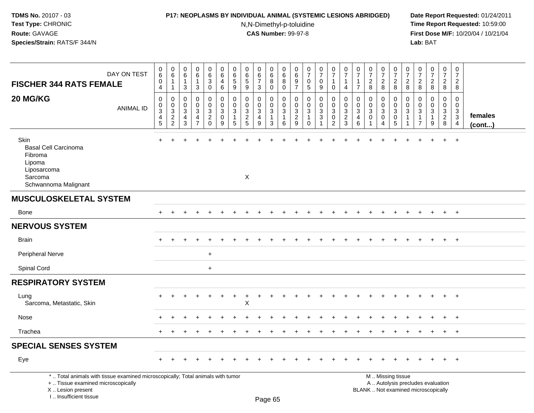### **P17: NEOPLASMS BY INDIVIDUAL ANIMAL (SYSTEMIC LESIONS ABRIDGED) Date Report Requested:** 01/24/2011

N,N-Dimethyl-p-toluidine

| DAY ON TEST<br><b>FISCHER 344 RATS FEMALE</b>                                                                                                                       |                  | $\pmb{0}$<br>$\,6\,$<br>$\pmb{0}$<br>4                              | $\boldsymbol{0}$<br>6<br>$\overline{1}$<br>$\overline{1}$           | $\mathbf 0$<br>$\,6\,$<br>$\mathbf{1}$<br>3                                    | $\mathbf 0$<br>$6\phantom{.}6$<br>$\mathbf{1}$<br>3                 | $\pmb{0}$<br>6<br>$\overline{3}$<br>$\mathbf 0$                | 0<br>6<br>4<br>6                                     | 0<br>6<br>$\overline{5}$<br>9             | $\pmb{0}$<br>$^6$ 5<br>9                         | $\pmb{0}$<br>$\,6\,$<br>$\overline{7}$<br>3                     | $\mathbf 0$<br>$\,6\,$<br>$\,8\,$<br>$\mathbf 0$                         | $\mathbf 0$<br>6<br>8<br>$\mathbf 0$ | $\pmb{0}$<br>6<br>$\boldsymbol{9}$<br>$\overline{7}$                             | $\pmb{0}$<br>$\overline{7}$<br>$\mathbf 0$<br>5                         | $\pmb{0}$<br>$\overline{7}$<br>$\mathbf 0$<br>9 | $\pmb{0}$<br>$\overline{7}$<br>$\overline{1}$<br>$\mathbf 0$            | 0<br>$\overline{7}$<br>$\overline{1}$<br>4                                    | $\mathbf 0$<br>$\overline{7}$<br>$\mathbf{1}$<br>$\overline{7}$          | $\pmb{0}$<br>$\overline{7}$<br>$\overline{c}$<br>8 | $\pmb{0}$<br>$\boldsymbol{7}$<br>$\overline{c}$<br>8      | $\pmb{0}$<br>$\overline{7}$<br>$\overline{c}$<br>8                                            | 0<br>$\overline{7}$<br>$\sqrt{2}$<br>8 | $\pmb{0}$<br>$\overline{7}$<br>$\sqrt{2}$<br>8                                            | $\pmb{0}$<br>$\overline{7}$<br>$\sqrt{2}$<br>8 | $\mathbf 0$<br>$\overline{7}$<br>$\boldsymbol{2}$<br>8 | 0<br>$\overline{7}$<br>$\overline{2}$<br>8                       |                   |
|---------------------------------------------------------------------------------------------------------------------------------------------------------------------|------------------|---------------------------------------------------------------------|---------------------------------------------------------------------|--------------------------------------------------------------------------------|---------------------------------------------------------------------|----------------------------------------------------------------|------------------------------------------------------|-------------------------------------------|--------------------------------------------------|-----------------------------------------------------------------|--------------------------------------------------------------------------|--------------------------------------|----------------------------------------------------------------------------------|-------------------------------------------------------------------------|-------------------------------------------------|-------------------------------------------------------------------------|-------------------------------------------------------------------------------|--------------------------------------------------------------------------|----------------------------------------------------|-----------------------------------------------------------|-----------------------------------------------------------------------------------------------|----------------------------------------|-------------------------------------------------------------------------------------------|------------------------------------------------|--------------------------------------------------------|------------------------------------------------------------------|-------------------|
| 20 MG/KG                                                                                                                                                            | <b>ANIMAL ID</b> | $\mathbf 0$<br>$\mathbf 0$<br>$\overline{3}$<br>$\overline{4}$<br>5 | $\boldsymbol{0}$<br>$\begin{array}{c} 0 \\ 3 \\ 2 \\ 2 \end{array}$ | $\mathbf 0$<br>$\mathbf 0$<br>$\ensuremath{\mathsf{3}}$<br>$\overline{4}$<br>3 | $\mathbf 0$<br>$\mathbf 0$<br>3<br>$\overline{4}$<br>$\overline{7}$ | $\pmb{0}$<br>$\mathsf{O}\xspace$<br>$\frac{3}{2}$ <sub>0</sub> | $\mathbf 0$<br>$\mathsf 0$<br>$\mathbf{3}$<br>0<br>9 | $\mathbf 0$<br>0<br>3<br>$\mathbf 1$<br>5 | $\mathbf 0$<br>$\mathbf 0$<br>$\frac{3}{2}$<br>5 | $\mathbf 0$<br>$\mathbf 0$<br>$\sqrt{3}$<br>$\overline{4}$<br>9 | $\mathbf 0$<br>$\mathbf 0$<br>$\sqrt{3}$<br>$\mathbf{1}$<br>$\mathbf{3}$ | 0<br>$\mathbf{0}$<br>3<br>6          | $\mathbf 0$<br>$\mathsf{O}\xspace$<br>$\ensuremath{\mathsf{3}}$<br>$\frac{2}{9}$ | $\mathbf 0$<br>$\mathsf{O}$<br>$\mathbf{3}$<br>$\mathbf{1}$<br>$\Omega$ | 0<br>$\mathbf 0$<br>$\sqrt{3}$<br>3             | $\pmb{0}$<br>$\pmb{0}$<br>$\overline{3}$<br>$\pmb{0}$<br>$\overline{2}$ | $\mathbf 0$<br>$\Omega$<br>$\ensuremath{\mathsf{3}}$<br>$\boldsymbol{2}$<br>3 | $\Omega$<br>$\Omega$<br>$\ensuremath{\mathsf{3}}$<br>$\overline{4}$<br>6 | 0<br>$\mathbf 0$<br>3<br>$\mathbf 0$               | 0<br>$\mathbf 0$<br>$\overline{3}$<br>0<br>$\overline{4}$ | 0<br>$\pmb{0}$<br>$\mathbf{3}$<br>$\mathbf 0$<br>5                                            | $\mathbf 0$<br>$\mathbf{0}$<br>3       | $\mathbf 0$<br>$\mathbf 0$<br>$\ensuremath{\mathsf{3}}$<br>$\mathbf{1}$<br>$\overline{7}$ | 0<br>$\mathbf 0$<br>3<br>$\mathbf{1}$<br>9     | $\mathbf 0$<br>$\mathbf 0$<br>$\frac{3}{2}$<br>8       | $\mathbf 0$<br>0<br>$\sqrt{3}$<br>$\mathbf{3}$<br>$\overline{4}$ | females<br>(cont) |
| Skin<br><b>Basal Cell Carcinoma</b><br>Fibroma<br>Lipoma<br>Liposarcoma<br>Sarcoma<br>Schwannoma Malignant                                                          |                  |                                                                     |                                                                     |                                                                                |                                                                     |                                                                |                                                      |                                           | X                                                |                                                                 |                                                                          |                                      |                                                                                  |                                                                         |                                                 |                                                                         |                                                                               |                                                                          |                                                    |                                                           |                                                                                               |                                        |                                                                                           |                                                | $\ddot{}$                                              | $\ddot{}$                                                        |                   |
| <b>MUSCULOSKELETAL SYSTEM</b>                                                                                                                                       |                  |                                                                     |                                                                     |                                                                                |                                                                     |                                                                |                                                      |                                           |                                                  |                                                                 |                                                                          |                                      |                                                                                  |                                                                         |                                                 |                                                                         |                                                                               |                                                                          |                                                    |                                                           |                                                                                               |                                        |                                                                                           |                                                |                                                        |                                                                  |                   |
| Bone                                                                                                                                                                |                  |                                                                     |                                                                     |                                                                                |                                                                     |                                                                |                                                      |                                           |                                                  |                                                                 |                                                                          |                                      |                                                                                  |                                                                         |                                                 |                                                                         |                                                                               |                                                                          |                                                    |                                                           |                                                                                               |                                        |                                                                                           |                                                | $+$                                                    | $+$                                                              |                   |
| <b>NERVOUS SYSTEM</b>                                                                                                                                               |                  |                                                                     |                                                                     |                                                                                |                                                                     |                                                                |                                                      |                                           |                                                  |                                                                 |                                                                          |                                      |                                                                                  |                                                                         |                                                 |                                                                         |                                                                               |                                                                          |                                                    |                                                           |                                                                                               |                                        |                                                                                           |                                                |                                                        |                                                                  |                   |
| <b>Brain</b>                                                                                                                                                        |                  |                                                                     |                                                                     |                                                                                |                                                                     |                                                                |                                                      |                                           |                                                  |                                                                 |                                                                          |                                      |                                                                                  |                                                                         |                                                 |                                                                         |                                                                               |                                                                          |                                                    |                                                           |                                                                                               |                                        |                                                                                           |                                                | $\ddot{}$                                              | $+$                                                              |                   |
| Peripheral Nerve                                                                                                                                                    |                  |                                                                     |                                                                     |                                                                                |                                                                     | $\ddot{}$                                                      |                                                      |                                           |                                                  |                                                                 |                                                                          |                                      |                                                                                  |                                                                         |                                                 |                                                                         |                                                                               |                                                                          |                                                    |                                                           |                                                                                               |                                        |                                                                                           |                                                |                                                        |                                                                  |                   |
| Spinal Cord                                                                                                                                                         |                  |                                                                     |                                                                     |                                                                                |                                                                     | $+$                                                            |                                                      |                                           |                                                  |                                                                 |                                                                          |                                      |                                                                                  |                                                                         |                                                 |                                                                         |                                                                               |                                                                          |                                                    |                                                           |                                                                                               |                                        |                                                                                           |                                                |                                                        |                                                                  |                   |
| <b>RESPIRATORY SYSTEM</b>                                                                                                                                           |                  |                                                                     |                                                                     |                                                                                |                                                                     |                                                                |                                                      |                                           |                                                  |                                                                 |                                                                          |                                      |                                                                                  |                                                                         |                                                 |                                                                         |                                                                               |                                                                          |                                                    |                                                           |                                                                                               |                                        |                                                                                           |                                                |                                                        |                                                                  |                   |
| Lung<br>Sarcoma, Metastatic, Skin                                                                                                                                   |                  |                                                                     |                                                                     |                                                                                |                                                                     |                                                                |                                                      |                                           | $\overline{a}$<br>$\mathsf{X}$                   | ÷                                                               |                                                                          |                                      |                                                                                  |                                                                         |                                                 |                                                                         |                                                                               |                                                                          |                                                    |                                                           |                                                                                               |                                        |                                                                                           |                                                |                                                        | $+$                                                              |                   |
| Nose                                                                                                                                                                |                  |                                                                     |                                                                     |                                                                                |                                                                     |                                                                |                                                      |                                           |                                                  |                                                                 |                                                                          |                                      |                                                                                  |                                                                         |                                                 |                                                                         |                                                                               |                                                                          |                                                    |                                                           |                                                                                               |                                        |                                                                                           |                                                |                                                        | $\div$                                                           |                   |
| Trachea                                                                                                                                                             |                  |                                                                     |                                                                     |                                                                                |                                                                     |                                                                |                                                      |                                           |                                                  |                                                                 |                                                                          |                                      |                                                                                  |                                                                         |                                                 |                                                                         |                                                                               |                                                                          |                                                    |                                                           |                                                                                               |                                        |                                                                                           |                                                | $+$                                                    | $+$                                                              |                   |
| <b>SPECIAL SENSES SYSTEM</b>                                                                                                                                        |                  |                                                                     |                                                                     |                                                                                |                                                                     |                                                                |                                                      |                                           |                                                  |                                                                 |                                                                          |                                      |                                                                                  |                                                                         |                                                 |                                                                         |                                                                               |                                                                          |                                                    |                                                           |                                                                                               |                                        |                                                                                           |                                                |                                                        |                                                                  |                   |
| Eye                                                                                                                                                                 |                  |                                                                     |                                                                     |                                                                                |                                                                     |                                                                |                                                      |                                           |                                                  |                                                                 |                                                                          |                                      |                                                                                  |                                                                         |                                                 |                                                                         |                                                                               |                                                                          |                                                    |                                                           |                                                                                               |                                        |                                                                                           |                                                |                                                        | $\overline{+}$                                                   |                   |
| *  Total animals with tissue examined microscopically; Total animals with tumor<br>+  Tissue examined microscopically<br>X  Lesion present<br>I Insufficient tissue |                  |                                                                     |                                                                     |                                                                                |                                                                     |                                                                |                                                      |                                           |                                                  |                                                                 | Page 65                                                                  |                                      |                                                                                  |                                                                         |                                                 |                                                                         |                                                                               |                                                                          |                                                    |                                                           | M  Missing tissue<br>A  Autolysis precludes evaluation<br>BLANK  Not examined microscopically |                                        |                                                                                           |                                                |                                                        |                                                                  |                   |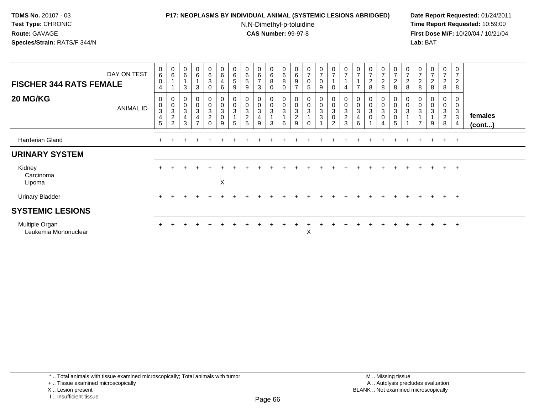## **P17: NEOPLASMS BY INDIVIDUAL ANIMAL (SYSTEMIC LESIONS ABRIDGED) Date Report Requested:** 01/24/2011

N,N-Dimethyl-p-toluidine

| <b>FISCHER 344 RATS FEMALE</b>         | DAY ON TEST      | $\pmb{0}$<br>$\,6$<br>$\pmb{0}$<br>$\overline{4}$                    | $\mathbf 0$<br>6                                                                  | $\pmb{0}$<br>6<br>3                                | $_6^0$<br>$\overline{A}$<br>$\mathbf{3}$                                               | 0<br>6<br>3<br>0                          | $\begin{array}{c} 0 \\ 6 \end{array}$<br>$\overline{\mathbf{4}}$<br>$\,6\,$ | $\begin{array}{c} 0 \\ 6 \end{array}$<br>$\sqrt{5}$<br>9 | $\boldsymbol{0}$<br>$\,6$<br>$\mathbf 5$<br>9                 | 0<br>6<br>$\overline{ }$<br>3 | $\mathbf 0$<br>6<br>8<br>0                                                    | $\pmb{0}$<br>$\,6\,$<br>$\, 8$<br>$\mathbf 0$ | $\begin{array}{c} 0 \\ 6 \end{array}$<br>$\boldsymbol{9}$<br>$\overline{7}$ | $\begin{array}{c} 0 \\ 7 \end{array}$<br>$\mathsf 0$<br>$\overline{5}$ | $\frac{0}{7}$<br>0<br>9 | $\frac{0}{7}$<br>$\mathbf{1}$<br>$\mathbf 0$                  | $\frac{0}{7}$<br>$\overline{A}$<br>4                      | $\frac{0}{7}$    | $\frac{0}{7}$<br>$\sqrt{2}$<br>$\,8\,$    | $\frac{0}{7}$<br>$_{8}^2$ | $\frac{0}{7}$<br>$\frac{2}{8}$                                                 | 0<br>$\overline{ }$<br>$_{\rm 8}^2$ | $\frac{0}{7}$<br>$\frac{2}{8}$ | $\frac{0}{7}$<br>$_{\rm 8}^2$ | $\mathbf 0$<br>$\overline{z}$<br>$\frac{2}{8}$ | 0<br>$\overline{7}$<br>$\overline{c}$<br>8 |                   |
|----------------------------------------|------------------|----------------------------------------------------------------------|-----------------------------------------------------------------------------------|----------------------------------------------------|----------------------------------------------------------------------------------------|-------------------------------------------|-----------------------------------------------------------------------------|----------------------------------------------------------|---------------------------------------------------------------|-------------------------------|-------------------------------------------------------------------------------|-----------------------------------------------|-----------------------------------------------------------------------------|------------------------------------------------------------------------|-------------------------|---------------------------------------------------------------|-----------------------------------------------------------|------------------|-------------------------------------------|---------------------------|--------------------------------------------------------------------------------|-------------------------------------|--------------------------------|-------------------------------|------------------------------------------------|--------------------------------------------|-------------------|
| 20 MG/KG                               | <b>ANIMAL ID</b> | $\pmb{0}$<br>$\pmb{0}$<br>$\sqrt{3}$<br>$\overline{\mathbf{4}}$<br>5 | 0<br>$\pmb{0}$<br>$\ensuremath{\mathsf{3}}$<br>$\boldsymbol{2}$<br>$\overline{2}$ | $\mathbf 0$<br>$\ensuremath{\mathsf{3}}$<br>4<br>3 | $\mathbf 0$<br>$\ddot{\mathbf{0}}$<br>$\ensuremath{\mathsf{3}}$<br>4<br>$\overline{ }$ | 0<br>0<br>3<br>$\overline{c}$<br>$\Omega$ | $_{\rm 0}^{\rm 0}$<br>$\sqrt{3}$<br>$\pmb{0}$<br>9                          | 0<br>$\overline{0}$<br>$\mathbf{3}$<br>5                 | $\pmb{0}$<br>$\ensuremath{\mathsf{3}}$<br>$\overline{c}$<br>5 | 0<br>0<br>3<br>4<br>9         | $\begin{smallmatrix}0\0\0\end{smallmatrix}$<br>$\ensuremath{\mathsf{3}}$<br>3 | 0<br>$\pmb{0}$<br>3<br>6                      | 0<br>$\mathbf 0$<br>$\mathbf{3}$<br>$\overline{c}$<br>9                     | $\pmb{0}$<br>$\pmb{0}$<br>$\mathsf 3$<br>$\overline{A}$<br>$\Omega$    | 0<br>0<br>3<br>3        | 0<br>$\mathbf 0$<br>$\sqrt{3}$<br>$\pmb{0}$<br>$\overline{2}$ | $_{\rm 0}^{\rm 0}$<br>$\sqrt{3}$<br>$\boldsymbol{2}$<br>3 | 0<br>3<br>4<br>6 | 0<br>$\pmb{0}$<br>$\sqrt{3}$<br>$\pmb{0}$ | 0<br>0<br>3<br>0<br>4     | $\begin{smallmatrix} 0\\0 \end{smallmatrix}$<br>$\mathbf{3}$<br>$\pmb{0}$<br>5 | $\pmb{0}$<br>3                      | 0<br>3<br>$\overline{7}$       | 0<br>0<br>3<br>9              | 0<br>$\mathbf 0$<br>3<br>$\overline{c}$<br>8   | 0<br>0<br>3<br>3<br>$\overline{4}$         | females<br>(cont) |
| Harderian Gland                        |                  | $+$                                                                  |                                                                                   |                                                    |                                                                                        |                                           |                                                                             |                                                          |                                                               |                               |                                                                               |                                               |                                                                             |                                                                        |                         |                                                               |                                                           |                  |                                           |                           |                                                                                |                                     |                                | $\pm$                         | $+$                                            | $+$                                        |                   |
| <b>URINARY SYSTEM</b>                  |                  |                                                                      |                                                                                   |                                                    |                                                                                        |                                           |                                                                             |                                                          |                                                               |                               |                                                                               |                                               |                                                                             |                                                                        |                         |                                                               |                                                           |                  |                                           |                           |                                                                                |                                     |                                |                               |                                                |                                            |                   |
| Kidney<br>Carcinoma<br>Lipoma          |                  | $\ddot{}$                                                            |                                                                                   |                                                    |                                                                                        |                                           | $\pmb{\times}$                                                              |                                                          |                                                               |                               |                                                                               |                                               |                                                                             |                                                                        |                         |                                                               |                                                           |                  |                                           |                           |                                                                                |                                     |                                |                               | $+$                                            | $+$                                        |                   |
| <b>Urinary Bladder</b>                 |                  | $\ddot{}$                                                            |                                                                                   |                                                    |                                                                                        |                                           |                                                                             |                                                          |                                                               |                               |                                                                               |                                               |                                                                             |                                                                        |                         |                                                               |                                                           |                  |                                           |                           |                                                                                |                                     | $+$                            | $+$                           |                                                | $+$ $+$                                    |                   |
| <b>SYSTEMIC LESIONS</b>                |                  |                                                                      |                                                                                   |                                                    |                                                                                        |                                           |                                                                             |                                                          |                                                               |                               |                                                                               |                                               |                                                                             |                                                                        |                         |                                                               |                                                           |                  |                                           |                           |                                                                                |                                     |                                |                               |                                                |                                            |                   |
| Multiple Organ<br>Leukemia Mononuclear |                  |                                                                      |                                                                                   |                                                    |                                                                                        |                                           |                                                                             |                                                          |                                                               |                               |                                                                               |                                               |                                                                             | Х                                                                      |                         |                                                               |                                                           |                  |                                           |                           |                                                                                |                                     | $\div$                         | $\pm$                         | $+$                                            | $+$                                        |                   |

<sup>+ ..</sup> Tissue examined microscopically

X .. Lesion present

I .. Insufficient tissue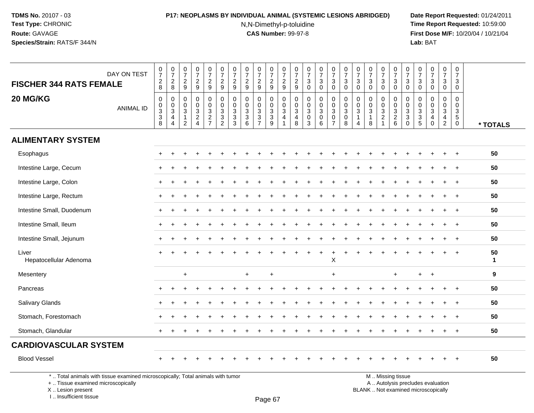# **P17: NEOPLASMS BY INDIVIDUAL ANIMAL (SYSTEMIC LESIONS ABRIDGED) Date Report Requested:** 01/24/2011

N,N-Dimethyl-p-toluidine

 **Time Report Requested:** 10:59:00 **First Dose M/F:** 10/20/04 / 10/21/04<br>**Lab:** BAT **Lab:** BAT

| <b>FISCHER 344 RATS FEMALE</b>                                                  | DAY ON TEST      | $\frac{0}{7}$<br>$_{8}^2$                      | $\frac{0}{7}$<br>$_{\rm 8}^2$                                                                 | 0<br>$\overline{7}$<br>$\overline{c}$<br>9 | 0<br>$\overline{7}$<br>$\boldsymbol{2}$<br>9           | $\frac{0}{7}$<br>$\overline{c}$<br>9    | $\begin{array}{c} 0 \\ 7 \end{array}$<br>$\overline{c}$<br>9 | $\frac{0}{7}$<br>$\mathbf 2$<br>9                                                   | $\frac{0}{7}$<br>$\frac{2}{9}$                            | $\frac{0}{7}$<br>$\overline{c}$<br>9                                                    | $\frac{0}{7}$<br>$\overline{c}$<br>$9\,$                       | $\begin{smallmatrix}0\\7\end{smallmatrix}$<br>$\overline{c}$<br>9               | $\begin{array}{c} 0 \\ 7 \end{array}$<br>$\overline{c}$<br>9         | 0<br>$\overline{7}$<br>$\sqrt{3}$<br>$\mathbf 0$     | $\begin{array}{c} 0 \\ 7 \end{array}$<br>$\sqrt{3}$<br>$\mathbf 0$ | $\begin{smallmatrix}0\\7\end{smallmatrix}$<br>$\ensuremath{\mathsf{3}}$<br>$\mathbf 0$ | $\pmb{0}$<br>$\overline{7}$<br>$\mathbf{3}$<br>$\mathbf 0$   | $\frac{0}{7}$<br>3<br>$\mathbf 0$             | $\frac{0}{7}$<br>$\sqrt{3}$<br>$\mathbf 0$          | $\begin{array}{c} 0 \\ 7 \end{array}$<br>$\sqrt{3}$<br>$\mathbf 0$       | $\frac{0}{7}$<br>$\mathbf 3$<br>$\mathbf 0$     | $\begin{array}{c} 0 \\ 7 \end{array}$<br>$\mathbf{3}$<br>$\mathbf 0$      | 0<br>$\overline{7}$<br>$\mathbf{3}$<br>$\mathbf 0$ | 0<br>$\overline{7}$<br>$\mathbf{3}$<br>$\pmb{0}$  | $\begin{array}{c} 0 \\ 7 \end{array}$<br>$\sqrt{3}$<br>$\pmb{0}$            | $\pmb{0}$<br>$\overline{7}$<br>$\mathbf{3}$<br>$\mathbf 0$             |                    |
|---------------------------------------------------------------------------------|------------------|------------------------------------------------|-----------------------------------------------------------------------------------------------|--------------------------------------------|--------------------------------------------------------|-----------------------------------------|--------------------------------------------------------------|-------------------------------------------------------------------------------------|-----------------------------------------------------------|-----------------------------------------------------------------------------------------|----------------------------------------------------------------|---------------------------------------------------------------------------------|----------------------------------------------------------------------|------------------------------------------------------|--------------------------------------------------------------------|----------------------------------------------------------------------------------------|--------------------------------------------------------------|-----------------------------------------------|-----------------------------------------------------|--------------------------------------------------------------------------|-------------------------------------------------|---------------------------------------------------------------------------|----------------------------------------------------|---------------------------------------------------|-----------------------------------------------------------------------------|------------------------------------------------------------------------|--------------------|
| 20 MG/KG                                                                        | <b>ANIMAL ID</b> | $\mathbf 0$<br>$_{3}^{\rm 0}$<br>$\frac{3}{8}$ | $\mathbf 0$<br>$\begin{smallmatrix}0\\3\end{smallmatrix}$<br>$\overline{4}$<br>$\overline{4}$ | 0<br>$\mathbf 0$<br>3<br>$\mathbf{1}$<br>2 | $\mathbf 0$<br>$\Omega$<br>$\sqrt{3}$<br>$\frac{2}{4}$ | 0<br>0<br>$\mathbf{3}$<br>$\frac{2}{7}$ | 0<br>$\mathbf 0$<br>$\sqrt{3}$<br>$\frac{3}{2}$              | $\mathbf 0$<br>$\pmb{0}$<br>$\sqrt{3}$<br>$\ensuremath{\mathsf{3}}$<br>$\mathbf{3}$ | $\mathbf 0$<br>$\mathbf 0$<br>$\sqrt{3}$<br>$\frac{3}{6}$ | $\mathbf 0$<br>$\mathbf 0$<br>$\sqrt{3}$<br>$\ensuremath{\mathsf{3}}$<br>$\overline{7}$ | 0<br>$\mathbf 0$<br>$\ensuremath{\mathsf{3}}$<br>$\frac{3}{9}$ | $\mathbf 0$<br>$\mathsf{O}$<br>$\overline{3}$<br>$\overline{4}$<br>$\mathbf{1}$ | 0<br>0<br>$\ensuremath{\mathsf{3}}$<br>$\overline{\mathcal{A}}$<br>8 | 0<br>$\mathbf 0$<br>$\mathbf{3}$<br>$\mathbf 0$<br>3 | $\mathbf 0$<br>$\mathbf 0$<br>$\sqrt{3}$<br>$\pmb{0}$<br>6         | 0<br>$\mathbf 0$<br>$\sqrt{3}$<br>$\mathbf 0$<br>$\overline{7}$                        | $\mathbf 0$<br>0<br>$\mathbf{3}$<br>$\mathsf{O}\xspace$<br>8 | 0<br>0<br>3<br>$\mathbf{1}$<br>$\overline{4}$ | 0<br>$\mathbf 0$<br>$\sqrt{3}$<br>$\mathbf{1}$<br>8 | $\mathbf 0$<br>$\mathbf 0$<br>$\sqrt{3}$<br>$\sqrt{2}$<br>$\overline{1}$ | 0<br>$\mathbf 0$<br>$\sqrt{3}$<br>$\frac{2}{6}$ | $\mathbf 0$<br>$\mathbf 0$<br>$\mathbf{3}$<br>$\mathbf{3}$<br>$\mathbf 0$ | 0<br>0<br>3<br>$\frac{3}{5}$                       | 0<br>$\Omega$<br>$\mathbf{3}$<br>4<br>$\mathbf 0$ | $\mathbf 0$<br>0<br>$\sqrt{3}$<br>$\overline{\mathbf{4}}$<br>$\overline{2}$ | $\mathbf 0$<br>$\mathbf 0$<br>$\mathsf 3$<br>$\sqrt{5}$<br>$\mathbf 0$ | * TOTALS           |
| <b>ALIMENTARY SYSTEM</b>                                                        |                  |                                                |                                                                                               |                                            |                                                        |                                         |                                                              |                                                                                     |                                                           |                                                                                         |                                                                |                                                                                 |                                                                      |                                                      |                                                                    |                                                                                        |                                                              |                                               |                                                     |                                                                          |                                                 |                                                                           |                                                    |                                                   |                                                                             |                                                                        |                    |
| Esophagus                                                                       |                  | $+$                                            | $\div$                                                                                        |                                            |                                                        |                                         |                                                              |                                                                                     |                                                           |                                                                                         |                                                                |                                                                                 |                                                                      |                                                      |                                                                    |                                                                                        |                                                              |                                               |                                                     |                                                                          |                                                 |                                                                           |                                                    |                                                   | $\pm$                                                                       | $+$                                                                    | 50                 |
| Intestine Large, Cecum                                                          |                  |                                                |                                                                                               |                                            |                                                        |                                         |                                                              |                                                                                     |                                                           |                                                                                         |                                                                |                                                                                 |                                                                      |                                                      |                                                                    |                                                                                        |                                                              |                                               |                                                     |                                                                          |                                                 |                                                                           |                                                    |                                                   |                                                                             | $\ddot{}$                                                              | 50                 |
| Intestine Large, Colon                                                          |                  |                                                |                                                                                               |                                            |                                                        |                                         |                                                              |                                                                                     |                                                           |                                                                                         |                                                                |                                                                                 |                                                                      |                                                      |                                                                    |                                                                                        |                                                              |                                               |                                                     |                                                                          |                                                 |                                                                           |                                                    |                                                   |                                                                             |                                                                        | 50                 |
| Intestine Large, Rectum                                                         |                  | $+$                                            |                                                                                               |                                            |                                                        |                                         |                                                              |                                                                                     |                                                           |                                                                                         |                                                                |                                                                                 |                                                                      |                                                      |                                                                    |                                                                                        |                                                              |                                               |                                                     |                                                                          |                                                 |                                                                           |                                                    |                                                   |                                                                             |                                                                        | 50                 |
| Intestine Small, Duodenum                                                       |                  |                                                |                                                                                               |                                            |                                                        |                                         |                                                              |                                                                                     |                                                           |                                                                                         |                                                                |                                                                                 |                                                                      |                                                      |                                                                    |                                                                                        |                                                              |                                               |                                                     |                                                                          |                                                 |                                                                           |                                                    |                                                   |                                                                             | $\overline{+}$                                                         | 50                 |
| Intestine Small, Ileum                                                          |                  | $+$                                            |                                                                                               |                                            |                                                        |                                         |                                                              |                                                                                     |                                                           |                                                                                         |                                                                |                                                                                 |                                                                      |                                                      |                                                                    |                                                                                        |                                                              |                                               |                                                     |                                                                          |                                                 |                                                                           |                                                    |                                                   | $\ddot{}$                                                                   | $\overline{+}$                                                         | 50                 |
| Intestine Small, Jejunum                                                        |                  | $+$                                            |                                                                                               |                                            |                                                        |                                         |                                                              |                                                                                     |                                                           |                                                                                         |                                                                |                                                                                 |                                                                      |                                                      |                                                                    |                                                                                        |                                                              |                                               |                                                     |                                                                          |                                                 |                                                                           |                                                    |                                                   |                                                                             | $\overline{1}$                                                         | 50                 |
| Liver<br>Hepatocellular Adenoma                                                 |                  |                                                |                                                                                               |                                            |                                                        |                                         |                                                              |                                                                                     |                                                           |                                                                                         |                                                                |                                                                                 |                                                                      |                                                      |                                                                    | X                                                                                      |                                                              |                                               |                                                     |                                                                          |                                                 |                                                                           |                                                    |                                                   |                                                                             | $\overline{1}$                                                         | 50<br>$\mathbf{1}$ |
| Mesentery                                                                       |                  |                                                |                                                                                               | $\ddot{}$                                  |                                                        |                                         |                                                              |                                                                                     | $\ddot{}$                                                 |                                                                                         | $\ddot{}$                                                      |                                                                                 |                                                                      |                                                      |                                                                    | $\ddot{}$                                                                              |                                                              |                                               |                                                     |                                                                          | $\ddot{}$                                       |                                                                           | $\ddot{}$                                          | $+$                                               |                                                                             |                                                                        | 9                  |
| Pancreas                                                                        |                  |                                                |                                                                                               |                                            |                                                        |                                         |                                                              |                                                                                     |                                                           |                                                                                         |                                                                |                                                                                 |                                                                      |                                                      |                                                                    |                                                                                        |                                                              |                                               |                                                     |                                                                          |                                                 |                                                                           |                                                    |                                                   |                                                                             |                                                                        | 50                 |
| Salivary Glands                                                                 |                  |                                                |                                                                                               |                                            |                                                        |                                         |                                                              |                                                                                     |                                                           |                                                                                         |                                                                |                                                                                 |                                                                      |                                                      |                                                                    |                                                                                        |                                                              |                                               |                                                     |                                                                          |                                                 |                                                                           |                                                    |                                                   |                                                                             | $\overline{+}$                                                         | 50                 |
| Stomach, Forestomach                                                            |                  |                                                |                                                                                               |                                            |                                                        |                                         |                                                              |                                                                                     |                                                           |                                                                                         |                                                                |                                                                                 |                                                                      |                                                      |                                                                    |                                                                                        |                                                              |                                               |                                                     |                                                                          |                                                 |                                                                           |                                                    |                                                   |                                                                             |                                                                        | 50                 |
| Stomach, Glandular                                                              |                  | $+$                                            |                                                                                               |                                            |                                                        |                                         |                                                              |                                                                                     |                                                           |                                                                                         |                                                                |                                                                                 |                                                                      |                                                      |                                                                    |                                                                                        |                                                              |                                               |                                                     |                                                                          |                                                 |                                                                           |                                                    |                                                   | $\pm$                                                                       | $\overline{+}$                                                         | 50                 |
| <b>CARDIOVASCULAR SYSTEM</b>                                                    |                  |                                                |                                                                                               |                                            |                                                        |                                         |                                                              |                                                                                     |                                                           |                                                                                         |                                                                |                                                                                 |                                                                      |                                                      |                                                                    |                                                                                        |                                                              |                                               |                                                     |                                                                          |                                                 |                                                                           |                                                    |                                                   |                                                                             |                                                                        |                    |
| <b>Blood Vessel</b>                                                             |                  |                                                |                                                                                               |                                            |                                                        |                                         |                                                              |                                                                                     |                                                           |                                                                                         |                                                                |                                                                                 |                                                                      |                                                      |                                                                    |                                                                                        |                                                              |                                               |                                                     |                                                                          |                                                 |                                                                           |                                                    |                                                   |                                                                             |                                                                        | 50                 |
| *  Total animals with tissue examined microscopically; Total animals with tumor |                  |                                                |                                                                                               |                                            |                                                        |                                         |                                                              |                                                                                     |                                                           |                                                                                         |                                                                |                                                                                 |                                                                      |                                                      |                                                                    |                                                                                        |                                                              |                                               |                                                     |                                                                          | M  Missing tissue                               |                                                                           |                                                    |                                                   |                                                                             |                                                                        |                    |

+ .. Tissue examined microscopically

X .. Lesion present

I .. Insufficient tissue

y the contract of the contract of the contract of the contract of the contract of  $\mathsf A$  . Autolysis precludes evaluation Lesion present BLANK .. Not examined microscopically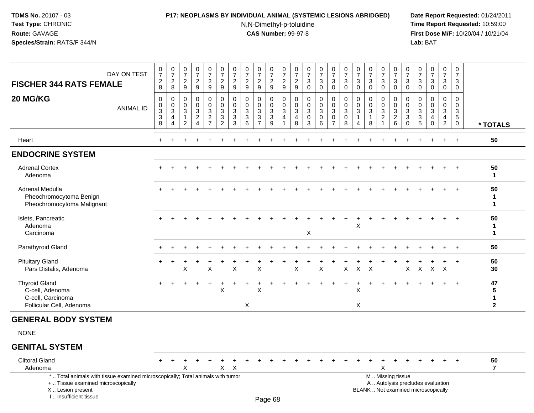### **P17: NEOPLASMS BY INDIVIDUAL ANIMAL (SYSTEMIC LESIONS ABRIDGED) Date Report Requested:** 01/24/2011

N,N-Dimethyl-p-toluidine

| DAY ON TEST<br><b>FISCHER 344 RATS FEMALE</b>                                                                                                                       |                  | $\frac{0}{7}$<br>$\overline{2}$<br>8 | $\frac{0}{7}$<br>$\boldsymbol{2}$<br>8                                       | $\begin{smallmatrix}0\\7\end{smallmatrix}$<br>$\sqrt{2}$<br>9     | $\frac{0}{7}$<br>$\overline{c}$<br>9                                           | $\begin{array}{c} 0 \\ 7 \end{array}$<br>$\overline{c}$<br>9 | $\frac{0}{7}$<br>$\overline{c}$<br>9                                     | $\begin{array}{c} 0 \\ 7 \end{array}$<br>$\overline{c}$<br>9 | 0<br>$\overline{7}$<br>$\overline{c}$<br>9 | $\frac{0}{7}$<br>$\overline{c}$<br>9                              | 0<br>$\overline{7}$<br>$\overline{c}$<br>9 | $\frac{0}{7}$<br>$\sqrt{2}$<br>9                    | 0<br>$\overline{7}$<br>$\overline{c}$<br>9 | $\pmb{0}$<br>$\overline{7}$<br>3<br>$\mathbf 0$ | $\begin{array}{c} 0 \\ 7 \end{array}$<br>$\mathbf{3}$<br>$\mathbf 0$ | $\begin{smallmatrix} 0\\7 \end{smallmatrix}$<br>3<br>$\mathbf 0$ | $\frac{0}{7}$<br>$\sqrt{3}$<br>$\mathbf 0$                     | 0<br>$\overline{7}$<br>3<br>$\mathbf 0$ | $\frac{0}{7}$<br>3<br>$\mathbf 0$                            | $\frac{0}{7}$<br>3<br>$\mathbf 0$                                         | $\pmb{0}$<br>$\overline{7}$<br>$\mathbf{3}$<br>$\mathbf 0$ | $\pmb{0}$<br>$\overline{7}$<br>$\mathbf{3}$<br>$\mathbf{0}$  | 0<br>$\overline{7}$<br>3<br>$\mathbf 0$             | $\begin{smallmatrix}0\\7\end{smallmatrix}$<br>$\ensuremath{\mathsf{3}}$<br>$\mathbf 0$ | $\frac{0}{7}$<br>3<br>$\mathbf 0$                      | $\pmb{0}$<br>$\overline{7}$<br>3<br>$\mathbf 0$            |                              |
|---------------------------------------------------------------------------------------------------------------------------------------------------------------------|------------------|--------------------------------------|------------------------------------------------------------------------------|-------------------------------------------------------------------|--------------------------------------------------------------------------------|--------------------------------------------------------------|--------------------------------------------------------------------------|--------------------------------------------------------------|--------------------------------------------|-------------------------------------------------------------------|--------------------------------------------|-----------------------------------------------------|--------------------------------------------|-------------------------------------------------|----------------------------------------------------------------------|------------------------------------------------------------------|----------------------------------------------------------------|-----------------------------------------|--------------------------------------------------------------|---------------------------------------------------------------------------|------------------------------------------------------------|--------------------------------------------------------------|-----------------------------------------------------|----------------------------------------------------------------------------------------|--------------------------------------------------------|------------------------------------------------------------|------------------------------|
| 20 MG/KG                                                                                                                                                            | <b>ANIMAL ID</b> | 0<br>0<br>$\mathbf 3$<br>3<br>8      | $\mathbf 0$<br>$\pmb{0}$<br>$\ensuremath{\mathsf{3}}$<br>$\overline{4}$<br>4 | $\mathbf 0$<br>$\mathbf 0$<br>$\mathbf{3}$<br>$\overline{1}$<br>2 | $\mathbf 0$<br>$\mathbf 0$<br>$\mathbf{3}$<br>$\overline{2}$<br>$\overline{A}$ | 0<br>$\mathbf 0$<br>3<br>$\boldsymbol{2}$<br>$\overline{7}$  | $\mathbf 0$<br>$\pmb{0}$<br>$\mathbf{3}$<br>$\sqrt{3}$<br>$\overline{2}$ | 0<br>$\mathbf 0$<br>3<br>3<br>3                              | $\mathbf 0$<br>$\mathbf 0$<br>3<br>3<br>6  | $\mathbf 0$<br>$\mathbf 0$<br>3<br>$\mathbf{3}$<br>$\overline{7}$ | 0<br>$\mathbf 0$<br>3<br>$\mathbf{3}$<br>9 | $\mathbf 0$<br>$\mathbf 0$<br>$\sqrt{3}$<br>4<br>-1 | 0<br>$\mathbf 0$<br>3<br>4<br>8            | 0<br>0<br>3<br>$\mathbf 0$<br>3                 | 0<br>$\mathbf 0$<br>$\mathbf{3}$<br>$\mathbf 0$<br>6                 | 0<br>$\mathsf{O}\xspace$<br>3<br>$\mathbf 0$<br>$\overline{7}$   | $\mathbf 0$<br>$\mathbf 0$<br>$\mathbf{3}$<br>$\mathbf 0$<br>8 | 0<br>0<br>3<br>4                        | $\mathbf 0$<br>$\Omega$<br>$\mathbf{3}$<br>$\mathbf{1}$<br>8 | $\mathbf 0$<br>$\mathbf 0$<br>$\ensuremath{\mathsf{3}}$<br>$\overline{c}$ | $\mathbf 0$<br>$\mathbf 0$<br>3<br>$\frac{2}{6}$           | 0<br>$\mathbf 0$<br>$\mathbf{3}$<br>$\mathbf{3}$<br>$\Omega$ | $\Omega$<br>$\mathbf 0$<br>3<br>3<br>$\overline{5}$ | $\mathbf 0$<br>$\mathbf 0$<br>3<br>$\overline{4}$<br>$\Omega$                          | $\mathbf 0$<br>$\mathbf 0$<br>3<br>4<br>$\overline{c}$ | 0<br>$\mathbf 0$<br>3<br>$5\phantom{.0}$<br>$\overline{0}$ | * TOTALS                     |
| Heart                                                                                                                                                               |                  | $+$                                  | <b>+</b>                                                                     |                                                                   |                                                                                |                                                              |                                                                          |                                                              |                                            |                                                                   |                                            |                                                     |                                            |                                                 |                                                                      |                                                                  |                                                                |                                         |                                                              |                                                                           |                                                            |                                                              |                                                     |                                                                                        | $\ddot{}$                                              | $+$                                                        | 50                           |
| <b>ENDOCRINE SYSTEM</b>                                                                                                                                             |                  |                                      |                                                                              |                                                                   |                                                                                |                                                              |                                                                          |                                                              |                                            |                                                                   |                                            |                                                     |                                            |                                                 |                                                                      |                                                                  |                                                                |                                         |                                                              |                                                                           |                                                            |                                                              |                                                     |                                                                                        |                                                        |                                                            |                              |
| <b>Adrenal Cortex</b><br>Adenoma                                                                                                                                    |                  |                                      |                                                                              |                                                                   |                                                                                |                                                              |                                                                          |                                                              |                                            |                                                                   |                                            |                                                     |                                            |                                                 |                                                                      |                                                                  |                                                                |                                         |                                                              |                                                                           |                                                            |                                                              |                                                     |                                                                                        |                                                        | $\ddot{}$                                                  | 50<br>$\mathbf 1$            |
| Adrenal Medulla<br>Pheochromocytoma Benign<br>Pheochromocytoma Malignant                                                                                            |                  |                                      |                                                                              |                                                                   |                                                                                |                                                              |                                                                          |                                                              |                                            |                                                                   |                                            |                                                     |                                            |                                                 |                                                                      |                                                                  |                                                                |                                         |                                                              |                                                                           |                                                            |                                                              |                                                     |                                                                                        |                                                        |                                                            | 50<br>1<br>1                 |
| Islets, Pancreatic<br>Adenoma<br>Carcinoma                                                                                                                          |                  |                                      |                                                                              |                                                                   |                                                                                |                                                              |                                                                          |                                                              |                                            |                                                                   |                                            |                                                     |                                            | X                                               |                                                                      |                                                                  |                                                                | X                                       |                                                              |                                                                           |                                                            |                                                              |                                                     |                                                                                        | $\ddot{}$                                              | $\ddot{+}$                                                 | 50<br>$\mathbf{1}$<br>1      |
| Parathyroid Gland                                                                                                                                                   |                  |                                      |                                                                              |                                                                   |                                                                                |                                                              |                                                                          |                                                              |                                            |                                                                   |                                            |                                                     |                                            |                                                 |                                                                      |                                                                  |                                                                |                                         |                                                              |                                                                           |                                                            |                                                              |                                                     |                                                                                        |                                                        |                                                            | 50                           |
| <b>Pituitary Gland</b><br>Pars Distalis, Adenoma                                                                                                                    |                  |                                      |                                                                              | X                                                                 |                                                                                | Χ                                                            |                                                                          | X                                                            |                                            | X                                                                 |                                            |                                                     | X                                          |                                                 | X                                                                    |                                                                  | X                                                              | $\boldsymbol{\mathsf{X}}$               | X                                                            |                                                                           |                                                            | X                                                            | $\boldsymbol{\mathsf{X}}$                           | X                                                                                      | $\boldsymbol{\mathsf{X}}$                              | $\ddot{}$                                                  | 50<br>30                     |
| <b>Thyroid Gland</b><br>C-cell, Adenoma<br>C-cell, Carcinoma<br>Follicular Cell, Adenoma                                                                            |                  |                                      |                                                                              |                                                                   |                                                                                |                                                              | $\boldsymbol{\mathsf{X}}$                                                |                                                              | X                                          | X                                                                 |                                            |                                                     |                                            |                                                 |                                                                      |                                                                  |                                                                | Χ<br>X                                  |                                                              |                                                                           |                                                            |                                                              |                                                     |                                                                                        |                                                        | $\div$                                                     | 47<br>5<br>1<br>$\mathbf{2}$ |
| <b>GENERAL BODY SYSTEM</b>                                                                                                                                          |                  |                                      |                                                                              |                                                                   |                                                                                |                                                              |                                                                          |                                                              |                                            |                                                                   |                                            |                                                     |                                            |                                                 |                                                                      |                                                                  |                                                                |                                         |                                                              |                                                                           |                                                            |                                                              |                                                     |                                                                                        |                                                        |                                                            |                              |
| <b>NONE</b>                                                                                                                                                         |                  |                                      |                                                                              |                                                                   |                                                                                |                                                              |                                                                          |                                                              |                                            |                                                                   |                                            |                                                     |                                            |                                                 |                                                                      |                                                                  |                                                                |                                         |                                                              |                                                                           |                                                            |                                                              |                                                     |                                                                                        |                                                        |                                                            |                              |
| <b>GENITAL SYSTEM</b>                                                                                                                                               |                  |                                      |                                                                              |                                                                   |                                                                                |                                                              |                                                                          |                                                              |                                            |                                                                   |                                            |                                                     |                                            |                                                 |                                                                      |                                                                  |                                                                |                                         |                                                              |                                                                           |                                                            |                                                              |                                                     |                                                                                        |                                                        |                                                            |                              |
| <b>Clitoral Gland</b><br>Adenoma                                                                                                                                    |                  |                                      |                                                                              | X                                                                 |                                                                                |                                                              | X                                                                        | $\mathsf{X}$                                                 |                                            |                                                                   |                                            |                                                     |                                            |                                                 |                                                                      |                                                                  |                                                                |                                         |                                                              | X                                                                         |                                                            |                                                              |                                                     |                                                                                        |                                                        |                                                            | 50<br>$\overline{7}$         |
| *  Total animals with tissue examined microscopically; Total animals with tumor<br>+  Tissue examined microscopically<br>X  Lesion present<br>I Insufficient tissue |                  |                                      |                                                                              |                                                                   |                                                                                |                                                              |                                                                          |                                                              |                                            |                                                                   | $D_{200}$ $69$                             |                                                     |                                            |                                                 |                                                                      |                                                                  |                                                                |                                         |                                                              |                                                                           | M  Missing tissue                                          |                                                              |                                                     | A  Autolysis precludes evaluation<br>BLANK  Not examined microscopically               |                                                        |                                                            |                              |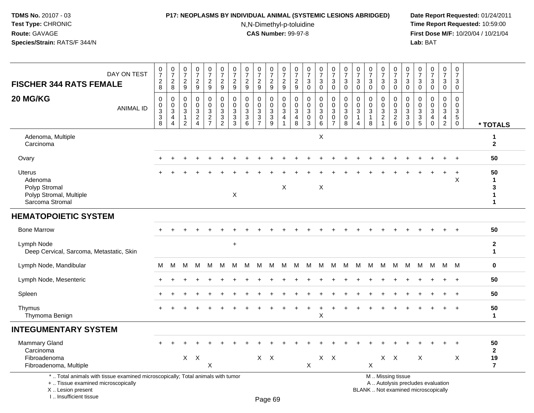### **P17: NEOPLASMS BY INDIVIDUAL ANIMAL (SYSTEMIC LESIONS ABRIDGED) Date Report Requested:** 01/24/2011

N,N-Dimethyl-p-toluidine

 **Time Report Requested:** 10:59:00 **First Dose M/F:** 10/20/04 / 10/21/04<br>**Lab:** BAT **Lab:** BAT

| DAY ON TEST<br><b>FISCHER 344 RATS FEMALE</b>                                                                         | $\frac{0}{7}$<br>$\frac{2}{8}$                 | $\frac{0}{7}$<br>$\frac{2}{8}$                                                   | 0<br>$\overline{7}$<br>$\overline{c}$<br>9   | $\frac{0}{7}$<br>$\frac{2}{9}$                              | $\frac{0}{7}$<br>$\overline{a}$<br>$\boldsymbol{9}$ | $\frac{0}{7}$<br>$\frac{2}{9}$                                           | $\frac{0}{7}$<br>$\frac{2}{9}$                                  | $\begin{array}{c} 0 \\ 7 \end{array}$<br>$\frac{2}{9}$ | $\frac{0}{7}$<br>$\sqrt{2}$<br>9                                       | $\frac{0}{7}$<br>$\frac{2}{9}$                       | $\frac{0}{7}$<br>$\frac{2}{9}$                                       | $\frac{0}{7}$<br>$\overline{c}$<br>9 | 0<br>$\overline{7}$<br>$\ensuremath{\mathsf{3}}$<br>$\mathbf 0$ | $\begin{array}{c} 0 \\ 7 \end{array}$<br>$\ensuremath{\mathsf{3}}$<br>$\mathbf 0$ | $\begin{array}{c} 0 \\ 7 \end{array}$<br>$_{0}^{3}$                         | $\begin{array}{c} 0 \\ 7 \end{array}$<br>$\ensuremath{\mathsf{3}}$<br>$\mathbf 0$ | $\frac{0}{7}$<br>3<br>$\mathbf 0$      | $\frac{0}{7}$<br>$\mathbf 3$<br>$\mathbf 0$                       | $\frac{0}{7}$<br>$\mathbf{3}$<br>$\mathbf 0$       | $\frac{0}{7}$<br>$\ensuremath{\mathsf{3}}$<br>$\mathsf{O}\xspace$ | 0<br>$\overline{7}$<br>$_{0}^{3}$                                     | 0<br>$\overline{7}$<br>$\ensuremath{\mathsf{3}}$<br>$\mathsf{O}$ | $\begin{array}{c} 0 \\ 7 \end{array}$<br>$\sqrt{3}$<br>$\mathbf 0$        | 0<br>$\overline{7}$<br>3<br>0          | $\pmb{0}$<br>$\overline{7}$<br>$\mathbf{3}$<br>$\mathbf 0$ |                                                        |
|-----------------------------------------------------------------------------------------------------------------------|------------------------------------------------|----------------------------------------------------------------------------------|----------------------------------------------|-------------------------------------------------------------|-----------------------------------------------------|--------------------------------------------------------------------------|-----------------------------------------------------------------|--------------------------------------------------------|------------------------------------------------------------------------|------------------------------------------------------|----------------------------------------------------------------------|--------------------------------------|-----------------------------------------------------------------|-----------------------------------------------------------------------------------|-----------------------------------------------------------------------------|-----------------------------------------------------------------------------------|----------------------------------------|-------------------------------------------------------------------|----------------------------------------------------|-------------------------------------------------------------------|-----------------------------------------------------------------------|------------------------------------------------------------------|---------------------------------------------------------------------------|----------------------------------------|------------------------------------------------------------|--------------------------------------------------------|
| 20 MG/KG<br><b>ANIMAL ID</b>                                                                                          | $\mathbf 0$<br>$_{3}^{\rm 0}$<br>$\frac{3}{8}$ | $\mathbf 0$<br>$\mathbf 0$<br>$\overline{3}$<br>$\overline{4}$<br>$\overline{4}$ | 0<br>$\mathbf 0$<br>3<br>1<br>$\overline{2}$ | $\mathbf 0$<br>$\mathbf 0$<br>$\mathbf{3}$<br>$\frac{2}{4}$ | $\mathbf 0$<br>0<br>3<br>$\frac{2}{7}$              | $\mathbf 0$<br>$\mathbf 0$<br>$\ensuremath{\mathsf{3}}$<br>$\frac{3}{2}$ | $\mathbf 0$<br>$\pmb{0}$<br>$\ensuremath{\mathsf{3}}$<br>$_3^3$ | 0<br>0<br>$\sqrt{3}$<br>$\frac{3}{6}$                  | $\mathbf 0$<br>$\mathbf 0$<br>$\ensuremath{\mathsf{3}}$<br>$rac{3}{7}$ | 0<br>0<br>$\ensuremath{\mathsf{3}}$<br>$\frac{3}{9}$ | 0<br>$\mathbf 0$<br>$\overline{3}$<br>$\overline{4}$<br>$\mathbf{1}$ | $\mathbf 0$<br>0<br>3<br>4<br>8      | $\mathbf 0$<br>0<br>$\mathbf{3}$<br>$_{3}^{\rm 0}$              | $\mathbf 0$<br>0<br>$\overline{3}$<br>$\begin{array}{c} 0 \\ 6 \end{array}$       | $\pmb{0}$<br>$\mathbf 0$<br>$\overline{3}$<br>$\mathbf 0$<br>$\overline{7}$ | $\mathbf 0$<br>$\mathbf 0$<br>$\overline{3}$<br>$\mathbf 0$<br>$\overline{8}$     | $\Omega$<br>$\mathbf 0$<br>3<br>1<br>4 | $\mathbf 0$<br>$\mathbf 0$<br>$\overline{3}$<br>$\mathbf{1}$<br>8 | 0<br>$\mathbf 0$<br>$\mathbf{3}$<br>$\overline{2}$ | 0<br>$\mathbf 0$<br>$\overline{3}$<br>$^2\phantom{1}6$            | $\mathbf 0$<br>$\mathbf 0$<br>$\ensuremath{\mathsf{3}}$<br>$_{0}^{3}$ | $\mathbf 0$<br>0<br>$\sqrt{3}$<br>$\frac{3}{5}$                  | $\mathbf 0$<br>$\mathbf 0$<br>$\sqrt{3}$<br>$\overline{a}$<br>$\mathbf 0$ | 0<br>$\mathbf 0$<br>3<br>$\frac{4}{2}$ | $\Omega$<br>0<br>$\mathbf{3}$<br>$^5_{0}$                  | * TOTALS                                               |
| Adenoma, Multiple<br>Carcinoma                                                                                        |                                                |                                                                                  |                                              |                                                             |                                                     |                                                                          |                                                                 |                                                        |                                                                        |                                                      |                                                                      |                                      |                                                                 | X                                                                                 |                                                                             |                                                                                   |                                        |                                                                   |                                                    |                                                                   |                                                                       |                                                                  |                                                                           |                                        |                                                            | $\mathbf{2}$                                           |
| Ovary                                                                                                                 |                                                |                                                                                  |                                              |                                                             |                                                     |                                                                          |                                                                 |                                                        |                                                                        |                                                      |                                                                      |                                      |                                                                 |                                                                                   |                                                                             |                                                                                   |                                        |                                                                   |                                                    |                                                                   |                                                                       |                                                                  |                                                                           |                                        |                                                            | 50                                                     |
| <b>Uterus</b><br>Adenoma<br>Polyp Stromal<br>Polyp Stromal, Multiple<br>Sarcoma Stromal                               |                                                |                                                                                  |                                              |                                                             |                                                     |                                                                          | X                                                               |                                                        |                                                                        |                                                      | X                                                                    |                                      |                                                                 | $\times$                                                                          |                                                                             |                                                                                   |                                        |                                                                   |                                                    |                                                                   |                                                                       |                                                                  |                                                                           |                                        | $\ddot{}$<br>$\times$                                      | 50<br>$\mathbf{1}$<br>3<br>$\mathbf 1$<br>$\mathbf{1}$ |
| <b>HEMATOPOIETIC SYSTEM</b>                                                                                           |                                                |                                                                                  |                                              |                                                             |                                                     |                                                                          |                                                                 |                                                        |                                                                        |                                                      |                                                                      |                                      |                                                                 |                                                                                   |                                                                             |                                                                                   |                                        |                                                                   |                                                    |                                                                   |                                                                       |                                                                  |                                                                           |                                        |                                                            |                                                        |
| <b>Bone Marrow</b>                                                                                                    |                                                |                                                                                  |                                              |                                                             |                                                     |                                                                          |                                                                 |                                                        |                                                                        |                                                      |                                                                      |                                      |                                                                 |                                                                                   |                                                                             |                                                                                   |                                        |                                                                   |                                                    |                                                                   |                                                                       |                                                                  |                                                                           |                                        | $+$                                                        | 50                                                     |
| Lymph Node<br>Deep Cervical, Sarcoma, Metastatic, Skin                                                                |                                                |                                                                                  |                                              |                                                             |                                                     |                                                                          | $\ddot{}$                                                       |                                                        |                                                                        |                                                      |                                                                      |                                      |                                                                 |                                                                                   |                                                                             |                                                                                   |                                        |                                                                   |                                                    |                                                                   |                                                                       |                                                                  |                                                                           |                                        |                                                            | $\mathbf{2}$<br>$\mathbf 1$                            |
| Lymph Node, Mandibular                                                                                                | М                                              | M                                                                                | М                                            | M                                                           | M                                                   | M                                                                        | M                                                               | м                                                      | M                                                                      | M                                                    | M                                                                    | M                                    | M                                                               | M                                                                                 | M                                                                           | M                                                                                 | M                                      | M                                                                 | M                                                  | M                                                                 | M                                                                     | M                                                                | M                                                                         |                                        | M M                                                        | $\mathbf 0$                                            |
| Lymph Node, Mesenteric                                                                                                |                                                |                                                                                  |                                              |                                                             |                                                     |                                                                          |                                                                 |                                                        |                                                                        |                                                      |                                                                      |                                      |                                                                 |                                                                                   |                                                                             |                                                                                   |                                        |                                                                   |                                                    |                                                                   |                                                                       |                                                                  |                                                                           |                                        | $\ddot{}$                                                  | 50                                                     |
| Spleen                                                                                                                |                                                |                                                                                  |                                              |                                                             |                                                     |                                                                          |                                                                 |                                                        |                                                                        |                                                      |                                                                      |                                      |                                                                 |                                                                                   |                                                                             |                                                                                   |                                        |                                                                   |                                                    |                                                                   |                                                                       |                                                                  |                                                                           |                                        | $\overline{ }$                                             | 50                                                     |
| Thymus<br>Thymoma Benign                                                                                              |                                                |                                                                                  |                                              |                                                             |                                                     |                                                                          |                                                                 |                                                        |                                                                        |                                                      |                                                                      |                                      |                                                                 | X                                                                                 |                                                                             |                                                                                   |                                        |                                                                   |                                                    |                                                                   |                                                                       |                                                                  |                                                                           |                                        | $\overline{+}$                                             | 50<br>$\mathbf{1}$                                     |
| <b>INTEGUMENTARY SYSTEM</b>                                                                                           |                                                |                                                                                  |                                              |                                                             |                                                     |                                                                          |                                                                 |                                                        |                                                                        |                                                      |                                                                      |                                      |                                                                 |                                                                                   |                                                                             |                                                                                   |                                        |                                                                   |                                                    |                                                                   |                                                                       |                                                                  |                                                                           |                                        |                                                            |                                                        |
| <b>Mammary Gland</b><br>Carcinoma<br>Fibroadenoma<br>Fibroadenoma, Multiple                                           |                                                |                                                                                  | $\mathsf{X}$                                 | $\boldsymbol{\mathsf{X}}$                                   | X                                                   |                                                                          |                                                                 |                                                        | $X$ $X$                                                                |                                                      |                                                                      |                                      | $\mathsf{X}$                                                    |                                                                                   | $X$ $X$                                                                     |                                                                                   |                                        | X                                                                 | X                                                  | $\mathsf{X}$                                                      |                                                                       | $\boldsymbol{\mathsf{X}}$                                        |                                                                           |                                        | X                                                          | 50<br>$\mathbf{2}$<br>19<br>$\overline{7}$             |
| *  Total animals with tissue examined microscopically; Total animals with tumor<br>+  Tissue examined microscopically |                                                |                                                                                  |                                              |                                                             |                                                     |                                                                          |                                                                 |                                                        |                                                                        |                                                      |                                                                      |                                      |                                                                 |                                                                                   |                                                                             |                                                                                   |                                        |                                                                   |                                                    | M  Missing tissue                                                 |                                                                       |                                                                  | A  Autolysis precludes evaluation                                         |                                        |                                                            |                                                        |

 Lesion present BLANK .. Not examined microscopicallyX .. Lesion present

I .. Insufficient tissue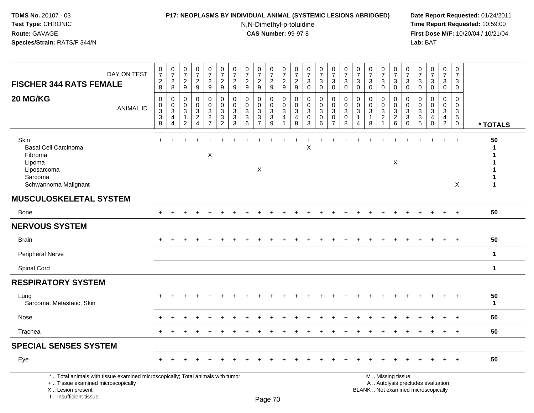### **P17: NEOPLASMS BY INDIVIDUAL ANIMAL (SYSTEMIC LESIONS ABRIDGED) Date Report Requested:** 01/24/2011

N,N-Dimethyl-p-toluidine

| <b>FISCHER 344 RATS FEMALE</b>                                                                                                                                      | DAY ON TEST      | $\frac{0}{7}$<br>$\sqrt{2}$<br>8                                                | $\frac{0}{7}$<br>$\overline{2}$<br>$\bf8$ | $\begin{array}{c} 0 \\ 7 \end{array}$<br>$\overline{c}$<br>$\boldsymbol{9}$ | $\frac{0}{7}$<br>$\overline{2}$<br>$\boldsymbol{9}$                  | $\begin{smallmatrix}0\\7\end{smallmatrix}$<br>$\overline{c}$<br>$\boldsymbol{9}$ | $\frac{0}{7}$<br>$\sqrt{2}$<br>9                     | 0<br>$\overline{7}$<br>$\overline{2}$<br>$\boldsymbol{9}$ | $\frac{0}{7}$<br>$\overline{c}$<br>$9\,$                           | $\frac{0}{7}$<br>$\overline{c}$<br>$\boldsymbol{9}$ | $\frac{0}{7}$<br>$\overline{c}$<br>9                               | 0<br>$\overline{7}$<br>$\overline{2}$<br>9                                   | 0<br>$\overline{7}$<br>$\overline{c}$<br>$9\,$ | 0<br>$\overline{7}$<br>3<br>$\mathbf 0$             | $\frac{0}{7}$<br>3<br>$\mathbf 0$          | $\begin{smallmatrix}0\\7\end{smallmatrix}$<br>3<br>$\mathbf 0$ | $\begin{array}{c} 0 \\ 7 \end{array}$<br>3<br>$\mathbf 0$ | 0<br>$\overline{7}$<br>$\sqrt{3}$<br>$\mathbf 0$ | 0<br>$\overline{7}$<br>3<br>$\mathbf 0$               | 0<br>$\overline{7}$<br>3<br>$\mathbf 0$                            | $\frac{0}{7}$<br>$\mathbf{3}$<br>$\mathbf 0$           | $\frac{0}{7}$<br>$\mathbf{3}$<br>$\mathbf 0$      | 0<br>$\overline{7}$<br>3<br>$\mathbf 0$ | $\begin{array}{c} 0 \\ 7 \end{array}$<br>3<br>$\mathbf 0$   | 0<br>$\overline{7}$<br>3<br>$\mathbf 0$       | $\mathbf 0$<br>$\overline{7}$<br>3<br>$\mathbf 0$ |                          |
|---------------------------------------------------------------------------------------------------------------------------------------------------------------------|------------------|---------------------------------------------------------------------------------|-------------------------------------------|-----------------------------------------------------------------------------|----------------------------------------------------------------------|----------------------------------------------------------------------------------|------------------------------------------------------|-----------------------------------------------------------|--------------------------------------------------------------------|-----------------------------------------------------|--------------------------------------------------------------------|------------------------------------------------------------------------------|------------------------------------------------|-----------------------------------------------------|--------------------------------------------|----------------------------------------------------------------|-----------------------------------------------------------|--------------------------------------------------|-------------------------------------------------------|--------------------------------------------------------------------|--------------------------------------------------------|---------------------------------------------------|-----------------------------------------|-------------------------------------------------------------|-----------------------------------------------|---------------------------------------------------|--------------------------|
| 20 MG/KG                                                                                                                                                            | <b>ANIMAL ID</b> | $\mathbf 0$<br>0<br>$\ensuremath{\mathsf{3}}$<br>$\ensuremath{\mathsf{3}}$<br>8 | 0<br>0<br>$\mathbf{3}$<br>4<br>4          | 0<br>0<br>3<br>$\mathbf{1}$<br>$\overline{c}$                               | $\mathbf 0$<br>0<br>$\mathbf{3}$<br>$\overline{c}$<br>$\overline{4}$ | $\mathbf 0$<br>0<br>$\frac{3}{2}$<br>$\overline{7}$                              | 0<br>0<br>$\sqrt{3}$<br>$\sqrt{3}$<br>$\overline{2}$ | $\mathbf 0$<br>0<br>3<br>3<br>3                           | $\mathbf 0$<br>0<br>$\mathbf{3}$<br>$\ensuremath{\mathsf{3}}$<br>6 | 0<br>0<br>3<br>3<br>$\overline{7}$                  | $\mathbf 0$<br>0<br>$\mathbf{3}$<br>$\ensuremath{\mathsf{3}}$<br>9 | $\mathbf 0$<br>$\mathbf 0$<br>$\mathbf{3}$<br>$\overline{4}$<br>$\mathbf{1}$ | $\Omega$<br>0<br>3<br>4<br>8                   | $\mathbf 0$<br>$\mathbf 0$<br>3<br>$\mathbf 0$<br>3 | $\mathbf 0$<br>0<br>$\mathbf{3}$<br>0<br>6 | 0<br>$\mathbf 0$<br>$\mathbf{3}$<br>0<br>$\overline{7}$        | $\mathbf 0$<br>0<br>$\mathbf{3}$<br>0<br>8                | 0<br>0<br>3<br>$\mathbf{1}$<br>$\overline{4}$    | 0<br>$\mathbf 0$<br>$\mathbf{3}$<br>$\mathbf{1}$<br>8 | 0<br>$\mathbf 0$<br>$\mathbf{3}$<br>$\overline{c}$<br>$\mathbf{1}$ | 0<br>0<br>$\frac{3}{2}$<br>6                           | $\mathbf 0$<br>0<br>3<br>$\mathbf{3}$<br>$\Omega$ | $\Omega$<br>0<br>3<br>3<br>$\sqrt{5}$   | $\mathbf 0$<br>$\mathbf 0$<br>$\mathbf{3}$<br>4<br>$\Omega$ | 0<br>0<br>$\mathbf{3}$<br>4<br>$\overline{2}$ | $\mathbf 0$<br>0<br>3<br>5<br>$\mathbf 0$         | * TOTALS                 |
| Skin<br><b>Basal Cell Carcinoma</b><br>Fibroma<br>Lipoma<br>Liposarcoma<br>Sarcoma<br>Schwannoma Malignant                                                          |                  | $+$                                                                             |                                           |                                                                             |                                                                      | X                                                                                |                                                      |                                                           |                                                                    | X                                                   |                                                                    |                                                                              |                                                | X                                                   |                                            |                                                                |                                                           |                                                  |                                                       |                                                                    | $\boldsymbol{\mathsf{X}}$                              |                                                   |                                         |                                                             |                                               | $\div$<br>X                                       | 50<br>-1<br>$\mathbf{1}$ |
| <b>MUSCULOSKELETAL SYSTEM</b>                                                                                                                                       |                  |                                                                                 |                                           |                                                                             |                                                                      |                                                                                  |                                                      |                                                           |                                                                    |                                                     |                                                                    |                                                                              |                                                |                                                     |                                            |                                                                |                                                           |                                                  |                                                       |                                                                    |                                                        |                                                   |                                         |                                                             |                                               |                                                   |                          |
| Bone                                                                                                                                                                |                  | $+$                                                                             | $\ddot{}$                                 | $\div$                                                                      |                                                                      |                                                                                  |                                                      |                                                           |                                                                    | $\div$                                              | $\div$                                                             |                                                                              |                                                |                                                     |                                            | $\ddot{}$                                                      | $\div$                                                    |                                                  |                                                       | $\ddot{}$                                                          | $\div$                                                 | $\pm$                                             | $\ddot{}$                               |                                                             | $+$                                           | $+$                                               | 50                       |
| <b>NERVOUS SYSTEM</b>                                                                                                                                               |                  |                                                                                 |                                           |                                                                             |                                                                      |                                                                                  |                                                      |                                                           |                                                                    |                                                     |                                                                    |                                                                              |                                                |                                                     |                                            |                                                                |                                                           |                                                  |                                                       |                                                                    |                                                        |                                                   |                                         |                                                             |                                               |                                                   |                          |
| <b>Brain</b>                                                                                                                                                        |                  |                                                                                 |                                           |                                                                             |                                                                      |                                                                                  |                                                      |                                                           |                                                                    |                                                     |                                                                    |                                                                              |                                                |                                                     |                                            |                                                                |                                                           |                                                  |                                                       |                                                                    |                                                        |                                                   |                                         |                                                             | $\div$                                        | $+$                                               | 50                       |
| <b>Peripheral Nerve</b>                                                                                                                                             |                  |                                                                                 |                                           |                                                                             |                                                                      |                                                                                  |                                                      |                                                           |                                                                    |                                                     |                                                                    |                                                                              |                                                |                                                     |                                            |                                                                |                                                           |                                                  |                                                       |                                                                    |                                                        |                                                   |                                         |                                                             |                                               |                                                   | $\mathbf{1}$             |
| Spinal Cord                                                                                                                                                         |                  |                                                                                 |                                           |                                                                             |                                                                      |                                                                                  |                                                      |                                                           |                                                                    |                                                     |                                                                    |                                                                              |                                                |                                                     |                                            |                                                                |                                                           |                                                  |                                                       |                                                                    |                                                        |                                                   |                                         |                                                             |                                               |                                                   | $\mathbf{1}$             |
| <b>RESPIRATORY SYSTEM</b>                                                                                                                                           |                  |                                                                                 |                                           |                                                                             |                                                                      |                                                                                  |                                                      |                                                           |                                                                    |                                                     |                                                                    |                                                                              |                                                |                                                     |                                            |                                                                |                                                           |                                                  |                                                       |                                                                    |                                                        |                                                   |                                         |                                                             |                                               |                                                   |                          |
| Lung<br>Sarcoma, Metastatic, Skin                                                                                                                                   |                  |                                                                                 |                                           |                                                                             |                                                                      |                                                                                  |                                                      |                                                           |                                                                    |                                                     |                                                                    |                                                                              |                                                |                                                     |                                            |                                                                |                                                           |                                                  |                                                       |                                                                    |                                                        |                                                   |                                         |                                                             |                                               |                                                   | 50<br>$\mathbf{1}$       |
| Nose                                                                                                                                                                |                  |                                                                                 |                                           |                                                                             |                                                                      |                                                                                  |                                                      |                                                           |                                                                    |                                                     |                                                                    |                                                                              |                                                |                                                     |                                            |                                                                |                                                           |                                                  |                                                       |                                                                    |                                                        |                                                   |                                         |                                                             | $\div$                                        | $+$                                               | 50                       |
| Trachea                                                                                                                                                             |                  |                                                                                 |                                           |                                                                             |                                                                      |                                                                                  |                                                      |                                                           |                                                                    |                                                     |                                                                    |                                                                              |                                                |                                                     |                                            |                                                                |                                                           |                                                  |                                                       |                                                                    |                                                        |                                                   |                                         |                                                             |                                               | $+$                                               | 50                       |
| <b>SPECIAL SENSES SYSTEM</b>                                                                                                                                        |                  |                                                                                 |                                           |                                                                             |                                                                      |                                                                                  |                                                      |                                                           |                                                                    |                                                     |                                                                    |                                                                              |                                                |                                                     |                                            |                                                                |                                                           |                                                  |                                                       |                                                                    |                                                        |                                                   |                                         |                                                             |                                               |                                                   |                          |
| Eye                                                                                                                                                                 |                  |                                                                                 |                                           |                                                                             |                                                                      |                                                                                  |                                                      |                                                           |                                                                    |                                                     |                                                                    |                                                                              |                                                |                                                     |                                            |                                                                |                                                           |                                                  |                                                       |                                                                    |                                                        |                                                   |                                         |                                                             |                                               |                                                   | 50                       |
| *  Total animals with tissue examined microscopically; Total animals with tumor<br>+  Tissue examined microscopically<br>X  Lesion present<br>I Insufficient tissue |                  |                                                                                 |                                           |                                                                             |                                                                      |                                                                                  |                                                      |                                                           |                                                                    |                                                     | $D200$ 70                                                          |                                                                              |                                                |                                                     |                                            |                                                                |                                                           |                                                  | BLANK  Not examined microscopically                   |                                                                    | M  Missing tissue<br>A  Autolysis precludes evaluation |                                                   |                                         |                                                             |                                               |                                                   |                          |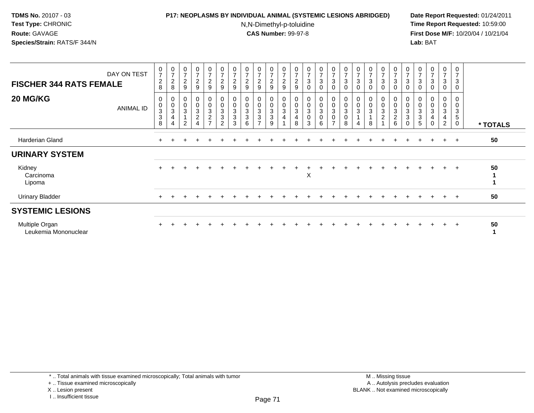# **P17: NEOPLASMS BY INDIVIDUAL ANIMAL (SYSTEMIC LESIONS ABRIDGED) Date Report Requested:** 01/24/2011

N,N-Dimethyl-p-toluidine

| <b>FISCHER 344 RATS FEMALE</b>         | DAY ON TEST | $\frac{0}{7}$<br>$\boldsymbol{2}$<br>8 | $\frac{0}{7}$<br>$\sqrt{2}$<br>8                                          | $\begin{array}{c} 0 \\ 7 \end{array}$<br>$\boldsymbol{2}$<br>9        | $\frac{0}{7}$<br>$\overline{c}$<br>9            | $\frac{0}{7}$<br>$\overline{c}$<br>$\boldsymbol{9}$                               | $\frac{0}{7}$<br>$\sqrt{2}$<br>$\boldsymbol{9}$                             | $\frac{0}{7}$<br>$\boldsymbol{2}$<br>9                           | $\frac{0}{7}$<br>$\overline{c}$<br>9 | $\frac{0}{7}$<br>$\overline{\mathbf{c}}$<br>9 | $\frac{0}{7}$<br>$\overline{c}$<br>9                                  | $\frac{0}{7}$<br>$\boldsymbol{2}$<br>9         | $\frac{0}{7}$<br>$\frac{2}{9}$             | $\frac{0}{7}$<br>$\ensuremath{\mathsf{3}}$<br>$\mathbf 0$ | $\frac{0}{7}$<br>3<br>$\mathbf 0$ | $\frac{0}{7}$<br>$\ensuremath{\mathsf{3}}$<br>$\mathbf 0$ | $\frac{0}{7}$<br>3<br>$\mathbf 0$                             | $\frac{0}{7}$<br>$\sqrt{3}$<br>$\mathbf 0$                      | $\frac{0}{7}$<br>$\mathbf 3$<br>0         | $\frac{0}{7}$<br>$\mathbf{3}$<br>0                 | $\begin{array}{c} 0 \\ 7 \end{array}$<br>$\ensuremath{\mathsf{3}}$<br>0         | $\frac{0}{7}$<br>$\ensuremath{\mathsf{3}}$<br>$\mathbf 0$                                 | 0<br>3<br>0           | $\frac{0}{7}$<br>$\sqrt{3}$<br>$\mathbf 0$ | $\frac{0}{7}$<br>$\sqrt{3}$<br>0                         | $\mathbf 0$<br>$\overline{7}$<br>3<br>$\mathbf 0$      |          |
|----------------------------------------|-------------|----------------------------------------|---------------------------------------------------------------------------|-----------------------------------------------------------------------|-------------------------------------------------|-----------------------------------------------------------------------------------|-----------------------------------------------------------------------------|------------------------------------------------------------------|--------------------------------------|-----------------------------------------------|-----------------------------------------------------------------------|------------------------------------------------|--------------------------------------------|-----------------------------------------------------------|-----------------------------------|-----------------------------------------------------------|---------------------------------------------------------------|-----------------------------------------------------------------|-------------------------------------------|----------------------------------------------------|---------------------------------------------------------------------------------|-------------------------------------------------------------------------------------------|-----------------------|--------------------------------------------|----------------------------------------------------------|--------------------------------------------------------|----------|
| 20 MG/KG                               | ANIMAL ID   | 0<br>$\mathbf 0$<br>$\frac{3}{3}$<br>8 | $\begin{matrix} 0 \\ 0 \\ 3 \end{matrix}$<br>$\overline{\mathbf{4}}$<br>4 | 0<br>$\pmb{0}$<br>$\ensuremath{\mathsf{3}}$<br>$\mathbf{1}$<br>$\sim$ | 0<br>$\mathsf{O}\xspace$<br>3<br>$\overline{c}$ | 0<br>$\mathsf 0$<br>$\ensuremath{\mathsf{3}}$<br>$\overline{c}$<br>$\overline{ }$ | $\boldsymbol{0}$<br>$\pmb{0}$<br>$\sqrt{3}$<br>$\sqrt{3}$<br>$\overline{2}$ | 0<br>$\mathbf 0$<br>$\sqrt{3}$<br>$\ensuremath{\mathsf{3}}$<br>3 | 0<br>$\boldsymbol{0}$<br>3<br>3<br>6 | 0<br>0<br>3<br>3                              | 0<br>0<br>$\ensuremath{\mathsf{3}}$<br>$\ensuremath{\mathsf{3}}$<br>9 | 0<br>$\pmb{0}$<br>$\sqrt{3}$<br>$\overline{4}$ | $_{\rm 0}^{\rm 0}$<br>$\sqrt{3}$<br>4<br>8 | $_{\rm 0}^{\rm 0}$<br>$\sqrt{3}$<br>0<br>3                | 0<br>$\pmb{0}$<br>3<br>0<br>6     | 0<br>$\pmb{0}$<br>$\sqrt{3}$<br>0<br>$\overline{ }$       | 0<br>$\pmb{0}$<br>$\ensuremath{\mathsf{3}}$<br>$\pmb{0}$<br>8 | $\begin{smallmatrix} 0\\0 \end{smallmatrix}$<br>$\sqrt{3}$<br>4 | 0<br>0<br>$\sqrt{3}$<br>$\mathbf{1}$<br>8 | 0<br>$\pmb{0}$<br>$\mathbf{3}$<br>$\boldsymbol{2}$ | $\begin{smallmatrix} 0\\0 \end{smallmatrix}$<br>$\mathbf{3}$<br>$\sqrt{2}$<br>6 | 0<br>$\mathbf 0$<br>$\ensuremath{\mathsf{3}}$<br>$\ensuremath{\mathsf{3}}$<br>$\mathbf 0$ | 0<br>0<br>3<br>3<br>5 | 0<br>$\pmb{0}$<br>3<br>4<br>$\Omega$       | 0<br>0<br>3<br>$\overline{\mathbf{4}}$<br>$\overline{c}$ | 0<br>$\mathbf 0$<br>3<br>$\overline{5}$<br>$\mathbf 0$ | * TOTALS |
| Harderian Gland                        |             |                                        |                                                                           |                                                                       |                                                 |                                                                                   |                                                                             |                                                                  |                                      |                                               |                                                                       |                                                |                                            |                                                           |                                   |                                                           |                                                               |                                                                 |                                           |                                                    |                                                                                 |                                                                                           |                       |                                            | $+$                                                      | $^+$                                                   | 50       |
| <b>URINARY SYSTEM</b>                  |             |                                        |                                                                           |                                                                       |                                                 |                                                                                   |                                                                             |                                                                  |                                      |                                               |                                                                       |                                                |                                            |                                                           |                                   |                                                           |                                                               |                                                                 |                                           |                                                    |                                                                                 |                                                                                           |                       |                                            |                                                          |                                                        |          |
| Kidney<br>Carcinoma<br>Lipoma          |             |                                        |                                                                           |                                                                       |                                                 |                                                                                   |                                                                             |                                                                  |                                      |                                               |                                                                       |                                                |                                            | X                                                         |                                   |                                                           |                                                               |                                                                 |                                           |                                                    |                                                                                 |                                                                                           |                       |                                            |                                                          |                                                        | 50       |
| <b>Urinary Bladder</b>                 |             | $+$                                    |                                                                           |                                                                       |                                                 |                                                                                   |                                                                             |                                                                  |                                      |                                               |                                                                       |                                                |                                            |                                                           |                                   |                                                           |                                                               |                                                                 |                                           |                                                    |                                                                                 |                                                                                           |                       |                                            | $\pm$                                                    | $+$                                                    | 50       |
| <b>SYSTEMIC LESIONS</b>                |             |                                        |                                                                           |                                                                       |                                                 |                                                                                   |                                                                             |                                                                  |                                      |                                               |                                                                       |                                                |                                            |                                                           |                                   |                                                           |                                                               |                                                                 |                                           |                                                    |                                                                                 |                                                                                           |                       |                                            |                                                          |                                                        |          |
| Multiple Organ<br>Leukemia Mononuclear |             |                                        |                                                                           |                                                                       |                                                 |                                                                                   |                                                                             |                                                                  |                                      |                                               |                                                                       |                                                |                                            |                                                           |                                   |                                                           |                                                               |                                                                 |                                           |                                                    |                                                                                 |                                                                                           |                       |                                            | $\pm$                                                    | $\pm$                                                  | 50       |

<sup>+ ..</sup> Tissue examined microscopically

X .. Lesion present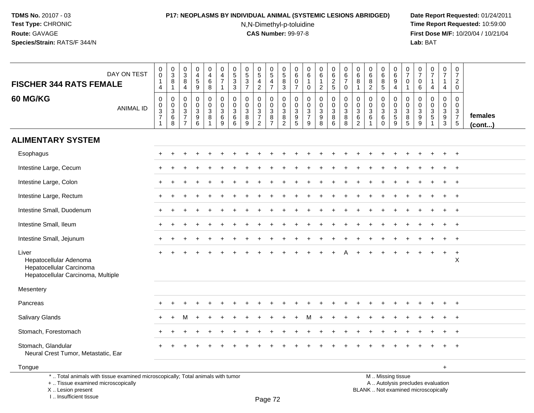# **P17: NEOPLASMS BY INDIVIDUAL ANIMAL (SYSTEMIC LESIONS ABRIDGED) Date Report Requested:** 01/24/2011

N,N-Dimethyl-p-toluidine

| DAY ON TEST<br><b>FISCHER 344 RATS FEMALE</b>                                                                                                                       |                  | 0<br>$\tilde{0}$<br>$\overline{1}$<br>4           | $_{3}^{\rm 0}$<br>$\bf 8$<br>$\mathbf{1}$                | $\mathbf 0$<br>$\overline{3}$<br>8<br>$\overline{4}$                | $\pmb{0}$<br>$\overline{4}$<br>$\sqrt{5}$<br>9          | $\mathbf 0$<br>4<br>6<br>8                                           | $\pmb{0}$<br>$\overline{4}$<br>$\overline{7}$<br>$\mathbf{1}$ | $\begin{array}{c} 0 \\ 5 \\ 3 \end{array}$<br>$\overline{3}$ | $\pmb{0}$<br>$\overline{5}$<br>$\mathbf{3}$<br>$\overline{7}$ | $\begin{array}{c} 0 \\ 5 \end{array}$<br>$\overline{4}$<br>$\overline{c}$ | $\begin{array}{c} 0 \\ 5 \end{array}$<br>$\overline{4}$<br>$\overline{7}$ | $\mathbf 0$<br>$\overline{5}$<br>8<br>$\mathbf{3}$                             | $\mathbf 0$<br>6<br>$\overline{0}$<br>7                  | $\pmb{0}$<br>6<br>$\mathbf{1}$<br>0                            | $_{6}^{\rm 0}$<br>$\mathbf{1}$<br>$\overline{2}$        | $\begin{array}{c} 0 \\ 6 \end{array}$<br>$\overline{2}$<br>$5\,$ | $\pmb{0}$<br>$\,6$<br>$\overline{7}$<br>0          | $\mathbf 0$<br>$\,6\,$<br>8<br>$\overline{1}$       | 0<br>6<br>8<br>$\overline{2}$              | 0<br>$\overline{6}$<br>8<br>$\sqrt{5}$                 | 0<br>$6\overline{6}$<br>$\boldsymbol{9}$<br>$\overline{4}$ | 0<br>$\overline{7}$<br>0<br>$\mathbf{1}$ | $\mathbf 0$<br>$\overline{7}$<br>$\mathbf 0$<br>6                                  | $\pmb{0}$<br>$\overline{7}$<br>$\mathbf{1}$<br>4                         | $\begin{smallmatrix}0\\7\end{smallmatrix}$<br>$\mathbf{1}$<br>$\overline{4}$ | $\mathbf 0$<br>$\overline{7}$<br>$\overline{2}$<br>$\mathbf 0$ |                   |
|---------------------------------------------------------------------------------------------------------------------------------------------------------------------|------------------|---------------------------------------------------|----------------------------------------------------------|---------------------------------------------------------------------|---------------------------------------------------------|----------------------------------------------------------------------|---------------------------------------------------------------|--------------------------------------------------------------|---------------------------------------------------------------|---------------------------------------------------------------------------|---------------------------------------------------------------------------|--------------------------------------------------------------------------------|----------------------------------------------------------|----------------------------------------------------------------|---------------------------------------------------------|------------------------------------------------------------------|----------------------------------------------------|-----------------------------------------------------|--------------------------------------------|--------------------------------------------------------|------------------------------------------------------------|------------------------------------------|------------------------------------------------------------------------------------|--------------------------------------------------------------------------|------------------------------------------------------------------------------|----------------------------------------------------------------|-------------------|
| <b>60 MG/KG</b>                                                                                                                                                     | <b>ANIMAL ID</b> | $\mathbf 0$<br>$\mathbf 0$<br>$\frac{3}{7}$<br>-1 | $\mathbf 0$<br>$\pmb{0}$<br>$\mathbf{3}$<br>$\,6\,$<br>8 | $\mathbf 0$<br>$\mathbf 0$<br>3<br>$\overline{7}$<br>$\overline{7}$ | $\mathbf 0$<br>0<br>$\ensuremath{\mathsf{3}}$<br>9<br>6 | $\mathbf 0$<br>$\mathbf 0$<br>$\mathsf 3$<br>$\,8\,$<br>$\mathbf{1}$ | $\mathbf 0$<br>$\pmb{0}$<br>$\mathbf{3}$<br>6<br>9            | $\mathbf 0$<br>0<br>$\sqrt{3}$<br>$\,6\,$<br>$\,6\,$         | $\Omega$<br>0<br>$\mathbf{3}$<br>8<br>9                       | $\mathbf 0$<br>0<br>$\frac{3}{7}$<br>$\overline{2}$                       | $\mathbf 0$<br>$\mathbf 0$<br>$\mathsf 3$<br>$\bf 8$<br>$\overline{7}$    | $\mathbf 0$<br>$\mathsf{O}\xspace$<br>$\mathbf 3$<br>$\,8\,$<br>$\overline{2}$ | $\mathbf 0$<br>$\mathbf 0$<br>$\mathbf{3}$<br>$9\,$<br>5 | $\mathbf 0$<br>$\Omega$<br>$\mathbf{3}$<br>$\overline{7}$<br>9 | $\mathbf 0$<br>0<br>$\mathbf{3}$<br>$\overline{9}$<br>8 | 0<br>$\mathbf 0$<br>$\mathsf 3$<br>8<br>$6\phantom{1}6$          | $\mathbf 0$<br>$\pmb{0}$<br>$\mathbf{3}$<br>8<br>8 | 0<br>0<br>$\ensuremath{\mathsf{3}}$<br>$\,6\,$<br>2 | $\mathbf 0$<br>0<br>$\mathbf{3}$<br>6<br>1 | 0<br>0<br>$\sqrt{3}$<br>$6\phantom{1}6$<br>$\mathbf 0$ | 0<br>$\mathsf{O}\xspace$<br>$\frac{3}{5}$<br>9             | 0<br>$\Omega$<br>3<br>8<br>5             | $\Omega$<br>0<br>$\ensuremath{\mathsf{3}}$<br>$\boldsymbol{9}$<br>$\boldsymbol{9}$ | $\mathbf 0$<br>$\pmb{0}$<br>$\frac{3}{5}$                                | $\mathbf 0$<br>$\pmb{0}$<br>$\frac{3}{9}$<br>$\mathbf{3}$                    | $\mathbf 0$<br>$\Omega$<br>$\frac{3}{7}$<br>$5\phantom{.0}$    | females<br>(cont) |
| <b>ALIMENTARY SYSTEM</b>                                                                                                                                            |                  |                                                   |                                                          |                                                                     |                                                         |                                                                      |                                                               |                                                              |                                                               |                                                                           |                                                                           |                                                                                |                                                          |                                                                |                                                         |                                                                  |                                                    |                                                     |                                            |                                                        |                                                            |                                          |                                                                                    |                                                                          |                                                                              |                                                                |                   |
| Esophagus                                                                                                                                                           |                  |                                                   |                                                          |                                                                     |                                                         |                                                                      |                                                               |                                                              |                                                               |                                                                           |                                                                           |                                                                                |                                                          |                                                                |                                                         |                                                                  |                                                    |                                                     |                                            |                                                        |                                                            |                                          |                                                                                    |                                                                          |                                                                              | $\overline{+}$                                                 |                   |
| Intestine Large, Cecum                                                                                                                                              |                  |                                                   |                                                          |                                                                     |                                                         |                                                                      |                                                               |                                                              |                                                               |                                                                           |                                                                           |                                                                                |                                                          |                                                                |                                                         |                                                                  |                                                    |                                                     |                                            |                                                        |                                                            |                                          |                                                                                    |                                                                          |                                                                              |                                                                |                   |
| Intestine Large, Colon                                                                                                                                              |                  |                                                   |                                                          |                                                                     |                                                         |                                                                      |                                                               |                                                              |                                                               |                                                                           |                                                                           |                                                                                |                                                          |                                                                |                                                         |                                                                  |                                                    |                                                     |                                            |                                                        |                                                            |                                          |                                                                                    |                                                                          | $\ddot{}$                                                                    | $+$                                                            |                   |
| Intestine Large, Rectum                                                                                                                                             |                  |                                                   |                                                          |                                                                     |                                                         |                                                                      |                                                               |                                                              |                                                               |                                                                           |                                                                           |                                                                                |                                                          |                                                                |                                                         |                                                                  |                                                    |                                                     |                                            |                                                        |                                                            |                                          |                                                                                    |                                                                          |                                                                              | $+$                                                            |                   |
| Intestine Small, Duodenum                                                                                                                                           |                  |                                                   |                                                          |                                                                     |                                                         |                                                                      |                                                               |                                                              |                                                               |                                                                           |                                                                           |                                                                                |                                                          |                                                                |                                                         |                                                                  |                                                    |                                                     |                                            |                                                        |                                                            |                                          |                                                                                    |                                                                          | ÷.                                                                           | $+$                                                            |                   |
| Intestine Small, Ileum                                                                                                                                              |                  |                                                   |                                                          |                                                                     |                                                         |                                                                      |                                                               |                                                              |                                                               |                                                                           |                                                                           |                                                                                |                                                          |                                                                |                                                         |                                                                  |                                                    |                                                     |                                            |                                                        |                                                            |                                          |                                                                                    |                                                                          |                                                                              | $\overline{+}$                                                 |                   |
| Intestine Small, Jejunum                                                                                                                                            |                  |                                                   |                                                          |                                                                     |                                                         |                                                                      |                                                               |                                                              |                                                               |                                                                           |                                                                           |                                                                                |                                                          |                                                                |                                                         |                                                                  |                                                    |                                                     |                                            |                                                        |                                                            |                                          |                                                                                    |                                                                          |                                                                              | $\overline{+}$                                                 |                   |
| Liver<br>Hepatocellular Adenoma<br>Hepatocellular Carcinoma<br>Hepatocellular Carcinoma, Multiple                                                                   |                  |                                                   |                                                          |                                                                     |                                                         |                                                                      |                                                               |                                                              |                                                               |                                                                           |                                                                           |                                                                                |                                                          |                                                                |                                                         |                                                                  |                                                    |                                                     |                                            |                                                        |                                                            |                                          |                                                                                    |                                                                          |                                                                              | $\ddot{}$<br>X                                                 |                   |
| Mesentery                                                                                                                                                           |                  |                                                   |                                                          |                                                                     |                                                         |                                                                      |                                                               |                                                              |                                                               |                                                                           |                                                                           |                                                                                |                                                          |                                                                |                                                         |                                                                  |                                                    |                                                     |                                            |                                                        |                                                            |                                          |                                                                                    |                                                                          |                                                                              |                                                                |                   |
| Pancreas                                                                                                                                                            |                  |                                                   |                                                          |                                                                     |                                                         |                                                                      |                                                               |                                                              |                                                               |                                                                           |                                                                           |                                                                                |                                                          |                                                                |                                                         |                                                                  |                                                    |                                                     |                                            |                                                        |                                                            |                                          |                                                                                    |                                                                          |                                                                              | $\overline{+}$                                                 |                   |
| Salivary Glands                                                                                                                                                     |                  |                                                   |                                                          |                                                                     |                                                         |                                                                      |                                                               |                                                              |                                                               |                                                                           |                                                                           |                                                                                |                                                          | м                                                              |                                                         |                                                                  |                                                    |                                                     |                                            |                                                        |                                                            |                                          |                                                                                    |                                                                          |                                                                              | $\overline{+}$                                                 |                   |
| Stomach, Forestomach                                                                                                                                                |                  |                                                   |                                                          |                                                                     |                                                         |                                                                      |                                                               |                                                              |                                                               |                                                                           |                                                                           |                                                                                |                                                          |                                                                |                                                         |                                                                  |                                                    |                                                     |                                            |                                                        |                                                            |                                          |                                                                                    |                                                                          |                                                                              | $\overline{ }$                                                 |                   |
| Stomach, Glandular<br>Neural Crest Tumor, Metastatic, Ear                                                                                                           |                  |                                                   |                                                          |                                                                     |                                                         |                                                                      |                                                               |                                                              |                                                               |                                                                           |                                                                           |                                                                                |                                                          |                                                                |                                                         |                                                                  |                                                    |                                                     |                                            |                                                        |                                                            |                                          |                                                                                    |                                                                          |                                                                              | $\overline{+}$                                                 |                   |
| Tongue                                                                                                                                                              |                  |                                                   |                                                          |                                                                     |                                                         |                                                                      |                                                               |                                                              |                                                               |                                                                           |                                                                           |                                                                                |                                                          |                                                                |                                                         |                                                                  |                                                    |                                                     |                                            |                                                        |                                                            |                                          |                                                                                    |                                                                          | +                                                                            |                                                                |                   |
| *  Total animals with tissue examined microscopically; Total animals with tumor<br>+  Tissue examined microscopically<br>X  Lesion present<br>I Insufficient tissue |                  |                                                   |                                                          |                                                                     |                                                         |                                                                      |                                                               |                                                              |                                                               |                                                                           | $D200$ 72                                                                 |                                                                                |                                                          |                                                                |                                                         |                                                                  |                                                    |                                                     |                                            |                                                        | M  Missing tissue                                          |                                          |                                                                                    | A  Autolysis precludes evaluation<br>BLANK  Not examined microscopically |                                                                              |                                                                |                   |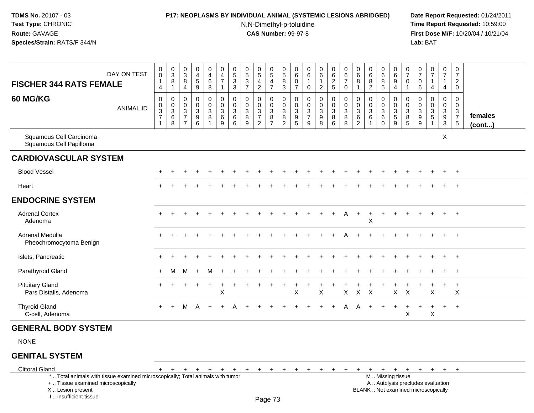## **P17: NEOPLASMS BY INDIVIDUAL ANIMAL (SYSTEMIC LESIONS ABRIDGED) Date Report Requested:** 01/24/2011

N,N-Dimethyl-p-toluidine

| <b>FISCHER 344 RATS FEMALE</b>                                                                                                                                                               | DAY ON TEST      | $\pmb{0}$<br>$\ddot{\mathbf{0}}$<br>$\mathbf{1}$<br>$\overline{4}$ | $\mathbf 0$<br>$\overline{3}$<br>8<br>$\mathbf{1}$ | $\pmb{0}$<br>$\sqrt{3}$<br>8<br>4                                                           | $\pmb{0}$<br>$\overline{4}$<br>$\sqrt{5}$<br>9                                   | 0<br>$\begin{array}{c} 4 \\ 6 \end{array}$<br>8 | $\pmb{0}$<br>$\frac{4}{7}$<br>$\mathbf{1}$                                   | $\begin{array}{c} 0 \\ 5 \\ 3 \end{array}$<br>$\mathbf{3}$          | $\begin{array}{c} 0 \\ 5 \\ 3 \end{array}$<br>$\overline{7}$ | $\pmb{0}$<br>$\overline{5}$<br>$\overline{4}$<br>$\overline{2}$ | 0<br>$\overline{5}$<br>4<br>$\overline{7}$              | $\,0\,$<br>$\overline{5}$<br>8<br>3                                   | $\pmb{0}$<br>$\,6$<br>$\mathbf 0$<br>$\overline{7}$                    | 0<br>$\,6\,$<br>$\mathbf{1}$<br>$\mathbf 0$           | $\pmb{0}$<br>$6^{\circ}$<br>$\mathbf{1}$<br>$\overline{2}$ | $_{6}^{\rm 0}$<br>$\boldsymbol{2}$<br>5                    | $\pmb{0}$<br>$rac{6}{7}$<br>$\mathbf 0$      | $\boldsymbol{0}$<br>$6\phantom{a}$<br>8<br>$\mathbf{1}$              | $\pmb{0}$<br>$\,6\,$<br>8<br>$\overline{2}$                     | $\mathsf{O}\xspace$<br>$6\phantom{a}$<br>$\bf 8$<br>5 | $\mathbf 0$<br>$6\phantom{1}$<br>9<br>$\overline{4}$ | 0<br>$\overline{7}$<br>$\mathbf 0$<br>1                           | $\pmb{0}$<br>$\overline{7}$<br>$\mathbf 0$<br>6                               | $\frac{0}{7}$<br>$\mathbf{1}$<br>$\overline{4}$                                           | $\mathbf 0$<br>$\overline{7}$<br>$\overline{1}$<br>$\overline{4}$ | $\pmb{0}$<br>$\overline{7}$<br>$\overline{2}$<br>$\mathbf 0$  |                   |
|----------------------------------------------------------------------------------------------------------------------------------------------------------------------------------------------|------------------|--------------------------------------------------------------------|----------------------------------------------------|---------------------------------------------------------------------------------------------|----------------------------------------------------------------------------------|-------------------------------------------------|------------------------------------------------------------------------------|---------------------------------------------------------------------|--------------------------------------------------------------|-----------------------------------------------------------------|---------------------------------------------------------|-----------------------------------------------------------------------|------------------------------------------------------------------------|-------------------------------------------------------|------------------------------------------------------------|------------------------------------------------------------|----------------------------------------------|----------------------------------------------------------------------|-----------------------------------------------------------------|-------------------------------------------------------|------------------------------------------------------|-------------------------------------------------------------------|-------------------------------------------------------------------------------|-------------------------------------------------------------------------------------------|-------------------------------------------------------------------|---------------------------------------------------------------|-------------------|
| 60 MG/KG                                                                                                                                                                                     | <b>ANIMAL ID</b> | $\pmb{0}$<br>$\begin{array}{c} 0 \\ 3 \\ 7 \end{array}$<br>1       | $\pmb{0}$<br>$_{3}^{\rm 0}$<br>$\,6\,$<br>8        | $\mathbf 0$<br>$\mathbf 0$<br>$\ensuremath{\mathsf{3}}$<br>$\overline{7}$<br>$\overline{7}$ | $\mathbf 0$<br>$\mathbf 0$<br>$\ensuremath{\mathsf{3}}$<br>$\boldsymbol{9}$<br>6 | 0<br>0<br>3<br>8                                | $\pmb{0}$<br>$\mathbf 0$<br>$\ensuremath{\mathsf{3}}$<br>$6\phantom{1}$<br>9 | $\pmb{0}$<br>$\pmb{0}$<br>$\ensuremath{\mathsf{3}}$<br>$\,6\,$<br>6 | $\mathbf 0$<br>$\mathbf 0$<br>$\mathsf 3$<br>8<br>9          | $\mathbf 0$<br>0<br>$\frac{3}{7}$<br>$\overline{2}$             | 0<br>$\mathbf 0$<br>$\mathbf{3}$<br>8<br>$\overline{7}$ | $\mathbf 0$<br>$\mathbf 0$<br>$\sqrt{3}$<br>$\,8\,$<br>$\overline{2}$ | $\mathbf 0$<br>0<br>$\ensuremath{\mathsf{3}}$<br>$\boldsymbol{9}$<br>5 | $\mathbf 0$<br>0<br>$\frac{3}{7}$<br>$\boldsymbol{9}$ | $\mathbf 0$<br>$\mathbf 0$<br>$\sqrt{3}$<br>9<br>8         | $\pmb{0}$<br>$\mathsf{O}\xspace$<br>$\mathbf{3}$<br>8<br>6 | $\pmb{0}$<br>$\pmb{0}$<br>$\frac{3}{8}$<br>8 | $\pmb{0}$<br>$\mathbf 0$<br>$\mathbf 3$<br>$\,6\,$<br>$\overline{2}$ | $\mathbf 0$<br>$\mathbf 0$<br>$\mathbf{3}$<br>6<br>$\mathbf{1}$ | 0<br>$\mathbf 0$<br>$\mathbf{3}$<br>$\,6\,$<br>0      | $\mathbf 0$<br>$\mathbf 0$<br>$\frac{3}{5}$<br>9     | $\mathbf 0$<br>$\mathbf 0$<br>$\ensuremath{\mathsf{3}}$<br>8<br>5 | $\Omega$<br>$\mathbf 0$<br>$\ensuremath{\mathsf{3}}$<br>$\boldsymbol{9}$<br>9 | $\mathbf 0$<br>$\pmb{0}$<br>$\frac{3}{5}$                                                 | $\mathbf 0$<br>$\mathbf 0$<br>$\mathbf{3}$<br>9<br>3              | $\mathbf 0$<br>$\mathbf 0$<br>$\frac{3}{7}$<br>$\overline{5}$ | females<br>(cont) |
| Squamous Cell Carcinoma<br>Squamous Cell Papilloma                                                                                                                                           |                  |                                                                    |                                                    |                                                                                             |                                                                                  |                                                 |                                                                              |                                                                     |                                                              |                                                                 |                                                         |                                                                       |                                                                        |                                                       |                                                            |                                                            |                                              |                                                                      |                                                                 |                                                       |                                                      |                                                                   |                                                                               |                                                                                           | X                                                                 |                                                               |                   |
| <b>CARDIOVASCULAR SYSTEM</b>                                                                                                                                                                 |                  |                                                                    |                                                    |                                                                                             |                                                                                  |                                                 |                                                                              |                                                                     |                                                              |                                                                 |                                                         |                                                                       |                                                                        |                                                       |                                                            |                                                            |                                              |                                                                      |                                                                 |                                                       |                                                      |                                                                   |                                                                               |                                                                                           |                                                                   |                                                               |                   |
| <b>Blood Vessel</b>                                                                                                                                                                          |                  |                                                                    |                                                    |                                                                                             |                                                                                  |                                                 |                                                                              |                                                                     |                                                              |                                                                 |                                                         |                                                                       |                                                                        |                                                       |                                                            |                                                            |                                              |                                                                      |                                                                 |                                                       |                                                      |                                                                   |                                                                               |                                                                                           |                                                                   |                                                               |                   |
| Heart                                                                                                                                                                                        |                  |                                                                    |                                                    |                                                                                             |                                                                                  |                                                 |                                                                              |                                                                     |                                                              |                                                                 |                                                         |                                                                       |                                                                        |                                                       |                                                            |                                                            |                                              |                                                                      |                                                                 |                                                       |                                                      |                                                                   |                                                                               |                                                                                           |                                                                   | $\pm$                                                         |                   |
| <b>ENDOCRINE SYSTEM</b>                                                                                                                                                                      |                  |                                                                    |                                                    |                                                                                             |                                                                                  |                                                 |                                                                              |                                                                     |                                                              |                                                                 |                                                         |                                                                       |                                                                        |                                                       |                                                            |                                                            |                                              |                                                                      |                                                                 |                                                       |                                                      |                                                                   |                                                                               |                                                                                           |                                                                   |                                                               |                   |
| <b>Adrenal Cortex</b><br>Adenoma                                                                                                                                                             |                  |                                                                    |                                                    |                                                                                             |                                                                                  |                                                 |                                                                              |                                                                     |                                                              |                                                                 |                                                         |                                                                       |                                                                        |                                                       |                                                            |                                                            | A                                            | $\ddot{}$                                                            | $\ddot{}$<br>$\times$                                           | $\ddot{}$                                             |                                                      |                                                                   |                                                                               |                                                                                           | $+$                                                               | $+$                                                           |                   |
| Adrenal Medulla<br>Pheochromocytoma Benign                                                                                                                                                   |                  |                                                                    |                                                    |                                                                                             |                                                                                  |                                                 |                                                                              |                                                                     |                                                              |                                                                 |                                                         |                                                                       |                                                                        |                                                       |                                                            |                                                            |                                              |                                                                      |                                                                 |                                                       |                                                      |                                                                   |                                                                               |                                                                                           |                                                                   | $\div$                                                        |                   |
| Islets, Pancreatic                                                                                                                                                                           |                  |                                                                    |                                                    |                                                                                             |                                                                                  |                                                 |                                                                              |                                                                     |                                                              |                                                                 |                                                         |                                                                       |                                                                        |                                                       |                                                            |                                                            |                                              |                                                                      |                                                                 |                                                       |                                                      |                                                                   |                                                                               |                                                                                           | $+$                                                               | $\ddot{}$                                                     |                   |
| Parathyroid Gland                                                                                                                                                                            |                  | $\ddot{}$                                                          | м                                                  | M                                                                                           |                                                                                  | м                                               |                                                                              |                                                                     |                                                              |                                                                 |                                                         |                                                                       |                                                                        |                                                       |                                                            |                                                            |                                              |                                                                      |                                                                 |                                                       |                                                      |                                                                   |                                                                               |                                                                                           |                                                                   | $\overline{ }$                                                |                   |
| <b>Pituitary Gland</b><br>Pars Distalis, Adenoma                                                                                                                                             |                  |                                                                    |                                                    |                                                                                             |                                                                                  |                                                 | $\ddot{}$<br>X                                                               |                                                                     |                                                              |                                                                 |                                                         |                                                                       | X                                                                      |                                                       | $\ddot{}$<br>X                                             | $\ddot{}$                                                  | $\mathsf{X}$                                 | $\mathsf{X}$                                                         | $\boldsymbol{\mathsf{X}}$                                       |                                                       | $\mathsf{X}$                                         | $\boldsymbol{\mathsf{X}}$                                         | $\ddot{}$                                                                     | $\overline{ }$<br>X                                                                       | $+$                                                               | $\overline{+}$<br>X                                           |                   |
| <b>Thyroid Gland</b><br>C-cell, Adenoma                                                                                                                                                      |                  | $+$                                                                | $+$                                                | M                                                                                           | A                                                                                | $\ddot{}$                                       |                                                                              |                                                                     |                                                              |                                                                 |                                                         |                                                                       |                                                                        |                                                       |                                                            |                                                            | A                                            | A                                                                    | $\ddot{}$                                                       | $\ddot{}$                                             | $\ddot{}$                                            | $\ddot{}$<br>X                                                    | $\ddot{}$                                                                     | $\ddot{}$<br>X                                                                            | $+$                                                               | $+$                                                           |                   |
| <b>GENERAL BODY SYSTEM</b>                                                                                                                                                                   |                  |                                                                    |                                                    |                                                                                             |                                                                                  |                                                 |                                                                              |                                                                     |                                                              |                                                                 |                                                         |                                                                       |                                                                        |                                                       |                                                            |                                                            |                                              |                                                                      |                                                                 |                                                       |                                                      |                                                                   |                                                                               |                                                                                           |                                                                   |                                                               |                   |
| <b>NONE</b>                                                                                                                                                                                  |                  |                                                                    |                                                    |                                                                                             |                                                                                  |                                                 |                                                                              |                                                                     |                                                              |                                                                 |                                                         |                                                                       |                                                                        |                                                       |                                                            |                                                            |                                              |                                                                      |                                                                 |                                                       |                                                      |                                                                   |                                                                               |                                                                                           |                                                                   |                                                               |                   |
| <b>GENITAL SYSTEM</b>                                                                                                                                                                        |                  |                                                                    |                                                    |                                                                                             |                                                                                  |                                                 |                                                                              |                                                                     |                                                              |                                                                 |                                                         |                                                                       |                                                                        |                                                       |                                                            |                                                            |                                              |                                                                      |                                                                 |                                                       |                                                      |                                                                   |                                                                               |                                                                                           |                                                                   |                                                               |                   |
| <b>Clitoral Gland</b><br>*  Total animals with tissue examined microscopically; Total animals with tumor<br>+  Tissue examined microscopically<br>X  Lesion present<br>I Insufficient tissue |                  |                                                                    | $+$ $+$                                            |                                                                                             | $+$ $+$ $+$                                                                      |                                                 | $+$                                                                          | $+$                                                                 | $+$                                                          | $+$ $+$                                                         | Page 73                                                 | $+$                                                                   | $+$                                                                    | $+$                                                   | $+$                                                        | $+$                                                        | $+$                                          | $+$                                                                  |                                                                 |                                                       | M  Missing tissue                                    |                                                                   |                                                                               | + + + + + + +<br>A  Autolysis precludes evaluation<br>BLANK  Not examined microscopically |                                                                   | $+$                                                           |                   |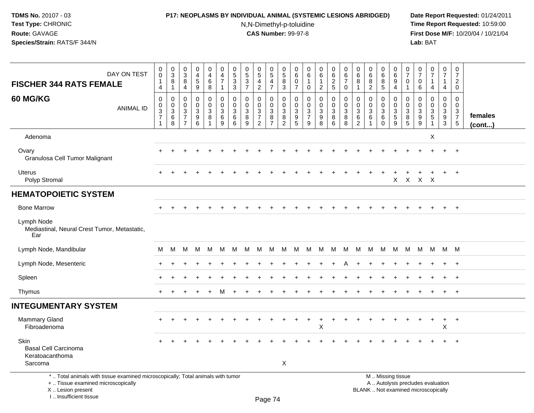## **P17: NEOPLASMS BY INDIVIDUAL ANIMAL (SYSTEMIC LESIONS ABRIDGED) Date Report Requested:** 01/24/2011

N,N-Dimethyl-p-toluidine

| DAY ON TEST<br><b>FISCHER 344 RATS FEMALE</b>                                                                                                                       | 0<br>$\overline{0}$<br>1<br>$\overline{4}$                                        | $\pmb{0}$<br>$\overline{3}$<br>8<br>$\mathbf{1}$   | $\mathbf 0$<br>$\overline{3}$<br>8<br>4                 | 0<br>$\overline{4}$<br>5<br>$\boldsymbol{9}$           | $\pmb{0}$<br>$\overline{4}$<br>6<br>$\bf 8$                     | $\mathbf 0$<br>$\overline{4}$<br>$\overline{7}$<br>$\mathbf{1}$ | $\begin{array}{c} 0 \\ 5 \end{array}$<br>$\mathbf 3$<br>$\overline{3}$ | $\pmb{0}$<br>$\overline{5}$<br>$\sqrt{3}$<br>$\overline{7}$ | 0<br>$\overline{5}$<br>4<br>$\overline{c}$                           | $\begin{array}{c} 0 \\ 5 \end{array}$<br>$\overline{4}$<br>$\overline{7}$ | $\pmb{0}$<br>$\overline{5}$<br>$\bf 8$<br>$\overline{3}$         | 0<br>6<br>0<br>$\overline{7}$                                 | $\mathbf 0$<br>$6\phantom{a}$<br>-1<br>$\mathbf 0$ | 0<br>$6\phantom{1}$<br>$\mathbf{1}$<br>$\overline{c}$ | 0<br>$6\overline{6}$<br>$\overline{c}$<br>5 | 0<br>$6\phantom{a}$<br>$\overline{7}$<br>$\mathbf 0$ | 0<br>$\,6\,$<br>8<br>$\mathbf{1}$ | $\mathbf 0$<br>$\overline{6}$<br>$\bf 8$<br>$\overline{2}$ | 0<br>$\overline{6}$<br>$\bf 8$<br>$\overline{5}$ | 0<br>6<br>$\boldsymbol{9}$<br>$\overline{4}$     | 0<br>$\overline{7}$<br>0<br>$\mathbf{1}$ | 0<br>$\overline{7}$<br>0<br>$\,6$                         | $\frac{0}{7}$<br>$\mathbf{1}$<br>4                                         | 0<br>$\overline{7}$<br>$\mathbf{1}$<br>$\overline{4}$                  | 0<br>$\overline{7}$<br>$\overline{2}$<br>$\Omega$                               |                   |
|---------------------------------------------------------------------------------------------------------------------------------------------------------------------|-----------------------------------------------------------------------------------|----------------------------------------------------|---------------------------------------------------------|--------------------------------------------------------|-----------------------------------------------------------------|-----------------------------------------------------------------|------------------------------------------------------------------------|-------------------------------------------------------------|----------------------------------------------------------------------|---------------------------------------------------------------------------|------------------------------------------------------------------|---------------------------------------------------------------|----------------------------------------------------|-------------------------------------------------------|---------------------------------------------|------------------------------------------------------|-----------------------------------|------------------------------------------------------------|--------------------------------------------------|--------------------------------------------------|------------------------------------------|-----------------------------------------------------------|----------------------------------------------------------------------------|------------------------------------------------------------------------|---------------------------------------------------------------------------------|-------------------|
| <b>60 MG/KG</b><br><b>ANIMAL ID</b>                                                                                                                                 | $\mathbf 0$<br>$\boldsymbol{0}$<br>$\mathbf{3}$<br>$\overline{7}$<br>$\mathbf{1}$ | $\mathbf 0$<br>$\mathbf 0$<br>$\sqrt{3}$<br>6<br>8 | 0<br>$\mathbf 0$<br>$\mathbf{3}$<br>7<br>$\overline{7}$ | $\mathbf 0$<br>$\pmb{0}$<br>3<br>$\boldsymbol{9}$<br>6 | $\mathbf 0$<br>$\mathbf 0$<br>$\mathbf{3}$<br>8<br>$\mathbf{1}$ | $\mathbf 0$<br>$\mathbf 0$<br>$\mathbf{3}$<br>6<br>9            | 0<br>0<br>$\mathbf 3$<br>6<br>6                                        | $\mathbf 0$<br>0<br>$\mathbf{3}$<br>8<br>9                  | 0<br>$\mathbf 0$<br>$\mathbf{3}$<br>$\overline{7}$<br>$\overline{2}$ | 0<br>$\mathbf 0$<br>$\mathsf 3$<br>8<br>$\overline{7}$                    | $\mathbf 0$<br>$\mathbf 0$<br>$\mathsf 3$<br>8<br>$\overline{2}$ | $\mathbf 0$<br>$\mathbf 0$<br>$\mathbf{3}$<br>9<br>$\sqrt{5}$ | $\mathbf 0$<br>$\mathbf 0$<br>$\frac{3}{7}$<br>9   | 0<br>$\mathbf 0$<br>3<br>9<br>8                       | $\mathbf 0$<br>0<br>3<br>8<br>6             | 0<br>$\mathbf 0$<br>3<br>$\bf 8$<br>8                | 0<br>0<br>$\mathbf 3$<br>6<br>2   | $\mathbf 0$<br>$\mathbf 0$<br>$\mathbf{3}$<br>6            | 0<br>$\mathbf 0$<br>$\frac{3}{6}$<br>$\mathbf 0$ | $\mathbf 0$<br>$\mathbf 0$<br>$\frac{3}{5}$<br>9 | 0<br>$\mathbf 0$<br>3<br>8<br>5          | 0<br>$\mathbf 0$<br>$\mathbf{3}$<br>$\boldsymbol{9}$<br>9 | $\mathbf 0$<br>$\pmb{0}$<br>$\mathbf{3}$<br>$\overline{5}$<br>$\mathbf{1}$ | $\mathbf 0$<br>$\overline{0}$<br>3<br>$\boldsymbol{9}$<br>$\mathbf{3}$ | $\mathbf 0$<br>$\mathbf 0$<br>$\mathbf{3}$<br>$\overline{7}$<br>$5\phantom{.0}$ | females<br>(cont) |
| Adenoma                                                                                                                                                             |                                                                                   |                                                    |                                                         |                                                        |                                                                 |                                                                 |                                                                        |                                                             |                                                                      |                                                                           |                                                                  |                                                               |                                                    |                                                       |                                             |                                                      |                                   |                                                            |                                                  |                                                  |                                          |                                                           | X                                                                          |                                                                        |                                                                                 |                   |
| Ovary<br>Granulosa Cell Tumor Malignant                                                                                                                             |                                                                                   |                                                    |                                                         |                                                        |                                                                 |                                                                 |                                                                        |                                                             |                                                                      |                                                                           |                                                                  |                                                               |                                                    |                                                       |                                             |                                                      |                                   |                                                            |                                                  |                                                  |                                          |                                                           |                                                                            |                                                                        | $+$                                                                             |                   |
| <b>Uterus</b><br>Polyp Stromal                                                                                                                                      |                                                                                   |                                                    |                                                         |                                                        |                                                                 |                                                                 |                                                                        |                                                             |                                                                      |                                                                           |                                                                  |                                                               |                                                    |                                                       |                                             |                                                      |                                   |                                                            |                                                  | $\mathsf{X}$                                     |                                          | x x x                                                     |                                                                            |                                                                        | $+$                                                                             |                   |
| <b>HEMATOPOIETIC SYSTEM</b>                                                                                                                                         |                                                                                   |                                                    |                                                         |                                                        |                                                                 |                                                                 |                                                                        |                                                             |                                                                      |                                                                           |                                                                  |                                                               |                                                    |                                                       |                                             |                                                      |                                   |                                                            |                                                  |                                                  |                                          |                                                           |                                                                            |                                                                        |                                                                                 |                   |
| <b>Bone Marrow</b>                                                                                                                                                  |                                                                                   |                                                    |                                                         |                                                        |                                                                 |                                                                 |                                                                        |                                                             |                                                                      |                                                                           |                                                                  |                                                               |                                                    |                                                       |                                             |                                                      |                                   |                                                            |                                                  |                                                  |                                          |                                                           |                                                                            |                                                                        | $+$                                                                             |                   |
| Lymph Node<br>Mediastinal, Neural Crest Tumor, Metastatic,<br>Ear                                                                                                   |                                                                                   |                                                    |                                                         |                                                        |                                                                 |                                                                 |                                                                        |                                                             |                                                                      |                                                                           |                                                                  |                                                               |                                                    |                                                       |                                             |                                                      |                                   |                                                            |                                                  |                                                  |                                          |                                                           |                                                                            |                                                                        |                                                                                 |                   |
| Lymph Node, Mandibular                                                                                                                                              | м                                                                                 | M                                                  | M                                                       | M                                                      | M                                                               | M                                                               | м                                                                      | M                                                           | М                                                                    | M                                                                         | M                                                                | M                                                             | M                                                  | M                                                     | М                                           | M                                                    | M                                 | M                                                          | M                                                | М                                                | M                                        | M                                                         | M                                                                          | M M                                                                    |                                                                                 |                   |
| Lymph Node, Mesenteric                                                                                                                                              |                                                                                   |                                                    |                                                         |                                                        |                                                                 |                                                                 |                                                                        |                                                             |                                                                      |                                                                           |                                                                  |                                                               |                                                    |                                                       |                                             |                                                      |                                   |                                                            |                                                  |                                                  |                                          |                                                           |                                                                            |                                                                        | $+$                                                                             |                   |
| Spleen                                                                                                                                                              |                                                                                   |                                                    |                                                         |                                                        |                                                                 |                                                                 |                                                                        |                                                             |                                                                      |                                                                           |                                                                  |                                                               |                                                    |                                                       |                                             |                                                      |                                   |                                                            |                                                  |                                                  |                                          |                                                           |                                                                            |                                                                        | $+$                                                                             |                   |
| Thymus                                                                                                                                                              |                                                                                   |                                                    |                                                         |                                                        |                                                                 | м                                                               |                                                                        |                                                             |                                                                      |                                                                           |                                                                  |                                                               |                                                    |                                                       |                                             |                                                      |                                   |                                                            |                                                  |                                                  |                                          |                                                           |                                                                            | $\ddot{}$                                                              | $+$                                                                             |                   |
| <b>INTEGUMENTARY SYSTEM</b>                                                                                                                                         |                                                                                   |                                                    |                                                         |                                                        |                                                                 |                                                                 |                                                                        |                                                             |                                                                      |                                                                           |                                                                  |                                                               |                                                    |                                                       |                                             |                                                      |                                   |                                                            |                                                  |                                                  |                                          |                                                           |                                                                            |                                                                        |                                                                                 |                   |
| <b>Mammary Gland</b><br>Fibroadenoma                                                                                                                                |                                                                                   |                                                    |                                                         |                                                        |                                                                 |                                                                 |                                                                        |                                                             |                                                                      |                                                                           |                                                                  |                                                               |                                                    | $\ddot{}$<br>X                                        | $\ddot{}$                                   |                                                      |                                   |                                                            |                                                  |                                                  |                                          |                                                           | $\ddot{}$                                                                  | $+$<br>X                                                               | $+$                                                                             |                   |
| Skin<br><b>Basal Cell Carcinoma</b><br>Keratoacanthoma                                                                                                              |                                                                                   |                                                    |                                                         |                                                        |                                                                 |                                                                 |                                                                        |                                                             |                                                                      |                                                                           |                                                                  |                                                               |                                                    |                                                       |                                             |                                                      |                                   |                                                            |                                                  |                                                  |                                          |                                                           |                                                                            |                                                                        |                                                                                 |                   |
| Sarcoma                                                                                                                                                             |                                                                                   |                                                    |                                                         |                                                        |                                                                 |                                                                 |                                                                        |                                                             |                                                                      |                                                                           | X                                                                |                                                               |                                                    |                                                       |                                             |                                                      |                                   |                                                            |                                                  |                                                  |                                          |                                                           |                                                                            |                                                                        |                                                                                 |                   |
| *  Total animals with tissue examined microscopically; Total animals with tumor<br>+  Tissue examined microscopically<br>X  Lesion present<br>I Insufficient tissue |                                                                                   |                                                    |                                                         |                                                        |                                                                 |                                                                 |                                                                        |                                                             |                                                                      | $D_{200}$ $74$                                                            |                                                                  |                                                               |                                                    |                                                       |                                             |                                                      |                                   | M  Missing tissue<br>BLANK  Not examined microscopically   |                                                  | A  Autolysis precludes evaluation                |                                          |                                                           |                                                                            |                                                                        |                                                                                 |                   |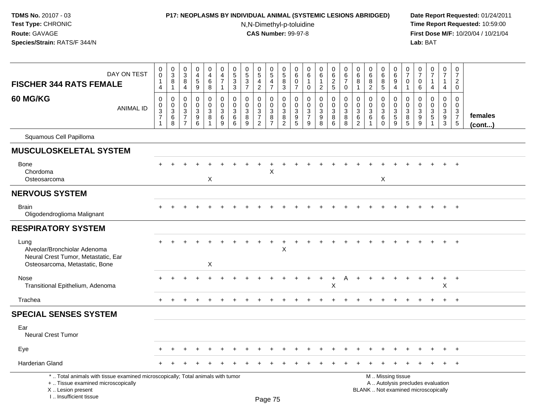## **P17: NEOPLASMS BY INDIVIDUAL ANIMAL (SYSTEMIC LESIONS ABRIDGED) Date Report Requested:** 01/24/2011

N,N-Dimethyl-p-toluidine

| DAY ON TEST<br><b>FISCHER 344 RATS FEMALE</b>                                                                                                                       | $\,0\,$<br>$\overline{0}$<br>$\mathbf{1}$<br>$\overline{4}$ | $_{3}^{\rm 0}$<br>$\bf 8$<br>$\mathbf{1}$        | $\mathbf 0$<br>$\mathbf{3}$<br>8<br>4                                 | $\pmb{0}$<br>$\frac{4}{5}$<br>9                                   | 0<br>$\overline{4}$<br>$\,6\,$<br>8 | $\mathbf 0$<br>$\frac{4}{7}$<br>$\overline{1}$     | $\pmb{0}$<br>$\frac{5}{3}$<br>3           | 0<br>$\overline{5}$<br>$\sqrt{3}$<br>$\overline{7}$ | $\begin{array}{c} 0 \\ 5 \end{array}$<br>$\overline{4}$<br>$\overline{2}$ | $\pmb{0}$<br>$\overline{5}$<br>$\overline{4}$<br>$\overline{7}$ | $\mathbf 0$<br>$\sqrt{5}$<br>$\bf 8$<br>3                                             | $\mathbf 0$<br>6<br>$\Omega$<br>$\overline{7}$ | $\mathbf 0$<br>6<br>-1<br>$\mathbf 0$                          | 0<br>$\overline{6}$<br>$\mathbf{1}$<br>$\overline{2}$     | $\mathbf 0$<br>6<br>$\overline{c}$<br>$5\phantom{.0}$      | $\mathbf 0$<br>$\,6\,$<br>$\overline{7}$<br>$\mathbf 0$ | $\pmb{0}$<br>$\,6\,$<br>8<br>$\mathbf 1$               | 0<br>$\,6\,$<br>8<br>$\overline{2}$                          | 0<br>6<br>$\, 8$<br>5                                 | 0<br>6<br>9<br>4                                      | 0<br>$\overline{7}$<br>$\Omega$<br>1 | 0<br>$\overline{7}$<br>$\mathbf 0$<br>6                | $\pmb{0}$<br>$\overline{7}$<br>4                                         | $\pmb{0}$<br>$\overline{7}$<br>$\mathbf 1$<br>$\overline{4}$ | $\mathbf 0$<br>$\overline{7}$<br>$\overline{2}$<br>$\mathbf 0$    |                         |
|---------------------------------------------------------------------------------------------------------------------------------------------------------------------|-------------------------------------------------------------|--------------------------------------------------|-----------------------------------------------------------------------|-------------------------------------------------------------------|-------------------------------------|----------------------------------------------------|-------------------------------------------|-----------------------------------------------------|---------------------------------------------------------------------------|-----------------------------------------------------------------|---------------------------------------------------------------------------------------|------------------------------------------------|----------------------------------------------------------------|-----------------------------------------------------------|------------------------------------------------------------|---------------------------------------------------------|--------------------------------------------------------|--------------------------------------------------------------|-------------------------------------------------------|-------------------------------------------------------|--------------------------------------|--------------------------------------------------------|--------------------------------------------------------------------------|--------------------------------------------------------------|-------------------------------------------------------------------|-------------------------|
| 60 MG/KG<br><b>ANIMAL ID</b>                                                                                                                                        | 0<br>0<br>$\frac{3}{7}$<br>1                                | 0<br>$\mathbf 0$<br>$\mathbf{3}$<br>$\,6\,$<br>8 | 0<br>$\mathbf{0}$<br>$\mathbf{3}$<br>$\overline{7}$<br>$\overline{7}$ | $\mathbf 0$<br>$\mathbf 0$<br>$\sqrt{3}$<br>$\boldsymbol{9}$<br>6 | 0<br>0<br>$\mathbf{3}$<br>8         | $\mathbf 0$<br>$\mathbf 0$<br>$\sqrt{3}$<br>6<br>9 | $\mathbf 0$<br>$\mathbf 0$<br>3<br>6<br>6 | 0<br>$\Omega$<br>$\mathbf{3}$<br>8<br>9             | $\mathbf 0$<br>$\mathbf 0$<br>$\frac{3}{7}$<br>$\overline{2}$             | $\mathbf 0$<br>$\mathbf 0$<br>3<br>8<br>$\overline{7}$          | $\mathbf 0$<br>$\boldsymbol{0}$<br>$\overline{3}$<br>$\overline{8}$<br>$\overline{2}$ | $\mathbf 0$<br>$\Omega$<br>3<br>9<br>5         | $\mathbf 0$<br>$\Omega$<br>$\mathbf{3}$<br>$\overline{7}$<br>9 | 0<br>$\mathbf 0$<br>$\mathbf{3}$<br>$\boldsymbol{9}$<br>8 | $\mathbf 0$<br>$\mathbf 0$<br>$\mathbf{3}$<br>$\,8\,$<br>6 | $\mathbf 0$<br>$\mathbf 0$<br>$\sqrt{3}$<br>8<br>8      | $\mathbf 0$<br>$\mathbf 0$<br>3<br>6<br>$\overline{c}$ | $\mathbf 0$<br>$\mathbf 0$<br>$\ensuremath{\mathsf{3}}$<br>6 | 0<br>$\mathbf 0$<br>$\sqrt{3}$<br>$\,6\,$<br>$\Omega$ | 0<br>$\mathbf 0$<br>$\sqrt{3}$<br>$\overline{5}$<br>9 | 0<br>$\Omega$<br>3<br>8<br>5         | 0<br>$\Omega$<br>$\mathbf{3}$<br>$\boldsymbol{9}$<br>9 | $\mathbf 0$<br>$\mathbf 0$<br>$\frac{3}{5}$                              | $\mathbf 0$<br>$\mathbf 0$<br>$\frac{3}{9}$<br>$\sqrt{3}$    | $\mathbf 0$<br>$\Omega$<br>3<br>$\overline{7}$<br>$5\phantom{.0}$ | females<br>$($ cont $)$ |
| Squamous Cell Papilloma                                                                                                                                             |                                                             |                                                  |                                                                       |                                                                   |                                     |                                                    |                                           |                                                     |                                                                           |                                                                 |                                                                                       |                                                |                                                                |                                                           |                                                            |                                                         |                                                        |                                                              |                                                       |                                                       |                                      |                                                        |                                                                          |                                                              |                                                                   |                         |
| <b>MUSCULOSKELETAL SYSTEM</b>                                                                                                                                       |                                                             |                                                  |                                                                       |                                                                   |                                     |                                                    |                                           |                                                     |                                                                           |                                                                 |                                                                                       |                                                |                                                                |                                                           |                                                            |                                                         |                                                        |                                                              |                                                       |                                                       |                                      |                                                        |                                                                          |                                                              |                                                                   |                         |
| <b>Bone</b><br>Chordoma<br>Osteosarcoma                                                                                                                             |                                                             |                                                  |                                                                       |                                                                   | X                                   |                                                    |                                           |                                                     |                                                                           | X                                                               |                                                                                       |                                                |                                                                |                                                           |                                                            |                                                         |                                                        |                                                              | X                                                     |                                                       |                                      |                                                        |                                                                          | $+$                                                          | $+$                                                               |                         |
| <b>NERVOUS SYSTEM</b>                                                                                                                                               |                                                             |                                                  |                                                                       |                                                                   |                                     |                                                    |                                           |                                                     |                                                                           |                                                                 |                                                                                       |                                                |                                                                |                                                           |                                                            |                                                         |                                                        |                                                              |                                                       |                                                       |                                      |                                                        |                                                                          |                                                              |                                                                   |                         |
| Brain<br>Oligodendroglioma Malignant                                                                                                                                |                                                             |                                                  |                                                                       |                                                                   |                                     |                                                    |                                           |                                                     |                                                                           |                                                                 |                                                                                       |                                                |                                                                |                                                           |                                                            |                                                         |                                                        |                                                              |                                                       |                                                       |                                      |                                                        |                                                                          |                                                              |                                                                   |                         |
| <b>RESPIRATORY SYSTEM</b>                                                                                                                                           |                                                             |                                                  |                                                                       |                                                                   |                                     |                                                    |                                           |                                                     |                                                                           |                                                                 |                                                                                       |                                                |                                                                |                                                           |                                                            |                                                         |                                                        |                                                              |                                                       |                                                       |                                      |                                                        |                                                                          |                                                              |                                                                   |                         |
| Lung<br>Alveolar/Bronchiolar Adenoma<br>Neural Crest Tumor, Metastatic, Ear<br>Osteosarcoma, Metastatic, Bone                                                       |                                                             |                                                  |                                                                       |                                                                   | $\boldsymbol{\mathsf{X}}$           |                                                    |                                           |                                                     |                                                                           |                                                                 | X                                                                                     |                                                |                                                                |                                                           |                                                            |                                                         |                                                        |                                                              |                                                       |                                                       |                                      |                                                        |                                                                          |                                                              | $\overline{+}$                                                    |                         |
| <b>Nose</b><br>Transitional Epithelium, Adenoma                                                                                                                     |                                                             |                                                  |                                                                       |                                                                   |                                     |                                                    |                                           |                                                     |                                                                           |                                                                 |                                                                                       |                                                |                                                                |                                                           | X                                                          |                                                         |                                                        |                                                              |                                                       |                                                       |                                      |                                                        |                                                                          | $\ddot{}$<br>Χ                                               | $+$                                                               |                         |
| Trachea                                                                                                                                                             |                                                             |                                                  |                                                                       |                                                                   |                                     |                                                    |                                           |                                                     |                                                                           |                                                                 |                                                                                       |                                                |                                                                |                                                           |                                                            |                                                         |                                                        |                                                              |                                                       |                                                       |                                      |                                                        |                                                                          | $+$                                                          | $+$                                                               |                         |
| <b>SPECIAL SENSES SYSTEM</b>                                                                                                                                        |                                                             |                                                  |                                                                       |                                                                   |                                     |                                                    |                                           |                                                     |                                                                           |                                                                 |                                                                                       |                                                |                                                                |                                                           |                                                            |                                                         |                                                        |                                                              |                                                       |                                                       |                                      |                                                        |                                                                          |                                                              |                                                                   |                         |
| Ear<br>Neural Crest Tumor                                                                                                                                           |                                                             |                                                  |                                                                       |                                                                   |                                     |                                                    |                                           |                                                     |                                                                           |                                                                 |                                                                                       |                                                |                                                                |                                                           |                                                            |                                                         |                                                        |                                                              |                                                       |                                                       |                                      |                                                        |                                                                          |                                                              |                                                                   |                         |
| Eye                                                                                                                                                                 |                                                             |                                                  |                                                                       |                                                                   |                                     |                                                    |                                           |                                                     |                                                                           |                                                                 |                                                                                       |                                                |                                                                |                                                           |                                                            |                                                         |                                                        |                                                              |                                                       |                                                       |                                      |                                                        |                                                                          |                                                              | $^{+}$                                                            |                         |
| Harderian Gland                                                                                                                                                     |                                                             |                                                  |                                                                       |                                                                   |                                     |                                                    |                                           |                                                     |                                                                           |                                                                 |                                                                                       |                                                |                                                                |                                                           |                                                            |                                                         |                                                        |                                                              |                                                       |                                                       |                                      |                                                        |                                                                          |                                                              | $+$                                                               |                         |
| *  Total animals with tissue examined microscopically; Total animals with tumor<br>+  Tissue examined microscopically<br>X  Lesion present<br>I Insufficient tissue |                                                             |                                                  |                                                                       |                                                                   |                                     |                                                    |                                           |                                                     |                                                                           | $D200$ 75                                                       |                                                                                       |                                                |                                                                |                                                           |                                                            |                                                         |                                                        |                                                              |                                                       | M  Missing tissue                                     |                                      |                                                        | A  Autolysis precludes evaluation<br>BLANK  Not examined microscopically |                                                              |                                                                   |                         |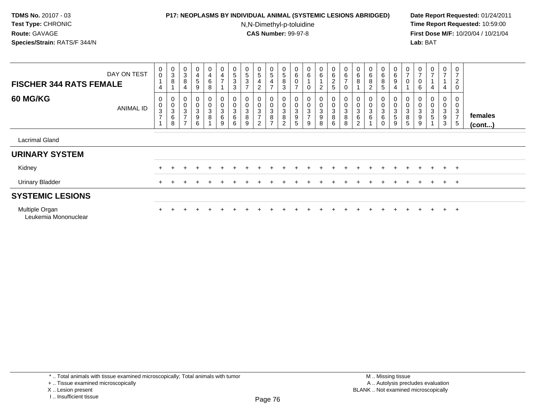#### **P17: NEOPLASMS BY INDIVIDUAL ANIMAL (SYSTEMIC LESIONS ABRIDGED) Date Report Requested:** 01/24/2011

N,N-Dimethyl-p-toluidine

 **Time Report Requested:** 10:59:00 **First Dose M/F:** 10/20/04 / 10/21/04<br>**Lab:** BAT **Lab:** BAT

| <b>FISCHER 344 RATS FEMALE</b>         | DAY ON TEST      | $_0^0$<br>4                                                   | $\begin{array}{c} 0 \\ 3 \\ 8 \end{array}$ | $_{3}^{\rm 0}$<br>$\bf 8$<br>4                                                     | $\frac{0}{4}$<br>5<br>9                        | $\begin{smallmatrix}0\0\4\end{smallmatrix}$<br>6<br>8 | $\mathbf 0$<br>$\overline{4}$<br>$\overline{ }$     | $\begin{array}{c} 0 \\ 5 \end{array}$<br>$\sqrt{3}$<br>3      | $\begin{smallmatrix}0\0\0\end{smallmatrix}$<br>$\mathbf 3$<br>$\overline{ }$ | $\begin{array}{c} 0 \\ 5 \end{array}$<br>$\overline{4}$<br>$\overline{c}$ | $\begin{array}{c} 0 \\ 5 \end{array}$<br>$\overline{\mathbf{4}}$<br>$\overline{ }$ | 0<br>5<br>8<br>3                        | $\begin{array}{c} 0 \\ 6 \end{array}$<br>0<br>$\overline{ }$ | $_{6}^{\rm 0}$<br>$\mathbf 0$           | $\begin{array}{c} 0 \\ 6 \end{array}$<br>$\overline{2}$ | 0625                                                           | $\begin{array}{c} 0 \\ 6 \end{array}$<br>$\overline{z}$<br>$\mathbf 0$ | $_{6}^{\rm 0}$<br>8           | $\begin{smallmatrix}0\0\0\end{smallmatrix}$<br>8<br>2 | $0\over 6$<br>8<br>5                          | $0\over 6$<br>9<br>$\overline{4}$ | $\frac{0}{7}$<br>$\pmb{0}$             | $\frac{0}{7}$<br>6 | $\frac{0}{7}$<br>4         | $\overline{0}$<br>$\overline{ }$<br>4 | 0<br>$\overline{7}$<br>$\overline{c}$<br>0 |                   |
|----------------------------------------|------------------|---------------------------------------------------------------|--------------------------------------------|------------------------------------------------------------------------------------|------------------------------------------------|-------------------------------------------------------|-----------------------------------------------------|---------------------------------------------------------------|------------------------------------------------------------------------------|---------------------------------------------------------------------------|------------------------------------------------------------------------------------|-----------------------------------------|--------------------------------------------------------------|-----------------------------------------|---------------------------------------------------------|----------------------------------------------------------------|------------------------------------------------------------------------|-------------------------------|-------------------------------------------------------|-----------------------------------------------|-----------------------------------|----------------------------------------|--------------------|----------------------------|---------------------------------------|--------------------------------------------|-------------------|
| <b>60 MG/KG</b>                        | <b>ANIMAL ID</b> | 0<br>$\pmb{0}$<br>$\ensuremath{\mathsf{3}}$<br>$\overline{ }$ | 000368                                     | $_{\rm 0}^{\rm 0}$<br>$\ensuremath{\mathsf{3}}$<br>$\overline{ }$<br>$\rightarrow$ | 0<br>$\mathbf 0$<br>3<br>$\boldsymbol{9}$<br>6 | 0<br>$\pmb{0}$<br>3<br>8                              | 0<br>0<br>$\ensuremath{\mathsf{3}}$<br>$\,6\,$<br>9 | 0<br>$\mathbf 0$<br>$\ensuremath{\mathsf{3}}$<br>$\,6\,$<br>6 | 0<br>$\pmb{0}$<br>$\sqrt{3}$<br>$\,8\,$<br>9                                 | 0<br>$\ensuremath{\mathsf{3}}$<br>$\overline{ }$<br>2                     | 0<br>0<br>3<br>8<br>$\overline{ }$                                                 | $\mathbf 0$<br>3<br>8<br>$\overline{2}$ | $\mathbf 0$<br>3<br>9<br>5                                   | 0<br>$\mathsf 3$<br>$\overline{7}$<br>9 | 0<br>0<br>$\overline{3}$<br>$\boldsymbol{9}$<br>8       | $\begin{smallmatrix}0\\0\\3\end{smallmatrix}$<br>$\frac{8}{6}$ | $\begin{matrix}0\\0\\3\\8\end{matrix}$<br>$\bf8$                       | 0<br>$\pmb{0}$<br>3<br>6<br>2 | 3<br>6                                                | 0<br>0<br>$\ensuremath{\mathsf{3}}$<br>6<br>0 | 0<br>0<br>3<br>5<br>9             | 0<br>$\pmb{0}$<br>$\sqrt{3}$<br>8<br>5 | 3<br>9<br>9        | $\boldsymbol{0}$<br>3<br>5 | 0<br>0<br>3<br>9<br>3                 | $\sqrt{3}$<br>$\overline{7}$<br>5          | females<br>(cont) |
| <b>Lacrimal Gland</b>                  |                  |                                                               |                                            |                                                                                    |                                                |                                                       |                                                     |                                                               |                                                                              |                                                                           |                                                                                    |                                         |                                                              |                                         |                                                         |                                                                |                                                                        |                               |                                                       |                                               |                                   |                                        |                    |                            |                                       |                                            |                   |
| <b>URINARY SYSTEM</b>                  |                  |                                                               |                                            |                                                                                    |                                                |                                                       |                                                     |                                                               |                                                                              |                                                                           |                                                                                    |                                         |                                                              |                                         |                                                         |                                                                |                                                                        |                               |                                                       |                                               |                                   |                                        |                    |                            |                                       |                                            |                   |
| Kidney                                 |                  |                                                               |                                            |                                                                                    | $\div$                                         |                                                       | $+$                                                 |                                                               |                                                                              |                                                                           |                                                                                    |                                         |                                                              |                                         |                                                         |                                                                |                                                                        |                               |                                                       | $\div$                                        | $+$                               | $\div$                                 | $+$                | $+$                        |                                       | $+$ $+$                                    |                   |
| <b>Urinary Bladder</b>                 |                  |                                                               |                                            |                                                                                    |                                                |                                                       |                                                     |                                                               |                                                                              |                                                                           |                                                                                    |                                         |                                                              |                                         |                                                         |                                                                |                                                                        |                               |                                                       |                                               |                                   |                                        |                    |                            |                                       | $+$ $+$                                    |                   |
| <b>SYSTEMIC LESIONS</b>                |                  |                                                               |                                            |                                                                                    |                                                |                                                       |                                                     |                                                               |                                                                              |                                                                           |                                                                                    |                                         |                                                              |                                         |                                                         |                                                                |                                                                        |                               |                                                       |                                               |                                   |                                        |                    |                            |                                       |                                            |                   |
| Multiple Organ<br>Leukemia Mononuclear |                  |                                                               |                                            |                                                                                    |                                                |                                                       |                                                     |                                                               |                                                                              |                                                                           |                                                                                    |                                         |                                                              |                                         |                                                         |                                                                |                                                                        |                               |                                                       |                                               |                                   |                                        |                    |                            | $\div$                                | $+$                                        |                   |

\* .. Total animals with tissue examined microscopically; Total animals with tumor

+ .. Tissue examined microscopically

X .. Lesion present

I .. Insufficient tissue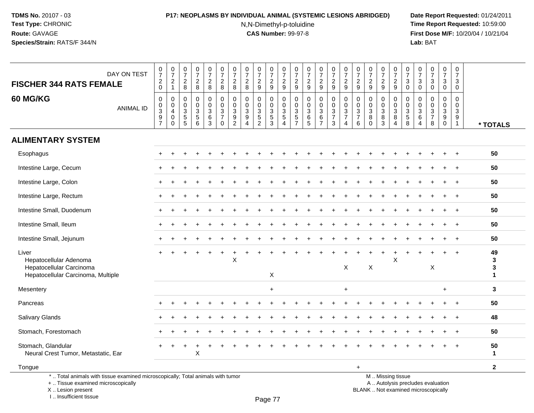I .. Insufficient tissue

# **P17: NEOPLASMS BY INDIVIDUAL ANIMAL (SYSTEMIC LESIONS ABRIDGED) Date Report Requested:** 01/24/2011

N,N-Dimethyl-p-toluidine

| DAY ON TEST<br><b>FISCHER 344 RATS FEMALE</b>                                                                                              | $\frac{0}{7}$<br>$^2_{0}$                                | $\frac{0}{7}$<br>$\overline{c}$<br>$\mathbf{1}$                             | $\mathbf 0$<br>$\overline{7}$<br>$\overline{2}$<br>$\bf 8$ | $\frac{0}{7}$<br>$\boldsymbol{2}$<br>$\,8\,$               | $\begin{array}{c} 0 \\ 7 \end{array}$<br>$\frac{2}{8}$                                    | $\pmb{0}$<br>$\overline{7}$<br>$\overline{a}$<br>8                                       | $\frac{0}{7}$<br>$\overline{a}$<br>8                                | $\begin{array}{c} 0 \\ 7 \end{array}$<br>$\overline{c}$<br>$\,8\,$                  | $\frac{0}{7}$<br>$\sqrt{2}$<br>$\boldsymbol{9}$ | $\frac{0}{7}$<br>$\frac{2}{9}$                       | $\pmb{0}$<br>$\overline{7}$<br>$\boldsymbol{2}$<br>$\boldsymbol{9}$        | 0<br>$\overline{7}$<br>$\overline{c}$<br>$9\,$           | $\frac{0}{7}$<br>$\frac{2}{9}$          | $\frac{0}{7}$<br>$\overline{c}$<br>$\boldsymbol{9}$ | $\begin{smallmatrix}0\\7\end{smallmatrix}$<br>$\overline{a}$<br>9 | $\frac{0}{7}$<br>$\sqrt{2}$<br>$\boldsymbol{9}$                  | $\pmb{0}$<br>$\overline{7}$<br>$\sqrt{2}$<br>9                                 | 0<br>$\overline{7}$<br>$\overline{c}$<br>9               | $\frac{0}{7}$<br>$\overline{c}$<br>$\boldsymbol{9}$           | $\begin{array}{c} 0 \\ 7 \end{array}$<br>$\overline{c}$<br>$9\,$                             | $\frac{0}{7}$<br>$\mathbf{3}$<br>$\mathsf{O}\xspace$ | $\pmb{0}$<br>$\overline{7}$<br>3<br>$\mathbf 0$     | $\frac{0}{7}$<br>$\sqrt{3}$<br>$\mathbf 0$                               | $\begin{array}{c} 0 \\ 7 \end{array}$<br>$\sqrt{3}$<br>$\mathbf 0$ | $\boldsymbol{0}$<br>$\overline{7}$<br>3<br>$\mathbf 0$                         |                         |
|--------------------------------------------------------------------------------------------------------------------------------------------|----------------------------------------------------------|-----------------------------------------------------------------------------|------------------------------------------------------------|------------------------------------------------------------|-------------------------------------------------------------------------------------------|------------------------------------------------------------------------------------------|---------------------------------------------------------------------|-------------------------------------------------------------------------------------|-------------------------------------------------|------------------------------------------------------|----------------------------------------------------------------------------|----------------------------------------------------------|-----------------------------------------|-----------------------------------------------------|-------------------------------------------------------------------|------------------------------------------------------------------|--------------------------------------------------------------------------------|----------------------------------------------------------|---------------------------------------------------------------|----------------------------------------------------------------------------------------------|------------------------------------------------------|-----------------------------------------------------|--------------------------------------------------------------------------|--------------------------------------------------------------------|--------------------------------------------------------------------------------|-------------------------|
| 60 MG/KG<br><b>ANIMAL ID</b>                                                                                                               | 0<br>$\frac{0}{3}$<br>$\boldsymbol{9}$<br>$\overline{7}$ | $\pmb{0}$<br>$\pmb{0}$<br>$\overline{4}$<br>$\mathsf{O}\xspace$<br>$\Omega$ | $\mathbf 0$<br>$\mathbf 0$<br>$\frac{3}{5}$                | $\Omega$<br>$\mathbf 0$<br>$\mathbf{3}$<br>$\sqrt{5}$<br>6 | $\boldsymbol{0}$<br>$\mathbf 0$<br>$\ensuremath{\mathsf{3}}$<br>$\,6\,$<br>$\overline{3}$ | $\boldsymbol{0}$<br>$\pmb{0}$<br>$\ensuremath{\mathsf{3}}$<br>$\overline{7}$<br>$\Omega$ | $\mathbf 0$<br>$\pmb{0}$<br>3<br>$\boldsymbol{9}$<br>$\overline{2}$ | 0<br>$\mathbf 0$<br>$\ensuremath{\mathsf{3}}$<br>$\boldsymbol{9}$<br>$\overline{4}$ | $\mathbf 0$<br>$\pmb{0}$<br>$\frac{3}{5}$       | 0<br>$\begin{array}{c} 0 \\ 3 \\ 5 \\ 3 \end{array}$ | $\pmb{0}$<br>$\mathbf 0$<br>$\overline{3}$<br>$\sqrt{5}$<br>$\overline{4}$ | $\Omega$<br>$\mathbf 0$<br>3<br>$\mathbf 5$<br>$\bar{7}$ | $\pmb{0}$<br>$\pmb{0}$<br>$\frac{3}{6}$ | $\pmb{0}$<br>$\pmb{0}$<br>$\frac{3}{6}$             | 0<br>$\frac{0}{3}$<br>3                                           | $\pmb{0}$<br>$\overline{0}$<br>$\sqrt{3}$<br>$\overline{7}$<br>4 | $\mathbf 0$<br>$\mathbf 0$<br>$\ensuremath{\mathsf{3}}$<br>$\overline{7}$<br>6 | $\Omega$<br>$\mathbf 0$<br>$\mathbf{3}$<br>8<br>$\Omega$ | 0<br>$\mathbf 0$<br>$\ensuremath{\mathsf{3}}$<br>$\bf 8$<br>3 | $\mathbf 0$<br>$\mathbf 0$<br>$\ensuremath{\mathsf{3}}$<br>$\,8\,$<br>$\boldsymbol{\Lambda}$ | 0<br>$\pmb{0}$<br>$\frac{3}{5}$                      | $\Omega$<br>$\mathbf 0$<br>$^3$ 6<br>$\overline{4}$ | $\Omega$<br>$\mathbf 0$<br>$\mathbf 3$<br>$\overline{7}$<br>8            | $\mathbf 0$<br>$\pmb{0}$<br>$\overline{3}$<br>$\overline{9}$       | $\mathbf 0$<br>$\mathbf 0$<br>$\mathbf{3}$<br>$\boldsymbol{9}$<br>$\mathbf{1}$ | * TOTALS                |
| <b>ALIMENTARY SYSTEM</b>                                                                                                                   |                                                          |                                                                             |                                                            |                                                            |                                                                                           |                                                                                          |                                                                     |                                                                                     |                                                 |                                                      |                                                                            |                                                          |                                         |                                                     |                                                                   |                                                                  |                                                                                |                                                          |                                                               |                                                                                              |                                                      |                                                     |                                                                          |                                                                    |                                                                                |                         |
| Esophagus                                                                                                                                  |                                                          |                                                                             |                                                            |                                                            |                                                                                           |                                                                                          |                                                                     |                                                                                     |                                                 |                                                      |                                                                            |                                                          |                                         |                                                     |                                                                   |                                                                  |                                                                                |                                                          |                                                               |                                                                                              |                                                      |                                                     |                                                                          |                                                                    | $\div$                                                                         | 50                      |
| Intestine Large, Cecum                                                                                                                     |                                                          |                                                                             |                                                            |                                                            |                                                                                           |                                                                                          |                                                                     |                                                                                     |                                                 |                                                      |                                                                            |                                                          |                                         |                                                     |                                                                   |                                                                  |                                                                                |                                                          |                                                               |                                                                                              |                                                      |                                                     |                                                                          |                                                                    |                                                                                | 50                      |
| Intestine Large, Colon                                                                                                                     |                                                          |                                                                             |                                                            |                                                            |                                                                                           |                                                                                          |                                                                     |                                                                                     |                                                 |                                                      |                                                                            |                                                          |                                         |                                                     |                                                                   |                                                                  |                                                                                |                                                          |                                                               |                                                                                              |                                                      |                                                     |                                                                          |                                                                    |                                                                                | 50                      |
| Intestine Large, Rectum                                                                                                                    |                                                          |                                                                             |                                                            |                                                            |                                                                                           |                                                                                          |                                                                     |                                                                                     |                                                 |                                                      |                                                                            |                                                          |                                         |                                                     |                                                                   |                                                                  |                                                                                |                                                          |                                                               |                                                                                              |                                                      |                                                     |                                                                          |                                                                    |                                                                                | 50                      |
| Intestine Small, Duodenum                                                                                                                  |                                                          |                                                                             |                                                            |                                                            |                                                                                           |                                                                                          |                                                                     |                                                                                     |                                                 |                                                      |                                                                            |                                                          |                                         |                                                     |                                                                   |                                                                  |                                                                                |                                                          |                                                               |                                                                                              |                                                      |                                                     |                                                                          |                                                                    |                                                                                | 50                      |
| Intestine Small, Ileum                                                                                                                     |                                                          |                                                                             |                                                            |                                                            |                                                                                           |                                                                                          |                                                                     |                                                                                     |                                                 |                                                      |                                                                            |                                                          |                                         |                                                     |                                                                   |                                                                  |                                                                                |                                                          |                                                               |                                                                                              |                                                      |                                                     |                                                                          |                                                                    | $\overline{ }$                                                                 | 50                      |
| Intestine Small, Jejunum                                                                                                                   |                                                          |                                                                             |                                                            |                                                            |                                                                                           |                                                                                          |                                                                     |                                                                                     |                                                 |                                                      |                                                                            |                                                          |                                         |                                                     |                                                                   |                                                                  |                                                                                |                                                          |                                                               |                                                                                              |                                                      |                                                     |                                                                          |                                                                    |                                                                                | 50                      |
| Liver<br>Hepatocellular Adenoma<br>Hepatocellular Carcinoma                                                                                |                                                          |                                                                             |                                                            |                                                            |                                                                                           |                                                                                          | X                                                                   |                                                                                     |                                                 |                                                      |                                                                            |                                                          |                                         |                                                     |                                                                   | X                                                                |                                                                                | $\boldsymbol{\mathsf{X}}$                                |                                                               | X                                                                                            |                                                      |                                                     | $\boldsymbol{\mathsf{X}}$                                                |                                                                    |                                                                                | 49<br>3<br>$\mathbf{3}$ |
| Hepatocellular Carcinoma, Multiple                                                                                                         |                                                          |                                                                             |                                                            |                                                            |                                                                                           |                                                                                          |                                                                     |                                                                                     |                                                 | X                                                    |                                                                            |                                                          |                                         |                                                     |                                                                   |                                                                  |                                                                                |                                                          |                                                               |                                                                                              |                                                      |                                                     |                                                                          |                                                                    |                                                                                | $\mathbf{1}$            |
| Mesentery                                                                                                                                  |                                                          |                                                                             |                                                            |                                                            |                                                                                           |                                                                                          |                                                                     |                                                                                     |                                                 | +                                                    |                                                                            |                                                          |                                         |                                                     |                                                                   | $\ddot{}$                                                        |                                                                                |                                                          |                                                               |                                                                                              |                                                      |                                                     |                                                                          | $\ddot{}$                                                          |                                                                                | $\mathbf{3}$            |
| Pancreas                                                                                                                                   |                                                          |                                                                             |                                                            |                                                            |                                                                                           |                                                                                          |                                                                     |                                                                                     |                                                 |                                                      |                                                                            |                                                          |                                         |                                                     |                                                                   |                                                                  |                                                                                |                                                          |                                                               |                                                                                              |                                                      |                                                     |                                                                          |                                                                    | $\overline{ }$                                                                 | 50                      |
| Salivary Glands                                                                                                                            |                                                          |                                                                             |                                                            |                                                            |                                                                                           |                                                                                          |                                                                     |                                                                                     |                                                 |                                                      |                                                                            |                                                          |                                         |                                                     |                                                                   |                                                                  |                                                                                |                                                          |                                                               |                                                                                              |                                                      |                                                     |                                                                          |                                                                    |                                                                                | 48                      |
| Stomach, Forestomach                                                                                                                       |                                                          |                                                                             |                                                            |                                                            |                                                                                           |                                                                                          |                                                                     |                                                                                     |                                                 |                                                      |                                                                            |                                                          |                                         |                                                     |                                                                   |                                                                  |                                                                                |                                                          |                                                               |                                                                                              |                                                      |                                                     |                                                                          |                                                                    |                                                                                | 50                      |
| Stomach, Glandular<br>Neural Crest Tumor, Metastatic, Ear                                                                                  |                                                          |                                                                             |                                                            | X                                                          |                                                                                           |                                                                                          |                                                                     |                                                                                     |                                                 |                                                      |                                                                            |                                                          |                                         |                                                     |                                                                   |                                                                  |                                                                                |                                                          |                                                               |                                                                                              |                                                      |                                                     |                                                                          |                                                                    |                                                                                | 50<br>$\mathbf{1}$      |
| Tongue                                                                                                                                     |                                                          |                                                                             |                                                            |                                                            |                                                                                           |                                                                                          |                                                                     |                                                                                     |                                                 |                                                      |                                                                            |                                                          |                                         |                                                     |                                                                   |                                                                  | $+$                                                                            |                                                          |                                                               |                                                                                              |                                                      |                                                     |                                                                          |                                                                    |                                                                                | $\mathbf{2}$            |
| *  Total animals with tissue examined microscopically; Total animals with tumor<br>+  Tissue examined microscopically<br>X  Lesion present |                                                          |                                                                             |                                                            |                                                            |                                                                                           |                                                                                          |                                                                     |                                                                                     |                                                 |                                                      |                                                                            |                                                          |                                         |                                                     |                                                                   |                                                                  |                                                                                |                                                          |                                                               | M  Missing tissue                                                                            |                                                      |                                                     | A  Autolysis precludes evaluation<br>BLANK  Not examined microscopically |                                                                    |                                                                                |                         |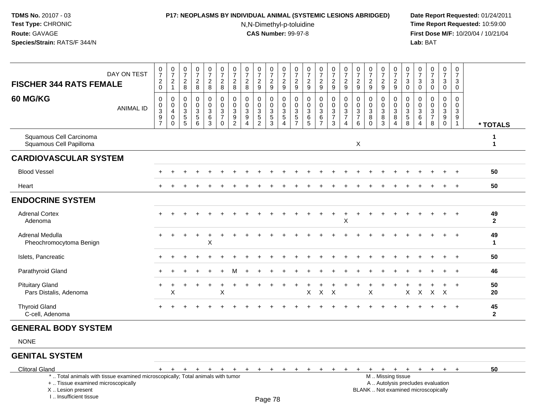# **P17: NEOPLASMS BY INDIVIDUAL ANIMAL (SYSTEMIC LESIONS ABRIDGED) Date Report Requested:** 01/24/2011

N,N-Dimethyl-p-toluidine

 **Time Report Requested:** 10:59:00 **First Dose M/F:** 10/20/04 / 10/21/04<br>**Lab:** BAT **Lab:** BAT

| <b>FISCHER 344 RATS FEMALE</b>                                                                                        | DAY ON TEST      | $\frac{0}{7}$<br>$\frac{2}{0}$                                       | $\frac{0}{7}$<br>$\begin{array}{c} 2 \\ 1 \end{array}$        | $\frac{0}{7}$<br>$\overline{\mathbf{c}}$<br>8 | 0<br>$\overline{7}$<br>$\frac{2}{8}$                                                             | $\begin{array}{c} 0 \\ 7 \end{array}$<br>$\frac{2}{8}$                  | $\begin{array}{c} 0 \\ 7 \end{array}$<br>$\frac{2}{8}$                                   | $\begin{array}{c} 0 \\ 7 \end{array}$<br>$\frac{2}{8}$      | $\frac{0}{7}$<br>$\overline{2}$<br>8                        | $\begin{array}{c} 0 \\ 7 \end{array}$<br>$\boldsymbol{2}$<br>9                          | $\frac{0}{7}$<br>$\overline{\mathbf{c}}$<br>$9\,$ | $\frac{0}{7}$<br>$\frac{2}{9}$                      | 0<br>$\overline{7}$<br>$\overline{\mathbf{c}}$<br>9 | $\frac{0}{7}$<br>$\frac{2}{9}$                                    | $\begin{array}{c} 0 \\ 7 \end{array}$<br>$\frac{2}{9}$                               | $\begin{array}{c} 0 \\ 7 \end{array}$<br>$\frac{2}{9}$ | $\begin{array}{c} 0 \\ 7 \end{array}$<br>$\frac{2}{9}$                      | $\frac{0}{7}$<br>$\overline{c}$<br>9                           | $\frac{0}{7}$<br>$\boldsymbol{2}$<br>9                      | $\frac{0}{7}$<br>$\overline{\mathbf{c}}$<br>$9\,$             | $\frac{0}{7}$<br>$\frac{2}{9}$                            | 0<br>$\overline{7}$<br>3<br>$\mathbf 0$                              | $\frac{0}{7}$<br>$\ensuremath{\mathsf{3}}$<br>$\mathbf 0$               | $\frac{0}{7}$<br>$\ensuremath{\mathsf{3}}$<br>$\mathbf 0$ | $\begin{array}{c} 0 \\ 7 \end{array}$<br>$\ensuremath{\mathsf{3}}$<br>$\mathbf 0$ | $\mathbf 0$<br>$\overline{7}$<br>3<br>$\mathbf 0$           |                    |
|-----------------------------------------------------------------------------------------------------------------------|------------------|----------------------------------------------------------------------|---------------------------------------------------------------|-----------------------------------------------|--------------------------------------------------------------------------------------------------|-------------------------------------------------------------------------|------------------------------------------------------------------------------------------|-------------------------------------------------------------|-------------------------------------------------------------|-----------------------------------------------------------------------------------------|---------------------------------------------------|-----------------------------------------------------|-----------------------------------------------------|-------------------------------------------------------------------|--------------------------------------------------------------------------------------|--------------------------------------------------------|-----------------------------------------------------------------------------|----------------------------------------------------------------|-------------------------------------------------------------|---------------------------------------------------------------|-----------------------------------------------------------|----------------------------------------------------------------------|-------------------------------------------------------------------------|-----------------------------------------------------------|-----------------------------------------------------------------------------------|-------------------------------------------------------------|--------------------|
| 60 MG/KG                                                                                                              | <b>ANIMAL ID</b> | 0<br>$\mathbf 0$<br>$\ensuremath{\mathsf{3}}$<br>9<br>$\overline{7}$ | 0<br>$\mathbf 0$<br>$\overline{4}$<br>$\mathbf 0$<br>$\Omega$ | 0<br>0<br>3<br>$\frac{5}{5}$                  | $\mathbf 0$<br>$\mathbf 0$<br>$\ensuremath{\mathsf{3}}$<br>$\begin{array}{c} 5 \\ 6 \end{array}$ | $\mathbf 0$<br>$\mathbf 0$<br>$\ensuremath{\mathsf{3}}$<br>$\,6\,$<br>3 | $\overline{0}$<br>$\mathbf 0$<br>$\ensuremath{\mathsf{3}}$<br>$\overline{7}$<br>$\Omega$ | $\mathbf 0$<br>$\pmb{0}$<br>$\overline{3}$<br>$\frac{9}{2}$ | $\mathbf 0$<br>$\Omega$<br>3<br>9<br>$\boldsymbol{\Lambda}$ | $\mathbf 0$<br>$\mathbf 0$<br>$\ensuremath{\mathsf{3}}$<br>$\sqrt{5}$<br>$\overline{2}$ | 0<br>$\Omega$<br>3<br>$\sqrt{5}$<br>3             | 0<br>$\mathbf 0$<br>$\frac{3}{5}$<br>$\overline{4}$ | 0<br>$\Omega$<br>$\sqrt{3}$<br>$\frac{5}{7}$        | $\mathbf 0$<br>$\mathbf 0$<br>$\ensuremath{\mathsf{3}}$<br>$^6$ 5 | $\mathbf 0$<br>$\mathbf 0$<br>$\ensuremath{\mathsf{3}}$<br>$\,6\,$<br>$\overline{7}$ | 0<br>$\mathbf 0$<br>$\frac{3}{7}$<br>$\mathbf{3}$      | $\mathbf 0$<br>$\Omega$<br>$\mathbf{3}$<br>$\overline{7}$<br>$\overline{4}$ | $\mathbf 0$<br>$\Omega$<br>$\mathbf{3}$<br>$\overline{7}$<br>6 | $\Omega$<br>$\mathbf 0$<br>$\sqrt{3}$<br>$\, 8$<br>$\Omega$ | 0<br>$\mathbf 0$<br>$\ensuremath{\mathsf{3}}$<br>$\bf 8$<br>3 | 0<br>$\mathbf 0$<br>$\overline{3}$<br>8<br>$\overline{4}$ | 0<br>$\Omega$<br>$\sqrt{3}$<br>$\begin{array}{c} 5 \\ 8 \end{array}$ | 0<br>$\Omega$<br>$\ensuremath{\mathsf{3}}$<br>$\,6\,$<br>$\overline{4}$ | $\mathbf 0$<br>$\mathbf 0$<br>$\frac{3}{7}$<br>8          | $\mathbf 0$<br>$\mathbf 0$<br>$\ensuremath{\mathsf{3}}$<br>$_{\rm 0}^{\rm 9}$     | $\Omega$<br>$\Omega$<br>$\mathbf{3}$<br>9<br>$\overline{1}$ | * TOTALS           |
| Squamous Cell Carcinoma<br>Squamous Cell Papilloma                                                                    |                  |                                                                      |                                                               |                                               |                                                                                                  |                                                                         |                                                                                          |                                                             |                                                             |                                                                                         |                                                   |                                                     |                                                     |                                                                   |                                                                                      |                                                        |                                                                             | X                                                              |                                                             |                                                               |                                                           |                                                                      |                                                                         |                                                           |                                                                                   |                                                             | 1<br>$\mathbf 1$   |
| <b>CARDIOVASCULAR SYSTEM</b>                                                                                          |                  |                                                                      |                                                               |                                               |                                                                                                  |                                                                         |                                                                                          |                                                             |                                                             |                                                                                         |                                                   |                                                     |                                                     |                                                                   |                                                                                      |                                                        |                                                                             |                                                                |                                                             |                                                               |                                                           |                                                                      |                                                                         |                                                           |                                                                                   |                                                             |                    |
| <b>Blood Vessel</b>                                                                                                   |                  |                                                                      |                                                               |                                               |                                                                                                  |                                                                         |                                                                                          |                                                             |                                                             |                                                                                         |                                                   |                                                     |                                                     |                                                                   |                                                                                      |                                                        |                                                                             |                                                                |                                                             |                                                               |                                                           |                                                                      |                                                                         |                                                           |                                                                                   |                                                             | 50                 |
| Heart                                                                                                                 |                  |                                                                      |                                                               |                                               |                                                                                                  |                                                                         |                                                                                          |                                                             |                                                             |                                                                                         |                                                   |                                                     |                                                     |                                                                   |                                                                                      |                                                        |                                                                             |                                                                |                                                             |                                                               |                                                           |                                                                      |                                                                         |                                                           |                                                                                   | $+$                                                         | 50                 |
| <b>ENDOCRINE SYSTEM</b>                                                                                               |                  |                                                                      |                                                               |                                               |                                                                                                  |                                                                         |                                                                                          |                                                             |                                                             |                                                                                         |                                                   |                                                     |                                                     |                                                                   |                                                                                      |                                                        |                                                                             |                                                                |                                                             |                                                               |                                                           |                                                                      |                                                                         |                                                           |                                                                                   |                                                             |                    |
| <b>Adrenal Cortex</b><br>Adenoma                                                                                      |                  |                                                                      |                                                               |                                               |                                                                                                  |                                                                         |                                                                                          |                                                             |                                                             |                                                                                         |                                                   |                                                     |                                                     |                                                                   |                                                                                      |                                                        | X                                                                           |                                                                |                                                             |                                                               |                                                           |                                                                      |                                                                         |                                                           |                                                                                   |                                                             | 49<br>$\mathbf{2}$ |
| Adrenal Medulla<br>Pheochromocytoma Benign                                                                            |                  |                                                                      |                                                               |                                               |                                                                                                  | X                                                                       |                                                                                          |                                                             |                                                             |                                                                                         |                                                   |                                                     |                                                     |                                                                   |                                                                                      |                                                        |                                                                             |                                                                |                                                             |                                                               |                                                           |                                                                      |                                                                         |                                                           |                                                                                   |                                                             | 49<br>$\mathbf 1$  |
| Islets, Pancreatic                                                                                                    |                  |                                                                      |                                                               |                                               |                                                                                                  |                                                                         |                                                                                          |                                                             |                                                             |                                                                                         |                                                   |                                                     |                                                     |                                                                   |                                                                                      |                                                        |                                                                             |                                                                |                                                             |                                                               |                                                           |                                                                      |                                                                         |                                                           |                                                                                   |                                                             | 50                 |
| Parathyroid Gland                                                                                                     |                  |                                                                      |                                                               |                                               |                                                                                                  |                                                                         |                                                                                          |                                                             |                                                             |                                                                                         |                                                   |                                                     |                                                     |                                                                   |                                                                                      |                                                        |                                                                             |                                                                |                                                             |                                                               |                                                           |                                                                      |                                                                         |                                                           |                                                                                   | $^{+}$                                                      | 46                 |
| <b>Pituitary Gland</b><br>Pars Distalis, Adenoma                                                                      |                  | $\ddot{}$                                                            | X                                                             |                                               |                                                                                                  | $\ddot{}$                                                               | X                                                                                        |                                                             |                                                             |                                                                                         |                                                   |                                                     |                                                     | X                                                                 | $\pmb{\times}$                                                                       | $\times$                                               |                                                                             |                                                                | X                                                           |                                                               |                                                           | X                                                                    | X                                                                       | $\pmb{\times}$                                            | $\times$                                                                          | $+$                                                         | 50<br>20           |
| <b>Thyroid Gland</b><br>C-cell, Adenoma                                                                               |                  | $\pm$                                                                |                                                               |                                               |                                                                                                  |                                                                         |                                                                                          |                                                             |                                                             |                                                                                         |                                                   |                                                     |                                                     |                                                                   |                                                                                      |                                                        |                                                                             |                                                                |                                                             |                                                               |                                                           |                                                                      |                                                                         |                                                           |                                                                                   | $+$                                                         | 45<br>$\mathbf{2}$ |
| <b>GENERAL BODY SYSTEM</b>                                                                                            |                  |                                                                      |                                                               |                                               |                                                                                                  |                                                                         |                                                                                          |                                                             |                                                             |                                                                                         |                                                   |                                                     |                                                     |                                                                   |                                                                                      |                                                        |                                                                             |                                                                |                                                             |                                                               |                                                           |                                                                      |                                                                         |                                                           |                                                                                   |                                                             |                    |
| <b>NONE</b>                                                                                                           |                  |                                                                      |                                                               |                                               |                                                                                                  |                                                                         |                                                                                          |                                                             |                                                             |                                                                                         |                                                   |                                                     |                                                     |                                                                   |                                                                                      |                                                        |                                                                             |                                                                |                                                             |                                                               |                                                           |                                                                      |                                                                         |                                                           |                                                                                   |                                                             |                    |
| <b>GENITAL SYSTEM</b>                                                                                                 |                  |                                                                      |                                                               |                                               |                                                                                                  |                                                                         |                                                                                          |                                                             |                                                             |                                                                                         |                                                   |                                                     |                                                     |                                                                   |                                                                                      |                                                        |                                                                             |                                                                |                                                             |                                                               |                                                           |                                                                      |                                                                         |                                                           |                                                                                   |                                                             |                    |
| <b>Clitoral Gland</b>                                                                                                 |                  | $+$                                                                  | $+$                                                           | $\ddot{}$                                     | $+$                                                                                              | $\ddot{}$                                                               | $\pm$                                                                                    | $+$                                                         | $\ddot{}$                                                   | $\ddot{}$                                                                               | $\overline{+}$                                    | $+$                                                 | $+$                                                 | $+$                                                               | $\ddot{}$                                                                            | $\pm$                                                  | $\pm$                                                                       | $\pm$                                                          | $+$                                                         | $+$                                                           | $+$                                                       | $+$                                                                  | $+$                                                                     | $+$                                                       | $+$                                                                               | $+$                                                         | 50                 |
| *  Total animals with tissue examined microscopically; Total animals with tumor<br>+  Tissue examined microscopically |                  |                                                                      |                                                               |                                               |                                                                                                  |                                                                         |                                                                                          |                                                             |                                                             |                                                                                         |                                                   |                                                     |                                                     |                                                                   |                                                                                      |                                                        |                                                                             |                                                                |                                                             |                                                               | M  Missing tissue                                         |                                                                      |                                                                         | A  Autolysis precludes evaluation                         |                                                                                   |                                                             |                    |

 Lesion present BLANK .. Not examined microscopicallyX .. Lesion present

I .. Insufficient tissue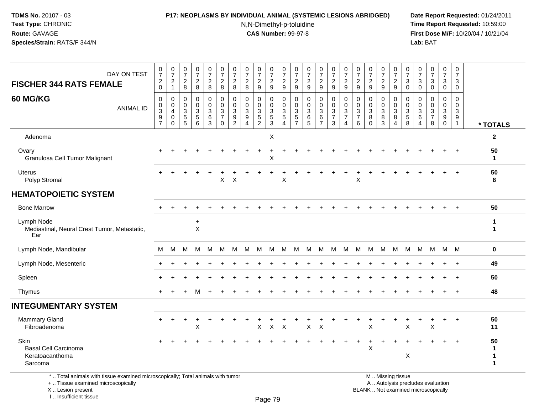#### **P17: NEOPLASMS BY INDIVIDUAL ANIMAL (SYSTEMIC LESIONS ABRIDGED) Date Report Requested:** 01/24/2011

N,N-Dimethyl-p-toluidine

 **Time Report Requested:** 10:59:00 **First Dose M/F:** 10/20/04 / 10/21/04<br>**Lab:** BAT **Lab:** BAT

| DAY ON TEST<br><b>FISCHER 344 RATS FEMALE</b>                                                                                                                | $\frac{0}{7}$<br>$^2_{\rm 0}$                                                               | $\frac{0}{7}$<br>$\overline{c}$<br>$\mathbf{1}$                         | $\frac{0}{7}$<br>$_{8}^2$                          | $\frac{0}{7}$<br>$\frac{2}{8}$  | $\boldsymbol{0}$<br>$\boldsymbol{7}$<br>$\frac{2}{8}$ | $\boldsymbol{0}$<br>$\overline{7}$<br>$\frac{2}{8}$ | 0<br>$\overline{7}$<br>$\overline{c}$<br>8              | 0<br>$\overline{7}$<br>$\overline{c}$<br>8            | $\frac{0}{7}$<br>$\overline{\mathbf{c}}$<br>$\boldsymbol{9}$ | 0<br>$\overline{7}$<br>$\frac{2}{9}$                       | $\boldsymbol{0}$<br>$\overline{7}$<br>$\frac{2}{9}$   | $\frac{0}{7}$<br>$\frac{2}{9}$                                      | $\frac{0}{7}$<br>$\frac{2}{9}$                           | $\frac{0}{7}$<br>$\frac{2}{9}$                     | 0<br>$\boldsymbol{7}$<br>$\frac{2}{9}$ | $\frac{0}{7}$<br>$\overline{c}$<br>9 | 0<br>$\overline{7}$<br>$\overline{c}$<br>$9\,$          | 0<br>$\overline{7}$<br>$\overline{c}$<br>9    | $\frac{0}{7}$<br>$\frac{2}{9}$      | 0<br>$\overline{7}$<br>$\frac{2}{9}$     | 0<br>$\overline{7}$<br>3<br>0   | 0<br>$\overline{7}$<br>$\ensuremath{\mathsf{3}}$<br>$\pmb{0}$ | $\begin{array}{c} 0 \\ 7 \end{array}$<br>$\sqrt{3}$<br>$\ddot{\mathbf{0}}$ | 0<br>$\overline{7}$<br>3<br>0                                     | 0<br>$\overline{7}$<br>3<br>$\mathbf 0$                         |                                       |
|--------------------------------------------------------------------------------------------------------------------------------------------------------------|---------------------------------------------------------------------------------------------|-------------------------------------------------------------------------|----------------------------------------------------|---------------------------------|-------------------------------------------------------|-----------------------------------------------------|---------------------------------------------------------|-------------------------------------------------------|--------------------------------------------------------------|------------------------------------------------------------|-------------------------------------------------------|---------------------------------------------------------------------|----------------------------------------------------------|----------------------------------------------------|----------------------------------------|--------------------------------------|---------------------------------------------------------|-----------------------------------------------|-------------------------------------|------------------------------------------|---------------------------------|---------------------------------------------------------------|----------------------------------------------------------------------------|-------------------------------------------------------------------|-----------------------------------------------------------------|---------------------------------------|
| <b>60 MG/KG</b><br><b>ANIMAL ID</b>                                                                                                                          | $\mathbf 0$<br>$\mathbf 0$<br>$\ensuremath{\mathsf{3}}$<br>$\overline{9}$<br>$\overline{7}$ | $\mathbf 0$<br>$\mathbf 0$<br>$\overline{4}$<br>$\mathbf 0$<br>$\Omega$ | $\mathbf 0$<br>$\mathbf 0$<br>3<br>$\sqrt{5}$<br>5 | 0<br>$\mathbf 0$<br>3<br>5<br>6 | 0<br>0<br>$\mathbf{3}$<br>$\,6\,$<br>$\mathbf{3}$     | 0<br>$\mathbf 0$<br>$\frac{3}{7}$<br>$\mathbf 0$    | $\mathbf 0$<br>$\mathbf{0}$<br>3<br>9<br>$\overline{2}$ | $\mathbf 0$<br>$\Omega$<br>3<br>$\boldsymbol{9}$<br>Δ | 0<br>$\mathbf 0$<br>$\frac{3}{5}$<br>$\overline{2}$          | 0<br>0<br>$\ensuremath{\mathsf{3}}$<br>$\overline{5}$<br>3 | 0<br>$\mathbf 0$<br>$\sqrt{3}$<br>$\overline{5}$<br>Δ | $\mathbf 0$<br>$\mathbf 0$<br>3<br>$\overline{5}$<br>$\overline{7}$ | $\mathbf 0$<br>$\mathbf 0$<br>$\sqrt{3}$<br>$\,6\,$<br>5 | 0<br>$\mathbf 0$<br>3<br>$\,6\,$<br>$\overline{7}$ | 0<br>0<br>$\frac{3}{7}$<br>3           | 0<br>$\pmb{0}$<br>$\frac{3}{7}$<br>4 | 0<br>$\mathbf 0$<br>$\mathbf{3}$<br>$\overline{7}$<br>6 | $\mathbf 0$<br>$\Omega$<br>3<br>8<br>$\Omega$ | 0<br>0<br>$\sqrt{3}$<br>$\, 8$<br>3 | 0<br>$\mathbf 0$<br>$\sqrt{3}$<br>8<br>4 | 0<br>$\mathbf 0$<br>3<br>5<br>8 | $\mathbf 0$<br>$\mathbf 0$<br>3<br>$\,6$<br>4                 | $\mathbf 0$<br>$\mathbf 0$<br>$\frac{3}{7}$<br>$\,8\,$                     | 0<br>$\mathbf 0$<br>$\mathbf{3}$<br>$\boldsymbol{9}$<br>$\pmb{0}$ | $\mathbf 0$<br>$\mathbf 0$<br>$\mathbf{3}$<br>9<br>$\mathbf{1}$ | * TOTALS                              |
| Adenoma                                                                                                                                                      |                                                                                             |                                                                         |                                                    |                                 |                                                       |                                                     |                                                         |                                                       |                                                              | $\mathsf X$                                                |                                                       |                                                                     |                                                          |                                                    |                                        |                                      |                                                         |                                               |                                     |                                          |                                 |                                                               |                                                                            |                                                                   |                                                                 | $\mathbf{2}$                          |
| Ovary<br>Granulosa Cell Tumor Malignant                                                                                                                      |                                                                                             |                                                                         |                                                    |                                 |                                                       |                                                     |                                                         |                                                       |                                                              | X                                                          |                                                       |                                                                     |                                                          |                                                    |                                        |                                      |                                                         |                                               |                                     |                                          |                                 |                                                               |                                                                            |                                                                   | $\ddot{}$                                                       | 50<br>$\mathbf{1}$                    |
| Uterus<br>Polyp Stromal                                                                                                                                      |                                                                                             |                                                                         |                                                    |                                 |                                                       | X                                                   | $\times$                                                |                                                       |                                                              |                                                            | $\mathsf X$                                           |                                                                     |                                                          |                                                    |                                        |                                      | X                                                       |                                               |                                     |                                          |                                 |                                                               |                                                                            |                                                                   |                                                                 | 50<br>8                               |
| <b>HEMATOPOIETIC SYSTEM</b>                                                                                                                                  |                                                                                             |                                                                         |                                                    |                                 |                                                       |                                                     |                                                         |                                                       |                                                              |                                                            |                                                       |                                                                     |                                                          |                                                    |                                        |                                      |                                                         |                                               |                                     |                                          |                                 |                                                               |                                                                            |                                                                   |                                                                 |                                       |
| <b>Bone Marrow</b><br>50<br>$\ddot{}$<br>Lymph Node<br>$\mathbf{1}$<br>$\ddot{}$<br>X<br>Mediastinal, Neural Crest Tumor, Metastatic,<br>$\mathbf{1}$<br>Ear |                                                                                             |                                                                         |                                                    |                                 |                                                       |                                                     |                                                         |                                                       |                                                              |                                                            |                                                       |                                                                     |                                                          |                                                    |                                        |                                      |                                                         |                                               |                                     |                                          |                                 |                                                               |                                                                            |                                                                   |                                                                 |                                       |
|                                                                                                                                                              |                                                                                             |                                                                         |                                                    |                                 |                                                       |                                                     |                                                         |                                                       |                                                              |                                                            |                                                       |                                                                     |                                                          |                                                    |                                        |                                      |                                                         |                                               |                                     |                                          |                                 |                                                               |                                                                            |                                                                   |                                                                 |                                       |
| Lymph Node, Mandibular                                                                                                                                       | м                                                                                           | М                                                                       | M                                                  | м                               | М                                                     | M                                                   | м                                                       | M                                                     | M                                                            | M                                                          | M                                                     | М                                                                   | М                                                        | M                                                  | M                                      | M                                    | M                                                       | M                                             | M                                   | M                                        | M                               | M                                                             | M                                                                          | M M                                                               |                                                                 | 0                                     |
| Lymph Node, Mesenteric                                                                                                                                       |                                                                                             |                                                                         |                                                    |                                 |                                                       |                                                     |                                                         |                                                       |                                                              |                                                            |                                                       |                                                                     |                                                          |                                                    |                                        |                                      |                                                         |                                               |                                     |                                          |                                 |                                                               |                                                                            |                                                                   | $\pm$                                                           | 49                                    |
| Spleen                                                                                                                                                       |                                                                                             |                                                                         |                                                    |                                 |                                                       |                                                     |                                                         |                                                       |                                                              |                                                            |                                                       |                                                                     |                                                          |                                                    |                                        |                                      |                                                         |                                               |                                     |                                          |                                 |                                                               | $\div$                                                                     | 50                                                                |                                                                 |                                       |
| Thymus                                                                                                                                                       |                                                                                             |                                                                         |                                                    | м                               |                                                       |                                                     |                                                         |                                                       |                                                              |                                                            |                                                       |                                                                     |                                                          |                                                    |                                        |                                      |                                                         |                                               |                                     |                                          |                                 |                                                               |                                                                            |                                                                   | $\ddot{}$                                                       | 48                                    |
| <b>INTEGUMENTARY SYSTEM</b>                                                                                                                                  |                                                                                             |                                                                         |                                                    |                                 |                                                       |                                                     |                                                         |                                                       |                                                              |                                                            |                                                       |                                                                     |                                                          |                                                    |                                        |                                      |                                                         |                                               |                                     |                                          |                                 |                                                               |                                                                            |                                                                   |                                                                 |                                       |
| <b>Mammary Gland</b><br>Fibroadenoma                                                                                                                         | $\pm$                                                                                       | $\ddot{}$                                                               |                                                    | $\ddot{}$<br>X                  |                                                       |                                                     |                                                         |                                                       | X                                                            | $\boldsymbol{X}$                                           | $\boldsymbol{\mathsf{X}}$                             |                                                                     | $\sf X$                                                  | $\times$                                           |                                        |                                      |                                                         | X                                             |                                     |                                          | $\mathsf X$                     |                                                               | X                                                                          | $\ddot{}$                                                         | $+$                                                             | 50<br>11                              |
| Skin<br><b>Basal Cell Carcinoma</b><br>Keratoacanthoma<br>Sarcoma                                                                                            |                                                                                             |                                                                         |                                                    |                                 |                                                       |                                                     |                                                         |                                                       |                                                              |                                                            |                                                       |                                                                     |                                                          |                                                    |                                        |                                      |                                                         | X                                             |                                     |                                          | X                               |                                                               |                                                                            |                                                                   | $+$                                                             | 50<br>1<br>$\mathbf 1$<br>$\mathbf 1$ |
| *  Total animals with tissue examined microscopically; Total animals with tumor                                                                              |                                                                                             |                                                                         |                                                    |                                 |                                                       |                                                     |                                                         |                                                       |                                                              |                                                            |                                                       |                                                                     |                                                          |                                                    |                                        |                                      |                                                         |                                               |                                     | M  Missing tissue                        |                                 |                                                               |                                                                            |                                                                   |                                                                 |                                       |

+ .. Tissue examined microscopically

X .. Lesion present

I .. Insufficient tissue

M .. Missing tissue

y the contract of the contract of the contract of the contract of the contract of  $\mathsf A$  . Autolysis precludes evaluation Lesion present BLANK .. Not examined microscopically

Page 79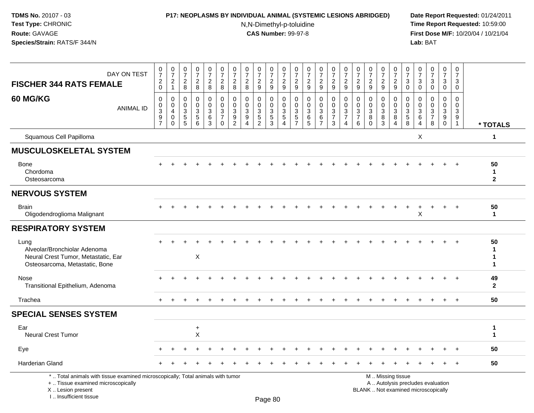I .. Insufficient tissue

## **P17: NEOPLASMS BY INDIVIDUAL ANIMAL (SYSTEMIC LESIONS ABRIDGED) Date Report Requested:** 01/24/2011

N,N-Dimethyl-p-toluidine

| DAY ON TEST<br><b>FISCHER 344 RATS FEMALE</b>                                                                                              | $\frac{0}{7}$<br>$\frac{2}{0}$                               | $\frac{0}{7}$<br>$\frac{2}{1}$                      | $\begin{array}{c} 0 \\ 7 \end{array}$<br>$_{\rm 8}^2$ | $\frac{0}{7}$<br>$\frac{2}{8}$                                | $\frac{0}{7}$<br>$_{8}^{\rm 2}$                      | $\begin{array}{c} 0 \\ 7 \end{array}$<br>$\frac{2}{8}$  | $\begin{array}{c} 0 \\ 7 \end{array}$<br>$\overline{c}$<br>$\overline{8}$ | $\frac{0}{7}$<br>$_{8}^2$                                   | $\frac{0}{7}$<br>$\boldsymbol{2}$<br>$\overline{9}$        | 0<br>$\overline{7}$<br>$\frac{2}{9}$ | $\frac{0}{7}$<br>$\frac{2}{9}$                                                 | $\frac{0}{7}$<br>$\frac{2}{9}$                                 | $\begin{array}{c} 0 \\ 7 \end{array}$<br>$\frac{2}{9}$ | $\frac{0}{7}$<br>$\frac{2}{9}$                                         | $\begin{smallmatrix}0\\7\end{smallmatrix}$<br>$\frac{2}{9}$ | $\frac{0}{7}$<br>$\frac{2}{9}$                                              | $\frac{0}{7}$<br>$\frac{2}{9}$               | $\frac{0}{7}$<br>$\frac{2}{9}$                               | $\frac{0}{7}$<br>$\overline{c}$<br>$\overline{9}$ | $\frac{0}{7}$<br>$\frac{2}{9}$            | $\begin{array}{c} 0 \\ 7 \end{array}$<br>$\sqrt{3}$<br>$\overline{0}$ | 0<br>$\overline{7}$<br>3<br>$\mathbf 0$                      | $\frac{0}{7}$<br>3<br>$\mathbf 0$                                        | $\frac{0}{7}$<br>3<br>$\mathbf 0$                     | $\frac{0}{7}$<br>3<br>$\mathbf 0$                |                                    |
|--------------------------------------------------------------------------------------------------------------------------------------------|--------------------------------------------------------------|-----------------------------------------------------|-------------------------------------------------------|---------------------------------------------------------------|------------------------------------------------------|---------------------------------------------------------|---------------------------------------------------------------------------|-------------------------------------------------------------|------------------------------------------------------------|--------------------------------------|--------------------------------------------------------------------------------|----------------------------------------------------------------|--------------------------------------------------------|------------------------------------------------------------------------|-------------------------------------------------------------|-----------------------------------------------------------------------------|----------------------------------------------|--------------------------------------------------------------|---------------------------------------------------|-------------------------------------------|-----------------------------------------------------------------------|--------------------------------------------------------------|--------------------------------------------------------------------------|-------------------------------------------------------|--------------------------------------------------|------------------------------------|
| 60 MG/KG<br><b>ANIMAL ID</b>                                                                                                               | $\pmb{0}$<br>$\begin{array}{c} 0 \\ 3 \\ 9 \\ 7 \end{array}$ | $\mathbf 0$<br>$\mathbf 0$<br>4<br>$\mathsf 0$<br>0 | $\mathbf 0$<br>0<br>$\mathbf{3}$<br>$\frac{5}{5}$     | $\mathbf 0$<br>$\pmb{0}$<br>$\sqrt{3}$<br>$\overline{5}$<br>6 | $\mathbf 0$<br>$\mathsf 0$<br>$\mathbf{3}$<br>$^6_3$ | $\mathbf 0$<br>$\mathbf 0$<br>$\frac{3}{7}$<br>$\Omega$ | $\pmb{0}$<br>$\pmb{0}$<br>$\ensuremath{\mathsf{3}}$<br>$\frac{9}{2}$      | $\mathbf 0$<br>0<br>3<br>$\boldsymbol{9}$<br>$\overline{4}$ | $\mathbf 0$<br>$\mathbf 0$<br>$\mathbf 3$<br>$\frac{5}{2}$ | 0<br>0<br>3<br>$\frac{5}{3}$         | $\Omega$<br>$\mathsf{O}\xspace$<br>$\sqrt{3}$<br>$\mathbf 5$<br>$\overline{4}$ | 0<br>$\mathbf 0$<br>$\ensuremath{\mathsf{3}}$<br>$\frac{5}{7}$ | $\mathbf 0$<br>0<br>$\mathbf{3}$<br>$\frac{6}{5}$      | $\mathbf 0$<br>$\pmb{0}$<br>$\ensuremath{\mathsf{3}}$<br>$\frac{6}{7}$ | $\mathbf 0$<br>$\mathbf 0$<br>$\frac{3}{7}$<br>$\mathbf{3}$ | $\Omega$<br>$\mathbf 0$<br>$\ensuremath{\mathsf{3}}$<br>$\overline{7}$<br>4 | 0<br>$\mathbf 0$<br>3<br>$\overline{7}$<br>6 | 0<br>$\pmb{0}$<br>$\ensuremath{\mathsf{3}}$<br>8<br>$\Omega$ | 0<br>$\mathbf 0$<br>$\mathbf{3}$<br>8<br>3        | 0<br>$\mathsf{O}\xspace$<br>$\frac{3}{8}$ | $\mathbf 0$<br>$\mathsf 0$<br>$\frac{3}{5}$                           | 0<br>$\mathbf{0}$<br>$\mathbf{3}$<br>$\,6$<br>$\overline{4}$ | $\Omega$<br>$\Omega$<br>$\mathbf{3}$<br>$\overline{7}$<br>8              | $\Omega$<br>$\Omega$<br>$\mathbf{3}$<br>9<br>$\Omega$ | $\Omega$<br>0<br>$\sqrt{3}$<br>9<br>$\mathbf{1}$ | * TOTALS                           |
| Squamous Cell Papilloma                                                                                                                    |                                                              |                                                     |                                                       |                                                               |                                                      |                                                         |                                                                           |                                                             |                                                            |                                      |                                                                                |                                                                |                                                        |                                                                        |                                                             |                                                                             |                                              |                                                              |                                                   |                                           |                                                                       | $\boldsymbol{\mathsf{X}}$                                    |                                                                          |                                                       |                                                  | 1                                  |
| <b>MUSCULOSKELETAL SYSTEM</b>                                                                                                              |                                                              |                                                     |                                                       |                                                               |                                                      |                                                         |                                                                           |                                                             |                                                            |                                      |                                                                                |                                                                |                                                        |                                                                        |                                                             |                                                                             |                                              |                                                              |                                                   |                                           |                                                                       |                                                              |                                                                          |                                                       |                                                  |                                    |
| <b>Bone</b><br>Chordoma<br>Osteosarcoma                                                                                                    |                                                              |                                                     |                                                       |                                                               |                                                      |                                                         |                                                                           |                                                             |                                                            |                                      |                                                                                |                                                                |                                                        |                                                                        |                                                             |                                                                             |                                              |                                                              |                                                   |                                           |                                                                       |                                                              |                                                                          |                                                       |                                                  | 50<br>$\mathbf{1}$<br>$\mathbf{2}$ |
| <b>NERVOUS SYSTEM</b>                                                                                                                      |                                                              |                                                     |                                                       |                                                               |                                                      |                                                         |                                                                           |                                                             |                                                            |                                      |                                                                                |                                                                |                                                        |                                                                        |                                                             |                                                                             |                                              |                                                              |                                                   |                                           |                                                                       |                                                              |                                                                          |                                                       |                                                  |                                    |
| <b>Brain</b><br>Oligodendroglioma Malignant                                                                                                |                                                              |                                                     |                                                       |                                                               |                                                      |                                                         |                                                                           |                                                             |                                                            |                                      |                                                                                |                                                                |                                                        |                                                                        |                                                             |                                                                             |                                              |                                                              |                                                   |                                           |                                                                       | X                                                            |                                                                          |                                                       |                                                  | 50<br>$\blacktriangleleft$         |
| <b>RESPIRATORY SYSTEM</b>                                                                                                                  |                                                              |                                                     |                                                       |                                                               |                                                      |                                                         |                                                                           |                                                             |                                                            |                                      |                                                                                |                                                                |                                                        |                                                                        |                                                             |                                                                             |                                              |                                                              |                                                   |                                           |                                                                       |                                                              |                                                                          |                                                       |                                                  |                                    |
| Lung<br>Alveolar/Bronchiolar Adenoma<br>Neural Crest Tumor, Metastatic, Ear<br>Osteosarcoma, Metastatic, Bone                              |                                                              |                                                     |                                                       | $\boldsymbol{\mathsf{X}}$                                     |                                                      |                                                         |                                                                           |                                                             |                                                            |                                      |                                                                                |                                                                |                                                        |                                                                        |                                                             |                                                                             |                                              |                                                              |                                                   |                                           |                                                                       |                                                              |                                                                          |                                                       | $+$                                              | 50<br>-1<br>$\mathbf{1}$           |
| <b>Nose</b><br>Transitional Epithelium, Adenoma                                                                                            |                                                              |                                                     |                                                       |                                                               |                                                      |                                                         |                                                                           |                                                             |                                                            |                                      |                                                                                |                                                                |                                                        |                                                                        |                                                             |                                                                             |                                              |                                                              |                                                   |                                           |                                                                       |                                                              |                                                                          |                                                       |                                                  | 49<br>$\overline{2}$               |
| Trachea                                                                                                                                    | $+$                                                          |                                                     |                                                       |                                                               |                                                      |                                                         |                                                                           |                                                             |                                                            |                                      |                                                                                |                                                                |                                                        |                                                                        |                                                             |                                                                             |                                              |                                                              |                                                   |                                           |                                                                       |                                                              |                                                                          |                                                       | $\ddot{+}$                                       | 50                                 |
| <b>SPECIAL SENSES SYSTEM</b>                                                                                                               |                                                              |                                                     |                                                       |                                                               |                                                      |                                                         |                                                                           |                                                             |                                                            |                                      |                                                                                |                                                                |                                                        |                                                                        |                                                             |                                                                             |                                              |                                                              |                                                   |                                           |                                                                       |                                                              |                                                                          |                                                       |                                                  |                                    |
| Ear<br><b>Neural Crest Tumor</b>                                                                                                           |                                                              |                                                     |                                                       | $\ddot{}$<br>X                                                |                                                      |                                                         |                                                                           |                                                             |                                                            |                                      |                                                                                |                                                                |                                                        |                                                                        |                                                             |                                                                             |                                              |                                                              |                                                   |                                           |                                                                       |                                                              |                                                                          |                                                       |                                                  | 1<br>$\mathbf{1}$                  |
| Eye                                                                                                                                        |                                                              |                                                     |                                                       |                                                               |                                                      |                                                         |                                                                           |                                                             |                                                            |                                      |                                                                                |                                                                |                                                        |                                                                        |                                                             |                                                                             |                                              |                                                              |                                                   |                                           |                                                                       |                                                              |                                                                          |                                                       |                                                  | 50                                 |
| Harderian Gland                                                                                                                            |                                                              |                                                     |                                                       |                                                               |                                                      |                                                         |                                                                           |                                                             |                                                            |                                      |                                                                                |                                                                |                                                        |                                                                        |                                                             |                                                                             |                                              |                                                              |                                                   |                                           |                                                                       |                                                              |                                                                          |                                                       |                                                  | 50                                 |
| *  Total animals with tissue examined microscopically; Total animals with tumor<br>+  Tissue examined microscopically<br>X  Lesion present |                                                              |                                                     |                                                       |                                                               |                                                      |                                                         |                                                                           |                                                             |                                                            |                                      |                                                                                |                                                                |                                                        |                                                                        |                                                             |                                                                             |                                              |                                                              |                                                   | M  Missing tissue                         |                                                                       |                                                              | A  Autolysis precludes evaluation<br>BLANK  Not examined microscopically |                                                       |                                                  |                                    |